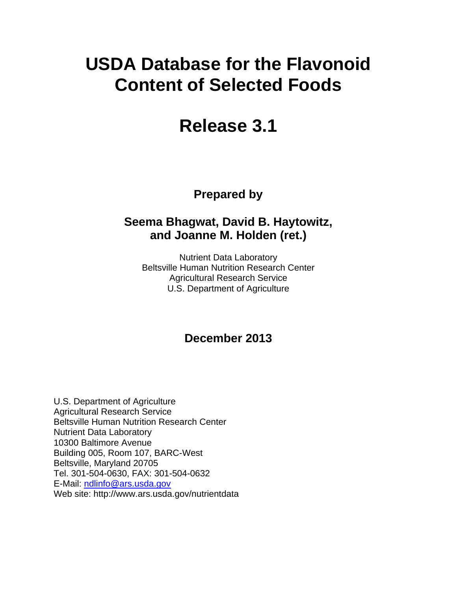# **USDA Database for the Flavonoid Content of Selected Foods**

# **Release 3.1**

**Prepared by** 

## **Seema Bhagwat, David B. Haytowitz, and Joanne M. Holden (ret.)**

Nutrient Data Laboratory Beltsville Human Nutrition Research Center Agricultural Research Service U.S. Department of Agriculture

## **December 2013**

U.S. Department of Agriculture Agricultural Research Service Beltsville Human Nutrition Research Center Nutrient Data Laboratory 10300 Baltimore Avenue Building 005, Room 107, BARC-West Beltsville, Maryland 20705 Tel. 301-504-0630, FAX: 301-504-0632 E-Mail: ndlinfo@ars.usda.gov Web site: http://www.ars.usda.gov/nutrientdata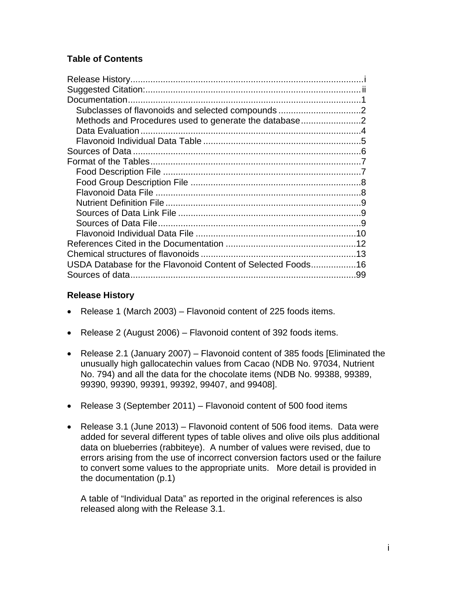## **Table of Contents**

| Methods and Procedures used to generate the database        |     |
|-------------------------------------------------------------|-----|
|                                                             |     |
|                                                             |     |
|                                                             |     |
|                                                             |     |
|                                                             |     |
|                                                             |     |
|                                                             |     |
|                                                             |     |
|                                                             |     |
|                                                             |     |
|                                                             |     |
|                                                             |     |
|                                                             |     |
| USDA Database for the Flavonoid Content of Selected Foods16 |     |
|                                                             | .99 |

## **Release History**

- Release 1 (March 2003) Flavonoid content of 225 foods items.
- Release 2 (August 2006) Flavonoid content of 392 foods items.
- Release 2.1 (January 2007) Flavonoid content of 385 foods [Eliminated the unusually high gallocatechin values from Cacao (NDB No. 97034, Nutrient No. 794) and all the data for the chocolate items (NDB No. 99388, 99389, 99390, 99390, 99391, 99392, 99407, and 99408].
- Release 3 (September 2011) Flavonoid content of 500 food items
- Release 3.1 (June 2013) Flavonoid content of 506 food items. Data were added for several different types of table olives and olive oils plus additional data on blueberries (rabbiteye). A number of values were revised, due to errors arising from the use of incorrect conversion factors used or the failure to convert some values to the appropriate units. More detail is provided in the documentation (p.1)

 A table of "Individual Data" as reported in the original references is also released along with the Release 3.1.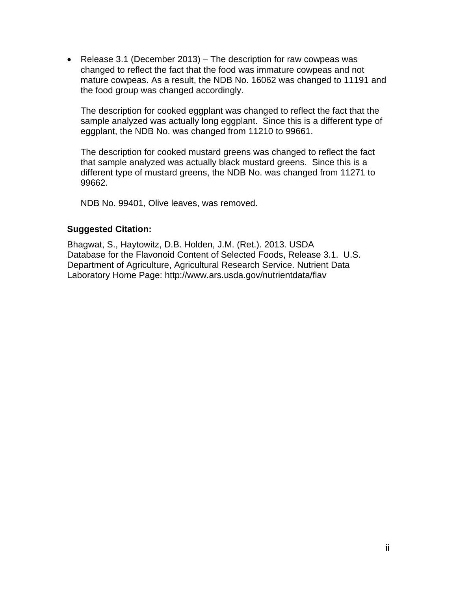• Release 3.1 (December 2013) – The description for raw cowpeas was changed to reflect the fact that the food was immature cowpeas and not mature cowpeas. As a result, the NDB No. 16062 was changed to 11191 and the food group was changed accordingly.

The description for cooked eggplant was changed to reflect the fact that the sample analyzed was actually long eggplant. Since this is a different type of eggplant, the NDB No. was changed from 11210 to 99661.

The description for cooked mustard greens was changed to reflect the fact that sample analyzed was actually black mustard greens. Since this is a different type of mustard greens, the NDB No. was changed from 11271 to 99662.

NDB No. 99401, Olive leaves, was removed.

## **Suggested Citation:**

Bhagwat, S., Haytowitz, D.B. Holden, J.M. (Ret.). 2013. USDA Database for the Flavonoid Content of Selected Foods, Release 3.1. U.S. Department of Agriculture, Agricultural Research Service. Nutrient Data Laboratory Home Page: http://www.ars.usda.gov/nutrientdata/flav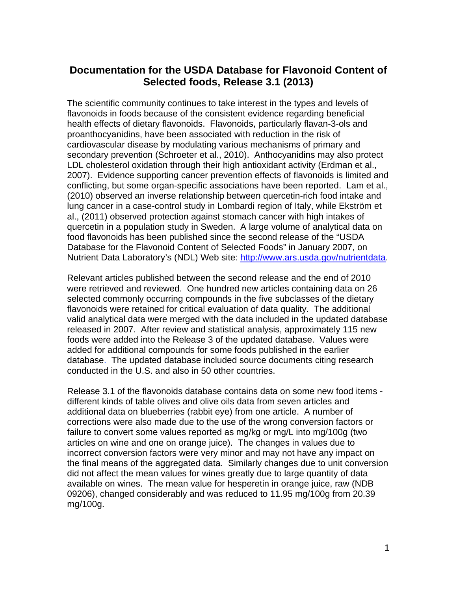## **Documentation for the USDA Database for Flavonoid Content of Selected foods, Release 3.1 (2013)**

The scientific community continues to take interest in the types and levels of flavonoids in foods because of the consistent evidence regarding beneficial health effects of dietary flavonoids. Flavonoids, particularly flavan-3-ols and proanthocyanidins, have been associated with reduction in the risk of cardiovascular disease by modulating various mechanisms of primary and secondary prevention (Schroeter et al., 2010). Anthocyanidins may also protect LDL cholesterol oxidation through their high antioxidant activity (Erdman et al., 2007). Evidence supporting cancer prevention effects of flavonoids is limited and conflicting, but some organ-specific associations have been reported. Lam et al., (2010) observed an inverse relationship between quercetin-rich food intake and lung cancer in a case-control study in Lombardi region of Italy, while Ekström et al., (2011) observed protection against stomach cancer with high intakes of quercetin in a population study in Sweden. A large volume of analytical data on food flavonoids has been published since the second release of the "USDA Database for the Flavonoid Content of Selected Foods" in January 2007, on Nutrient Data Laboratory's (NDL) Web site: http://www.ars.usda.gov/nutrientdata.

Relevant articles published between the second release and the end of 2010 were retrieved and reviewed. One hundred new articles containing data on 26 selected commonly occurring compounds in the five subclasses of the dietary flavonoids were retained for critical evaluation of data quality. The additional valid analytical data were merged with the data included in the updated database released in 2007. After review and statistical analysis, approximately 115 new foods were added into the Release 3 of the updated database. Values were added for additional compounds for some foods published in the earlier database. The updated database included source documents citing research conducted in the U.S. and also in 50 other countries.

Release 3.1 of the flavonoids database contains data on some new food items different kinds of table olives and olive oils data from seven articles and additional data on blueberries (rabbit eye) from one article. A number of corrections were also made due to the use of the wrong conversion factors or failure to convert some values reported as mg/kg or mg/L into mg/100g (two articles on wine and one on orange juice). The changes in values due to incorrect conversion factors were very minor and may not have any impact on the final means of the aggregated data. Similarly changes due to unit conversion did not affect the mean values for wines greatly due to large quantity of data available on wines. The mean value for hesperetin in orange juice, raw (NDB 09206), changed considerably and was reduced to 11.95 mg/100g from 20.39 mg/100g.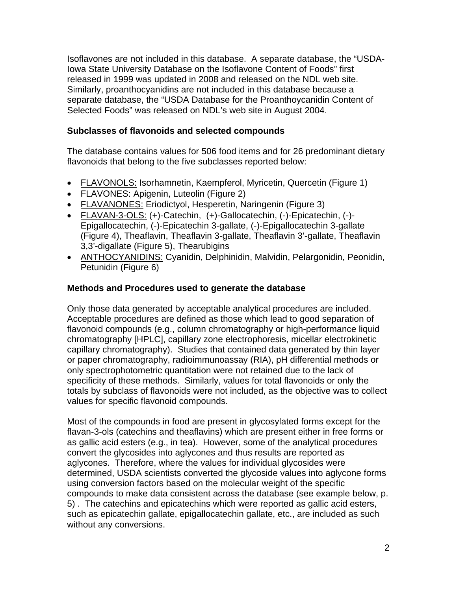Isoflavones are not included in this database. A separate database, the "USDA-Iowa State University Database on the Isoflavone Content of Foods" first released in 1999 was updated in 2008 and released on the NDL web site. Similarly, proanthocyanidins are not included in this database because a separate database, the "USDA Database for the Proanthoycanidin Content of Selected Foods" was released on NDL's web site in August 2004.

## **Subclasses of flavonoids and selected compounds**

The database contains values for 506 food items and for 26 predominant dietary flavonoids that belong to the five subclasses reported below:

- FLAVONOLS: Isorhamnetin, Kaempferol, Myricetin, Quercetin (Figure 1)
- FLAVONES: Apigenin, Luteolin (Figure 2)
- FLAVANONES: Eriodictyol, Hesperetin, Naringenin (Figure 3)
- FLAVAN-3-OLS: (+)-Catechin, (+)-Gallocatechin, (-)-Epicatechin, (-)- Epigallocatechin, (-)-Epicatechin 3-gallate, (-)-Epigallocatechin 3-gallate (Figure 4), Theaflavin, Theaflavin 3-gallate, Theaflavin 3'-gallate, Theaflavin 3,3'-digallate (Figure 5), Thearubigins
- ANTHOCYANIDINS: Cyanidin, Delphinidin, Malvidin, Pelargonidin, Peonidin, Petunidin (Figure 6)

## **Methods and Procedures used to generate the database**

Only those data generated by acceptable analytical procedures are included. Acceptable procedures are defined as those which lead to good separation of flavonoid compounds (e.g., column chromatography or high-performance liquid chromatography [HPLC], capillary zone electrophoresis, micellar electrokinetic capillary chromatography). Studies that contained data generated by thin layer or paper chromatography, radioimmunoassay (RIA), pH differential methods or only spectrophotometric quantitation were not retained due to the lack of specificity of these methods. Similarly, values for total flavonoids or only the totals by subclass of flavonoids were not included, as the objective was to collect values for specific flavonoid compounds.

Most of the compounds in food are present in glycosylated forms except for the flavan-3-ols (catechins and theaflavins) which are present either in free forms or as gallic acid esters (e.g., in tea). However, some of the analytical procedures convert the glycosides into aglycones and thus results are reported as aglycones. Therefore, where the values for individual glycosides were determined, USDA scientists converted the glycoside values into aglycone forms using conversion factors based on the molecular weight of the specific compounds to make data consistent across the database (see example below, p. 5) . The catechins and epicatechins which were reported as gallic acid esters, such as epicatechin gallate, epigallocatechin gallate, etc., are included as such without any conversions.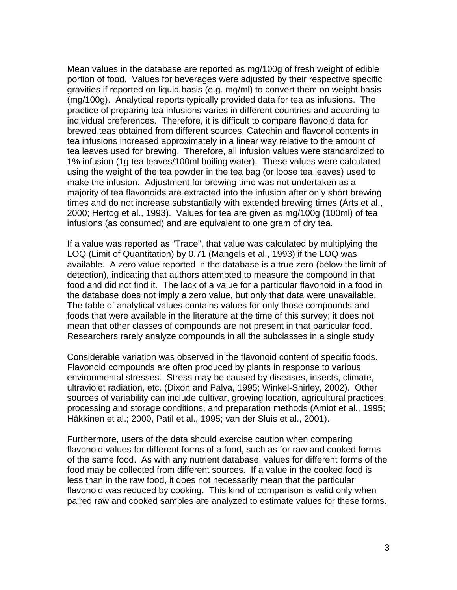Mean values in the database are reported as mg/100g of fresh weight of edible portion of food. Values for beverages were adjusted by their respective specific gravities if reported on liquid basis (e.g. mg/ml) to convert them on weight basis (mg/100g). Analytical reports typically provided data for tea as infusions. The practice of preparing tea infusions varies in different countries and according to individual preferences. Therefore, it is difficult to compare flavonoid data for brewed teas obtained from different sources. Catechin and flavonol contents in tea infusions increased approximately in a linear way relative to the amount of tea leaves used for brewing. Therefore, all infusion values were standardized to 1% infusion (1g tea leaves/100ml boiling water). These values were calculated using the weight of the tea powder in the tea bag (or loose tea leaves) used to make the infusion. Adjustment for brewing time was not undertaken as a majority of tea flavonoids are extracted into the infusion after only short brewing times and do not increase substantially with extended brewing times (Arts et al., 2000; Hertog et al., 1993). Values for tea are given as mg/100g (100ml) of tea infusions (as consumed) and are equivalent to one gram of dry tea.

If a value was reported as "Trace", that value was calculated by multiplying the LOQ (Limit of Quantitation) by 0.71 (Mangels et al., 1993) if the LOQ was available. A zero value reported in the database is a true zero (below the limit of detection), indicating that authors attempted to measure the compound in that food and did not find it. The lack of a value for a particular flavonoid in a food in the database does not imply a zero value, but only that data were unavailable. The table of analytical values contains values for only those compounds and foods that were available in the literature at the time of this survey; it does not mean that other classes of compounds are not present in that particular food. Researchers rarely analyze compounds in all the subclasses in a single study

Considerable variation was observed in the flavonoid content of specific foods. Flavonoid compounds are often produced by plants in response to various environmental stresses. Stress may be caused by diseases, insects, climate, ultraviolet radiation, etc. (Dixon and Palva, 1995; Winkel-Shirley, 2002). Other sources of variability can include cultivar, growing location, agricultural practices, processing and storage conditions, and preparation methods (Amiot et al., 1995; Häkkinen et al.; 2000, Patil et al., 1995; van der Sluis et al., 2001).

Furthermore, users of the data should exercise caution when comparing flavonoid values for different forms of a food, such as for raw and cooked forms of the same food. As with any nutrient database, values for different forms of the food may be collected from different sources. If a value in the cooked food is less than in the raw food, it does not necessarily mean that the particular flavonoid was reduced by cooking. This kind of comparison is valid only when paired raw and cooked samples are analyzed to estimate values for these forms.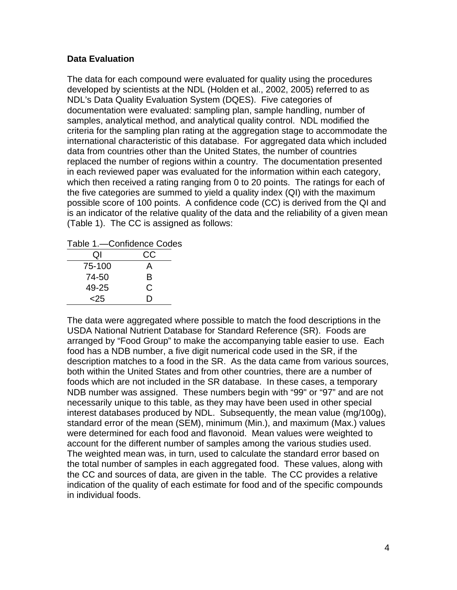## **Data Evaluation**

The data for each compound were evaluated for quality using the procedures developed by scientists at the NDL (Holden et al., 2002, 2005) referred to as NDL's Data Quality Evaluation System (DQES). Five categories of documentation were evaluated: sampling plan, sample handling, number of samples, analytical method, and analytical quality control. NDL modified the criteria for the sampling plan rating at the aggregation stage to accommodate the international characteristic of this database. For aggregated data which included data from countries other than the United States, the number of countries replaced the number of regions within a country. The documentation presented in each reviewed paper was evaluated for the information within each category, which then received a rating ranging from 0 to 20 points. The ratings for each of the five categories are summed to yield a quality index (QI) with the maximum possible score of 100 points. A confidence code (CC) is derived from the QI and is an indicator of the relative quality of the data and the reliability of a given mean (Table 1). The CC is assigned as follows:

| Table 1.—Confidence Codes |
|---------------------------|
|---------------------------|

| Ql     | CC |
|--------|----|
| 75-100 | А  |
| 74-50  | В  |
| 49-25  | C  |
| <25    | I) |

The data were aggregated where possible to match the food descriptions in the USDA National Nutrient Database for Standard Reference (SR). Foods are arranged by "Food Group" to make the accompanying table easier to use. Each food has a NDB number, a five digit numerical code used in the SR, if the description matches to a food in the SR. As the data came from various sources, both within the United States and from other countries, there are a number of foods which are not included in the SR database. In these cases, a temporary NDB number was assigned. These numbers begin with "99" or "97" and are not necessarily unique to this table, as they may have been used in other special interest databases produced by NDL. Subsequently, the mean value (mg/100g), standard error of the mean (SEM), minimum (Min.), and maximum (Max.) values were determined for each food and flavonoid. Mean values were weighted to account for the different number of samples among the various studies used. The weighted mean was, in turn, used to calculate the standard error based on the total number of samples in each aggregated food. These values, along with the CC and sources of data, are given in the table. The CC provides a relative indication of the quality of each estimate for food and of the specific compounds in individual foods.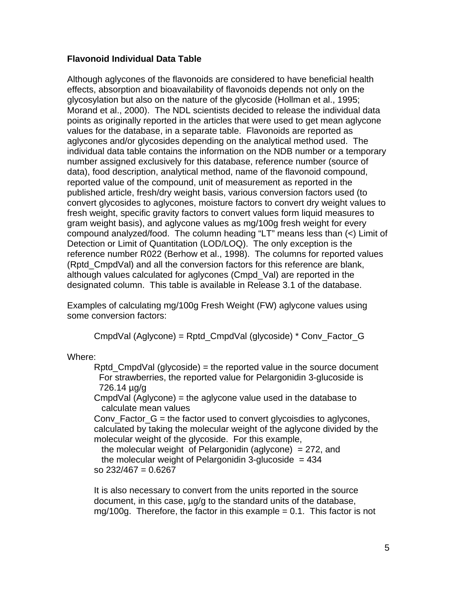## **Flavonoid Individual Data Table**

Although aglycones of the flavonoids are considered to have beneficial health effects, absorption and bioavailability of flavonoids depends not only on the glycosylation but also on the nature of the glycoside (Hollman et al., 1995; Morand et al., 2000). The NDL scientists decided to release the individual data points as originally reported in the articles that were used to get mean aglycone values for the database, in a separate table. Flavonoids are reported as aglycones and/or glycosides depending on the analytical method used. The individual data table contains the information on the NDB number or a temporary number assigned exclusively for this database, reference number (source of data), food description, analytical method, name of the flavonoid compound, reported value of the compound, unit of measurement as reported in the published article, fresh/dry weight basis, various conversion factors used (to convert glycosides to aglycones, moisture factors to convert dry weight values to fresh weight, specific gravity factors to convert values form liquid measures to gram weight basis), and aglycone values as mg/100g fresh weight for every compound analyzed/food. The column heading "LT" means less than (<) Limit of Detection or Limit of Quantitation (LOD/LOQ). The only exception is the reference number R022 (Berhow et al., 1998). The columns for reported values (Rptd\_CmpdVal) and all the conversion factors for this reference are blank, although values calculated for aglycones (Cmpd\_Val) are reported in the designated column. This table is available in Release 3.1 of the database.

Examples of calculating mg/100g Fresh Weight (FW) aglycone values using some conversion factors:

CmpdVal (Aglycone) = Rptd\_CmpdVal (glycoside) \* Conv\_Factor\_G

Where:

Rptd\_CmpdVal (glycoside) = the reported value in the source document For strawberries, the reported value for Pelargonidin 3-glucoside is 726.14 µg/g

 CmpdVal (Aglycone) = the aglycone value used in the database to calculate mean values

Conv\_Factor\_G = the factor used to convert glycoisdies to aglycones, calculated by taking the molecular weight of the aglycone divided by the molecular weight of the glycoside. For this example,

the molecular weight of Pelargonidin (aglycone)  $= 272$ , and the molecular weight of Pelargonidin 3-glucoside  $= 434$ so  $232/467 = 0.6267$ 

It is also necessary to convert from the units reported in the source document, in this case, µg/g to the standard units of the database, mg/100g. Therefore, the factor in this example  $= 0.1$ . This factor is not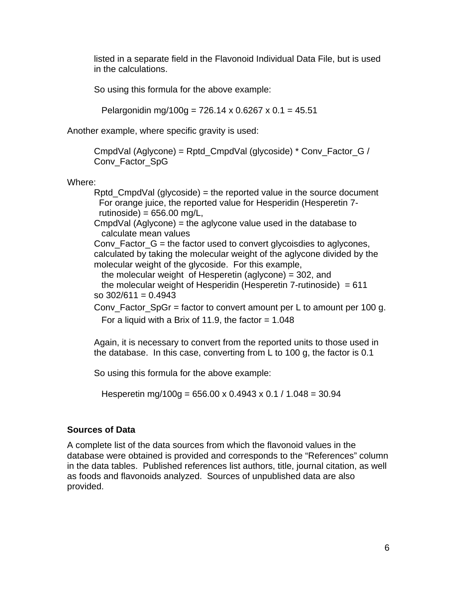listed in a separate field in the Flavonoid Individual Data File, but is used in the calculations.

So using this formula for the above example:

Pelargonidin mg/100g = 726.14 x 0.6267 x 0.1 = 45.51

Another example, where specific gravity is used:

CmpdVal (Aglycone) = Rptd\_CmpdVal (glycoside) \* Conv\_Factor\_G / Conv\_Factor\_SpG

Where:

Rptd CmpdVal (glycoside) = the reported value in the source document For orange juice, the reported value for Hesperidin (Hesperetin 7 rutinoside) =  $656.00$  mg/L,

 CmpdVal (Aglycone) = the aglycone value used in the database to calculate mean values

Conv Factor  $G =$  the factor used to convert glycoisdies to aglycones, calculated by taking the molecular weight of the aglycone divided by the molecular weight of the glycoside. For this example,

 the molecular weight of Hesperetin (aglycone) = 302, and the molecular weight of Hesperidin (Hesperetin  $7$ -rutinoside) = 611 so  $302/611 = 0.4943$ 

Conv Factor  $SpGr =$  factor to convert amount per L to amount per 100 g. For a liquid with a Brix of 11.9, the factor  $= 1.048$ 

Again, it is necessary to convert from the reported units to those used in the database. In this case, converting from L to 100 g, the factor is 0.1

So using this formula for the above example:

Hesperetin mg/100g = 656.00 x 0.4943 x 0.1 / 1.048 = 30.94

## **Sources of Data**

A complete list of the data sources from which the flavonoid values in the database were obtained is provided and corresponds to the "References" column in the data tables. Published references list authors, title, journal citation, as well as foods and flavonoids analyzed. Sources of unpublished data are also provided.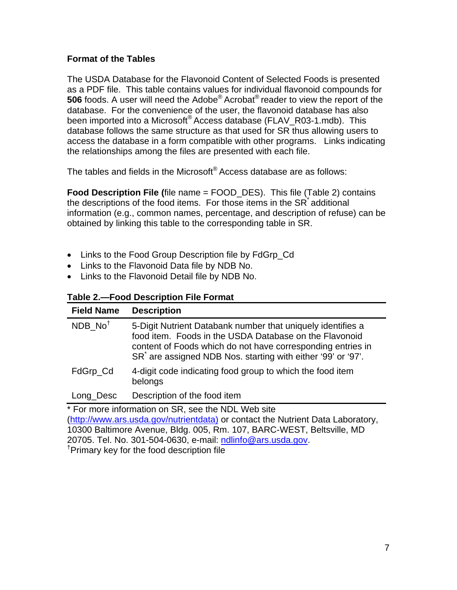## **Format of the Tables**

The USDA Database for the Flavonoid Content of Selected Foods is presented as a PDF file. This table contains values for individual flavonoid compounds for **506** foods. A user will need the Adobe® Acrobat® reader to view the report of the database. For the convenience of the user, the flavonoid database has also been imported into a Microsoft® Access database (FLAV\_R03-1.mdb). This database follows the same structure as that used for SR thus allowing users to access the database in a form compatible with other programs. Links indicating the relationships among the files are presented with each file.

The tables and fields in the Microsoft® Access database are as follows:

**Food Description File (**file name = FOOD\_DES). This file (Table 2) contains the descriptions of the food items. For those items in the SR additional information (e.g., common names, percentage, and description of refuse) can be obtained by linking this table to the corresponding table in SR.

- Links to the Food Group Description file by FdGrp\_Cd
- Links to the Flavonoid Data file by NDB No.
- Links to the Flavonoid Detail file by NDB No.

## **Table 2.—Food Description File Format**

| <b>Field Name</b>                                  | <b>Description</b>                                                                                                                                                                                                                                               |  |
|----------------------------------------------------|------------------------------------------------------------------------------------------------------------------------------------------------------------------------------------------------------------------------------------------------------------------|--|
| NDB No <sup>t</sup>                                | 5-Digit Nutrient Databank number that uniquely identifies a<br>food item. Foods in the USDA Database on the Flavonoid<br>content of Foods which do not have corresponding entries in<br>SR <sup>*</sup> are assigned NDB Nos. starting with either '99' or '97'. |  |
| FdGrp_Cd                                           | 4-digit code indicating food group to which the food item<br>belongs                                                                                                                                                                                             |  |
| Long_Desc                                          | Description of the food item                                                                                                                                                                                                                                     |  |
| * For more information on SR, see the NDL Web site |                                                                                                                                                                                                                                                                  |  |

(http://www.ars.usda.gov/nutrientdata) or contact the Nutrient Data Laboratory, 10300 Baltimore Avenue, Bldg. 005, Rm. 107, BARC-WEST, Beltsville, MD 20705. Tel. No. 301-504-0630, e-mail: ndlinfo@ars.usda.gov. † <sup>T</sup>Primary key for the food description file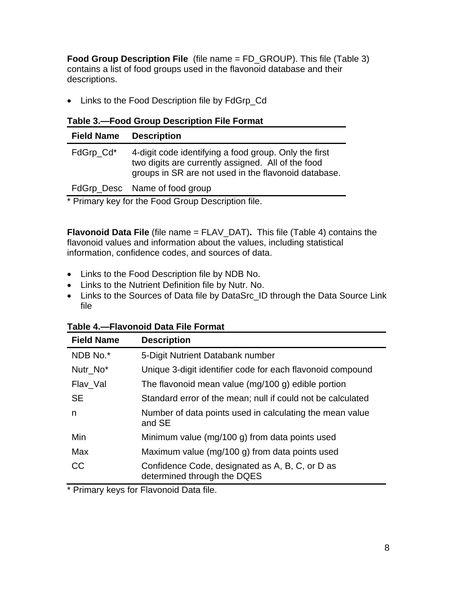**Food Group Description File** (file name = FD\_GROUP). This file (Table 3) contains a list of food groups used in the flavonoid database and their descriptions.

• Links to the Food Description file by FdGrp\_Cd

|  |  | Table 3.-Food Group Description File Format |  |  |
|--|--|---------------------------------------------|--|--|
|  |  |                                             |  |  |

| <b>Field Name</b> | <b>Description</b>                                                                                                                                                  |
|-------------------|---------------------------------------------------------------------------------------------------------------------------------------------------------------------|
| FdGrp_Cd*         | 4-digit code identifying a food group. Only the first<br>two digits are currently assigned. All of the food<br>groups in SR are not used in the flavonoid database. |
|                   | FdGrp_Desc Name of food group                                                                                                                                       |

\* Primary key for the Food Group Description file.

**Flavonoid Data File** (file name = FLAV\_DAT)**.** This file (Table 4) contains the flavonoid values and information about the values, including statistical information, confidence codes, and sources of data.

- Links to the Food Description file by NDB No.
- Links to the Nutrient Definition file by Nutr. No.
- Links to the Sources of Data file by DataSrc ID through the Data Source Link file

| <b>Field Name</b> | <b>Description</b>                                                             |
|-------------------|--------------------------------------------------------------------------------|
| NDB No.*          | 5-Digit Nutrient Databank number                                               |
| Nutr_No*          | Unique 3-digit identifier code for each flavonoid compound                     |
| Flav_Val          | The flavonoid mean value (mg/100 g) edible portion                             |
| <b>SE</b>         | Standard error of the mean; null if could not be calculated                    |
| n                 | Number of data points used in calculating the mean value<br>and SE             |
| Min               | Minimum value (mg/100 g) from data points used                                 |
| Max               | Maximum value (mg/100 g) from data points used                                 |
| <b>CC</b>         | Confidence Code, designated as A, B, C, or D as<br>determined through the DQES |

**Table 4.—Flavonoid Data File Format** 

\* Primary keys for Flavonoid Data file.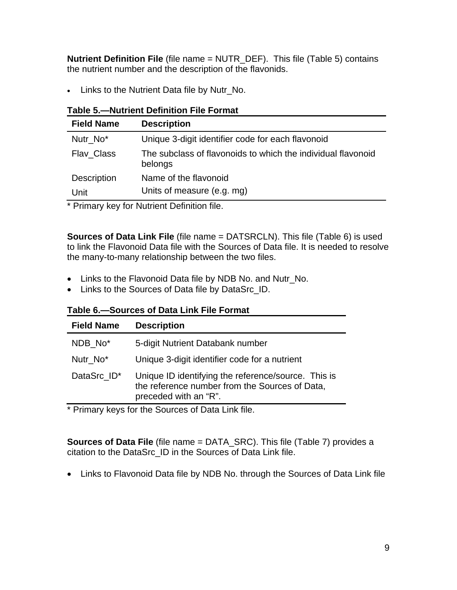**Nutrient Definition File** (file name = NUTR\_DEF). This file (Table 5) contains the nutrient number and the description of the flavonids.

Links to the Nutrient Data file by Nutr\_No.

| <b>Field Name</b>  | <b>Description</b>                                                      |
|--------------------|-------------------------------------------------------------------------|
| Nutr No*           | Unique 3-digit identifier code for each flavonoid                       |
| Flav Class         | The subclass of flavonoids to which the individual flavonoid<br>belongs |
| <b>Description</b> | Name of the flavonoid                                                   |
| Unit               | Units of measure (e.g. mg)                                              |

**Table 5.—Nutrient Definition File Format** 

\* Primary key for Nutrient Definition file.

**Sources of Data Link File** (file name = DATSRCLN). This file (Table 6) is used to link the Flavonoid Data file with the Sources of Data file. It is needed to resolve the many-to-many relationship between the two files.

- Links to the Flavonoid Data file by NDB No. and Nutr\_No.
- Links to the Sources of Data file by DataSrc\_ID.

| Table 6.-Sources of Data Link File Format |  |  |  |
|-------------------------------------------|--|--|--|
|-------------------------------------------|--|--|--|

| <b>Field Name</b> | <b>Description</b>                                                                                                             |
|-------------------|--------------------------------------------------------------------------------------------------------------------------------|
| NDB No*           | 5-digit Nutrient Databank number                                                                                               |
| Nutr No*          | Unique 3-digit identifier code for a nutrient                                                                                  |
| DataSrc ID*       | Unique ID identifying the reference/source. This is<br>the reference number from the Sources of Data,<br>preceded with an "R". |

\* Primary keys for the Sources of Data Link file.

**Sources of Data File** (file name = DATA\_SRC). This file (Table 7) provides a citation to the DataSrc\_ID in the Sources of Data Link file.

Links to Flavonoid Data file by NDB No. through the Sources of Data Link file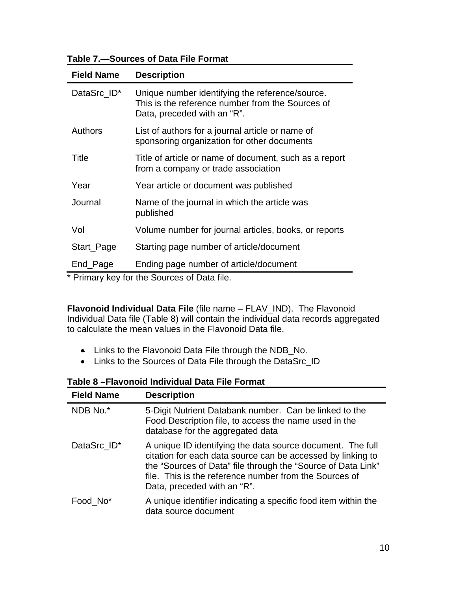**Table 7.—Sources of Data File Format** 

| <b>Field Name</b>       | <b>Description</b>                                                                                                                 |
|-------------------------|------------------------------------------------------------------------------------------------------------------------------------|
| DataSrc ID <sup>*</sup> | Unique number identifying the reference/source.<br>This is the reference number from the Sources of<br>Data, preceded with an "R". |
| <b>Authors</b>          | List of authors for a journal article or name of<br>sponsoring organization for other documents                                    |
| Title                   | Title of article or name of document, such as a report<br>from a company or trade association                                      |
| Year                    | Year article or document was published                                                                                             |
| Journal                 | Name of the journal in which the article was<br>published                                                                          |
| Vol                     | Volume number for journal articles, books, or reports                                                                              |
| Start_Page              | Starting page number of article/document                                                                                           |
| End_Page                | Ending page number of article/document                                                                                             |

\* Primary key for the Sources of Data file.

**Flavonoid Individual Data File** (file name – FLAV\_IND). The Flavonoid Individual Data file (Table 8) will contain the individual data records aggregated to calculate the mean values in the Flavonoid Data file.

- Links to the Flavonoid Data File through the NDB\_No.
- Links to the Sources of Data File through the DataSrc\_ID

| <b>Field Name</b>    | <b>Description</b>                                                                                                                                                                                                                                                                 |
|----------------------|------------------------------------------------------------------------------------------------------------------------------------------------------------------------------------------------------------------------------------------------------------------------------------|
| NDB No.*             | 5-Digit Nutrient Databank number. Can be linked to the<br>Food Description file, to access the name used in the<br>database for the aggregated data                                                                                                                                |
| DataSrc_ID*          | A unique ID identifying the data source document. The full<br>citation for each data source can be accessed by linking to<br>the "Sources of Data" file through the "Source of Data Link"<br>file. This is the reference number from the Sources of<br>Data, preceded with an "R". |
| Food No <sup>*</sup> | A unique identifier indicating a specific food item within the<br>data source document                                                                                                                                                                                             |

**Table 8 –Flavonoid Individual Data File Format**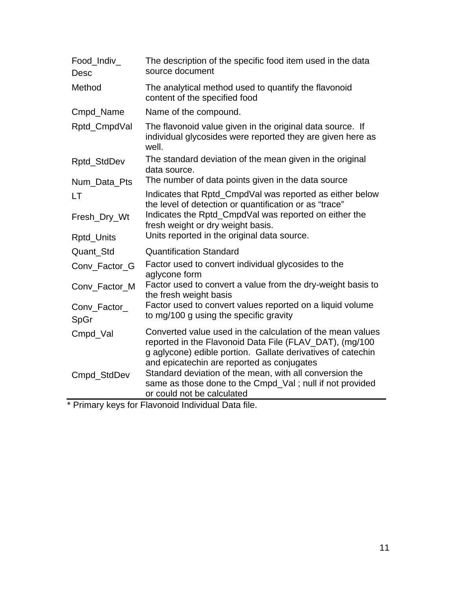| Food_Indiv_<br>Desc  | The description of the specific food item used in the data<br>source document                                                                                                                                                      |
|----------------------|------------------------------------------------------------------------------------------------------------------------------------------------------------------------------------------------------------------------------------|
| Method               | The analytical method used to quantify the flavonoid<br>content of the specified food                                                                                                                                              |
| Cmpd_Name            | Name of the compound.                                                                                                                                                                                                              |
| Rptd_CmpdVal         | The flavonoid value given in the original data source. If<br>individual glycosides were reported they are given here as<br>well.                                                                                                   |
| Rptd_StdDev          | The standard deviation of the mean given in the original<br>data source.                                                                                                                                                           |
| Num_Data_Pts         | The number of data points given in the data source                                                                                                                                                                                 |
| LT                   | Indicates that Rptd_CmpdVal was reported as either below<br>the level of detection or quantification or as "trace"                                                                                                                 |
| Fresh_Dry_Wt         | Indicates the Rptd_CmpdVal was reported on either the<br>fresh weight or dry weight basis.                                                                                                                                         |
| Rptd_Units           | Units reported in the original data source.                                                                                                                                                                                        |
| Quant_Std            | <b>Quantification Standard</b>                                                                                                                                                                                                     |
| Conv_Factor_G        | Factor used to convert individual glycosides to the<br>aglycone form                                                                                                                                                               |
| Conv_Factor_M        | Factor used to convert a value from the dry-weight basis to<br>the fresh weight basis                                                                                                                                              |
| Conv_Factor_<br>SpGr | Factor used to convert values reported on a liquid volume<br>to mg/100 g using the specific gravity                                                                                                                                |
| Cmpd_Val             | Converted value used in the calculation of the mean values<br>reported in the Flavonoid Data File (FLAV_DAT), (mg/100<br>g aglycone) edible portion. Gallate derivatives of catechin<br>and epicatechin are reported as conjugates |
| Cmpd_StdDev          | Standard deviation of the mean, with all conversion the<br>same as those done to the Cmpd_Val; null if not provided<br>or could not be calculated                                                                                  |

\* Primary keys for Flavonoid Individual Data file.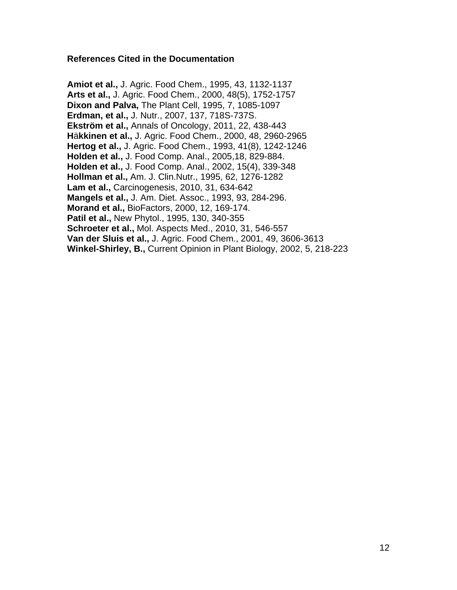### **References Cited in the Documentation**

**Amiot et al.,** J. Agric. Food Chem., 1995, 43, 1132-1137 **Arts et al.,** J. Agric. Food Chem., 2000, 48(5), 1752-1757 **Dixon and Palva,** The Plant Cell, 1995, 7, 1085-1097 **Erdman, et al.,** J. Nutr., 2007, 137, 718S-737S. **Ekström et al.,** Annals of Oncology, 2011, 22, 438-443 **H**ä**kkinen et al.,** J. Agric. Food Chem., 2000, 48, 2960-2965 **Hertog et al.,** J. Agric. Food Chem., 1993, 41(8), 1242-1246 **Holden et al.,** J. Food Comp. Anal., 2005,18, 829-884. **Holden et al.,** J. Food Comp. Anal., 2002, 15(4), 339-348 **Hollman et al.,** Am. J. Clin.Nutr., 1995, 62, 1276-1282 **Lam et al.,** Carcinogenesis, 2010, 31, 634-642 **Mangels et al.,** J. Am. Diet. Assoc., 1993, 93, 284-296. **Morand et al.,** BioFactors, 2000, 12, 169-174. **Patil et al.,** New Phytol., 1995, 130, 340-355 **Schroeter et al.,** Mol. Aspects Med., 2010, 31, 546-557 **Van der Sluis et al.,** J. Agric. Food Chem., 2001, 49, 3606-3613 **Winkel-Shirley, B.,** Current Opinion in Plant Biology, 2002, 5, 218-223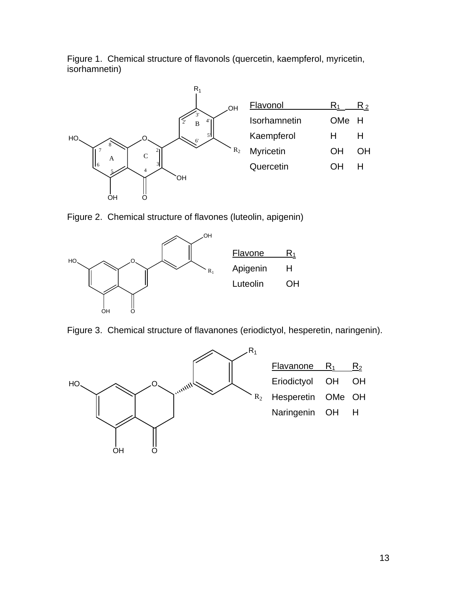Figure 1. Chemical structure of flavonols (quercetin, kaempferol, myricetin, isorhamnetin)



Figure 2. Chemical structure of flavones (luteolin, apigenin)



Figure 3. Chemical structure of flavanones (eriodictyol, hesperetin, naringenin).

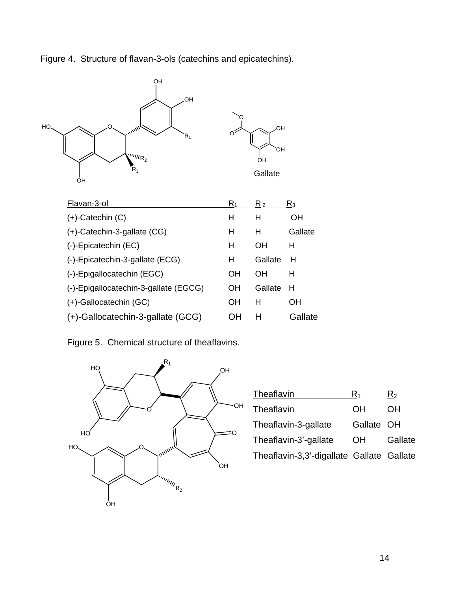Figure 4. Structure of flavan-3-ols (catechins and epicatechins).



Figure 5. Chemical structure of theaflavins.



| Theaflavin                                | K۱         | R2      |
|-------------------------------------------|------------|---------|
| Theaflavin                                | OΗ         | OН      |
| Theaflavin-3-gallate                      | Gallate OH |         |
| Theaflavin-3'-gallate                     | OН         | Gallate |
| Theaflavin-3,3'-digallate Gallate Gallate |            |         |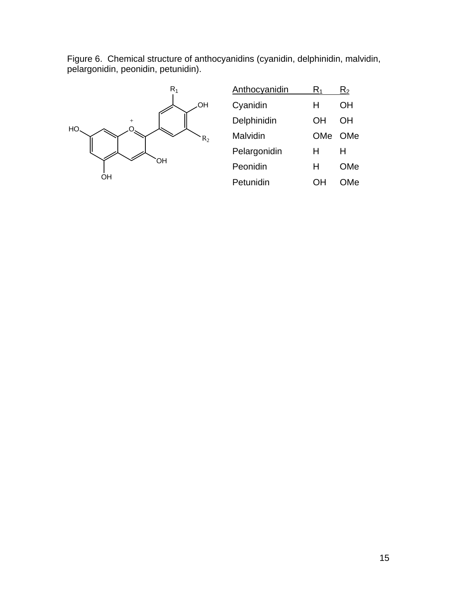Figure 6. Chemical structure of anthocyanidins (cyanidin, delphinidin, malvidin, pelargonidin, peonidin, petunidin).



| Anthocyanidin | $\mathsf{R}_1$ | $R_2$ |
|---------------|----------------|-------|
| Cyanidin      | н              | OΗ    |
| Delphinidin   | OΗ             | OΗ    |
| Malvidin      | OMe            | OMe   |
| Pelargonidin  | н              | н     |
| Peonidin      | н              | OMe   |
| Petunidin     | OΗ             | OMe   |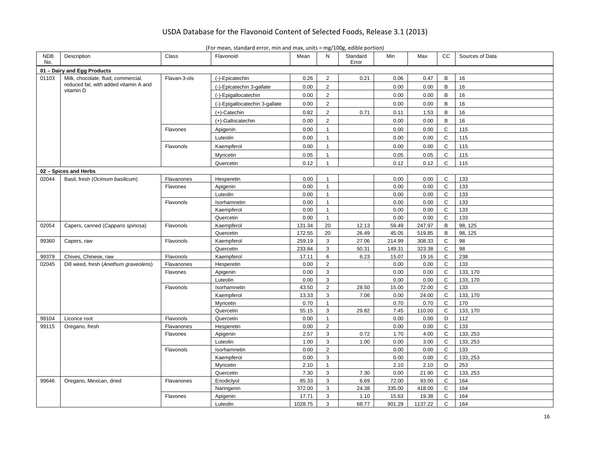| <b>NDB</b><br>No. | Description                           | Class        | Flavonoid                      | Mean    | N              | Standard<br>Error | Min    | Max     | CC           | Sources of Data |  |  |
|-------------------|---------------------------------------|--------------|--------------------------------|---------|----------------|-------------------|--------|---------|--------------|-----------------|--|--|
|                   | 01 - Dairy and Egg Products           |              |                                |         |                |                   |        |         |              |                 |  |  |
| 01103             | Milk, chocolate, fluid, commercial,   | Flavan-3-ols | (-)-Epicatechin                | 0.26    | $\overline{2}$ | 0.21              | 0.06   | 0.47    | B            | 16              |  |  |
|                   | reduced fat, with added vitamin A and |              | (-)-Epicatechin 3-gallate      | 0.00    | $\overline{2}$ |                   | 0.00   | 0.00    | $\mathsf B$  | 16              |  |  |
|                   | vitamin D                             |              | (-)-Epigallocatechin           | 0.00    | $\overline{2}$ |                   | 0.00   | 0.00    | B            | 16              |  |  |
|                   |                                       |              | (-)-Epigallocatechin 3-gallate | 0.00    | $\overline{2}$ |                   | 0.00   | 0.00    | $\mathsf B$  | 16              |  |  |
|                   |                                       |              | $(+)$ -Catechin                | 0.82    | $\overline{2}$ | 0.71              | 0.11   | 1.53    | B            | 16              |  |  |
|                   |                                       |              | (+)-Gallocatechin              | 0.00    | $\overline{2}$ |                   | 0.00   | 0.00    | $\mathsf B$  | 16              |  |  |
|                   |                                       | Flavones     | Apigenin                       | 0.00    | $\mathbf{1}$   |                   | 0.00   | 0.00    | $\mathsf{C}$ | 115             |  |  |
|                   |                                       |              | Luteolin                       | 0.00    | $\mathbf{1}$   |                   | 0.00   | 0.00    | $\mathsf{C}$ | 115             |  |  |
|                   |                                       | Flavonols    | Kaempferol                     | 0.00    | $\mathbf{1}$   |                   | 0.00   | 0.00    | $\mathbf C$  | 115             |  |  |
|                   |                                       |              | Myricetin                      | 0.05    | $\mathbf{1}$   |                   | 0.05   | 0.05    | $\mathbf C$  | 115             |  |  |
|                   |                                       |              | Quercetin                      | 0.12    | $\mathbf{1}$   |                   | 0.12   | 0.12    | $\mathsf{C}$ | 115             |  |  |
|                   | 02 - Spices and Herbs                 |              |                                |         |                |                   |        |         |              |                 |  |  |
| 02044             | Basil, fresh (Ocimum basilicum)       | Flavanones   | Hesperetin                     | 0.00    | $\mathbf{1}$   |                   | 0.00   | 0.00    | C            | 133             |  |  |
|                   |                                       | Flavones     | Apigenin                       | 0.00    | $\mathbf{1}$   |                   | 0.00   | 0.00    | $\mathbf C$  | 133             |  |  |
|                   |                                       |              | Luteolin                       | 0.00    | 1              |                   | 0.00   | 0.00    | C            | 133             |  |  |
|                   |                                       | Flavonols    | Isorhamnetin                   | 0.00    | $\mathbf{1}$   |                   | 0.00   | 0.00    | $\mathsf{C}$ | 133             |  |  |
|                   |                                       |              | Kaempferol                     | 0.00    | $\mathbf{1}$   |                   | 0.00   | 0.00    | C            | 133             |  |  |
|                   |                                       |              | Quercetin                      | 0.00    | $\mathbf{1}$   |                   | 0.00   | 0.00    | $\mathbf C$  | 133             |  |  |
| 02054             | Capers, canned (Capparis spinosa)     | Flavonols    | Kaempferol                     | 131.34  | 20             | 12.13             | 59.49  | 247.97  | B            | 98, 125         |  |  |
|                   |                                       |              | Quercetin                      | 172.55  | 20             | 26.49             | 45.05  | 519.85  | B            | 98, 125         |  |  |
| 99360             | Capers, raw                           | Flavonols    | Kaempferol                     | 259.19  | 3              | 27.06             | 214.99 | 308.33  | $\mathsf{C}$ | 98              |  |  |
|                   |                                       |              | Quercetin                      | 233.84  | 3              | 50.31             | 149.31 | 323.38  | $\mathbf C$  | 98              |  |  |
| 99379             | Chives, Chinese, raw                  | Flavonols    | Kaempferol                     | 17.11   | 6              | 6.23              | 15.07  | 19.16   | $\mathbf C$  | 238             |  |  |
| 02045             | Dill weed, fresh (Anethum graveolens) | Flavanones   | Hesperetin                     | 0.00    | $\overline{2}$ |                   | 0.00   | 0.00    | $\mathsf{C}$ | 133             |  |  |
|                   |                                       | Flavones     | Apigenin                       | 0.00    | 3              |                   | 0.00   | 0.00    | $\mathsf{C}$ | 133, 170        |  |  |
|                   |                                       |              | Luteolin                       | 0.00    | $\mathbf{3}$   |                   | 0.00   | 0.00    | $\mathsf{C}$ | 133, 170        |  |  |
|                   |                                       | Flavonols    | Isorhamnetin                   | 43.50   | $\overline{2}$ | 28.50             | 15.00  | 72.00   | $\mathsf{C}$ | 133             |  |  |
|                   |                                       |              | Kaempferol                     | 13.33   | 3              | 7.06              | 0.00   | 24.00   | C            | 133, 170        |  |  |
|                   |                                       |              | Myricetin                      | 0.70    | $\mathbf{1}$   |                   | 0.70   | 0.70    | $\mathsf{C}$ | 170             |  |  |
|                   |                                       |              | Quercetin                      | 55.15   | 3              | 29.82             | 7.45   | 110.00  | $\mathsf{C}$ | 133, 170        |  |  |
| 99104             | Licorice root                         | Flavonols    | Quercetin                      | 0.00    | $\mathbf{1}$   |                   | 0.00   | 0.00    | D            | 112             |  |  |
| 99115             | Oregano, fresh                        | Flavanones   | Hesperetin                     | 0.00    | $\overline{2}$ |                   | 0.00   | 0.00    | $\mathsf{C}$ | 133             |  |  |
|                   |                                       | Flavones     | Apigenin                       | 2.57    | 3              | 0.72              | 1.70   | 4.00    | $\mathbf C$  | 133, 253        |  |  |
|                   |                                       |              | Luteolin                       | 1.00    | 3              | 1.00              | 0.00   | 3.00    | $\mathsf{C}$ | 133, 253        |  |  |
|                   |                                       | Flavonols    | Isorhamnetin                   | 0.00    | $\overline{2}$ |                   | 0.00   | 0.00    | $\mathbf C$  | 133             |  |  |
|                   |                                       |              | Kaempferol                     | 0.00    | 3              |                   | 0.00   | 0.00    | C            | 133, 253        |  |  |
|                   |                                       |              | Myricetin                      | 2.10    | $\mathbf{1}$   |                   | 2.10   | 2.10    | D            | 253             |  |  |
|                   |                                       |              | Quercetin                      | 7.30    | 3              | 7.30              | 0.00   | 21.90   | $\mathsf{C}$ | 133, 253        |  |  |
| 99646             | Oregano, Mexican, dried               | Flavanones   | Eriodictyol                    | 85.33   | 3              | 6.69              | 72.00  | 93.00   | C            | 164             |  |  |
|                   |                                       |              | Naringenin                     | 372.00  | 3              | 24.38             | 335.00 | 418.00  | $\mathsf{C}$ | 164             |  |  |
|                   |                                       | Flavones     | Apigenin                       | 17.71   | 3              | 1.10              | 15.63  | 19.38   | $\mathsf C$  | 164             |  |  |
|                   |                                       |              | Luteolin                       | 1028.75 | 3              | 68.77             | 901.29 | 1137.22 | $\mathsf{C}$ | 164             |  |  |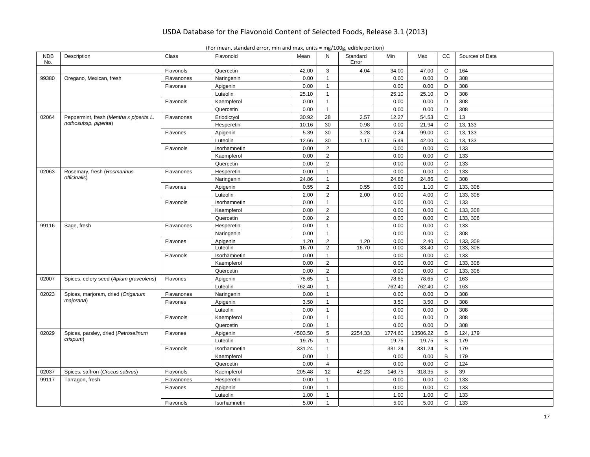| <b>NDB</b><br>No. | Description                             | Class      | Flavonoid    | Mean    | N              | Standard<br>Error | Min     | Max      | <b>CC</b>    | Sources of Data |
|-------------------|-----------------------------------------|------------|--------------|---------|----------------|-------------------|---------|----------|--------------|-----------------|
|                   |                                         | Flavonols  | Quercetin    | 42.00   | 3              | 4.04              | 34.00   | 47.00    | $\mathsf{C}$ | 164             |
| 99380             | Oregano, Mexican, fresh                 | Flavanones | Naringenin   | 0.00    | $\mathbf{1}$   |                   | 0.00    | 0.00     | D            | 308             |
|                   |                                         | Flavones   | Apigenin     | 0.00    | $\mathbf{1}$   |                   | 0.00    | 0.00     | D            | 308             |
|                   |                                         |            | Luteolin     | 25.10   | $\mathbf{1}$   |                   | 25.10   | 25.10    | D            | 308             |
|                   |                                         | Flavonols  | Kaempferol   | 0.00    | $\mathbf{1}$   |                   | 0.00    | 0.00     | D            | 308             |
|                   |                                         |            | Quercetin    | 0.00    | $\mathbf{1}$   |                   | 0.00    | 0.00     | D            | 308             |
| 02064             | Peppermint, fresh (Mentha x piperita L. | Flavanones | Eriodictyol  | 30.92   | 28             | 2.57              | 12.27   | 54.53    | $\mathsf{C}$ | 13              |
|                   | nothosubsp. piperita)                   |            | Hesperetin   | 10.16   | 30             | 0.98              | 0.00    | 21.94    | $\mathsf C$  | 13, 133         |
|                   |                                         | Flavones   | Apigenin     | 5.39    | 30             | 3.28              | 0.24    | 99.00    | $\mathsf{C}$ | 13, 133         |
|                   |                                         |            | Luteolin     | 12.66   | 30             | 1.17              | 5.49    | 42.00    | $\mathsf{C}$ | 13, 133         |
|                   |                                         | Flavonols  | Isorhamnetin | 0.00    | $\overline{2}$ |                   | 0.00    | 0.00     | $\mathsf C$  | 133             |
|                   |                                         |            | Kaempferol   | 0.00    | $\overline{2}$ |                   | 0.00    | 0.00     | $\mathsf{C}$ | 133             |
|                   |                                         |            | Quercetin    | 0.00    | $\overline{2}$ |                   | 0.00    | 0.00     | $\mathsf C$  | 133             |
| 02063             | Rosemary, fresh (Rosmarinus             | Flavanones | Hesperetin   | 0.00    | $\overline{1}$ |                   | 0.00    | 0.00     | $\mathbf C$  | 133             |
|                   | officinalis)                            |            | Naringenin   | 24.86   | $\mathbf{1}$   |                   | 24.86   | 24.86    | $\mathsf C$  | 308             |
|                   |                                         | Flavones   | Apigenin     | 0.55    | $\overline{2}$ | 0.55              | 0.00    | 1.10     | $\mathsf{C}$ | 133, 308        |
|                   |                                         |            | Luteolin     | 2.00    | $\overline{2}$ | 2.00              | 0.00    | 4.00     | $\mathsf{C}$ | 133, 308        |
|                   |                                         | Flavonols  | Isorhamnetin | 0.00    | $\overline{1}$ |                   | 0.00    | 0.00     | $\mathsf C$  | 133             |
|                   |                                         |            | Kaempferol   | 0.00    | 2              |                   | 0.00    | 0.00     | C            | 133, 308        |
|                   |                                         |            | Quercetin    | 0.00    | $\overline{2}$ |                   | 0.00    | 0.00     | $\mathsf{C}$ | 133, 308        |
| 99116             | Sage, fresh                             | Flavanones | Hesperetin   | 0.00    | $\mathbf{1}$   |                   | 0.00    | 0.00     | $\mathsf C$  | 133             |
|                   |                                         |            | Naringenin   | 0.00    | $\mathbf{1}$   |                   | 0.00    | 0.00     | $\mathsf C$  | 308             |
|                   |                                         | Flavones   | Apigenin     | 1.20    | $\overline{2}$ | 1.20              | 0.00    | 2.40     | $\mathsf C$  | 133, 308        |
|                   |                                         |            | Luteolin     | 16.70   | $\overline{2}$ | 16.70             | 0.00    | 33.40    | C            | 133, 308        |
|                   |                                         | Flavonols  | Isorhamnetin | 0.00    | $\overline{1}$ |                   | 0.00    | 0.00     | $\mathsf{C}$ | 133             |
|                   |                                         |            | Kaempferol   | 0.00    | $\overline{2}$ |                   | 0.00    | 0.00     | $\mathsf{C}$ | 133, 308        |
|                   |                                         |            | Quercetin    | 0.00    | $\overline{2}$ |                   | 0.00    | 0.00     | C            | 133, 308        |
| 02007             | Spices, celery seed (Apium graveolens)  | Flavones   | Apigenin     | 78.65   | $\overline{1}$ |                   | 78.65   | 78.65    | $\mathsf C$  | 163             |
|                   |                                         |            | Luteolin     | 762.40  | $\mathbf{1}$   |                   | 762.40  | 762.40   | C            | 163             |
| 02023             | Spices, marjoram, dried (Origanum       | Flavanones | Naringenin   | 0.00    | $\mathbf{1}$   |                   | 0.00    | 0.00     | D            | 308             |
|                   | majorana)                               | Flavones   | Apigenin     | 3.50    | $\mathbf{1}$   |                   | 3.50    | 3.50     | D            | 308             |
|                   |                                         |            | Luteolin     | 0.00    | $\mathbf{1}$   |                   | 0.00    | 0.00     | D            | 308             |
|                   |                                         | Flavonols  | Kaempferol   | 0.00    | $\overline{1}$ |                   | 0.00    | 0.00     | D            | 308             |
|                   |                                         |            | Quercetin    | 0.00    | $\mathbf{1}$   |                   | 0.00    | 0.00     | D            | 308             |
| 02029             | Spices, parsley, dried (Petroselinum    | Flavones   | Apigenin     | 4503.50 | 5              | 2254.33           | 1774.60 | 13506.22 | B            | 124, 179        |
|                   | crispum)                                |            | Luteolin     | 19.75   | $\mathbf{1}$   |                   | 19.75   | 19.75    | B            | 179             |
|                   |                                         | Flavonols  | Isorhamnetin | 331.24  | $\overline{1}$ |                   | 331.24  | 331.24   | $\, {\bf B}$ | 179             |
|                   |                                         |            | Kaempferol   | 0.00    | $\mathbf{1}$   |                   | 0.00    | 0.00     | B            | 179             |
|                   |                                         |            | Quercetin    | 0.00    | $\overline{4}$ |                   | 0.00    | 0.00     | $\mathsf{C}$ | 124             |
| 02037             | Spices, saffron (Crocus sativus)        | Flavonols  | Kaempferol   | 205.48  | 12             | 49.23             | 146.75  | 318.35   | B            | 39              |
| 99117             | Tarragon, fresh                         | Flavanones | Hesperetin   | 0.00    | $\mathbf{1}$   |                   | 0.00    | 0.00     | $\mathsf{C}$ | 133             |
|                   |                                         | Flavones   | Apigenin     | 0.00    | $\mathbf{1}$   |                   | 0.00    | 0.00     | C            | 133             |
|                   |                                         |            | Luteolin     | 1.00    | $\overline{1}$ |                   | 1.00    | 1.00     | $\mathbf C$  | 133             |
|                   |                                         | Flavonols  | Isorhamnetin | 5.00    | $\overline{1}$ |                   | 5.00    | 5.00     | $\mathsf{C}$ | 133             |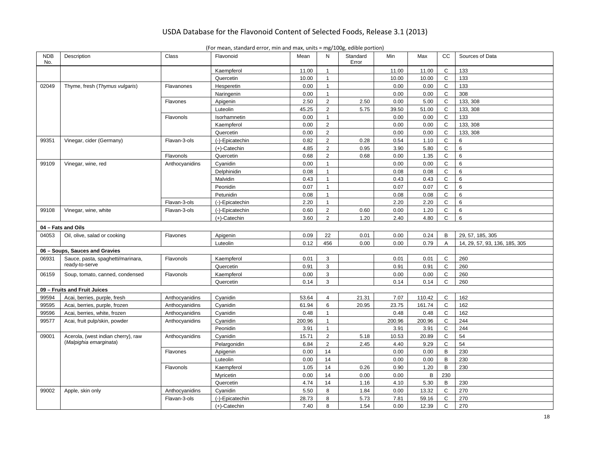| <b>NDB</b><br>No. | Description                        | Class          | Flavonoid       | Mean   | N              | Standard<br>Error | Min    | Max    | CC             | Sources of Data               |
|-------------------|------------------------------------|----------------|-----------------|--------|----------------|-------------------|--------|--------|----------------|-------------------------------|
|                   |                                    |                | Kaempferol      | 11.00  | 1              |                   | 11.00  | 11.00  | C              | 133                           |
|                   |                                    |                | Quercetin       | 10.00  | $\mathbf{1}$   |                   | 10.00  | 10.00  | $\mathsf C$    | 133                           |
| 02049             | Thyme, fresh (Thymus vulgaris)     | Flavanones     | Hesperetin      | 0.00   | $\mathbf{1}$   |                   | 0.00   | 0.00   | C              | 133                           |
|                   |                                    |                | Naringenin      | 0.00   | $\mathbf{1}$   |                   | 0.00   | 0.00   | $\mathbf C$    | 308                           |
|                   |                                    | Flavones       | Apigenin        | 2.50   | $\overline{2}$ | 2.50              | 0.00   | 5.00   | $\mathsf C$    | 133, 308                      |
|                   |                                    |                | Luteolin        | 45.25  | $\overline{2}$ | 5.75              | 39.50  | 51.00  | $\mathsf{C}$   | 133, 308                      |
|                   |                                    | Flavonols      | Isorhamnetin    | 0.00   | $\mathbf{1}$   |                   | 0.00   | 0.00   | C              | 133                           |
|                   |                                    |                | Kaempferol      | 0.00   | $\overline{2}$ |                   | 0.00   | 0.00   | $\mathsf{C}$   | 133, 308                      |
|                   |                                    |                | Quercetin       | 0.00   | $\overline{2}$ |                   | 0.00   | 0.00   | $\mathsf{C}$   | 133, 308                      |
| 99351             | Vinegar, cider (Germany)           | Flavan-3-ols   | (-)-Epicatechin | 0.82   | $\overline{2}$ | 0.28              | 0.54   | 1.10   | $\mathsf{C}$   | 6                             |
|                   |                                    |                | $(+)$ -Catechin | 4.85   | 2              | 0.95              | 3.90   | 5.80   | C              | 6                             |
|                   |                                    | Flavonols      | Quercetin       | 0.68   | $\overline{2}$ | 0.68              | 0.00   | 1.35   | C              | 6                             |
| 99109             | Vinegar, wine, red                 | Anthocyanidins | Cyanidin        | 0.00   | $\mathbf{1}$   |                   | 0.00   | 0.00   | $\mathbf C$    | 6                             |
|                   |                                    |                | Delphinidin     | 0.08   | $\mathbf{1}$   |                   | 0.08   | 0.08   | $\mathbf C$    | 6                             |
|                   |                                    |                | Malvidin        | 0.43   | $\mathbf{1}$   |                   | 0.43   | 0.43   | $\mathsf{C}$   | 6                             |
|                   |                                    |                | Peonidin        | 0.07   | $\mathbf{1}$   |                   | 0.07   | 0.07   | $\mathsf{C}$   | 6                             |
|                   |                                    |                | Petunidin       | 0.08   | $\mathbf{1}$   |                   | 0.08   | 0.08   | $\mathsf{C}$   | 6                             |
|                   |                                    | Flavan-3-ols   | (-)-Epicatechin | 2.20   | $\mathbf{1}$   |                   | 2.20   | 2.20   | $\mathsf{C}$   | 6                             |
| 99108             | Vinegar, wine, white               | Flavan-3-ols   | (-)-Epicatechin | 0.60   | $\overline{2}$ | 0.60              | 0.00   | 1.20   | $\mathsf{C}$   | 6                             |
|                   |                                    |                | $(+)$ -Catechin | 3.60   | $\overline{2}$ | 1.20              | 2.40   | 4.80   | $\mathsf{C}$   | 6                             |
|                   | 04 - Fats and Oils                 |                |                 |        |                |                   |        |        |                |                               |
| 04053             | Oil, olive, salad or cooking       | Flavones       | Apigenin        | 0.09   | 22             | 0.01              | 0.00   | 0.24   | B              | 29, 57, 185, 305              |
|                   |                                    |                | Luteolin        | 0.12   | 456            | 0.00              | 0.00   | 0.79   | $\overline{A}$ | 14, 29, 57, 93, 136, 185, 305 |
|                   | 06 - Soups, Sauces and Gravies     |                |                 |        |                |                   |        |        |                |                               |
| 06931             | Sauce, pasta, spaghetti/marinara,  | Flavonols      | Kaempferol      | 0.01   | 3              |                   | 0.01   | 0.01   | C              | 260                           |
|                   | ready-to-serve                     |                | Quercetin       | 0.91   | 3              |                   | 0.91   | 0.91   | C              | 260                           |
| 06159             | Soup, tomato, canned, condensed    | Flavonols      | Kaempferol      | 0.00   | 3              |                   | 0.00   | 0.00   | $\mathbf C$    | 260                           |
|                   |                                    |                | Quercetin       | 0.14   | 3              |                   | 0.14   | 0.14   | $\mathsf C$    | 260                           |
|                   | 09 - Fruits and Fruit Juices       |                |                 |        |                |                   |        |        |                |                               |
| 99594             | Acai, berries, purple, fresh       | Anthocyanidins | Cyanidin        | 53.64  | $\overline{4}$ | 21.31             | 7.07   | 110.42 | $\mathsf{C}$   | 162                           |
| 99595             | Acai, berries, purple, frozen      | Anthocyanidins | Cyanidin        | 61.94  | 6              | 20.95             | 23.75  | 161.74 | $\mathbf C$    | 162                           |
| 99596             | Acai, berries, white, frozen       | Anthocyanidins | Cyanidin        | 0.48   | $\mathbf{1}$   |                   | 0.48   | 0.48   | $\mathsf{C}$   | 162                           |
| 99577             | Acai, fruit pulp/skin, powder      | Anthocyanidins | Cyanidin        | 200.96 | $\mathbf{1}$   |                   | 200.96 | 200.96 | $\mathsf{C}$   | 244                           |
|                   |                                    |                | Peonidin        | 3.91   | $\mathbf{1}$   |                   | 3.91   | 3.91   | C              | 244                           |
| 09001             | Acerola, (west indian cherry), raw | Anthocyanidins | Cyanidin        | 15.71  | $\overline{2}$ | 5.18              | 10.53  | 20.89  | $\mathsf C$    | 54                            |
|                   | (Malpighia emarginata)             |                | Pelargonidin    | 6.84   | $\overline{2}$ | 2.45              | 4.40   | 9.29   | $\mathsf C$    | 54                            |
|                   |                                    | Flavones       | Apigenin        | 0.00   | 14             |                   | 0.00   | 0.00   | $\, {\bf B}$   | 230                           |
|                   |                                    |                | Luteolin        | 0.00   | 14             |                   | 0.00   | 0.00   | $\, {\sf B}$   | 230                           |
|                   |                                    | Flavonols      | Kaempferol      | 1.05   | 14             | 0.26              | 0.90   | 1.20   | B              | 230                           |
|                   |                                    |                | Mvricetin       | 0.00   | 14             | 0.00              | 0.00   | B      | 230            |                               |
|                   |                                    |                | Quercetin       | 4.74   | 14             | 1.16              | 4.10   | 5.30   | B              | 230                           |
| 99002             | Apple, skin only                   | Anthocyanidins | Cyanidin        | 5.50   | 8              | 1.84              | 0.00   | 13.32  | $\mathsf{C}$   | 270                           |
|                   |                                    | Flavan-3-ols   | (-)-Epicatechin | 28.73  | 8              | 5.73              | 7.81   | 59.16  | C              | 270                           |
|                   |                                    |                | (+)-Catechin    | 7.40   | 8              | 1.54              | 0.00   | 12.39  | $\mathsf{C}$   | 270                           |
|                   |                                    |                |                 |        |                |                   |        |        |                |                               |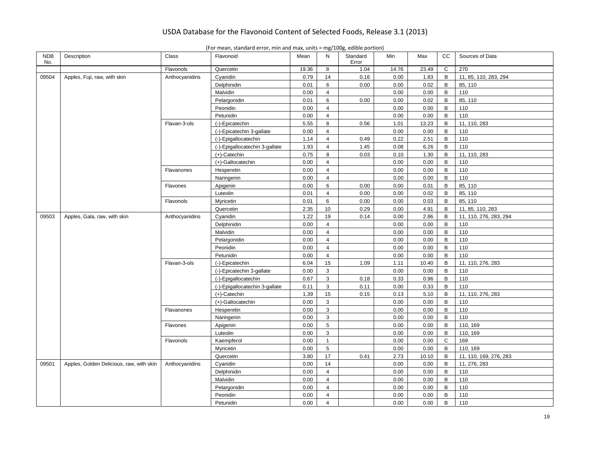| <b>NDB</b><br>No. | Description                              | Class          | Flavonoid                      | Mean  | N              | Standard<br>Error | Min   | Max   | cc             | Sources of Data        |
|-------------------|------------------------------------------|----------------|--------------------------------|-------|----------------|-------------------|-------|-------|----------------|------------------------|
|                   |                                          | Flavonols      | Quercetin                      | 19.36 | 8              | 1.04              | 14.76 | 23.49 | C              | 270                    |
| 09504             | Apples, Fuji, raw, with skin             | Anthocyanidins | Cyanidin                       | 0.79  | 14             | 0.16              | 0.00  | 1.83  | B              | 11, 85, 110, 283, 294  |
|                   |                                          |                | Delphinidin                    | 0.01  | 6              | 0.00              | 0.00  | 0.02  | B              | 85, 110                |
|                   |                                          |                | Malvidin                       | 0.00  | $\overline{4}$ |                   | 0.00  | 0.00  | B              | 110                    |
|                   |                                          |                | Pelargonidin                   | 0.01  | 6              | 0.00              | 0.00  | 0.02  | $\mathsf{B}$   | 85, 110                |
|                   |                                          |                | Peonidin                       | 0.00  | $\overline{4}$ |                   | 0.00  | 0.00  | B              | 110                    |
|                   |                                          |                | Petunidin                      | 0.00  | $\overline{4}$ |                   | 0.00  | 0.00  | B              | 110                    |
|                   |                                          | Flavan-3-ols   | (-)-Epicatechin                | 5.55  | 8              | 0.56              | 1.01  | 13.23 | B              | 11, 110, 283           |
|                   |                                          |                | (-)-Epicatechin 3-gallate      | 0.00  | $\overline{4}$ |                   | 0.00  | 0.00  | B              | 110                    |
|                   |                                          |                | (-)-Epigallocatechin           | 1.14  | $\overline{4}$ | 0.49              | 0.22  | 2.51  | $\mathsf{B}$   | 110                    |
|                   |                                          |                | (-)-Epigallocatechin 3-gallate | 1.93  | $\overline{4}$ | 1.45              | 0.08  | 6.26  | B              | 110                    |
|                   |                                          |                | $(+)$ -Catechin                | 0.75  | 8              | 0.03              | 0.10  | 1.30  | $\, {\bf B}$   | 11, 110, 283           |
|                   |                                          |                | (+)-Gallocatechin              | 0.00  | $\overline{4}$ |                   | 0.00  | 0.00  | B              | 110                    |
|                   |                                          | Flavanones     | Hesperetin                     | 0.00  | $\overline{4}$ |                   | 0.00  | 0.00  | $\, {\bf B}$   | 110                    |
|                   |                                          |                | Naringenin                     | 0.00  | $\overline{4}$ |                   | 0.00  | 0.00  | B              | 110                    |
|                   |                                          | Flavones       | Apigenin                       | 0.00  | 6              | 0.00              | 0.00  | 0.01  | $\mathsf{B}$   | 85, 110                |
|                   |                                          |                | Luteolin                       | 0.01  | $\overline{4}$ | 0.00              | 0.00  | 0.02  | B              | 85, 110                |
|                   |                                          | Flavonols      | Myricetin                      | 0.01  | 6              | 0.00              | 0.00  | 0.03  | B              | 85, 110                |
|                   |                                          |                | Quercetin                      | 2.35  | 10             | 0.29              | 0.00  | 4.91  | $\, {\bf B}$   | 11, 85, 110, 283       |
| 09503             | Apples, Gala, raw, with skin             | Anthocyanidins | Cyanidin                       | 1.22  | 19             | 0.14              | 0.00  | 2.86  | B              | 11, 110, 276, 283, 294 |
|                   |                                          |                | Delphinidin                    | 0.00  | $\overline{4}$ |                   | 0.00  | 0.00  | B              | 110                    |
|                   |                                          |                | Malvidin                       | 0.00  | $\overline{4}$ |                   | 0.00  | 0.00  | B              | 110                    |
|                   |                                          |                | Pelargonidin                   | 0.00  | $\overline{4}$ |                   | 0.00  | 0.00  | $\mathsf{B}$   | 110                    |
|                   |                                          |                | Peonidin                       | 0.00  | $\overline{4}$ |                   | 0.00  | 0.00  | $\mathsf{B}$   | 110                    |
|                   |                                          |                | Petunidin                      | 0.00  | $\overline{4}$ |                   | 0.00  | 0.00  | B              | 110                    |
|                   |                                          | Flavan-3-ols   | (-)-Epicatechin                | 6.04  | 15             | 1.09              | 1.11  | 10.40 | B              | 11, 110, 276, 283      |
|                   |                                          |                | (-)-Epicatechin 3-gallate      | 0.00  | 3              |                   | 0.00  | 0.00  | B              | 110                    |
|                   |                                          |                | (-)-Epigallocatechin           | 0.67  | 3              | 0.18              | 0.33  | 0.96  | B              | 110                    |
|                   |                                          |                | (-)-Epigallocatechin 3-gallate | 0.11  | 3              | 0.11              | 0.00  | 0.33  | B              | 110                    |
|                   |                                          |                | $(+)$ -Catechin                | 1.39  | 15             | 0.15              | 0.13  | 5.10  | B              | 11, 110, 276, 283      |
|                   |                                          |                | (+)-Gallocatechin              | 0.00  | 3              |                   | 0.00  | 0.00  | $\, {\bf B}$   | 110                    |
|                   |                                          | Flavanones     | Hesperetin                     | 0.00  | 3              |                   | 0.00  | 0.00  | B              | 110                    |
|                   |                                          |                | Naringenin                     | 0.00  | 3              |                   | 0.00  | 0.00  | $\, {\bf B}$   | 110                    |
|                   |                                          | Flavones       | Apigenin                       | 0.00  | 5              |                   | 0.00  | 0.00  | B              | 110, 169               |
|                   |                                          |                | Luteolin                       | 0.00  | 3              |                   | 0.00  | 0.00  | B              | 110, 169               |
|                   |                                          | Flavonols      | Kaempferol                     | 0.00  | $\mathbf{1}$   |                   | 0.00  | 0.00  | $\mathsf{C}$   | 169                    |
|                   |                                          |                | Myricetin                      | 0.00  | 5              |                   | 0.00  | 0.00  | B              | 110, 169               |
|                   |                                          |                | Quercetin                      | 3.80  | 17             | 0.41              | 2.73  | 10.10 | B              | 11, 110, 169, 276, 283 |
| 09501             | Apples, Golden Delicious, raw, with skin | Anthocyanidins | Cyanidin                       | 0.00  | 14             |                   | 0.00  | 0.00  | B              | 11, 276, 283           |
|                   |                                          |                | Delphinidin                    | 0.00  | $\overline{4}$ |                   | 0.00  | 0.00  | B              | 110                    |
|                   |                                          |                | Malvidin                       | 0.00  | $\overline{4}$ |                   | 0.00  | 0.00  | B              | 110                    |
|                   |                                          |                | Pelargonidin                   | 0.00  | $\overline{4}$ |                   | 0.00  | 0.00  | B              | 110                    |
|                   |                                          |                | Peonidin                       | 0.00  | $\overline{4}$ |                   | 0.00  | 0.00  | $\sf B$        | 110                    |
|                   |                                          |                | Petunidin                      | 0.00  | $\overline{4}$ |                   | 0.00  | 0.00  | $\overline{B}$ | 110                    |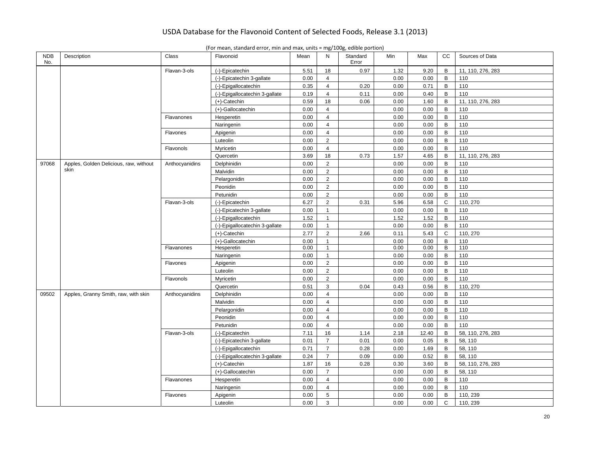| (For mean, standard error, min and max, units $=$ mg/100g, edible portion) |  |  |  |  |  |
|----------------------------------------------------------------------------|--|--|--|--|--|
|----------------------------------------------------------------------------|--|--|--|--|--|

| <b>NDB</b><br>No. | Description                            | Class          | Flavonoid                      | Mean | N              | Standard<br>Error | Min  | Max   | cc             | Sources of Data   |
|-------------------|----------------------------------------|----------------|--------------------------------|------|----------------|-------------------|------|-------|----------------|-------------------|
|                   |                                        | Flavan-3-ols   | (-)-Epicatechin                | 5.51 | 18             | 0.97              | 1.32 | 9.20  | B              | 11, 110, 276, 283 |
|                   |                                        |                | (-)-Epicatechin 3-gallate      | 0.00 | $\overline{4}$ |                   | 0.00 | 0.00  | B              | 110               |
|                   |                                        |                | (-)-Epigallocatechin           | 0.35 | $\overline{4}$ | 0.20              | 0.00 | 0.71  | $\mathsf{B}$   | 110               |
|                   |                                        |                | (-)-Epigallocatechin 3-gallate | 0.19 | $\overline{4}$ | 0.11              | 0.00 | 0.40  | B              | 110               |
|                   |                                        |                | $(+)$ -Catechin                | 0.59 | 18             | 0.06              | 0.00 | 1.60  | $\, {\bf B}$   | 11, 110, 276, 283 |
|                   |                                        |                | (+)-Gallocatechin              | 0.00 | $\overline{4}$ |                   | 0.00 | 0.00  | B              | 110               |
|                   |                                        | Flavanones     | Hesperetin                     | 0.00 | $\overline{4}$ |                   | 0.00 | 0.00  | B              | 110               |
|                   |                                        |                | Naringenin                     | 0.00 | $\overline{4}$ |                   | 0.00 | 0.00  | B              | 110               |
|                   |                                        | Flavones       | Apigenin                       | 0.00 | $\overline{4}$ |                   | 0.00 | 0.00  | B              | 110               |
|                   |                                        |                | Luteolin                       | 0.00 | 2              |                   | 0.00 | 0.00  | B              | 110               |
|                   |                                        | Flavonols      | Myricetin                      | 0.00 | $\overline{4}$ |                   | 0.00 | 0.00  | $\mathsf{B}$   | 110               |
|                   |                                        |                | Quercetin                      | 3.69 | 18             | 0.73              | 1.57 | 4.65  | B              | 11, 110, 276, 283 |
| 97068             | Apples, Golden Delicious, raw, without | Anthocyanidins | Delphinidin                    | 0.00 | $\overline{2}$ |                   | 0.00 | 0.00  | B              | 110               |
|                   | skin                                   |                | Malvidin                       | 0.00 | $\overline{2}$ |                   | 0.00 | 0.00  | B              | 110               |
|                   |                                        |                | Pelargonidin                   | 0.00 | $\overline{2}$ |                   | 0.00 | 0.00  | B              | 110               |
|                   |                                        |                | Peonidin                       | 0.00 | $\overline{2}$ |                   | 0.00 | 0.00  | $\overline{B}$ | 110               |
|                   |                                        |                | Petunidin                      | 0.00 | 2              |                   | 0.00 | 0.00  | B              | 110               |
|                   |                                        | Flavan-3-ols   | (-)-Epicatechin                | 6.27 | $\overline{2}$ | 0.31              | 5.96 | 6.58  | $\mathsf{C}$   | 110, 270          |
|                   |                                        |                | (-)-Epicatechin 3-gallate      | 0.00 | $\mathbf{1}$   |                   | 0.00 | 0.00  | B              | 110               |
|                   |                                        |                | (-)-Epigallocatechin           | 1.52 | $\mathbf{1}$   |                   | 1.52 | 1.52  | B              | 110               |
|                   |                                        |                | (-)-Epigallocatechin 3-gallate | 0.00 | $\mathbf{1}$   |                   | 0.00 | 0.00  | B              | 110               |
|                   |                                        |                | $(+)$ -Catechin                | 2.77 | $\overline{2}$ | 2.66              | 0.11 | 5.43  | $\mathbf C$    | 110, 270          |
|                   |                                        |                | (+)-Gallocatechin              | 0.00 | $\mathbf{1}$   |                   | 0.00 | 0.00  | B              | 110               |
|                   |                                        | Flavanones     | Hesperetin                     | 0.00 | $\mathbf{1}$   |                   | 0.00 | 0.00  | $\overline{B}$ | 110               |
|                   |                                        |                | Naringenin                     | 0.00 | $\mathbf{1}$   |                   | 0.00 | 0.00  | B              | 110               |
|                   |                                        | Flavones       | Apigenin                       | 0.00 | $\overline{2}$ |                   | 0.00 | 0.00  | $\mathsf{B}$   | 110               |
|                   |                                        |                | Luteolin                       | 0.00 | $\overline{2}$ |                   | 0.00 | 0.00  | B              | 110               |
|                   |                                        | Flavonols      | Myricetin                      | 0.00 | $\overline{2}$ |                   | 0.00 | 0.00  | $\mathsf{B}$   | 110               |
|                   |                                        |                | Quercetin                      | 0.51 | 3              | 0.04              | 0.43 | 0.56  | B              | 110, 270          |
| 09502             | Apples, Granny Smith, raw, with skin   | Anthocyanidins | Delphinidin                    | 0.00 | $\overline{4}$ |                   | 0.00 | 0.00  | B              | 110               |
|                   |                                        |                | Malvidin                       | 0.00 | $\overline{4}$ |                   | 0.00 | 0.00  | B              | 110               |
|                   |                                        |                | Pelargonidin                   | 0.00 | $\overline{4}$ |                   | 0.00 | 0.00  | B              | 110               |
|                   |                                        |                | Peonidin                       | 0.00 | $\overline{4}$ |                   | 0.00 | 0.00  | B              | 110               |
|                   |                                        |                | Petunidin                      | 0.00 | $\overline{4}$ |                   | 0.00 | 0.00  | B              | 110               |
|                   |                                        | Flavan-3-ols   | (-)-Epicatechin                | 7.11 | 16             | 1.14              | 2.18 | 12.40 | B              | 58, 110, 276, 283 |
|                   |                                        |                | (-)-Epicatechin 3-gallate      | 0.01 | $\overline{7}$ | 0.01              | 0.00 | 0.05  | B              | 58, 110           |
|                   |                                        |                | (-)-Epigallocatechin           | 0.71 | $\overline{7}$ | 0.28              | 0.00 | 1.69  | $\, {\bf B}$   | 58, 110           |
|                   |                                        |                | (-)-Epigallocatechin 3-gallate | 0.24 | $\overline{7}$ | 0.09              | 0.00 | 0.52  | B              | 58, 110           |
|                   |                                        |                | $(+)$ -Catechin                | 1.87 | 16             | 0.28              | 0.30 | 3.60  | B              | 58, 110, 276, 283 |
|                   |                                        |                | (+)-Gallocatechin              | 0.00 | $\overline{7}$ |                   | 0.00 | 0.00  | B              | 58, 110           |
|                   |                                        | Flavanones     | Hesperetin                     | 0.00 | $\overline{4}$ |                   | 0.00 | 0.00  | B              | 110               |
|                   |                                        |                | Naringenin                     | 0.00 | $\overline{4}$ |                   | 0.00 | 0.00  | B              | 110               |
|                   |                                        | Flavones       | Apigenin                       | 0.00 | $\overline{5}$ |                   | 0.00 | 0.00  | $\sf B$        | 110, 239          |
|                   |                                        |                | Luteolin                       | 0.00 | 3              |                   | 0.00 | 0.00  | $\mathsf{C}$   | 110, 239          |
|                   |                                        |                |                                |      |                |                   |      |       |                |                   |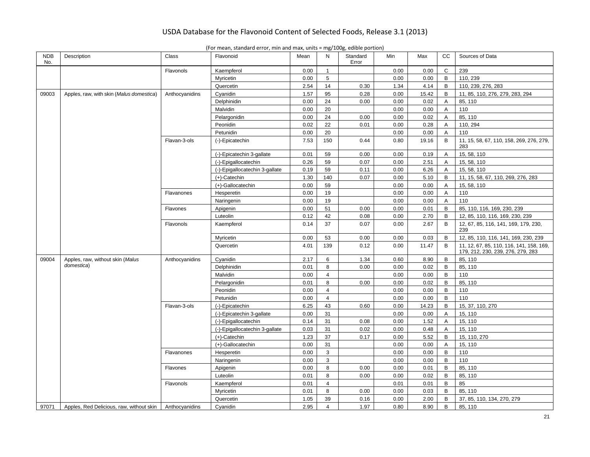| <b>NDB</b><br>No. | Description                              | Class          | Flavonoid                      | Mean | N              | Standard<br>Error | Min  | Max   | <b>CC</b>      | Sources of Data                                                               |
|-------------------|------------------------------------------|----------------|--------------------------------|------|----------------|-------------------|------|-------|----------------|-------------------------------------------------------------------------------|
|                   |                                          | Flavonols      | Kaempferol                     | 0.00 | $\mathbf{1}$   |                   | 0.00 | 0.00  | C              | 239                                                                           |
|                   |                                          |                | Myricetin                      | 0.00 | 5              |                   | 0.00 | 0.00  | B              | 110, 239                                                                      |
|                   |                                          |                | Quercetin                      | 2.54 | 14             | 0.30              | 1.34 | 4.14  | B              | 110, 239, 276, 283                                                            |
| 09003             | Apples, raw, with skin (Malus domestica) | Anthocyanidins | Cyanidin                       | 1.57 | 95             | 0.28              | 0.00 | 15.42 | B              | 11, 85, 110, 276, 279, 283, 294                                               |
|                   |                                          |                | Delphinidin                    | 0.00 | 24             | 0.00              | 0.00 | 0.02  | Α              | 85, 110                                                                       |
|                   |                                          |                | Malvidin                       | 0.00 | 20             |                   | 0.00 | 0.00  | A              | 110                                                                           |
|                   |                                          |                | Pelargonidin                   | 0.00 | 24             | 0.00              | 0.00 | 0.02  | $\overline{A}$ | 85, 110                                                                       |
|                   |                                          |                | Peonidin                       | 0.02 | 22             | 0.01              | 0.00 | 0.28  | $\overline{A}$ | 110, 294                                                                      |
|                   |                                          |                | Petunidin                      | 0.00 | 20             |                   | 0.00 | 0.00  | $\overline{A}$ | 110                                                                           |
|                   |                                          | Flavan-3-ols   | (-)-Epicatechin                | 7.53 | 150            | 0.44              | 0.80 | 19.16 | B              | 11, 15, 58, 67, 110, 158, 269, 276, 279,<br>283                               |
|                   |                                          |                | (-)-Epicatechin 3-gallate      | 0.01 | 59             | 0.00              | 0.00 | 0.19  | $\overline{A}$ | 15, 58, 110                                                                   |
|                   |                                          |                | (-)-Epigallocatechin           | 0.26 | 59             | 0.07              | 0.00 | 2.51  | $\overline{A}$ | 15, 58, 110                                                                   |
|                   |                                          |                | (-)-Epigallocatechin 3-gallate | 0.19 | 59             | 0.11              | 0.00 | 6.26  | Α              | 15, 58, 110                                                                   |
|                   |                                          |                | $(+)$ -Catechin                | 1.30 | 140            | 0.07              | 0.00 | 5.10  | B              | 11, 15, 58, 67, 110, 269, 276, 283                                            |
|                   |                                          |                | (+)-Gallocatechin              | 0.00 | 59             |                   | 0.00 | 0.00  | A              | 15, 58, 110                                                                   |
|                   |                                          | Flavanones     | Hesperetin                     | 0.00 | 19             |                   | 0.00 | 0.00  | Α              | 110                                                                           |
|                   |                                          |                | Naringenin                     | 0.00 | 19             |                   | 0.00 | 0.00  | Α              | 110                                                                           |
|                   |                                          | Flavones       | Apigenin                       | 0.00 | 51             | 0.00              | 0.00 | 0.01  | B              | 85, 110, 116, 169, 230, 239                                                   |
|                   |                                          |                | Luteolin                       | 0.12 | 42             | 0.08              | 0.00 | 2.70  | B              | 12, 85, 110, 116, 169, 230, 239                                               |
|                   |                                          | Flavonols      | Kaempferol                     | 0.14 | 37             | 0.07              | 0.00 | 2.67  | $\, {\bf B}$   | 12, 67, 85, 116, 141, 169, 179, 230,<br>239                                   |
|                   |                                          |                | Myricetin                      | 0.00 | 53             | 0.00              | 0.00 | 0.03  | B              | 12, 85, 110, 116, 141, 169, 230, 239                                          |
|                   |                                          |                | Quercetin                      | 4.01 | 139            | 0.12              | 0.00 | 11.47 | B              | 11, 12, 67, 85, 110, 116, 141, 158, 169,<br>179, 212, 230, 239, 276, 279, 283 |
| 09004             | Apples, raw, without skin (Malus         | Anthocyanidins | Cyanidin                       | 2.17 | 6              | 1.34              | 0.60 | 8.90  | B              | 85, 110                                                                       |
|                   | domestica)                               |                | Delphinidin                    | 0.01 | 8              | 0.00              | 0.00 | 0.02  | B              | 85, 110                                                                       |
|                   |                                          |                | Malvidin                       | 0.00 | $\overline{4}$ |                   | 0.00 | 0.00  | B              | 110                                                                           |
|                   |                                          |                | Pelargonidin                   | 0.01 | 8              | 0.00              | 0.00 | 0.02  | B              | 85, 110                                                                       |
|                   |                                          |                | Peonidin                       | 0.00 | $\overline{4}$ |                   | 0.00 | 0.00  | B              | 110                                                                           |
|                   |                                          |                | Petunidin                      | 0.00 | $\overline{4}$ |                   | 0.00 | 0.00  | $\sf B$        | 110                                                                           |
|                   |                                          | Flavan-3-ols   | (-)-Epicatechin                | 6.25 | 43             | 0.60              | 0.00 | 14.23 | B              | 15, 37, 110, 270                                                              |
|                   |                                          |                | (-)-Epicatechin 3-gallate      | 0.00 | 31             |                   | 0.00 | 0.00  | $\overline{A}$ | 15, 110                                                                       |
|                   |                                          |                | (-)-Epigallocatechin           | 0.14 | 31             | 0.08              | 0.00 | 1.52  | $\mathsf{A}$   | 15, 110                                                                       |
|                   |                                          |                | (-)-Epigallocatechin 3-gallate | 0.03 | 31             | 0.02              | 0.00 | 0.48  | $\overline{A}$ | 15, 110                                                                       |
|                   |                                          |                | $(+)$ -Catechin                | 1.23 | 37             | 0.17              | 0.00 | 5.52  | B              | 15, 110, 270                                                                  |
|                   |                                          |                | (+)-Gallocatechin              | 0.00 | 31             |                   | 0.00 | 0.00  | Α              | 15, 110                                                                       |
|                   |                                          | Flavanones     | Hesperetin                     | 0.00 | 3              |                   | 0.00 | 0.00  | B              | 110                                                                           |
|                   |                                          |                | Naringenin                     | 0.00 | 3              |                   | 0.00 | 0.00  | $\, {\bf B}$   | 110                                                                           |
|                   |                                          | Flavones       | Apigenin                       | 0.00 | 8              | 0.00              | 0.00 | 0.01  | B              | 85, 110                                                                       |
|                   |                                          |                | Luteolin                       | 0.01 | 8              | 0.00              | 0.00 | 0.02  | $\, {\bf B}$   | 85, 110                                                                       |
|                   |                                          | Flavonols      | Kaempferol                     | 0.01 | $\overline{4}$ |                   | 0.01 | 0.01  | B              | 85                                                                            |
|                   |                                          |                | Myricetin                      | 0.01 | 8              | 0.00              | 0.00 | 0.03  | B              | 85, 110                                                                       |
|                   |                                          |                | Quercetin                      | 1.05 | 39             | 0.16              | 0.00 | 2.00  | B              | 37, 85, 110, 134, 270, 279                                                    |
| 97071             | Apples, Red Delicious, raw, without skin | Anthocyanidins | Cyanidin                       | 2.95 | $\overline{4}$ | 1.97              | 0.80 | 8.90  | B              | 85, 110                                                                       |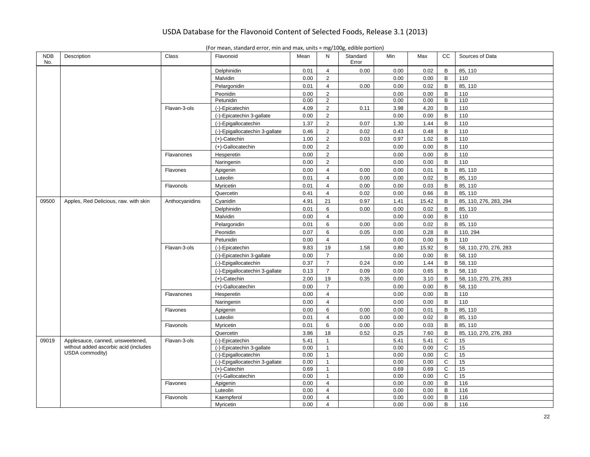NDB No. Description Class Flavonoid Mean N Standard Error Min | Max | CC | Sources of Data Delphinidin | 0.01 | 4 | 0.00 | 0.00 | 0.02 | B | 85, 110 Malvidin 0.00 2 0.00 0.00 B 110 110 Pelargonidin | 0.01 | 4 | 0.00 | 0.00 | 0.02 | B | 85, 110 Peonidin 0.00 2 0.00 0.00 B 110 110 Petunidin 0.00 2 0.00 0.00 B 110 Flavan-3-ols (-)-Epicatechin 4.09 2 0.11 3.98 4.20 B 110 (-)-Epicatechin 3-gallate  $\begin{vmatrix} 0.00 & 2 & 0.00 \\ 0.00 & 2 & 0.00 \end{vmatrix}$  0.00 0.00 B 110 (-)-Epigallocatechin 1.37 2 0.07 1.30 1.44 B 110 (-)-Epigallocatechin 3-gallate  $\begin{vmatrix} 0.46 & 2 & 0.02 & 0.43 & 0.48 & B & 110 \end{vmatrix}$ (+)-Catechin | 1.00 | 2 | 0.03 | 0.97 | 1.02 | B | 110 (+)-Gallocatechin 0.00 2 0.00 0.00 B 110 Flavanones Hesperetin 0.00 2 0.00 0.00 B 110 Naringenin | 0.00 | 2 | 0.00 | 0.00 | B | 110 Flavones | Apigenin | 0.00 | 4 | 0.00 | 0.00 | 0.01 | B | 85, 110 Luteolin 0.01 4 0.00 0.00 0.02 B 85, 110 Flavonols | Myricetin | 0.01 | 4 | 0.00 | 0.00 | 0.03 | B | 85, 110 Quercetin | 0.41 | 4 | 0.02 | 0.00 | 0.66 | B | 85, 110 09500 | Apples, Red Delicious, raw. with skin | Anthocyanidins | Cyanidin | 4.91 | 4.91 | 21 | 0.97 | 1.41 | 15.42 | B | 85, 110, 276, 283, 294 Delphinidin | 0.01 | 6 | 0.00 | 0.00 | 0.02 | B | 85, 110 Malvidin 0.00 4 0.00 0.00 B 110 Pelargonidin | 0.01 | 6 | 0.00 | 0.00 | 0.02 | B | 85, 110 Peonidin 0.07 6 0.05 0.00 0.28 B 110, 294 Petunidin 0.00 4 0.00 0.00 B 110 110 Flavan-3-ols (-)-Epicatechin 9.83 19 1.58 0.80 15.92 B 58, 110, 270, 276, 283 (-)-Epicatechin 3-gallate  $\begin{vmatrix} 0.00 & 7 & 0.00 & 0.00 & 0.00 & 8 & 58,110 \\ 0.00 & 0.00 & 0.00 & 0.00 & 0.00 & 0.00 & 0.00 \end{vmatrix}$ (-)-Epigallocatechin 0.37 7 0.24 0.00 1.44 B 58, 110 (-)-Epigallocatechin 3-gallate  $\begin{vmatrix} 0.13 & 7 & 0.09 & 0.00 & 0.65 & B & 58, 110 \end{vmatrix}$ (+)-Catechin 2.00 19 0.35 0.00 3.10 B 58, 110, 270, 276, 283 (+)-Gallocatechin 0.00 7 0.00 0.00 B 58, 110 Flavanones Hesperetin 0.00 4 0.00 0.00 B 110 Naringenin | 0.00 | 4 | | 0.00 | B | 110 Flavones Apigenin 0.00 6 0.00 0.00 0.01 B 85, 110 Luteolin 0.01 4 0.00 0.00 0.02 B 85, 110 Flavonols | Myricetin | 0.01 | 6 | 0.00 | 0.00 | 0.03 | B | 85, 110 Quercetin 19.86 18 0.52 0.25 7.60 B 85, 110, 270, 276, 283 09019 | Applesauce, canned, unsweetened, without added ascorbic acid (includes USDA commodity) Flavan-3-ols (-)-Epicatechin 5.41 1 5.41 5.41 C 15 (-)-Epicatechin 3-gallate 0.00 1 0.00 0.00 C 15 (-)-Epigallocatechin 0.00 1 0.00 0.00 C 15 (-)-Epigallocatechin 3-gallate 0.00 1 0.00 0.00 C 15 (+)-Catechin 0.69 1 0.69 0.69 C 15 (+)-Gallocatechin 0.00 1 0.00 0.00 C 15 Flavones Apigenin 0.00 4 0.00 0.00 B 116 Luteolin 0.00 4 0.00 0.00 B 116 Flavonols Kaempferol 0.00 4 0.00 0.00 B 116 Myricetin | 0.00 | 4 | 0.00 | 0.00 | B | 116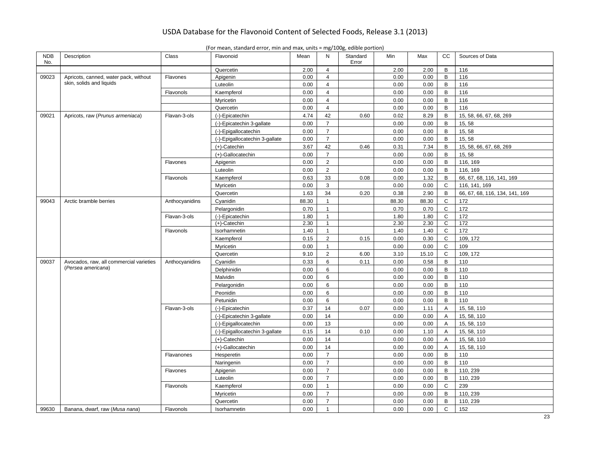| <b>NDB</b><br>No. | Description                             | Class          | Flavonoid                      | Mean  | N              | Standard<br>Error | Min   | Max   | CC           | Sources of Data                |
|-------------------|-----------------------------------------|----------------|--------------------------------|-------|----------------|-------------------|-------|-------|--------------|--------------------------------|
|                   |                                         |                | Quercetin                      | 2.00  | $\overline{4}$ |                   | 2.00  | 2.00  | B            | 116                            |
| 09023             | Apricots, canned, water pack, without   | Flavones       | Apigenin                       | 0.00  | $\overline{4}$ |                   | 0.00  | 0.00  | B            | 116                            |
|                   | skin, solids and liquids                |                | Luteolin                       | 0.00  | $\overline{4}$ |                   | 0.00  | 0.00  | B            | 116                            |
|                   |                                         | Flavonols      | Kaempferol                     | 0.00  | $\overline{4}$ |                   | 0.00  | 0.00  | B            | 116                            |
|                   |                                         |                | Myricetin                      | 0.00  | $\overline{4}$ |                   | 0.00  | 0.00  | B            | 116                            |
|                   |                                         |                | Quercetin                      | 0.00  | $\overline{4}$ |                   | 0.00  | 0.00  | B            | 116                            |
| 09021             | Apricots, raw (Prunus armeniaca)        | Flavan-3-ols   | (-)-Epicatechin                | 4.74  | 42             | 0.60              | 0.02  | 8.29  | B            | 15, 58, 66, 67, 68, 269        |
|                   |                                         |                | (-)-Epicatechin 3-gallate      | 0.00  | $\overline{7}$ |                   | 0.00  | 0.00  | B            | 15, 58                         |
|                   |                                         |                | (-)-Epigallocatechin           | 0.00  | $\overline{7}$ |                   | 0.00  | 0.00  | B            | 15, 58                         |
|                   |                                         |                | (-)-Epigallocatechin 3-gallate | 0.00  | $\overline{7}$ |                   | 0.00  | 0.00  | B            | 15,58                          |
|                   |                                         |                | $(+)$ -Catechin                | 3.67  | 42             | 0.46              | 0.31  | 7.34  | В            | 15, 58, 66, 67, 68, 269        |
|                   |                                         |                | (+)-Gallocatechin              | 0.00  | $\overline{7}$ |                   | 0.00  | 0.00  | B            | 15, 58                         |
|                   |                                         | Flavones       | Apigenin                       | 0.00  | $\overline{2}$ |                   | 0.00  | 0.00  | B            | 116, 169                       |
|                   |                                         |                | Luteolin                       | 0.00  | $\overline{2}$ |                   | 0.00  | 0.00  | B            | 116, 169                       |
|                   |                                         | Flavonols      | Kaempferol                     | 0.63  | 33             | 0.08              | 0.00  | 1.32  | В            | 66, 67, 68, 116, 141, 169      |
|                   |                                         |                | Myricetin                      | 0.00  | 3              |                   | 0.00  | 0.00  | C            | 116, 141, 169                  |
|                   |                                         |                | Quercetin                      | 1.63  | 34             | 0.20              | 0.38  | 2.90  | B            | 66, 67, 68, 116, 134, 141, 169 |
| 99043             | Arctic bramble berries                  | Anthocyanidins | Cyanidin                       | 88.30 | $\mathbf{1}$   |                   | 88.30 | 88.30 | $\mathsf{C}$ | 172                            |
|                   |                                         |                | Pelargonidin                   | 0.70  | $\mathbf{1}$   |                   | 0.70  | 0.70  | $\mathsf{C}$ | 172                            |
|                   |                                         | Flavan-3-ols   | (-)-Epicatechin                | 1.80  | $\mathbf{1}$   |                   | 1.80  | 1.80  | $\mathsf C$  | 172                            |
|                   |                                         |                | $(+)$ -Catechin                | 2.30  | $\mathbf{1}$   |                   | 2.30  | 2.30  | C            | 172                            |
|                   |                                         | Flavonols      | Isorhamnetin                   | 1.40  | $\mathbf{1}$   |                   | 1.40  | 1.40  | $\mathsf{C}$ | 172                            |
|                   |                                         |                | Kaempferol                     | 0.15  | $\overline{2}$ | 0.15              | 0.00  | 0.30  | C            | 109, 172                       |
|                   |                                         |                | Myricetin                      | 0.00  | $\mathbf{1}$   |                   | 0.00  | 0.00  | $\mathsf{C}$ | 109                            |
|                   |                                         |                | Quercetin                      | 9.10  | $\overline{2}$ | 6.00              | 3.10  | 15.10 | $\mathbf C$  | 109, 172                       |
| 09037             | Avocados, raw, all commercial varieties | Anthocyanidins | Cyanidin                       | 0.33  | 6              | 0.11              | 0.00  | 0.58  | B            | 110                            |
|                   | (Persea americana)                      |                | Delphinidin                    | 0.00  | 6              |                   | 0.00  | 0.00  | B            | 110                            |
|                   |                                         |                | Malvidin                       | 0.00  | 6              |                   | 0.00  | 0.00  | B            | 110                            |
|                   |                                         |                | Pelargonidin                   | 0.00  | 6              |                   | 0.00  | 0.00  | $\mathsf B$  | 110                            |
|                   |                                         |                | Peonidin                       | 0.00  | 6              |                   | 0.00  | 0.00  | B            | 110                            |
|                   |                                         |                | Petunidin                      | 0.00  | 6              |                   | 0.00  | 0.00  | B            | 110                            |
|                   |                                         | Flavan-3-ols   | (-)-Epicatechin                | 0.37  | 14             | 0.07              | 0.00  | 1.11  | Α            | 15, 58, 110                    |
|                   |                                         |                | (-)-Epicatechin 3-gallate      | 0.00  | 14             |                   | 0.00  | 0.00  | Α            | 15, 58, 110                    |
|                   |                                         |                | (-)-Epigallocatechin           | 0.00  | 13             |                   | 0.00  | 0.00  | A            | 15, 58, 110                    |
|                   |                                         |                | (-)-Epigallocatechin 3-gallate | 0.15  | 14             | 0.10              | 0.00  | 1.10  | Α            | 15, 58, 110                    |
|                   |                                         |                | $(+)$ -Catechin                | 0.00  | 14             |                   | 0.00  | 0.00  | A            | 15, 58, 110                    |
|                   |                                         |                | (+)-Gallocatechin              | 0.00  | 14             |                   | 0.00  | 0.00  | $\mathsf{A}$ | 15, 58, 110                    |
|                   |                                         | Flavanones     | Hesperetin                     | 0.00  | $\overline{7}$ |                   | 0.00  | 0.00  | B            | 110                            |
|                   |                                         |                | Naringenin                     | 0.00  | $\overline{7}$ |                   | 0.00  | 0.00  | $\mathsf B$  | 110                            |
|                   |                                         | Flavones       | Apigenin                       | 0.00  | $\overline{7}$ |                   | 0.00  | 0.00  | B            | 110, 239                       |
|                   |                                         |                | Luteolin                       | 0.00  | $\overline{7}$ |                   | 0.00  | 0.00  | B            | 110, 239                       |
|                   |                                         | Flavonols      | Kaempferol                     | 0.00  | $\mathbf{1}$   |                   | 0.00  | 0.00  | C            | 239                            |
|                   |                                         |                | Myricetin                      | 0.00  | $\overline{7}$ |                   | 0.00  | 0.00  | B            | 110, 239                       |
|                   |                                         |                | Quercetin                      | 0.00  | $\overline{7}$ |                   | 0.00  | 0.00  | B            | 110, 239                       |
| 99630             | Banana, dwarf, raw (Musa nana)          | Flavonols      | Isorhamnetin                   | 0.00  | $\mathbf{1}$   |                   | 0.00  | 0.00  | C            | 152                            |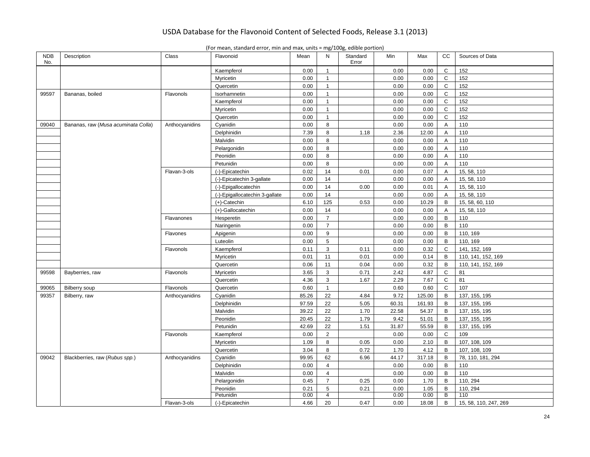| <b>NDB</b><br>No. | Description                         | Class          | Flavonoid                      | Mean  | N              | Standard<br>Error | Min   | Max    | cc                      | Sources of Data       |
|-------------------|-------------------------------------|----------------|--------------------------------|-------|----------------|-------------------|-------|--------|-------------------------|-----------------------|
|                   |                                     |                | Kaempferol                     | 0.00  | $\mathbf{1}$   |                   | 0.00  | 0.00   | C                       | 152                   |
|                   |                                     |                | Myricetin                      | 0.00  | $\mathbf{1}$   |                   | 0.00  | 0.00   | C                       | 152                   |
|                   |                                     |                | Quercetin                      | 0.00  | $\mathbf{1}$   |                   | 0.00  | 0.00   | $\mathsf{C}$            | 152                   |
| 99597             | Bananas, boiled                     | Flavonols      | Isorhamnetin                   | 0.00  | $\mathbf{1}$   |                   | 0.00  | 0.00   | $\mathsf C$             | 152                   |
|                   |                                     |                | Kaempferol                     | 0.00  | $\mathbf{1}$   |                   | 0.00  | 0.00   | $\mathsf{C}$            | 152                   |
|                   |                                     |                | Myricetin                      | 0.00  | $\mathbf{1}$   |                   | 0.00  | 0.00   | $\mathsf C$             | 152                   |
|                   |                                     |                | Quercetin                      | 0.00  | $\mathbf{1}$   |                   | 0.00  | 0.00   | $\mathsf C$             | 152                   |
| 09040             | Bananas, raw (Musa acuminata Colla) | Anthocyanidins | Cyanidin                       | 0.00  | 8              |                   | 0.00  | 0.00   | $\overline{A}$          | 110                   |
|                   |                                     |                | Delphinidin                    | 7.39  | 8              | 1.18              | 2.36  | 12.00  | A                       | 110                   |
|                   |                                     |                | Malvidin                       | 0.00  | 8              |                   | 0.00  | 0.00   | A                       | 110                   |
|                   |                                     |                | Pelargonidin                   | 0.00  | 8              |                   | 0.00  | 0.00   | $\overline{\mathsf{A}}$ | 110                   |
|                   |                                     |                | Peonidin                       | 0.00  | 8              |                   | 0.00  | 0.00   | Α                       | 110                   |
|                   |                                     |                | Petunidin                      | 0.00  | 8              |                   | 0.00  | 0.00   | Α                       | 110                   |
|                   |                                     | Flavan-3-ols   | (-)-Epicatechin                | 0.02  | 14             | 0.01              | 0.00  | 0.07   | $\overline{\mathsf{A}}$ | 15, 58, 110           |
|                   |                                     |                | (-)-Epicatechin 3-gallate      | 0.00  | 14             |                   | 0.00  | 0.00   | Α                       | 15, 58, 110           |
|                   |                                     |                | (-)-Epigallocatechin           | 0.00  | 14             | 0.00              | 0.00  | 0.01   | $\overline{A}$          | 15, 58, 110           |
|                   |                                     |                | (-)-Epigallocatechin 3-gallate | 0.00  | 14             |                   | 0.00  | 0.00   | Α                       | 15, 58, 110           |
|                   |                                     |                | $(+)$ -Catechin                | 6.10  | 125            | 0.53              | 0.00  | 10.29  | В                       | 15, 58, 60, 110       |
|                   |                                     |                | (+)-Gallocatechin              | 0.00  | 14             |                   | 0.00  | 0.00   | $\overline{A}$          | 15, 58, 110           |
|                   |                                     | Flavanones     | Hesperetin                     | 0.00  | $\overline{7}$ |                   | 0.00  | 0.00   | B                       | 110                   |
|                   |                                     |                | Naringenin                     | 0.00  | $\overline{7}$ |                   | 0.00  | 0.00   | B                       | 110                   |
|                   |                                     | Flavones       | Apigenin                       | 0.00  | 9              |                   | 0.00  | 0.00   | B                       | 110, 169              |
|                   |                                     |                | Luteolin                       | 0.00  | 5              |                   | 0.00  | 0.00   | B                       | 110, 169              |
|                   |                                     | Flavonols      | Kaempferol                     | 0.11  | 3              | 0.11              | 0.00  | 0.32   | C                       | 141, 152, 169         |
|                   |                                     |                | Myricetin                      | 0.01  | 11             | 0.01              | 0.00  | 0.14   | B                       | 110, 141, 152, 169    |
|                   |                                     |                | Quercetin                      | 0.06  | 11             | 0.04              | 0.00  | 0.32   | B                       | 110, 141, 152, 169    |
| 99598             | Bayberries, raw                     | Flavonols      | Myricetin                      | 3.65  | 3              | 0.71              | 2.42  | 4.87   | $\mathsf{C}$            | 81                    |
|                   |                                     |                | Quercetin                      | 4.36  | 3              | 1.67              | 2.29  | 7.67   | C                       | 81                    |
| 99065             | <b>Bilberry</b> soup                | Flavonols      | Quercetin                      | 0.60  | $\mathbf{1}$   |                   | 0.60  | 0.60   | $\mathsf{C}$            | 107                   |
| 99357             | Bilberry, raw                       | Anthocyanidins | Cyanidin                       | 85.26 | 22             | 4.84              | 9.72  | 125.00 | B                       | 137, 155, 195         |
|                   |                                     |                | Delphinidin                    | 97.59 | 22             | 5.05              | 60.31 | 161.93 | B                       | 137, 155, 195         |
|                   |                                     |                | Malvidin                       | 39.22 | 22             | 1.70              | 22.58 | 54.37  | B                       | 137, 155, 195         |
|                   |                                     |                | Peonidin                       | 20.45 | 22             | 1.79              | 9.42  | 51.01  | B                       | 137, 155, 195         |
|                   |                                     |                | Petunidin                      | 42.69 | 22             | 1.51              | 31.87 | 55.59  | B                       | 137, 155, 195         |
|                   |                                     | Flavonols      | Kaempferol                     | 0.00  | $\overline{2}$ |                   | 0.00  | 0.00   | $\mathbf C$             | 109                   |
|                   |                                     |                | Myricetin                      | 1.09  | 8              | 0.05              | 0.00  | 2.10   | B                       | 107, 108, 109         |
|                   |                                     |                | Quercetin                      | 3.04  | 8              | 0.72              | 1.70  | 4.12   | B                       | 107, 108, 109         |
| 09042             | Blackberries, raw (Rubus spp.)      | Anthocyanidins | Cyanidin                       | 99.95 | 62             | 6.96              | 44.17 | 317.18 | B                       | 78, 110, 181, 294     |
|                   |                                     |                | Delphinidin                    | 0.00  | $\overline{4}$ |                   | 0.00  | 0.00   | B                       | 110                   |
|                   |                                     |                | Malvidin                       | 0.00  | $\overline{4}$ |                   | 0.00  | 0.00   | B                       | 110                   |
|                   |                                     |                | Pelargonidin                   | 0.45  | $\overline{7}$ | 0.25              | 0.00  | 1.70   | В                       | 110, 294              |
|                   |                                     |                | Peonidin                       | 0.21  | 5              | 0.21              | 0.00  | 1.05   | $\, {\sf B}$            | 110, 294              |
|                   |                                     |                | Petunidin                      | 0.00  | $\overline{4}$ |                   | 0.00  | 0.00   | B                       | 110                   |
|                   |                                     | Flavan-3-ols   | (-)-Epicatechin                | 4.66  | 20             | 0.47              | 0.00  | 18.08  | B                       | 15, 58, 110, 247, 269 |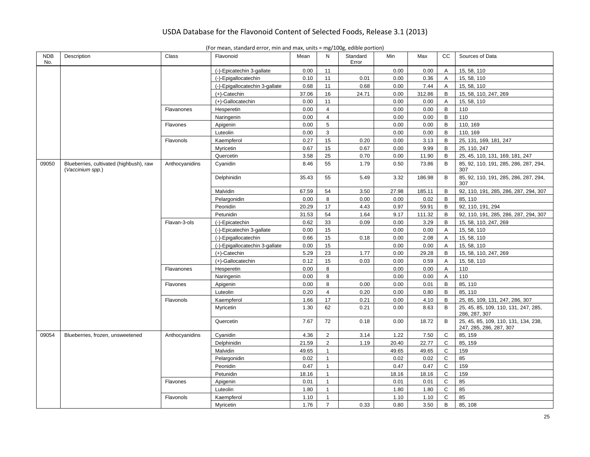| <b>NDB</b><br>No. | Description                                                 | Class          | Flavonoid                      | Mean  | N              | Standard<br>Error | Min   | Max    | <b>CC</b>      | Sources of Data                                                 |
|-------------------|-------------------------------------------------------------|----------------|--------------------------------|-------|----------------|-------------------|-------|--------|----------------|-----------------------------------------------------------------|
|                   |                                                             |                | (-)-Epicatechin 3-gallate      | 0.00  | 11             |                   | 0.00  | 0.00   | A              | 15, 58, 110                                                     |
|                   |                                                             |                | (-)-Epigallocatechin           | 0.10  | 11             | 0.01              | 0.00  | 0.36   | Α              | 15, 58, 110                                                     |
|                   |                                                             |                | (-)-Epigallocatechin 3-gallate | 0.68  | 11             | 0.68              | 0.00  | 7.44   | $\overline{A}$ | 15, 58, 110                                                     |
|                   |                                                             |                | (+)-Catechin                   | 37.06 | 16             | 24.71             | 0.00  | 312.86 | B              | 15, 58, 110, 247, 269                                           |
|                   |                                                             |                | (+)-Gallocatechin              | 0.00  | 11             |                   | 0.00  | 0.00   | Α              | 15, 58, 110                                                     |
|                   |                                                             | Flavanones     | Hesperetin                     | 0.00  | $\overline{4}$ |                   | 0.00  | 0.00   | B              | 110                                                             |
|                   |                                                             |                | Naringenin                     | 0.00  | $\overline{4}$ |                   | 0.00  | 0.00   | $\mathsf{B}$   | 110                                                             |
|                   |                                                             | Flavones       | Apigenin                       | 0.00  | 5              |                   | 0.00  | 0.00   | B              | 110, 169                                                        |
|                   |                                                             |                | Luteolin                       | 0.00  | 3              |                   | 0.00  | 0.00   | B              | 110, 169                                                        |
|                   |                                                             | Flavonols      | Kaempferol                     | 0.27  | 15             | 0.20              | 0.00  | 3.13   | B              | 25, 131, 169, 181, 247                                          |
|                   |                                                             |                | Myricetin                      | 0.67  | 15             | 0.67              | 0.00  | 9.99   | B              | 25, 110, 247                                                    |
|                   |                                                             |                | Quercetin                      | 3.58  | 25             | 0.70              | 0.00  | 11.90  | B              | 25, 45, 110, 131, 169, 181, 247                                 |
| 09050             | Blueberries, cultivated (highbush), raw<br>(Vaccinium spp.) | Anthocyanidins | Cyanidin                       | 8.46  | 55             | 1.79              | 0.50  | 73.86  | B              | 85, 92, 110, 191, 285, 286, 287, 294,<br>307                    |
|                   |                                                             |                | Delphinidin                    | 35.43 | 55             | 5.49              | 3.32  | 186.98 | B              | 85, 92, 110, 191, 285, 286, 287, 294,<br>307                    |
|                   |                                                             |                | Malvidin                       | 67.59 | 54             | 3.50              | 27.98 | 185.11 | B              | 92, 110, 191, 285, 286, 287, 294, 307                           |
|                   |                                                             |                | Pelargonidin                   | 0.00  | 8              | 0.00              | 0.00  | 0.02   | B              | 85, 110                                                         |
|                   |                                                             |                | Peonidin                       | 20.29 | 17             | 4.43              | 0.97  | 59.91  | B              | 92, 110, 191, 294                                               |
|                   |                                                             |                | Petunidin                      | 31.53 | 54             | 1.64              | 9.17  | 111.32 | B              | 92, 110, 191, 285, 286, 287, 294, 307                           |
|                   |                                                             | Flavan-3-ols   | (-)-Epicatechin                | 0.62  | 33             | 0.09              | 0.00  | 3.29   | B              | 15, 58, 110, 247, 269                                           |
|                   |                                                             |                | (-)-Epicatechin 3-gallate      | 0.00  | 15             |                   | 0.00  | 0.00   | $\overline{A}$ | 15, 58, 110                                                     |
|                   |                                                             |                | (-)-Epigallocatechin           | 0.66  | 15             | 0.18              | 0.00  | 2.08   | Α              | 15, 58, 110                                                     |
|                   |                                                             |                | (-)-Epigallocatechin 3-gallate | 0.00  | 15             |                   | 0.00  | 0.00   | A              | 15, 58, 110                                                     |
|                   |                                                             |                | $(+)$ -Catechin                | 5.29  | 23             | 1.77              | 0.00  | 29.28  | $\sf{B}$       | 15, 58, 110, 247, 269                                           |
|                   |                                                             |                | (+)-Gallocatechin              | 0.12  | 15             | 0.03              | 0.00  | 0.59   | $\overline{A}$ | 15, 58, 110                                                     |
|                   |                                                             | Flavanones     | Hesperetin                     | 0.00  | 8              |                   | 0.00  | 0.00   | A              | 110                                                             |
|                   |                                                             |                | Naringenin                     | 0.00  | 8              |                   | 0.00  | 0.00   | Α              | 110                                                             |
|                   |                                                             | Flavones       | Apigenin                       | 0.00  | 8              | 0.00              | 0.00  | 0.01   | $\, {\bf B}$   | 85, 110                                                         |
|                   |                                                             |                | Luteolin                       | 0.20  | $\overline{4}$ | 0.20              | 0.00  | 0.80   | B              | 85, 110                                                         |
|                   |                                                             | Flavonols      | Kaempferol                     | 1.66  | 17             | 0.21              | 0.00  | 4.10   | B              | 25, 85, 109, 131, 247, 286, 307                                 |
|                   |                                                             |                | Myricetin                      | 1.30  | 62             | 0.21              | 0.00  | 8.63   | B              | 25, 45, 85, 109, 110, 131, 247, 285,<br>286, 287, 307           |
|                   |                                                             |                | Quercetin                      | 7.67  | 72             | 0.18              | 0.00  | 18.72  | B              | 25, 45, 85, 109, 110, 131, 134, 238,<br>247, 285, 286, 287, 307 |
| 09054             | Blueberries, frozen, unsweetened                            | Anthocyanidins | Cyanidin                       | 4.36  | 2              | 3.14              | 1.22  | 7.50   | $\mathsf{C}$   | 85, 159                                                         |
|                   |                                                             |                | Delphinidin                    | 21.59 | 2              | 1.19              | 20.40 | 22.77  | $\mathsf{C}$   | 85, 159                                                         |
|                   |                                                             |                | Malvidin                       | 49.65 | $\mathbf{1}$   |                   | 49.65 | 49.65  | C              | 159                                                             |
|                   |                                                             |                | Pelargonidin                   | 0.02  | $\mathbf{1}$   |                   | 0.02  | 0.02   | $\mathbf C$    | 85                                                              |
|                   |                                                             |                | Peonidin                       | 0.47  | $\mathbf{1}$   |                   | 0.47  | 0.47   | $\mathsf{C}$   | 159                                                             |
|                   |                                                             |                | Petunidin                      | 18.16 | $\mathbf{1}$   |                   | 18.16 | 18.16  | $\mathsf{C}$   | 159                                                             |
|                   |                                                             | Flavones       | Apigenin                       | 0.01  | $\mathbf{1}$   |                   | 0.01  | 0.01   | C              | 85                                                              |
|                   |                                                             |                | Luteolin                       | 1.80  | $\overline{1}$ |                   | 1.80  | 1.80   | $\mathsf C$    | 85                                                              |
|                   |                                                             | Flavonols      | Kaempferol                     | 1.10  | $\mathbf{1}$   |                   | 1.10  | 1.10   | $\mathsf{C}$   | 85                                                              |
|                   |                                                             |                | Myricetin                      | 1.76  | $\overline{7}$ | 0.33              | 0.80  | 3.50   | $\overline{B}$ | 85, 108                                                         |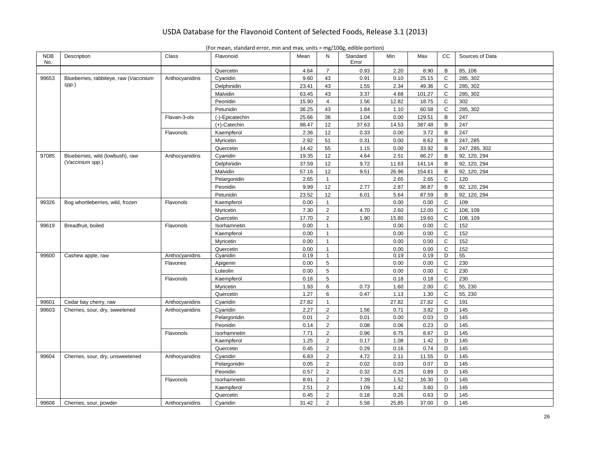| (For mean, standard error, min and max, units $=$ mg/100g, edible portion) |  |  |  |  |  |
|----------------------------------------------------------------------------|--|--|--|--|--|
|----------------------------------------------------------------------------|--|--|--|--|--|

| <b>NDB</b><br>No. | Description                            | Class          | Flavonoid       | Mean  | N              | Standard<br>Error | Min   | Max    | СC           | Sources of Data |
|-------------------|----------------------------------------|----------------|-----------------|-------|----------------|-------------------|-------|--------|--------------|-----------------|
|                   |                                        |                | Quercetin       | 4.64  | $\overline{7}$ | 0.93              | 2.20  | 8.90   | B            | 85, 108         |
| 99653             | Blueberries, rabbiteye, raw (Vaccinium | Anthocyanidins | Cyanidin        | 9.60  | 43             | 0.91              | 0.10  | 25.15  | C            | 285, 302        |
|                   | spp.)                                  |                | Delphinidin     | 23.41 | 43             | 1.55              | 2.34  | 49.36  | $\mathsf{C}$ | 285, 302        |
|                   |                                        |                | Malvidin        | 63.45 | 43             | 3.37              | 4.68  | 101.27 | C            | 285, 302        |
|                   |                                        |                | Peonidin        | 15.90 | $\overline{4}$ | 1.56              | 12.82 | 18.75  | $\mathsf{C}$ | 302             |
|                   |                                        |                | Petunidin       | 36.25 | 43             | 1.84              | 1.10  | 60.58  | C            | 285, 302        |
|                   |                                        | Flavan-3-ols   | (-)-Epicatechin | 25.66 | 36             | 1.04              | 0.00  | 129.51 | В            | 247             |
|                   |                                        |                | (+)-Catechin    | 98.47 | 12             | 37.63             | 14.53 | 387.48 | B            | 247             |
|                   |                                        | Flavonols      | Kaempferol      | 2.36  | 12             | 0.33              | 0.00  | 3.72   | B            | 247             |
|                   |                                        |                | Myricetin       | 2.92  | 51             | 0.31              | 0.00  | 8.62   | В            | 247, 285        |
|                   |                                        |                | Quercetin       | 14.42 | 55             | 1.15              | 0.00  | 33.92  | B            | 247, 285, 302   |
| 97085             | Blueberries, wild (lowbush), raw       | Anthocyanidins | Cyanidin        | 19.35 | 12             | 4.64              | 2.51  | 66.27  | B            | 92, 120, 294    |
|                   | (Vaccinium spp.)                       |                | Delphinidin     | 37.59 | 12             | 9.72              | 11.63 | 141.14 | B            | 92, 120, 294    |
|                   |                                        |                | Malvidin        | 57.16 | 12             | 9.51              | 26.96 | 154.61 | B            | 92, 120, 294    |
|                   |                                        |                | Pelargonidin    | 2.65  | $\mathbf{1}$   |                   | 2.65  | 2.65   | C            | 120             |
|                   |                                        |                | Peonidin        | 9.99  | 12             | 2.77              | 2.87  | 36.87  | B            | 92, 120, 294    |
|                   |                                        |                | Petunidin       | 23.52 | 12             | 6.01              | 5.64  | 87.59  | B            | 92, 120, 294    |
|                   |                                        | Flavonols      | Kaempferol      | 0.00  | $\mathbf{1}$   |                   | 0.00  | 0.00   | C            | 109             |
| 99326             | Bog whortleberries, wild, frozen       |                | Myricetin       | 7.30  | $\overline{2}$ | 4.70              | 2.60  | 12.00  | $\mathsf{C}$ | 108, 109        |
|                   |                                        |                |                 |       |                |                   |       |        |              |                 |
|                   |                                        |                | Quercetin       | 17.70 | $\overline{2}$ | 1.90              | 15.80 | 19.60  | C            | 108, 109        |
| 99619             | Breadfruit, boiled                     | Flavonols      | Isorhamnetin    | 0.00  | $\mathbf{1}$   |                   | 0.00  | 0.00   | $\mathsf{C}$ | 152             |
|                   |                                        |                | Kaempferol      | 0.00  | $\mathbf{1}$   |                   | 0.00  | 0.00   | $\mathsf C$  | 152             |
|                   |                                        |                | Myricetin       | 0.00  | $\mathbf{1}$   |                   | 0.00  | 0.00   | C            | 152             |
|                   |                                        |                | Quercetin       | 0.00  | $\mathbf{1}$   |                   | 0.00  | 0.00   | $\mathsf{C}$ | 152             |
| 99600             | Cashew apple, raw                      | Anthocyanidins | Cyanidin        | 0.19  | $\overline{1}$ |                   | 0.19  | 0.19   | D            | 55              |
|                   |                                        | Flavones       | Apigenin        | 0.00  | $\sqrt{5}$     |                   | 0.00  | 0.00   | $\mathsf{C}$ | 230             |
|                   |                                        |                | Luteolin        | 0.00  | 5              |                   | 0.00  | 0.00   | C            | 230             |
|                   |                                        | Flavonols      | Kaempferol      | 0.18  | $\overline{5}$ |                   | 0.18  | 0.18   | $\mathbf C$  | 230             |
|                   |                                        |                | Myricetin       | 1.93  | 6              | 0.73              | 1.60  | 2.00   | C            | 55, 230         |
|                   |                                        |                | Quercetin       | 1.27  | 6              | 0.47              | 1.13  | 1.30   | C            | 55, 230         |
| 99601             | Cedar bay cherry, raw                  | Anthocyanidins | Cyanidin        | 27.82 | $\mathbf{1}$   |                   | 27.82 | 27.82  | C            | 191             |
| 99603             | Cherries, sour, dry, sweetened         | Anthocyanidins | Cyanidin        | 2.27  | $\overline{2}$ | 1.56              | 0.71  | 3.82   | D            | 145             |
|                   |                                        |                | Pelargonidin    | 0.01  | 2              | 0.01              | 0.00  | 0.03   | D            | 145             |
|                   |                                        |                | Peonidin        | 0.14  | $\overline{2}$ | 0.08              | 0.06  | 0.23   | D            | 145             |
|                   |                                        | Flavonols      | Isorhamnetin    | 7.71  | $\overline{2}$ | 0.96              | 6.75  | 8.67   | D            | 145             |
|                   |                                        |                | Kaempferol      | 1.25  | $\overline{2}$ | 0.17              | 1.08  | 1.42   | D            | 145             |
|                   |                                        |                | Quercetin       | 0.45  | $\overline{2}$ | 0.29              | 0.16  | 0.74   | D            | 145             |
| 99604             | Cherries, sour, dry, unsweetened       | Anthocyanidins | Cyanidin        | 6.83  | $\overline{2}$ | 4.72              | 2.11  | 11.55  | D            | 145             |
|                   |                                        |                | Pelargonidin    | 0.05  | 2              | 0.02              | 0.03  | 0.07   | D            | 145             |
|                   |                                        |                | Peonidin        | 0.57  | $\overline{2}$ | 0.32              | 0.25  | 0.89   | D            | 145             |
|                   |                                        | Flavonols      | Isorhamnetin    | 8.91  | 2              | 7.39              | 1.52  | 16.30  | D            | 145             |
|                   |                                        |                | Kaempferol      | 2.51  | $\overline{2}$ | 1.09              | 1.42  | 3.60   | D            | 145             |
|                   |                                        |                | Quercetin       | 0.45  | $\mathbf 2$    | 0.18              | 0.26  | 0.63   | D            | 145             |
| 99606             | Cherries, sour, powder                 | Anthocyanidins | Cyanidin        | 31.42 | 2              | 5.58              | 25.85 | 37.00  | D            | 145             |
|                   |                                        |                |                 |       |                |                   |       |        |              |                 |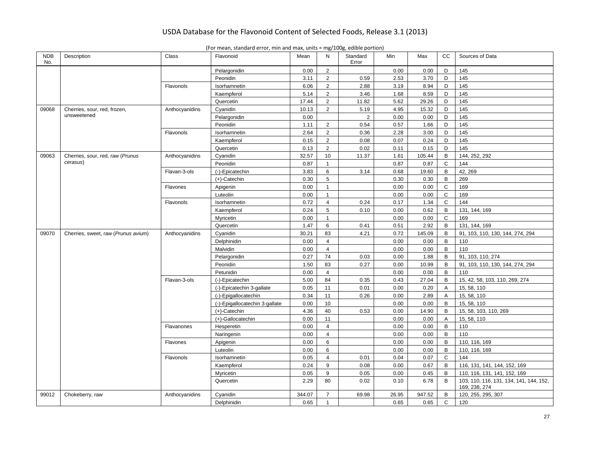| <b>NDB</b><br>No. | Description                         | Class          | Flavonoid                      | Mean   | N              | Standard<br>Error | Min   | Max    | <b>CC</b>      | Sources of Data                                          |
|-------------------|-------------------------------------|----------------|--------------------------------|--------|----------------|-------------------|-------|--------|----------------|----------------------------------------------------------|
|                   |                                     |                | Pelargonidin                   | 0.00   | 2              |                   | 0.00  | 0.00   | D              | 145                                                      |
|                   |                                     |                | Peonidin                       | 3.11   | $\overline{2}$ | 0.59              | 2.53  | 3.70   | D              | 145                                                      |
|                   |                                     | Flavonols      | Isorhamnetin                   | 6.06   | $\overline{2}$ | 2.88              | 3.19  | 8.94   | D              | 145                                                      |
|                   |                                     |                | Kaempferol                     | 5.14   | 2              | 3.46              | 1.68  | 8.59   | D              | 145                                                      |
|                   |                                     |                | Quercetin                      | 17.44  | $\overline{2}$ | 11.82             | 5.62  | 29.26  | D              | 145                                                      |
| 09068             | Cherries, sour, red, frozen,        | Anthocyanidins | Cyanidin                       | 10.13  | $\overline{2}$ | 5.19              | 4.95  | 15.32  | D              | 145                                                      |
|                   | unsweetened                         |                | Pelargonidin                   | 0.00   |                | $\overline{2}$    | 0.00  | 0.00   | D              | 145                                                      |
|                   |                                     |                | Peonidin                       | 1.11   | $\overline{2}$ | 0.54              | 0.57  | 1.66   | D              | 145                                                      |
|                   |                                     | Flavonols      | Isorhamnetin                   | 2.64   | $\overline{2}$ | 0.36              | 2.28  | 3.00   | D              | 145                                                      |
|                   |                                     |                | Kaempferol                     | 0.15   | $\overline{2}$ | 0.08              | 0.07  | 0.24   | D              | 145                                                      |
|                   |                                     |                | Quercetin                      | 0.13   | $\overline{2}$ | 0.02              | 0.11  | 0.15   | D              | 145                                                      |
| 09063             | Cherries, sour, red, raw (Prunus    | Anthocyanidins | Cyanidin                       | 32.57  | 10             | 11.37             | 1.61  | 105.44 | B              | 144, 252, 292                                            |
|                   | cerasus)                            |                | Peonidin                       | 0.87   | $\mathbf{1}$   |                   | 0.87  | 0.87   | C              | 144                                                      |
|                   |                                     | Flavan-3-ols   | (-)-Epicatechin                | 3.83   | 6              | 3.14              | 0.68  | 19.60  | $\mathsf{B}$   | 42, 269                                                  |
|                   |                                     |                | $(+)$ -Catechin                | 0.30   | 5              |                   | 0.30  | 0.30   | B              | 269                                                      |
|                   |                                     | Flavones       | Apigenin                       | 0.00   | $\mathbf{1}$   |                   | 0.00  | 0.00   | $\mathsf{C}$   | 169                                                      |
|                   |                                     |                | Luteolin                       | 0.00   | $\mathbf{1}$   |                   | 0.00  | 0.00   | $\mathsf C$    | 169                                                      |
|                   |                                     | Flavonols      | Isorhamnetin                   | 0.72   | $\overline{4}$ | 0.24              | 0.17  | 1.34   | $\mathsf{C}$   | 144                                                      |
|                   |                                     |                | Kaempferol                     | 0.24   | 5              | 0.10              | 0.00  | 0.62   | B              | 131, 144, 169                                            |
|                   |                                     |                | Myricetin                      | 0.00   | $\mathbf{1}$   |                   | 0.00  | 0.00   | C              | 169                                                      |
|                   |                                     |                | Quercetin                      | 1.47   | 6              | 0.41              | 0.51  | 2.92   | B              | 131, 144, 169                                            |
| 09070             | Cherries, sweet, raw (Prunus avium) | Anthocyanidins | Cyanidin                       | 30.21  | 83             | 4.21              | 0.72  | 145.09 | B              | 91, 103, 110, 130, 144, 274, 294                         |
|                   |                                     |                | Delphinidin                    | 0.00   | $\overline{4}$ |                   | 0.00  | 0.00   | B              | 110                                                      |
|                   |                                     |                | Malvidin                       | 0.00   | $\overline{4}$ |                   | 0.00  | 0.00   | B              | 110                                                      |
|                   |                                     |                | Pelargonidin                   | 0.27   | 74             | 0.03              | 0.00  | 1.88   | B              | 91, 103, 110, 274                                        |
|                   |                                     |                | Peonidin                       | 1.50   | 83             | 0.27              | 0.00  | 10.99  | B              | 91, 103, 110, 130, 144, 274, 294                         |
|                   |                                     |                | Petunidin                      | 0.00   | $\overline{4}$ |                   | 0.00  | 0.00   | $\mathsf{B}$   | 110                                                      |
|                   |                                     | Flavan-3-ols   | (-)-Epicatechin                | 5.00   | 84             | 0.35              | 0.43  | 27.04  | B              | 15, 42, 58, 103, 110, 269, 274                           |
|                   |                                     |                | (-)-Epicatechin 3-gallate      | 0.05   | 11             | 0.01              | 0.00  | 0.20   | $\overline{A}$ | 15, 58, 110                                              |
|                   |                                     |                | (-)-Epigallocatechin           | 0.34   | 11             | 0.26              | 0.00  | 2.89   | $\overline{A}$ | 15, 58, 110                                              |
|                   |                                     |                | (-)-Epigallocatechin 3-gallate | 0.00   | 10             |                   | 0.00  | 0.00   | B              | 15, 58, 110                                              |
|                   |                                     |                | $(+)$ -Catechin                | 4.36   | 40             | 0.53              | 0.00  | 14.90  | B              | 15, 58, 103, 110, 269                                    |
|                   |                                     |                | (+)-Gallocatechin              | 0.00   | 11             |                   | 0.00  | 0.00   | Α              | 15, 58, 110                                              |
|                   |                                     | Flavanones     | Hesperetin                     | 0.00   | $\overline{4}$ |                   | 0.00  | 0.00   | B              | 110                                                      |
|                   |                                     |                | Naringenin                     | 0.00   | $\overline{4}$ |                   | 0.00  | 0.00   | B              | 110                                                      |
|                   |                                     | Flavones       | Apigenin                       | 0.00   | 6              |                   | 0.00  | 0.00   | B              | 110, 116, 169                                            |
|                   |                                     |                | Luteolin                       | 0.00   | 6              |                   | 0.00  | 0.00   | B              | 110, 116, 169                                            |
|                   |                                     | Flavonols      | Isorhamnetin                   | 0.05   | $\overline{4}$ | 0.01              | 0.04  | 0.07   | $\mathsf{C}$   | 144                                                      |
|                   |                                     |                | Kaempferol                     | 0.24   | 9              | 0.08              | 0.00  | 0.67   | B              | 116, 131, 141, 144, 152, 169                             |
|                   |                                     |                | Myricetin                      | 0.05   | 9              | 0.05              | 0.00  | 0.45   | B              | 110, 116, 131, 141, 152, 169                             |
|                   |                                     |                | Quercetin                      | 2.29   | 80             | 0.02              | 0.10  | 6.78   | B              | 103, 110, 116, 131, 134, 141, 144, 152,<br>169, 238, 274 |
| 99012             | Chokeberry, raw                     | Anthocyanidins | Cyanidin                       | 344.07 | $\overline{7}$ | 69.98             | 26.95 | 947.52 | B              | 120, 255, 295, 307                                       |
|                   |                                     |                | Delphinidin                    | 0.65   | $\overline{1}$ |                   | 0.65  | 0.65   | $\mathsf{C}$   | 120                                                      |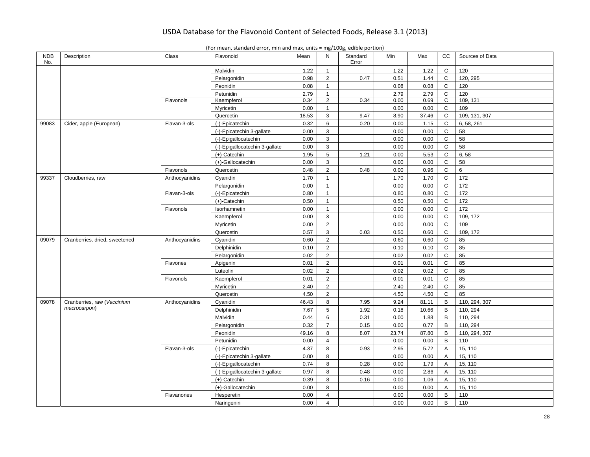| <b>NDB</b><br>No. | Description                   | Class          | Flavonoid                      | Mean  | N              | Standard<br>Error | Min   | Max   | cc             | Sources of Data |
|-------------------|-------------------------------|----------------|--------------------------------|-------|----------------|-------------------|-------|-------|----------------|-----------------|
|                   |                               |                | Malvidin                       | 1.22  | $\mathbf{1}$   |                   | 1.22  | 1.22  | $\mathsf{C}$   | 120             |
|                   |                               |                | Pelargonidin                   | 0.98  | $\overline{2}$ | 0.47              | 0.51  | 1.44  | $\mathsf{C}$   | 120, 295        |
|                   |                               |                | Peonidin                       | 0.08  | $\mathbf{1}$   |                   | 0.08  | 0.08  | $\mathsf{C}$   | 120             |
|                   |                               |                | Petunidin                      | 2.79  | $\mathbf{1}$   |                   | 2.79  | 2.79  | $\mathsf{C}$   | 120             |
|                   |                               | Flavonols      | Kaempferol                     | 0.34  | $\overline{2}$ | 0.34              | 0.00  | 0.69  | $\overline{c}$ | 109, 131        |
|                   |                               |                | Myricetin                      | 0.00  | $\mathbf{1}$   |                   | 0.00  | 0.00  | C              | 109             |
|                   |                               |                | Quercetin                      | 18.53 | 3              | 9.47              | 8.90  | 37.46 | $\mathsf{C}$   | 109, 131, 307   |
| 99083             | Cider, apple (European)       | Flavan-3-ols   | (-)-Epicatechin                | 0.32  | 6              | 0.20              | 0.00  | 1.15  | C              | 6, 58, 261      |
|                   |                               |                | (-)-Epicatechin 3-gallate      | 0.00  | 3              |                   | 0.00  | 0.00  | C              | 58              |
|                   |                               |                | (-)-Epigallocatechin           | 0.00  | 3              |                   | 0.00  | 0.00  | $\mathsf{C}$   | 58              |
|                   |                               |                | (-)-Epigallocatechin 3-gallate | 0.00  | 3              |                   | 0.00  | 0.00  | C              | 58              |
|                   |                               |                | (+)-Catechin                   | 1.95  | 5              | 1.21              | 0.00  | 5.53  | $\mathsf{C}$   | 6,58            |
|                   |                               |                | (+)-Gallocatechin              | 0.00  | 3              |                   | 0.00  | 0.00  | $\mathbf C$    | 58              |
|                   |                               | Flavonols      | Quercetin                      | 0.48  | $\overline{2}$ | 0.48              | 0.00  | 0.96  | $\mathsf C$    | 6               |
| 99337             | Cloudberries, raw             | Anthocyanidins | Cyanidin                       | 1.70  | $\mathbf{1}$   |                   | 1.70  | 1.70  | $\mathbf C$    | 172             |
|                   |                               |                | Pelargonidin                   | 0.00  | $\mathbf{1}$   |                   | 0.00  | 0.00  | $\mathsf{C}$   | 172             |
|                   |                               | Flavan-3-ols   | (-)-Epicatechin                | 0.80  | 1              |                   | 0.80  | 0.80  | $\mathsf{C}$   | 172             |
|                   |                               |                | (+)-Catechin                   | 0.50  | $\mathbf{1}$   |                   | 0.50  | 0.50  | $\mathbf C$    | 172             |
|                   |                               | Flavonols      | Isorhamnetin                   | 0.00  | $\mathbf{1}$   |                   | 0.00  | 0.00  | $\mathsf{C}$   | 172             |
|                   |                               |                | Kaempferol                     | 0.00  | $\mathbf{3}$   |                   | 0.00  | 0.00  | $\mathbf C$    | 109, 172        |
|                   |                               |                |                                |       | $\overline{2}$ |                   |       |       | $\mathsf C$    | 109             |
|                   |                               |                | Myricetin                      | 0.00  |                |                   | 0.00  | 0.00  | $\mathsf{C}$   |                 |
|                   |                               |                | Quercetin                      | 0.57  | 3              | 0.03              | 0.50  | 0.60  |                | 109, 172        |
| 09079             | Cranberries, dried, sweetened | Anthocyanidins | Cyanidin                       | 0.60  | $\overline{2}$ |                   | 0.60  | 0.60  | $\mathbf C$    | 85              |
|                   |                               |                | Delphinidin                    | 0.10  | $\overline{2}$ |                   | 0.10  | 0.10  | $\mathbf C$    | 85              |
|                   |                               |                | Pelargonidin                   | 0.02  | $\overline{2}$ |                   | 0.02  | 0.02  | $\mathsf{C}$   | 85              |
|                   |                               | Flavones       | Apigenin                       | 0.01  | $\overline{2}$ |                   | 0.01  | 0.01  | $\mathsf C$    | 85              |
|                   |                               |                | Luteolin                       | 0.02  | $\overline{2}$ |                   | 0.02  | 0.02  | $\mathsf C$    | 85              |
|                   |                               | Flavonols      | Kaempferol                     | 0.01  | $\overline{2}$ |                   | 0.01  | 0.01  | $\mathbf C$    | 85              |
|                   |                               |                | Myricetin                      | 2.40  | $\overline{2}$ |                   | 2.40  | 2.40  | $\mathsf{C}$   | 85              |
|                   |                               |                | Quercetin                      | 4.50  | $\overline{2}$ |                   | 4.50  | 4.50  | C              | 85              |
| 09078             | Cranberries, raw (Vaccinium   | Anthocyanidins | Cyanidin                       | 46.43 | 8              | 7.95              | 9.24  | 81.11 | B              | 110, 294, 307   |
|                   | macrocarpon)                  |                | Delphinidin                    | 7.67  | 5              | 1.92              | 0.18  | 10.66 | B              | 110, 294        |
|                   |                               |                | Malvidin                       | 0.44  | 6              | 0.31              | 0.00  | 1.88  | B              | 110, 294        |
|                   |                               |                | Pelargonidin                   | 0.32  | $\overline{7}$ | 0.15              | 0.00  | 0.77  | B              | 110, 294        |
|                   |                               |                | Peonidin                       | 49.16 | 8              | 8.07              | 23.74 | 87.80 | B              | 110, 294, 307   |
|                   |                               |                | Petunidin                      | 0.00  | $\overline{4}$ |                   | 0.00  | 0.00  | B              | 110             |
|                   |                               | Flavan-3-ols   | (-)-Epicatechin                | 4.37  | 8              | 0.93              | 2.95  | 5.72  | A              | 15, 110         |
|                   |                               |                | (-)-Epicatechin 3-gallate      | 0.00  | 8              |                   | 0.00  | 0.00  | A              | 15, 110         |
|                   |                               |                | (-)-Epigallocatechin           | 0.74  | 8              | 0.28              | 0.00  | 1.79  | A              | 15, 110         |
|                   |                               |                | (-)-Epigallocatechin 3-gallate | 0.97  | 8              | 0.48              | 0.00  | 2.86  | Α              | 15, 110         |
|                   |                               |                | $(+)$ -Catechin                | 0.39  | 8              | 0.16              | 0.00  | 1.06  | Α              | 15, 110         |
|                   |                               |                | (+)-Gallocatechin              | 0.00  | 8              |                   | 0.00  | 0.00  | A              | 15, 110         |
|                   |                               | Flavanones     | Hesperetin                     | 0.00  | $\overline{4}$ |                   | 0.00  | 0.00  | B              | 110             |
|                   |                               |                | Naringenin                     | 0.00  | $\overline{4}$ |                   | 0.00  | 0.00  | $\mathsf{B}$   | 110             |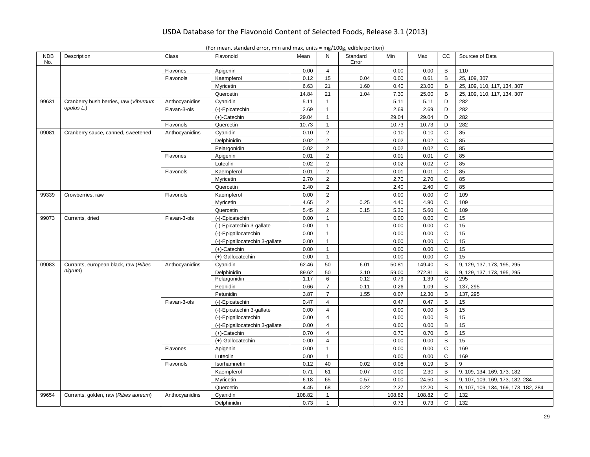| <b>NDB</b><br>No. | Description                           | Class          | Flavonoid                      | Mean   | N              | Standard<br>Error | Min    | Max    | cc           | Sources of Data                      |
|-------------------|---------------------------------------|----------------|--------------------------------|--------|----------------|-------------------|--------|--------|--------------|--------------------------------------|
|                   |                                       | Flavones       | Apigenin                       | 0.00   | $\overline{4}$ |                   | 0.00   | 0.00   | B            | 110                                  |
|                   |                                       | Flavonols      | Kaempferol                     | 0.12   | 15             | 0.04              | 0.00   | 0.61   | B            | 25, 109, 307                         |
|                   |                                       |                | Myricetin                      | 6.63   | 21             | 1.60              | 0.40   | 23.00  | B            | 25, 109, 110, 117, 134, 307          |
|                   |                                       |                | Quercetin                      | 14.84  | 21             | 1.04              | 7.30   | 25.00  | B            | 25, 109, 110, 117, 134, 307          |
| 99631             | Cranberry bush berries, raw (Viburnum | Anthocyanidins | Cyanidin                       | 5.11   | $\mathbf{1}$   |                   | 5.11   | 5.11   | D            | 282                                  |
|                   | opulus L.)                            | Flavan-3-ols   | (-)-Epicatechin                | 2.69   | $\mathbf{1}$   |                   | 2.69   | 2.69   | D            | 282                                  |
|                   |                                       |                | (+)-Catechin                   | 29.04  | $\mathbf{1}$   |                   | 29.04  | 29.04  | D            | 282                                  |
|                   |                                       | Flavonols      | Quercetin                      | 10.73  | $\mathbf{1}$   |                   | 10.73  | 10.73  | D            | 282                                  |
| 09081             | Cranberry sauce, canned, sweetened    | Anthocyanidins | Cyanidin                       | 0.10   | $\overline{2}$ |                   | 0.10   | 0.10   | C            | 85                                   |
|                   |                                       |                | Delphinidin                    | 0.02   | $\overline{2}$ |                   | 0.02   | 0.02   | $\mathbf C$  | 85                                   |
|                   |                                       |                | Pelargonidin                   | 0.02   | $\overline{2}$ |                   | 0.02   | 0.02   | $\mathbf C$  | 85                                   |
|                   |                                       | Flavones       | Apigenin                       | 0.01   | $\overline{2}$ |                   | 0.01   | 0.01   | $\mathsf{C}$ | 85                                   |
|                   |                                       |                | Luteolin                       | 0.02   | $\overline{2}$ |                   | 0.02   | 0.02   | $\mathsf{C}$ | 85                                   |
|                   |                                       | Flavonols      | Kaempferol                     | 0.01   | $\overline{2}$ |                   | 0.01   | 0.01   | $\mathbf C$  | 85                                   |
|                   |                                       |                | Myricetin                      | 2.70   | $\overline{2}$ |                   | 2.70   | 2.70   | $\mathsf{C}$ | 85                                   |
|                   |                                       |                | Quercetin                      | 2.40   | $\overline{2}$ |                   | 2.40   | 2.40   | $\mathbf C$  | 85                                   |
| 99339             | Crowberries, raw                      | Flavonols      | Kaempferol                     | 0.00   | $\overline{2}$ |                   | 0.00   | 0.00   | $\mathsf C$  | 109                                  |
|                   |                                       |                | Myricetin                      | 4.65   | $\overline{2}$ | 0.25              | 4.40   | 4.90   | $\mathsf{C}$ | 109                                  |
|                   |                                       |                | Quercetin                      | 5.45   | $\overline{2}$ | 0.15              | 5.30   | 5.60   | $\mathsf{C}$ | 109                                  |
| 99073             | Currants, dried                       | Flavan-3-ols   | (-)-Epicatechin                | 0.00   | $\mathbf{1}$   |                   | 0.00   | 0.00   | $\mathsf{C}$ | 15                                   |
|                   |                                       |                | (-)-Epicatechin 3-gallate      | 0.00   | $\mathbf{1}$   |                   | 0.00   | 0.00   | $\mathbf C$  | 15                                   |
|                   |                                       |                | (-)-Epigallocatechin           | 0.00   | $\mathbf{1}$   |                   | 0.00   | 0.00   | $\mathsf C$  | 15                                   |
|                   |                                       |                | (-)-Epigallocatechin 3-gallate | 0.00   | $\mathbf{1}$   |                   | 0.00   | 0.00   | $\mathsf{C}$ | 15                                   |
|                   |                                       |                | (+)-Catechin                   | 0.00   | $\mathbf{1}$   |                   | 0.00   | 0.00   | $\mathsf{C}$ | 15                                   |
|                   |                                       |                | (+)-Gallocatechin              | 0.00   | $\mathbf{1}$   |                   | 0.00   | 0.00   | $\mathsf{C}$ | 15                                   |
| 09083             | Currants, european black, raw (Ribes  | Anthocyanidins | Cyanidin                       | 62.46  | 50             | 6.01              | 50.81  | 149.40 | B            | 9, 129, 137, 173, 195, 295           |
|                   | nigrum)                               |                | Delphinidin                    | 89.62  | 50             | 3.10              | 59.00  | 272.81 | B            | 9, 129, 137, 173, 195, 295           |
|                   |                                       |                | Pelargonidin                   | 1.17   | 6              | 0.12              | 0.79   | 1.39   | C            | 295                                  |
|                   |                                       |                | Peonidin                       | 0.66   | $\overline{7}$ | 0.11              | 0.26   | 1.09   | $\mathsf B$  | 137, 295                             |
|                   |                                       |                | Petunidin                      | 3.87   | $\overline{7}$ | 1.55              | 0.07   | 12.30  | B            | 137, 295                             |
|                   |                                       | Flavan-3-ols   | (-)-Epicatechin                | 0.47   | $\overline{4}$ |                   | 0.47   | 0.47   | B            | 15                                   |
|                   |                                       |                | (-)-Epicatechin 3-gallate      | 0.00   | $\overline{4}$ |                   | 0.00   | 0.00   | $\mathsf B$  | 15                                   |
|                   |                                       |                | (-)-Epigallocatechin           | 0.00   | $\overline{4}$ |                   | 0.00   | 0.00   | B            | 15                                   |
|                   |                                       |                | (-)-Epigallocatechin 3-gallate | 0.00   | $\overline{4}$ |                   | 0.00   | 0.00   | $\mathsf B$  | 15                                   |
|                   |                                       |                | $(+)$ -Catechin                | 0.70   | $\overline{4}$ |                   | 0.70   | 0.70   | B            | 15                                   |
|                   |                                       |                | (+)-Gallocatechin              | 0.00   | $\overline{4}$ |                   | 0.00   | 0.00   | B            | 15                                   |
|                   |                                       | Flavones       | Apigenin                       | 0.00   | $\mathbf{1}$   |                   | 0.00   | 0.00   | $\mathsf{C}$ | 169                                  |
|                   |                                       |                | Luteolin                       | 0.00   | $\mathbf{1}$   |                   | 0.00   | 0.00   | $\mathsf{C}$ | 169                                  |
|                   |                                       | Flavonols      | Isorhamnetin                   | 0.12   | 40             | 0.02              | 0.08   | 0.19   | B            | 9                                    |
|                   |                                       |                | Kaempferol                     | 0.71   | 61             | 0.07              | 0.00   | 2.30   | B            | 9, 109, 134, 169, 173, 182           |
|                   |                                       |                | Myricetin                      | 6.18   | 65             | 0.57              | 0.00   | 24.50  | B            | 9, 107, 109, 169, 173, 182, 284      |
|                   |                                       |                | Quercetin                      | 4.45   | 68             | 0.22              | 2.27   | 12.20  | B            | 9, 107, 109, 134, 169, 173, 182, 284 |
| 99654             | Currants, golden, raw (Ribes aureum)  | Anthocyanidins | Cyanidin                       | 108.82 | $\mathbf{1}$   |                   | 108.82 | 108.82 | $\mathsf C$  | 132                                  |
|                   |                                       |                | Delphinidin                    | 0.73   | $\mathbf{1}$   |                   | 0.73   | 0.73   | $\mathsf{C}$ | 132                                  |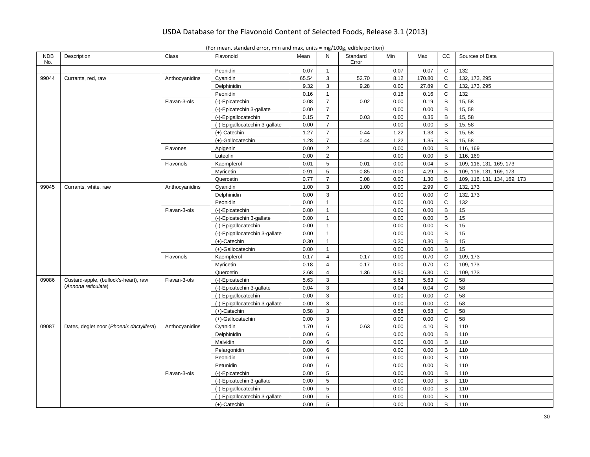|  | (For mean, standard error, min and max, units = $mg/100g$ , edible portion) |
|--|-----------------------------------------------------------------------------|
|  |                                                                             |

| <b>NDB</b><br>No. | Description                              | Class          | Flavonoid                      | Mean  | N               | Standard<br>Error | Min  | Max    | СC             | Sources of Data              |
|-------------------|------------------------------------------|----------------|--------------------------------|-------|-----------------|-------------------|------|--------|----------------|------------------------------|
|                   |                                          |                | Peonidin                       | 0.07  | $\mathbf{1}$    |                   | 0.07 | 0.07   | $\mathsf{C}$   | 132                          |
| 99044             | Currants, red, raw                       | Anthocyanidins | Cyanidin                       | 65.54 | 3               | 52.70             | 8.12 | 170.80 | C              | 132, 173, 295                |
|                   |                                          |                | Delphinidin                    | 9.32  | 3               | 9.28              | 0.00 | 27.89  | C              | 132, 173, 295                |
|                   |                                          |                | Peonidin                       | 0.16  | $\mathbf{1}$    |                   | 0.16 | 0.16   | C              | 132                          |
|                   |                                          | Flavan-3-ols   | (-)-Epicatechin                | 0.08  | $\overline{7}$  | 0.02              | 0.00 | 0.19   | B              | 15,58                        |
|                   |                                          |                | (-)-Epicatechin 3-gallate      | 0.00  | $\overline{7}$  |                   | 0.00 | 0.00   | B              | 15, 58                       |
|                   |                                          |                | (-)-Epigallocatechin           | 0.15  | $\overline{7}$  | 0.03              | 0.00 | 0.36   | B              | 15, 58                       |
|                   |                                          |                | (-)-Epigallocatechin 3-gallate | 0.00  | $\overline{7}$  |                   | 0.00 | 0.00   | B              | 15,58                        |
|                   |                                          |                | (+)-Catechin                   | 1.27  | $\overline{7}$  | 0.44              | 1.22 | 1.33   | B              | 15,58                        |
|                   |                                          |                | (+)-Gallocatechin              | 1.28  | $\overline{7}$  | 0.44              | 1.22 | 1.35   | B              | 15, 58                       |
|                   |                                          | Flavones       | Apigenin                       | 0.00  | $\overline{2}$  |                   | 0.00 | 0.00   | B              | 116, 169                     |
|                   |                                          |                | Luteolin                       | 0.00  | 2               |                   | 0.00 | 0.00   | B              | 116, 169                     |
|                   |                                          | Flavonols      | Kaempferol                     | 0.01  | $5\phantom{.0}$ | 0.01              | 0.00 | 0.04   | $\overline{B}$ | 109, 116, 131, 169, 173      |
|                   |                                          |                | Myricetin                      | 0.91  | $5\phantom{.0}$ | 0.85              | 0.00 | 4.29   | B              | 109, 116, 131, 169, 173      |
|                   |                                          |                | Quercetin                      | 0.77  | $\overline{7}$  | 0.08              | 0.00 | 1.30   | B              | 109, 116, 131, 134, 169, 173 |
| 99045             | Currants, white, raw                     | Anthocyanidins | Cyanidin                       | 1.00  | 3               | 1.00              | 0.00 | 2.99   | $\mathsf{C}$   | 132, 173                     |
|                   |                                          |                | Delphinidin                    | 0.00  | 3               |                   | 0.00 | 0.00   | $\mathsf{C}$   | 132, 173                     |
|                   |                                          |                | Peonidin                       | 0.00  | $\mathbf{1}$    |                   | 0.00 | 0.00   | C              | 132                          |
|                   |                                          | Flavan-3-ols   | (-)-Epicatechin                | 0.00  | $\overline{1}$  |                   | 0.00 | 0.00   | B              | 15                           |
|                   |                                          |                | (-)-Epicatechin 3-gallate      | 0.00  | $\mathbf{1}$    |                   | 0.00 | 0.00   | B              | 15                           |
|                   |                                          |                | (-)-Epigallocatechin           | 0.00  | $\mathbf{1}$    |                   | 0.00 | 0.00   | B              | 15                           |
|                   |                                          |                | (-)-Epigallocatechin 3-gallate | 0.00  | $\mathbf{1}$    |                   | 0.00 | 0.00   | B              | 15                           |
|                   |                                          |                | (+)-Catechin                   | 0.30  | $\mathbf{1}$    |                   | 0.30 | 0.30   | B              | 15                           |
|                   |                                          |                | (+)-Gallocatechin              | 0.00  | $\mathbf{1}$    |                   | 0.00 | 0.00   | B              | 15                           |
|                   |                                          | Flavonols      | Kaempferol                     | 0.17  | $\overline{4}$  | 0.17              | 0.00 | 0.70   | $\mathsf{C}$   | 109, 173                     |
|                   |                                          |                | Myricetin                      | 0.18  | $\overline{4}$  | 0.17              | 0.00 | 0.70   | C              | 109, 173                     |
|                   |                                          |                | Quercetin                      | 2.68  | $\overline{4}$  | 1.36              | 0.50 | 6.30   | C              | 109, 173                     |
| 09086             | Custard-apple, (bullock's-heart), raw    | Flavan-3-ols   | (-)-Epicatechin                | 5.63  | 3               |                   | 5.63 | 5.63   | $\mathbf{C}$   | 58                           |
|                   | (Annona reticulata)                      |                | (-)-Epicatechin 3-gallate      | 0.04  | 3               |                   | 0.04 | 0.04   | $\mathsf{C}$   | 58                           |
|                   |                                          |                | (-)-Epigallocatechin           | 0.00  | $\mathbf{3}$    |                   | 0.00 | 0.00   | $\mathsf{C}$   | 58                           |
|                   |                                          |                | (-)-Epigallocatechin 3-gallate | 0.00  | 3               |                   | 0.00 | 0.00   | $\mathsf{C}$   | 58                           |
|                   |                                          |                | (+)-Catechin                   | 0.58  | $\mathbf{3}$    |                   | 0.58 | 0.58   | $\mathsf{C}$   | 58                           |
|                   |                                          |                | (+)-Gallocatechin              | 0.00  | 3               |                   | 0.00 | 0.00   | C              | 58                           |
| 09087             | Dates, deglet noor (Phoenix dactylifera) | Anthocyanidins | Cyanidin                       | 1.70  | 6               | 0.63              | 0.00 | 4.10   | B              | 110                          |
|                   |                                          |                | Delphinidin                    | 0.00  | 6               |                   | 0.00 | 0.00   | B              | 110                          |
|                   |                                          |                | Malvidin                       | 0.00  | 6               |                   | 0.00 | 0.00   | B              | 110                          |
|                   |                                          |                | Pelargonidin                   | 0.00  | 6               |                   | 0.00 | 0.00   | $\sf B$        | 110                          |
|                   |                                          |                | Peonidin                       | 0.00  | 6               |                   | 0.00 | 0.00   | B              | 110                          |
|                   |                                          |                | Petunidin                      | 0.00  | 6               |                   | 0.00 | 0.00   | B              | 110                          |
|                   |                                          | Flavan-3-ols   | (-)-Epicatechin                | 0.00  | $\,$ 5 $\,$     |                   | 0.00 | 0.00   | B              | 110                          |
|                   |                                          |                | (-)-Epicatechin 3-gallate      | 0.00  | 5               |                   | 0.00 | 0.00   | B              | 110                          |
|                   |                                          |                | (-)-Epigallocatechin           | 0.00  | 5               |                   | 0.00 | 0.00   | B              | 110                          |
|                   |                                          |                | (-)-Epigallocatechin 3-gallate | 0.00  | 5               |                   | 0.00 | 0.00   | B              | 110                          |
|                   |                                          |                | (+)-Catechin                   | 0.00  | 5               |                   | 0.00 | 0.00   | $\overline{B}$ | 110                          |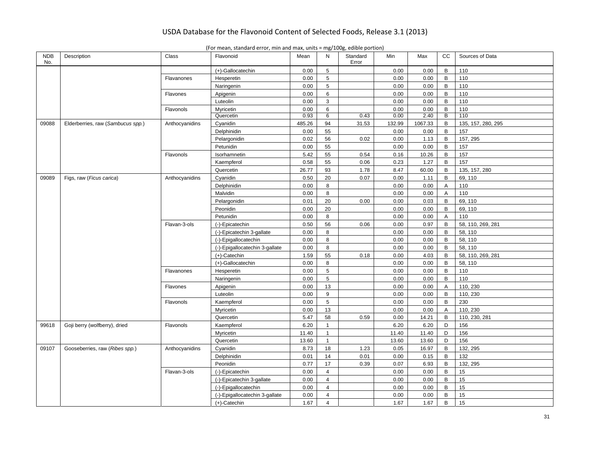| <b>NDB</b><br>No. | Description                       | Class          | Flavonoid                      | Mean   | N               | Standard<br>Error | Min    | Max     | cc             | Sources of Data    |
|-------------------|-----------------------------------|----------------|--------------------------------|--------|-----------------|-------------------|--------|---------|----------------|--------------------|
|                   |                                   |                | (+)-Gallocatechin              | 0.00   | 5               |                   | 0.00   | 0.00    | B              | 110                |
|                   |                                   | Flavanones     | Hesperetin                     | 0.00   | $5\phantom{.0}$ |                   | 0.00   | 0.00    | B              | 110                |
|                   |                                   |                | Naringenin                     | 0.00   | $5\phantom{.0}$ |                   | 0.00   | 0.00    | B              | 110                |
|                   |                                   | Flavones       | Apigenin                       | 0.00   | 6               |                   | 0.00   | 0.00    | B              | 110                |
|                   |                                   |                | Luteolin                       | 0.00   | $\mathsf 3$     |                   | 0.00   | 0.00    | $\, {\bf B}$   | 110                |
|                   |                                   | Flavonols      | Myricetin                      | 0.00   | 6               |                   | 0.00   | 0.00    | $\, {\bf B}$   | 110                |
|                   |                                   |                | Quercetin                      | 0.93   | 6               | 0.43              | 0.00   | 2.40    | $\overline{B}$ | 110                |
| 09088             | Elderberries, raw (Sambucus spp.) | Anthocyanidins | Cyanidin                       | 485.26 | 94              | 31.53             | 132.99 | 1067.33 | B              | 135, 157, 280, 295 |
|                   |                                   |                | Delphinidin                    | 0.00   | 55              |                   | 0.00   | 0.00    | B              | 157                |
|                   |                                   |                | Pelargonidin                   | 0.02   | 56              | 0.02              | 0.00   | 1.13    | B              | 157, 295           |
|                   |                                   |                | Petunidin                      | 0.00   | 55              |                   | 0.00   | 0.00    | B              | 157                |
|                   |                                   | Flavonols      | Isorhamnetin                   | 5.42   | 55              | 0.54              | 0.16   | 10.26   | B              | 157                |
|                   |                                   |                | Kaempferol                     | 0.58   | 55              | 0.06              | 0.23   | 1.27    | B              | 157                |
|                   |                                   |                | Quercetin                      | 26.77  | 93              | 1.78              | 8.47   | 60.00   | B              | 135, 157, 280      |
| 09089             | Figs, raw (Ficus carica)          | Anthocyanidins | Cyanidin                       | 0.50   | 20              | 0.07              | 0.00   | 1.11    | B              | 69, 110            |
|                   |                                   |                | Delphinidin                    | 0.00   | 8               |                   | 0.00   | 0.00    | A              | 110                |
|                   |                                   |                | Malvidin                       | 0.00   | 8               |                   | 0.00   | 0.00    | $\overline{A}$ | 110                |
|                   |                                   |                | Pelargonidin                   | 0.01   | 20              | 0.00              | 0.00   | 0.03    | B              | 69, 110            |
|                   |                                   |                | Peonidin                       | 0.00   | 20              |                   | 0.00   | 0.00    | B              | 69, 110            |
|                   |                                   |                | Petunidin                      | 0.00   | 8               |                   | 0.00   | 0.00    | A              | 110                |
|                   |                                   | Flavan-3-ols   | (-)-Epicatechin                | 0.50   | 56              | 0.06              | 0.00   | 0.97    | B              | 58, 110, 269, 281  |
|                   |                                   |                | (-)-Epicatechin 3-gallate      | 0.00   | 8               |                   | 0.00   | 0.00    | B              | 58, 110            |
|                   |                                   |                | (-)-Epigallocatechin           | 0.00   | 8               |                   | 0.00   | 0.00    | B              | 58, 110            |
|                   |                                   |                | (-)-Epigallocatechin 3-gallate | 0.00   | 8               |                   | 0.00   | 0.00    | B              | 58, 110            |
|                   |                                   |                | (+)-Catechin                   | 1.59   | 55              | 0.18              | 0.00   | 4.03    | B              | 58, 110, 269, 281  |
|                   |                                   |                | (+)-Gallocatechin              | 0.00   | 8               |                   | 0.00   | 0.00    | B              | 58, 110            |
|                   |                                   | Flavanones     | Hesperetin                     | 0.00   | $5\phantom{.0}$ |                   | 0.00   | 0.00    | B              | 110                |
|                   |                                   |                | Naringenin                     | 0.00   | $5\phantom{.0}$ |                   | 0.00   | 0.00    | B              | 110                |
|                   |                                   | Flavones       | Apigenin                       | 0.00   | 13              |                   | 0.00   | 0.00    | $\overline{A}$ | 110, 230           |
|                   |                                   |                | Luteolin                       | 0.00   | 9               |                   | 0.00   | 0.00    | B              | 110, 230           |
|                   |                                   | Flavonols      | Kaempferol                     | 0.00   | $\sqrt{5}$      |                   | 0.00   | 0.00    | B              | 230                |
|                   |                                   |                | Myricetin                      | 0.00   | 13              |                   | 0.00   | 0.00    | A              | 110, 230           |
|                   |                                   |                | Quercetin                      | 5.47   | 58              | 0.59              | 0.00   | 14.21   | B              | 110, 230, 281      |
| 99618             | Goji berry (wolfberry), dried     | Flavonols      | Kaempferol                     | 6.20   | $\mathbf{1}$    |                   | 6.20   | 6.20    | D              | 156                |
|                   |                                   |                | Myricetin                      | 11.40  | $\mathbf{1}$    |                   | 11.40  | 11.40   | D              | 156                |
|                   |                                   |                | Quercetin                      | 13.60  | $\mathbf{1}$    |                   | 13.60  | 13.60   | D              | 156                |
| 09107             | Gooseberries, raw (Ribes spp.)    | Anthocyanidins | Cyanidin                       | 8.73   | 18              | 1.23              | 0.05   | 16.97   | B              | 132, 295           |
|                   |                                   |                | Delphinidin                    | 0.01   | 14              | 0.01              | 0.00   | 0.15    | B              | 132                |
|                   |                                   |                | Peonidin                       | 0.77   | 17              | 0.39              | 0.07   | 6.93    | B              | 132, 295           |
|                   |                                   | Flavan-3-ols   | (-)-Epicatechin                | 0.00   | $\overline{4}$  |                   | 0.00   | 0.00    | $\, {\bf B}$   | 15                 |
|                   |                                   |                | (-)-Epicatechin 3-gallate      | 0.00   | $\overline{4}$  |                   | 0.00   | 0.00    | B              | 15                 |
|                   |                                   |                | (-)-Epigallocatechin           | 0.00   | $\overline{4}$  |                   | 0.00   | 0.00    | B              | 15                 |
|                   |                                   |                | (-)-Epigallocatechin 3-gallate | 0.00   | $\overline{4}$  |                   | 0.00   | 0.00    | $\sf B$        | 15                 |
|                   |                                   |                | $(+)$ -Catechin                | 1.67   | $\overline{4}$  |                   | 1.67   | 1.67    | $\mathsf{B}$   | 15                 |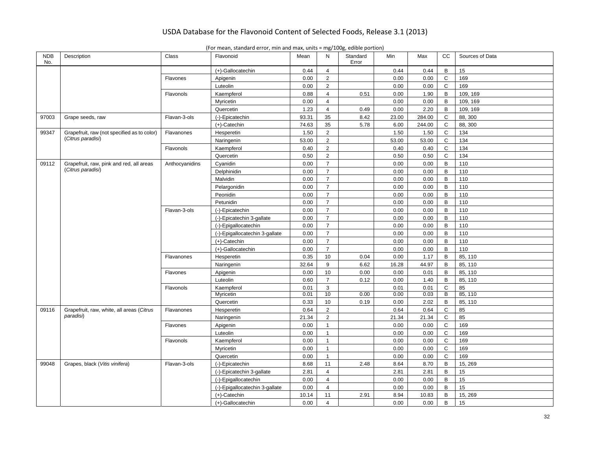| <b>NDB</b><br>No. | Description                                 | Class          | Flavonoid                      | Mean  | N              | Standard<br>Error | Min   | Max      | cc             | Sources of Data |
|-------------------|---------------------------------------------|----------------|--------------------------------|-------|----------------|-------------------|-------|----------|----------------|-----------------|
|                   |                                             |                | (+)-Gallocatechin              | 0.44  | $\overline{4}$ |                   | 0.44  | 0.44     | B              | 15              |
|                   |                                             | Flavones       | Apigenin                       | 0.00  | 2              |                   | 0.00  | 0.00     | C              | 169             |
|                   |                                             |                | Luteolin                       | 0.00  | $\overline{2}$ |                   | 0.00  | 0.00     | $\mathsf{C}$   | 169             |
|                   |                                             | Flavonols      | Kaempferol                     | 0.88  | $\overline{4}$ | 0.51              | 0.00  | 1.90     | B              | 109, 169        |
|                   |                                             |                | Myricetin                      | 0.00  | $\overline{4}$ |                   | 0.00  | 0.00     | B              | 109, 169        |
|                   |                                             |                | Quercetin                      | 1.23  | $\overline{4}$ | 0.49              | 0.00  | 2.20     | B              | 109, 169        |
| 97003             | Grape seeds, raw                            | Flavan-3-ols   | (-)-Epicatechin                | 93.31 | 35             | 8.42              | 23.00 | 284.00   | C              | 88, 300         |
|                   |                                             |                | $(+)$ -Catechin                | 74.63 | 35             | 5.78              | 6.00  | 244.00   | $\mathsf{C}$   | 88, 300         |
| 99347             | Grapefruit, raw (not specified as to color) | Flavanones     | Hesperetin                     | 1.50  | $\overline{2}$ |                   | 1.50  | 1.50     | C              | 134             |
|                   | (Citrus paradisi)                           |                | Naringenin                     | 53.00 | $\overline{2}$ |                   | 53.00 | 53.00    | $\mathbf C$    | 134             |
|                   |                                             | Flavonols      | Kaempferol                     | 0.40  | $\overline{2}$ |                   | 0.40  | $0.40\,$ | $\mathbf C$    | 134             |
|                   |                                             |                | Quercetin                      | 0.50  | $\overline{2}$ |                   | 0.50  | 0.50     | $\mathsf{C}$   | 134             |
| 09112             | Grapefruit, raw, pink and red, all areas    | Anthocyanidins | Cyanidin                       | 0.00  | $\overline{7}$ |                   | 0.00  | 0.00     | B              | 110             |
|                   | (Citrus paradisi)                           |                | Delphinidin                    | 0.00  | $\overline{7}$ |                   | 0.00  | 0.00     | $\sf B$        | 110             |
|                   |                                             |                | Malvidin                       | 0.00  | $\overline{7}$ |                   | 0.00  | 0.00     | B              | 110             |
|                   |                                             |                | Pelargonidin                   | 0.00  | $\overline{7}$ |                   | 0.00  | 0.00     | $\, {\bf B}$   | 110             |
|                   |                                             |                | Peonidin                       | 0.00  | $\overline{7}$ |                   | 0.00  | 0.00     | B              | 110             |
|                   |                                             |                | Petunidin                      | 0.00  | $\overline{7}$ |                   | 0.00  | 0.00     | B              | 110             |
|                   |                                             | Flavan-3-ols   | (-)-Epicatechin                | 0.00  | $\overline{7}$ |                   | 0.00  | 0.00     | $\mathsf{B}$   | 110             |
|                   |                                             |                | (-)-Epicatechin 3-gallate      | 0.00  | $\overline{7}$ |                   | 0.00  | 0.00     | B              | 110             |
|                   |                                             |                | (-)-Epigallocatechin           | 0.00  | $\overline{7}$ |                   | 0.00  | 0.00     | $\mathsf B$    | 110             |
|                   |                                             |                | (-)-Epigallocatechin 3-gallate | 0.00  | $\overline{7}$ |                   | 0.00  | 0.00     | B              | 110             |
|                   |                                             |                | $(+)$ -Catechin                | 0.00  | $\overline{7}$ |                   | 0.00  | 0.00     | B              | 110             |
|                   |                                             |                | (+)-Gallocatechin              | 0.00  | $\overline{7}$ |                   | 0.00  | 0.00     | B              | 110             |
|                   |                                             | Flavanones     | Hesperetin                     | 0.35  | 10             | 0.04              | 0.00  | 1.17     | B              | 85, 110         |
|                   |                                             |                | Naringenin                     | 32.64 | 9              | 6.62              | 16.28 | 44.97    | B              | 85, 110         |
|                   |                                             | Flavones       | Apigenin                       | 0.00  | 10             | 0.00              | 0.00  | 0.01     | $\, {\bf B}$   | 85, 110         |
|                   |                                             |                | Luteolin                       | 0.60  | $\overline{7}$ | 0.12              | 0.00  | 1.40     | B              | 85, 110         |
|                   |                                             | Flavonols      | Kaempferol                     | 0.01  | $\mathbf{3}$   |                   | 0.01  | 0.01     | $\mathbf C$    | 85              |
|                   |                                             |                | Myricetin                      | 0.01  | 10             | 0.00              | 0.00  | 0.03     | $\overline{B}$ | 85, 110         |
|                   |                                             |                | Quercetin                      | 0.33  | 10             | 0.19              | 0.00  | 2.02     | B              | 85, 110         |
| 09116             | Grapefruit, raw, white, all areas (Citrus   | Flavanones     | Hesperetin                     | 0.64  | $\overline{2}$ |                   | 0.64  | 0.64     | $\mathsf{C}$   | 85              |
|                   | paradisi)                                   |                | Naringenin                     | 21.34 | 2              |                   | 21.34 | 21.34    | $\mathsf{C}$   | 85              |
|                   |                                             | Flavones       | Apigenin                       | 0.00  | $\mathbf{1}$   |                   | 0.00  | 0.00     | $\mathsf C$    | 169             |
|                   |                                             |                | Luteolin                       | 0.00  | $\mathbf{1}$   |                   | 0.00  | 0.00     | $\mathbf C$    | 169             |
|                   |                                             | Flavonols      | Kaempferol                     | 0.00  | $\overline{1}$ |                   | 0.00  | 0.00     | $\mathsf{C}$   | 169             |
|                   |                                             |                | Myricetin                      | 0.00  | $\mathbf{1}$   |                   | 0.00  | 0.00     | $\mathsf{C}$   | 169             |
|                   |                                             |                | Quercetin                      | 0.00  | $\mathbf{1}$   |                   | 0.00  | 0.00     | $\mathsf C$    | 169             |
| 99048             | Grapes, black (Vitis vinifera)              | Flavan-3-ols   | (-)-Epicatechin                | 8.68  | 11             | 2.48              | 8.64  | 8.70     | B              | 15, 269         |
|                   |                                             |                | (-)-Epicatechin 3-gallate      | 2.81  | $\overline{4}$ |                   | 2.81  | 2.81     | B              | 15              |
|                   |                                             |                | (-)-Epigallocatechin           | 0.00  | $\overline{4}$ |                   | 0.00  | 0.00     | B              | 15              |
|                   |                                             |                | (-)-Epigallocatechin 3-gallate | 0.00  | $\overline{4}$ |                   | 0.00  | 0.00     | B              | 15              |
|                   |                                             |                | (+)-Catechin                   | 10.14 | 11             | 2.91              | 8.94  | 10.83    | $\sf B$        | 15, 269         |
|                   |                                             |                | (+)-Gallocatechin              | 0.00  | $\overline{4}$ |                   | 0.00  | 0.00     | $\mathsf{B}$   | 15              |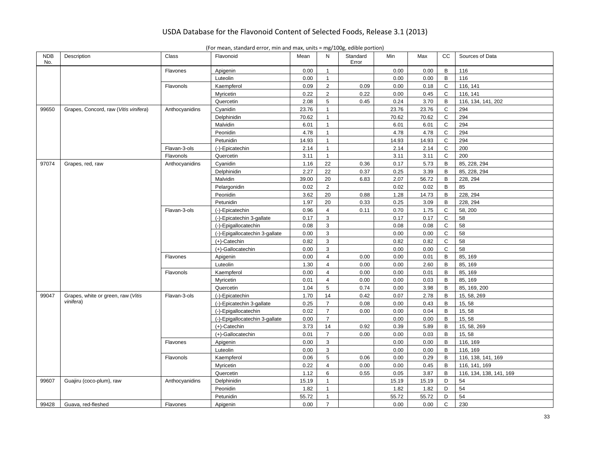| <b>NDB</b><br>No. | Description                           | Class          | Flavonoid                      | Mean  | N               | Standard<br>Error | Min   | Max   | <b>CC</b>    | Sources of Data         |
|-------------------|---------------------------------------|----------------|--------------------------------|-------|-----------------|-------------------|-------|-------|--------------|-------------------------|
|                   |                                       | Flavones       | Apigenin                       | 0.00  | $\mathbf{1}$    |                   | 0.00  | 0.00  | B            | 116                     |
|                   |                                       |                | Luteolin                       | 0.00  | $\mathbf{1}$    |                   | 0.00  | 0.00  | B            | 116                     |
|                   |                                       | Flavonols      | Kaempferol                     | 0.09  | $\overline{2}$  | 0.09              | 0.00  | 0.18  | $\mathbf C$  | 116, 141                |
|                   |                                       |                | Myricetin                      | 0.22  | $\overline{2}$  | 0.22              | 0.00  | 0.45  | $\mathsf C$  | 116, 141                |
|                   |                                       |                | Quercetin                      | 2.08  | $5\phantom{.0}$ | 0.45              | 0.24  | 3.70  | B            | 116, 134, 141, 202      |
| 99650             | Grapes, Concord, raw (Vitis vinifera) | Anthocyanidins | Cyanidin                       | 23.76 | $\mathbf{1}$    |                   | 23.76 | 23.76 | C            | 294                     |
|                   |                                       |                | Delphinidin                    | 70.62 | $\mathbf{1}$    |                   | 70.62 | 70.62 | $\mathsf C$  | 294                     |
|                   |                                       |                | Malvidin                       | 6.01  | $\mathbf{1}$    |                   | 6.01  | 6.01  | $\mathsf{C}$ | 294                     |
|                   |                                       |                | Peonidin                       | 4.78  | $\mathbf{1}$    |                   | 4.78  | 4.78  | $\mathsf C$  | 294                     |
|                   |                                       |                | Petunidin                      | 14.93 | $\mathbf{1}$    |                   | 14.93 | 14.93 | C            | 294                     |
|                   |                                       | Flavan-3-ols   | (-)-Epicatechin                | 2.14  | $\overline{1}$  |                   | 2.14  | 2.14  | $\mathbf C$  | 200                     |
|                   |                                       | Flavonols      | Quercetin                      | 3.11  | $\mathbf{1}$    |                   | 3.11  | 3.11  | $\mathsf{C}$ | 200                     |
| 97074             | Grapes, red, raw                      | Anthocyanidins | Cyanidin                       | 1.16  | 22              | 0.36              | 0.17  | 5.73  | B            | 85, 228, 294            |
|                   |                                       |                | Delphinidin                    | 2.27  | 22              | 0.37              | 0.25  | 3.39  | B            | 85, 228, 294            |
|                   |                                       |                | Malvidin                       | 39.00 | 20              | 6.83              | 2.07  | 56.72 | B            | 228, 294                |
|                   |                                       |                | Pelargonidin                   | 0.02  | $\overline{2}$  |                   | 0.02  | 0.02  | B            | 85                      |
|                   |                                       |                | Peonidin                       | 3.62  | 20              | 0.88              | 1.28  | 14.73 | B            | 228, 294                |
|                   |                                       |                | Petunidin                      | 1.97  | 20              | 0.33              | 0.25  | 3.09  | B            | 228, 294                |
|                   |                                       | Flavan-3-ols   | (-)-Epicatechin                | 0.96  | $\overline{4}$  | 0.11              | 0.70  | 1.75  | $\mathsf C$  | 58, 200                 |
|                   |                                       |                | (-)-Epicatechin 3-gallate      | 0.17  | 3               |                   | 0.17  | 0.17  | $\mathsf C$  | 58                      |
|                   |                                       |                | (-)-Epigallocatechin           | 0.08  | $\mathbf{3}$    |                   | 0.08  | 0.08  | $\mathsf{C}$ | 58                      |
|                   |                                       |                | (-)-Epigallocatechin 3-gallate | 0.00  | 3               |                   | 0.00  | 0.00  | $\mathsf{C}$ | 58                      |
|                   |                                       |                | $(+)$ -Catechin                | 0.82  | 3               |                   | 0.82  | 0.82  | $\mathsf C$  | 58                      |
|                   |                                       |                | (+)-Gallocatechin              | 0.00  | 3               |                   | 0.00  | 0.00  | $\mathsf{C}$ | 58                      |
|                   |                                       | Flavones       | Apigenin                       | 0.00  | $\overline{4}$  | 0.00              | 0.00  | 0.01  | $\, {\bf B}$ | 85, 169                 |
|                   |                                       |                | Luteolin                       | 1.30  | $\overline{4}$  | 0.00              | 0.00  | 2.60  | $\, {\bf B}$ | 85, 169                 |
|                   |                                       | Flavonols      | Kaempferol                     | 0.00  | $\overline{4}$  | 0.00              | 0.00  | 0.01  | B            | 85, 169                 |
|                   |                                       |                | Myricetin                      | 0.01  | $\overline{4}$  | 0.00              | 0.00  | 0.03  | B            | 85, 169                 |
|                   |                                       |                | Quercetin                      | 1.04  | 5               | 0.74              | 0.00  | 3.98  | B            | 85, 169, 200            |
| 99047             | Grapes, white or green, raw (Vitis    | Flavan-3-ols   | (-)-Epicatechin                | 1.70  | 14              | 0.42              | 0.07  | 2.78  | $\, {\bf B}$ | 15, 58, 269             |
|                   | vinifera)                             |                | (-)-Epicatechin 3-gallate      | 0.25  | $\overline{7}$  | 0.08              | 0.00  | 0.43  | B            | 15,58                   |
|                   |                                       |                | (-)-Epigallocatechin           | 0.02  | $\overline{7}$  | 0.00              | 0.00  | 0.04  | B            | 15,58                   |
|                   |                                       |                | (-)-Epigallocatechin 3-gallate | 0.00  | $\overline{7}$  |                   | 0.00  | 0.00  | B            | 15, 58                  |
|                   |                                       |                | $(+)$ -Catechin                | 3.73  | 14              | 0.92              | 0.39  | 5.89  | B            | 15, 58, 269             |
|                   |                                       |                | (+)-Gallocatechin              | 0.01  | $\overline{7}$  | 0.00              | 0.00  | 0.03  | B            | 15,58                   |
|                   |                                       | Flavones       | Apigenin                       | 0.00  | 3               |                   | 0.00  | 0.00  | B            | 116, 169                |
|                   |                                       |                | Luteolin                       | 0.00  | 3               |                   | 0.00  | 0.00  | B            | 116, 169                |
|                   |                                       | Flavonols      | Kaempferol                     | 0.06  | $5\phantom{.0}$ | 0.06              | 0.00  | 0.29  | B            | 116, 138, 141, 169      |
|                   |                                       |                | Myricetin                      | 0.22  | $\overline{4}$  | 0.00              | 0.00  | 0.45  | B            | 116, 141, 169           |
|                   |                                       |                | Quercetin                      | 1.12  | $6\phantom{1}$  | 0.55              | 0.05  | 3.87  | B            | 116, 134, 138, 141, 169 |
| 99607             | Guajiru (coco-plum), raw              | Anthocyanidins | Delphinidin                    | 15.19 | $\mathbf{1}$    |                   | 15.19 | 15.19 | D            | 54                      |
|                   |                                       |                | Peonidin                       | 1.82  | $\overline{1}$  |                   | 1.82  | 1.82  | D            | 54                      |
|                   |                                       |                | Petunidin                      | 55.72 | $\mathbf{1}$    |                   | 55.72 | 55.72 | D            | 54                      |
| 99428             | Guava, red-fleshed                    | Flavones       | Apigenin                       | 0.00  | $\overline{7}$  |                   | 0.00  | 0.00  | $\mathsf{C}$ | 230                     |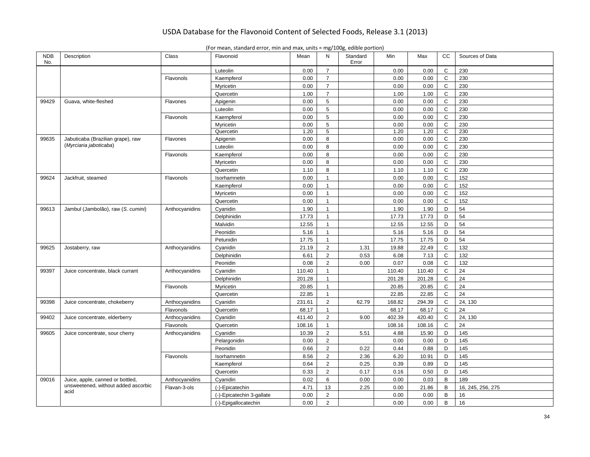| <b>NDB</b><br>No. | Description                         | Class          | Flavonoid                 | Mean   | N              | Standard<br>Error | Min    | Max    | cc           | Sources of Data   |
|-------------------|-------------------------------------|----------------|---------------------------|--------|----------------|-------------------|--------|--------|--------------|-------------------|
|                   |                                     |                | Luteolin                  | 0.00   | $\overline{7}$ |                   | 0.00   | 0.00   | $\mathsf C$  | 230               |
|                   |                                     | Flavonols      | Kaempferol                | 0.00   | $\overline{7}$ |                   | 0.00   | 0.00   | $\mathbf C$  | 230               |
|                   |                                     |                | Myricetin                 | 0.00   | $\overline{7}$ |                   | 0.00   | 0.00   | $\mathsf C$  | 230               |
|                   |                                     |                | Quercetin                 | 1.00   | $\overline{7}$ |                   | 1.00   | 1.00   | $\mathsf{C}$ | 230               |
| 99429             | Guava, white-fleshed                | Flavones       | Apigenin                  | 0.00   | 5              |                   | 0.00   | 0.00   | $\mathsf C$  | 230               |
|                   |                                     |                | Luteolin                  | 0.00   | 5              |                   | 0.00   | 0.00   | $\mathsf{C}$ | 230               |
|                   |                                     | Flavonols      | Kaempferol                | 0.00   | 5              |                   | 0.00   | 0.00   | $\mathsf{C}$ | 230               |
|                   |                                     |                | Myricetin                 | 0.00   | 5              |                   | 0.00   | 0.00   | $\mathsf C$  | 230               |
|                   |                                     |                | Quercetin                 | 1.20   | 5              |                   | 1.20   | 1.20   | C            | 230               |
| 99635             | Jabuticaba (Brazilian grape), raw   | Flavones       | Apigenin                  | 0.00   | 8              |                   | 0.00   | 0.00   | $\mathsf{C}$ | 230               |
|                   | (Myrciaria jaboticaba)              |                | Luteolin                  | 0.00   | 8              |                   | 0.00   | 0.00   | C            | 230               |
|                   |                                     | Flavonols      | Kaempferol                | 0.00   | 8              |                   | 0.00   | 0.00   | $\mathsf C$  | 230               |
|                   |                                     |                | Myricetin                 | 0.00   | 8              |                   | 0.00   | 0.00   | $\mathbf C$  | 230               |
|                   |                                     |                | Quercetin                 | 1.10   | 8              |                   | 1.10   | 1.10   | $\mathsf C$  | 230               |
| 99624             | Jackfruit, steamed                  | Flavonols      | Isorhamnetin              | 0.00   | $\mathbf{1}$   |                   | 0.00   | 0.00   | $\mathsf C$  | 152               |
|                   |                                     |                | Kaempferol                | 0.00   | $\mathbf{1}$   |                   | 0.00   | 0.00   | $\mathbf C$  | 152               |
|                   |                                     |                | Myricetin                 | 0.00   | $\mathbf{1}$   |                   | 0.00   | 0.00   | $\mathbf C$  | 152               |
|                   |                                     |                | Quercetin                 | 0.00   | $\mathbf{1}$   |                   | 0.00   | 0.00   | $\mathsf{C}$ | 152               |
| 99613             | Jambul (Jambolão), raw (S. cumini)  | Anthocyanidins | Cyanidin                  | 1.90   | $\mathbf{1}$   |                   | 1.90   | 1.90   | D            | 54                |
|                   |                                     |                | Delphinidin               | 17.73  | $\mathbf{1}$   |                   | 17.73  | 17.73  | D            | 54                |
|                   |                                     |                | Malvidin                  | 12.55  | $\mathbf{1}$   |                   | 12.55  | 12.55  | D            | 54                |
|                   |                                     |                | Peonidin                  | 5.16   | $\mathbf{1}$   |                   | 5.16   | 5.16   | D            | 54                |
|                   |                                     |                | Petunidin                 | 17.75  | $\mathbf{1}$   |                   | 17.75  | 17.75  | D            | 54                |
| 99625             | Jostaberry, raw                     | Anthocyanidins | Cyanidin                  | 21.19  | $\overline{2}$ | 1.31              | 19.88  | 22.49  | $\mathbf C$  | 132               |
|                   |                                     |                | Delphinidin               | 6.61   | $\overline{2}$ | 0.53              | 6.08   | 7.13   | $\mathsf C$  | 132               |
|                   |                                     |                | Peonidin                  | 0.08   | $\overline{2}$ | 0.00              | 0.07   | 0.08   | $\mathsf{C}$ | 132               |
| 99397             | Juice concentrate, black currant    | Anthocyanidins | Cyanidin                  | 110.40 | $\mathbf{1}$   |                   | 110.40 | 110.40 | $\mathsf C$  | 24                |
|                   |                                     |                | <b>Delphinidin</b>        | 201.28 | $\mathbf{1}$   |                   | 201.28 | 201.28 | $\mathsf C$  | 24                |
|                   |                                     | Flavonols      | Myricetin                 | 20.85  | $\mathbf{1}$   |                   | 20.85  | 20.85  | $\mathsf{C}$ | 24                |
|                   |                                     |                | Quercetin                 | 22.85  | $\mathbf{1}$   |                   | 22.85  | 22.85  | $\mathsf C$  | 24                |
| 99398             | Juice concentrate, chokeberry       | Anthocyanidins | Cyanidin                  | 231.61 | 2              | 62.79             | 168.82 | 294.39 | C            | 24, 130           |
|                   |                                     | Flavonols      | Quercetin                 | 68.17  | $\mathbf{1}$   |                   | 68.17  | 68.17  | $\mathsf{C}$ | 24                |
| 99402             | Juice concentrate, elderberry       | Anthocyanidins | Cyanidin                  | 411.40 | 2              | 9.00              | 402.39 | 420.40 | $\mathsf{C}$ | 24, 130           |
|                   |                                     | Flavonols      | Quercetin                 | 108.16 | $\mathbf{1}$   |                   | 108.16 | 108.16 | C            | 24                |
| 99605             | Juice concentrate, sour cherry      | Anthocyanidins | Cyanidin                  | 10.39  | $\overline{2}$ | 5.51              | 4.88   | 15.90  | D            | 145               |
|                   |                                     |                | Pelargonidin              | 0.00   | $\overline{2}$ |                   | 0.00   | 0.00   | D            | 145               |
|                   |                                     |                | Peonidin                  | 0.66   | $\overline{2}$ | 0.22              | 0.44   | 0.88   | D            | 145               |
|                   |                                     | Flavonols      | Isorhamnetin              | 8.56   | $\overline{2}$ | 2.36              | 6.20   | 10.91  | D            | 145               |
|                   |                                     |                | Kaempferol                | 0.64   | $\overline{2}$ | 0.25              | 0.39   | 0.89   | D            | 145               |
|                   |                                     |                | Quercetin                 | 0.33   | $\overline{2}$ | 0.17              | 0.16   | 0.50   | D            | 145               |
| 09016             | Juice, apple, canned or bottled,    | Anthocyanidins | Cyanidin                  | 0.02   | 6              | 0.00              | 0.00   | 0.03   | B            | 189               |
|                   | unsweetened, without added ascorbic | Flavan-3-ols   | (-)-Epicatechin           | 4.71   | 13             | 2.25              | 0.00   | 21.86  | B            | 16, 245, 256, 275 |
|                   | acid                                |                |                           | 0.00   | $\mathbf 2$    |                   | 0.00   | 0.00   | $\mathsf{B}$ | 16                |
|                   |                                     |                | (-)-Epicatechin 3-gallate | 0.00   | $\overline{2}$ |                   | 0.00   | 0.00   | B            | 16                |
|                   |                                     |                | (-)-Epigallocatechin      |        |                |                   |        |        |              |                   |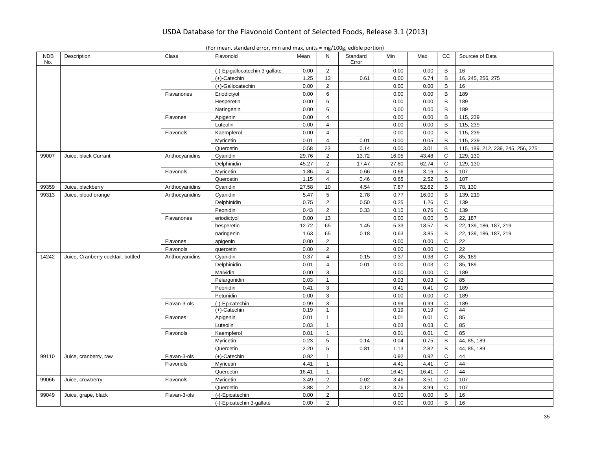| (For mean, standard error, min and max, units = $mg/100g$ , edible portion) |  |  |  |  |  |
|-----------------------------------------------------------------------------|--|--|--|--|--|
|-----------------------------------------------------------------------------|--|--|--|--|--|

| <b>NDB</b><br>No. | Description                        | Class          | Flavonoid                      | Mean  | N               | Standard<br>Error | Min   | Max   | СC           | Sources of Data                   |
|-------------------|------------------------------------|----------------|--------------------------------|-------|-----------------|-------------------|-------|-------|--------------|-----------------------------------|
|                   |                                    |                | (-)-Epigallocatechin 3-gallate | 0.00  | 2               |                   | 0.00  | 0.00  | B            | 16                                |
|                   |                                    |                | (+)-Catechin                   | 1.25  | 13              | 0.61              | 0.00  | 6.74  | B            | 16, 245, 256, 275                 |
|                   |                                    |                | (+)-Gallocatechin              | 0.00  | 2               |                   | 0.00  | 0.00  | B            | 16                                |
|                   |                                    | Flavanones     | Eriodictyol                    | 0.00  | 6               |                   | 0.00  | 0.00  | $\sf B$      | 189                               |
|                   |                                    |                | Hesperetin                     | 0.00  | 6               |                   | 0.00  | 0.00  | B            | 189                               |
|                   |                                    |                | Naringenin                     | 0.00  | 6               |                   | 0.00  | 0.00  | B            | 189                               |
|                   |                                    | Flavones       | Apigenin                       | 0.00  | $\overline{4}$  |                   | 0.00  | 0.00  | B            | 115, 239                          |
|                   |                                    |                | Luteolin                       | 0.00  | $\overline{4}$  |                   | 0.00  | 0.00  | B            | 115, 239                          |
|                   |                                    | Flavonols      | Kaempferol                     | 0.00  | $\overline{4}$  |                   | 0.00  | 0.00  | B            | 115, 239                          |
|                   |                                    |                | Myricetin                      | 0.01  | $\overline{4}$  | 0.01              | 0.00  | 0.05  | B            | 115, 239                          |
|                   |                                    |                | Quercetin                      | 0.58  | 23              | 0.14              | 0.00  | 3.01  | B            | 115, 189, 212, 239, 245, 256, 275 |
| 99007             | Juice, black Currant               | Anthocyanidins | Cyanidin                       | 29.76 | 2               | 13.72             | 16.05 | 43.48 | C            | 129, 130                          |
|                   |                                    |                | Delphinidin                    | 45.27 | $\overline{2}$  | 17.47             | 27.80 | 62.74 | C            | 129, 130                          |
|                   |                                    | Flavonols      | Myricetin                      | 1.86  | $\overline{4}$  | 0.66              | 0.66  | 3.16  | B            | 107                               |
|                   |                                    |                | Quercetin                      | 1.15  | $\overline{4}$  | 0.46              | 0.65  | 2.52  | B            | 107                               |
| 99359             | Juice, blackberry                  | Anthocyanidins | Cyanidin                       | 27.58 | 10              | 4.54              | 7.87  | 52.62 | B            | 78, 130                           |
| 99313             | Juice, blood orange                | Anthocyanidins | Cyanidin                       | 5.47  | $5\phantom{.0}$ | 2.78              | 0.77  | 16.00 | B            | 139, 219                          |
|                   |                                    |                | Delphinidin                    | 0.75  | $\overline{2}$  | 0.50              | 0.25  | 1.26  | $\mathsf{C}$ | 139                               |
|                   |                                    |                | Peonidin                       | 0.43  | 2               | 0.33              | 0.10  | 0.76  | C            | 139                               |
|                   |                                    | Flavanones     | eriodictyol                    | 0.00  | 13              |                   | 0.00  | 0.00  | B            | 22, 187                           |
|                   |                                    |                | hesperetin                     | 12.72 | 65              | 1.45              | 5.33  | 18.57 | B            | 22, 139, 186, 187, 219            |
|                   |                                    |                | naringenin                     | 1.63  | 65              | 0.18              | 0.63  | 3.85  | B            | 22, 139, 186, 187, 219            |
|                   |                                    | Flavones       | apigenin                       | 0.00  | 2               |                   | 0.00  | 0.00  | C            | 22                                |
|                   |                                    | Flavonols      | quercetin                      | 0.00  | $\overline{2}$  |                   | 0.00  | 0.00  | C            | 22                                |
| 14242             | Juice, Cranberry cocktail, bottled | Anthocyanidins | Cyanidin                       | 0.37  | $\overline{4}$  | 0.15              | 0.37  | 0.38  | C            | 85, 189                           |
|                   |                                    |                | Delphinidin                    | 0.01  | $\overline{4}$  | 0.01              | 0.00  | 0.03  | C            | 85, 189                           |
|                   |                                    |                | Malvidin                       | 0.00  | 3               |                   | 0.00  | 0.00  | C            | 189                               |
|                   |                                    |                | Pelargonidin                   | 0.03  | $\mathbf{1}$    |                   | 0.03  | 0.03  | $\mathsf{C}$ | 85                                |
|                   |                                    |                | Peonidin                       | 0.41  | 3               |                   | 0.41  | 0.41  | C            | 189                               |
|                   |                                    |                | Petunidin                      | 0.00  | 3               |                   | 0.00  | 0.00  | C            | 189                               |
|                   |                                    | Flavan-3-ols   | (-)-Epicatechin                | 0.99  | 3               |                   | 0.99  | 0.99  | C            | 189                               |
|                   |                                    |                | (+)-Catechin                   | 0.19  | $\mathbf{1}$    |                   | 0.19  | 0.19  | С            | 44                                |
|                   |                                    | Flavones       | Apigenin                       | 0.01  | $\mathbf{1}$    |                   | 0.01  | 0.01  | C            | 85                                |
|                   |                                    |                | Luteolin                       | 0.03  | $\mathbf{1}$    |                   | 0.03  | 0.03  | $\mathsf{C}$ | 85                                |
|                   |                                    | Flavonols      | Kaempferol                     | 0.01  | $\mathbf{1}$    |                   | 0.01  | 0.01  | C            | 85                                |
|                   |                                    |                | Myricetin                      | 0.23  | 5               | 0.14              | 0.04  | 0.75  | B            | 44, 85, 189                       |
|                   |                                    |                | Quercetin                      | 2.20  | 5               | 0.81              | 1.13  | 2.82  | B            | 44, 85, 189                       |
| 99110             | Juice, cranberry, raw              | Flavan-3-ols   | (+)-Catechin                   | 0.92  | $\mathbf{1}$    |                   | 0.92  | 0.92  | C            | 44                                |
|                   |                                    | Flavonols      | Myricetin                      | 4.41  | $\mathbf{1}$    |                   | 4.41  | 4.41  | $\mathsf{C}$ | 44                                |
|                   |                                    |                | Quercetin                      | 16.41 | $\mathbf{1}$    |                   | 16.41 | 16.41 | C            | 44                                |
| 99066             | Juice, crowberry                   | Flavonols      | Myricetin                      | 3.49  | 2               | 0.02              | 3.46  | 3.51  | $\mathsf{C}$ | 107                               |
|                   |                                    |                | Quercetin                      | 3.88  | $\overline{2}$  | 0.12              | 3.76  | 3.99  | C            | 107                               |
| 99049             | Juice, grape, black                | Flavan-3-ols   | (-)-Epicatechin                | 0.00  | $\overline{2}$  |                   | 0.00  | 0.00  | B            | 16                                |
|                   |                                    |                | (-)-Epicatechin 3-gallate      | 0.00  | $\overline{2}$  |                   | 0.00  | 0.00  | B            | 16                                |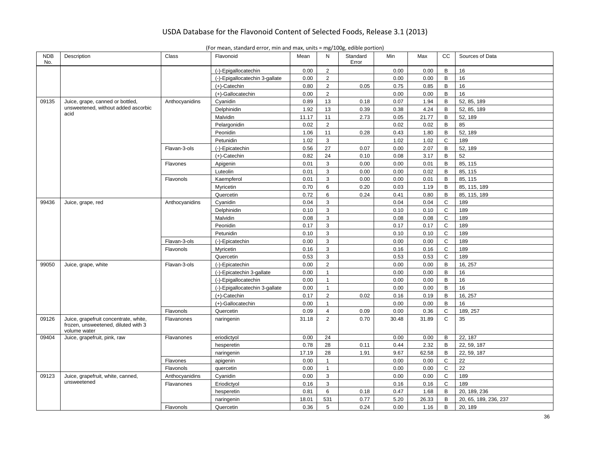| (For mean, standard error, min and max, units $=$ mg/100g, edible portion) |  |  |  |  |  |
|----------------------------------------------------------------------------|--|--|--|--|--|
|----------------------------------------------------------------------------|--|--|--|--|--|

| <b>NDB</b><br>No. | Description                                         | Class          | Flavonoid                      | Mean  | N               | Standard<br>Error | Min   | Max   | CC             | Sources of Data       |
|-------------------|-----------------------------------------------------|----------------|--------------------------------|-------|-----------------|-------------------|-------|-------|----------------|-----------------------|
|                   |                                                     |                | (-)-Epigallocatechin           | 0.00  | 2               |                   | 0.00  | 0.00  | B              | 16                    |
|                   |                                                     |                | (-)-Epigallocatechin 3-gallate | 0.00  | 2               |                   | 0.00  | 0.00  | $\overline{B}$ | 16                    |
|                   |                                                     |                | (+)-Catechin                   | 0.80  | 2               | 0.05              | 0.75  | 0.85  | B              | 16                    |
|                   |                                                     |                | (+)-Gallocatechin              | 0.00  | 2               |                   | 0.00  | 0.00  | B              | 16                    |
| 09135             | Juice, grape, canned or bottled,                    | Anthocyanidins | Cyanidin                       | 0.89  | 13              | 0.18              | 0.07  | 1.94  | B              | 52, 85, 189           |
|                   | unsweetened, without added ascorbic                 |                | Delphinidin                    | 1.92  | 13              | 0.39              | 0.38  | 4.24  | B              | 52, 85, 189           |
|                   | acid                                                |                | Malvidin                       | 11.17 | 11              | 2.73              | 0.05  | 21.77 | B              | 52, 189               |
|                   |                                                     |                | Pelargonidin                   | 0.02  | 2               |                   | 0.02  | 0.02  | B              | 85                    |
|                   |                                                     |                | Peonidin                       | 1.06  | 11              | 0.28              | 0.43  | 1.80  | $\mathsf{B}$   | 52, 189               |
|                   |                                                     |                | Petunidin                      | 1.02  | $\mathbf{3}$    |                   | 1.02  | 1.02  | $\mathsf{C}$   | 189                   |
|                   |                                                     | Flavan-3-ols   | (-)-Epicatechin                | 0.56  | 27              | 0.07              | 0.00  | 2.07  | $\,$ B         | 52, 189               |
|                   |                                                     |                | (+)-Catechin                   | 0.82  | 24              | 0.10              | 0.08  | 3.17  | B              | 52                    |
|                   |                                                     | Flavones       | Apigenin                       | 0.01  | $\mathbf{3}$    | 0.00              | 0.00  | 0.01  | $\sf B$        | 85, 115               |
|                   |                                                     |                | Luteolin                       | 0.01  | 3               | 0.00              | 0.00  | 0.02  | $\sf B$        | 85, 115               |
|                   |                                                     | Flavonols      | Kaempferol                     | 0.01  | 3               | 0.00              | 0.00  | 0.01  | B              | 85, 115               |
|                   |                                                     |                | Myricetin                      | 0.70  | 6               | 0.20              | 0.03  | 1.19  | B              | 85, 115, 189          |
|                   |                                                     |                | Quercetin                      | 0.72  | 6               | 0.24              | 0.41  | 0.80  | B              | 85, 115, 189          |
| 99436             | Juice, grape, red                                   | Anthocyanidins | Cyanidin                       | 0.04  | 3               |                   | 0.04  | 0.04  | $\mathsf{C}$   | 189                   |
|                   |                                                     |                | Delphinidin                    | 0.10  | 3               |                   | 0.10  | 0.10  | $\mathsf{C}$   | 189                   |
|                   |                                                     |                | Malvidin                       | 0.08  | 3               |                   | 0.08  | 0.08  | $\mathsf{C}$   | 189                   |
|                   |                                                     |                | Peonidin                       | 0.17  | 3               |                   | 0.17  | 0.17  | $\mathsf{C}$   | 189                   |
|                   |                                                     |                | Petunidin                      | 0.10  | 3               |                   | 0.10  | 0.10  | $\mathsf{C}$   | 189                   |
|                   |                                                     | Flavan-3-ols   | (-)-Epicatechin                | 0.00  | 3               |                   | 0.00  | 0.00  | C              | 189                   |
|                   |                                                     | Flavonols      | Myricetin                      | 0.16  | 3               |                   | 0.16  | 0.16  | C              | 189                   |
|                   |                                                     |                | Quercetin                      | 0.53  | 3               |                   | 0.53  | 0.53  | $\mathsf{C}$   | 189                   |
| 99050             | Juice, grape, white                                 | Flavan-3-ols   | (-)-Epicatechin                | 0.00  | 2               |                   | 0.00  | 0.00  | B              | 16, 257               |
|                   |                                                     |                | (-)-Epicatechin 3-gallate      | 0.00  | $\mathbf{1}$    |                   | 0.00  | 0.00  | B              | 16                    |
|                   |                                                     |                | (-)-Epigallocatechin           | 0.00  | $\mathbf{1}$    |                   | 0.00  | 0.00  | B              | 16                    |
|                   |                                                     |                | (-)-Epigallocatechin 3-gallate | 0.00  | $\mathbf{1}$    |                   | 0.00  | 0.00  | $\overline{B}$ | 16                    |
|                   |                                                     |                | (+)-Catechin                   | 0.17  | 2               | 0.02              | 0.16  | 0.19  | B              | 16, 257               |
|                   |                                                     |                | (+)-Gallocatechin              | 0.00  | $\mathbf{1}$    |                   | 0.00  | 0.00  | B              | 16                    |
|                   |                                                     | Flavonols      | Quercetin                      | 0.09  | $\overline{4}$  | 0.09              | 0.00  | 0.36  | $\mathbf C$    | 189, 257              |
| 09126             | Juice, grapefruit concentrate, white,               | Flavanones     | naringenin                     | 31.18 | $\overline{2}$  | 0.70              | 30.48 | 31.89 | C              | 35                    |
|                   | frozen, unsweetened, diluted with 3<br>volume water |                |                                |       |                 |                   |       |       |                |                       |
| 09404             | Juice, grapefruit, pink, raw                        | Flavanones     | eriodictyol                    | 0.00  | $\overline{24}$ |                   | 0.00  | 0.00  | B              | 22, 187               |
|                   |                                                     |                | hesperetin                     | 0.78  | 28              | 0.11              | 0.44  | 2.32  | B              | 22, 59, 187           |
|                   |                                                     |                | naringenin                     | 17.19 | 28              | 1.91              | 9.67  | 62.58 | B              | 22, 59, 187           |
|                   |                                                     | Flavones       | apigenin                       | 0.00  | $\mathbf{1}$    |                   | 0.00  | 0.00  | C              | 22                    |
|                   |                                                     | Flavonols      | quercetin                      | 0.00  | $\mathbf{1}$    |                   | 0.00  | 0.00  | C              | 22                    |
| 09123             | Juice, grapefruit, white, canned,                   | Anthocyanidins | Cyanidin                       | 0.00  | 3               |                   | 0.00  | 0.00  | C              | 189                   |
|                   | unsweetened                                         | Flavanones     | Eriodictyol                    | 0.16  | 3               |                   | 0.16  | 0.16  | $\mathsf{C}$   | 189                   |
|                   |                                                     |                | hesperetin                     | 0.81  | 6               | 0.18              | 0.47  | 1.68  | B              | 20, 189, 236          |
|                   |                                                     |                | naringenin                     | 18.01 | 531             | 0.77              | 5.20  | 26.33 | B              | 20, 65, 189, 236, 237 |
|                   |                                                     | Flavonols      | Quercetin                      | 0.36  | 5               | 0.24              | 0.00  | 1.16  | B              | 20, 189               |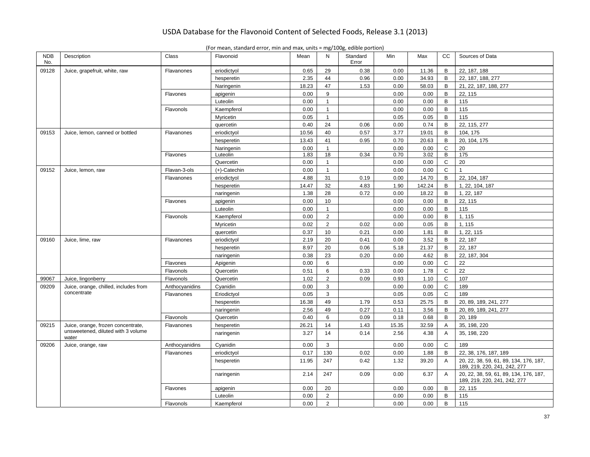| <b>NDB</b><br>No. | Description                                 | Class          | Flavonoid       | Mean  | N              | Standard<br>Error | Min   | Max    | cc             | Sources of Data                                                        |
|-------------------|---------------------------------------------|----------------|-----------------|-------|----------------|-------------------|-------|--------|----------------|------------------------------------------------------------------------|
| 09128             | Juice, grapefruit, white, raw               | Flavanones     | eriodictyol     | 0.65  | 29             | 0.38              | 0.00  | 11.36  | B              | 22, 187, 188                                                           |
|                   |                                             |                | hesperetin      | 2.35  | 44             | 0.96              | 0.00  | 34.93  | B              | 22, 187, 188, 277                                                      |
|                   |                                             |                | Naringenin      | 18.23 | 47             | 1.53              | 0.00  | 58.03  | B              | 21, 22, 187, 188, 277                                                  |
|                   |                                             | Flavones       | apigenin        | 0.00  | 9              |                   | 0.00  | 0.00   | B              | 22, 115                                                                |
|                   |                                             |                | Luteolin        | 0.00  | $\mathbf{1}$   |                   | 0.00  | 0.00   | B              | 115                                                                    |
|                   |                                             | Flavonols      | Kaempferol      | 0.00  | $\mathbf{1}$   |                   | 0.00  | 0.00   | B              | 115                                                                    |
|                   |                                             |                | Myricetin       | 0.05  | $\mathbf{1}$   |                   | 0.05  | 0.05   | B              | 115                                                                    |
|                   |                                             |                | quercetin       | 0.40  | 24             | 0.06              | 0.00  | 0.74   | B              | 22, 115, 277                                                           |
| 09153             | Juice, lemon, canned or bottled             | Flavanones     | eriodictyol     | 10.56 | 40             | 0.57              | 3.77  | 19.01  | B              | 104, 175                                                               |
|                   |                                             |                | hesperetin      | 13.43 | 41             | 0.95              | 0.70  | 20.63  | B              | 20, 104, 175                                                           |
|                   |                                             |                | Naringenin      | 0.00  | $\mathbf{1}$   |                   | 0.00  | 0.00   | $\mathsf{C}$   | 20                                                                     |
|                   |                                             | Flavones       | Luteolin        | 1.83  | 18             | 0.34              | 0.70  | 3.02   | $\overline{B}$ | 175                                                                    |
|                   |                                             |                | Quercetin       | 0.00  | $\mathbf{1}$   |                   | 0.00  | 0.00   | $\mathbf C$    | 20                                                                     |
| 09152             | Juice, lemon, raw                           | Flavan-3-ols   | $(+)$ -Catechin | 0.00  | $\mathbf{1}$   |                   | 0.00  | 0.00   | $\mathsf{C}$   | 1                                                                      |
|                   |                                             | Flavanones     | eriodictyol     | 4.88  | 31             | 0.19              | 0.00  | 14.70  | $\, {\bf B}$   | 22, 104, 187                                                           |
|                   |                                             |                | hesperetin      | 14.47 | 32             | 4.83              | 1.90  | 142.24 | B              | 1, 22, 104, 187                                                        |
|                   |                                             |                | naringenin      | 1.38  | 28             | 0.72              | 0.00  | 18.22  | B              | 1, 22, 187                                                             |
|                   |                                             | Flavones       | apigenin        | 0.00  | 10             |                   | 0.00  | 0.00   | B              | 22, 115                                                                |
|                   |                                             |                | Luteolin        | 0.00  | $\mathbf{1}$   |                   | 0.00  | 0.00   | $\, {\bf B}$   | 115                                                                    |
|                   |                                             | Flavonols      | Kaempferol      | 0.00  | $\overline{2}$ |                   | 0.00  | 0.00   | B              | 1, 115                                                                 |
|                   |                                             |                | Myricetin       | 0.02  | $\overline{2}$ | 0.02              | 0.00  | 0.05   | B              | 1, 115                                                                 |
|                   |                                             |                | quercetin       | 0.37  | 10             | 0.21              | 0.00  | 1.81   | B              | 1, 22, 115                                                             |
| 09160             | Juice, lime, raw                            | Flavanones     | eriodictyol     | 2.19  | 20             | 0.41              | 0.00  | 3.52   | $\mathsf{B}$   | 22, 187                                                                |
|                   |                                             |                | hesperetin      | 8.97  | 20             | 0.06              | 5.18  | 21.37  | B              | 22, 187                                                                |
|                   |                                             |                | naringenin      | 0.38  | 23             | 0.20              | 0.00  | 4.62   | B              | 22, 187, 304                                                           |
|                   |                                             | Flavones       | Apigenin        | 0.00  | 6              |                   | 0.00  | 0.00   | $\mathsf C$    | 22                                                                     |
|                   |                                             | Flavonols      | Quercetin       | 0.51  | 6              | 0.33              | 0.00  | 1.78   | $\mathsf{C}$   | 22                                                                     |
| 99067             | Juice, lingonberry                          | Flavonols      | Quercetin       | 1.02  | $\overline{2}$ | 0.09              | 0.93  | 1.10   | $\mathsf{C}$   | 107                                                                    |
| 09209             | Juice, orange, chilled, includes from       | Anthocyanidins | Cyanidin        | 0.00  | 3              |                   | 0.00  | 0.00   | $\mathsf C$    | 189                                                                    |
|                   | concentrate                                 | Flavanones     | Eriodictyol     | 0.05  | 3              |                   | 0.05  | 0.05   | C              | 189                                                                    |
|                   |                                             |                | hesperetin      | 16.38 | 49             | 1.79              | 0.53  | 25.75  | $\mathsf{B}$   | 20, 89, 189, 241, 277                                                  |
|                   |                                             |                | naringenin      | 2.56  | 49             | 0.27              | 0.11  | 3.56   | B              | 20, 89, 189, 241, 277                                                  |
|                   |                                             | Flavonols      | Quercetin       | 0.40  | 6              | 0.09              | 0.18  | 0.68   | B              | 20, 189                                                                |
| 09215             | Juice, orange, frozen concentrate,          | Flavanones     | hesperetin      | 26.21 | 14             | 1.43              | 15.35 | 32.59  | Α              | 35, 198, 220                                                           |
|                   | unsweetened, diluted with 3 volume<br>water |                | naringenin      | 3.27  | 14             | 0.14              | 2.56  | 4.38   | Α              | 35, 198, 220                                                           |
| 09206             | Juice, orange, raw                          | Anthocyanidins | Cyanidin        | 0.00  | 3              |                   | 0.00  | 0.00   | $\mathsf C$    | 189                                                                    |
|                   |                                             | Flavanones     | eriodictyol     | 0.17  | 130            | 0.02              | 0.00  | 1.88   | В              | 22, 38, 176, 187, 189                                                  |
|                   |                                             |                | hesperetin      | 11.95 | 247            | 0.42              | 1.32  | 39.20  | $\mathsf{A}$   | 20, 22, 38, 59, 61, 89, 134, 176, 187,<br>189, 219, 220, 241, 242, 277 |
|                   |                                             |                | naringenin      | 2.14  | 247            | 0.09              | 0.00  | 6.37   | $\mathsf{A}$   | 20, 22, 38, 59, 61, 89, 134, 176, 187,<br>189, 219, 220, 241, 242, 277 |
|                   |                                             | Flavones       | apigenin        | 0.00  | 20             |                   | 0.00  | 0.00   | B              | 22, 115                                                                |
|                   |                                             |                | Luteolin        | 0.00  | $\overline{2}$ |                   | 0.00  | 0.00   | B              | 115                                                                    |
|                   |                                             | Flavonols      | Kaempferol      | 0.00  | $\overline{2}$ |                   | 0.00  | 0.00   | B              | 115                                                                    |
|                   |                                             |                |                 |       |                |                   |       |        |                |                                                                        |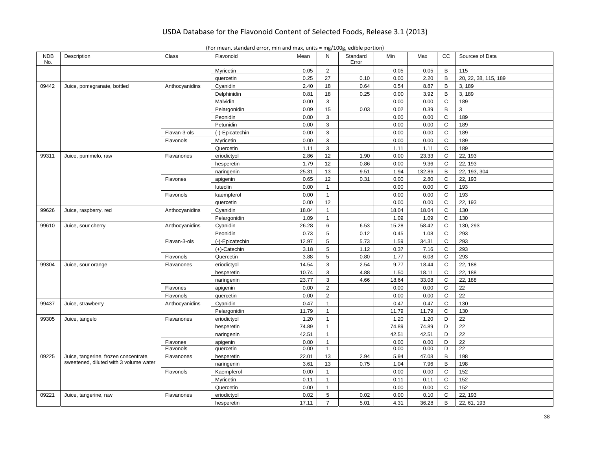| <b>NDB</b><br>No. | Description                            | Class          | Flavonoid       | Mean  | N               | Standard<br>Error | Min   | Max    | СC           | Sources of Data      |
|-------------------|----------------------------------------|----------------|-----------------|-------|-----------------|-------------------|-------|--------|--------------|----------------------|
|                   |                                        |                | Myricetin       | 0.05  | 2               |                   | 0.05  | 0.05   | B            | 115                  |
|                   |                                        |                | quercetin       | 0.25  | 27              | 0.10              | 0.00  | 2.20   | B            | 20, 22, 38, 115, 189 |
| 09442             | Juice, pomegranate, bottled            | Anthocyanidins | Cyanidin        | 2.40  | 18              | 0.64              | 0.54  | 8.87   | B            | 3, 189               |
|                   |                                        |                | Delphinidin     | 0.81  | 18              | 0.25              | 0.00  | 3.92   | B            | 3, 189               |
|                   |                                        |                | Malvidin        | 0.00  | $\mathbf{3}$    |                   | 0.00  | 0.00   | C            | 189                  |
|                   |                                        |                | Pelargonidin    | 0.09  | 15              | 0.03              | 0.02  | 0.39   | B            | 3                    |
|                   |                                        |                | Peonidin        | 0.00  | 3               |                   | 0.00  | 0.00   | C            | 189                  |
|                   |                                        |                | Petunidin       | 0.00  | 3               |                   | 0.00  | 0.00   | C            | 189                  |
|                   |                                        | Flavan-3-ols   | (-)-Epicatechin | 0.00  | $\mathbf{3}$    |                   | 0.00  | 0.00   | C            | 189                  |
|                   |                                        | Flavonols      | Myricetin       | 0.00  | 3               |                   | 0.00  | 0.00   | C            | 189                  |
|                   |                                        |                | Quercetin       | 1.11  | 3               |                   | 1.11  | 1.11   | C            | 189                  |
| 99311             | Juice, pummelo, raw                    | Flavanones     | eriodictyol     | 2.86  | 12              | 1.90              | 0.00  | 23.33  | $\mathbf C$  | 22, 193              |
|                   |                                        |                | hesperetin      | 1.79  | 12              | 0.86              | 0.00  | 9.36   | C            | 22, 193              |
|                   |                                        |                | naringenin      | 25.31 | 13              | 9.51              | 1.94  | 132.86 | B            | 22, 193, 304         |
|                   |                                        | Flavones       | apigenin        | 0.65  | 12              | 0.31              | 0.00  | 2.80   | C            | 22, 193              |
|                   |                                        |                | luteolin        | 0.00  | $\mathbf{1}$    |                   | 0.00  | 0.00   | C            | 193                  |
|                   |                                        | Flavonols      | kaempferol      | 0.00  | $\mathbf{1}$    |                   | 0.00  | 0.00   | C            | 193                  |
|                   |                                        |                | quercetin       | 0.00  | 12              |                   | 0.00  | 0.00   | С            | 22, 193              |
| 99626             | Juice, raspberry, red                  | Anthocyanidins | Cyanidin        | 18.04 | $\mathbf{1}$    |                   | 18.04 | 18.04  | C            | 130                  |
|                   |                                        |                | Pelargonidin    | 1.09  | $\mathbf{1}$    |                   | 1.09  | 1.09   | C            | 130                  |
| 99610             | Juice, sour cherry                     | Anthocyanidins | Cyanidin        | 26.28 | $\,6\,$         | 6.53              | 15.28 | 58.42  | $\mathsf{C}$ | 130, 293             |
|                   |                                        |                | Peonidin        | 0.73  | 5               | 0.12              | 0.45  | 1.08   | C            | 293                  |
|                   |                                        | Flavan-3-ols   | (-)-Epicatechin | 12.97 | $5\phantom{.0}$ | 5.73              | 1.59  | 34.31  | C            | 293                  |
|                   |                                        |                | $(+)$ -Catechin | 3.18  | $5\phantom{.0}$ | 1.12              | 0.37  | 7.16   | C            | 293                  |
|                   |                                        | Flavonols      | Quercetin       | 3.88  | 5               | 0.80              | 1.77  | 6.08   | C            | 293                  |
| 99304             | Juice, sour orange                     | Flavanones     | eriodictyol     | 14.54 | 3               | 2.54              | 9.77  | 18.44  | C            | 22, 188              |
|                   |                                        |                | hesperetin      | 10.74 | 3               | 4.88              | 1.50  | 18.11  | C            | 22, 188              |
|                   |                                        |                | naringenin      | 23.77 | 3               | 4.66              | 18.64 | 33.08  | C            | 22, 188              |
|                   |                                        | Flavones       | apigenin        | 0.00  | $\overline{2}$  |                   | 0.00  | 0.00   | $\mathbf C$  | 22                   |
|                   |                                        | Flavonols      | quercetin       | 0.00  | $\overline{2}$  |                   | 0.00  | 0.00   | C            | 22                   |
| 99437             | Juice, strawberry                      | Anthocyanidins | Cyanidin        | 0.47  | $\mathbf{1}$    |                   | 0.47  | 0.47   | C            | 130                  |
|                   |                                        |                | Pelargonidin    | 11.79 | $\mathbf{1}$    |                   | 11.79 | 11.79  | C            | 130                  |
| 99305             | Juice, tangelo                         | Flavanones     | eriodictyol     | 1.20  | $\mathbf{1}$    |                   | 1.20  | 1.20   | D            | 22                   |
|                   |                                        |                | hesperetin      | 74.89 | $\mathbf{1}$    |                   | 74.89 | 74.89  | D            | 22                   |
|                   |                                        |                | naringenin      | 42.51 | $\mathbf{1}$    |                   | 42.51 | 42.51  | D            | 22                   |
|                   |                                        | Flavones       | apigenin        | 0.00  | $\mathbf{1}$    |                   | 0.00  | 0.00   | D            | 22                   |
|                   |                                        | Flavonols      | quercetin       | 0.00  | $\mathbf{1}$    |                   | 0.00  | 0.00   | D            | $\overline{22}$      |
| 09225             | Juice, tangerine, frozen concentrate,  | Flavanones     | hesperetin      | 22.01 | 13              | 2.94              | 5.94  | 47.08  | B            | 198                  |
|                   | sweetened, diluted with 3 volume water |                | naringenin      | 3.61  | 13              | 0.75              | 1.04  | 7.96   | B            | 198                  |
|                   |                                        | Flavonols      | Kaempferol      | 0.00  | $\mathbf{1}$    |                   | 0.00  | 0.00   | C            | 152                  |
|                   |                                        |                | Myricetin       | 0.11  | $\mathbf{1}$    |                   | 0.11  | 0.11   | C            | 152                  |
|                   |                                        |                | Quercetin       | 0.00  | $\overline{1}$  |                   | 0.00  | 0.00   | C            | 152                  |
| 09221             | Juice, tangerine, raw                  | Flavanones     | eriodictyol     | 0.02  | 5               | 0.02              | 0.00  | 0.10   | C            | 22, 193              |
|                   |                                        |                | hesperetin      | 17.11 | $\overline{7}$  | 5.01              | 4.31  | 36.28  | B            | 22, 61, 193          |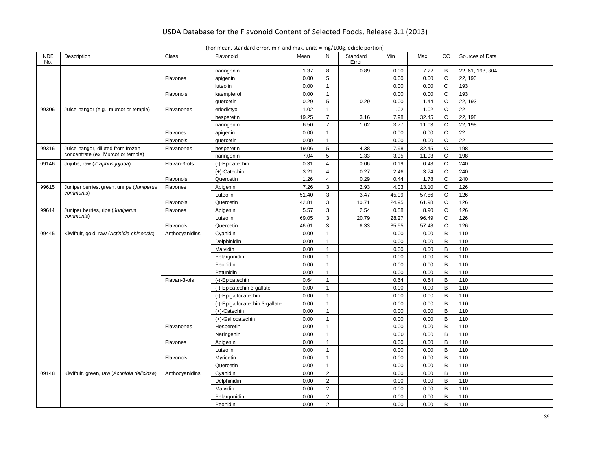| <b>NDB</b><br>No. | Description                                 | Class          | Flavonoid                      | Mean  | N               | Standard<br>Error | Min   | Max   | cc             | Sources of Data  |
|-------------------|---------------------------------------------|----------------|--------------------------------|-------|-----------------|-------------------|-------|-------|----------------|------------------|
|                   |                                             |                | naringenin                     | 1.37  | 8               | 0.89              | 0.00  | 7.22  | B              | 22, 61, 193, 304 |
|                   |                                             | Flavones       | apigenin                       | 0.00  | 5               |                   | 0.00  | 0.00  | $\mathsf{C}$   | 22, 193          |
|                   |                                             |                | luteolin                       | 0.00  | $\mathbf{1}$    |                   | 0.00  | 0.00  | $\mathsf{C}$   | 193              |
|                   |                                             | Flavonols      | kaempferol                     | 0.00  | $\mathbf{1}$    |                   | 0.00  | 0.00  | $\mathsf{C}$   | 193              |
|                   |                                             |                | quercetin                      | 0.29  | $5\phantom{.0}$ | 0.29              | 0.00  | 1.44  | C              | 22, 193          |
| 99306             | Juice, tangor (e.g., murcot or temple)      | Flavanones     | eriodictyol                    | 1.02  | $\overline{1}$  |                   | 1.02  | 1.02  | $\mathsf{C}$   | 22               |
|                   |                                             |                | hesperetin                     | 19.25 | $\overline{7}$  | 3.16              | 7.98  | 32.45 | $\mathsf{C}$   | 22, 198          |
|                   |                                             |                | naringenin                     | 6.50  | $\overline{7}$  | 1.02              | 3.77  | 11.03 | $\mathsf{C}$   | 22, 198          |
|                   |                                             | Flavones       | apigenin                       | 0.00  | $\mathbf{1}$    |                   | 0.00  | 0.00  | C              | 22               |
|                   |                                             | Flavonols      | quercetin                      | 0.00  | $\mathbf{1}$    |                   | 0.00  | 0.00  | $\mathsf{C}$   | 22               |
| 99316             | Juice, tangor, diluted from frozen          | Flavanones     | hesperetin                     | 19.06 | $5\overline{5}$ | 4.38              | 7.98  | 32.45 | $\mathbf C$    | 198              |
|                   | concentrate (ex. Murcot or temple)          |                | naringenin                     | 7.04  | 5               | 1.33              | 3.95  | 11.03 | $\mathsf C$    | 198              |
| 09146             | Jujube, raw (Ziziphus jujuba)               | Flavan-3-ols   | (-)-Epicatechin                | 0.31  | $\overline{4}$  | 0.06              | 0.19  | 0.48  | $\mathsf C$    | 240              |
|                   |                                             |                | $(+)$ -Catechin                | 3.21  | $\overline{4}$  | 0.27              | 2.46  | 3.74  | $\mathbf C$    | 240              |
|                   |                                             | Flavonols      | Quercetin                      | 1.26  | $\overline{4}$  | 0.29              | 0.44  | 1.78  | $\mathsf C$    | 240              |
| 99615             | Juniper berries, green, unripe (Juniperus   | Flavones       | Apigenin                       | 7.26  | 3               | 2.93              | 4.03  | 13.10 | $\mathsf C$    | 126              |
|                   | communis)                                   |                | Luteolin                       | 51.40 | 3               | 3.47              | 45.99 | 57.86 | $\mathsf{C}$   | 126              |
|                   |                                             | Flavonols      | Quercetin                      | 42.81 | $\mathbf{3}$    | 10.71             | 24.95 | 61.98 | $\mathbf C$    | 126              |
| 99614             | Juniper berries, ripe (Juniperus            | Flavones       | Apigenin                       | 5.57  | 3               | 2.54              | 0.58  | 8.90  | $\mathbf C$    | 126              |
|                   | communis)                                   |                | Luteolin                       | 69.05 | 3               | 20.79             | 28.27 | 96.49 | $\mathsf{C}$   | 126              |
|                   |                                             | Flavonols      | Quercetin                      | 46.61 | 3               | 6.33              | 35.55 | 57.48 | $\mathsf{C}$   | 126              |
| 09445             | Kiwifruit, gold, raw (Actinidia chinensis)  | Anthocyanidins | Cyanidin                       | 0.00  | $\mathbf{1}$    |                   | 0.00  | 0.00  | B              | 110              |
|                   |                                             |                | Delphinidin                    | 0.00  | $\overline{1}$  |                   | 0.00  | 0.00  | B              | 110              |
|                   |                                             |                | Malvidin                       | 0.00  | $\overline{1}$  |                   | 0.00  | 0.00  | $\, {\bf B}$   | 110              |
|                   |                                             |                | Pelargonidin                   | 0.00  | $\mathbf{1}$    |                   | 0.00  | 0.00  | B              | 110              |
|                   |                                             |                | Peonidin                       | 0.00  | $\overline{1}$  |                   | 0.00  | 0.00  | $\, {\bf B}$   | 110              |
|                   |                                             |                | Petunidin                      | 0.00  | $\mathbf{1}$    |                   | 0.00  | 0.00  | $\, {\bf B}$   | 110              |
|                   |                                             | Flavan-3-ols   | (-)-Epicatechin                | 0.64  | $\overline{1}$  |                   | 0.64  | 0.64  | $\, {\bf B}$   | 110              |
|                   |                                             |                | (-)-Epicatechin 3-gallate      | 0.00  | $\mathbf{1}$    |                   | 0.00  | 0.00  | B              | 110              |
|                   |                                             |                | (-)-Epigallocatechin           | 0.00  | $\mathbf{1}$    |                   | 0.00  | 0.00  | $\, {\bf B}$   | 110              |
|                   |                                             |                | (-)-Epigallocatechin 3-gallate | 0.00  | $\mathbf{1}$    |                   | 0.00  | 0.00  | B              | 110              |
|                   |                                             |                | $(+)$ -Catechin                | 0.00  | $\mathbf{1}$    |                   | 0.00  | 0.00  | $\overline{B}$ | 110              |
|                   |                                             |                | (+)-Gallocatechin              | 0.00  | $\mathbf{1}$    |                   | 0.00  | 0.00  | B              | 110              |
|                   |                                             | Flavanones     | Hesperetin                     | 0.00  | $\overline{1}$  |                   | 0.00  | 0.00  | $\, {\bf B}$   | 110              |
|                   |                                             |                | Naringenin                     | 0.00  | $\mathbf{1}$    |                   | 0.00  | 0.00  | $\, {\bf B}$   | 110              |
|                   |                                             | Flavones       | Apigenin                       | 0.00  | $\mathbf{1}$    |                   | 0.00  | 0.00  | $\overline{B}$ | 110              |
|                   |                                             |                | Luteolin                       | 0.00  | $\mathbf{1}$    |                   | 0.00  | 0.00  | B              | 110              |
|                   |                                             | Flavonols      | Myricetin                      | 0.00  | $\mathbf{1}$    |                   | 0.00  | 0.00  | $\, {\bf B}$   | 110              |
|                   |                                             |                | Quercetin                      | 0.00  | $\mathbf{1}$    |                   | 0.00  | 0.00  | $\mathsf B$    | 110              |
| 09148             | Kiwifruit, green, raw (Actinidia deliciosa) | Anthocyanidins | Cyanidin                       | 0.00  | $\overline{2}$  |                   | 0.00  | 0.00  | $\overline{B}$ | 110              |
|                   |                                             |                | Delphinidin                    | 0.00  | 2               |                   | 0.00  | 0.00  | B              | 110              |
|                   |                                             |                | Malvidin                       | 0.00  | $\overline{2}$  |                   | 0.00  | 0.00  | $\, {\bf B}$   | 110              |
|                   |                                             |                | Pelargonidin                   | 0.00  | $\overline{2}$  |                   | 0.00  | 0.00  | $\sf B$        | 110              |
|                   |                                             |                | Peonidin                       | 0.00  | 2               |                   | 0.00  | 0.00  | $\overline{B}$ | 110              |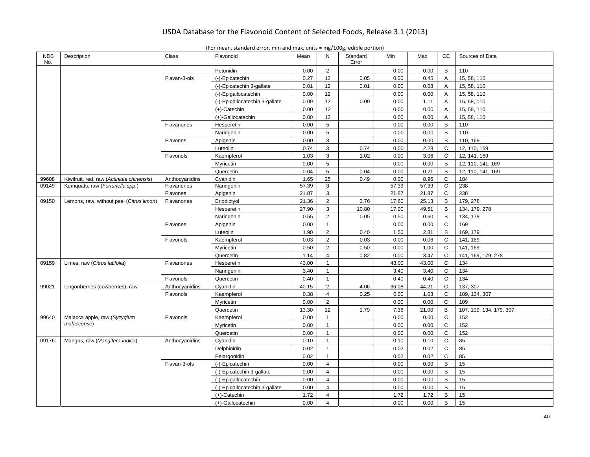| <b>NDB</b><br>No. | Description                               | Class          | Flavonoid                      | Mean  | N               | Standard<br>Error | Min   | Max   | cc             | Sources of Data         |
|-------------------|-------------------------------------------|----------------|--------------------------------|-------|-----------------|-------------------|-------|-------|----------------|-------------------------|
|                   |                                           |                | Petunidin                      | 0.00  | $\overline{2}$  |                   | 0.00  | 0.00  | B              | 110                     |
|                   |                                           | Flavan-3-ols   | (-)-Epicatechin                | 0.27  | 12              | 0.05              | 0.00  | 0.45  | Α              | 15, 58, 110             |
|                   |                                           |                | (-)-Epicatechin 3-gallate      | 0.01  | 12              | 0.01              | 0.00  | 0.08  | $\overline{A}$ | 15, 58, 110             |
|                   |                                           |                | (-)-Epigallocatechin           | 0.00  | 12              |                   | 0.00  | 0.00  | $\overline{A}$ | 15, 58, 110             |
|                   |                                           |                | (-)-Epigallocatechin 3-gallate | 0.09  | 12              | 0.09              | 0.00  | 1.11  | Α              | 15, 58, 110             |
|                   |                                           |                | $(+)$ -Catechin                | 0.00  | 12              |                   | 0.00  | 0.00  | A              | 15, 58, 110             |
|                   |                                           |                | (+)-Gallocatechin              | 0.00  | 12              |                   | 0.00  | 0.00  | Α              | 15, 58, 110             |
|                   |                                           | Flavanones     | Hesperetin                     | 0.00  | $5\phantom{.0}$ |                   | 0.00  | 0.00  | B              | 110                     |
|                   |                                           |                | Naringenin                     | 0.00  | 5               |                   | 0.00  | 0.00  | B              | 110                     |
|                   |                                           | Flavones       | Apigenin                       | 0.00  | $\mathbf{3}$    |                   | 0.00  | 0.00  | B              | 110, 169                |
|                   |                                           |                | Luteolin                       | 0.74  | 3               | 0.74              | 0.00  | 2.23  | C              | 12, 110, 169            |
|                   |                                           | Flavonols      | Kaempferol                     | 1.03  | 3               | 1.02              | 0.00  | 3.06  | C              | 12, 141, 169            |
|                   |                                           |                | Myricetin                      | 0.00  | $\overline{5}$  |                   | 0.00  | 0.00  | B              | 12, 110, 141, 169       |
|                   |                                           |                | Quercetin                      | 0.04  | 5               | 0.04              | 0.00  | 0.21  | B              | 12, 110, 141, 169       |
| 99608             | Kiwifruit, red, raw (Actinidia chinensis) | Anthocyanidins | Cyanidin                       | 1.65  | 25              | 0.49              | 0.00  | 8.96  | $\mathsf{C}$   | 184                     |
| 09149             | Kumquats, raw (Fortunella spp.)           | Flavanones     | Naringenin                     | 57.39 | 3               |                   | 57.39 | 57.39 | C              | 238                     |
|                   |                                           | Flavones       | Apigenin                       | 21.87 | 3               |                   | 21.87 | 21.87 | C              | 238                     |
| 09150             | Lemons, raw, without peel (Citrus limon)  | Flavanones     | Eriodictyol                    | 21.36 | $\overline{2}$  | 3.76              | 17.60 | 25.13 | B              | 179, 278                |
|                   |                                           |                | Hesperetin                     | 27.90 | 3               | 10.80             | 17.00 | 49.51 | B              | 134, 179, 278           |
|                   |                                           |                | Naringenin                     | 0.55  | $\overline{2}$  | 0.05              | 0.50  | 0.60  | B              | 134, 179                |
|                   |                                           | Flavones       | Apigenin                       | 0.00  | $\mathbf{1}$    |                   | 0.00  | 0.00  | C              | 169                     |
|                   |                                           |                | Luteolin                       | 1.90  | $\overline{2}$  | 0.40              | 1.50  | 2.31  | B              | 169, 179                |
|                   |                                           | Flavonols      | Kaempferol                     | 0.03  | $\overline{2}$  | 0.03              | 0.00  | 0.06  | C              | 141, 169                |
|                   |                                           |                | Myricetin                      | 0.50  | $\overline{2}$  | 0.50              | 0.00  | 1.00  | $\mathsf{C}$   | 141, 169                |
|                   |                                           |                | Quercetin                      | 1.14  | $\overline{4}$  | 0.82              | 0.00  | 3.47  | $\mathsf{C}$   | 141, 169, 179, 278      |
| 09159             | Limes, raw (Citrus latifolia)             | Flavanones     | Hesperetin                     | 43.00 | $\mathbf{1}$    |                   | 43.00 | 43.00 | C              | 134                     |
|                   |                                           |                | Naringenin                     | 3.40  | $\mathbf{1}$    |                   | 3.40  | 3.40  | $\mathsf C$    | 134                     |
|                   |                                           | Flavonols      | Quercetin                      | 0.40  | $\mathbf{1}$    |                   | 0.40  | 0.40  | C              | 134                     |
| 99021             | Lingonberries (cowberries), raw           | Anthocyanidins | Cyanidin                       | 40.15 | $\overline{2}$  | 4.06              | 36.08 | 44.21 | $\mathsf{C}$   | 137, 307                |
|                   |                                           | Flavonols      | Kaempferol                     | 0.38  | $\overline{4}$  | 0.25              | 0.00  | 1.03  | C              | 109, 134, 307           |
|                   |                                           |                | Myricetin                      | 0.00  | $\overline{2}$  |                   | 0.00  | 0.00  | $\mathbf C$    | 109                     |
|                   |                                           |                | Quercetin                      | 13.30 | 12              | 1.79              | 7.36  | 21.00 | B              | 107, 109, 134, 179, 307 |
| 99640             | Malacca apple, raw (Syzygium              | Flavonols      | Kaempferol                     | 0.00  | $\mathbf{1}$    |                   | 0.00  | 0.00  | C              | 152                     |
|                   | malaccense)                               |                | Myricetin                      | 0.00  | $\mathbf{1}$    |                   | 0.00  | 0.00  | $\mathsf{C}$   | 152                     |
|                   |                                           |                | Quercetin                      | 0.00  | $\mathbf{1}$    |                   | 0.00  | 0.00  | $\mathbf C$    | 152                     |
| 09176             | Mangos, raw (Mangifera indica)            | Anthocyanidins | Cyanidin                       | 0.10  | $\mathbf{1}$    |                   | 0.10  | 0.10  | C              | 85                      |
|                   |                                           |                | Delphinidin                    | 0.02  | $\mathbf{1}$    |                   | 0.02  | 0.02  | $\mathsf{C}$   | 85                      |
|                   |                                           |                | Pelargonidin                   | 0.02  | $\mathbf{1}$    |                   | 0.02  | 0.02  | $\mathbf C$    | 85                      |
|                   |                                           | Flavan-3-ols   | (-)-Epicatechin                | 0.00  | $\overline{4}$  |                   | 0.00  | 0.00  | B              | 15                      |
|                   |                                           |                | (-)-Epicatechin 3-gallate      | 0.00  | $\overline{4}$  |                   | 0.00  | 0.00  | B              | 15                      |
|                   |                                           |                | (-)-Epigallocatechin           | 0.00  | $\overline{4}$  |                   | 0.00  | 0.00  | B              | 15                      |
|                   |                                           |                | (-)-Epigallocatechin 3-gallate | 0.00  | $\overline{4}$  |                   | 0.00  | 0.00  | B              | 15                      |
|                   |                                           |                | $(+)$ -Catechin                | 1.72  | $\overline{4}$  |                   | 1.72  | 1.72  | B              | 15                      |
|                   |                                           |                | (+)-Gallocatechin              | 0.00  | $\overline{4}$  |                   | 0.00  | 0.00  | $\overline{B}$ | 15                      |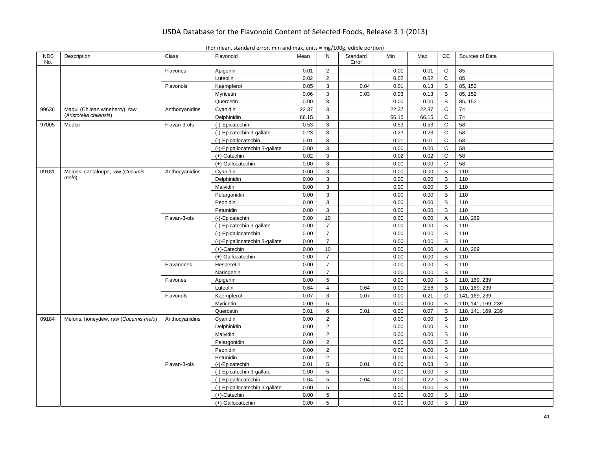| <b>NDB</b><br>No. | Description                          | Class          | Flavonoid                      | Mean  | N               | Standard<br>Error | Min   | Max   | cc             | Sources of Data    |
|-------------------|--------------------------------------|----------------|--------------------------------|-------|-----------------|-------------------|-------|-------|----------------|--------------------|
|                   |                                      | Flavones       | Apigenin                       | 0.01  | 2               |                   | 0.01  | 0.01  | C              | 85                 |
|                   |                                      |                | Luteolin                       | 0.02  | $\overline{2}$  |                   | 0.02  | 0.02  | $\mathsf C$    | 85                 |
|                   |                                      | Flavonols      | Kaempferol                     | 0.05  | 3               | 0.04              | 0.01  | 0.13  | B              | 85, 152            |
|                   |                                      |                | Myricetin                      | 0.06  | 3               | 0.03              | 0.03  | 0.13  | B              | 85, 152            |
|                   |                                      |                | Quercetin                      | 0.00  | 3               |                   | 0.00  | 0.00  | B              | 85, 152            |
| 99636             | Maqui (Chilean wineberry), raw       | Anthocyanidins | Cyanidin                       | 22.37 | $\mathbf{3}$    |                   | 22.37 | 22.37 | $\mathsf{C}$   | 74                 |
|                   | (Aristotelia chilensis)              |                | Delphinidin                    | 66.15 | 3               |                   | 66.15 | 66.15 | $\mathsf{C}$   | 74                 |
| 97005             | Medlar                               | Flavan-3-ols   | (-)-Epicatechin                | 0.53  | $\mathbf{3}$    |                   | 0.53  | 0.53  | $\mathsf C$    | 58                 |
|                   |                                      |                | (-)-Epicatechin 3-gallate      | 0.23  | 3               |                   | 0.23  | 0.23  | $\mathsf C$    | 58                 |
|                   |                                      |                | (-)-Epigallocatechin           | 0.01  | $\mathbf{3}$    |                   | 0.01  | 0.01  | $\mathsf C$    | 58                 |
|                   |                                      |                | (-)-Epigallocatechin 3-gallate | 0.00  | 3               |                   | 0.00  | 0.00  | $\mathsf C$    | 58                 |
|                   |                                      |                | (+)-Catechin                   | 0.02  | 3               |                   | 0.02  | 0.02  | $\mathsf C$    | 58                 |
|                   |                                      |                | (+)-Gallocatechin              | 0.00  | 3               |                   | 0.00  | 0.00  | C              | 58                 |
| 09181             | Melons, cantaloupe, raw (Cucumis     | Anthocyanidins | Cyanidin                       | 0.00  | 3               |                   | 0.00  | 0.00  | $\mathsf{B}$   | 110                |
|                   | melo)                                |                | Delphinidin                    | 0.00  | 3               |                   | 0.00  | 0.00  | $\, {\sf B}$   | 110                |
|                   |                                      |                | Malvidin                       | 0.00  | $\mathbf{3}$    |                   | 0.00  | 0.00  | B              | 110                |
|                   |                                      |                | Pelargonidin                   | 0.00  | 3               |                   | 0.00  | 0.00  | B              | 110                |
|                   |                                      |                | Peonidin                       | 0.00  | 3               |                   | 0.00  | 0.00  | $\, {\sf B}$   | 110                |
|                   |                                      |                | Petunidin                      | 0.00  | $\mathbf{3}$    |                   | 0.00  | 0.00  | B              | 110                |
|                   |                                      | Flavan-3-ols   | (-)-Epicatechin                | 0.00  | 10              |                   | 0.00  | 0.00  | Α              | 110, 269           |
|                   |                                      |                | (-)-Epicatechin 3-gallate      | 0.00  | $\overline{7}$  |                   | 0.00  | 0.00  | $\, {\bf B}$   | 110                |
|                   |                                      |                | (-)-Epigallocatechin           | 0.00  | $\overline{7}$  |                   | 0.00  | 0.00  | B              | 110                |
|                   |                                      |                | (-)-Epigallocatechin 3-gallate | 0.00  | $\overline{7}$  |                   | 0.00  | 0.00  | $\, {\sf B}$   | 110                |
|                   |                                      |                | (+)-Catechin                   | 0.00  | 10              |                   | 0.00  | 0.00  | $\overline{A}$ | 110, 269           |
|                   |                                      |                | (+)-Gallocatechin              | 0.00  | $\overline{7}$  |                   | 0.00  | 0.00  | B              | 110                |
|                   |                                      | Flavanones     | Hesperetin                     | 0.00  | $\overline{7}$  |                   | 0.00  | 0.00  | B              | 110                |
|                   |                                      |                | Naringenin                     | 0.00  | $\overline{7}$  |                   | 0.00  | 0.00  | $\overline{B}$ | 110                |
|                   |                                      | Flavones       | Apigenin                       | 0.00  | $5\phantom{.0}$ |                   | 0.00  | 0.00  | B              | 110, 169, 239      |
|                   |                                      |                | Luteolin                       | 0.64  | $\overline{4}$  | 0.64              | 0.00  | 2.58  | B              | 110, 169, 239      |
|                   |                                      | Flavonols      | Kaempferol                     | 0.07  | 3               | 0.07              | 0.00  | 0.21  | $\mathsf{C}$   | 141, 169, 239      |
|                   |                                      |                | Myricetin                      | 0.00  | 6               |                   | 0.00  | 0.00  | B              | 110, 141, 169, 239 |
|                   |                                      |                | Quercetin                      | 0.01  | 6               | 0.01              | 0.00  | 0.07  | B              | 110, 141, 169, 239 |
| 09184             | Melons, honeydew, raw (Cucumis melo) | Anthocyanidins | Cyanidin                       | 0.00  | $\overline{2}$  |                   | 0.00  | 0.00  | $\, {\sf B}$   | 110                |
|                   |                                      |                | Delphinidin                    | 0.00  | $\overline{2}$  |                   | 0.00  | 0.00  | B              | 110                |
|                   |                                      |                | Malvidin                       | 0.00  | $\overline{2}$  |                   | 0.00  | 0.00  | B              | 110                |
|                   |                                      |                | Pelargonidin                   | 0.00  | $\overline{2}$  |                   | 0.00  | 0.00  | B              | 110                |
|                   |                                      |                | Peonidin                       | 0.00  | $\overline{2}$  |                   | 0.00  | 0.00  | B              | 110                |
|                   |                                      |                | Petunidin                      | 0.00  | $\overline{2}$  |                   | 0.00  | 0.00  | $\,$ B         | 110                |
|                   |                                      | Flavan-3-ols   | (-)-Epicatechin                | 0.01  | 5               | 0.01              | 0.00  | 0.03  | B              | 110                |
|                   |                                      |                | (-)-Epicatechin 3-gallate      | 0.00  | $\overline{5}$  |                   | 0.00  | 0.00  | B              | 110                |
|                   |                                      |                | (-)-Epigallocatechin           | 0.04  | 5               | 0.04              | 0.00  | 0.22  | B              | 110                |
|                   |                                      |                | (-)-Epigallocatechin 3-gallate | 0.00  | 5               |                   | 0.00  | 0.00  | B              | 110                |
|                   |                                      |                | (+)-Catechin                   | 0.00  | 5               |                   | 0.00  | 0.00  | $\sf B$        | 110                |
|                   |                                      |                | (+)-Gallocatechin              | 0.00  | 5               |                   | 0.00  | 0.00  | $\overline{B}$ | 110                |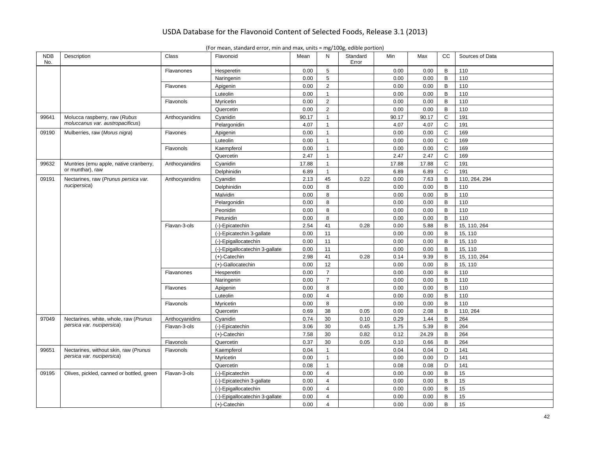| <b>NDB</b><br>No. | Description                               | Class          | Flavonoid                      | Mean  | N              | Standard<br>Error | Min   | Max   | <b>CC</b>    | Sources of Data |
|-------------------|-------------------------------------------|----------------|--------------------------------|-------|----------------|-------------------|-------|-------|--------------|-----------------|
|                   |                                           | Flavanones     | Hesperetin                     | 0.00  | 5              |                   | 0.00  | 0.00  | B            | 110             |
|                   |                                           |                | Naringenin                     | 0.00  | 5              |                   | 0.00  | 0.00  | B            | 110             |
|                   |                                           | Flavones       | Apigenin                       | 0.00  | $\overline{2}$ |                   | 0.00  | 0.00  | $\mathsf B$  | 110             |
|                   |                                           |                | Luteolin                       | 0.00  | $\mathbf{1}$   |                   | 0.00  | 0.00  | B            | 110             |
|                   |                                           | Flavonols      | Myricetin                      | 0.00  | $\overline{2}$ |                   | 0.00  | 0.00  | $\mathsf B$  | 110             |
|                   |                                           |                | Quercetin                      | 0.00  | $\overline{2}$ |                   | 0.00  | 0.00  | B            | 110             |
| 99641             | Molucca raspberry, raw (Rubus             | Anthocyanidins | Cyanidin                       | 90.17 | $\mathbf{1}$   |                   | 90.17 | 90.17 | $\mathsf{C}$ | 191             |
|                   | moluccanus var. austropacificus)          |                | Pelargonidin                   | 4.07  | $\mathbf{1}$   |                   | 4.07  | 4.07  | $\mathsf{C}$ | 191             |
| 09190             | Mulberries, raw (Morus nigra)             | Flavones       | Apigenin                       | 0.00  | $\mathbf{1}$   |                   | 0.00  | 0.00  | $\mathbf C$  | 169             |
|                   |                                           |                | Luteolin                       | 0.00  | $\mathbf{1}$   |                   | 0.00  | 0.00  | $\mathsf{C}$ | 169             |
|                   |                                           | Flavonols      | Kaempferol                     | 0.00  | $\mathbf{1}$   |                   | 0.00  | 0.00  | $\mathbf C$  | 169             |
|                   |                                           |                | Quercetin                      | 2.47  | $\mathbf{1}$   |                   | 2.47  | 2.47  | $\mathsf{C}$ | 169             |
| 99632             | Muntries (emu apple, native cranberry,    | Anthocyanidins | Cyanidin                       | 17.88 | $\mathbf{1}$   |                   | 17.88 | 17.88 | $\mathsf{C}$ | 191             |
|                   | or munthar), raw                          |                | Delphinidin                    | 6.89  | $\mathbf{1}$   |                   | 6.89  | 6.89  | $\mathsf{C}$ | 191             |
| 09191             | Nectarines, raw (Prunus persica var.      | Anthocyanidins | Cyanidin                       | 2.13  | 45             | 0.22              | 0.00  | 7.63  | $\mathsf B$  | 110, 264, 294   |
|                   | nucipersica)                              |                | Delphinidin                    | 0.00  | 8              |                   | 0.00  | 0.00  | B            | 110             |
|                   |                                           |                | Malvidin                       | 0.00  | 8              |                   | 0.00  | 0.00  | B            | 110             |
|                   |                                           |                | Pelargonidin                   | 0.00  | 8              |                   | 0.00  | 0.00  | B            | 110             |
|                   |                                           |                | Peonidin                       | 0.00  | 8              |                   | 0.00  | 0.00  | $\mathsf B$  | 110             |
|                   |                                           |                | Petunidin                      | 0.00  | 8              |                   | 0.00  | 0.00  | B            | 110             |
|                   |                                           | Flavan-3-ols   | (-)-Epicatechin                | 2.54  | 41             | 0.28              | 0.00  | 5.88  | B            | 15, 110, 264    |
|                   |                                           |                | (-)-Epicatechin 3-gallate      | 0.00  | 11             |                   | 0.00  | 0.00  | $\mathsf B$  | 15, 110         |
|                   |                                           |                | (-)-Epigallocatechin           | 0.00  | 11             |                   | 0.00  | 0.00  | B            | 15, 110         |
|                   |                                           |                | (-)-Epigallocatechin 3-gallate | 0.00  | 11             |                   | 0.00  | 0.00  | B            | 15, 110         |
|                   |                                           |                | $(+)$ -Catechin                | 2.98  | 41             | 0.28              | 0.14  | 9.39  | B            | 15, 110, 264    |
|                   |                                           |                | (+)-Gallocatechin              | 0.00  | 12             |                   | 0.00  | 0.00  | B            | 15, 110         |
|                   |                                           | Flavanones     | Hesperetin                     | 0.00  | $\overline{7}$ |                   | 0.00  | 0.00  | B            | 110             |
|                   |                                           |                | Naringenin                     | 0.00  | $\overline{7}$ |                   | 0.00  | 0.00  | $\mathsf B$  | 110             |
|                   |                                           | Flavones       | Apigenin                       | 0.00  | 8              |                   | 0.00  | 0.00  | B            | 110             |
|                   |                                           |                | Luteolin                       | 0.00  | $\overline{4}$ |                   | 0.00  | 0.00  | $\mathsf B$  | 110             |
|                   |                                           | Flavonols      | Myricetin                      | 0.00  | 8              |                   | 0.00  | 0.00  | B            | 110             |
|                   |                                           |                | Quercetin                      | 0.69  | 38             | 0.05              | 0.00  | 2.08  | B            | 110, 264        |
| 97049             | Nectarines, white, whole, raw (Prunus     | Anthocyanidins | Cyanidin                       | 0.74  | 30             | 0.10              | 0.29  | 1.44  | B            | 264             |
|                   | persica var. nucipersica)                 | Flavan-3-ols   | (-)-Epicatechin                | 3.06  | 30             | 0.45              | 1.75  | 5.39  | $\mathsf B$  | 264             |
|                   |                                           |                | $(+)$ -Catechin                | 7.58  | 30             | 0.82              | 0.12  | 24.29 | $\mathsf B$  | 264             |
|                   |                                           | Flavonols      | Quercetin                      | 0.37  | 30             | 0.05              | 0.10  | 0.66  | $\mathsf B$  | 264             |
| 99651             | Nectarines, without skin, raw (Prunus     | Flavonols      | Kaempferol                     | 0.04  | $\mathbf{1}$   |                   | 0.04  | 0.04  | D            | 141             |
|                   | persica var. nucipersica)                 |                | Myricetin                      | 0.00  | $\mathbf{1}$   |                   | 0.00  | 0.00  | D            | 141             |
|                   |                                           |                | Quercetin                      | 0.08  | $\mathbf{1}$   |                   | 0.08  | 0.08  | D            | 141             |
| 09195             | Olives, pickled, canned or bottled, green | Flavan-3-ols   | (-)-Epicatechin                | 0.00  | $\overline{4}$ |                   | 0.00  | 0.00  | $\mathsf B$  | 15              |
|                   |                                           |                | (-)-Epicatechin 3-gallate      | 0.00  | $\overline{4}$ |                   | 0.00  | 0.00  | B            | 15              |
|                   |                                           |                | (-)-Epigallocatechin           | 0.00  | $\overline{4}$ |                   | 0.00  | 0.00  | $\mathsf B$  | 15              |
|                   |                                           |                | (-)-Epigallocatechin 3-gallate | 0.00  | $\overline{4}$ |                   | 0.00  | 0.00  | $\mathsf B$  | 15              |
|                   |                                           |                | $(+)$ -Catechin                | 0.00  | $\overline{4}$ |                   | 0.00  | 0.00  | B            | 15              |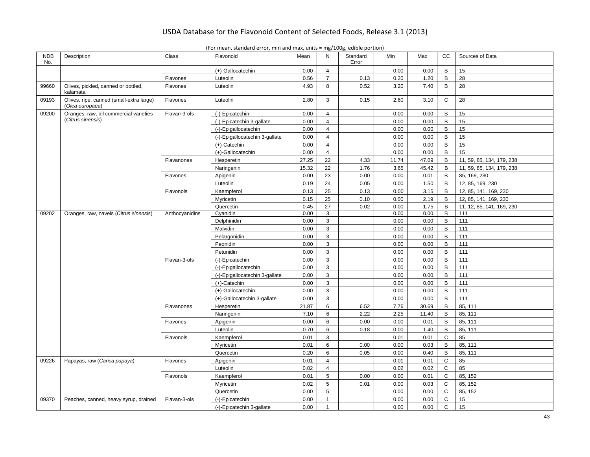| <b>NDB</b><br>No. | Description                                                 | Class          | Flavonoid                      | Mean  | N               | Standard<br>Error | Min   | Max   | СC           | Sources of Data           |
|-------------------|-------------------------------------------------------------|----------------|--------------------------------|-------|-----------------|-------------------|-------|-------|--------------|---------------------------|
|                   |                                                             |                | (+)-Gallocatechin              | 0.00  | $\overline{4}$  |                   | 0.00  | 0.00  | B            | 15                        |
|                   |                                                             | Flavones       | Luteolin                       | 0.56  | $\overline{7}$  | 0.13              | 0.20  | 1.20  | B            | 28                        |
| 99660             | Olives, pickled, canned or bottled,<br>kalamata             | Flavones       | Luteolin                       | 4.93  | 8               | 0.52              | 3.20  | 7.40  | B            | 28                        |
| 09193             | Olives, ripe, canned (small-extra large)<br>(Olea europaea) | Flavones       | Luteolin                       | 2.80  | 3               | 0.15              | 2.60  | 3.10  | $\mathsf{C}$ | 28                        |
| 09200             | Oranges, raw, all commercial varieties                      | Flavan-3-ols   | (-)-Epicatechin                | 0.00  | $\overline{4}$  |                   | 0.00  | 0.00  | B            | 15                        |
|                   | (Citrus sinensis)                                           |                | (-)-Epicatechin 3-gallate      | 0.00  | $\overline{4}$  |                   | 0.00  | 0.00  | B            | 15                        |
|                   |                                                             |                | (-)-Epigallocatechin           | 0.00  | $\overline{4}$  |                   | 0.00  | 0.00  | B            | 15                        |
|                   |                                                             |                | (-)-Epigallocatechin 3-gallate | 0.00  | $\overline{4}$  |                   | 0.00  | 0.00  | B            | 15                        |
|                   |                                                             |                | $(+)$ -Catechin                | 0.00  | $\overline{4}$  |                   | 0.00  | 0.00  | B            | 15                        |
|                   |                                                             |                | (+)-Gallocatechin              | 0.00  | $\overline{4}$  |                   | 0.00  | 0.00  | B            | 15                        |
|                   |                                                             | Flavanones     | Hesperetin                     | 27.25 | 22              | 4.33              | 11.74 | 47.09 | B            | 11, 59, 85, 134, 179, 238 |
|                   |                                                             |                | Naringenin                     | 15.32 | 22              | 1.76              | 3.65  | 45.42 | B            | 11, 59, 85, 134, 179, 238 |
|                   |                                                             | Flavones       | Apigenin                       | 0.00  | 23              | 0.00              | 0.00  | 0.01  | В            | 85, 169, 230              |
|                   |                                                             |                | Luteolin                       | 0.19  | 24              | 0.05              | 0.00  | 1.50  | B            | 12, 85, 169, 230          |
|                   |                                                             | Flavonols      | Kaempferol                     | 0.13  | 25              | 0.13              | 0.00  | 3.15  | B            | 12, 85, 141, 169, 230     |
|                   |                                                             |                | Myricetin                      | 0.15  | 25              | 0.10              | 0.00  | 2.19  | B            | 12, 85, 141, 169, 230     |
|                   |                                                             |                | Quercetin                      | 0.45  | 27              | 0.02              | 0.00  | 1.75  | B            | 11, 12, 85, 141, 169, 230 |
| 09202             | Oranges, raw, navels (Citrus sinensis)                      | Anthocyanidins | Cyanidin                       | 0.00  | 3               |                   | 0.00  | 0.00  | B            | 111                       |
|                   |                                                             |                | Delphinidin                    | 0.00  | $\mathbf{3}$    |                   | 0.00  | 0.00  | B            | 111                       |
|                   |                                                             |                | Malvidin                       | 0.00  | 3               |                   | 0.00  | 0.00  | В            | 111                       |
|                   |                                                             |                | Pelargonidin                   | 0.00  | $\mathbf{3}$    |                   | 0.00  | 0.00  | B            | 111                       |
|                   |                                                             |                | Peonidin                       | 0.00  | 3               |                   | 0.00  | 0.00  | B            | 111                       |
|                   |                                                             |                | Petunidin                      | 0.00  | 3               |                   | 0.00  | 0.00  | B            | 111                       |
|                   |                                                             | Flavan-3-ols   | (-)-Epicatechin                | 0.00  | $\mathsf 3$     |                   | 0.00  | 0.00  | B            | 111                       |
|                   |                                                             |                | (-)-Epigallocatechin           | 0.00  | 3               |                   | 0.00  | 0.00  | $\, {\sf B}$ | 111                       |
|                   |                                                             |                | (-)-Epigallocatechin 3-gallate | 0.00  | $\mathsf 3$     |                   | 0.00  | 0.00  | B            | 111                       |
|                   |                                                             |                | $(+)$ -Catechin                | 0.00  | 3               |                   | 0.00  | 0.00  | B            | 111                       |
|                   |                                                             |                | (+)-Gallocatechin              | 0.00  | 3               |                   | 0.00  | 0.00  | B            | 111                       |
|                   |                                                             |                | (+)-Gallocatechin 3-gallate    | 0.00  | 3               |                   | 0.00  | 0.00  | B            | 111                       |
|                   |                                                             | Flavanones     | Hesperetin                     | 21.87 | 6               | 6.52              | 7.76  | 30.69 | B            | 85, 111                   |
|                   |                                                             |                | Naringenin                     | 7.10  | 6               | 2.22              | 2.25  | 11.40 | B            | 85, 111                   |
|                   |                                                             | Flavones       | Apigenin                       | 0.00  | 6               | 0.00              | 0.00  | 0.01  | B            | 85, 111                   |
|                   |                                                             |                | Luteolin                       | 0.70  | 6               | 0.18              | 0.00  | 1.40  | B            | 85, 111                   |
|                   |                                                             | Flavonols      | Kaempferol                     | 0.01  | 3               |                   | 0.01  | 0.01  | C            | 85                        |
|                   |                                                             |                | Myricetin                      | 0.01  | 6               | 0.00              | 0.00  | 0.03  | B            | 85, 111                   |
|                   |                                                             |                | Quercetin                      | 0.20  | 6               | 0.05              | 0.00  | 0.40  | B            | 85, 111                   |
| 09226             | Papayas, raw (Carica papaya)                                | Flavones       | Apigenin                       | 0.01  | $\overline{4}$  |                   | 0.01  | 0.01  | $\mathbf C$  | 85                        |
|                   |                                                             |                | Luteolin                       | 0.02  | $\overline{4}$  |                   | 0.02  | 0.02  | $\mathsf{C}$ | 85                        |
|                   |                                                             | Flavonols      | Kaempferol                     | 0.01  | $5\phantom{.0}$ | 0.00              | 0.00  | 0.01  | $\mathsf{C}$ | 85, 152                   |
|                   |                                                             |                | Myricetin                      | 0.02  | 5               | 0.01              | 0.00  | 0.03  | C            | 85, 152                   |
|                   |                                                             |                | Quercetin                      | 0.00  | 5               |                   | 0.00  | 0.00  | $\mathsf{C}$ | 85, 152                   |
| 09370             | Peaches, canned, heavy syrup, drained                       | Flavan-3-ols   | (-)-Epicatechin                | 0.00  | $\mathbf{1}$    |                   | 0.00  | 0.00  | $\mathsf{C}$ | 15                        |
|                   |                                                             |                | (-)-Epicatechin 3-gallate      | 0.00  | $\mathbf{1}$    |                   | 0.00  | 0.00  | C            | 15                        |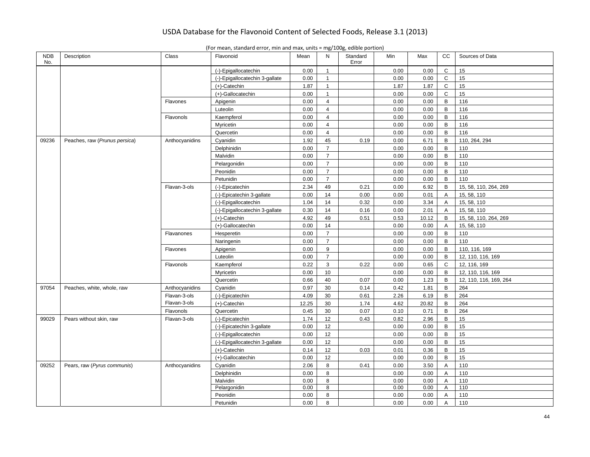| <b>NDB</b><br>No. | Description                   | Class          | Flavonoid                      | Mean  | N              | Standard<br>Error | Min  | Max   | CC                      | Sources of Data        |
|-------------------|-------------------------------|----------------|--------------------------------|-------|----------------|-------------------|------|-------|-------------------------|------------------------|
|                   |                               |                | (-)-Epigallocatechin           | 0.00  | $\mathbf{1}$   |                   | 0.00 | 0.00  | C                       | 15                     |
|                   |                               |                | (-)-Epigallocatechin 3-gallate | 0.00  | $\mathbf{1}$   |                   | 0.00 | 0.00  | $\mathsf C$             | 15                     |
|                   |                               |                | $(+)$ -Catechin                | 1.87  | $\mathbf{1}$   |                   | 1.87 | 1.87  | $\mathbf C$             | 15                     |
|                   |                               |                | (+)-Gallocatechin              | 0.00  | $\mathbf{1}$   |                   | 0.00 | 0.00  | $\mathsf C$             | 15                     |
|                   |                               | Flavones       | Apigenin                       | 0.00  | $\overline{4}$ |                   | 0.00 | 0.00  | $\mathsf{B}$            | 116                    |
|                   |                               |                | Luteolin                       | 0.00  | $\overline{4}$ |                   | 0.00 | 0.00  | $\, {\sf B}$            | 116                    |
|                   |                               | Flavonols      | Kaempferol                     | 0.00  | $\overline{4}$ |                   | 0.00 | 0.00  | $\mathsf{B}$            | 116                    |
|                   |                               |                | Myricetin                      | 0.00  | $\overline{4}$ |                   | 0.00 | 0.00  | B                       | 116                    |
|                   |                               |                | Quercetin                      | 0.00  | $\overline{4}$ |                   | 0.00 | 0.00  | $\, {\sf B}$            | 116                    |
| 09236             | Peaches, raw (Prunus persica) | Anthocyanidins | Cyanidin                       | 1.92  | 45             | 0.19              | 0.00 | 6.71  | B                       | 110, 264, 294          |
|                   |                               |                | Delphinidin                    | 0.00  | $\overline{7}$ |                   | 0.00 | 0.00  | $\, {\sf B}$            | 110                    |
|                   |                               |                | Malvidin                       | 0.00  | $\overline{7}$ |                   | 0.00 | 0.00  | B                       | 110                    |
|                   |                               |                | Pelargonidin                   | 0.00  | $\overline{7}$ |                   | 0.00 | 0.00  | B                       | 110                    |
|                   |                               |                | Peonidin                       | 0.00  | $\overline{7}$ |                   | 0.00 | 0.00  | $\mathsf{B}$            | 110                    |
|                   |                               |                | Petunidin                      | 0.00  | $\overline{7}$ |                   | 0.00 | 0.00  | B                       | 110                    |
|                   |                               | Flavan-3-ols   | (-)-Epicatechin                | 2.34  | 49             | 0.21              | 0.00 | 6.92  | B                       | 15, 58, 110, 264, 269  |
|                   |                               |                | (-)-Epicatechin 3-gallate      | 0.00  | 14             | 0.00              | 0.00 | 0.01  | $\overline{A}$          | 15, 58, 110            |
|                   |                               |                | (-)-Epigallocatechin           | 1.04  | 14             | 0.32              | 0.00 | 3.34  | A                       | 15, 58, 110            |
|                   |                               |                | (-)-Epigallocatechin 3-gallate | 0.30  | 14             | 0.16              | 0.00 | 2.01  | $\overline{A}$          | 15, 58, 110            |
|                   |                               |                | (+)-Catechin                   | 4.92  | 49             | 0.51              | 0.53 | 10.12 | B                       | 15, 58, 110, 264, 269  |
|                   |                               |                | (+)-Gallocatechin              | 0.00  | 14             |                   | 0.00 | 0.00  | $\mathsf{A}$            | 15, 58, 110            |
|                   |                               | Flavanones     | Hesperetin                     | 0.00  | $\overline{7}$ |                   | 0.00 | 0.00  | $\mathsf{B}$            | 110                    |
|                   |                               |                | Naringenin                     | 0.00  | $\overline{7}$ |                   | 0.00 | 0.00  | B                       | 110                    |
|                   |                               | Flavones       | Apigenin                       | 0.00  | 9              |                   | 0.00 | 0.00  | B                       | 110, 116, 169          |
|                   |                               |                | Luteolin                       | 0.00  | $\overline{7}$ |                   | 0.00 | 0.00  | B                       | 12, 110, 116, 169      |
|                   |                               | Flavonols      | Kaempferol                     | 0.22  | 3              | 0.22              | 0.00 | 0.65  | C                       | 12, 116, 169           |
|                   |                               |                | Myricetin                      | 0.00  | 10             |                   | 0.00 | 0.00  | B                       | 12, 110, 116, 169      |
|                   |                               |                | Quercetin                      | 0.66  | 40             | 0.07              | 0.00 | 1.23  | B                       | 12, 110, 116, 169, 264 |
| 97054             | Peaches, white, whole, raw    | Anthocyanidins | Cyanidin                       | 0.97  | 30             | 0.14              | 0.42 | 1.81  | $\, {\sf B}$            | 264                    |
|                   |                               | Flavan-3-ols   | (-)-Epicatechin                | 4.09  | 30             | 0.61              | 2.26 | 6.19  | B                       | 264                    |
|                   |                               | Flavan-3-ols   | (+)-Catechin                   | 12.25 | 30             | 1.74              | 4.62 | 20.82 | $\, {\bf B}$            | 264                    |
|                   |                               | Flavonols      | Quercetin                      | 0.45  | 30             | 0.07              | 0.10 | 0.71  | $\, {\sf B}$            | 264                    |
| 99029             | Pears without skin, raw       | Flavan-3-ols   | (-)-Epicatechin                | 1.74  | 12             | 0.43              | 0.82 | 2.96  | $\mathsf{B}$            | 15                     |
|                   |                               |                | (-)-Epicatechin 3-gallate      | 0.00  | 12             |                   | 0.00 | 0.00  | B                       | 15                     |
|                   |                               |                | (-)-Epigallocatechin           | 0.00  | 12             |                   | 0.00 | 0.00  | $\mathsf{B}$            | 15                     |
|                   |                               |                | (-)-Epigallocatechin 3-gallate | 0.00  | 12             |                   | 0.00 | 0.00  | B                       | 15                     |
|                   |                               |                | $(+)$ -Catechin                | 0.14  | 12             | 0.03              | 0.01 | 0.36  | $\, {\sf B}$            | 15                     |
|                   |                               |                | (+)-Gallocatechin              | 0.00  | 12             |                   | 0.00 | 0.00  | B                       | 15                     |
| 09252             | Pears, raw (Pyrus communis)   | Anthocyanidins | Cyanidin                       | 2.06  | 8              | 0.41              | 0.00 | 3.50  | A                       | 110                    |
|                   |                               |                | Delphinidin                    | 0.00  | 8              |                   | 0.00 | 0.00  | $\overline{\mathsf{A}}$ | 110                    |
|                   |                               |                | Malvidin                       | 0.00  | 8              |                   | 0.00 | 0.00  | A                       | 110                    |
|                   |                               |                | Pelargonidin                   | 0.00  | 8              |                   | 0.00 | 0.00  | A                       | 110                    |
|                   |                               |                | Peonidin                       | 0.00  | 8              |                   | 0.00 | 0.00  | $\overline{\mathsf{A}}$ | 110                    |
|                   |                               |                | Petunidin                      | 0.00  | 8              |                   | 0.00 | 0.00  | $\overline{A}$          | 110                    |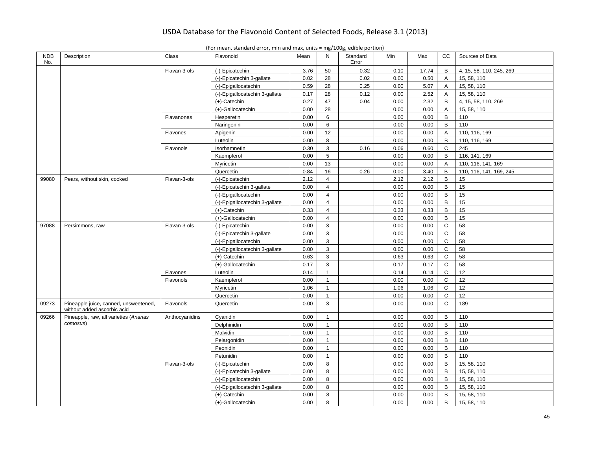|  |  | (For mean, standard error, min and max, units $=$ mg/100g, edible portion) |
|--|--|----------------------------------------------------------------------------|
|  |  |                                                                            |

| <b>NDB</b><br>No. | Description                                                          | Class          | Flavonoid                      | Mean | N               | Standard<br>Error | Min  | Max   | СC             | Sources of Data          |
|-------------------|----------------------------------------------------------------------|----------------|--------------------------------|------|-----------------|-------------------|------|-------|----------------|--------------------------|
|                   |                                                                      | Flavan-3-ols   | (-)-Epicatechin                | 3.76 | 50              | 0.32              | 0.10 | 17.74 | B              | 4, 15, 58, 110, 245, 269 |
|                   |                                                                      |                | (-)-Epicatechin 3-gallate      | 0.02 | 28              | 0.02              | 0.00 | 0.50  | Α              | 15, 58, 110              |
|                   |                                                                      |                | (-)-Epigallocatechin           | 0.59 | 28              | 0.25              | 0.00 | 5.07  | A              | 15, 58, 110              |
|                   |                                                                      |                | (-)-Epigallocatechin 3-gallate | 0.17 | 28              | 0.12              | 0.00 | 2.52  | Α              | 15, 58, 110              |
|                   |                                                                      |                | (+)-Catechin                   | 0.27 | 47              | 0.04              | 0.00 | 2.32  | B              | 4, 15, 58, 110, 269      |
|                   |                                                                      |                | (+)-Gallocatechin              | 0.00 | 28              |                   | 0.00 | 0.00  | Α              | 15, 58, 110              |
|                   |                                                                      | Flavanones     | Hesperetin                     | 0.00 | 6               |                   | 0.00 | 0.00  | B              | 110                      |
|                   |                                                                      |                | Naringenin                     | 0.00 | 6               |                   | 0.00 | 0.00  | B              | 110                      |
|                   |                                                                      | Flavones       | Apigenin                       | 0.00 | 12              |                   | 0.00 | 0.00  | Α              | 110, 116, 169            |
|                   |                                                                      |                | Luteolin                       | 0.00 | 8               |                   | 0.00 | 0.00  | B              | 110, 116, 169            |
|                   |                                                                      | Flavonols      | Isorhamnetin                   | 0.30 | 3               | 0.16              | 0.06 | 0.60  | C              | 245                      |
|                   |                                                                      |                | Kaempferol                     | 0.00 | $5\phantom{.0}$ |                   | 0.00 | 0.00  | B              | 116, 141, 169            |
|                   |                                                                      |                | Myricetin                      | 0.00 | 13              |                   | 0.00 | 0.00  | $\overline{A}$ | 110, 116, 141, 169       |
|                   |                                                                      |                | Quercetin                      | 0.84 | 16              | 0.26              | 0.00 | 3.40  | B              | 110, 116, 141, 169, 245  |
| 99080             | Pears, without skin, cooked                                          | Flavan-3-ols   | (-)-Epicatechin                | 2.12 | $\overline{4}$  |                   | 2.12 | 2.12  | $\sf B$        | 15                       |
|                   |                                                                      |                | (-)-Epicatechin 3-gallate      | 0.00 | $\overline{4}$  |                   | 0.00 | 0.00  | B              | 15                       |
|                   |                                                                      |                | (-)-Epigallocatechin           | 0.00 | $\overline{4}$  |                   | 0.00 | 0.00  | B              | 15                       |
|                   |                                                                      |                | (-)-Epigallocatechin 3-gallate | 0.00 | $\overline{4}$  |                   | 0.00 | 0.00  | B              | 15                       |
|                   |                                                                      |                | (+)-Catechin                   | 0.33 | $\overline{4}$  |                   | 0.33 | 0.33  | B              | 15                       |
|                   |                                                                      |                | (+)-Gallocatechin              | 0.00 | $\overline{4}$  |                   | 0.00 | 0.00  | B              | 15                       |
| 97088             | Persimmons, raw                                                      | Flavan-3-ols   | (-)-Epicatechin                | 0.00 | 3               |                   | 0.00 | 0.00  | $\mathsf{C}$   | 58                       |
|                   |                                                                      |                | (-)-Epicatechin 3-gallate      | 0.00 | 3               |                   | 0.00 | 0.00  | C              | 58                       |
|                   |                                                                      |                | (-)-Epigallocatechin           | 0.00 | 3               |                   | 0.00 | 0.00  | C              | 58                       |
|                   |                                                                      |                | (-)-Epigallocatechin 3-gallate | 0.00 | $\mathbf{3}$    |                   | 0.00 | 0.00  | $\mathsf{C}$   | 58                       |
|                   |                                                                      |                | (+)-Catechin                   | 0.63 | 3               |                   | 0.63 | 0.63  | C              | 58                       |
|                   |                                                                      |                | (+)-Gallocatechin              | 0.17 | $\mathbf{3}$    |                   | 0.17 | 0.17  | $\mathsf{C}$   | 58                       |
|                   |                                                                      | Flavones       | Luteolin                       | 0.14 | $\mathbf{1}$    |                   | 0.14 | 0.14  | C              | 12                       |
|                   |                                                                      | Flavonols      | Kaempferol                     | 0.00 | $\mathbf{1}$    |                   | 0.00 | 0.00  | C              | 12                       |
|                   |                                                                      |                | Myricetin                      | 1.06 | $\mathbf{1}$    |                   | 1.06 | 1.06  | $\mathsf{C}$   | 12                       |
|                   |                                                                      |                | Quercetin                      | 0.00 | $\mathbf{1}$    |                   | 0.00 | 0.00  | C              | 12                       |
| 09273             | Pineapple juice, canned, unsweetened,<br>without added ascorbic acid | Flavonols      | Quercetin                      | 0.00 | 3               |                   | 0.00 | 0.00  | $\mathsf{C}$   | 189                      |
| 09266             | Pineapple, raw, all varieties (Ananas                                | Anthocyanidins | Cyanidin                       | 0.00 | $\mathbf{1}$    |                   | 0.00 | 0.00  | B              | 110                      |
|                   | comosus)                                                             |                | Delphinidin                    | 0.00 | $\overline{1}$  |                   | 0.00 | 0.00  | B              | 110                      |
|                   |                                                                      |                | Malvidin                       | 0.00 | $\mathbf{1}$    |                   | 0.00 | 0.00  | B              | 110                      |
|                   |                                                                      |                | Pelargonidin                   | 0.00 | $\mathbf{1}$    |                   | 0.00 | 0.00  | B              | 110                      |
|                   |                                                                      |                | Peonidin                       | 0.00 | $\mathbf{1}$    |                   | 0.00 | 0.00  | $\sf B$        | 110                      |
|                   |                                                                      |                | Petunidin                      | 0.00 | $\overline{1}$  |                   | 0.00 | 0.00  | $\overline{B}$ | 110                      |
|                   |                                                                      | Flavan-3-ols   | (-)-Epicatechin                | 0.00 | 8               |                   | 0.00 | 0.00  | B              | 15, 58, 110              |
|                   |                                                                      |                | (-)-Epicatechin 3-gallate      | 0.00 | 8               |                   | 0.00 | 0.00  | B              | 15, 58, 110              |
|                   |                                                                      |                | (-)-Epigallocatechin           | 0.00 | 8               |                   | 0.00 | 0.00  | B              | 15, 58, 110              |
|                   |                                                                      |                | (-)-Epigallocatechin 3-gallate | 0.00 | 8               |                   | 0.00 | 0.00  | B              | 15, 58, 110              |
|                   |                                                                      |                | (+)-Catechin                   | 0.00 | 8               |                   | 0.00 | 0.00  | B              | 15, 58, 110              |
|                   |                                                                      |                | (+)-Gallocatechin              | 0.00 | 8               |                   | 0.00 | 0.00  | B              | 15, 58, 110              |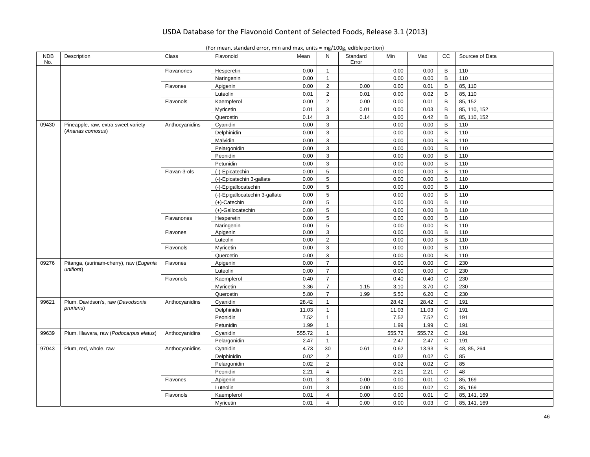| <b>NDB</b><br>No. | Description                                    | Class          | Flavonoid                      | Mean         | N              | Standard<br>Error | Min          | Max    | cc                         | Sources of Data |
|-------------------|------------------------------------------------|----------------|--------------------------------|--------------|----------------|-------------------|--------------|--------|----------------------------|-----------------|
|                   |                                                | Flavanones     | Hesperetin                     | 0.00         | $\mathbf{1}$   |                   | 0.00         | 0.00   | B                          | 110             |
|                   |                                                |                | Naringenin                     | 0.00         | $\mathbf{1}$   |                   | 0.00         | 0.00   | $\mathsf B$                | 110             |
|                   |                                                | Flavones       | Apigenin                       | 0.00         | $\overline{2}$ | 0.00              | 0.00         | 0.01   | B                          | 85, 110         |
|                   |                                                |                | Luteolin                       | 0.01         | $\overline{2}$ | 0.01              | 0.00         | 0.02   | B                          | 85, 110         |
|                   |                                                | Flavonols      | Kaempferol                     | 0.00         | $\overline{2}$ | 0.00              | 0.00         | 0.01   | B                          | 85, 152         |
|                   |                                                |                | Myricetin                      | 0.01         | 3              | 0.01              | 0.00         | 0.03   | B                          | 85, 110, 152    |
|                   |                                                |                | Quercetin                      | 0.14         | 3              | 0.14              | 0.00         | 0.42   | B                          | 85, 110, 152    |
| 09430             | Pineapple, raw, extra sweet variety            | Anthocyanidins | Cyanidin                       | 0.00         | 3              |                   | 0.00         | 0.00   | B                          | 110             |
|                   | (Ananas comosus)                               |                | Delphinidin                    | 0.00         | 3              |                   | 0.00         | 0.00   | B                          | 110             |
|                   |                                                |                | Malvidin                       | 0.00         | $\mathfrak{Z}$ |                   | 0.00         | 0.00   | $\mathsf B$                | 110             |
|                   |                                                |                | Pelargonidin                   | 0.00         | 3              |                   | 0.00         | 0.00   | B                          | 110             |
|                   |                                                |                | Peonidin                       | 0.00         | $\mathbf{3}$   |                   | 0.00         | 0.00   | $\mathsf B$                | 110             |
|                   |                                                |                | Petunidin                      | 0.00         | 3              |                   | 0.00         | 0.00   | B                          | 110             |
|                   |                                                | Flavan-3-ols   | (-)-Epicatechin                | 0.00         | 5              |                   | 0.00         | 0.00   | $\mathsf B$                | 110             |
|                   |                                                |                | (-)-Epicatechin 3-gallate      | 0.00         | 5              |                   | 0.00         | 0.00   | B                          | 110             |
|                   |                                                |                | (-)-Epigallocatechin           | 0.00         | 5              |                   | 0.00         | 0.00   | $\mathsf B$                | 110             |
|                   |                                                |                | (-)-Epigallocatechin 3-gallate | 0.00         | 5              |                   | 0.00         | 0.00   | B                          | 110             |
|                   |                                                |                | (+)-Catechin                   | 0.00         | $\overline{5}$ |                   | 0.00         | 0.00   | $\mathsf B$                | 110             |
|                   |                                                |                | (+)-Gallocatechin              | 0.00         | 5              |                   | 0.00         | 0.00   | B                          | 110             |
|                   |                                                | Flavanones     | Hesperetin                     | 0.00         | $\sqrt{5}$     |                   | 0.00         | 0.00   | B                          | 110             |
|                   |                                                |                |                                |              | $\sqrt{5}$     |                   |              | 0.00   | $\mathsf B$                | 110             |
|                   |                                                | Flavones       | Naringenin<br>Apigenin         | 0.00<br>0.00 | 3              |                   | 0.00<br>0.00 | 0.00   | $\overline{B}$             | 110             |
|                   |                                                |                | Luteolin                       | 0.00         | $\overline{2}$ |                   | 0.00         | 0.00   | B                          | 110             |
|                   |                                                | Flavonols      | Myricetin                      | 0.00         | 3              |                   | 0.00         | 0.00   | $\mathsf B$                | 110             |
|                   |                                                |                | Quercetin                      | 0.00         | 3              |                   | 0.00         | 0.00   | B                          | 110             |
| 09276             | Pitanga, (surinam-cherry), raw (Eugenia        | Flavones       | Apigenin                       | 0.00         | $\overline{7}$ |                   | 0.00         | 0.00   | $\mathsf{C}$               | 230             |
|                   | uniflora)                                      |                | Luteolin                       | 0.00         | $\overline{7}$ |                   | 0.00         | 0.00   | $\mathsf{C}$               | 230             |
|                   |                                                | Flavonols      | Kaempferol                     | 0.40         | $\overline{7}$ |                   | 0.40         | 0.40   | $\mathsf{C}$               | 230             |
|                   |                                                |                | Myricetin                      | 3.36         | $\overline{7}$ | 1.15              | 3.10         | 3.70   | $\mathsf{C}$               | 230             |
|                   |                                                |                |                                | 5.80         | $\overline{7}$ | 1.99              | 5.50         | 6.20   | $\mathsf{C}$               | 230             |
|                   |                                                |                | Quercetin                      |              | $\mathbf{1}$   |                   |              |        |                            |                 |
| 99621             | Plum, Davidson's, raw (Davodsonia<br>pruriens) | Anthocyanidins | Cyanidin                       | 28.42        |                |                   | 28.42        | 28.42  | $\mathbf C$<br>$\mathbf C$ | 191             |
|                   |                                                |                | Delphinidin                    | 11.03        | $\mathbf{1}$   |                   | 11.03        | 11.03  |                            | 191             |
|                   |                                                |                | Peonidin                       | 7.52         | $\mathbf{1}$   |                   | 7.52         | 7.52   | $\mathsf{C}$               | 191             |
|                   |                                                |                | Petunidin                      | 1.99         | $\mathbf{1}$   |                   | 1.99         | 1.99   | $\mathsf{C}$               | 191             |
| 99639             | Plum, Illawara, raw (Podocarpus elatus)        | Anthocyanidins | Cyanidin                       | 555.72       | $\mathbf{1}$   |                   | 555.72       | 555.72 | $\mathbf C$                | 191             |
|                   |                                                |                | Pelargonidin                   | 2.47         | $\mathbf{1}$   |                   | 2.47         | 2.47   | $\mathbf C$                | 191             |
| 97043             | Plum, red, whole, raw                          | Anthocyanidins | Cyanidin                       | 4.73         | 30             | 0.61              | 0.62         | 13.93  | B                          | 48, 85, 264     |
|                   |                                                |                | Delphinidin                    | 0.02         | 2              |                   | 0.02         | 0.02   | C                          | 85              |
|                   |                                                |                | Pelargonidin                   | 0.02         | $\overline{2}$ |                   | 0.02         | 0.02   | $\mathbf C$                | 85              |
|                   |                                                |                | Peonidin                       | 2.21         | $\overline{4}$ |                   | 2.21         | 2.21   | $\mathbf C$                | 48              |
|                   |                                                | Flavones       | Apigenin                       | 0.01         | 3              | 0.00              | 0.00         | 0.01   | $\mathsf{C}$               | 85, 169         |
|                   |                                                |                | Luteolin                       | 0.01         | 3              | 0.00              | 0.00         | 0.02   | C                          | 85, 169         |
|                   |                                                | Flavonols      | Kaempferol                     | 0.01         | $\overline{4}$ | 0.00              | 0.00         | 0.01   | $\mathsf{C}$               | 85, 141, 169    |
|                   |                                                |                | Myricetin                      | 0.01         | $\overline{4}$ | 0.00              | 0.00         | 0.03   | $\mathsf{C}$               | 85, 141, 169    |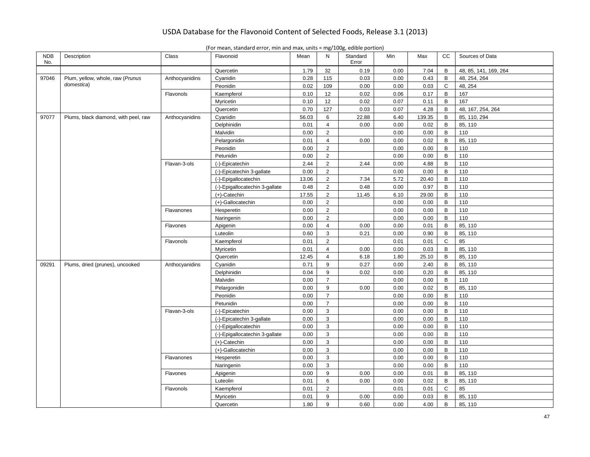| (For mean, standard error, min and max, units $=$ mg/100g, edible portion) |  |
|----------------------------------------------------------------------------|--|
|----------------------------------------------------------------------------|--|

| <b>NDB</b><br>No. | Description                          | Class          | Flavonoid                      | Mean  | N              | Standard<br>Error | Min  | Max    | <b>CC</b>      | Sources of Data       |
|-------------------|--------------------------------------|----------------|--------------------------------|-------|----------------|-------------------|------|--------|----------------|-----------------------|
|                   |                                      |                | Quercetin                      | 1.79  | 32             | 0.19              | 0.00 | 7.04   | B              | 48, 85, 141, 169, 264 |
| 97046             | Plum, yellow, whole, raw (Prunus     | Anthocyanidins | Cyanidin                       | 0.28  | 115            | 0.03              | 0.00 | 0.43   | B              | 48, 254, 264          |
|                   | domestica)                           |                | Peonidin                       | 0.02  | 109            | 0.00              | 0.00 | 0.03   | $\mathbf C$    | 48, 254               |
|                   |                                      | Flavonols      | Kaempferol                     | 0.10  | 12             | 0.02              | 0.06 | 0.17   | B              | 167                   |
|                   |                                      |                | Myricetin                      | 0.10  | 12             | 0.02              | 0.07 | 0.11   | $\, {\bf B}$   | 167                   |
|                   |                                      |                | Quercetin                      | 0.70  | 127            | 0.03              | 0.07 | 4.28   | B              | 48, 167, 254, 264     |
| 97077             | Plums, black diamond, with peel, raw | Anthocyanidins | Cyanidin                       | 56.03 | 6              | 22.88             | 6.40 | 139.35 | B              | 85, 110, 294          |
|                   |                                      |                | Delphinidin                    | 0.01  | $\overline{4}$ | 0.00              | 0.00 | 0.02   | B              | 85, 110               |
|                   |                                      |                | Malvidin                       | 0.00  | $\overline{2}$ |                   | 0.00 | 0.00   | $\overline{B}$ | 110                   |
|                   |                                      |                | Pelargonidin                   | 0.01  | $\overline{4}$ | 0.00              | 0.00 | 0.02   | B              | 85, 110               |
|                   |                                      |                | Peonidin                       | 0.00  | $\overline{2}$ |                   | 0.00 | 0.00   | $\, {\bf B}$   | 110                   |
|                   |                                      |                | Petunidin                      | 0.00  | $\overline{2}$ |                   | 0.00 | 0.00   | B              | 110                   |
|                   |                                      | Flavan-3-ols   | (-)-Epicatechin                | 2.44  | $\overline{2}$ | 2.44              | 0.00 | 4.88   | $\overline{B}$ | 110                   |
|                   |                                      |                | (-)-Epicatechin 3-gallate      | 0.00  | 2              |                   | 0.00 | 0.00   | B              | 110                   |
|                   |                                      |                | (-)-Epigallocatechin           | 13.06 | $\overline{2}$ | 7.34              | 5.72 | 20.40  | B              | 110                   |
|                   |                                      |                | (-)-Epigallocatechin 3-gallate | 0.48  | $\overline{2}$ | 0.48              | 0.00 | 0.97   | $\, {\bf B}$   | 110                   |
|                   |                                      |                | $(+)$ -Catechin                | 17.55 | $\overline{2}$ | 11.45             | 6.10 | 29.00  | B              | 110                   |
|                   |                                      |                | (+)-Gallocatechin              | 0.00  | $\overline{2}$ |                   | 0.00 | 0.00   | B              | 110                   |
|                   |                                      | Flavanones     | Hesperetin                     | 0.00  | $\overline{2}$ |                   | 0.00 | 0.00   | $\, {\bf B}$   | 110                   |
|                   |                                      |                | Naringenin                     | 0.00  | $\overline{2}$ |                   | 0.00 | 0.00   | B              | 110                   |
|                   |                                      | Flavones       | Apigenin                       | 0.00  | $\overline{4}$ | 0.00              | 0.00 | 0.01   | B              | 85, 110               |
|                   |                                      |                | Luteolin                       | 0.60  | 3              | 0.21              | 0.00 | 0.90   | B              | 85, 110               |
|                   |                                      | Flavonols      | Kaempferol                     | 0.01  | $\overline{2}$ |                   | 0.01 | 0.01   | $\mathsf C$    | 85                    |
|                   |                                      |                | Myricetin                      | 0.01  | $\overline{4}$ | 0.00              | 0.00 | 0.03   | B              | 85, 110               |
|                   |                                      |                | Quercetin                      | 12.45 | $\overline{4}$ | 6.18              | 1.80 | 25.10  | $\, {\bf B}$   | 85, 110               |
| 09291             | Plums, dried (prunes), uncooked      | Anthocyanidins | Cyanidin                       | 0.71  | 9              | 0.27              | 0.00 | 2.40   | B              | 85, 110               |
|                   |                                      |                | Delphinidin                    | 0.04  | 9              | 0.02              | 0.00 | 0.20   | B              | 85, 110               |
|                   |                                      |                | Malvidin                       | 0.00  | $\overline{7}$ |                   | 0.00 | 0.00   | B              | 110                   |
|                   |                                      |                | Pelargonidin                   | 0.00  | 9              | 0.00              | 0.00 | 0.02   | B              | 85, 110               |
|                   |                                      |                | Peonidin                       | 0.00  | $\overline{7}$ |                   | 0.00 | 0.00   | B              | 110                   |
|                   |                                      |                | Petunidin                      | 0.00  | $\overline{7}$ |                   | 0.00 | 0.00   | $\mathsf B$    | 110                   |
|                   |                                      | Flavan-3-ols   | (-)-Epicatechin                | 0.00  | 3              |                   | 0.00 | 0.00   | $\mathsf B$    | 110                   |
|                   |                                      |                | (-)-Epicatechin 3-gallate      | 0.00  | 3              |                   | 0.00 | 0.00   | B              | 110                   |
|                   |                                      |                | (-)-Epigallocatechin           | 0.00  | 3              |                   | 0.00 | 0.00   | B              | 110                   |
|                   |                                      |                | (-)-Epigallocatechin 3-gallate | 0.00  | $\mathsf 3$    |                   | 0.00 | 0.00   | $\, {\bf B}$   | 110                   |
|                   |                                      |                | $(+)$ -Catechin                | 0.00  | 3              |                   | 0.00 | 0.00   | B              | 110                   |
|                   |                                      |                | (+)-Gallocatechin              | 0.00  | 3              |                   | 0.00 | 0.00   | B              | 110                   |
|                   |                                      | Flavanones     | Hesperetin                     | 0.00  | 3              |                   | 0.00 | 0.00   | B              | 110                   |
|                   |                                      |                | Naringenin                     | 0.00  | $\mathbf 3$    |                   | 0.00 | 0.00   | $\mathsf B$    | 110                   |
|                   |                                      | Flavones       | Apigenin                       | 0.00  | 9              | 0.00              | 0.00 | 0.01   | B              | 85, 110               |
|                   |                                      |                | Luteolin                       | 0.01  | 6              | 0.00              | 0.00 | 0.02   | B              | 85, 110               |
|                   |                                      | Flavonols      | Kaempferol                     | 0.01  | $\overline{2}$ |                   | 0.01 | 0.01   | C              | 85                    |
|                   |                                      |                | Myricetin                      | 0.01  | 9              | 0.00              | 0.00 | 0.03   | $\mathsf{B}$   | 85, 110               |
|                   |                                      |                | Quercetin                      | 1.80  | 9              | 0.60              | 0.00 | 4.00   | B              | 85, 110               |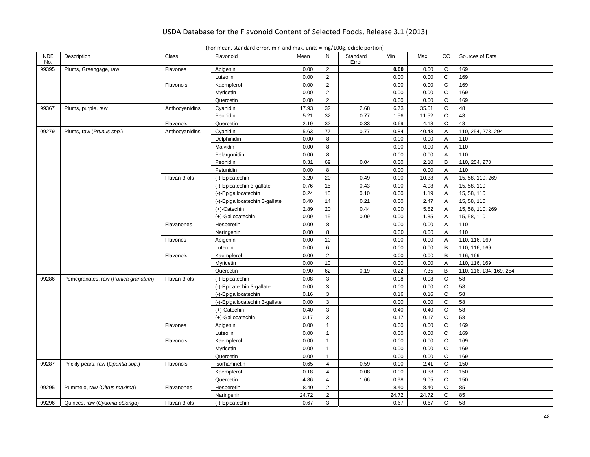| <b>NDB</b><br>No. | Description                         | Class          | Flavonoid                      | Mean  | N              | Standard<br>Error | Min   | Max   | cc                      | Sources of Data         |
|-------------------|-------------------------------------|----------------|--------------------------------|-------|----------------|-------------------|-------|-------|-------------------------|-------------------------|
| 99395             | Plums, Greengage, raw               | Flavones       | Apigenin                       | 0.00  | $\overline{2}$ |                   | 0.00  | 0.00  | C                       | 169                     |
|                   |                                     |                | Luteolin                       | 0.00  | $\overline{2}$ |                   | 0.00  | 0.00  | $\mathbf C$             | 169                     |
|                   |                                     | Flavonols      | Kaempferol                     | 0.00  | $\overline{2}$ |                   | 0.00  | 0.00  | $\mathbf C$             | 169                     |
|                   |                                     |                | Myricetin                      | 0.00  | $\overline{2}$ |                   | 0.00  | 0.00  | C                       | 169                     |
|                   |                                     |                | Quercetin                      | 0.00  | $\overline{2}$ |                   | 0.00  | 0.00  | $\mathsf{C}$            | 169                     |
| 99367             | Plums, purple, raw                  | Anthocyanidins | Cyanidin                       | 17.93 | 32             | 2.68              | 6.73  | 35.51 | $\mathsf{C}$            | 48                      |
|                   |                                     |                | Peonidin                       | 5.21  | 32             | 0.77              | 1.56  | 11.52 | $\mathsf C$             | 48                      |
|                   |                                     | Flavonols      | Quercetin                      | 2.19  | 32             | 0.33              | 0.69  | 4.18  | $\mathsf{C}$            | 48                      |
| 09279             | Plums, raw (Prunus spp.)            | Anthocyanidins | Cyanidin                       | 5.63  | 77             | 0.77              | 0.84  | 40.43 | A                       | 110, 254, 273, 294      |
|                   |                                     |                | Delphinidin                    | 0.00  | 8              |                   | 0.00  | 0.00  | $\overline{A}$          | 110                     |
|                   |                                     |                | Malvidin                       | 0.00  | 8              |                   | 0.00  | 0.00  | A                       | 110                     |
|                   |                                     |                | Pelargonidin                   | 0.00  | 8              |                   | 0.00  | 0.00  | A                       | 110                     |
|                   |                                     |                | Peonidin                       | 0.31  | 69             | 0.04              | 0.00  | 2.10  | B                       | 110, 254, 273           |
|                   |                                     |                | Petunidin                      | 0.00  | 8              |                   | 0.00  | 0.00  | $\overline{A}$          | 110                     |
|                   |                                     | Flavan-3-ols   | (-)-Epicatechin                | 3.20  | 20             | 0.49              | 0.00  | 10.38 | Α                       | 15, 58, 110, 269        |
|                   |                                     |                | (-)-Epicatechin 3-gallate      | 0.76  | 15             | 0.43              | 0.00  | 4.98  | A                       | 15, 58, 110             |
|                   |                                     |                | (-)-Epigallocatechin           | 0.24  | 15             | 0.10              | 0.00  | 1.19  | A                       | 15, 58, 110             |
|                   |                                     |                | (-)-Epigallocatechin 3-gallate | 0.40  | 14             | 0.21              | 0.00  | 2.47  | $\overline{A}$          | 15, 58, 110             |
|                   |                                     |                | $(+)$ -Catechin                | 2.89  | 20             | 0.44              | 0.00  | 5.82  | Α                       | 15, 58, 110, 269        |
|                   |                                     |                | (+)-Gallocatechin              | 0.09  | 15             | 0.09              | 0.00  | 1.35  | A                       | 15, 58, 110             |
|                   |                                     | Flavanones     | Hesperetin                     | 0.00  | 8              |                   | 0.00  | 0.00  | $\overline{\mathsf{A}}$ | 110                     |
|                   |                                     |                | Naringenin                     | 0.00  | 8              |                   | 0.00  | 0.00  | Α                       | 110                     |
|                   |                                     | Flavones       | Apigenin                       | 0.00  | 10             |                   | 0.00  | 0.00  | $\overline{A}$          | 110, 116, 169           |
|                   |                                     |                | Luteolin                       | 0.00  | 6              |                   | 0.00  | 0.00  | B                       | 110, 116, 169           |
|                   |                                     | Flavonols      | Kaempferol                     | 0.00  | $\overline{2}$ |                   | 0.00  | 0.00  | B                       | 116, 169                |
|                   |                                     |                | Myricetin                      | 0.00  | 10             |                   | 0.00  | 0.00  | $\overline{A}$          | 110, 116, 169           |
|                   |                                     |                | Quercetin                      | 0.90  | 62             | 0.19              | 0.22  | 7.35  | B                       | 110, 116, 134, 169, 254 |
| 09286             | Pomegranates, raw (Punica granatum) | Flavan-3-ols   | (-)-Epicatechin                | 0.08  | 3              |                   | 0.08  | 0.08  | $\mathbf C$             | 58                      |
|                   |                                     |                | (-)-Epicatechin 3-gallate      | 0.00  | 3              |                   | 0.00  | 0.00  | $\mathsf{C}$            | 58                      |
|                   |                                     |                | (-)-Epigallocatechin           | 0.16  | 3              |                   | 0.16  | 0.16  | C                       | 58                      |
|                   |                                     |                | (-)-Epigallocatechin 3-gallate | 0.00  | 3              |                   | 0.00  | 0.00  | $\mathbf C$             | 58                      |
|                   |                                     |                | (+)-Catechin                   | 0.40  | 3              |                   | 0.40  | 0.40  | $\mathbf C$             | 58                      |
|                   |                                     |                | (+)-Gallocatechin              | 0.17  | 3              |                   | 0.17  | 0.17  | $\mathsf{C}$            | 58                      |
|                   |                                     | Flavones       | Apigenin                       | 0.00  | $\mathbf{1}$   |                   | 0.00  | 0.00  | $\mathsf C$             | 169                     |
|                   |                                     |                | Luteolin                       | 0.00  | $\mathbf{1}$   |                   | 0.00  | 0.00  | $\mathsf C$             | 169                     |
|                   |                                     | Flavonols      | Kaempferol                     | 0.00  | $\mathbf{1}$   |                   | 0.00  | 0.00  | $\mathbf C$             | 169                     |
|                   |                                     |                | Myricetin                      | 0.00  | $\mathbf{1}$   |                   | 0.00  | 0.00  | $\mathbf C$             | 169                     |
|                   |                                     |                | Quercetin                      | 0.00  | $\mathbf{1}$   |                   | 0.00  | 0.00  | C                       | 169                     |
| 09287             | Prickly pears, raw (Opuntia spp.)   | Flavonols      | Isorhamnetin                   | 0.65  | $\overline{4}$ | 0.59              | 0.00  | 2.41  | $\mathbf C$             | 150                     |
|                   |                                     |                | Kaempferol                     | 0.18  | $\overline{4}$ | 0.08              | 0.00  | 0.38  | $\mathsf C$             | 150                     |
|                   |                                     |                | Quercetin                      | 4.86  | $\overline{4}$ | 1.66              | 0.98  | 9.05  | $\mathsf{C}$            | 150                     |
| 09295             | Pummelo, raw (Citrus maxima)        | Flavanones     | Hesperetin                     | 8.40  | $\overline{2}$ |                   | 8.40  | 8.40  | $\mathsf C$             | 85                      |
|                   |                                     |                |                                | 24.72 | $\overline{2}$ |                   | 24.72 |       | $\mathbf C$             | 85                      |
|                   |                                     |                | Naringenin                     |       | 3              |                   |       | 24.72 | $\mathsf{C}$            |                         |
| 09296             | Quinces, raw (Cydonia oblonga)      | Flavan-3-ols   | (-)-Epicatechin                | 0.67  |                |                   | 0.67  | 0.67  |                         | 58                      |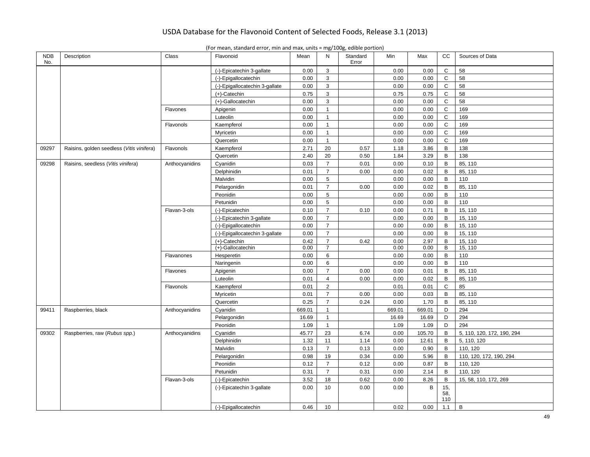| (For mean, standard error, min and max, units = mg/100g, edible portion) |  |  |
|--------------------------------------------------------------------------|--|--|
|                                                                          |  |  |

| <b>NDB</b><br>No. | Description                               | Class          | Flavonoid                      | Mean   | N               | Standard<br>Error | Min    | Max    | cc                | Sources of Data            |
|-------------------|-------------------------------------------|----------------|--------------------------------|--------|-----------------|-------------------|--------|--------|-------------------|----------------------------|
|                   |                                           |                | (-)-Epicatechin 3-gallate      | 0.00   | 3               |                   | 0.00   | 0.00   | $\mathsf{C}$      | 58                         |
|                   |                                           |                | (-)-Epigallocatechin           | 0.00   | 3               |                   | 0.00   | 0.00   | $\mathsf C$       | 58                         |
|                   |                                           |                | (-)-Epigallocatechin 3-gallate | 0.00   | 3               |                   | 0.00   | 0.00   | $\mathsf C$       | 58                         |
|                   |                                           |                | (+)-Catechin                   | 0.75   | 3               |                   | 0.75   | 0.75   | $\mathsf C$       | 58                         |
|                   |                                           |                | (+)-Gallocatechin              | 0.00   | 3               |                   | 0.00   | 0.00   | $\mathsf C$       | 58                         |
|                   |                                           | Flavones       | Apigenin                       | 0.00   | $\mathbf{1}$    |                   | 0.00   | 0.00   | $\mathsf C$       | 169                        |
|                   |                                           |                | Luteolin                       | 0.00   | $\mathbf{1}$    |                   | 0.00   | 0.00   | $\mathsf C$       | 169                        |
|                   |                                           | Flavonols      | Kaempferol                     | 0.00   | $\mathbf{1}$    |                   | 0.00   | 0.00   | $\mathsf C$       | 169                        |
|                   |                                           |                | Myricetin                      | 0.00   | $\mathbf{1}$    |                   | 0.00   | 0.00   | C                 | 169                        |
|                   |                                           |                | Quercetin                      | 0.00   | $\mathbf{1}$    |                   | 0.00   | 0.00   | $\mathsf C$       | 169                        |
| 09297             | Raisins, golden seedless (Vitis vinifera) | Flavonols      | Kaempferol                     | 2.71   | 20              | 0.57              | 1.18   | 3.86   | B                 | 138                        |
|                   |                                           |                | Quercetin                      | 2.40   | 20              | 0.50              | 1.84   | 3.29   | B                 | 138                        |
| 09298             | Raisins, seedless (Vitis vinifera)        | Anthocyanidins | Cyanidin                       | 0.03   | $\overline{7}$  | 0.01              | 0.00   | 0.10   | B                 | 85, 110                    |
|                   |                                           |                | Delphinidin                    | 0.01   | $\overline{7}$  | 0.00              | 0.00   | 0.02   | B                 | 85, 110                    |
|                   |                                           |                | Malvidin                       | 0.00   | $5\phantom{.0}$ |                   | 0.00   | 0.00   | B                 | 110                        |
|                   |                                           |                | Pelargonidin                   | 0.01   | $\overline{7}$  | 0.00              | 0.00   | 0.02   | B                 | 85, 110                    |
|                   |                                           |                | Peonidin                       | 0.00   | $5\phantom{.0}$ |                   | 0.00   | 0.00   | $\, {\sf B}$      | 110                        |
|                   |                                           |                | Petunidin                      | 0.00   | 5               |                   | 0.00   | 0.00   | B                 | 110                        |
|                   |                                           | Flavan-3-ols   | (-)-Epicatechin                | 0.10   | $\overline{7}$  | 0.10              | 0.00   | 0.71   | B                 | 15, 110                    |
|                   |                                           |                | (-)-Epicatechin 3-gallate      | 0.00   | $\overline{7}$  |                   | 0.00   | 0.00   | B                 | 15, 110                    |
|                   |                                           |                | (-)-Epigallocatechin           | 0.00   | $\overline{7}$  |                   | 0.00   | 0.00   | B                 | 15, 110                    |
|                   |                                           |                | (-)-Epigallocatechin 3-gallate | 0.00   | $\overline{7}$  |                   | 0.00   | 0.00   | B                 | 15, 110                    |
|                   |                                           |                | (+)-Catechin                   | 0.42   | $\overline{7}$  | 0.42              | 0.00   | 2.97   | B                 | 15, 110                    |
|                   |                                           |                | (+)-Gallocatechin              | 0.00   | $\overline{7}$  |                   | 0.00   | 0.00   | B                 | 15, 110                    |
|                   |                                           | Flavanones     | Hesperetin                     | 0.00   | 6               |                   | 0.00   | 0.00   | B                 | 110                        |
|                   |                                           |                | Naringenin                     | 0.00   | 6               |                   | 0.00   | 0.00   | B                 | 110                        |
|                   |                                           | Flavones       | Apigenin                       | 0.00   | $\overline{7}$  | 0.00              | 0.00   | 0.01   | B                 | 85, 110                    |
|                   |                                           |                | Luteolin                       | 0.01   | $\overline{4}$  | 0.00              | 0.00   | 0.02   | B                 | 85, 110                    |
|                   |                                           | Flavonols      | Kaempferol                     | 0.01   | $\overline{2}$  |                   | 0.01   | 0.01   | $\mathsf{C}$      | 85                         |
|                   |                                           |                | Myricetin                      | 0.01   | $\overline{7}$  | 0.00              | 0.00   | 0.03   | B                 | 85, 110                    |
|                   |                                           |                | Quercetin                      | 0.25   | $\overline{7}$  | 0.24              | 0.00   | 1.70   | B                 | 85, 110                    |
| 99411             | Raspberries, black                        | Anthocyanidins | Cyanidin                       | 669.01 | $\mathbf{1}$    |                   | 669.01 | 669.01 | D                 | 294                        |
|                   |                                           |                | Pelargonidin                   | 16.69  | $\mathbf{1}$    |                   | 16.69  | 16.69  | D                 | 294                        |
|                   |                                           |                | Peonidin                       | 1.09   | $\mathbf{1}$    |                   | 1.09   | 1.09   | D                 | 294                        |
| 09302             | Raspberries, raw (Rubus spp.)             | Anthocyanidins | Cyanidin                       | 45.77  | 23              | 6.74              | 0.00   | 105.70 | B                 | 5, 110, 120, 172, 190, 294 |
|                   |                                           |                | Delphinidin                    | 1.32   | 11              | 1.14              | 0.00   | 12.61  | B                 | 5, 110, 120                |
|                   |                                           |                | Malvidin                       | 0.13   | $\overline{7}$  | 0.13              | 0.00   | 0.90   | B                 | 110, 120                   |
|                   |                                           |                | Pelargonidin                   | 0.98   | 19              | 0.34              | 0.00   | 5.96   | B                 | 110, 120, 172, 190, 294    |
|                   |                                           |                | Peonidin                       | 0.12   | $\overline{7}$  | 0.12              | 0.00   | 0.87   | B                 | 110, 120                   |
|                   |                                           |                | Petunidin                      | 0.31   | $\overline{7}$  | 0.31              | 0.00   | 2.14   | B                 | 110, 120                   |
|                   |                                           | Flavan-3-ols   | (-)-Epicatechin                | 3.52   | 18              | 0.62              | 0.00   | 8.26   | B                 | 15, 58, 110, 172, 269      |
|                   |                                           |                | (-)-Epicatechin 3-gallate      | 0.00   | 10              | 0.00              | 0.00   | В      | 15,<br>58,<br>110 |                            |
|                   |                                           |                | (-)-Epigallocatechin           | 0.46   | 10              |                   | 0.02   | 0.00   | 1.1               | B                          |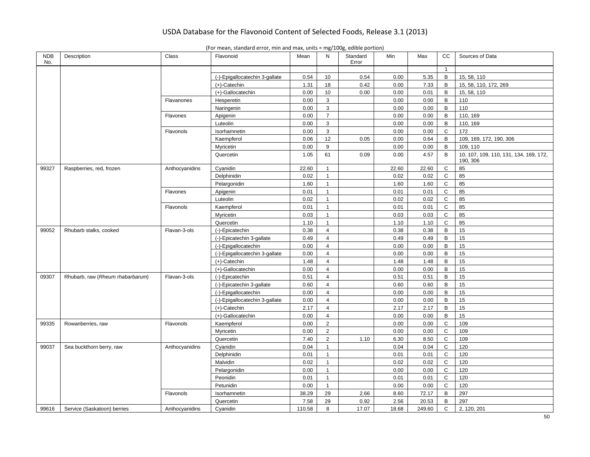| <b>NDB</b><br>No. | Description                      | Class          | Flavonoid                      | Mean   | ${\sf N}$      | Standard<br>Error | Min   | Max    | cc             | Sources of Data                                    |
|-------------------|----------------------------------|----------------|--------------------------------|--------|----------------|-------------------|-------|--------|----------------|----------------------------------------------------|
|                   |                                  |                |                                |        |                |                   |       |        | $\overline{1}$ |                                                    |
|                   |                                  |                | (-)-Epigallocatechin 3-gallate | 0.54   | 10             | 0.54              | 0.00  | 5.35   | B              | 15, 58, 110                                        |
|                   |                                  |                | $(+)$ -Catechin                | 1.31   | 18             | 0.42              | 0.00  | 7.33   | B              | 15, 58, 110, 172, 269                              |
|                   |                                  |                | (+)-Gallocatechin              | 0.00   | 10             | 0.00              | 0.00  | 0.01   | B              | 15, 58, 110                                        |
|                   |                                  | Flavanones     | Hesperetin                     | 0.00   | 3              |                   | 0.00  | 0.00   | B              | 110                                                |
|                   |                                  |                | Naringenin                     | 0.00   | 3              |                   | 0.00  | 0.00   | B              | 110                                                |
|                   |                                  | Flavones       | Apigenin                       | 0.00   | $\overline{7}$ |                   | 0.00  | 0.00   | B              | 110, 169                                           |
|                   |                                  |                | Luteolin                       | 0.00   | 3              |                   | 0.00  | 0.00   | B              | 110, 169                                           |
|                   |                                  | Flavonols      | Isorhamnetin                   | 0.00   | 3              |                   | 0.00  | 0.00   | $\mathsf{C}$   | 172                                                |
|                   |                                  |                | Kaempferol                     | 0.06   | 12             | 0.05              | 0.00  | 0.64   | B              | 109, 169, 172, 190, 306                            |
|                   |                                  |                | Myricetin                      | 0.00   | 9              |                   | 0.00  | 0.00   | $\, {\bf B}$   | 109, 110                                           |
|                   |                                  |                | Quercetin                      | 1.05   | 61             | 0.09              | 0.00  | 4.57   | B              | 10, 107, 109, 110, 131, 134, 169, 172,<br>190, 306 |
| 99327             | Raspberries, red, frozen         | Anthocyanidins | Cyanidin                       | 22.60  | $\mathbf{1}$   |                   | 22.60 | 22.60  | $\mathsf C$    | 85                                                 |
|                   |                                  |                | Delphinidin                    | 0.02   | $\mathbf{1}$   |                   | 0.02  | 0.02   | $\mathbf C$    | 85                                                 |
|                   |                                  |                | Pelargonidin                   | 1.60   | $\mathbf{1}$   |                   | 1.60  | 1.60   | $\mathbf C$    | 85                                                 |
|                   |                                  | Flavones       | Apigenin                       | 0.01   | $\mathbf{1}$   |                   | 0.01  | 0.01   | $\mathbf C$    | 85                                                 |
|                   |                                  |                | Luteolin                       | 0.02   | $\mathbf{1}$   |                   | 0.02  | 0.02   | $\mathbf C$    | 85                                                 |
|                   |                                  | Flavonols      | Kaempferol                     | 0.01   | $\mathbf{1}$   |                   | 0.01  | 0.01   | C              | 85                                                 |
|                   |                                  |                | Myricetin                      | 0.03   | $\mathbf{1}$   |                   | 0.03  | 0.03   | $\mathbf C$    | 85                                                 |
|                   |                                  |                | Quercetin                      | 1.10   | $\mathbf{1}$   |                   | 1.10  | 1.10   | $\mathsf C$    | 85                                                 |
| 99052             | Rhubarb stalks, cooked           | Flavan-3-ols   | (-)-Epicatechin                | 0.38   | $\overline{4}$ |                   | 0.38  | 0.38   | $\mathsf B$    | 15                                                 |
|                   |                                  |                | (-)-Epicatechin 3-gallate      | 0.49   | $\overline{4}$ |                   | 0.49  | 0.49   | $\, {\bf B}$   | 15                                                 |
|                   |                                  |                | (-)-Epigallocatechin           | 0.00   | $\overline{4}$ |                   | 0.00  | 0.00   | $\sf B$        | 15                                                 |
|                   |                                  |                | (-)-Epigallocatechin 3-gallate | 0.00   | $\overline{4}$ |                   | 0.00  | 0.00   | $\, {\bf B}$   | 15                                                 |
|                   |                                  |                | (+)-Catechin                   | 1.48   | $\overline{4}$ |                   | 1.48  | 1.48   | $\, {\bf B}$   | 15                                                 |
|                   |                                  |                | (+)-Gallocatechin              | 0.00   | $\overline{4}$ |                   | 0.00  | 0.00   | $\, {\bf B}$   | 15                                                 |
| 09307             | Rhubarb, raw (Rheum rhabarbarum) | Flavan-3-ols   | (-)-Epicatechin                | 0.51   | $\overline{4}$ |                   | 0.51  | 0.51   | B              | 15                                                 |
|                   |                                  |                | (-)-Epicatechin 3-gallate      | 0.60   | $\overline{4}$ |                   | 0.60  | 0.60   | $\, {\bf B}$   | 15                                                 |
|                   |                                  |                | (-)-Epigallocatechin           | 0.00   | $\overline{4}$ |                   | 0.00  | 0.00   | $\, {\bf B}$   | 15                                                 |
|                   |                                  |                | (-)-Epigallocatechin 3-gallate | 0.00   | $\overline{4}$ |                   | 0.00  | 0.00   | B              | 15                                                 |
|                   |                                  |                | $(+)$ -Catechin                | 2.17   | $\overline{4}$ |                   | 2.17  | 2.17   | $\, {\bf B}$   | 15                                                 |
|                   |                                  |                | (+)-Gallocatechin              | 0.00   | $\overline{4}$ |                   | 0.00  | 0.00   | B              | 15                                                 |
| 99335             | Rowanberries, raw                | Flavonols      | Kaempferol                     | 0.00   | $\overline{2}$ |                   | 0.00  | 0.00   | $\mathbf C$    | 109                                                |
|                   |                                  |                | Myricetin                      | 0.00   | 2              |                   | 0.00  | 0.00   | $\mathsf C$    | 109                                                |
|                   |                                  |                | Quercetin                      | 7.40   | $\overline{2}$ | 1.10              | 6.30  | 8.50   | $\mathbf C$    | 109                                                |
| 99037             | Sea buckthorn berry, raw         | Anthocyanidins | Cyanidin                       | 0.04   | $\mathbf{1}$   |                   | 0.04  | 0.04   | C              | 120                                                |
|                   |                                  |                | Delphinidin                    | 0.01   | $\mathbf{1}$   |                   | 0.01  | 0.01   | $\mathbf C$    | 120                                                |
|                   |                                  |                | Malvidin                       | 0.02   | $\mathbf{1}$   |                   | 0.02  | 0.02   | $\mathbf C$    | 120                                                |
|                   |                                  |                | Pelargonidin                   | 0.00   | $\mathbf{1}$   |                   | 0.00  | 0.00   | $\mathsf C$    | 120                                                |
|                   |                                  |                | Peonidin                       | 0.01   | $\overline{1}$ |                   | 0.01  | 0.01   | $\mathsf C$    | 120                                                |
|                   |                                  |                | Petunidin                      | 0.00   | $\mathbf{1}$   |                   | 0.00  | 0.00   | C              | 120                                                |
|                   |                                  | Flavonols      | Isorhamnetin                   | 38.29  | 29             | 2.66              | 8.60  | 72.17  | B              | 297                                                |
|                   |                                  |                | Quercetin                      | 7.58   | 29             | 0.92              | 2.56  | 20.53  | B              | 297                                                |
| 99616             | Service (Saskatoon) berries      | Anthocyanidins | Cyanidin                       | 110.58 | 8              | 17.07             | 18.68 | 249.60 | $\mathsf{C}$   | 2, 120, 201                                        |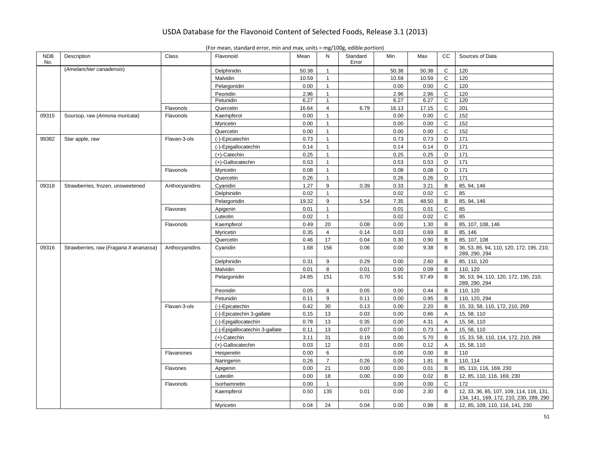| <b>NDB</b><br>No. | Description                             | Class          | Flavonoid                      | Mean  | N              | Standard<br>Error | Min   | Max   | СC             | Sources of Data                                                                    |
|-------------------|-----------------------------------------|----------------|--------------------------------|-------|----------------|-------------------|-------|-------|----------------|------------------------------------------------------------------------------------|
|                   | (Amelanchier canadensis)                |                | Delphinidin                    | 50.38 | $\mathbf{1}$   |                   | 50.38 | 50.38 | $\mathsf{C}$   | 120                                                                                |
|                   |                                         |                | Malvidin                       | 10.59 | $\mathbf{1}$   |                   | 10.59 | 10.59 | $\mathsf{C}$   | 120                                                                                |
|                   |                                         |                | Pelargonidin                   | 0.00  | $\mathbf{1}$   |                   | 0.00  | 0.00  | $\mathsf{C}$   | 120                                                                                |
|                   |                                         |                | Peonidin                       | 2.96  | $\mathbf{1}$   |                   | 2.96  | 2.96  | $\mathsf{C}$   | 120                                                                                |
|                   |                                         |                | Petunidin                      | 6.27  | $\mathbf{1}$   |                   | 6.27  | 6.27  | $\overline{c}$ | 120                                                                                |
|                   |                                         | Flavonols      | Quercetin                      | 16.64 | $\overline{4}$ | 6.79              | 16.13 | 17.15 | C              | 201                                                                                |
| 09315             | Soursop, raw (Annona muricata)          | Flavonols      | Kaempferol                     | 0.00  | $\mathbf{1}$   |                   | 0.00  | 0.00  | C              | 152                                                                                |
|                   |                                         |                | Myricetin                      | 0.00  | $\mathbf{1}$   |                   | 0.00  | 0.00  | $\mathsf{C}$   | 152                                                                                |
|                   |                                         |                | Quercetin                      | 0.00  | $\mathbf{1}$   |                   | 0.00  | 0.00  | $\mathsf{C}$   | 152                                                                                |
| 99382             | Star apple, raw                         | Flavan-3-ols   | (-)-Epicatechin                | 0.73  | $\mathbf{1}$   |                   | 0.73  | 0.73  | D              | 171                                                                                |
|                   |                                         |                | (-)-Epigallocatechin           | 0.14  | $\mathbf{1}$   |                   | 0.14  | 0.14  | D              | 171                                                                                |
|                   |                                         |                | (+)-Catechin                   | 0.25  | $\mathbf{1}$   |                   | 0.25  | 0.25  | D              | 171                                                                                |
|                   |                                         |                | (+)-Gallocatechin              | 0.53  | $\mathbf{1}$   |                   | 0.53  | 0.53  | D              | 171                                                                                |
|                   |                                         | Flavonols      | Myricetin                      | 0.08  | $\mathbf{1}$   |                   | 0.08  | 0.08  | D              | 171                                                                                |
|                   |                                         |                | Quercetin                      | 0.26  | $\mathbf{1}$   |                   | 0.26  | 0.26  | D              | 171                                                                                |
| 09318             | Strawberries, frozen, unsweetened       | Anthocyanidins | Cyanidin                       | 1.27  | 9              | 0.39              | 0.33  | 3.21  | B              | 85, 94, 146                                                                        |
|                   |                                         |                | Delphinidin                    | 0.02  | $\mathbf{1}$   |                   | 0.02  | 0.02  | C              | 85                                                                                 |
|                   |                                         |                | Pelargonidin                   | 19.32 | 9              | 5.54              | 7.35  | 48.50 | В              | 85, 94, 146                                                                        |
|                   |                                         | Flavones       | Apigenin                       | 0.01  | $\mathbf{1}$   |                   | 0.01  | 0.01  | $\mathsf{C}$   | 85                                                                                 |
|                   |                                         |                | Luteolin                       | 0.02  | $\mathbf{1}$   |                   | 0.02  | 0.02  | $\mathsf{C}$   | 85                                                                                 |
|                   |                                         | Flavonols      | Kaempferol                     | 0.49  | 20             | 0.08              | 0.00  | 1.30  | В              | 85, 107, 108, 146                                                                  |
|                   |                                         |                | Myricetin                      | 0.35  | $\overline{4}$ | 0.14              | 0.03  | 0.69  | В              | 85, 146                                                                            |
|                   |                                         |                | Quercetin                      | 0.46  | 17             | 0.04              | 0.30  | 0.90  | B              | 85, 107, 108                                                                       |
| 09316             | Strawberries, raw (Fragaria X ananassa) | Anthocyanidins | Cyanidin                       | 1.68  | 156            | 0.06              | 0.00  | 9.38  | B              | 36, 53, 85, 94, 110, 120, 172, 195, 210,                                           |
|                   |                                         |                |                                |       |                |                   |       |       |                | 289, 290, 294                                                                      |
|                   |                                         |                | Delphinidin                    | 0.31  | 9              | 0.29              | 0.00  | 2.60  | B              | 85, 110, 120                                                                       |
|                   |                                         |                | Malvidin                       | 0.01  | 8              | 0.01              | 0.00  | 0.09  | B              | 110, 120                                                                           |
|                   |                                         |                | Pelargonidin                   | 24.85 | 151            | 0.70              | 5.91  | 57.49 | В              | 36, 53, 94, 110, 120, 172, 195, 210,<br>289, 290, 294                              |
|                   |                                         |                | Peonidin                       | 0.05  | 8              | 0.05              | 0.00  | 0.44  | В              | 110, 120                                                                           |
|                   |                                         |                | Petunidin                      | 0.11  | 9              | 0.11              | 0.00  | 0.95  | B              | 110, 120, 294                                                                      |
|                   |                                         | Flavan-3-ols   | (-)-Epicatechin                | 0.42  | 30             | 0.13              | 0.00  | 2.20  | B              | 15, 33, 58, 110, 172, 210, 269                                                     |
|                   |                                         |                | (-)-Epicatechin 3-gallate      | 0.15  | 13             | 0.03              | 0.00  | 0.66  | Α              | 15, 58, 110                                                                        |
|                   |                                         |                | (-)-Epigallocatechin           | 0.78  | 13             | 0.35              | 0.00  | 4.31  | Α              | 15, 58, 110                                                                        |
|                   |                                         |                | (-)-Epigallocatechin 3-gallate | 0.11  | 13             | 0.07              | 0.00  | 0.73  | Α              | 15, 58, 110                                                                        |
|                   |                                         |                | (+)-Catechin                   | 3.11  | 31             | 0.19              | 0.00  | 5.70  | B              | 15, 33, 58, 110, 114, 172, 210, 269                                                |
|                   |                                         |                | (+)-Gallocatechin              | 0.03  | 12             | 0.01              | 0.00  | 0.12  | Α              | 15, 58, 110                                                                        |
|                   |                                         | Flavanones     | Hesperetin                     | 0.00  | 6              |                   | 0.00  | 0.00  | В              | 110                                                                                |
|                   |                                         |                | Naringenin                     | 0.26  | $\overline{7}$ | 0.26              | 0.00  | 1.81  | B              | 110, 114                                                                           |
|                   |                                         | Flavones       | Apigenin                       | 0.00  | 21             | 0.00              | 0.00  | 0.01  | В              | 85, 110, 116, 169, 230                                                             |
|                   |                                         |                | Luteolin                       | 0.00  | 18             | 0.00              | 0.00  | 0.02  | В              | 12, 85, 110, 116, 169, 230                                                         |
|                   |                                         | Flavonols      | Isorhamnetin                   | 0.00  | $\mathbf{1}$   |                   | 0.00  | 0.00  | $\mathbf C$    | 172                                                                                |
|                   |                                         |                | Kaempferol                     | 0.50  | 135            | 0.01              | 0.00  | 2.30  | B              | 12, 33, 36, 85, 107, 109, 114, 116, 131,<br>134, 141, 169, 172, 210, 230, 289, 290 |
|                   |                                         |                | Myricetin                      | 0.04  | 24             | 0.04              | 0.00  | 0.98  | B              | 12, 85, 109, 110, 116, 141, 230                                                    |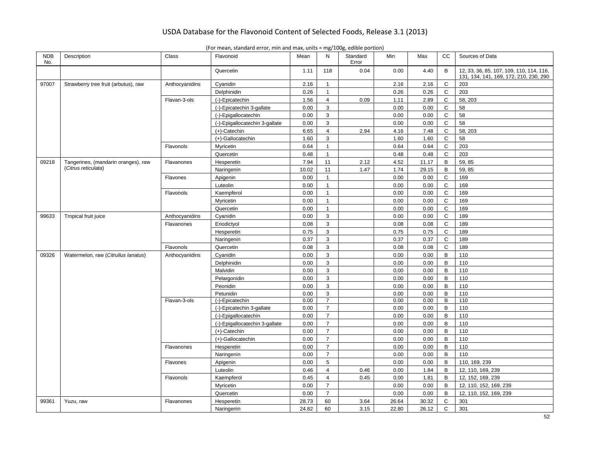| <b>NDB</b><br>No. | Description                          | Class          | Flavonoid                      | Mean  | N              | Standard<br>Error | Min   | Max   | СC             | Sources of Data                                                                    |
|-------------------|--------------------------------------|----------------|--------------------------------|-------|----------------|-------------------|-------|-------|----------------|------------------------------------------------------------------------------------|
|                   |                                      |                | Quercetin                      | 1.11  | 118            | 0.04              | 0.00  | 4.40  | B              | 12, 33, 36, 85, 107, 109, 110, 114, 116,<br>131, 134, 141, 169, 172, 210, 230, 290 |
| 97007             | Strawberry tree fruit (arbutus), raw | Anthocyanidins | Cyanidin                       | 2.16  | $\mathbf{1}$   |                   | 2.16  | 2.16  | C              | 203                                                                                |
|                   |                                      |                | Delphinidin                    | 0.26  | $\mathbf{1}$   |                   | 0.26  | 0.26  | C              | 203                                                                                |
|                   |                                      | Flavan-3-ols   | (-)-Epicatechin                | 1.56  | $\overline{4}$ | 0.09              | 1.11  | 2.89  | C              | 58, 203                                                                            |
|                   |                                      |                | (-)-Epicatechin 3-gallate      | 0.00  | 3              |                   | 0.00  | 0.00  | C              | 58                                                                                 |
|                   |                                      |                | (-)-Epigallocatechin           | 0.00  | 3              |                   | 0.00  | 0.00  | C              | 58                                                                                 |
|                   |                                      |                | (-)-Epigallocatechin 3-gallate | 0.00  | 3              |                   | 0.00  | 0.00  | $\mathbf C$    | 58                                                                                 |
|                   |                                      |                | $(+)$ -Catechin                | 6.65  | $\overline{4}$ | 2.94              | 4.16  | 7.48  | $\mathbf C$    | 58, 203                                                                            |
|                   |                                      |                | (+)-Gallocatechin              | 1.60  | 3              |                   | 1.60  | 1.60  | C              | 58                                                                                 |
|                   |                                      | Flavonols      | Myricetin                      | 0.64  | $\mathbf{1}$   |                   | 0.64  | 0.64  | C              | 203                                                                                |
|                   |                                      |                | Quercetin                      | 0.48  | $\mathbf{1}$   |                   | 0.48  | 0.48  | $\mathbf C$    | 203                                                                                |
| 09218             | Tangerines, (mandarin oranges), raw  | Flavanones     | Hesperetin                     | 7.94  | 11             | 2.12              | 4.52  | 11.17 | B              | 59, 85                                                                             |
|                   | (Citrus reticulata)                  |                | Naringenin                     | 10.02 | 11             | 1.47              | 1.74  | 29.15 | $\mathsf B$    | 59, 85                                                                             |
|                   |                                      | Flavones       | Apigenin                       | 0.00  | $\mathbf{1}$   |                   | 0.00  | 0.00  | C              | 169                                                                                |
|                   |                                      |                | Luteolin                       | 0.00  | $\mathbf{1}$   |                   | 0.00  | 0.00  | C              | 169                                                                                |
|                   |                                      | Flavonols      | Kaempferol                     | 0.00  | $\mathbf{1}$   |                   | 0.00  | 0.00  | $\mathbf C$    | 169                                                                                |
|                   |                                      |                | Myricetin                      | 0.00  | $\mathbf{1}$   |                   | 0.00  | 0.00  | $\mathbf C$    | 169                                                                                |
|                   |                                      |                | Quercetin                      | 0.00  | $\mathbf{1}$   |                   | 0.00  | 0.00  | $\mathbf C$    | 169                                                                                |
| 99633             | Tropical fruit juice                 | Anthocyanidins | Cyanidin                       | 0.00  | 3              |                   | 0.00  | 0.00  | C              | 189                                                                                |
|                   |                                      | Flavanones     | Eriodictyol                    | 0.08  | 3              |                   | 0.08  | 0.08  | $\mathbf C$    | 189                                                                                |
|                   |                                      |                | Hesperetin                     | 0.75  | 3              |                   | 0.75  | 0.75  | $\mathsf C$    | 189                                                                                |
|                   |                                      |                | Naringenin                     | 0.37  | 3              |                   | 0.37  | 0.37  | $\mathsf{C}$   | 189                                                                                |
|                   |                                      | Flavonols      | Quercetin                      | 0.08  | 3              |                   | 0.08  | 0.08  | $\mathbf C$    | 189                                                                                |
| 09326             | Watermelon, raw (Citrullus lanatus)  | Anthocyanidins | Cyanidin                       | 0.00  | 3              |                   | 0.00  | 0.00  | $\mathsf B$    | 110                                                                                |
|                   |                                      |                | Delphinidin                    | 0.00  | 3              |                   | 0.00  | 0.00  | $\mathsf B$    | 110                                                                                |
|                   |                                      |                | Malvidin                       | 0.00  | 3              |                   | 0.00  | 0.00  | $\mathsf B$    | 110                                                                                |
|                   |                                      |                | Pelargonidin                   | 0.00  | 3              |                   | 0.00  | 0.00  | $\mathsf B$    | 110                                                                                |
|                   |                                      |                | Peonidin                       | 0.00  | 3              |                   | 0.00  | 0.00  | $\mathsf B$    | 110                                                                                |
|                   |                                      |                | Petunidin                      | 0.00  | 3              |                   | 0.00  | 0.00  | $\mathsf B$    | 110                                                                                |
|                   |                                      | Flavan-3-ols   | (-)-Epicatechin                | 0.00  | $\overline{7}$ |                   | 0.00  | 0.00  | $\overline{B}$ | 110                                                                                |
|                   |                                      |                | (-)-Epicatechin 3-gallate      | 0.00  | $\overline{7}$ |                   | 0.00  | 0.00  | B              | 110                                                                                |
|                   |                                      |                | (-)-Epigallocatechin           | 0.00  | $\overline{7}$ |                   | 0.00  | 0.00  | B              | 110                                                                                |
|                   |                                      |                | (-)-Epigallocatechin 3-gallate | 0.00  | $\overline{7}$ |                   | 0.00  | 0.00  | B              | 110                                                                                |
|                   |                                      |                | $(+)$ -Catechin                | 0.00  | $\overline{7}$ |                   | 0.00  | 0.00  | B              | 110                                                                                |
|                   |                                      |                | (+)-Gallocatechin              | 0.00  | $\overline{7}$ |                   | 0.00  | 0.00  | B              | 110                                                                                |
|                   |                                      | Flavanones     | Hesperetin                     | 0.00  | $\overline{7}$ |                   | 0.00  | 0.00  | B              | 110                                                                                |
|                   |                                      |                | Naringenin                     | 0.00  | $\overline{7}$ |                   | 0.00  | 0.00  | B              | 110                                                                                |
|                   |                                      | Flavones       | Apigenin                       | 0.00  | 5              |                   | 0.00  | 0.00  | B              | 110, 169, 239                                                                      |
|                   |                                      |                | Luteolin                       | 0.46  | $\overline{4}$ | 0.46              | 0.00  | 1.84  | B              | 12, 110, 169, 239                                                                  |
|                   |                                      | Flavonols      | Kaempferol                     | 0.45  | $\overline{4}$ | 0.45              | 0.00  | 1.81  | B              | 12, 152, 169, 239                                                                  |
|                   |                                      |                | Myricetin                      | 0.00  | $\overline{7}$ |                   | 0.00  | 0.00  | B              | 12, 110, 152, 169, 239                                                             |
|                   |                                      |                | Quercetin                      | 0.00  | $\overline{7}$ |                   | 0.00  | 0.00  | B              | 12, 110, 152, 169, 239                                                             |
| 99361             | Yuzu, raw                            | Flavanones     | Hesperetin                     | 28.73 | 60             | 3.64              | 26.64 | 30.32 | $\mathsf{C}$   | 301                                                                                |
|                   |                                      |                | Naringenin                     | 24.82 | 60             | 3.15              | 22.80 | 26.12 | $\mathsf{C}$   | 301                                                                                |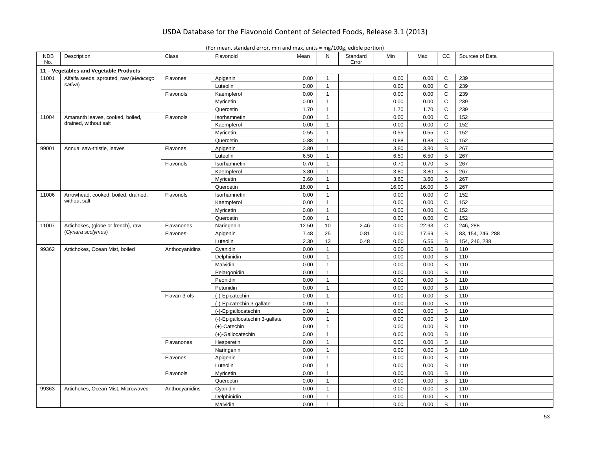| <b>NDB</b><br>No. | Description                            | Class          | Flavonoid                      | Mean  | N            | Standard<br>Error | Min   | Max   | СC           | Sources of Data   |
|-------------------|----------------------------------------|----------------|--------------------------------|-------|--------------|-------------------|-------|-------|--------------|-------------------|
|                   | 11 - Vegetables and Vegetable Products |                |                                |       |              |                   |       |       |              |                   |
| 11001             | Alfalfa seeds, sprouted, raw (Medicago | Flavones       | Apigenin                       | 0.00  | $\mathbf{1}$ |                   | 0.00  | 0.00  | $\mathsf C$  | 239               |
|                   | sativa)                                |                | Luteolin                       | 0.00  | $\mathbf{1}$ |                   | 0.00  | 0.00  | C            | 239               |
|                   |                                        | Flavonols      | Kaempferol                     | 0.00  | $\mathbf{1}$ |                   | 0.00  | 0.00  | $\mathsf C$  | 239               |
|                   |                                        |                | Myricetin                      | 0.00  | $\mathbf{1}$ |                   | 0.00  | 0.00  | $\mathsf C$  | 239               |
|                   |                                        |                | Quercetin                      | 1.70  | $\mathbf{1}$ |                   | 1.70  | 1.70  | $\mathsf{C}$ | 239               |
| 11004             | Amaranth leaves, cooked, boiled,       | Flavonols      | Isorhamnetin                   | 0.00  | $\mathbf{1}$ |                   | 0.00  | 0.00  | $\mathsf{C}$ | 152               |
|                   | drained, without salt                  |                | Kaempferol                     | 0.00  | $\mathbf{1}$ |                   | 0.00  | 0.00  | C            | 152               |
|                   |                                        |                | Myricetin                      | 0.55  | 1            |                   | 0.55  | 0.55  | $\mathbf C$  | 152               |
|                   |                                        |                | Quercetin                      | 0.88  | $\mathbf{1}$ |                   | 0.88  | 0.88  | $\mathbf C$  | 152               |
| 99001             | Annual saw-thistle, leaves             | Flavones       | Apigenin                       | 3.80  | $\mathbf{1}$ |                   | 3.80  | 3.80  | B            | 267               |
|                   |                                        |                | Luteolin                       | 6.50  | -1           |                   | 6.50  | 6.50  | B            | 267               |
|                   |                                        | Flavonols      | Isorhamnetin                   | 0.70  | $\mathbf{1}$ |                   | 0.70  | 0.70  | B            | 267               |
|                   |                                        |                | Kaempferol                     | 3.80  | $\mathbf{1}$ |                   | 3.80  | 3.80  | В            | 267               |
|                   |                                        |                | Myricetin                      | 3.60  | $\mathbf{1}$ |                   | 3.60  | 3.60  | B            | 267               |
|                   |                                        |                | Quercetin                      | 16.00 | $\mathbf{1}$ |                   | 16.00 | 16.00 | B            | 267               |
| 11006             | Arrowhead, cooked, boiled, drained,    | Flavonols      | Isorhamnetin                   | 0.00  | $\mathbf{1}$ |                   | 0.00  | 0.00  | C            | 152               |
|                   | without salt                           |                | Kaempferol                     | 0.00  | $\mathbf{1}$ |                   | 0.00  | 0.00  | C            | 152               |
|                   |                                        |                | Myricetin                      | 0.00  | $\mathbf{1}$ |                   | 0.00  | 0.00  | $\mathsf C$  | 152               |
|                   |                                        |                | Quercetin                      | 0.00  | $\mathbf{1}$ |                   | 0.00  | 0.00  | $\mathsf{C}$ | 152               |
| 11007             | Artichokes, (globe or french), raw     | Flavanones     | Naringenin                     | 12.50 | 10           | 2.46              | 0.00  | 22.93 | $\mathsf{C}$ | 246, 288          |
|                   | (Cynara scolymus)                      | Flavones       | Apigenin                       | 7.48  | 25           | 0.81              | 0.00  | 17.69 | B            | 83, 154, 246, 288 |
|                   |                                        |                | Luteolin                       | 2.30  | 13           | 0.48              | 0.00  | 6.56  | В            | 154, 246, 288     |
| 99362             | Artichokes, Ocean Mist, boiled         | Anthocyanidins | Cyanidin                       | 0.00  | $\mathbf{1}$ |                   | 0.00  | 0.00  | B            | 110               |
|                   |                                        |                | Delphinidin                    | 0.00  | $\mathbf{1}$ |                   | 0.00  | 0.00  | B            | 110               |
|                   |                                        |                | Malvidin                       | 0.00  | $\mathbf{1}$ |                   | 0.00  | 0.00  | B            | 110               |
|                   |                                        |                | Pelargonidin                   | 0.00  | $\mathbf{1}$ |                   | 0.00  | 0.00  | B            | 110               |
|                   |                                        |                | Peonidin                       | 0.00  | 1            |                   | 0.00  | 0.00  | B            | 110               |
|                   |                                        |                | Petunidin                      | 0.00  | $\mathbf{1}$ |                   | 0.00  | 0.00  | B            | 110               |
|                   |                                        | Flavan-3-ols   | (-)-Epicatechin                | 0.00  | $\mathbf{1}$ |                   | 0.00  | 0.00  | B            | 110               |
|                   |                                        |                | (-)-Epicatechin 3-gallate      | 0.00  | $\mathbf{1}$ |                   | 0.00  | 0.00  | B            | 110               |
|                   |                                        |                | (-)-Epigallocatechin           | 0.00  | 1            |                   | 0.00  | 0.00  | B            | 110               |
|                   |                                        |                | (-)-Epigallocatechin 3-gallate | 0.00  | $\mathbf{1}$ |                   | 0.00  | 0.00  | B            | 110               |
|                   |                                        |                | $(+)$ -Catechin                | 0.00  | $\mathbf{1}$ |                   | 0.00  | 0.00  | B            | 110               |
|                   |                                        |                | (+)-Gallocatechin              | 0.00  | $\mathbf{1}$ |                   | 0.00  | 0.00  | B            | 110               |
|                   |                                        | Flavanones     | Hesperetin                     | 0.00  | $\mathbf{1}$ |                   | 0.00  | 0.00  | B            | 110               |
|                   |                                        |                | Naringenin                     | 0.00  | $\mathbf{1}$ |                   | 0.00  | 0.00  | B            | 110               |
|                   |                                        | Flavones       | Apigenin                       | 0.00  | $\mathbf{1}$ |                   | 0.00  | 0.00  | B            | 110               |
|                   |                                        |                | Luteolin                       | 0.00  | $\mathbf{1}$ |                   | 0.00  | 0.00  | B            | 110               |
|                   |                                        | Flavonols      | Myricetin                      | 0.00  | $\mathbf{1}$ |                   | 0.00  | 0.00  | B            | 110               |
|                   |                                        |                | Quercetin                      | 0.00  | $\mathbf{1}$ |                   | 0.00  | 0.00  | B            | 110               |
| 99363             | Artichokes, Ocean Mist, Microwaved     | Anthocyanidins | Cyanidin                       | 0.00  | $\mathbf{1}$ |                   | 0.00  | 0.00  | B            | 110               |
|                   |                                        |                | Delphinidin                    | 0.00  | $\mathbf{1}$ |                   | 0.00  | 0.00  | B            | 110               |
|                   |                                        |                | Malvidin                       | 0.00  | $\mathbf{1}$ |                   | 0.00  | 0.00  | B            | 110               |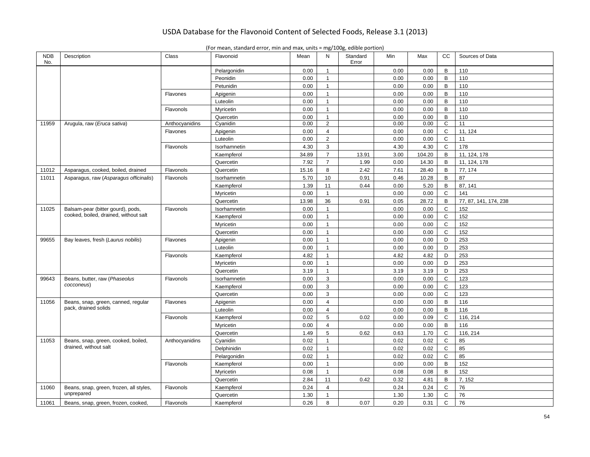| <b>NDB</b><br>No. | Description                             | <b>Class</b>   | Flavonoid    | Mean  | N              | Standard<br>Error | Min  | Max    | СC           | Sources of Data       |
|-------------------|-----------------------------------------|----------------|--------------|-------|----------------|-------------------|------|--------|--------------|-----------------------|
|                   |                                         |                | Pelargonidin | 0.00  | $\mathbf{1}$   |                   | 0.00 | 0.00   | B            | 110                   |
|                   |                                         |                | Peonidin     | 0.00  | $\mathbf{1}$   |                   | 0.00 | 0.00   | B            | 110                   |
|                   |                                         |                | Petunidin    | 0.00  | $\mathbf{1}$   |                   | 0.00 | 0.00   | $\mathsf B$  | 110                   |
|                   |                                         | Flavones       | Apigenin     | 0.00  | $\mathbf{1}$   |                   | 0.00 | 0.00   | $\mathsf B$  | 110                   |
|                   |                                         |                | Luteolin     | 0.00  | $\mathbf{1}$   |                   | 0.00 | 0.00   | $\mathsf B$  | 110                   |
|                   |                                         | Flavonols      | Myricetin    | 0.00  | $\mathbf{1}$   |                   | 0.00 | 0.00   | B            | 110                   |
|                   |                                         |                | Quercetin    | 0.00  | $\mathbf{1}$   |                   | 0.00 | 0.00   | $\mathsf B$  | 110                   |
| 11959             | Arugula, raw (Eruca sativa)             | Anthocyanidins | Cyanidin     | 0.00  | $\overline{2}$ |                   | 0.00 | 0.00   | C            | 11                    |
|                   |                                         | Flavones       | Apigenin     | 0.00  | $\overline{4}$ |                   | 0.00 | 0.00   | $\mathsf C$  | 11, 124               |
|                   |                                         |                | Luteolin     | 0.00  | $\overline{2}$ |                   | 0.00 | 0.00   | $\mathsf{C}$ | 11                    |
|                   |                                         | Flavonols      | Isorhamnetin | 4.30  | 3              |                   | 4.30 | 4.30   | $\mathsf{C}$ | 178                   |
|                   |                                         |                | Kaempferol   | 34.89 | $\overline{7}$ | 13.91             | 3.00 | 104.20 | B            | 11, 124, 178          |
|                   |                                         |                | Quercetin    | 7.92  | $\overline{7}$ | 1.99              | 0.00 | 14.30  | B            | 11, 124, 178          |
| 11012             | Asparagus, cooked, boiled, drained      | Flavonols      | Quercetin    | 15.16 | 8              | 2.42              | 7.61 | 28.40  | B            | 77, 174               |
| 11011             | Asparagus, raw (Asparagus officinalis)  | Flavonols      | Isorhamnetin | 5.70  | 10             | 0.91              | 0.46 | 10.28  | B            | 87                    |
|                   |                                         |                | Kaempferol   | 1.39  | 11             | 0.44              | 0.00 | 5.20   | B            | 87, 141               |
|                   |                                         |                | Myricetin    | 0.00  | $\mathbf{1}$   |                   | 0.00 | 0.00   | $\mathbf C$  | 141                   |
|                   |                                         |                | Quercetin    | 13.98 | 36             | 0.91              | 0.05 | 28.72  | B            | 77, 87, 141, 174, 238 |
| 11025             | Balsam-pear (bitter gourd), pods,       | Flavonols      | Isorhamnetin | 0.00  | $\mathbf{1}$   |                   | 0.00 | 0.00   | C            | 152                   |
|                   | cooked, boiled, drained, without salt   |                | Kaempferol   | 0.00  | $\mathbf{1}$   |                   | 0.00 | 0.00   | $\mathsf C$  | 152                   |
|                   |                                         |                | Myricetin    | 0.00  | $\mathbf{1}$   |                   | 0.00 | 0.00   | $\mathbf C$  | 152                   |
|                   |                                         |                | Quercetin    | 0.00  | $\mathbf{1}$   |                   | 0.00 | 0.00   | $\mathsf C$  | 152                   |
| 99655             | Bay leaves, fresh (Laurus nobilis)      | Flavones       | Apigenin     | 0.00  | $\mathbf{1}$   |                   | 0.00 | 0.00   | D            | 253                   |
|                   |                                         |                | Luteolin     | 0.00  | $\mathbf{1}$   |                   | 0.00 | 0.00   | D            | 253                   |
|                   |                                         | Flavonols      | Kaempferol   | 4.82  | $\mathbf{1}$   |                   | 4.82 | 4.82   | D            | 253                   |
|                   |                                         |                | Myricetin    | 0.00  | $\mathbf{1}$   |                   | 0.00 | 0.00   | D            | 253                   |
|                   |                                         |                | Quercetin    | 3.19  | $\mathbf{1}$   |                   | 3.19 | 3.19   | D            | 253                   |
| 99643             | Beans, butter, raw (Phaseolus           | Flavonols      | Isorhamnetin | 0.00  | 3              |                   | 0.00 | 0.00   | $\mathsf{C}$ | 123                   |
|                   | cocconeus)                              |                | Kaempferol   | 0.00  | 3              |                   | 0.00 | 0.00   | $\mathbf C$  | 123                   |
|                   |                                         |                | Quercetin    | 0.00  | 3              |                   | 0.00 | 0.00   | C            | 123                   |
| 11056             | Beans, snap, green, canned, regular     | Flavones       | Apigenin     | 0.00  | $\overline{4}$ |                   | 0.00 | 0.00   | B            | 116                   |
|                   | pack. drained solids                    |                | Luteolin     | 0.00  | $\overline{4}$ |                   | 0.00 | 0.00   | $\mathsf B$  | 116                   |
|                   |                                         | Flavonols      | Kaempferol   | 0.02  | 5              | 0.02              | 0.00 | 0.09   | $\mathsf{C}$ | 116, 214              |
|                   |                                         |                | Myricetin    | 0.00  | $\overline{4}$ |                   | 0.00 | 0.00   | $\mathsf B$  | 116                   |
|                   |                                         |                | Quercetin    | 1.49  | 5              | 0.62              | 0.63 | 1.70   | C            | 116, 214              |
| 11053             | Beans, snap, green, cooked, boiled,     | Anthocyanidins | Cyanidin     | 0.02  | $\mathbf{1}$   |                   | 0.02 | 0.02   | $\mathbf C$  | 85                    |
|                   | drained, without salt                   |                | Delphinidin  | 0.02  | $\mathbf{1}$   |                   | 0.02 | 0.02   | $\mathbf C$  | 85                    |
|                   |                                         |                | Pelargonidin | 0.02  | $\mathbf{1}$   |                   | 0.02 | 0.02   | C            | 85                    |
|                   |                                         | Flavonols      | Kaempferol   | 0.00  | $\overline{1}$ |                   | 0.00 | 0.00   | B            | 152                   |
|                   |                                         |                | Myricetin    | 0.08  | $\mathbf{1}$   |                   | 0.08 | 0.08   | $\mathsf B$  | 152                   |
|                   |                                         |                | Quercetin    | 2.84  | 11             | 0.42              | 0.32 | 4.81   | B            | 7, 152                |
| 11060             | Beans, snap, green, frozen, all styles, | Flavonols      | Kaempferol   | 0.24  | $\overline{4}$ |                   | 0.24 | 0.24   | C            | 76                    |
|                   | unprepared                              |                | Quercetin    | 1.30  | $\mathbf{1}$   |                   | 1.30 | 1.30   | $\mathbf C$  | 76                    |
|                   |                                         |                |              | 0.26  | 8              | 0.07              | 0.20 | 0.31   | $\mathsf{C}$ | 76                    |
| 11061             | Beans, snap, green, frozen, cooked,     | Flavonols      | Kaempferol   |       |                |                   |      |        |              |                       |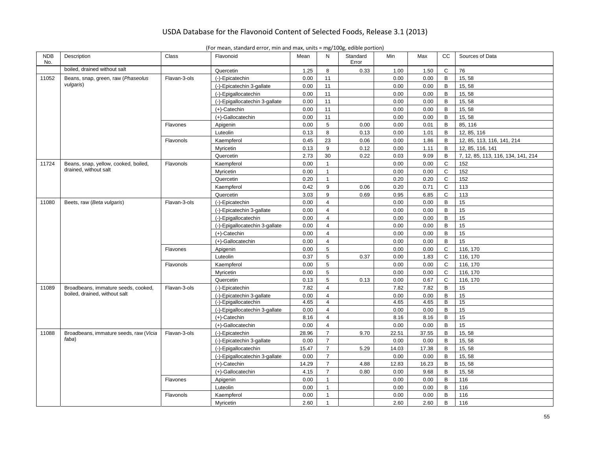|  | (For mean, standard error, min and max, units = $mg/100g$ , edible portion) |
|--|-----------------------------------------------------------------------------|
|--|-----------------------------------------------------------------------------|

| <b>NDB</b><br>No. | Description                            | Class        | Flavonoid                      | Mean  | N              | Standard<br>Error | Min   | Max   | <b>CC</b>      | Sources of Data                    |
|-------------------|----------------------------------------|--------------|--------------------------------|-------|----------------|-------------------|-------|-------|----------------|------------------------------------|
|                   | boiled, drained without salt           |              | Quercetin                      | 1.25  | 8              | 0.33              | 1.00  | 1.50  | $\mathsf{C}$   | 76                                 |
| 11052             | Beans, snap, green, raw (Phaseolus     | Flavan-3-ols | (-)-Epicatechin                | 0.00  | 11             |                   | 0.00  | 0.00  | B              | 15, 58                             |
|                   | vulgaris)                              |              | (-)-Epicatechin 3-gallate      | 0.00  | 11             |                   | 0.00  | 0.00  | B              | 15, 58                             |
|                   |                                        |              | (-)-Epigallocatechin           | 0.00  | 11             |                   | 0.00  | 0.00  | B              | 15, 58                             |
|                   |                                        |              | (-)-Epigallocatechin 3-gallate | 0.00  | 11             |                   | 0.00  | 0.00  | B              | 15, 58                             |
|                   |                                        |              | $(+)$ -Catechin                | 0.00  | 11             |                   | 0.00  | 0.00  | B              | 15, 58                             |
|                   |                                        |              | (+)-Gallocatechin              | 0.00  | 11             |                   | 0.00  | 0.00  | B              | 15, 58                             |
|                   |                                        | Flavones     | Apigenin                       | 0.00  | 5              | 0.00              | 0.00  | 0.01  | $\overline{B}$ | 85, 116                            |
|                   |                                        |              | Luteolin                       | 0.13  | 8              | 0.13              | 0.00  | 1.01  | B              | 12, 85, 116                        |
|                   |                                        | Flavonols    | Kaempferol                     | 0.45  | 23             | 0.06              | 0.00  | 1.86  | B              | 12, 85, 113, 116, 141, 214         |
|                   |                                        |              | Myricetin                      | 0.13  | 9              | 0.12              | 0.00  | 1.11  | B              | 12, 85, 116, 141                   |
|                   |                                        |              | Quercetin                      | 2.73  | 30             | 0.22              | 0.03  | 9.09  | B              | 7, 12, 85, 113, 116, 134, 141, 214 |
| 11724             | Beans, snap, yellow, cooked, boiled,   | Flavonols    | Kaempferol                     | 0.00  | $\mathbf{1}$   |                   | 0.00  | 0.00  | C              | 152                                |
|                   | drained, without salt                  |              | Myricetin                      | 0.00  | $\mathbf{1}$   |                   | 0.00  | 0.00  | $\mathbf C$    | 152                                |
|                   |                                        |              | Quercetin                      | 0.20  | $\mathbf{1}$   |                   | 0.20  | 0.20  | $\mathsf C$    | 152                                |
|                   |                                        |              | Kaempferol                     | 0.42  | 9              | 0.06              | 0.20  | 0.71  | $\mathsf{C}$   | 113                                |
|                   |                                        |              | Quercetin                      | 3.03  | 9              | 0.69              | 0.95  | 6.85  | $\mathsf C$    | 113                                |
| 11080             | Beets, raw (Beta vulgaris)             | Flavan-3-ols | (-)-Epicatechin                | 0.00  | $\overline{4}$ |                   | 0.00  | 0.00  | B              | 15                                 |
|                   |                                        |              | (-)-Epicatechin 3-gallate      | 0.00  | $\overline{4}$ |                   | 0.00  | 0.00  | B              | 15                                 |
|                   |                                        |              | (-)-Epigallocatechin           | 0.00  | $\overline{4}$ |                   | 0.00  | 0.00  | B              | 15                                 |
|                   |                                        |              | (-)-Epigallocatechin 3-gallate | 0.00  | $\overline{4}$ |                   | 0.00  | 0.00  | $\mathsf{B}$   | 15                                 |
|                   |                                        |              | $(+)$ -Catechin                | 0.00  | $\overline{4}$ |                   | 0.00  | 0.00  | $\mathsf{B}$   | 15                                 |
|                   |                                        |              | (+)-Gallocatechin              | 0.00  | $\overline{4}$ |                   | 0.00  | 0.00  | B              | 15                                 |
|                   |                                        | Flavones     | Apigenin                       | 0.00  | 5              |                   | 0.00  | 0.00  | $\mathsf{C}$   | 116, 170                           |
|                   |                                        |              | Luteolin                       | 0.37  | 5              | 0.37              | 0.00  | 1.83  | $\mathsf{C}$   | 116, 170                           |
|                   |                                        | Flavonols    | Kaempferol                     | 0.00  | 5              |                   | 0.00  | 0.00  | $\mathsf{C}$   | 116, 170                           |
|                   |                                        |              | Myricetin                      | 0.00  | 5              |                   | 0.00  | 0.00  | $\mathsf{C}$   | 116, 170                           |
|                   |                                        |              | Quercetin                      | 0.13  | 5              | 0.13              | 0.00  | 0.67  | C              | 116, 170                           |
| 11089             | Broadbeans, immature seeds, cooked,    | Flavan-3-ols | (-)-Epicatechin                | 7.82  | $\overline{4}$ |                   | 7.82  | 7.82  | $\mathsf B$    | 15                                 |
|                   | boiled, drained, without salt          |              | (-)-Epicatechin 3-gallate      | 0.00  | $\overline{4}$ |                   | 0.00  | 0.00  | B              | 15                                 |
|                   |                                        |              | (-)-Epigallocatechin           | 4.65  | $\overline{4}$ |                   | 4.65  | 4.65  | $\overline{B}$ | 15                                 |
|                   |                                        |              | (-)-Epigallocatechin 3-gallate | 0.00  | $\overline{4}$ |                   | 0.00  | 0.00  | B              | 15                                 |
|                   |                                        |              | (+)-Catechin                   | 8.16  | $\overline{4}$ |                   | 8.16  | 8.16  | $\mathsf{B}$   | 15                                 |
|                   |                                        |              | (+)-Gallocatechin              | 0.00  | $\overline{4}$ |                   | 0.00  | 0.00  | B              | 15                                 |
| 11088             | Broadbeans, immature seeds, raw (Vicia | Flavan-3-ols | (-)-Epicatechin                | 28.96 | $\overline{7}$ | 9.70              | 22.51 | 37.55 | $\, {\bf B}$   | 15, 58                             |
|                   | faba)                                  |              | (-)-Epicatechin 3-gallate      | 0.00  | $\overline{7}$ |                   | 0.00  | 0.00  | B              | 15, 58                             |
|                   |                                        |              | (-)-Epigallocatechin           | 15.47 | $\overline{7}$ | 5.29              | 14.03 | 17.38 | B              | 15, 58                             |
|                   |                                        |              | (-)-Epigallocatechin 3-gallate | 0.00  | $\overline{7}$ |                   | 0.00  | 0.00  | B              | 15, 58                             |
|                   |                                        |              | $(+)$ -Catechin                | 14.29 | $\overline{7}$ | 4.88              | 12.83 | 16.23 | B              | 15, 58                             |
|                   |                                        |              | (+)-Gallocatechin              | 4.15  | $\overline{7}$ | 0.80              | 0.00  | 9.68  | B              | 15, 58                             |
|                   |                                        | Flavones     | Apigenin                       | 0.00  | $\mathbf{1}$   |                   | 0.00  | 0.00  | B              | 116                                |
|                   |                                        |              | Luteolin                       | 0.00  | $\mathbf{1}$   |                   | 0.00  | 0.00  | B              | 116                                |
|                   |                                        | Flavonols    | Kaempferol                     | 0.00  | $\mathbf{1}$   |                   | 0.00  | 0.00  | $\sf B$        | 116                                |
|                   |                                        |              | Myricetin                      | 2.60  | $\mathbf{1}$   |                   | 2.60  | 2.60  | B              | 116                                |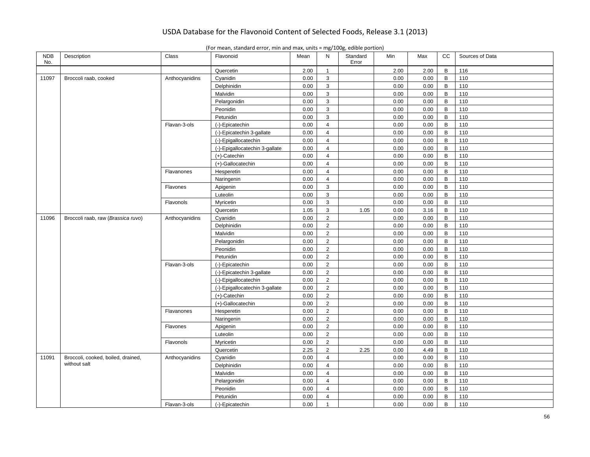| <b>NDB</b><br>No. | Description                        | Class          | Flavonoid                      | Mean | N              | Standard<br>Error | Min      | Max  | cc           | Sources of Data |
|-------------------|------------------------------------|----------------|--------------------------------|------|----------------|-------------------|----------|------|--------------|-----------------|
|                   |                                    |                | Quercetin                      | 2.00 | $\mathbf{1}$   |                   | 2.00     | 2.00 | B            | 116             |
| 11097             | Broccoli raab, cooked              | Anthocyanidins | Cyanidin                       | 0.00 | 3              |                   | 0.00     | 0.00 | B            | 110             |
|                   |                                    |                | Delphinidin                    | 0.00 | 3              |                   | 0.00     | 0.00 | $\, {\sf B}$ | 110             |
|                   |                                    |                | Malvidin                       | 0.00 | 3              |                   | 0.00     | 0.00 | B            | 110             |
|                   |                                    |                | Pelargonidin                   | 0.00 | 3              |                   | $0.00\,$ | 0.00 | B            | 110             |
|                   |                                    |                | Peonidin                       | 0.00 | 3              |                   | 0.00     | 0.00 | B            | 110             |
|                   |                                    |                | Petunidin                      | 0.00 | 3              |                   | 0.00     | 0.00 | $\mathsf{B}$ | 110             |
|                   |                                    | Flavan-3-ols   | (-)-Epicatechin                | 0.00 | $\overline{4}$ |                   | 0.00     | 0.00 | $\mathsf B$  | 110             |
|                   |                                    |                | (-)-Epicatechin 3-gallate      | 0.00 | $\overline{4}$ |                   | 0.00     | 0.00 | $\, {\sf B}$ | 110             |
|                   |                                    |                | (-)-Epigallocatechin           | 0.00 | $\overline{4}$ |                   | 0.00     | 0.00 | B            | 110             |
|                   |                                    |                | (-)-Epigallocatechin 3-gallate | 0.00 | $\overline{4}$ |                   | 0.00     | 0.00 | $\, {\bf B}$ | 110             |
|                   |                                    |                | (+)-Catechin                   | 0.00 | $\overline{4}$ |                   | 0.00     | 0.00 | B            | 110             |
|                   |                                    |                | (+)-Gallocatechin              | 0.00 | $\overline{4}$ |                   | 0.00     | 0.00 | $\mathsf{B}$ | 110             |
|                   |                                    | Flavanones     | Hesperetin                     | 0.00 | 4              |                   | 0.00     | 0.00 | B            | 110             |
|                   |                                    |                | Naringenin                     | 0.00 | $\overline{4}$ |                   | 0.00     | 0.00 | $\, {\sf B}$ | 110             |
|                   |                                    | Flavones       | Apigenin                       | 0.00 | 3              |                   | 0.00     | 0.00 | $\mathsf B$  | 110             |
|                   |                                    |                | Luteolin                       | 0.00 | 3              |                   | 0.00     | 0.00 | $\mathsf{B}$ | 110             |
|                   |                                    | Flavonols      | Myricetin                      | 0.00 | 3              |                   | 0.00     | 0.00 | $\, {\sf B}$ | 110             |
|                   |                                    |                | Quercetin                      | 1.05 | 3              | 1.05              | 0.00     | 3.16 | $\mathsf B$  | 110             |
| 11096             | Broccoli raab, raw (Brassica ruvo) | Anthocyanidins | Cyanidin                       | 0.00 | $\overline{2}$ |                   | 0.00     | 0.00 | B            | 110             |
|                   |                                    |                | Delphinidin                    | 0.00 | $\overline{2}$ |                   | 0.00     | 0.00 | $\, {\sf B}$ | 110             |
|                   |                                    |                | Malvidin                       | 0.00 | $\overline{2}$ |                   | 0.00     | 0.00 | B            | 110             |
|                   |                                    |                | Pelargonidin                   | 0.00 | $\overline{2}$ |                   | 0.00     | 0.00 | $\mathsf B$  | 110             |
|                   |                                    |                | Peonidin                       | 0.00 | $\overline{2}$ |                   | 0.00     | 0.00 | B            | 110             |
|                   |                                    |                | Petunidin                      | 0.00 | $\overline{2}$ |                   | 0.00     | 0.00 | $\mathsf{B}$ | 110             |
|                   |                                    | Flavan-3-ols   | (-)-Epicatechin                | 0.00 | $\overline{2}$ |                   | 0.00     | 0.00 | $\, {\bf B}$ | 110             |
|                   |                                    |                | (-)-Epicatechin 3-gallate      | 0.00 | $\overline{2}$ |                   | 0.00     | 0.00 | B            | 110             |
|                   |                                    |                | (-)-Epigallocatechin           | 0.00 | $\overline{2}$ |                   | 0.00     | 0.00 | B            | 110             |
|                   |                                    |                | (-)-Epigallocatechin 3-gallate | 0.00 | $\overline{2}$ |                   | 0.00     | 0.00 | B            | 110             |
|                   |                                    |                | $(+)$ -Catechin                | 0.00 | $\overline{2}$ |                   | 0.00     | 0.00 | $\, {\sf B}$ | 110             |
|                   |                                    |                | (+)-Gallocatechin              | 0.00 | $\overline{2}$ |                   | 0.00     | 0.00 | $\mathsf B$  | 110             |
|                   |                                    | Flavanones     | Hesperetin                     | 0.00 | $\overline{2}$ |                   | 0.00     | 0.00 | $\mathsf{B}$ | 110             |
|                   |                                    |                | Naringenin                     | 0.00 | $\overline{2}$ |                   | 0.00     | 0.00 | $\, {\sf B}$ | 110             |
|                   |                                    | Flavones       | Apigenin                       | 0.00 | $\overline{2}$ |                   | 0.00     | 0.00 | $\sf B$      | 110             |
|                   |                                    |                | Luteolin                       | 0.00 | $\overline{2}$ |                   | 0.00     | 0.00 | $\mathsf B$  | 110             |
|                   |                                    | Flavonols      | Myricetin                      | 0.00 | $\overline{2}$ |                   | 0.00     | 0.00 | $\, {\sf B}$ | 110             |
|                   |                                    |                | Quercetin                      | 2.25 | $\overline{2}$ | 2.25              | 0.00     | 4.49 | B            | 110             |
| 11091             | Broccoli, cooked, boiled, drained, | Anthocyanidins | Cyanidin                       | 0.00 | $\overline{4}$ |                   | 0.00     | 0.00 | $\, {\bf B}$ | 110             |
|                   | without salt                       |                | Delphinidin                    | 0.00 | $\overline{4}$ |                   | 0.00     | 0.00 | B            | 110             |
|                   |                                    |                | Malvidin                       | 0.00 | $\overline{4}$ |                   | 0.00     | 0.00 | $\, {\bf B}$ | 110             |
|                   |                                    |                | Pelargonidin                   | 0.00 | $\overline{4}$ |                   | 0.00     | 0.00 | B            | 110             |
|                   |                                    |                | Peonidin                       | 0.00 | $\overline{4}$ |                   | 0.00     | 0.00 | $\, {\sf B}$ | 110             |
|                   |                                    |                | Petunidin                      | 0.00 | $\overline{4}$ |                   | 0.00     | 0.00 | $\mathsf B$  | 110             |
|                   |                                    | Flavan-3-ols   | (-)-Epicatechin                | 0.00 | $\mathbf{1}$   |                   | 0.00     | 0.00 | $\mathsf{B}$ | 110             |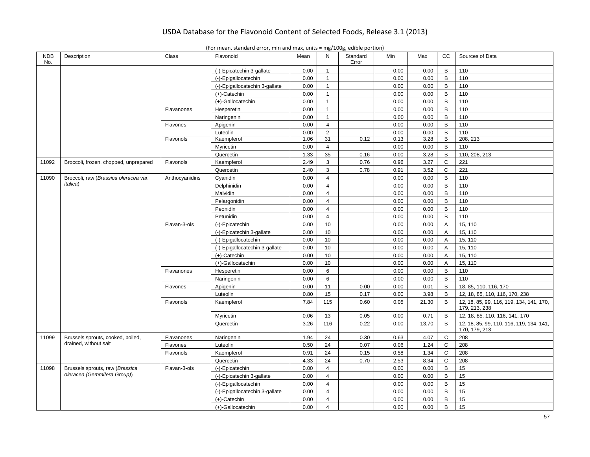| <b>NDB</b><br>No. | Description                           | Class          | Flavonoid                      | Mean | N              | Standard<br>Error | Min  | Max   | cc             | Sources of Data                                           |
|-------------------|---------------------------------------|----------------|--------------------------------|------|----------------|-------------------|------|-------|----------------|-----------------------------------------------------------|
|                   |                                       |                | (-)-Epicatechin 3-gallate      | 0.00 | $\mathbf{1}$   |                   | 0.00 | 0.00  | B              | 110                                                       |
|                   |                                       |                | (-)-Epigallocatechin           | 0.00 | $\mathbf{1}$   |                   | 0.00 | 0.00  | B              | 110                                                       |
|                   |                                       |                | (-)-Epigallocatechin 3-gallate | 0.00 | $\mathbf{1}$   |                   | 0.00 | 0.00  | B              | 110                                                       |
|                   |                                       |                | $(+)$ -Catechin                | 0.00 | $\mathbf{1}$   |                   | 0.00 | 0.00  | $\mathsf B$    | 110                                                       |
|                   |                                       |                | (+)-Gallocatechin              | 0.00 | $\mathbf{1}$   |                   | 0.00 | 0.00  | B              | 110                                                       |
|                   |                                       | Flavanones     | Hesperetin                     | 0.00 | $\mathbf{1}$   |                   | 0.00 | 0.00  | B              | 110                                                       |
|                   |                                       |                | Naringenin                     | 0.00 | $\mathbf{1}$   |                   | 0.00 | 0.00  | B              | 110                                                       |
|                   |                                       | Flavones       | Apigenin                       | 0.00 | $\overline{4}$ |                   | 0.00 | 0.00  | $\mathsf B$    | 110                                                       |
|                   |                                       |                | Luteolin                       | 0.00 | $\overline{2}$ |                   | 0.00 | 0.00  | $\mathsf B$    | 110                                                       |
|                   |                                       | Flavonols      | Kaempferol                     | 1.06 | 31             | 0.12              | 0.13 | 3.28  | $\overline{B}$ | 208, 213                                                  |
|                   |                                       |                | Myricetin                      | 0.00 | $\overline{4}$ |                   | 0.00 | 0.00  | B              | 110                                                       |
|                   |                                       |                | Quercetin                      | 1.33 | 35             | 0.16              | 0.00 | 3.28  | B              | 110, 208, 213                                             |
| 11092             | Broccoli, frozen, chopped, unprepared | Flavonols      | Kaempferol                     | 2.49 | 3              | 0.76              | 0.96 | 3.27  | $\mathsf{C}$   | 221                                                       |
|                   |                                       |                | Quercetin                      | 2.40 | 3              | 0.78              | 0.91 | 3.52  | $\mathsf{C}$   | 221                                                       |
| 11090             | Broccoli, raw (Brassica oleracea var. | Anthocyanidins | Cyanidin                       | 0.00 | $\overline{4}$ |                   | 0.00 | 0.00  | B              | 110                                                       |
|                   | <i>italica</i> )                      |                | Delphinidin                    | 0.00 | $\overline{4}$ |                   | 0.00 | 0.00  | B              | 110                                                       |
|                   |                                       |                | Malvidin                       | 0.00 | $\overline{4}$ |                   | 0.00 | 0.00  | B              | 110                                                       |
|                   |                                       |                | Pelargonidin                   | 0.00 | $\overline{4}$ |                   | 0.00 | 0.00  | B              | 110                                                       |
|                   |                                       |                | Peonidin                       | 0.00 | $\overline{4}$ |                   | 0.00 | 0.00  | $\mathsf B$    | 110                                                       |
|                   |                                       |                | Petunidin                      | 0.00 | $\overline{4}$ |                   | 0.00 | 0.00  | $\mathsf B$    | 110                                                       |
|                   |                                       | Flavan-3-ols   | (-)-Epicatechin                | 0.00 | 10             |                   | 0.00 | 0.00  | A              | 15, 110                                                   |
|                   |                                       |                | (-)-Epicatechin 3-gallate      | 0.00 | 10             |                   | 0.00 | 0.00  | $\overline{A}$ | 15, 110                                                   |
|                   |                                       |                | (-)-Epigallocatechin           | 0.00 | 10             |                   | 0.00 | 0.00  | $\overline{A}$ | 15, 110                                                   |
|                   |                                       |                | (-)-Epigallocatechin 3-gallate | 0.00 | 10             |                   | 0.00 | 0.00  | A              | 15, 110                                                   |
|                   |                                       |                | $(+)$ -Catechin                | 0.00 | 10             |                   | 0.00 | 0.00  | $\overline{A}$ | 15, 110                                                   |
|                   |                                       |                | (+)-Gallocatechin              | 0.00 | 10             |                   | 0.00 | 0.00  | A              | 15, 110                                                   |
|                   |                                       | Flavanones     | Hesperetin                     | 0.00 | 6              |                   | 0.00 | 0.00  | B              | 110                                                       |
|                   |                                       |                | Naringenin                     | 0.00 | 6              |                   | 0.00 | 0.00  | B              | 110                                                       |
|                   |                                       | Flavones       | Apigenin                       | 0.00 | 11             | 0.00              | 0.00 | 0.01  | B              | 18, 85, 110, 116, 170                                     |
|                   |                                       |                | Luteolin                       | 0.80 | 15             | 0.17              | 0.00 | 3.98  | B              | 12, 18, 85, 110, 116, 170, 238                            |
|                   |                                       | Flavonols      | Kaempferol                     | 7.84 | 115            | 0.60              | 0.05 | 21.30 | B              | 12, 18, 85, 99, 116, 119, 134, 141, 170,<br>179, 213, 238 |
|                   |                                       |                | Myricetin                      | 0.06 | 13             | 0.05              | 0.00 | 0.71  | B              | 12, 18, 85, 110, 116, 141, 170                            |
|                   |                                       |                | Quercetin                      | 3.26 | 116            | 0.22              | 0.00 | 13.70 | B              | 12, 18, 85, 99, 110, 116, 119, 134, 141,<br>170, 179, 213 |
| 11099             | Brussels sprouts, cooked, boiled,     | Flavanones     | Naringenin                     | 1.94 | 24             | 0.30              | 0.63 | 4.07  | $\mathbf C$    | 208                                                       |
|                   | drained, without salt                 | Flavones       | Luteolin                       | 0.50 | 24             | 0.07              | 0.06 | 1.24  | $\mathbf C$    | 208                                                       |
|                   |                                       | Flavonols      | Kaempferol                     | 0.91 | 24             | 0.15              | 0.58 | 1.34  | $\mathbf C$    | 208                                                       |
|                   |                                       |                | Quercetin                      | 4.33 | 24             | 0.70              | 2.53 | 8.34  | $\mathbf C$    | 208                                                       |
| 11098             | Brussels sprouts, raw (Brassica       | Flavan-3-ols   | (-)-Epicatechin                | 0.00 | $\overline{4}$ |                   | 0.00 | 0.00  | B              | 15                                                        |
|                   | oleracea (Gemmifera Group))           |                | (-)-Epicatechin 3-gallate      | 0.00 | $\overline{4}$ |                   | 0.00 | 0.00  | B              | 15                                                        |
|                   |                                       |                | (-)-Epigallocatechin           | 0.00 | $\overline{4}$ |                   | 0.00 | 0.00  | B              | 15                                                        |
|                   |                                       |                | (-)-Epigallocatechin 3-gallate | 0.00 | $\overline{4}$ |                   | 0.00 | 0.00  | B              | 15                                                        |
|                   |                                       |                | $(+)$ -Catechin                | 0.00 | $\overline{4}$ |                   | 0.00 | 0.00  | $\mathsf B$    | 15                                                        |
|                   |                                       |                | (+)-Gallocatechin              | 0.00 | $\overline{4}$ |                   | 0.00 | 0.00  | B              | 15                                                        |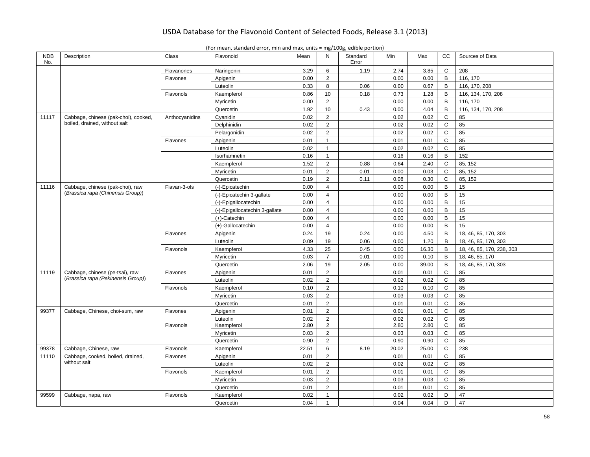| <b>NDB</b><br>No. | Description                          | Class          | Flavonoid                      | Mean  | N              | Standard<br>Error | Min   | Max   | cc             | Sources of Data           |
|-------------------|--------------------------------------|----------------|--------------------------------|-------|----------------|-------------------|-------|-------|----------------|---------------------------|
|                   |                                      | Flavanones     | Naringenin                     | 3.29  | 6              | 1.19              | 2.74  | 3.85  | C              | 208                       |
|                   |                                      | Flavones       | Apigenin                       | 0.00  | $\overline{2}$ |                   | 0.00  | 0.00  | B              | 116, 170                  |
|                   |                                      |                | Luteolin                       | 0.33  | 8              | 0.06              | 0.00  | 0.67  | B              | 116, 170, 208             |
|                   |                                      | Flavonols      | Kaempferol                     | 0.86  | 10             | 0.18              | 0.73  | 1.28  | B              | 116, 134, 170, 208        |
|                   |                                      |                | Myricetin                      | 0.00  | $\overline{2}$ |                   | 0.00  | 0.00  | B              | 116, 170                  |
|                   |                                      |                | Quercetin                      | 1.92  | 10             | 0.43              | 0.00  | 4.04  | B              | 116, 134, 170, 208        |
| 11117             | Cabbage, chinese (pak-choi), cooked, | Anthocyanidins | Cyanidin                       | 0.02  | $\overline{2}$ |                   | 0.02  | 0.02  | $\mathsf C$    | 85                        |
|                   | boiled, drained, without salt        |                | Delphinidin                    | 0.02  | $\overline{2}$ |                   | 0.02  | 0.02  | $\mathsf C$    | 85                        |
|                   |                                      |                | Pelargonidin                   | 0.02  | 2              |                   | 0.02  | 0.02  | $\mathsf{C}$   | 85                        |
|                   |                                      | Flavones       | Apigenin                       | 0.01  | $\overline{1}$ |                   | 0.01  | 0.01  | $\mathsf C$    | 85                        |
|                   |                                      |                | Luteolin                       | 0.02  | $\mathbf{1}$   |                   | 0.02  | 0.02  | $\mathsf{C}$   | 85                        |
|                   |                                      |                | Isorhamnetin                   | 0.16  | $\mathbf{1}$   |                   | 0.16  | 0.16  | $\overline{B}$ | 152                       |
|                   |                                      |                | Kaempferol                     | 1.52  | $\overline{2}$ | 0.88              | 0.64  | 2.40  | C              | 85, 152                   |
|                   |                                      |                | Myricetin                      | 0.01  | $\overline{2}$ | 0.01              | 0.00  | 0.03  | $\mathsf C$    | 85, 152                   |
|                   |                                      |                | Quercetin                      | 0.19  | 2              | 0.11              | 0.08  | 0.30  | C              | 85, 152                   |
| 11116             | Cabbage, chinese (pak-choi), raw     | Flavan-3-ols   | (-)-Epicatechin                | 0.00  | $\overline{4}$ |                   | 0.00  | 0.00  | B              | 15                        |
|                   | (Brassica rapa (Chinensis Group))    |                | (-)-Epicatechin 3-gallate      | 0.00  | $\overline{4}$ |                   | 0.00  | 0.00  | B              | 15                        |
|                   |                                      |                | (-)-Epigallocatechin           | 0.00  | $\overline{4}$ |                   | 0.00  | 0.00  | B              | 15                        |
|                   |                                      |                | (-)-Epigallocatechin 3-gallate | 0.00  | $\overline{4}$ |                   | 0.00  | 0.00  | B              | 15                        |
|                   |                                      |                | $(+)$ -Catechin                | 0.00  | $\overline{4}$ |                   | 0.00  | 0.00  | B              | 15                        |
|                   |                                      |                | (+)-Gallocatechin              | 0.00  | $\overline{4}$ |                   | 0.00  | 0.00  | B              | 15                        |
|                   |                                      | Flavones       | Apigenin                       | 0.24  | 19             | 0.24              | 0.00  | 4.50  | B              | 18, 46, 85, 170, 303      |
|                   |                                      |                | Luteolin                       | 0.09  | 19             | 0.06              | 0.00  | 1.20  | B              | 18, 46, 85, 170, 303      |
|                   |                                      | Flavonols      | Kaempferol                     | 4.33  | 25             | 0.45              | 0.00  | 16.30 | B              | 18, 46, 85, 170, 238, 303 |
|                   |                                      |                | Myricetin                      | 0.03  | $\overline{7}$ | 0.01              | 0.00  | 0.10  | B              | 18, 46, 85, 170           |
|                   |                                      |                | Quercetin                      | 2.06  | 19             | 2.05              | 0.00  | 39.00 | B              | 18, 46, 85, 170, 303      |
| 11119             | Cabbage, chinese (pe-tsai), raw      | Flavones       | Apigenin                       | 0.01  | $\overline{2}$ |                   | 0.01  | 0.01  | $\mathsf C$    | 85                        |
|                   | (Brassica rapa (Pekinensis Group))   |                | Luteolin                       | 0.02  | $\overline{2}$ |                   | 0.02  | 0.02  | $\mathsf{C}$   | 85                        |
|                   |                                      | Flavonols      | Kaempferol                     | 0.10  | $\overline{2}$ |                   | 0.10  | 0.10  | $\mathsf C$    | 85                        |
|                   |                                      |                | Myricetin                      | 0.03  | $\overline{2}$ |                   | 0.03  | 0.03  | $\mathsf{C}$   | 85                        |
|                   |                                      |                | Quercetin                      | 0.01  | $\overline{2}$ |                   | 0.01  | 0.01  | $\mathsf{C}$   | 85                        |
| 99377             | Cabbage, Chinese, choi-sum, raw      | Flavones       | Apigenin                       | 0.01  | $\overline{2}$ |                   | 0.01  | 0.01  | $\mathsf C$    | 85                        |
|                   |                                      |                | Luteolin                       | 0.02  | $\overline{2}$ |                   | 0.02  | 0.02  | $\mathsf C$    | 85                        |
|                   |                                      | Flavonols      | Kaempferol                     | 2.80  | $\overline{2}$ |                   | 2.80  | 2.80  | $\overline{c}$ | 85                        |
|                   |                                      |                | Myricetin                      | 0.03  | $\overline{2}$ |                   | 0.03  | 0.03  | $\mathsf C$    | 85                        |
|                   |                                      |                | Quercetin                      | 0.90  | $\overline{2}$ |                   | 0.90  | 0.90  | $\mathsf{C}$   | 85                        |
| 99378             | Cabbage, Chinese, raw                | Flavonols      | Kaempferol                     | 22.51 | 6              | 8.19              | 20.02 | 25.00 | $\mathsf C$    | 238                       |
| 11110             | Cabbage, cooked, boiled, drained,    | Flavones       | Apigenin                       | 0.01  | 2              |                   | 0.01  | 0.01  | $\mathsf{C}$   | 85                        |
|                   | without salt                         |                | Luteolin                       | 0.02  | $\overline{2}$ |                   | 0.02  | 0.02  | $\mathsf C$    | 85                        |
|                   |                                      | Flavonols      | Kaempferol                     | 0.01  | $\overline{2}$ |                   | 0.01  | 0.01  | $\mathsf C$    | 85                        |
|                   |                                      |                | Myricetin                      | 0.03  | $\overline{2}$ |                   | 0.03  | 0.03  | $\mathsf{C}$   | 85                        |
|                   |                                      |                | Quercetin                      | 0.01  | 2              |                   | 0.01  | 0.01  | C              | 85                        |
| 99599             | Cabbage, napa, raw                   | Flavonols      | Kaempferol                     | 0.02  | $\overline{1}$ |                   | 0.02  | 0.02  | D              | 47                        |
|                   |                                      |                | Quercetin                      | 0.04  | $\overline{1}$ |                   | 0.04  | 0.04  | D              | 47                        |
|                   |                                      |                |                                |       |                |                   |       |       |                |                           |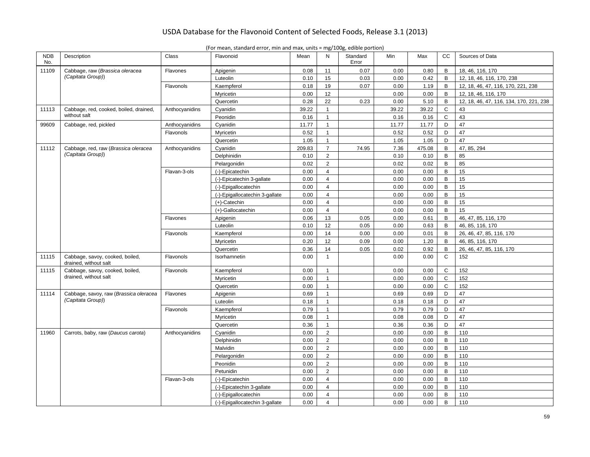| <b>NDB</b><br>No. | Description                                              | Class          | Flavonoid                      | Mean   | N              | Standard<br>Error | Min   | Max    | cc           | Sources of Data                         |
|-------------------|----------------------------------------------------------|----------------|--------------------------------|--------|----------------|-------------------|-------|--------|--------------|-----------------------------------------|
| 11109             | Cabbage, raw (Brassica oleracea                          | Flavones       | Apigenin                       | 0.08   | 11             | 0.07              | 0.00  | 0.80   | B            | 18, 46, 116, 170                        |
|                   | (Capitata Group))                                        |                | Luteolin                       | 0.10   | 15             | 0.03              | 0.00  | 0.42   | B            | 12, 18, 46, 116, 170, 238               |
|                   |                                                          | Flavonols      | Kaempferol                     | 0.18   | 19             | 0.07              | 0.00  | 1.19   | B            | 12, 18, 46, 47, 116, 170, 221, 238      |
|                   |                                                          |                | Myricetin                      | 0.00   | 12             |                   | 0.00  | 0.00   | B            | 12, 18, 46, 116, 170                    |
|                   |                                                          |                | Quercetin                      | 0.28   | 22             | 0.23              | 0.00  | 5.10   | B            | 12, 18, 46, 47, 116, 134, 170, 221, 238 |
| 11113             | Cabbage, red, cooked, boiled, drained,                   | Anthocyanidins | Cyanidin                       | 39.22  | $\mathbf{1}$   |                   | 39.22 | 39.22  | $\mathbf C$  | 43                                      |
|                   | without salt                                             |                | Peonidin                       | 0.16   | $\mathbf{1}$   |                   | 0.16  | 0.16   | $\mathsf{C}$ | 43                                      |
| 99609             | Cabbage, red, pickled                                    | Anthocyanidins | Cyanidin                       | 11.77  | $\mathbf{1}$   |                   | 11.77 | 11.77  | D            | 47                                      |
|                   |                                                          | Flavonols      | Myricetin                      | 0.52   | $\mathbf{1}$   |                   | 0.52  | 0.52   | D            | 47                                      |
|                   |                                                          |                | Quercetin                      | 1.05   | $\mathbf{1}$   |                   | 1.05  | 1.05   | D            | 47                                      |
| 11112             | Cabbage, red, raw (Brassica oleracea                     | Anthocyanidins | Cyanidin                       | 209.83 | $\overline{7}$ | 74.95             | 7.36  | 475.08 | B            | 47, 85, 294                             |
|                   | (Capitata Group))                                        |                | Delphinidin                    | 0.10   | $\overline{2}$ |                   | 0.10  | 0.10   | B            | 85                                      |
|                   |                                                          |                | Pelargonidin                   | 0.02   | $\overline{2}$ |                   | 0.02  | 0.02   | B            | 85                                      |
|                   |                                                          | Flavan-3-ols   | (-)-Epicatechin                | 0.00   | $\overline{4}$ |                   | 0.00  | 0.00   | B            | 15                                      |
|                   |                                                          |                | (-)-Epicatechin 3-gallate      | 0.00   | $\overline{4}$ |                   | 0.00  | 0.00   | B            | 15                                      |
|                   |                                                          |                | (-)-Epigallocatechin           | 0.00   | $\overline{4}$ |                   | 0.00  | 0.00   | $\mathsf B$  | 15                                      |
|                   |                                                          |                | (-)-Epigallocatechin 3-gallate | 0.00   | $\overline{4}$ |                   | 0.00  | 0.00   | B            | 15                                      |
|                   |                                                          |                | $(+)$ -Catechin                | 0.00   | $\overline{4}$ |                   | 0.00  | 0.00   | $\mathsf B$  | 15                                      |
|                   |                                                          |                | (+)-Gallocatechin              | 0.00   | $\overline{4}$ |                   | 0.00  | 0.00   | B            | 15                                      |
|                   |                                                          | Flavones       | Apigenin                       | 0.06   | 13             | 0.05              | 0.00  | 0.61   | B            | 46, 47, 85, 116, 170                    |
|                   |                                                          |                | Luteolin                       | 0.10   | 12             | 0.05              | 0.00  | 0.63   | B            | 46, 85, 116, 170                        |
|                   |                                                          | Flavonols      | Kaempferol                     | 0.00   | 14             | 0.00              | 0.00  | 0.01   | B            | 26, 46, 47, 85, 116, 170                |
|                   |                                                          |                | Myricetin                      | 0.20   | 12             | 0.09              | 0.00  | 1.20   | B            | 46, 85, 116, 170                        |
|                   |                                                          |                | Quercetin                      | 0.36   | 14             | 0.05              | 0.02  | 0.92   | B            | 26, 46, 47, 85, 116, 170                |
| 11115             | Cabbage, savoy, cooked, boiled,<br>drained, without salt | Flavonols      | Isorhamnetin                   | 0.00   | $\mathbf{1}$   |                   | 0.00  | 0.00   | $\mathbf C$  | 152                                     |
| 11115             | Cabbage, savoy, cooked, boiled,                          | Flavonols      | Kaempferol                     | 0.00   | $\mathbf{1}$   |                   | 0.00  | 0.00   | $\mathsf{C}$ | 152                                     |
|                   | drained, without salt                                    |                | Myricetin                      | 0.00   | $\mathbf{1}$   |                   | 0.00  | 0.00   | $\mathbf C$  | 152                                     |
|                   |                                                          |                | Quercetin                      | 0.00   | $\mathbf{1}$   |                   | 0.00  | 0.00   | $\mathbf C$  | 152                                     |
| 11114             | Cabbage, savoy, raw (Brassica oleracea                   | Flavones       | Apigenin                       | 0.69   | $\mathbf{1}$   |                   | 0.69  | 0.69   | D            | 47                                      |
|                   | (Capitata Group))                                        |                | Luteolin                       | 0.18   | $\mathbf{1}$   |                   | 0.18  | 0.18   | D            | 47                                      |
|                   |                                                          | Flavonols      | Kaempferol                     | 0.79   | $\mathbf{1}$   |                   | 0.79  | 0.79   | D            | 47                                      |
|                   |                                                          |                | Myricetin                      | 0.08   | $\mathbf{1}$   |                   | 0.08  | 0.08   | D            | 47                                      |
|                   |                                                          |                | Quercetin                      | 0.36   | $\mathbf{1}$   |                   | 0.36  | 0.36   | D            | 47                                      |
| 11960             | Carrots, baby, raw (Daucus carota)                       | Anthocyanidins | Cyanidin                       | 0.00   | $\overline{2}$ |                   | 0.00  | 0.00   | B            | 110                                     |
|                   |                                                          |                | Delphinidin                    | 0.00   | $\overline{2}$ |                   | 0.00  | 0.00   | $\mathsf B$  | 110                                     |
|                   |                                                          |                | Malvidin                       | 0.00   | $\overline{2}$ |                   | 0.00  | 0.00   | B            | 110                                     |
|                   |                                                          |                | Pelargonidin                   | 0.00   | $\overline{2}$ |                   | 0.00  | 0.00   | $\mathsf B$  | 110                                     |
|                   |                                                          |                | Peonidin                       | 0.00   | $\overline{2}$ |                   | 0.00  | 0.00   | $\mathsf B$  | 110                                     |
|                   |                                                          |                | Petunidin                      | 0.00   | $\overline{2}$ |                   | 0.00  | 0.00   | B            | 110                                     |
|                   |                                                          | Flavan-3-ols   | (-)-Epicatechin                | 0.00   | $\overline{4}$ |                   | 0.00  | 0.00   | B            | 110                                     |
|                   |                                                          |                | (-)-Epicatechin 3-gallate      | 0.00   | $\overline{4}$ |                   | 0.00  | 0.00   | B            | 110                                     |
|                   |                                                          |                | (-)-Epigallocatechin           | 0.00   | $\overline{4}$ |                   | 0.00  | 0.00   | $\mathsf B$  | 110                                     |
|                   |                                                          |                | (-)-Epigallocatechin 3-gallate | 0.00   | $\overline{4}$ |                   | 0.00  | 0.00   | B            | 110                                     |
|                   |                                                          |                |                                |        |                |                   |       |        |              |                                         |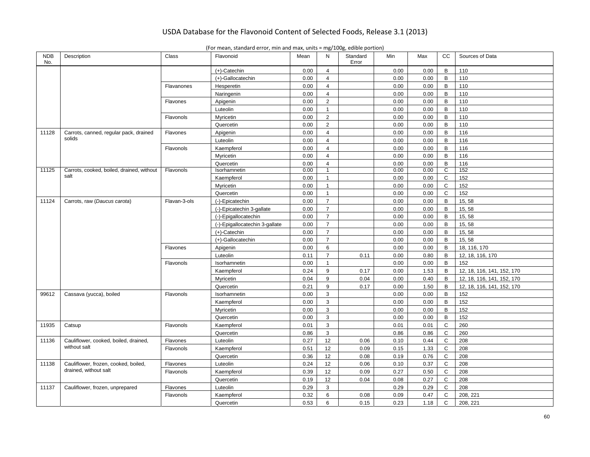| <b>NDB</b><br>No. | Description                               | Class        | Flavonoid                      | Mean | N              | Standard<br>Error | Min  | Max  | CC           | Sources of Data            |
|-------------------|-------------------------------------------|--------------|--------------------------------|------|----------------|-------------------|------|------|--------------|----------------------------|
|                   |                                           |              | $(+)$ -Catechin                | 0.00 | $\overline{4}$ |                   | 0.00 | 0.00 | B            | 110                        |
|                   |                                           |              | (+)-Gallocatechin              | 0.00 | $\overline{4}$ |                   | 0.00 | 0.00 | B            | 110                        |
|                   |                                           | Flavanones   | Hesperetin                     | 0.00 | $\overline{4}$ |                   | 0.00 | 0.00 | B            | 110                        |
|                   |                                           |              | Naringenin                     | 0.00 | $\overline{4}$ |                   | 0.00 | 0.00 | B            | 110                        |
|                   |                                           | Flavones     | Apigenin                       | 0.00 | $\overline{2}$ |                   | 0.00 | 0.00 | $\mathsf B$  | 110                        |
|                   |                                           |              | Luteolin                       | 0.00 | $\mathbf{1}$   |                   | 0.00 | 0.00 | B            | 110                        |
|                   |                                           | Flavonols    | Myricetin                      | 0.00 | $\overline{2}$ |                   | 0.00 | 0.00 | $\mathsf B$  | 110                        |
|                   |                                           |              | Quercetin                      | 0.00 | $\overline{2}$ |                   | 0.00 | 0.00 | $\mathsf B$  | 110                        |
| 11128             | Carrots, canned, regular pack, drained    | Flavones     | Apigenin                       | 0.00 | $\overline{4}$ |                   | 0.00 | 0.00 | B            | 116                        |
|                   | solids                                    |              | Luteolin                       | 0.00 | $\overline{4}$ |                   | 0.00 | 0.00 | B            | 116                        |
|                   |                                           | Flavonols    | Kaempferol                     | 0.00 | $\overline{4}$ |                   | 0.00 | 0.00 | $\mathsf B$  | 116                        |
|                   |                                           |              | Myricetin                      | 0.00 | $\overline{4}$ |                   | 0.00 | 0.00 | B            | 116                        |
|                   |                                           |              | Quercetin                      | 0.00 | $\overline{4}$ |                   | 0.00 | 0.00 | B            | 116                        |
| 11125             | Carrots, cooked, boiled, drained, without | Flavonols    | Isorhamnetin                   | 0.00 | $\mathbf{1}$   |                   | 0.00 | 0.00 | C            | 152                        |
|                   | salt                                      |              | Kaempferol                     | 0.00 | $\mathbf{1}$   |                   | 0.00 | 0.00 | $\mathbf C$  | 152                        |
|                   |                                           |              | Myricetin                      | 0.00 | $\mathbf{1}$   |                   | 0.00 | 0.00 | $\mathsf{C}$ | 152                        |
|                   |                                           |              | Quercetin                      | 0.00 | $\mathbf{1}$   |                   | 0.00 | 0.00 | $\mathsf{C}$ | 152                        |
| 11124             | Carrots, raw (Daucus carota)              | Flavan-3-ols | (-)-Epicatechin                | 0.00 | $\overline{7}$ |                   | 0.00 | 0.00 | B            | 15,58                      |
|                   |                                           |              | (-)-Epicatechin 3-gallate      | 0.00 | $\overline{7}$ |                   | 0.00 | 0.00 | B            | 15, 58                     |
|                   |                                           |              | (-)-Epigallocatechin           | 0.00 | $\overline{7}$ |                   | 0.00 | 0.00 | B            | 15, 58                     |
|                   |                                           |              | (-)-Epigallocatechin 3-gallate | 0.00 | $\overline{7}$ |                   | 0.00 | 0.00 | B            | 15, 58                     |
|                   |                                           |              | (+)-Catechin                   | 0.00 | $\overline{7}$ |                   | 0.00 | 0.00 | B            | 15, 58                     |
|                   |                                           |              | (+)-Gallocatechin              | 0.00 | $\overline{7}$ |                   | 0.00 | 0.00 | B            | 15, 58                     |
|                   |                                           | Flavones     | Apigenin                       | 0.00 | $\,6\,$        |                   | 0.00 | 0.00 | B            | 18, 116, 170               |
|                   |                                           |              | Luteolin                       | 0.11 | $\overline{7}$ | 0.11              | 0.00 | 0.80 | B            | 12, 18, 116, 170           |
|                   |                                           | Flavonols    | Isorhamnetin                   | 0.00 | $\mathbf{1}$   |                   | 0.00 | 0.00 | B            | 152                        |
|                   |                                           |              | Kaempferol                     | 0.24 | 9              | 0.17              | 0.00 | 1.53 | B            | 12, 18, 116, 141, 152, 170 |
|                   |                                           |              | Myricetin                      | 0.04 | 9              | 0.04              | 0.00 | 0.40 | B            | 12, 18, 116, 141, 152, 170 |
|                   |                                           |              | Quercetin                      | 0.21 | 9              | 0.17              | 0.00 | 1.50 | B            | 12, 18, 116, 141, 152, 170 |
| 99612             | Cassava (yucca), boiled                   | Flavonols    | Isorhamnetin                   | 0.00 | 3              |                   | 0.00 | 0.00 | B            | 152                        |
|                   |                                           |              | Kaempferol                     | 0.00 | 3              |                   | 0.00 | 0.00 | $\mathsf B$  | 152                        |
|                   |                                           |              | Myricetin                      | 0.00 | 3              |                   | 0.00 | 0.00 | $\mathsf B$  | 152                        |
|                   |                                           |              | Quercetin                      | 0.00 | 3              |                   | 0.00 | 0.00 | B            | 152                        |
| 11935             | Catsup                                    | Flavonols    | Kaempferol                     | 0.01 | 3              |                   | 0.01 | 0.01 | $\mathbf C$  | 260                        |
|                   |                                           |              | Quercetin                      | 0.86 | 3              |                   | 0.86 | 0.86 | $\mathbf C$  | 260                        |
| 11136             | Cauliflower, cooked, boiled, drained,     | Flavones     | Luteolin                       | 0.27 | 12             | 0.06              | 0.10 | 0.44 | $\mathsf{C}$ | 208                        |
|                   | without salt                              | Flavonols    | Kaempferol                     | 0.51 | 12             | 0.09              | 0.15 | 1.33 | $\mathsf{C}$ | 208                        |
|                   |                                           |              | Quercetin                      | 0.36 | 12             | 0.08              | 0.19 | 0.76 | C            | 208                        |
| 11138             | Cauliflower, frozen, cooked, boiled,      | Flavones     | Luteolin                       | 0.24 | 12             | 0.06              | 0.10 | 0.37 | $\mathbf C$  | 208                        |
|                   | drained, without salt                     | Flavonols    | Kaempferol                     | 0.39 | 12             | 0.09              | 0.27 | 0.50 | $\mathbf C$  | 208                        |
|                   |                                           |              | Quercetin                      | 0.19 | 12             | 0.04              | 0.08 | 0.27 | $\mathsf{C}$ | 208                        |
| 11137             | Cauliflower, frozen, unprepared           | Flavones     | Luteolin                       | 0.29 | 3              |                   | 0.29 | 0.29 | C            | 208                        |
|                   |                                           | Flavonols    | Kaempferol                     | 0.32 | 6              | 0.08              | 0.09 | 0.47 | $\mathbf C$  | 208, 221                   |
|                   |                                           |              | Quercetin                      | 0.53 | 6              | 0.15              | 0.23 | 1.18 | $\mathsf{C}$ | 208, 221                   |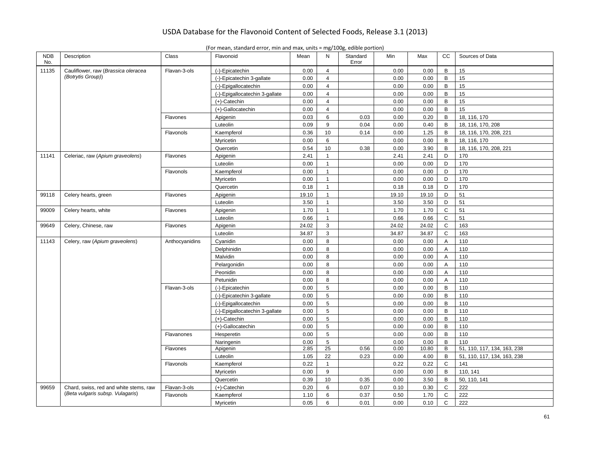|  |  | (For mean, standard error, min and max, units $=$ mg/100g, edible portion) |
|--|--|----------------------------------------------------------------------------|
|  |  |                                                                            |

| <b>NDB</b><br>No. | Description                            | Class          | Flavonoid                      | Mean  | N               | Standard<br>Error | Min   | Max   | cc                      | Sources of Data             |
|-------------------|----------------------------------------|----------------|--------------------------------|-------|-----------------|-------------------|-------|-------|-------------------------|-----------------------------|
| 11135             | Cauliflower, raw (Brassica oleracea    | Flavan-3-ols   | (-)-Epicatechin                | 0.00  | $\overline{4}$  |                   | 0.00  | 0.00  | B                       | 15                          |
|                   | (Botrytis Group))                      |                | (-)-Epicatechin 3-gallate      | 0.00  | $\overline{4}$  |                   | 0.00  | 0.00  | $\, {\bf B}$            | 15                          |
|                   |                                        |                | (-)-Epigallocatechin           | 0.00  | $\overline{4}$  |                   | 0.00  | 0.00  | $\mathsf{B}$            | 15                          |
|                   |                                        |                | (-)-Epigallocatechin 3-gallate | 0.00  | $\overline{4}$  |                   | 0.00  | 0.00  | $\, {\bf B}$            | 15                          |
|                   |                                        |                | $(+)$ -Catechin                | 0.00  | $\overline{4}$  |                   | 0.00  | 0.00  | $\mathsf{B}$            | 15                          |
|                   |                                        |                | (+)-Gallocatechin              | 0.00  | $\overline{4}$  |                   | 0.00  | 0.00  | B                       | 15                          |
|                   |                                        | Flavones       | Apigenin                       | 0.03  | 6               | 0.03              | 0.00  | 0.20  | $\mathsf B$             | 18, 116, 170                |
|                   |                                        |                | Luteolin                       | 0.09  | 9               | 0.04              | 0.00  | 0.40  | B                       | 18, 116, 170, 208           |
|                   |                                        | Flavonols      | Kaempferol                     | 0.36  | 10              | 0.14              | 0.00  | 1.25  | B                       | 18, 116, 170, 208, 221      |
|                   |                                        |                | Myricetin                      | 0.00  | 6               |                   | 0.00  | 0.00  | B                       | 18, 116, 170                |
|                   |                                        |                | Quercetin                      | 0.54  | 10              | 0.38              | 0.00  | 3.90  | $\sf B$                 | 18, 116, 170, 208, 221      |
| 11141             | Celeriac, raw (Apium graveolens)       | Flavones       | Apigenin                       | 2.41  | $\mathbf{1}$    |                   | 2.41  | 2.41  | D                       | 170                         |
|                   |                                        |                | Luteolin                       | 0.00  | $\mathbf{1}$    |                   | 0.00  | 0.00  | D                       | 170                         |
|                   |                                        | Flavonols      | Kaempferol                     | 0.00  | $\mathbf{1}$    |                   | 0.00  | 0.00  | D                       | 170                         |
|                   |                                        |                | Myricetin                      | 0.00  | $\mathbf{1}$    |                   | 0.00  | 0.00  | D                       | 170                         |
|                   |                                        |                | Quercetin                      | 0.18  | $\mathbf{1}$    |                   | 0.18  | 0.18  | D                       | 170                         |
| 99118             | Celery hearts, green                   | Flavones       | Apigenin                       | 19.10 | $\mathbf{1}$    |                   | 19.10 | 19.10 | D                       | 51                          |
|                   |                                        |                | Luteolin                       | 3.50  | $\mathbf{1}$    |                   | 3.50  | 3.50  | D                       | 51                          |
| 99009             | Celery hearts, white                   | Flavones       | Apigenin                       | 1.70  | $\mathbf{1}$    |                   | 1.70  | 1.70  | $\mathsf{C}$            | 51                          |
|                   |                                        |                | Luteolin                       | 0.66  | $\mathbf{1}$    |                   | 0.66  | 0.66  | $\mathbf C$             | 51                          |
| 99649             | Celery, Chinese, raw                   | Flavones       | Apigenin                       | 24.02 | 3               |                   | 24.02 | 24.02 | ${\bf C}$               | 163                         |
|                   |                                        |                | Luteolin                       | 34.87 | 3               |                   | 34.87 | 34.87 | $\mathbf C$             | 163                         |
| 11143             | Celery, raw (Apium graveolens)         | Anthocyanidins | Cyanidin                       | 0.00  | 8               |                   | 0.00  | 0.00  | $\overline{\mathsf{A}}$ | 110                         |
|                   |                                        |                | Delphinidin                    | 0.00  | 8               |                   | 0.00  | 0.00  | A                       | 110                         |
|                   |                                        |                | Malvidin                       | 0.00  | 8               |                   | 0.00  | 0.00  | A                       | 110                         |
|                   |                                        |                | Pelargonidin                   | 0.00  | 8               |                   | 0.00  | 0.00  | A                       | 110                         |
|                   |                                        |                | Peonidin                       | 0.00  | 8               |                   | 0.00  | 0.00  | A                       | 110                         |
|                   |                                        |                | Petunidin                      | 0.00  | 8               |                   | 0.00  | 0.00  | $\overline{A}$          | 110                         |
|                   |                                        | Flavan-3-ols   | (-)-Epicatechin                | 0.00  | 5               |                   | 0.00  | 0.00  | $\mathsf B$             | 110                         |
|                   |                                        |                | (-)-Epicatechin 3-gallate      | 0.00  | 5               |                   | 0.00  | 0.00  | $\, {\bf B}$            | 110                         |
|                   |                                        |                | (-)-Epigallocatechin           | 0.00  | 5               |                   | 0.00  | 0.00  | $\overline{B}$          | 110                         |
|                   |                                        |                | (-)-Epigallocatechin 3-gallate | 0.00  | 5               |                   | 0.00  | 0.00  | $\sf B$                 | 110                         |
|                   |                                        |                | $(+)$ -Catechin                | 0.00  | 5               |                   | 0.00  | 0.00  | $\mathsf{B}$            | 110                         |
|                   |                                        |                | (+)-Gallocatechin              | 0.00  | 5               |                   | 0.00  | 0.00  | B                       | 110                         |
|                   |                                        | Flavanones     | Hesperetin                     | 0.00  | 5               |                   | 0.00  | 0.00  | $\mathsf{B}$            | 110                         |
|                   |                                        |                | Naringenin                     | 0.00  | 5               |                   | 0.00  | 0.00  | B                       | 110                         |
|                   |                                        | Flavones       | Apigenin                       | 2.85  | $\overline{25}$ | 0.56              | 0.00  | 10.80 | B                       | 51, 110, 117, 134, 163, 238 |
|                   |                                        |                | Luteolin                       | 1.05  | 22              | 0.23              | 0.00  | 4.00  | B                       | 51, 110, 117, 134, 163, 238 |
|                   |                                        | Flavonols      | Kaempferol                     | 0.22  | $\mathbf{1}$    |                   | 0.22  | 0.22  | $\mathsf{C}$            | 141                         |
|                   |                                        |                | Myricetin                      | 0.00  | 9               |                   | 0.00  | 0.00  | $\mathsf{B}$            | 110, 141                    |
|                   |                                        |                | Quercetin                      | 0.39  | 10              | 0.35              | 0.00  | 3.50  | B                       | 50, 110, 141                |
| 99659             | Chard, swiss, red and white stems, raw | Flavan-3-ols   | $(+)$ -Catechin                | 0.20  | 6               | 0.07              | 0.10  | 0.30  | $\mathsf C$             | 222                         |
|                   | (Beta vulgaris subsp. Vulagaris)       | Flavonols      | Kaempferol                     | 1.10  | 6               | 0.37              | 0.50  | 1.70  | $\mathbf C$             | 222                         |
|                   |                                        |                | Myricetin                      | 0.05  | 6               | 0.01              | 0.00  | 0.10  | $\mathsf{C}$            | 222                         |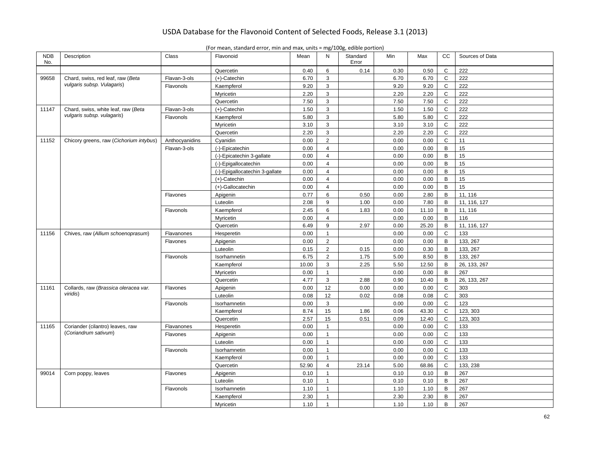| <b>NDB</b><br>No. | Description                             | Class          | Flavonoid                      | Mean  | N              | Standard<br>Error | Min  | Max   | <b>CC</b>      | Sources of Data |
|-------------------|-----------------------------------------|----------------|--------------------------------|-------|----------------|-------------------|------|-------|----------------|-----------------|
|                   |                                         |                | Quercetin                      | 0.40  | 6              | 0.14              | 0.30 | 0.50  | $\mathsf C$    | 222             |
| 99658             | Chard, swiss, red leaf, raw (Beta       | Flavan-3-ols   | $(+)$ -Catechin                | 6.70  | 3              |                   | 6.70 | 6.70  | $\mathsf C$    | 222             |
|                   | vulgaris subsp. Vulagaris)              | Flavonols      | Kaempferol                     | 9.20  | 3              |                   | 9.20 | 9.20  | $\mathsf C$    | 222             |
|                   |                                         |                | Myricetin                      | 2.20  | 3              |                   | 2.20 | 2.20  | $\mathsf C$    | 222             |
|                   |                                         |                | Quercetin                      | 7.50  | 3              |                   | 7.50 | 7.50  | $\mathsf{C}$   | 222             |
| 11147             | Chard, swiss, white leaf, raw (Beta     | Flavan-3-ols   | $(+)$ -Catechin                | 1.50  | 3              |                   | 1.50 | 1.50  | $\mathsf C$    | 222             |
|                   | vulgaris subsp. vulagaris)              | Flavonols      | Kaempferol                     | 5.80  | 3              |                   | 5.80 | 5.80  | $\mathsf C$    | 222             |
|                   |                                         |                | Myricetin                      | 3.10  | 3              |                   | 3.10 | 3.10  | $\mathsf{C}$   | 222             |
|                   |                                         |                | Quercetin                      | 2.20  | 3              |                   | 2.20 | 2.20  | $\mathsf{C}$   | 222             |
| 11152             | Chicory greens, raw (Cichorium intybus) | Anthocyanidins | Cyanidin                       | 0.00  | $\overline{2}$ |                   | 0.00 | 0.00  | $\mathsf C$    | 11              |
|                   |                                         | Flavan-3-ols   | (-)-Epicatechin                | 0.00  | $\overline{4}$ |                   | 0.00 | 0.00  | $\, {\bf B}$   | 15              |
|                   |                                         |                | (-)-Epicatechin 3-gallate      | 0.00  | $\overline{4}$ |                   | 0.00 | 0.00  | $\mathsf{B}$   | 15              |
|                   |                                         |                | (-)-Epigallocatechin           | 0.00  | $\overline{4}$ |                   | 0.00 | 0.00  | $\mathsf{B}$   | 15              |
|                   |                                         |                | (-)-Epigallocatechin 3-gallate | 0.00  | $\overline{4}$ |                   | 0.00 | 0.00  | $\, {\bf B}$   | 15              |
|                   |                                         |                | (+)-Catechin                   | 0.00  | $\overline{4}$ |                   | 0.00 | 0.00  | $\mathsf{B}$   | 15              |
|                   |                                         |                | (+)-Gallocatechin              | 0.00  | $\overline{4}$ |                   | 0.00 | 0.00  | B              | 15              |
|                   |                                         | Flavones       | Apigenin                       | 0.77  | 6              | 0.50              | 0.00 | 2.80  | B              | 11, 116         |
|                   |                                         |                | Luteolin                       | 2.08  | 9              | 1.00              | 0.00 | 7.80  | B              | 11, 116, 127    |
|                   |                                         | Flavonols      | Kaempferol                     | 2.45  | 6              | 1.83              | 0.00 | 11.10 | B              | 11, 116         |
|                   |                                         |                | Myricetin                      | 0.00  | $\overline{4}$ |                   | 0.00 | 0.00  | B              | 116             |
|                   |                                         |                | Quercetin                      | 6.49  | 9              | 2.97              | 0.00 | 25.20 | $\, {\bf B}$   | 11, 116, 127    |
| 11156             | Chives, raw (Allium schoenoprasum)      | Flavanones     | Hesperetin                     | 0.00  | $\mathbf{1}$   |                   | 0.00 | 0.00  | $\mathsf C$    | 133             |
|                   |                                         | Flavones       | Apigenin                       | 0.00  | $\overline{2}$ |                   | 0.00 | 0.00  | B              | 133, 267        |
|                   |                                         |                | Luteolin                       | 0.15  | $\overline{2}$ | 0.15              | 0.00 | 0.30  | B              | 133, 267        |
|                   |                                         | Flavonols      | Isorhamnetin                   | 6.75  | 2              | 1.75              | 5.00 | 8.50  | B              | 133, 267        |
|                   |                                         |                | Kaempferol                     | 10.00 | 3              | 2.25              | 5.50 | 12.50 | B              | 26, 133, 267    |
|                   |                                         |                | Myricetin                      | 0.00  | $\mathbf{1}$   |                   | 0.00 | 0.00  | B              | 267             |
|                   |                                         |                | Quercetin                      | 4.77  | 3              | 2.88              | 0.90 | 10.40 | B              | 26, 133, 267    |
| 11161             | Collards, raw (Brassica oleracea var.   | Flavones       | Apigenin                       | 0.00  | 12             | 0.00              | 0.00 | 0.00  | $\mathsf{C}$   | 303             |
|                   | viridis)                                |                | Luteolin                       | 0.08  | 12             | 0.02              | 0.08 | 0.08  | $\mathsf C$    | 303             |
|                   |                                         | Flavonols      | Isorhamnetin                   | 0.00  | 3              |                   | 0.00 | 0.00  | $\mathbf C$    | 123             |
|                   |                                         |                | Kaempferol                     | 8.74  | 15             | 1.86              | 0.06 | 43.30 | C              | 123, 303        |
|                   |                                         |                | Quercetin                      | 2.57  | 15             | 0.51              | 0.09 | 12.40 | $\mathsf{C}$   | 123, 303        |
| 11165             | Coriander (cilantro) leaves, raw        | Flavanones     | Hesperetin                     | 0.00  | $\mathbf{1}$   |                   | 0.00 | 0.00  | $\mathsf C$    | 133             |
|                   | (Coriandrum sativum)                    | Flavones       | Apigenin                       | 0.00  | $\mathbf{1}$   |                   | 0.00 | 0.00  | $\mathsf C$    | 133             |
|                   |                                         |                | Luteolin                       | 0.00  | 1              |                   | 0.00 | 0.00  | $\mathbf C$    | 133             |
|                   |                                         | Flavonols      | Isorhamnetin                   | 0.00  | $\mathbf{1}$   |                   | 0.00 | 0.00  | $\mathbf C$    | 133             |
|                   |                                         |                | Kaempferol                     | 0.00  | $\mathbf{1}$   |                   | 0.00 | 0.00  | C              | 133             |
|                   |                                         |                | Quercetin                      | 52.90 | $\overline{4}$ | 23.14             | 5.00 | 68.86 | $\mathbf C$    | 133, 238        |
| 99014             | Corn poppy, leaves                      | Flavones       | Apigenin                       | 0.10  | $\mathbf{1}$   |                   | 0.10 | 0.10  | B              | 267             |
|                   |                                         |                | Luteolin                       | 0.10  | $\mathbf{1}$   |                   | 0.10 | 0.10  | $\, {\bf B}$   | 267             |
|                   |                                         | Flavonols      | Isorhamnetin                   | 1.10  | $\mathbf{1}$   |                   | 1.10 | 1.10  | B              | 267             |
|                   |                                         |                | Kaempferol                     | 2.30  | $\mathbf{1}$   |                   | 2.30 | 2.30  | B              | 267             |
|                   |                                         |                | Myricetin                      | 1.10  | $\mathbf{1}$   |                   | 1.10 | 1.10  | $\overline{B}$ | 267             |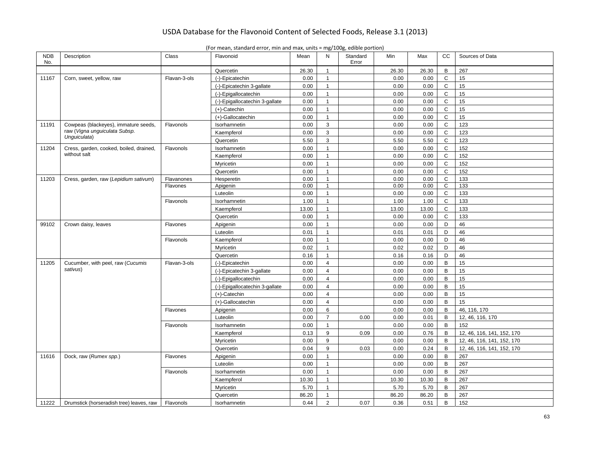| <b>NDB</b><br>No. | Description                              | Class        | Flavonoid                      | Mean  | N                | Standard<br>Error | Min   | Max   | cc             | Sources of Data            |
|-------------------|------------------------------------------|--------------|--------------------------------|-------|------------------|-------------------|-------|-------|----------------|----------------------------|
|                   |                                          |              | Quercetin                      | 26.30 | $\mathbf{1}$     |                   | 26.30 | 26.30 | B              | 267                        |
| 11167             | Corn, sweet, yellow, raw                 | Flavan-3-ols | (-)-Epicatechin                | 0.00  | $\mathbf{1}$     |                   | 0.00  | 0.00  | $\mathbf C$    | 15                         |
|                   |                                          |              | (-)-Epicatechin 3-gallate      | 0.00  | $\mathbf{1}$     |                   | 0.00  | 0.00  | $\mathbf C$    | 15                         |
|                   |                                          |              | (-)-Epigallocatechin           | 0.00  | $\mathbf{1}$     |                   | 0.00  | 0.00  | $\mathsf{C}$   | 15                         |
|                   |                                          |              | (-)-Epigallocatechin 3-gallate | 0.00  | $\mathbf{1}$     |                   | 0.00  | 0.00  | $\mathbf C$    | 15                         |
|                   |                                          |              | $(+)$ -Catechin                | 0.00  | $\mathbf{1}$     |                   | 0.00  | 0.00  | $\mathbf C$    | 15                         |
|                   |                                          |              | (+)-Gallocatechin              | 0.00  | $\mathbf{1}$     |                   | 0.00  | 0.00  | $\mathsf{C}$   | 15                         |
| 11191             | Cowpeas (blackeyes), immature seeds,     | Flavonols    | Isorhamnetin                   | 0.00  | 3                |                   | 0.00  | 0.00  | $\mathbf C$    | 123                        |
|                   | raw (Vigna unguiculata Subsp.            |              | Kaempferol                     | 0.00  | 3                |                   | 0.00  | 0.00  | $\mathsf{C}$   | 123                        |
|                   | Unguiculata)                             |              | Quercetin                      | 5.50  | 3                |                   | 5.50  | 5.50  | $\mathbf C$    | 123                        |
| 11204             | Cress, garden, cooked, boiled, drained,  | Flavonols    | Isorhamnetin                   | 0.00  | $\mathbf{1}$     |                   | 0.00  | 0.00  | $\mathsf{C}$   | 152                        |
|                   | without salt                             |              | Kaempferol                     | 0.00  | $\mathbf{1}$     |                   | 0.00  | 0.00  | $\mathsf{C}$   | 152                        |
|                   |                                          |              | Myricetin                      | 0.00  | $\mathbf{1}$     |                   | 0.00  | 0.00  | $\mathbf C$    | 152                        |
|                   |                                          |              | Quercetin                      | 0.00  | $\mathbf{1}$     |                   | 0.00  | 0.00  | $\mathbf C$    | 152                        |
| 11203             | Cress, garden, raw (Lepidium sativum)    | Flavanones   | Hesperetin                     | 0.00  | $\mathbf{1}$     |                   | 0.00  | 0.00  | $\mathbf C$    | 133                        |
|                   |                                          | Flavones     | Apigenin                       | 0.00  | $\mathbf{1}$     |                   | 0.00  | 0.00  | С              | 133                        |
|                   |                                          |              | Luteolin                       | 0.00  | $\mathbf{1}$     |                   | 0.00  | 0.00  | $\mathsf{C}$   | 133                        |
|                   |                                          | Flavonols    | Isorhamnetin                   | 1.00  | $\mathbf{1}$     |                   | 1.00  | 1.00  | $\mathbf C$    | 133                        |
|                   |                                          |              | Kaempferol                     | 13.00 | $\mathbf{1}$     |                   | 13.00 | 13.00 | $\mathsf{C}$   | 133                        |
|                   |                                          |              | Quercetin                      | 0.00  | $\mathbf{1}$     |                   | 0.00  | 0.00  | $\mathbf C$    | 133                        |
| 99102             | Crown daisy, leaves                      | Flavones     | Apigenin                       | 0.00  | $\mathbf{1}$     |                   | 0.00  | 0.00  | D              | 46                         |
|                   |                                          |              | Luteolin                       | 0.01  | $\mathbf{1}$     |                   | 0.01  | 0.01  | D              | 46                         |
|                   |                                          | Flavonols    | Kaempferol                     | 0.00  | $\mathbf{1}$     |                   | 0.00  | 0.00  | D              | 46                         |
|                   |                                          |              | Myricetin                      | 0.02  | $\mathbf{1}$     |                   | 0.02  | 0.02  | D              | 46                         |
|                   |                                          |              | Quercetin                      | 0.16  | $\mathbf{1}$     |                   | 0.16  | 0.16  | D              | 46                         |
| 11205             | Cucumber, with peel, raw (Cucumis        | Flavan-3-ols | (-)-Epicatechin                | 0.00  | $\overline{4}$   |                   | 0.00  | 0.00  | B              | 15                         |
|                   | sativus)                                 |              | (-)-Epicatechin 3-gallate      | 0.00  | $\overline{4}$   |                   | 0.00  | 0.00  | B              | 15                         |
|                   |                                          |              | (-)-Epigallocatechin           | 0.00  | $\overline{4}$   |                   | 0.00  | 0.00  | B              | 15                         |
|                   |                                          |              | (-)-Epigallocatechin 3-gallate | 0.00  | $\overline{4}$   |                   | 0.00  | 0.00  | $\mathsf B$    | 15                         |
|                   |                                          |              | $(+)$ -Catechin                | 0.00  | $\overline{4}$   |                   | 0.00  | 0.00  | B              | 15                         |
|                   |                                          |              | (+)-Gallocatechin              | 0.00  | $\overline{4}$   |                   | 0.00  | 0.00  | B              | 15                         |
|                   |                                          | Flavones     | Apigenin                       | 0.00  | 6                |                   | 0.00  | 0.00  | B              | 46, 116, 170               |
|                   |                                          |              | Luteolin                       | 0.00  | $\overline{7}$   | 0.00              | 0.00  | 0.01  | B              | 12, 46, 116, 170           |
|                   |                                          | Flavonols    | Isorhamnetin                   | 0.00  | $\mathbf{1}$     |                   | 0.00  | 0.00  | B              | 152                        |
|                   |                                          |              | Kaempferol                     | 0.13  | $\boldsymbol{9}$ | 0.09              | 0.00  | 0.76  | $\mathsf B$    | 12, 46, 116, 141, 152, 170 |
|                   |                                          |              | Myricetin                      | 0.00  | 9                |                   | 0.00  | 0.00  | B              | 12, 46, 116, 141, 152, 170 |
|                   |                                          |              | Quercetin                      | 0.04  | 9                | 0.03              | 0.00  | 0.24  | B              | 12, 46, 116, 141, 152, 170 |
| 11616             | Dock, raw (Rumex spp.)                   | Flavones     | Apigenin                       | 0.00  | $\mathbf{1}$     |                   | 0.00  | 0.00  | B              | 267                        |
|                   |                                          |              | Luteolin                       | 0.00  | $\mathbf{1}$     |                   | 0.00  | 0.00  | $\mathsf B$    | 267                        |
|                   |                                          | Flavonols    | Isorhamnetin                   | 0.00  | $\mathbf{1}$     |                   | 0.00  | 0.00  | $\mathsf B$    | 267                        |
|                   |                                          |              | Kaempferol                     | 10.30 | $\mathbf{1}$     |                   | 10.30 | 10.30 | B              | 267                        |
|                   |                                          |              | Myricetin                      | 5.70  | $\mathbf{1}$     |                   | 5.70  | 5.70  | $\mathsf B$    | 267                        |
|                   |                                          |              | Quercetin                      | 86.20 | $\mathbf{1}$     |                   | 86.20 | 86.20 | $\sf B$        | 267                        |
| 11222             | Drumstick (horseradish tree) leaves, raw | Flavonols    | Isorhamnetin                   | 0.44  | 2                | 0.07              | 0.36  | 0.51  | $\overline{B}$ | 152                        |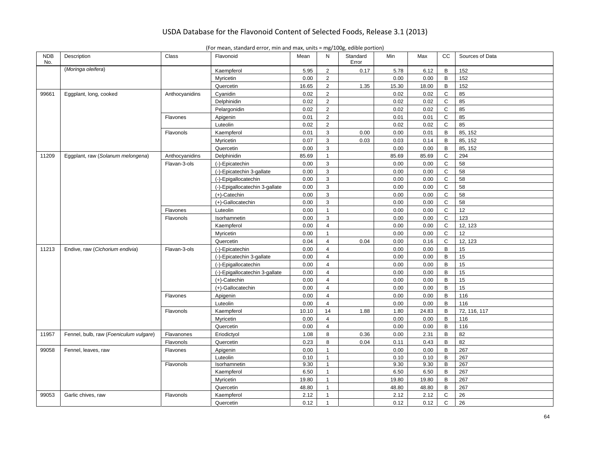|  | (For mean, standard error, min and max, units $=$ mg/100g, edible portion) |
|--|----------------------------------------------------------------------------|
|  |                                                                            |

| <b>NDB</b><br>No. | Description                            | Class          | Flavonoid                      | Mean  | N              | Standard<br>Error | Min   | Max   | cc             | Sources of Data |
|-------------------|----------------------------------------|----------------|--------------------------------|-------|----------------|-------------------|-------|-------|----------------|-----------------|
|                   | (Moringa oleifera)                     |                | Kaempferol                     | 5.95  | $\overline{2}$ | 0.17              | 5.78  | 6.12  | B              | 152             |
|                   |                                        |                | Myricetin                      | 0.00  | 2              |                   | 0.00  | 0.00  | B              | 152             |
|                   |                                        |                | Quercetin                      | 16.65 | $\overline{2}$ | 1.35              | 15.30 | 18.00 | $\mathsf{B}$   | 152             |
| 99661             | Eggplant, long, cooked                 | Anthocyanidins | Cyanidin                       | 0.02  | 2              |                   | 0.02  | 0.02  | $\mathsf C$    | 85              |
|                   |                                        |                | Delphinidin                    | 0.02  | $\overline{2}$ |                   | 0.02  | 0.02  | $\mathbf C$    | 85              |
|                   |                                        |                | Pelargonidin                   | 0.02  | 2              |                   | 0.02  | 0.02  | $\mathsf C$    | 85              |
|                   |                                        | Flavones       | Apigenin                       | 0.01  | $\overline{2}$ |                   | 0.01  | 0.01  | $\mathbf C$    | 85              |
|                   |                                        |                | Luteolin                       | 0.02  | $\overline{2}$ |                   | 0.02  | 0.02  | $\mathsf{C}$   | 85              |
|                   |                                        | Flavonols      | Kaempferol                     | 0.01  | 3              | 0.00              | 0.00  | 0.01  | $\, {\bf B}$   | 85, 152         |
|                   |                                        |                | Myricetin                      | 0.07  | 3              | 0.03              | 0.03  | 0.14  | B              | 85, 152         |
|                   |                                        |                | Quercetin                      | 0.00  | 3              |                   | 0.00  | 0.00  | $\mathsf{B}$   | 85, 152         |
| 11209             | Eggplant, raw (Solanum melongena)      | Anthocyanidins | Delphinidin                    | 85.69 | $\mathbf{1}$   |                   | 85.69 | 85.69 | C              | 294             |
|                   |                                        | Flavan-3-ols   | (-)-Epicatechin                | 0.00  | 3              |                   | 0.00  | 0.00  | $\mathsf{C}$   | 58              |
|                   |                                        |                | (-)-Epicatechin 3-gallate      | 0.00  | 3              |                   | 0.00  | 0.00  | $\mathsf C$    | 58              |
|                   |                                        |                | (-)-Epigallocatechin           | 0.00  | 3              |                   | 0.00  | 0.00  | $\mathbf C$    | 58              |
|                   |                                        |                | (-)-Epigallocatechin 3-gallate | 0.00  | 3              |                   | 0.00  | 0.00  | $\mathsf{C}$   | 58              |
|                   |                                        |                | $(+)$ -Catechin                | 0.00  | 3              |                   | 0.00  | 0.00  | $\mathsf C$    | 58              |
|                   |                                        |                | (+)-Gallocatechin              | 0.00  | $\mathfrak{Z}$ |                   | 0.00  | 0.00  | $\mathbf C$    | 58              |
|                   |                                        | Flavones       | Luteolin                       | 0.00  | $\mathbf{1}$   |                   | 0.00  | 0.00  | $\mathbf C$    | 12              |
|                   |                                        | Flavonols      | Isorhamnetin                   | 0.00  | 3              |                   | 0.00  | 0.00  | $\mathsf{C}$   | 123             |
|                   |                                        |                | Kaempferol                     | 0.00  | $\overline{4}$ |                   | 0.00  | 0.00  | $\mathsf{C}$   | 12, 123         |
|                   |                                        |                | Myricetin                      | 0.00  | $\mathbf{1}$   |                   | 0.00  | 0.00  | $\mathbf C$    | 12              |
|                   |                                        |                | Quercetin                      | 0.04  | $\overline{4}$ | 0.04              | 0.00  | 0.16  | C              | 12, 123         |
| 11213             | Endive, raw (Cichorium endivia)        | Flavan-3-ols   | (-)-Epicatechin                | 0.00  | $\overline{4}$ |                   | 0.00  | 0.00  | $\mathsf{B}$   | 15              |
|                   |                                        |                | (-)-Epicatechin 3-gallate      | 0.00  | $\overline{4}$ |                   | 0.00  | 0.00  | $\, {\bf B}$   | 15              |
|                   |                                        |                | (-)-Epigallocatechin           | 0.00  | $\overline{4}$ |                   | 0.00  | 0.00  | $\mathsf{B}$   | 15              |
|                   |                                        |                | (-)-Epigallocatechin 3-gallate | 0.00  | $\overline{4}$ |                   | 0.00  | 0.00  | B              | 15              |
|                   |                                        |                | (+)-Catechin                   | 0.00  | $\overline{4}$ |                   | 0.00  | 0.00  | $\, {\bf B}$   | 15              |
|                   |                                        |                | (+)-Gallocatechin              | 0.00  | $\overline{4}$ |                   | 0.00  | 0.00  | B              | 15              |
|                   |                                        | Flavones       | Apigenin                       | 0.00  | $\overline{4}$ |                   | 0.00  | 0.00  | B              | 116             |
|                   |                                        |                | Luteolin                       | 0.00  | $\overline{4}$ |                   | 0.00  | 0.00  | B              | 116             |
|                   |                                        | Flavonols      | Kaempferol                     | 10.10 | 14             | 1.88              | 1.80  | 24.83 | B              | 72, 116, 117    |
|                   |                                        |                | Myricetin                      | 0.00  | $\overline{4}$ |                   | 0.00  | 0.00  | $\, {\bf B}$   | 116             |
|                   |                                        |                | Quercetin                      | 0.00  | $\overline{4}$ |                   | 0.00  | 0.00  | B              | 116             |
| 11957             | Fennel, bulb, raw (Foeniculum vulgare) | Flavanones     | Eriodictyol                    | 1.08  | 8              | 0.36              | 0.00  | 2.31  | B              | 82              |
|                   |                                        | Flavonols      | Quercetin                      | 0.23  | 8              | 0.04              | 0.11  | 0.43  | B              | 82              |
| 99058             | Fennel, leaves, raw                    | Flavones       | Apigenin                       | 0.00  | $\mathbf{1}$   |                   | 0.00  | 0.00  | $\, {\bf B}$   | 267             |
|                   |                                        |                | Luteolin                       | 0.10  | $\mathbf{1}$   |                   | 0.10  | 0.10  | $\sf B$        | 267             |
|                   |                                        | Flavonols      | Isorhamnetin                   | 9.30  | $\overline{1}$ |                   | 9.30  | 9.30  | $\overline{B}$ | 267             |
|                   |                                        |                | Kaempferol                     | 6.50  | $\mathbf{1}$   |                   | 6.50  | 6.50  | $\sf B$        | 267             |
|                   |                                        |                | Myricetin                      | 19.80 | $\mathbf{1}$   |                   | 19.80 | 19.80 | B              | 267             |
|                   |                                        |                | Quercetin                      | 48.80 | $\mathbf{1}$   |                   | 48.80 | 48.80 | B              | 267             |
| 99053             | Garlic chives, raw                     | Flavonols      | Kaempferol                     | 2.12  | $\mathbf{1}$   |                   | 2.12  | 2.12  | $\mathbf C$    | $26\,$          |
|                   |                                        |                | Quercetin                      | 0.12  | $\mathbf{1}$   |                   | 0.12  | 0.12  | $\mathsf{C}$   | 26              |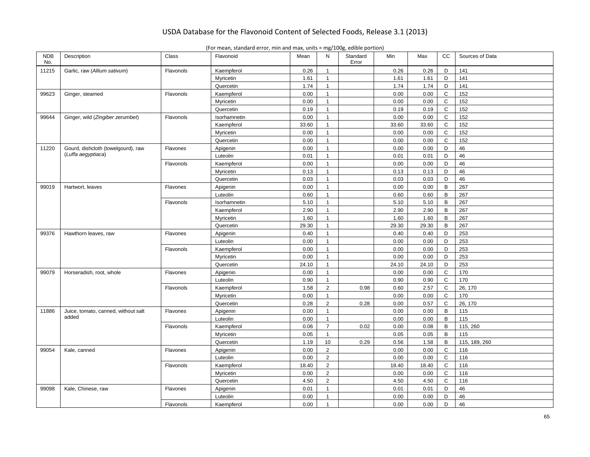| <b>NDB</b><br>No. | Description                         | Class     | Flavonoid    | Mean  | N              | Standard<br>Error | Min   | Max   | cc           | Sources of Data |
|-------------------|-------------------------------------|-----------|--------------|-------|----------------|-------------------|-------|-------|--------------|-----------------|
| 11215             | Garlic, raw (Allium sativum)        | Flavonols | Kaempferol   | 0.26  | $\mathbf{1}$   |                   | 0.26  | 0.26  | D            | 141             |
|                   |                                     |           | Myricetin    | 1.61  | $\mathbf{1}$   |                   | 1.61  | 1.61  | D            | 141             |
|                   |                                     |           | Quercetin    | 1.74  | $\mathbf{1}$   |                   | 1.74  | 1.74  | D            | 141             |
| 99623             | Ginger, steamed                     | Flavonols | Kaempferol   | 0.00  | $\mathbf{1}$   |                   | 0.00  | 0.00  | $\mathsf C$  | 152             |
|                   |                                     |           | Myricetin    | 0.00  | $\mathbf{1}$   |                   | 0.00  | 0.00  | $\mathsf{C}$ | 152             |
|                   |                                     |           | Quercetin    | 0.19  | $\mathbf{1}$   |                   | 0.19  | 0.19  | $\mathsf C$  | 152             |
| 99644             | Ginger, wild (Zingiber zerumbet)    | Flavonols | Isorhamnetin | 0.00  | $\mathbf{1}$   |                   | 0.00  | 0.00  | $\mathsf C$  | 152             |
|                   |                                     |           | Kaempferol   | 33.60 | $\mathbf{1}$   |                   | 33.60 | 33.60 | $\mathsf{C}$ | 152             |
|                   |                                     |           | Myricetin    | 0.00  | $\mathbf{1}$   |                   | 0.00  | 0.00  | $\mathsf{C}$ | 152             |
|                   |                                     |           | Quercetin    | 0.00  | $\mathbf{1}$   |                   | 0.00  | 0.00  | $\mathsf C$  | 152             |
| 11220             | Gourd, dishcloth (towelgourd), raw  | Flavones  | Apigenin     | 0.00  | $\mathbf{1}$   |                   | 0.00  | 0.00  | D            | 46              |
|                   | (Luffa aegyptiaca)                  |           | Luteolin     | 0.01  | -1             |                   | 0.01  | 0.01  | D            | 46              |
|                   |                                     | Flavonols | Kaempferol   | 0.00  | $\mathbf{1}$   |                   | 0.00  | 0.00  | D            | 46              |
|                   |                                     |           | Myricetin    | 0.13  | $\mathbf{1}$   |                   | 0.13  | 0.13  | D            | 46              |
|                   |                                     |           | Quercetin    | 0.03  | $\overline{1}$ |                   | 0.03  | 0.03  | D            | 46              |
| 99019             | Hartwort, leaves                    | Flavones  | Apigenin     | 0.00  | $\mathbf{1}$   |                   | 0.00  | 0.00  | B            | 267             |
|                   |                                     |           | Luteolin     | 0.60  | $\mathbf{1}$   |                   | 0.60  | 0.60  | $\, {\bf B}$ | 267             |
|                   |                                     | Flavonols | Isorhamnetin | 5.10  | $\mathbf{1}$   |                   | 5.10  | 5.10  | B            | 267             |
|                   |                                     |           | Kaempferol   | 2.90  | $\mathbf{1}$   |                   | 2.90  | 2.90  | $\mathsf{B}$ | 267             |
|                   |                                     |           | Myricetin    | 1.60  | $\mathbf{1}$   |                   | 1.60  | 1.60  | B            | 267             |
|                   |                                     |           | Quercetin    | 29.30 | $\mathbf{1}$   |                   | 29.30 | 29.30 | $\, {\bf B}$ | 267             |
| 99376             | Hawthorn leaves, raw                | Flavones  | Apigenin     | 0.40  | $\mathbf{1}$   |                   | 0.40  | 0.40  | D            | 253             |
|                   |                                     |           | Luteolin     | 0.00  | $\overline{1}$ |                   | 0.00  | 0.00  | D            | 253             |
|                   |                                     | Flavonols | Kaempferol   | 0.00  | $\mathbf{1}$   |                   | 0.00  | 0.00  | D            | 253             |
|                   |                                     |           | Myricetin    | 0.00  | $\mathbf{1}$   |                   | 0.00  | 0.00  | D            | 253             |
|                   |                                     |           | Quercetin    | 24.10 | $\mathbf{1}$   |                   | 24.10 | 24.10 | D            | 253             |
| 99079             | Horseradish, root, whole            | Flavones  | Apigenin     | 0.00  | $\mathbf{1}$   |                   | 0.00  | 0.00  | $\mathbf C$  | 170             |
|                   |                                     |           | Luteolin     | 0.90  | 1              |                   | 0.90  | 0.90  | $\mathsf C$  | 170             |
|                   |                                     | Flavonols | Kaempferol   | 1.58  | $\overline{2}$ | 0.98              | 0.60  | 2.57  | $\mathsf{C}$ | 26, 170         |
|                   |                                     |           | Myricetin    | 0.00  | $\mathbf{1}$   |                   | 0.00  | 0.00  | $\mathsf{C}$ | 170             |
|                   |                                     |           | Quercetin    | 0.28  | $\overline{2}$ | 0.28              | 0.00  | 0.57  | $\mathsf C$  | 26, 170         |
| 11886             | Juice, tomato, canned, without salt | Flavones  | Apigenin     | 0.00  | $\mathbf{1}$   |                   | 0.00  | 0.00  | B            | 115             |
|                   | added                               |           | Luteolin     | 0.00  | $\mathbf{1}$   |                   | 0.00  | 0.00  | B            | 115             |
|                   |                                     | Flavonols | Kaempferol   | 0.06  | $\overline{7}$ | 0.02              | 0.00  | 0.08  | B            | 115, 260        |
|                   |                                     |           | Myricetin    | 0.05  | $\mathbf{1}$   |                   | 0.05  | 0.05  | $\sf B$      | 115             |
|                   |                                     |           | Quercetin    | 1.19  | 10             | 0.29              | 0.56  | 1.58  | $\, {\bf B}$ | 115, 189, 260   |
| 99054             | Kale, canned                        | Flavones  | Apigenin     | 0.00  | $\overline{2}$ |                   | 0.00  | 0.00  | $\mathbf C$  | 116             |
|                   |                                     |           | Luteolin     | 0.00  | $\overline{2}$ |                   | 0.00  | 0.00  | $\mathsf C$  | 116             |
|                   |                                     | Flavonols | Kaempferol   | 18.40 | 2              |                   | 18.40 | 18.40 | $\mathbf C$  | 116             |
|                   |                                     |           | Myricetin    | 0.00  | $\overline{2}$ |                   | 0.00  | 0.00  | $\mathsf{C}$ | 116             |
|                   |                                     |           | Quercetin    | 4.50  | 2              |                   | 4.50  | 4.50  | $\mathsf C$  | 116             |
| 99098             | Kale, Chinese, raw                  | Flavones  | Apigenin     | 0.01  | $\mathbf{1}$   |                   | 0.01  | 0.01  | D            | 46              |
|                   |                                     |           | Luteolin     | 0.00  | $\mathbf{1}$   |                   | 0.00  | 0.00  | D            | 46              |
|                   |                                     | Flavonols | Kaempferol   | 0.00  | $\mathbf{1}$   |                   | 0.00  | 0.00  | D            | 46              |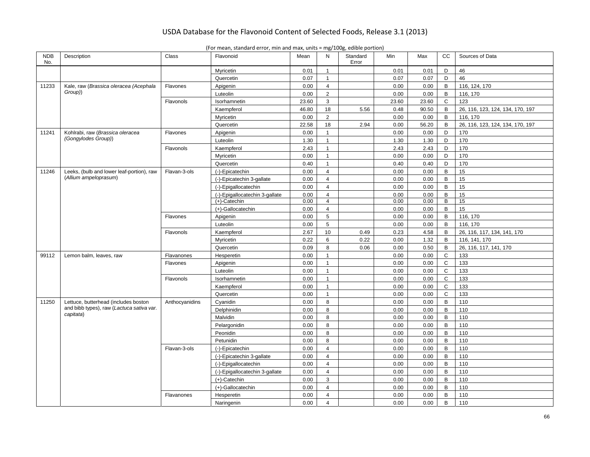| <b>NDB</b><br>No. | Description                               | Class          | Flavonoid                      | Mean  | N              | Standard<br>Error | Min   | Max   | cc           | Sources of Data                  |
|-------------------|-------------------------------------------|----------------|--------------------------------|-------|----------------|-------------------|-------|-------|--------------|----------------------------------|
|                   |                                           |                | Myricetin                      | 0.01  | $\mathbf{1}$   |                   | 0.01  | 0.01  | D            | 46                               |
|                   |                                           |                | Quercetin                      | 0.07  | $\mathbf{1}$   |                   | 0.07  | 0.07  | D            | 46                               |
| 11233             | Kale, raw (Brassica oleracea (Acephala    | Flavones       | Apigenin                       | 0.00  | $\overline{4}$ |                   | 0.00  | 0.00  | B            | 116, 124, 170                    |
|                   | Group))                                   |                | Luteolin                       | 0.00  | 2              |                   | 0.00  | 0.00  | B            | 116, 170                         |
|                   |                                           | Flavonols      | Isorhamnetin                   | 23.60 | 3              |                   | 23.60 | 23.60 | C            | 123                              |
|                   |                                           |                | Kaempferol                     | 46.80 | 18             | 5.56              | 0.48  | 90.50 | B            | 26, 116, 123, 124, 134, 170, 197 |
|                   |                                           |                | Myricetin                      | 0.00  | $\overline{2}$ |                   | 0.00  | 0.00  | B            | 116, 170                         |
|                   |                                           |                | Quercetin                      | 22.58 | 18             | 2.94              | 0.00  | 56.20 | B            | 26, 116, 123, 124, 134, 170, 197 |
| 11241             | Kohlrabi, raw (Brassica oleracea          | Flavones       | Apigenin                       | 0.00  | $\mathbf{1}$   |                   | 0.00  | 0.00  | D            | 170                              |
|                   | (Gongylodes Group))                       |                | Luteolin                       | 1.30  | $\mathbf{1}$   |                   | 1.30  | 1.30  | D            | 170                              |
|                   |                                           | Flavonols      | Kaempferol                     | 2.43  | $\mathbf{1}$   |                   | 2.43  | 2.43  | D            | 170                              |
|                   |                                           |                | Myricetin                      | 0.00  | $\mathbf{1}$   |                   | 0.00  | 0.00  | D            | 170                              |
|                   |                                           |                | Quercetin                      | 0.40  | $\mathbf{1}$   |                   | 0.40  | 0.40  | D            | 170                              |
| 11246             | Leeks, (bulb and lower leaf-portion), raw | Flavan-3-ols   | (-)-Epicatechin                | 0.00  | $\overline{4}$ |                   | 0.00  | 0.00  | B            | 15                               |
|                   | (Allium ampeloprasum)                     |                | (-)-Epicatechin 3-gallate      | 0.00  | $\overline{4}$ |                   | 0.00  | 0.00  | $\mathsf B$  | 15                               |
|                   |                                           |                | (-)-Epigallocatechin           | 0.00  | $\overline{4}$ |                   | 0.00  | 0.00  | B            | 15                               |
|                   |                                           |                | (-)-Epigallocatechin 3-gallate | 0.00  | $\overline{4}$ |                   | 0.00  | 0.00  | B            | 15                               |
|                   |                                           |                | $(+)$ -Catechin                | 0.00  | $\overline{4}$ |                   | 0.00  | 0.00  | B            | 15                               |
|                   |                                           |                | (+)-Gallocatechin              | 0.00  | $\overline{4}$ |                   | 0.00  | 0.00  | $\mathsf B$  | 15                               |
|                   |                                           | Flavones       | Apigenin                       | 0.00  | 5              |                   | 0.00  | 0.00  | B            | 116, 170                         |
|                   |                                           |                | Luteolin                       | 0.00  | 5              |                   | 0.00  | 0.00  | B            | 116, 170                         |
|                   |                                           | Flavonols      | Kaempferol                     | 2.67  | 10             | 0.49              | 0.23  | 4.58  | B            | 26, 116, 117, 134, 141, 170      |
|                   |                                           |                | Myricetin                      | 0.22  | 6              | 0.22              | 0.00  | 1.32  | B            | 116, 141, 170                    |
|                   |                                           |                | Quercetin                      | 0.09  | 8              | 0.06              | 0.00  | 0.50  | B            | 26, 116, 117, 141, 170           |
| 99112             | Lemon balm, leaves, raw                   | Flavanones     | Hesperetin                     | 0.00  | $\mathbf{1}$   |                   | 0.00  | 0.00  | $\mathsf{C}$ | 133                              |
|                   |                                           | Flavones       | Apigenin                       | 0.00  | $\mathbf{1}$   |                   | 0.00  | 0.00  | $\mathsf{C}$ | 133                              |
|                   |                                           |                | Luteolin                       | 0.00  | $\mathbf{1}$   |                   | 0.00  | 0.00  | $\mathsf{C}$ | 133                              |
|                   |                                           | Flavonols      | Isorhamnetin                   | 0.00  | $\mathbf{1}$   |                   | 0.00  | 0.00  | $\mathsf{C}$ | 133                              |
|                   |                                           |                | Kaempferol                     | 0.00  | $\mathbf{1}$   |                   | 0.00  | 0.00  | $\mathsf{C}$ | 133                              |
|                   |                                           |                | Quercetin                      | 0.00  | $\mathbf{1}$   |                   | 0.00  | 0.00  | $\mathsf{C}$ | 133                              |
| 11250             | Lettuce, butterhead (includes boston      | Anthocyanidins | Cyanidin                       | 0.00  | 8              |                   | 0.00  | 0.00  | B            | 110                              |
|                   | and bibb types), raw (Lactuca sativa var. |                | Delphinidin                    | 0.00  | 8              |                   | 0.00  | 0.00  | $\mathsf B$  | 110                              |
|                   | capitata)                                 |                | Malvidin                       | 0.00  | 8              |                   | 0.00  | 0.00  | B            | 110                              |
|                   |                                           |                | Pelargonidin                   | 0.00  | 8              |                   | 0.00  | 0.00  | $\mathsf B$  | 110                              |
|                   |                                           |                | Peonidin                       | 0.00  | 8              |                   | 0.00  | 0.00  | B            | 110                              |
|                   |                                           |                | Petunidin                      | 0.00  | 8              |                   | 0.00  | 0.00  | B            | 110                              |
|                   |                                           | Flavan-3-ols   | (-)-Epicatechin                | 0.00  | $\overline{4}$ |                   | 0.00  | 0.00  | B            | 110                              |
|                   |                                           |                | (-)-Epicatechin 3-gallate      | 0.00  | $\overline{4}$ |                   | 0.00  | 0.00  | B            | 110                              |
|                   |                                           |                | (-)-Epigallocatechin           | 0.00  | $\overline{4}$ |                   | 0.00  | 0.00  | B            | 110                              |
|                   |                                           |                | (-)-Epigallocatechin 3-gallate | 0.00  | $\overline{4}$ |                   | 0.00  | 0.00  | B            | 110                              |
|                   |                                           |                | $(+)$ -Catechin                | 0.00  | 3              |                   | 0.00  | 0.00  | B            | 110                              |
|                   |                                           |                | (+)-Gallocatechin              | 0.00  | $\overline{4}$ |                   | 0.00  | 0.00  | $\mathsf B$  | 110                              |
|                   |                                           | Flavanones     | Hesperetin                     | 0.00  | $\overline{4}$ |                   | 0.00  | 0.00  | B            | 110                              |
|                   |                                           |                | Naringenin                     | 0.00  | $\overline{4}$ |                   | 0.00  | 0.00  | $\mathsf{B}$ | 110                              |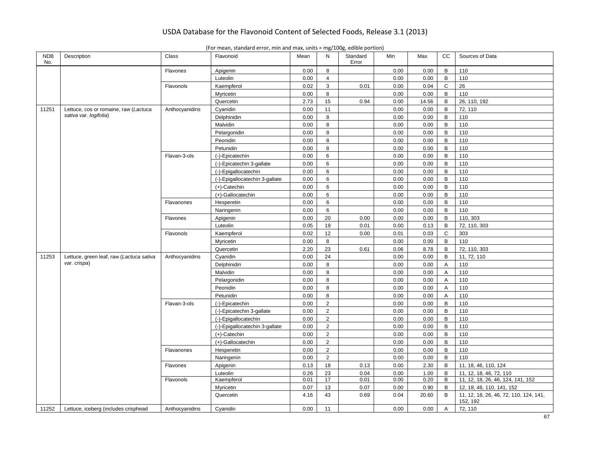| <b>NDB</b><br>No. | Description                              | Class          | Flavonoid                      | Mean | N              | Standard<br>Error | Min  | Max   | CC          | Sources of Data                                    |
|-------------------|------------------------------------------|----------------|--------------------------------|------|----------------|-------------------|------|-------|-------------|----------------------------------------------------|
|                   |                                          | Flavones       | Apigenin                       | 0.00 | 8              |                   | 0.00 | 0.00  | B           | 110                                                |
|                   |                                          |                | Luteolin                       | 0.00 | $\overline{4}$ |                   | 0.00 | 0.00  | $\mathsf B$ | 110                                                |
|                   |                                          | Flavonols      | Kaempferol                     | 0.02 | 3              | 0.01              | 0.00 | 0.04  | $\mathsf C$ | 26                                                 |
|                   |                                          |                | Myricetin                      | 0.00 | 8              |                   | 0.00 | 0.00  | $\mathsf B$ | 110                                                |
|                   |                                          |                | Quercetin                      | 2.73 | 15             | 0.94              | 0.00 | 14.56 | B           | 26, 110, 192                                       |
| 11251             | Lettuce, cos or romaine, raw (Lactuca    | Anthocyanidins | Cyanidin                       | 0.00 | 11             |                   | 0.00 | 0.00  | $\mathsf B$ | 72, 110                                            |
|                   | sativa var. logifolia)                   |                | Delphinidin                    | 0.00 | 8              |                   | 0.00 | 0.00  | $\mathsf B$ | 110                                                |
|                   |                                          |                | Malvidin                       | 0.00 | 8              |                   | 0.00 | 0.00  | B           | 110                                                |
|                   |                                          |                | Pelargonidin                   | 0.00 | 8              |                   | 0.00 | 0.00  | $\mathsf B$ | 110                                                |
|                   |                                          |                | Peonidin                       | 0.00 | 8              |                   | 0.00 | 0.00  | $\mathsf B$ | 110                                                |
|                   |                                          |                | Petunidin                      | 0.00 | 8              |                   | 0.00 | 0.00  | B           | 110                                                |
|                   |                                          | Flavan-3-ols   | (-)-Epicatechin                | 0.00 | 6              |                   | 0.00 | 0.00  | $\mathsf B$ | 110                                                |
|                   |                                          |                | (-)-Epicatechin 3-gallate      | 0.00 | 6              |                   | 0.00 | 0.00  | B           | 110                                                |
|                   |                                          |                | (-)-Epigallocatechin           | 0.00 | 6              |                   | 0.00 | 0.00  | $\mathsf B$ | 110                                                |
|                   |                                          |                | (-)-Epigallocatechin 3-gallate | 0.00 | 6              |                   | 0.00 | 0.00  | $\mathsf B$ | 110                                                |
|                   |                                          |                | $(+)$ -Catechin                | 0.00 | 6              |                   | 0.00 | 0.00  | B           | 110                                                |
|                   |                                          |                | (+)-Gallocatechin              | 0.00 | 6              |                   | 0.00 | 0.00  | B           | 110                                                |
|                   |                                          | Flavanones     | Hesperetin                     | 0.00 | 6              |                   | 0.00 | 0.00  | B           | 110                                                |
|                   |                                          |                | Naringenin                     | 0.00 | 6              |                   | 0.00 | 0.00  | $\mathsf B$ | 110                                                |
|                   |                                          | Flavones       | Apigenin                       | 0.00 | 20             | 0.00              | 0.00 | 0.00  | B           | 110, 303                                           |
|                   |                                          |                | Luteolin                       | 0.05 | 19             | 0.01              | 0.00 | 0.13  | $\mathsf B$ | 72, 110, 303                                       |
|                   |                                          | Flavonols      | Kaempferol                     | 0.02 | 12             | 0.00              | 0.01 | 0.03  | $\mathsf C$ | 303                                                |
|                   |                                          |                | Myricetin                      | 0.00 | 8              |                   | 0.00 | 0.00  | $\mathsf B$ | 110                                                |
|                   |                                          |                | Quercetin                      | 2.20 | 23             | 0.61              | 0.06 | 8.78  | $\mathsf B$ | 72, 110, 303                                       |
| 11253             | Lettuce, green leaf, raw (Lactuca sativa | Anthocyanidins | Cyanidin                       | 0.00 | 24             |                   | 0.00 | 0.00  | $\mathsf B$ | 11, 72, 110                                        |
|                   | var. crispa)                             |                | Delphinidin                    | 0.00 | 8              |                   | 0.00 | 0.00  | Α           | 110                                                |
|                   |                                          |                | Malvidin                       | 0.00 | 8              |                   | 0.00 | 0.00  | A           | 110                                                |
|                   |                                          |                | Pelargonidin                   | 0.00 | 8              |                   | 0.00 | 0.00  | A           | 110                                                |
|                   |                                          |                | Peonidin                       | 0.00 | 8              |                   | 0.00 | 0.00  | A           | 110                                                |
|                   |                                          |                | Petunidin                      | 0.00 | 8              |                   | 0.00 | 0.00  | A           | 110                                                |
|                   |                                          | Flavan-3-ols   | (-)-Epicatechin                | 0.00 | $\overline{2}$ |                   | 0.00 | 0.00  | B           | 110                                                |
|                   |                                          |                | (-)-Epicatechin 3-gallate      | 0.00 | $\overline{2}$ |                   | 0.00 | 0.00  | B           | 110                                                |
|                   |                                          |                | (-)-Epigallocatechin           | 0.00 | $\overline{2}$ |                   | 0.00 | 0.00  | $\mathsf B$ | 110                                                |
|                   |                                          |                | (-)-Epigallocatechin 3-gallate | 0.00 | $\overline{2}$ |                   | 0.00 | 0.00  | B           | 110                                                |
|                   |                                          |                | $(+)$ -Catechin                | 0.00 | $\overline{2}$ |                   | 0.00 | 0.00  | B           | 110                                                |
|                   |                                          |                | (+)-Gallocatechin              | 0.00 | $\overline{2}$ |                   | 0.00 | 0.00  | B           | 110                                                |
|                   |                                          | Flavanones     | Hesperetin                     | 0.00 | $\overline{2}$ |                   | 0.00 | 0.00  | B           | 110                                                |
|                   |                                          |                | Naringenin                     | 0.00 | $\overline{2}$ |                   | 0.00 | 0.00  | $\mathsf B$ | 110                                                |
|                   |                                          | Flavones       | Apigenin                       | 0.13 | 18             | 0.13              | 0.00 | 2.30  | $\mathsf B$ | 11, 18, 46, 110, 124                               |
|                   |                                          |                | Luteolin                       | 0.26 | 23             | 0.04              | 0.00 | 1.00  | B           | 11, 12, 18, 46, 72, 110                            |
|                   |                                          | Flavonols      | Kaempferol                     | 0.01 | 17             | 0.01              | 0.00 | 0.20  | B           | 11, 12, 18, 26, 46, 124, 141, 152                  |
|                   |                                          |                | Myricetin                      | 0.07 | 13             | 0.07              | 0.00 | 0.90  | B           | 12, 18, 46, 110, 141, 152                          |
|                   |                                          |                | Quercetin                      | 4.16 | 43             | 0.69              | 0.04 | 20.60 | B           | 11, 12, 18, 26, 46, 72, 110, 124, 141,<br>152, 192 |
| 11252             | Lettuce, iceberg (includes crisphead     | Anthocyanidins | Cyanidin                       | 0.00 | 11             |                   | 0.00 | 0.00  | A           | 72, 110                                            |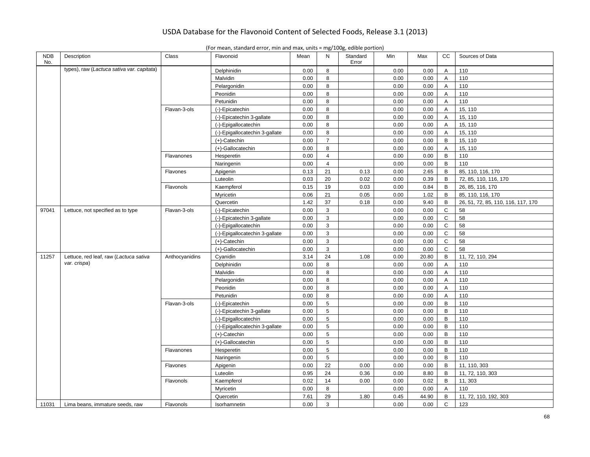| <b>NDB</b><br>No. | Description                                | Class          | Flavonoid                      | Mean | N               | Standard<br>Error | Min  | Max   | cc             | Sources of Data                    |
|-------------------|--------------------------------------------|----------------|--------------------------------|------|-----------------|-------------------|------|-------|----------------|------------------------------------|
|                   | types), raw (Lactuca sativa var. capitata) |                | Delphinidin                    | 0.00 | 8               |                   | 0.00 | 0.00  | $\overline{A}$ | 110                                |
|                   |                                            |                | Malvidin                       | 0.00 | 8               |                   | 0.00 | 0.00  | A              | 110                                |
|                   |                                            |                | Pelargonidin                   | 0.00 | 8               |                   | 0.00 | 0.00  | A              | 110                                |
|                   |                                            |                | Peonidin                       | 0.00 | 8               |                   | 0.00 | 0.00  | A              | 110                                |
|                   |                                            |                | Petunidin                      | 0.00 | 8               |                   | 0.00 | 0.00  | $\overline{A}$ | 110                                |
|                   |                                            | Flavan-3-ols   | (-)-Epicatechin                | 0.00 | 8               |                   | 0.00 | 0.00  | Α              | 15, 110                            |
|                   |                                            |                | (-)-Epicatechin 3-gallate      | 0.00 | 8               |                   | 0.00 | 0.00  | $\overline{A}$ | 15, 110                            |
|                   |                                            |                | (-)-Epigallocatechin           | 0.00 | 8               |                   | 0.00 | 0.00  | A              | 15, 110                            |
|                   |                                            |                | (-)-Epigallocatechin 3-gallate | 0.00 | 8               |                   | 0.00 | 0.00  | Α              | 15, 110                            |
|                   |                                            |                | $(+)$ -Catechin                | 0.00 | $\overline{7}$  |                   | 0.00 | 0.00  | B              | 15, 110                            |
|                   |                                            |                | (+)-Gallocatechin              | 0.00 | 8               |                   | 0.00 | 0.00  | $\overline{A}$ | 15, 110                            |
|                   |                                            | Flavanones     | Hesperetin                     | 0.00 | $\overline{4}$  |                   | 0.00 | 0.00  | B              | 110                                |
|                   |                                            |                | Naringenin                     | 0.00 | $\overline{4}$  |                   | 0.00 | 0.00  | $\overline{B}$ | 110                                |
|                   |                                            | Flavones       | Apigenin                       | 0.13 | 21              | 0.13              | 0.00 | 2.65  | B              | 85, 110, 116, 170                  |
|                   |                                            |                | Luteolin                       | 0.03 | 20              | 0.02              | 0.00 | 0.39  | B              | 72, 85, 110, 116, 170              |
|                   |                                            | Flavonols      | Kaempferol                     | 0.15 | 19              | 0.03              | 0.00 | 0.84  | B              | 26, 85, 116, 170                   |
|                   |                                            |                | Myricetin                      | 0.06 | 21              | 0.05              | 0.00 | 1.02  | B              | 85, 110, 116, 170                  |
|                   |                                            |                | Quercetin                      | 1.42 | 37              | 0.18              | 0.00 | 9.40  | B              | 26, 51, 72, 85, 110, 116, 117, 170 |
| 97041             | Lettuce, not specified as to type          | Flavan-3-ols   | (-)-Epicatechin                | 0.00 | 3               |                   | 0.00 | 0.00  | $\mathsf{C}$   | 58                                 |
|                   |                                            |                | (-)-Epicatechin 3-gallate      | 0.00 | 3               |                   | 0.00 | 0.00  | $\mathsf{C}$   | 58                                 |
|                   |                                            |                | (-)-Epigallocatechin           | 0.00 | 3               |                   | 0.00 | 0.00  | $\mathsf C$    | 58                                 |
|                   |                                            |                | (-)-Epigallocatechin 3-gallate | 0.00 | 3               |                   | 0.00 | 0.00  | $\mathsf{C}$   | 58                                 |
|                   |                                            |                | $(+)$ -Catechin                | 0.00 | 3               |                   | 0.00 | 0.00  | $\mathbf C$    | 58                                 |
|                   |                                            |                | (+)-Gallocatechin              | 0.00 | 3               |                   | 0.00 | 0.00  | $\mathsf C$    | 58                                 |
| 11257             | Lettuce, red leaf, raw (Lactuca sativa     | Anthocyanidins | Cyanidin                       | 3.14 | 24              | 1.08              | 0.00 | 20.80 | B              | 11, 72, 110, 294                   |
|                   | var. crispa)                               |                | Delphinidin                    | 0.00 | 8               |                   | 0.00 | 0.00  | A              | 110                                |
|                   |                                            |                | Malvidin                       | 0.00 | 8               |                   | 0.00 | 0.00  | A              | 110                                |
|                   |                                            |                | Pelargonidin                   | 0.00 | 8               |                   | 0.00 | 0.00  | A              | 110                                |
|                   |                                            |                | Peonidin                       | 0.00 | 8               |                   | 0.00 | 0.00  | A              | 110                                |
|                   |                                            |                | Petunidin                      | 0.00 | 8               |                   | 0.00 | 0.00  | A              | 110                                |
|                   |                                            | Flavan-3-ols   | (-)-Epicatechin                | 0.00 | $\,$ 5 $\,$     |                   | 0.00 | 0.00  | $\mathsf B$    | 110                                |
|                   |                                            |                | (-)-Epicatechin 3-gallate      | 0.00 | $5\phantom{.0}$ |                   | 0.00 | 0.00  | $\mathsf{B}$   | 110                                |
|                   |                                            |                | (-)-Epigallocatechin           | 0.00 | 5               |                   | 0.00 | 0.00  | B              | 110                                |
|                   |                                            |                | (-)-Epigallocatechin 3-gallate | 0.00 | $\,$ 5 $\,$     |                   | 0.00 | 0.00  | $\mathsf{B}$   | 110                                |
|                   |                                            |                | $(+)$ -Catechin                | 0.00 | 5               |                   | 0.00 | 0.00  | $\mathsf{B}$   | 110                                |
|                   |                                            |                | (+)-Gallocatechin              | 0.00 | 5               |                   | 0.00 | 0.00  | $\, {\bf B}$   | 110                                |
|                   |                                            | Flavanones     | Hesperetin                     | 0.00 | $\,$ 5 $\,$     |                   | 0.00 | 0.00  | B              | 110                                |
|                   |                                            |                | Naringenin                     | 0.00 | $5\phantom{.0}$ |                   | 0.00 | 0.00  | B              | 110                                |
|                   |                                            | Flavones       | Apigenin                       | 0.00 | 22              | 0.00              | 0.00 | 0.00  | B              | 11, 110, 303                       |
|                   |                                            |                | Luteolin                       | 0.95 | 24              | 0.36              | 0.00 | 8.80  | B              | 11, 72, 110, 303                   |
|                   |                                            | Flavonols      | Kaempferol                     | 0.02 | 14              | 0.00              | 0.00 | 0.02  | B              | 11, 303                            |
|                   |                                            |                | Myricetin                      | 0.00 | 8               |                   | 0.00 | 0.00  | $\overline{A}$ | 110                                |
|                   |                                            |                | Quercetin                      | 7.61 | 29              | 1.80              | 0.45 | 44.90 | B              | 11, 72, 110, 192, 303              |
| 11031             | Lima beans, immature seeds, raw            | Flavonols      | Isorhamnetin                   | 0.00 | 3               |                   | 0.00 | 0.00  | $\mathsf{C}$   | 123                                |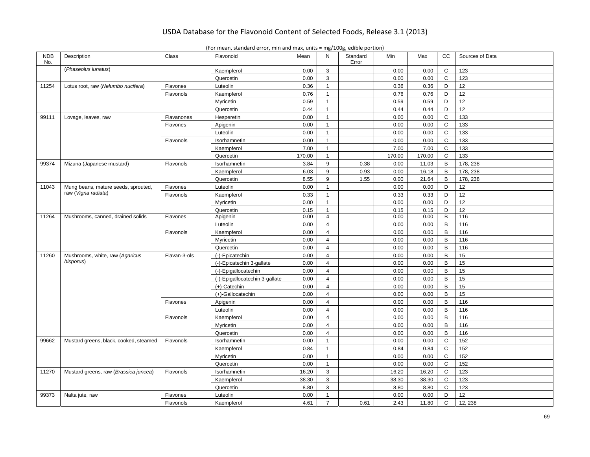| <b>NDB</b><br>No. | Description                            | Class            | Flavonoid                      | Mean   | N                | Standard<br>Error | Min    | Max    | cc             | Sources of Data |
|-------------------|----------------------------------------|------------------|--------------------------------|--------|------------------|-------------------|--------|--------|----------------|-----------------|
|                   | (Phaseolus lunatus)                    |                  | Kaempferol                     | 0.00   | 3                |                   | 0.00   | 0.00   | $\mathsf{C}$   | 123             |
|                   |                                        |                  | Quercetin                      | 0.00   | 3                |                   | 0.00   | 0.00   | C              | 123             |
| 11254             | Lotus root, raw (Nelumbo nucifera)     | Flavones         | Luteolin                       | 0.36   | $\overline{1}$   |                   | 0.36   | 0.36   | D              | 12              |
|                   |                                        | Flavonols        | Kaempferol                     | 0.76   | $\mathbf{1}$     |                   | 0.76   | 0.76   | D              | 12              |
|                   |                                        |                  | Myricetin                      | 0.59   | $\mathbf{1}$     |                   | 0.59   | 0.59   | D              | 12              |
|                   |                                        |                  | Quercetin                      | 0.44   | $\mathbf{1}$     |                   | 0.44   | 0.44   | D              | 12              |
| 99111             | Lovage, leaves, raw                    | Flavanones       | Hesperetin                     | 0.00   | $\mathbf{1}$     |                   | 0.00   | 0.00   | $\mathbf C$    | 133             |
|                   |                                        | Flavones         | Apigenin                       | 0.00   | $\mathbf{1}$     |                   | 0.00   | 0.00   | $\mathsf{C}$   | 133             |
|                   |                                        |                  | Luteolin                       | 0.00   | $\mathbf{1}$     |                   | 0.00   | 0.00   | $\mathsf C$    | 133             |
|                   |                                        | Flavonols        | Isorhamnetin                   | 0.00   | $\mathbf{1}$     |                   | 0.00   | 0.00   | C              | 133             |
|                   |                                        |                  | Kaempferol                     | 7.00   | $\overline{1}$   |                   | 7.00   | 7.00   | $\mathbf C$    | 133             |
|                   |                                        |                  | Quercetin                      | 170.00 | $\mathbf{1}$     |                   | 170.00 | 170.00 | C              | 133             |
| 99374             | Mizuna (Japanese mustard)              | Flavonols        | Isorhamnetin                   | 3.84   | $\boldsymbol{9}$ | 0.38              | 0.00   | 11.03  | B              | 178, 238        |
|                   |                                        |                  | Kaempferol                     | 6.03   | 9                | 0.93              | 0.00   | 16.18  | B              | 178, 238        |
|                   |                                        |                  | Quercetin                      | 8.55   | 9                | 1.55              | 0.00   | 21.64  | B              | 178, 238        |
| 11043             | Mung beans, mature seeds, sprouted,    | Flavones         | Luteolin                       | 0.00   | $\mathbf{1}$     |                   | 0.00   | 0.00   | D              | 12              |
|                   | raw (Vigna radiata)                    | Flavonols        | Kaempferol                     | 0.33   | $\mathbf{1}$     |                   | 0.33   | 0.33   | D              | 12              |
|                   |                                        |                  | Myricetin                      | 0.00   | $\overline{1}$   |                   | 0.00   | 0.00   | D              | 12              |
|                   |                                        |                  | Quercetin                      | 0.15   | $\mathbf{1}$     |                   | 0.15   | 0.15   | D              | 12              |
| 11264             | Mushrooms, canned, drained solids      | <b>Flavones</b>  | Apigenin                       | 0.00   | $\overline{4}$   |                   | 0.00   | 0.00   | $\overline{B}$ | 116             |
|                   |                                        |                  | Luteolin                       | 0.00   | $\overline{4}$   |                   | 0.00   | 0.00   | B              | 116             |
|                   |                                        | Flavonols        | Kaempferol                     | 0.00   | $\overline{4}$   |                   | 0.00   | 0.00   | $\,$ B         | 116             |
|                   |                                        |                  | Myricetin                      | 0.00   | $\overline{4}$   |                   | 0.00   | 0.00   | B              | 116             |
|                   |                                        |                  | Quercetin                      | 0.00   | $\overline{4}$   |                   | 0.00   | 0.00   | B              | 116             |
| 11260             | Mushrooms, white, raw (Agaricus        | Flavan-3-ols     | (-)-Epicatechin                | 0.00   | $\overline{4}$   |                   | 0.00   | 0.00   | B              | 15              |
|                   | bisporus)                              |                  | (-)-Epicatechin 3-gallate      | 0.00   | $\overline{4}$   |                   | 0.00   | 0.00   | $\overline{B}$ | 15              |
|                   |                                        |                  | (-)-Epigallocatechin           | 0.00   | $\overline{4}$   |                   | 0.00   | 0.00   | B              | 15              |
|                   |                                        |                  | (-)-Epigallocatechin 3-gallate | 0.00   | $\overline{4}$   |                   | 0.00   | 0.00   | B              | 15              |
|                   |                                        |                  | (+)-Catechin                   | 0.00   | $\overline{4}$   |                   | 0.00   | 0.00   | B              | 15              |
|                   |                                        |                  | (+)-Gallocatechin              | 0.00   | $\overline{4}$   |                   | 0.00   | 0.00   | B              | 15              |
|                   |                                        | Flavones         | Apigenin                       | 0.00   | $\overline{4}$   |                   | 0.00   | 0.00   | B              | 116             |
|                   |                                        |                  | Luteolin                       | 0.00   | $\overline{4}$   |                   | 0.00   | 0.00   | $\sf B$        | 116             |
|                   |                                        | <b>Flavonols</b> | Kaempferol                     | 0.00   | $\overline{4}$   |                   | 0.00   | 0.00   | B              | 116             |
|                   |                                        |                  | Myricetin                      | 0.00   | $\overline{4}$   |                   | 0.00   | 0.00   | B              | 116             |
|                   |                                        |                  | Quercetin                      | 0.00   | $\overline{4}$   |                   | 0.00   | 0.00   | B              | 116             |
| 99662             | Mustard greens, black, cooked, steamed | Flavonols        | Isorhamnetin                   | 0.00   | $\mathbf{1}$     |                   | 0.00   | 0.00   | $\mathsf{C}$   | 152             |
|                   |                                        |                  | Kaempferol                     | 0.84   | $\mathbf{1}$     |                   | 0.84   | 0.84   | $\mathsf C$    | 152             |
|                   |                                        |                  | Myricetin                      | 0.00   | $\mathbf{1}$     |                   | 0.00   | 0.00   | $\mathsf{C}$   | 152             |
|                   |                                        |                  | Quercetin                      | 0.00   | $\mathbf{1}$     |                   | 0.00   | 0.00   | $\mathsf{C}$   | 152             |
| 11270             | Mustard greens, raw (Brassica juncea)  | Flavonols        | Isorhamnetin                   | 16.20  | 3                |                   | 16.20  | 16.20  | $\mathbf C$    | 123             |
|                   |                                        |                  | Kaempferol                     | 38.30  | $\mathbf{3}$     |                   | 38.30  | 38.30  | $\mathsf{C}$   | 123             |
|                   |                                        |                  | Quercetin                      | 8.80   | 3                |                   | 8.80   | 8.80   | C              | 123             |
| 99373             | Nalta jute, raw                        | Flavones         | Luteolin                       | 0.00   | $\overline{1}$   |                   | 0.00   | 0.00   | D              | 12              |
|                   |                                        | Flavonols        | Kaempferol                     | 4.61   | $\overline{7}$   | 0.61              | 2.43   | 11.80  | $\mathsf{C}$   | 12, 238         |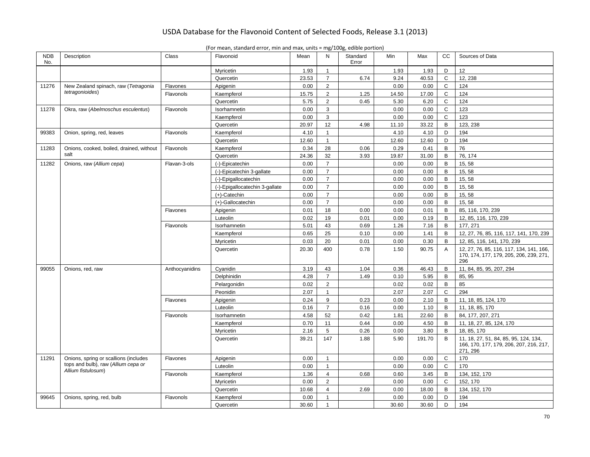| <b>NDB</b><br>No. | Description                              | Class          | Flavonoid                      | Mean  | N              | Standard<br>Error | Min   | Max    | CC             | Sources of Data                                                                              |
|-------------------|------------------------------------------|----------------|--------------------------------|-------|----------------|-------------------|-------|--------|----------------|----------------------------------------------------------------------------------------------|
|                   |                                          |                | Myricetin                      | 1.93  | $\mathbf{1}$   |                   | 1.93  | 1.93   | D              | 12                                                                                           |
|                   |                                          |                | Quercetin                      | 23.53 | $\overline{7}$ | 6.74              | 9.24  | 40.53  | $\mathsf{C}$   | 12, 238                                                                                      |
| 11276             | New Zealand spinach, raw (Tetragonia     | Flavones       | Apigenin                       | 0.00  | $\overline{2}$ |                   | 0.00  | 0.00   | $\mathsf{C}$   | 124                                                                                          |
|                   | tetragonioides)                          | Flavonols      | Kaempferol                     | 15.75 | 2              | 1.25              | 14.50 | 17.00  | $\mathsf C$    | 124                                                                                          |
|                   |                                          |                | Quercetin                      | 5.75  | $\overline{2}$ | 0.45              | 5.30  | 6.20   | $\mathsf{C}$   | 124                                                                                          |
| 11278             | Okra, raw (Abelmoschus esculentus)       | Flavonols      | Isorhamnetin                   | 0.00  | 3              |                   | 0.00  | 0.00   | $\mathsf{C}$   | 123                                                                                          |
|                   |                                          |                | Kaempferol                     | 0.00  | 3              |                   | 0.00  | 0.00   | $\mathsf{C}$   | 123                                                                                          |
|                   |                                          |                | Quercetin                      | 20.97 | 12             | 4.98              | 11.10 | 33.22  | B              | 123, 238                                                                                     |
| 99383             | Onion, spring, red, leaves               | Flavonols      | Kaempferol                     | 4.10  | $\mathbf{1}$   |                   | 4.10  | 4.10   | D              | 194                                                                                          |
|                   |                                          |                | Quercetin                      | 12.60 | $\mathbf{1}$   |                   | 12.60 | 12.60  | D              | 194                                                                                          |
| 11283             | Onions, cooked, boiled, drained, without | Flavonols      | Kaempferol                     | 0.34  | 28             | 0.06              | 0.29  | 0.41   | B              | 76                                                                                           |
|                   | salt                                     |                | Quercetin                      | 24.36 | 32             | 3.93              | 19.87 | 31.00  | B              | 76, 174                                                                                      |
| 11282             | Onions, raw (Allium cepa)                | Flavan-3-ols   | (-)-Epicatechin                | 0.00  | $\overline{7}$ |                   | 0.00  | 0.00   | $\overline{B}$ | 15, 58                                                                                       |
|                   |                                          |                | (-)-Epicatechin 3-gallate      | 0.00  | $\overline{7}$ |                   | 0.00  | 0.00   | B              | 15, 58                                                                                       |
|                   |                                          |                | (-)-Epigallocatechin           | 0.00  | $\overline{7}$ |                   | 0.00  | 0.00   | B              | 15,58                                                                                        |
|                   |                                          |                | (-)-Epigallocatechin 3-gallate | 0.00  | $\overline{7}$ |                   | 0.00  | 0.00   | $\sf B$        | 15, 58                                                                                       |
|                   |                                          |                | (+)-Catechin                   | 0.00  | $\overline{7}$ |                   | 0.00  | 0.00   | B              | 15, 58                                                                                       |
|                   |                                          |                | (+)-Gallocatechin              | 0.00  | $\overline{7}$ |                   | 0.00  | 0.00   | B              | 15, 58                                                                                       |
|                   |                                          | Flavones       | Apigenin                       | 0.01  | 18             | 0.00              | 0.00  | 0.01   | B              | 85, 116, 170, 239                                                                            |
|                   |                                          |                | Luteolin                       | 0.02  | 19             | 0.01              | 0.00  | 0.19   | B              | 12, 85, 116, 170, 239                                                                        |
|                   |                                          | Flavonols      | Isorhamnetin                   | 5.01  | 43             | 0.69              | 1.26  | 7.16   | B              | 177.271                                                                                      |
|                   |                                          |                | Kaempferol                     | 0.65  | 25             | 0.10              | 0.00  | 1.41   | B              | 12, 27, 76, 85, 116, 117, 141, 170, 239                                                      |
|                   |                                          |                | Myricetin                      | 0.03  | 20             | 0.01              | 0.00  | 0.30   | B              | 12, 85, 116, 141, 170, 239                                                                   |
|                   |                                          |                | Quercetin                      | 20.30 | 400            | 0.78              | 1.50  | 90.75  | $\overline{A}$ | 12, 27, 76, 85, 116, 117, 134, 141, 166,<br>170, 174, 177, 179, 205, 206, 239, 271,<br>296   |
| 99055             | Onions, red, raw                         | Anthocyanidins | Cyanidin                       | 3.19  | 43             | 1.04              | 0.36  | 46.43  | B              | 11, 84, 85, 95, 207, 294                                                                     |
|                   |                                          |                | Delphinidin                    | 4.28  | $\overline{7}$ | 1.49              | 0.10  | 5.95   | B              | 85, 95                                                                                       |
|                   |                                          |                | Pelargonidin                   | 0.02  | $\overline{2}$ |                   | 0.02  | 0.02   | B              | 85                                                                                           |
|                   |                                          |                | Peonidin                       | 2.07  | $\mathbf{1}$   |                   | 2.07  | 2.07   | $\mathsf{C}$   | 294                                                                                          |
|                   |                                          | Flavones       | Apigenin                       | 0.24  | 9              | 0.23              | 0.00  | 2.10   | B              | 11, 18, 85, 124, 170                                                                         |
|                   |                                          |                | Luteolin                       | 0.16  | $\overline{7}$ | 0.16              | 0.00  | 1.10   | B              | 11, 18, 85, 170                                                                              |
|                   |                                          | Flavonols      | Isorhamnetin                   | 4.58  | 52             | 0.42              | 1.81  | 22.60  | B              | 84, 177, 207, 271                                                                            |
|                   |                                          |                | Kaempferol                     | 0.70  | 11             | 0.44              | 0.00  | 4.50   | B              | 11, 18, 27, 85, 124, 170                                                                     |
|                   |                                          |                | Myricetin                      | 2.16  | 5              | 0.26              | 0.00  | 3.80   | B              | 18, 85, 170                                                                                  |
|                   |                                          |                | Quercetin                      | 39.21 | 147            | 1.88              | 5.90  | 191.70 | B              | 11, 18, 27, 51, 84, 85, 95, 124, 134,<br>166, 170, 177, 179, 206, 207, 216, 217,<br>271, 296 |
| 11291             | Onions, spring or scallions (includes    | Flavones       | Apigenin                       | 0.00  | $\overline{1}$ |                   | 0.00  | 0.00   | $\mathsf C$    | 170                                                                                          |
|                   | tops and bulb), raw (Allium cepa or      |                | Luteolin                       | 0.00  | $\mathbf{1}$   |                   | 0.00  | 0.00   | C              | 170                                                                                          |
|                   | Allium fistulosum)                       | Flavonols      | Kaempferol                     | 1.36  | $\overline{4}$ | 0.68              | 0.60  | 3.45   | B              | 134, 152, 170                                                                                |
|                   |                                          |                | Myricetin                      | 0.00  | 2              |                   | 0.00  | 0.00   | C              | 152, 170                                                                                     |
|                   |                                          |                | Quercetin                      | 10.68 | $\overline{4}$ | 2.69              | 0.00  | 18.00  | B              | 134, 152, 170                                                                                |
| 99645             | Onions, spring, red, bulb                | Flavonols      | Kaempferol                     | 0.00  | $\mathbf{1}$   |                   | 0.00  | 0.00   | D              | 194                                                                                          |
|                   |                                          |                | Quercetin                      | 30.60 | $\mathbf{1}$   |                   | 30.60 | 30.60  | D              | 194                                                                                          |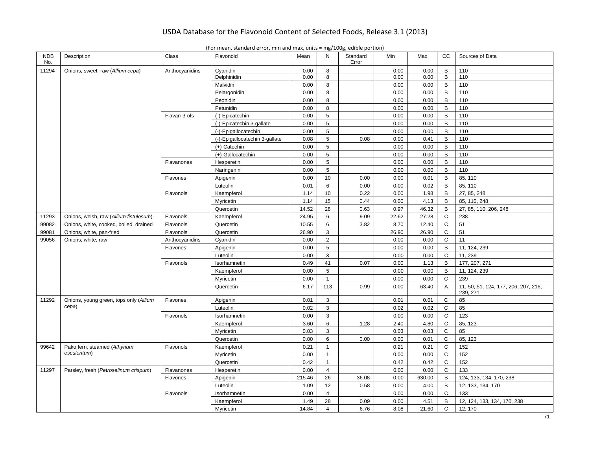| <b>NDB</b><br>No. | Description                            | Class          | Flavonoid                      | Mean   | N               | Standard<br>Error | Min   | Max    | cc           | Sources of Data                      |
|-------------------|----------------------------------------|----------------|--------------------------------|--------|-----------------|-------------------|-------|--------|--------------|--------------------------------------|
| 11294             | Onions, sweet, raw (Allium cepa)       | Anthocyanidins | Cyanidin                       | 0.00   | 8               |                   | 0.00  | 0.00   | В            | 110                                  |
|                   |                                        |                | Delphinidin                    | 0.00   | 8               |                   | 0.00  | 0.00   | B            | 110                                  |
|                   |                                        |                | Malvidin                       | 0.00   | 8               |                   | 0.00  | 0.00   | B            | 110                                  |
|                   |                                        |                | Pelargonidin                   | 0.00   | 8               |                   | 0.00  | 0.00   | B            | 110                                  |
|                   |                                        |                | Peonidin                       | 0.00   | 8               |                   | 0.00  | 0.00   | B            | 110                                  |
|                   |                                        |                | Petunidin                      | 0.00   | 8               |                   | 0.00  | 0.00   | B            | 110                                  |
|                   |                                        | Flavan-3-ols   | (-)-Epicatechin                | 0.00   | 5               |                   | 0.00  | 0.00   | B            | 110                                  |
|                   |                                        |                | (-)-Epicatechin 3-gallate      | 0.00   | $5\overline{)}$ |                   | 0.00  | 0.00   | B            | 110                                  |
|                   |                                        |                | (-)-Epigallocatechin           | 0.00   | 5               |                   | 0.00  | 0.00   | $\mathsf B$  | 110                                  |
|                   |                                        |                | (-)-Epigallocatechin 3-gallate | 0.08   | 5               | 0.08              | 0.00  | 0.41   | B            | 110                                  |
|                   |                                        |                | $(+)$ -Catechin                | 0.00   | 5               |                   | 0.00  | 0.00   | $\mathsf B$  | 110                                  |
|                   |                                        |                | (+)-Gallocatechin              | 0.00   | 5               |                   | 0.00  | 0.00   | B            | 110                                  |
|                   |                                        | Flavanones     | Hesperetin                     | 0.00   | 5               |                   | 0.00  | 0.00   | B            | 110                                  |
|                   |                                        |                | Naringenin                     | 0.00   | 5               |                   | 0.00  | 0.00   | B            | 110                                  |
|                   |                                        | Flavones       | Apigenin                       | 0.00   | 10              | 0.00              | 0.00  | 0.01   | B            | 85, 110                              |
|                   |                                        |                | Luteolin                       | 0.01   | 6               | 0.00              | 0.00  | 0.02   | B            | 85, 110                              |
|                   |                                        | Flavonols      | Kaempferol                     | 1.14   | 10              | 0.22              | 0.00  | 1.98   | B            | 27, 85, 248                          |
|                   |                                        |                | Myricetin                      | 1.14   | 15              | 0.44              | 0.00  | 4.13   | B            | 85, 110, 248                         |
|                   |                                        |                | Quercetin                      | 14.52  | 28              | 0.63              | 0.97  | 46.32  | B            | 27, 85, 110, 206, 248                |
| 11293             | Onions, welsh, raw (Allium fistulosum) | Flavonols      | Kaempferol                     | 24.95  | 6               | 9.09              | 22.62 | 27.28  | $\mathbf C$  | 238                                  |
| 99082             | Onions, white, cooked, boiled, drained | Flavonols      | Quercetin                      | 10.55  | 6               | 3.82              | 8.70  | 12.40  | $\mathsf{C}$ | 51                                   |
| 99081             | Onions, white, pan-fried               | Flavonols      | Quercetin                      | 26.90  | 3               |                   | 26.90 | 26.90  | C            | 51                                   |
| 99056             | Onions, white, raw                     | Anthocyanidins | Cyanidin                       | 0.00   | $\overline{2}$  |                   | 0.00  | 0.00   | $\mathsf{C}$ | 11                                   |
|                   |                                        | Flavones       | Apigenin                       | 0.00   | 5               |                   | 0.00  | 0.00   | B            | 11, 124, 239                         |
|                   |                                        |                | Luteolin                       | 0.00   | 3               |                   | 0.00  | 0.00   | $\mathsf{C}$ | 11, 239                              |
|                   |                                        | Flavonols      | Isorhamnetin                   | 0.49   | 41              | 0.07              | 0.00  | 1.13   | B            | 177, 207, 271                        |
|                   |                                        |                | Kaempferol                     | 0.00   | 5               |                   | 0.00  | 0.00   | B            | 11, 124, 239                         |
|                   |                                        |                | Myricetin                      | 0.00   | $\mathbf{1}$    |                   | 0.00  | 0.00   | C            | 239                                  |
|                   |                                        |                | Quercetin                      | 6.17   | 113             | 0.99              | 0.00  | 63.40  | A            | 11, 50, 51, 124, 177, 206, 207, 216, |
|                   |                                        |                |                                |        |                 |                   |       |        |              | 239, 271                             |
| 11292             | Onions, young green, tops only (Allium | Flavones       | Apigenin                       | 0.01   | 3               |                   | 0.01  | 0.01   | $\mathsf{C}$ | 85                                   |
|                   | cepa)                                  |                | Luteolin                       | 0.02   | 3               |                   | 0.02  | 0.02   | $\mathsf C$  | 85                                   |
|                   |                                        | Flavonols      | Isorhamnetin                   | 0.00   | 3               |                   | 0.00  | 0.00   | $\mathbf C$  | 123                                  |
|                   |                                        |                | Kaempferol                     | 3.60   | 6               | 1.28              | 2.40  | 4.80   | $\mathbf C$  | 85, 123                              |
|                   |                                        |                | Myricetin                      | 0.03   | 3               |                   | 0.03  | 0.03   | C            | 85                                   |
|                   |                                        |                | Quercetin                      | 0.00   | 6               | 0.00              | 0.00  | 0.01   | $\mathsf C$  | 85, 123                              |
| 99642             | Pako fern, steamed (Athyrium           | Flavonols      | Kaempferol                     | 0.21   | $\mathbf{1}$    |                   | 0.21  | 0.21   | C            | 152                                  |
|                   | esculentum)                            |                | Myricetin                      | 0.00   | $\mathbf{1}$    |                   | 0.00  | 0.00   | $\mathbf C$  | 152                                  |
|                   |                                        |                | Quercetin                      | 0.42   | $\mathbf{1}$    |                   | 0.42  | 0.42   | $\mathbf C$  | 152                                  |
| 11297             | Parsley, fresh (Petroselinum crispum)  | Flavanones     | Hesperetin                     | 0.00   | $\overline{4}$  |                   | 0.00  | 0.00   | C            | 133                                  |
|                   |                                        | Flavones       | Apigenin                       | 215.46 | 26              | 36.08             | 0.00  | 630.00 | B            | 124, 133, 134, 170, 238              |
|                   |                                        |                | Luteolin                       | 1.09   | 12              | 0.58              | 0.00  | 4.00   | B            | 12, 133, 134, 170                    |
|                   |                                        | Flavonols      | Isorhamnetin                   | 0.00   | $\overline{4}$  |                   | 0.00  | 0.00   | $\mathsf{C}$ | 133                                  |
|                   |                                        |                | Kaempferol                     | 1.49   | 28              | 0.09              | 0.00  | 4.51   | B            | 12, 124, 133, 134, 170, 238          |
|                   |                                        |                | Myricetin                      | 14.84  | $\overline{4}$  | 6.76              | 8.08  | 21.60  | $\mathsf{C}$ | 12, 170                              |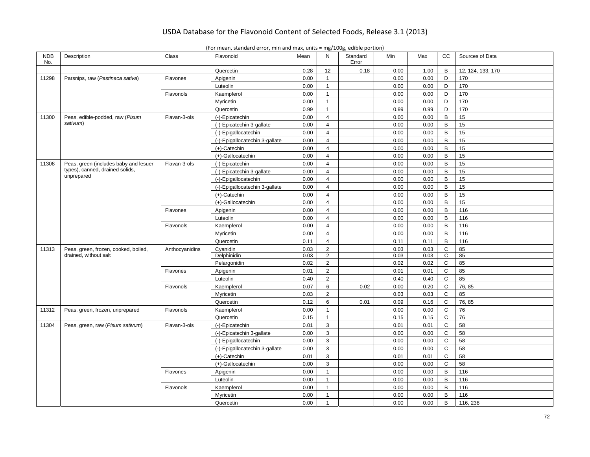| <b>NDB</b><br>No. | Description                           | Class          | Flavonoid                      | Mean | N              | Standard<br>Error | Min  | Max  | cc             | Sources of Data   |
|-------------------|---------------------------------------|----------------|--------------------------------|------|----------------|-------------------|------|------|----------------|-------------------|
|                   |                                       |                | Quercetin                      | 0.28 | 12             | 0.18              | 0.00 | 1.00 | B              | 12, 124, 133, 170 |
| 11298             | Parsnips, raw (Pastinaca sativa)      | Flavones       | Apigenin                       | 0.00 | $\mathbf{1}$   |                   | 0.00 | 0.00 | D              | 170               |
|                   |                                       |                | Luteolin                       | 0.00 | $\mathbf{1}$   |                   | 0.00 | 0.00 | D              | 170               |
|                   |                                       | Flavonols      | Kaempferol                     | 0.00 | $\mathbf{1}$   |                   | 0.00 | 0.00 | D              | 170               |
|                   |                                       |                | Myricetin                      | 0.00 | $\mathbf{1}$   |                   | 0.00 | 0.00 | D              | 170               |
|                   |                                       |                | Quercetin                      | 0.99 | $\mathbf{1}$   |                   | 0.99 | 0.99 | D              | 170               |
| 11300             | Peas, edible-podded, raw (Pisum       | Flavan-3-ols   | (-)-Epicatechin                | 0.00 | $\overline{4}$ |                   | 0.00 | 0.00 | B              | 15                |
|                   | sativum)                              |                | (-)-Epicatechin 3-gallate      | 0.00 | $\overline{4}$ |                   | 0.00 | 0.00 | B              | 15                |
|                   |                                       |                | (-)-Epigallocatechin           | 0.00 | $\overline{4}$ |                   | 0.00 | 0.00 | $\, {\bf B}$   | 15                |
|                   |                                       |                | (-)-Epigallocatechin 3-gallate | 0.00 | $\overline{4}$ |                   | 0.00 | 0.00 | $\, {\bf B}$   | 15                |
|                   |                                       |                | $(+)$ -Catechin                | 0.00 | $\overline{4}$ |                   | 0.00 | 0.00 | B              | 15                |
|                   |                                       |                | (+)-Gallocatechin              | 0.00 | $\overline{4}$ |                   | 0.00 | 0.00 | $\, {\bf B}$   | 15                |
| 11308             | Peas, green (includes baby and lesuer | Flavan-3-ols   | (-)-Epicatechin                | 0.00 | $\overline{4}$ |                   | 0.00 | 0.00 | B              | 15                |
|                   | types), canned, drained solids,       |                | (-)-Epicatechin 3-gallate      | 0.00 | $\overline{4}$ |                   | 0.00 | 0.00 | $\sf B$        | 15                |
|                   | unprepared                            |                | (-)-Epigallocatechin           | 0.00 | $\overline{4}$ |                   | 0.00 | 0.00 | $\mathsf B$    | 15                |
|                   |                                       |                | (-)-Epigallocatechin 3-gallate | 0.00 | $\overline{4}$ |                   | 0.00 | 0.00 | $\overline{B}$ | 15                |
|                   |                                       |                | $(+)$ -Catechin                | 0.00 | $\overline{4}$ |                   | 0.00 | 0.00 | $\, {\bf B}$   | 15                |
|                   |                                       |                | (+)-Gallocatechin              | 0.00 | $\overline{4}$ |                   | 0.00 | 0.00 | $\mathsf{B}$   | 15                |
|                   |                                       | Flavones       | Apigenin                       | 0.00 | $\overline{4}$ |                   | 0.00 | 0.00 | $\mathsf B$    | 116               |
|                   |                                       |                | Luteolin                       | 0.00 | $\overline{4}$ |                   | 0.00 | 0.00 | $\, {\bf B}$   | 116               |
|                   |                                       | Flavonols      | Kaempferol                     | 0.00 | $\overline{4}$ |                   | 0.00 | 0.00 | B              | 116               |
|                   |                                       |                | Myricetin                      | 0.00 | $\overline{4}$ |                   | 0.00 | 0.00 | $\sf{B}$       | 116               |
|                   |                                       |                | Quercetin                      | 0.11 | $\overline{4}$ |                   | 0.11 | 0.11 | B              | 116               |
| 11313             | Peas, green, frozen, cooked, boiled,  | Anthocyanidins | Cyanidin                       | 0.03 | $\overline{2}$ |                   | 0.03 | 0.03 | $\mathsf{C}$   | 85                |
|                   | drained, without salt                 |                | Delphinidin                    | 0.03 | $\overline{2}$ |                   | 0.03 | 0.03 | C              | 85                |
|                   |                                       |                | Pelargonidin                   | 0.02 | $\overline{2}$ |                   | 0.02 | 0.02 | $\mathsf{C}$   | 85                |
|                   |                                       | Flavones       | Apigenin                       | 0.01 | 2              |                   | 0.01 | 0.01 | $\mathsf C$    | 85                |
|                   |                                       |                | Luteolin                       | 0.40 | $\overline{2}$ |                   | 0.40 | 0.40 | $\mathbf C$    | 85                |
|                   |                                       | Flavonols      | Kaempferol                     | 0.07 | 6              | 0.02              | 0.00 | 0.20 | $\mathsf{C}$   | 76, 85            |
|                   |                                       |                | Myricetin                      | 0.03 | $\overline{2}$ |                   | 0.03 | 0.03 | $\mathsf C$    | 85                |
|                   |                                       |                | Quercetin                      | 0.12 | 6              | 0.01              | 0.09 | 0.16 | $\mathbf C$    | 76, 85            |
| 11312             | Peas, green, frozen, unprepared       | Flavonols      | Kaempferol                     | 0.00 | $\mathbf{1}$   |                   | 0.00 | 0.00 | $\mathbf C$    | 76                |
|                   |                                       |                | Quercetin                      | 0.15 | $\mathbf{1}$   |                   | 0.15 | 0.15 | $\mathsf{C}$   | 76                |
| 11304             | Peas, green, raw (Pisum sativum)      | Flavan-3-ols   | (-)-Epicatechin                | 0.01 | 3              |                   | 0.01 | 0.01 | $\mathsf C$    | 58                |
|                   |                                       |                | (-)-Epicatechin 3-gallate      | 0.00 | 3              |                   | 0.00 | 0.00 | $\mathsf C$    | 58                |
|                   |                                       |                | (-)-Epigallocatechin           | 0.00 | 3              |                   | 0.00 | 0.00 | $\mathbf C$    | 58                |
|                   |                                       |                | (-)-Epigallocatechin 3-gallate | 0.00 | 3              |                   | 0.00 | 0.00 | $\mathbf C$    | 58                |
|                   |                                       |                | $(+)$ -Catechin                | 0.01 | 3              |                   | 0.01 | 0.01 | $\mathsf{C}$   | 58                |
|                   |                                       |                | (+)-Gallocatechin              | 0.00 | 3              |                   | 0.00 | 0.00 | $\mathbf C$    | 58                |
|                   |                                       | Flavones       | Apigenin                       | 0.00 | $\mathbf{1}$   |                   | 0.00 | 0.00 | $\, {\bf B}$   | 116               |
|                   |                                       |                | Luteolin                       | 0.00 | $\mathbf{1}$   |                   | 0.00 | 0.00 | $\mathsf{B}$   | 116               |
|                   |                                       | Flavonols      | Kaempferol                     | 0.00 | $\mathbf{1}$   |                   | 0.00 | 0.00 | B              | 116               |
|                   |                                       |                | Myricetin                      | 0.00 | $\mathbf{1}$   |                   | 0.00 | 0.00 | $\overline{B}$ | 116               |
|                   |                                       |                | Quercetin                      | 0.00 | $\mathbf{1}$   |                   | 0.00 | 0.00 | B              | 116, 238          |
|                   |                                       |                |                                |      |                |                   |      |      |                |                   |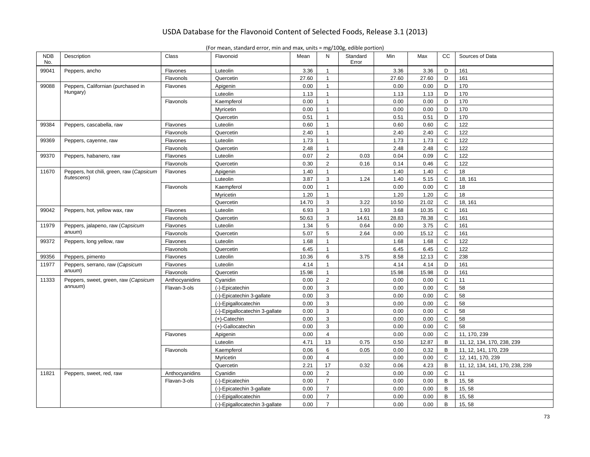| <b>NDB</b><br>No. | Description                              | Class          | Flavonoid                      | Mean  | N              | Standard<br>Error | Min   | Max   | <b>CC</b>    | Sources of Data                 |
|-------------------|------------------------------------------|----------------|--------------------------------|-------|----------------|-------------------|-------|-------|--------------|---------------------------------|
| 99041             | Peppers, ancho                           | Flavones       | Luteolin                       | 3.36  | $\overline{1}$ |                   | 3.36  | 3.36  | D            | 161                             |
|                   |                                          | Flavonols      | Quercetin                      | 27.60 | $\mathbf{1}$   |                   | 27.60 | 27.60 | D            | 161                             |
| 99088             | Peppers, Californian (purchased in       | Flavones       | Apigenin                       | 0.00  | $\mathbf{1}$   |                   | 0.00  | 0.00  | D            | 170                             |
|                   | Hungary)                                 |                | Luteolin                       | 1.13  | $\mathbf{1}$   |                   | 1.13  | 1.13  | D            | 170                             |
|                   |                                          | Flavonols      | Kaempferol                     | 0.00  | $\mathbf{1}$   |                   | 0.00  | 0.00  | D            | 170                             |
|                   |                                          |                | Myricetin                      | 0.00  | $\mathbf{1}$   |                   | 0.00  | 0.00  | D            | 170                             |
|                   |                                          |                | Quercetin                      | 0.51  | $\overline{1}$ |                   | 0.51  | 0.51  | D            | 170                             |
| 99384             | Peppers, cascabella, raw                 | Flavones       | Luteolin                       | 0.60  | $\mathbf{1}$   |                   | 0.60  | 0.60  | $\mathsf{C}$ | 122                             |
|                   |                                          | Flavonols      | Quercetin                      | 2.40  | $\mathbf{1}$   |                   | 2.40  | 2.40  | $\mathsf C$  | 122                             |
| 99369             | Peppers, cayenne, raw                    | Flavones       | Luteolin                       | 1.73  | $\mathbf{1}$   |                   | 1.73  | 1.73  | $\mathsf{C}$ | 122                             |
|                   |                                          | Flavonols      | Quercetin                      | 2.48  | $\mathbf{1}$   |                   | 2.48  | 2.48  | $\mathbf C$  | 122                             |
| 99370             | Peppers, habanero, raw                   | Flavones       | Luteolin                       | 0.07  | 2              | 0.03              | 0.04  | 0.09  | $\mathsf{C}$ | 122                             |
|                   |                                          | Flavonols      | Quercetin                      | 0.30  | $\overline{2}$ | 0.16              | 0.14  | 0.46  | $\mathsf{C}$ | 122                             |
| 11670             | Peppers, hot chili, green, raw (Capsicum | Flavones       | Apigenin                       | 1.40  | $\mathbf{1}$   |                   | 1.40  | 1.40  | $\mathsf{C}$ | 18                              |
|                   | frutescens)                              |                | Luteolin                       | 3.87  | 3              | 1.24              | 1.40  | 5.15  | $\mathsf C$  | 18, 161                         |
|                   |                                          | Flavonols      | Kaempferol                     | 0.00  | $\mathbf{1}$   |                   | 0.00  | 0.00  | $\mathsf{C}$ | 18                              |
|                   |                                          |                | Myricetin                      | 1.20  | $\mathbf{1}$   |                   | 1.20  | 1.20  | $\mathsf{C}$ | 18                              |
|                   |                                          |                | Quercetin                      | 14.70 | 3              | 3.22              | 10.50 | 21.02 | $\mathsf{C}$ | 18, 161                         |
| 99042             | Peppers, hot, yellow wax, raw            | Flavones       | Luteolin                       | 6.93  | $\mathbf{3}$   | 1.93              | 3.68  | 10.35 | $\mathsf{C}$ | 161                             |
|                   |                                          | Flavonols      | Quercetin                      | 50.63 | 3              | 14.61             | 28.83 | 78.38 | $\mathsf{C}$ | 161                             |
| 11979             | Peppers, jalapeno, raw (Capsicum         | Flavones       | Luteolin                       | 1.34  | 5              | 0.64              | 0.00  | 3.75  | $\mathsf C$  | 161                             |
|                   | anuum)                                   | Flavonols      | Quercetin                      | 5.07  | $\,$ 5 $\,$    | 2.64              | 0.00  | 15.12 | $\mathbf C$  | 161                             |
| 99372             | Peppers, long yellow, raw                | Flavones       | Luteolin                       | 1.68  | $\mathbf{1}$   |                   | 1.68  | 1.68  | $\mathsf{C}$ | 122                             |
|                   |                                          | Flavonols      | Quercetin                      | 6.45  | $\mathbf{1}$   |                   | 6.45  | 6.45  | $\mathsf{C}$ | 122                             |
| 99356             | Peppers, pimento                         | Flavones       | Luteolin                       | 10.36 | 6              | 3.75              | 8.58  | 12.13 | C            | 238                             |
| 11977             | Peppers, serrano, raw (Capsicum          | Flavones       | Luteolin                       | 4.14  | $\overline{1}$ |                   | 4.14  | 4.14  | D            | 161                             |
|                   | anuum)                                   | Flavonols      | Quercetin                      | 15.98 | $\mathbf{1}$   |                   | 15.98 | 15.98 | D            | 161                             |
| 11333             | Peppers, sweet, green, raw (Capsicum     | Anthocyanidins | Cyanidin                       | 0.00  | 2              |                   | 0.00  | 0.00  | $\mathsf{C}$ | 11                              |
|                   | annuum)                                  | Flavan-3-ols   | (-)-Epicatechin                | 0.00  | 3              |                   | 0.00  | 0.00  | $\mathsf{C}$ | 58                              |
|                   |                                          |                | (-)-Epicatechin 3-gallate      | 0.00  | 3              |                   | 0.00  | 0.00  | $\mathsf C$  | 58                              |
|                   |                                          |                | (-)-Epigallocatechin           | 0.00  | 3              |                   | 0.00  | 0.00  | $\mathbf C$  | 58                              |
|                   |                                          |                | (-)-Epigallocatechin 3-gallate | 0.00  | $\mathbf{3}$   |                   | 0.00  | 0.00  | $\mathsf{C}$ | 58                              |
|                   |                                          |                | $(+)$ -Catechin                | 0.00  | 3              |                   | 0.00  | 0.00  | $\mathsf{C}$ | 58                              |
|                   |                                          |                | (+)-Gallocatechin              | 0.00  | $\mathbf{3}$   |                   | 0.00  | 0.00  | $\mathbf C$  | 58                              |
|                   |                                          | Flavones       | Apigenin                       | 0.00  | $\overline{4}$ |                   | 0.00  | 0.00  | $\mathsf{C}$ | 11, 170, 239                    |
|                   |                                          |                | Luteolin                       | 4.71  | 13             | 0.75              | 0.50  | 12.87 | B            | 11, 12, 134, 170, 238, 239      |
|                   |                                          | Flavonols      | Kaempferol                     | 0.06  | 6              | 0.05              | 0.00  | 0.32  | B            | 11, 12, 141, 170, 239           |
|                   |                                          |                | Myricetin                      | 0.00  | $\overline{4}$ |                   | 0.00  | 0.00  | $\mathsf{C}$ | 12, 141, 170, 239               |
|                   |                                          |                | Quercetin                      | 2.21  | 17             | 0.32              | 0.06  | 4.23  | B            | 11, 12, 134, 141, 170, 238, 239 |
| 11821             | Peppers, sweet, red, raw                 | Anthocyanidins | Cyanidin                       | 0.00  | $\overline{2}$ |                   | 0.00  | 0.00  | $\mathsf C$  | 11                              |
|                   |                                          | Flavan-3-ols   | (-)-Epicatechin                | 0.00  | $\overline{7}$ |                   | 0.00  | 0.00  | B            | 15,58                           |
|                   |                                          |                | (-)-Epicatechin 3-gallate      | 0.00  | $\overline{7}$ |                   | 0.00  | 0.00  | B            | 15, 58                          |
|                   |                                          |                | (-)-Epigallocatechin           | 0.00  | $\overline{7}$ |                   | 0.00  | 0.00  | B            | 15, 58                          |
|                   |                                          |                | (-)-Epigallocatechin 3-gallate | 0.00  | $\overline{7}$ |                   | 0.00  | 0.00  | B            | 15,58                           |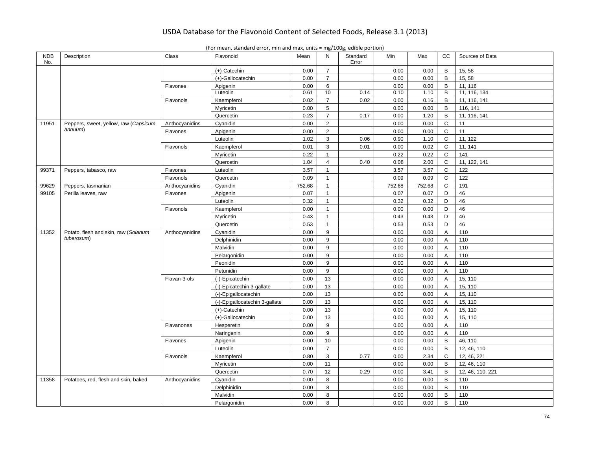| <b>NDB</b><br>No. | Description                           | Class           | Flavonoid                      | Mean   | N              | Standard<br>Error | Min    | Max    | cc             | Sources of Data  |
|-------------------|---------------------------------------|-----------------|--------------------------------|--------|----------------|-------------------|--------|--------|----------------|------------------|
|                   |                                       |                 | $(+)$ -Catechin                | 0.00   | $\overline{7}$ |                   | 0.00   | 0.00   | B              | 15, 58           |
|                   |                                       |                 | (+)-Gallocatechin              | 0.00   | $\overline{7}$ |                   | 0.00   | 0.00   | B              | 15, 58           |
|                   |                                       | Flavones        | Apigenin                       | 0.00   | 6              |                   | 0.00   | 0.00   | B              | 11, 116          |
|                   |                                       |                 | Luteolin                       | 0.61   | 10             | 0.14              | 0.10   | 1.10   | B              | 11, 116, 134     |
|                   |                                       | Flavonols       | Kaempferol                     | 0.02   | $\overline{7}$ | 0.02              | 0.00   | 0.16   | B              | 11, 116, 141     |
|                   |                                       |                 | Myricetin                      | 0.00   | 5              |                   | 0.00   | 0.00   | B              | 116, 141         |
|                   |                                       |                 | Quercetin                      | 0.23   | $\overline{7}$ | 0.17              | 0.00   | 1.20   | B              | 11, 116, 141     |
| 11951             | Peppers, sweet, yellow, raw (Capsicum | Anthocyanidins  | Cyanidin                       | 0.00   | $\overline{2}$ |                   | 0.00   | 0.00   | $\mathsf{C}$   | 11               |
|                   | annuum)                               | Flavones        | Apigenin                       | 0.00   | $\overline{2}$ |                   | 0.00   | 0.00   | $\mathbf C$    | 11               |
|                   |                                       |                 | Luteolin                       | 1.02   | $\mathsf 3$    | 0.06              | 0.90   | 1.10   | $\mathsf{C}$   | 11, 122          |
|                   |                                       | Flavonols       | Kaempferol                     | 0.01   | 3              | 0.01              | 0.00   | 0.02   | $\mathsf{C}$   | 11, 141          |
|                   |                                       |                 | Myricetin                      | 0.22   | $\mathbf{1}$   |                   | 0.22   | 0.22   | $\mathsf C$    | 141              |
|                   |                                       |                 | Quercetin                      | 1.04   | $\overline{4}$ | 0.40              | 0.08   | 2.00   | $\mathsf{C}$   | 11, 122, 141     |
| 99371             | Peppers, tabasco, raw                 | Flavones        | Luteolin                       | 3.57   | $\mathbf{1}$   |                   | 3.57   | 3.57   | $\mathsf C$    | 122              |
|                   |                                       | Flavonols       | Quercetin                      | 0.09   | $\mathbf{1}$   |                   | 0.09   | 0.09   | C              | 122              |
| 99629             | Peppers, tasmanian                    | Anthocyanidins  | Cyanidin                       | 752.68 | $\mathbf{1}$   |                   | 752.68 | 752.68 | $\mathbf C$    | 191              |
| 99105             | Perilla leaves, raw                   | Flavones        | Apigenin                       | 0.07   | 1              |                   | 0.07   | 0.07   | D              | 46               |
|                   |                                       |                 | Luteolin                       | 0.32   | $\mathbf{1}$   |                   | 0.32   | 0.32   | D              | 46               |
|                   |                                       | Flavonols       | Kaempferol                     | 0.00   | $\mathbf{1}$   |                   | 0.00   | 0.00   | D              | 46               |
|                   |                                       |                 | Myricetin                      | 0.43   | $\mathbf{1}$   |                   | 0.43   | 0.43   | D              | 46               |
|                   |                                       |                 | Quercetin                      | 0.53   | $\mathbf{1}$   |                   | 0.53   | 0.53   | D              | 46               |
| 11352             | Potato, flesh and skin, raw (Solanum  | Anthocyanidins  | Cyanidin                       | 0.00   | 9              |                   | 0.00   | 0.00   | A              | 110              |
|                   | tuberosum)                            |                 | Delphinidin                    | 0.00   | 9              |                   | 0.00   | 0.00   | A              | 110              |
|                   |                                       |                 | Malvidin                       | 0.00   | 9              |                   | 0.00   | 0.00   | A              | 110              |
|                   |                                       |                 | Pelargonidin                   | 0.00   | 9              |                   | 0.00   | 0.00   | Α              | 110              |
|                   |                                       |                 | Peonidin                       | 0.00   | 9              |                   | 0.00   | 0.00   | $\overline{A}$ | 110              |
|                   |                                       |                 | Petunidin                      | 0.00   | 9              |                   | 0.00   | 0.00   | A              | 110              |
|                   |                                       | Flavan-3-ols    | (-)-Epicatechin                | 0.00   | 13             |                   | 0.00   | 0.00   | $\overline{A}$ | 15, 110          |
|                   |                                       |                 | (-)-Epicatechin 3-gallate      | 0.00   | 13             |                   | 0.00   | 0.00   | A              | 15, 110          |
|                   |                                       |                 | (-)-Epigallocatechin           | 0.00   | 13             |                   | 0.00   | 0.00   | Α              | 15, 110          |
|                   |                                       |                 | (-)-Epigallocatechin 3-gallate | 0.00   | 13             |                   | 0.00   | 0.00   | A              | 15, 110          |
|                   |                                       |                 | $(+)$ -Catechin                | 0.00   | 13             |                   | 0.00   | 0.00   | A              | 15, 110          |
|                   |                                       |                 | (+)-Gallocatechin              | 0.00   | 13             |                   | 0.00   | 0.00   | Α              |                  |
|                   |                                       | Flavanones      | Hesperetin                     | 0.00   | 9              |                   | 0.00   | 0.00   | A              | 15, 110<br>110   |
|                   |                                       |                 |                                | 0.00   | 9              |                   |        |        | A              | 110              |
|                   |                                       |                 | Naringenin                     |        | 10             |                   | 0.00   | 0.00   | B              |                  |
|                   |                                       | <b>Flavones</b> | Apigenin                       | 0.00   |                |                   | 0.00   | 0.00   |                | 46, 110          |
|                   |                                       |                 | Luteolin                       | 0.00   | $\overline{7}$ |                   | 0.00   | 0.00   | B              | 12, 46, 110      |
|                   |                                       | Flavonols       | Kaempferol                     | 0.80   | 3              | 0.77              | 0.00   | 2.34   | C              | 12, 46, 221      |
|                   |                                       |                 | Myricetin                      | 0.00   | 11             |                   | 0.00   | 0.00   | B              | 12, 46, 110      |
|                   |                                       |                 | Quercetin                      | 0.70   | 12             | 0.29              | 0.00   | 3.41   | B              | 12, 46, 110, 221 |
| 11358             | Potatoes, red, flesh and skin, baked  | Anthocyanidins  | Cyanidin                       | 0.00   | 8              |                   | 0.00   | 0.00   | B              | 110              |
|                   |                                       |                 | Delphinidin                    | 0.00   | 8              |                   | 0.00   | 0.00   | $\, {\bf B}$   | 110              |
|                   |                                       |                 | Malvidin                       | 0.00   | 8              |                   | 0.00   | 0.00   | $\sf B$        | 110              |
|                   |                                       |                 | Pelargonidin                   | 0.00   | 8              |                   | 0.00   | 0.00   | $\overline{B}$ | 110              |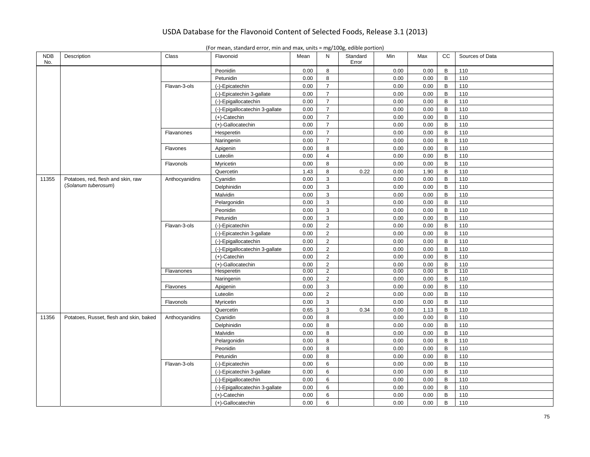|  |  | (For mean, standard error, min and max, units = $mg/100g$ , edible portion) |
|--|--|-----------------------------------------------------------------------------|
|  |  |                                                                             |

| <b>NDB</b><br>No. | Description                             | Class          | Flavonoid                      | Mean | N              | Standard<br>Error | Min  | Max  | CC             | Sources of Data |
|-------------------|-----------------------------------------|----------------|--------------------------------|------|----------------|-------------------|------|------|----------------|-----------------|
|                   |                                         |                | Peonidin                       | 0.00 | 8              |                   | 0.00 | 0.00 | B              | 110             |
|                   |                                         |                | Petunidin                      | 0.00 | 8              |                   | 0.00 | 0.00 | $\mathsf B$    | 110             |
|                   |                                         | Flavan-3-ols   | (-)-Epicatechin                | 0.00 | $\overline{7}$ |                   | 0.00 | 0.00 | B              | 110             |
|                   |                                         |                | (-)-Epicatechin 3-gallate      | 0.00 | $\overline{7}$ |                   | 0.00 | 0.00 | B              | 110             |
|                   |                                         |                | (-)-Epigallocatechin           | 0.00 | $\overline{7}$ |                   | 0.00 | 0.00 | $\mathsf B$    | 110             |
|                   |                                         |                | (-)-Epigallocatechin 3-gallate | 0.00 | $\overline{7}$ |                   | 0.00 | 0.00 | $\, {\bf B}$   | 110             |
|                   |                                         |                | $(+)$ -Catechin                | 0.00 | $\overline{7}$ |                   | 0.00 | 0.00 | B              | 110             |
|                   |                                         |                | (+)-Gallocatechin              | 0.00 | $\overline{7}$ |                   | 0.00 | 0.00 | $\mathsf B$    | 110             |
|                   |                                         | Flavanones     | Hesperetin                     | 0.00 | $\overline{7}$ |                   | 0.00 | 0.00 | $\mathsf B$    | 110             |
|                   |                                         |                | Naringenin                     | 0.00 | $\overline{7}$ |                   | 0.00 | 0.00 | B              | 110             |
|                   |                                         | Flavones       | Apigenin                       | 0.00 | 8              |                   | 0.00 | 0.00 | B              | 110             |
|                   |                                         |                | Luteolin                       | 0.00 | $\overline{4}$ |                   | 0.00 | 0.00 | $\mathsf B$    | 110             |
|                   |                                         | Flavonols      | Myricetin                      | 0.00 | 8              |                   | 0.00 | 0.00 | $\, {\bf B}$   | 110             |
|                   |                                         |                | Quercetin                      | 1.43 | 8              | 0.22              | 0.00 | 1.90 | B              | 110             |
| 11355             | Potatoes, red, flesh and skin, raw      | Anthocyanidins | Cyanidin                       | 0.00 | 3              |                   | 0.00 | 0.00 | $\, {\bf B}$   | 110             |
|                   | (Solanum tuberosum)                     |                | Delphinidin                    | 0.00 | 3              |                   | 0.00 | 0.00 | $\mathsf B$    | 110             |
|                   |                                         |                | Malvidin                       | 0.00 | 3              |                   | 0.00 | 0.00 | $\overline{B}$ | 110             |
|                   |                                         |                | Pelargonidin                   | 0.00 | 3              |                   | 0.00 | 0.00 | B              | 110             |
|                   |                                         |                | Peonidin                       | 0.00 | 3              |                   | 0.00 | 0.00 | $\mathsf{B}$   | 110             |
|                   |                                         |                | Petunidin                      | 0.00 | 3              |                   | 0.00 | 0.00 | B              | 110             |
|                   |                                         | Flavan-3-ols   | (-)-Epicatechin                | 0.00 | $\overline{2}$ |                   | 0.00 | 0.00 | $\overline{B}$ | 110             |
|                   |                                         |                | (-)-Epicatechin 3-gallate      | 0.00 | $\overline{2}$ |                   | 0.00 | 0.00 | $\mathsf B$    | 110             |
|                   |                                         |                | (-)-Epigallocatechin           | 0.00 | $\overline{2}$ |                   | 0.00 | 0.00 | $\mathsf B$    | 110             |
|                   |                                         |                | (-)-Epigallocatechin 3-gallate | 0.00 | $\overline{2}$ |                   | 0.00 | 0.00 | $\mathsf B$    | 110             |
|                   |                                         |                | $(+)$ -Catechin                | 0.00 | $\overline{2}$ |                   | 0.00 | 0.00 | $\, {\bf B}$   | 110             |
|                   |                                         |                | (+)-Gallocatechin              | 0.00 | $\overline{2}$ |                   | 0.00 | 0.00 | $\, {\bf B}$   | 110             |
|                   |                                         | Flavanones     | Hesperetin                     | 0.00 | $\overline{2}$ |                   | 0.00 | 0.00 | $\overline{B}$ | 110             |
|                   |                                         |                | Naringenin                     | 0.00 | $\overline{2}$ |                   | 0.00 | 0.00 | $\, {\bf B}$   | 110             |
|                   |                                         | Flavones       | Apigenin                       | 0.00 | 3              |                   | 0.00 | 0.00 | B              | 110             |
|                   |                                         |                | Luteolin                       | 0.00 | $\overline{2}$ |                   | 0.00 | 0.00 | $\mathsf B$    | 110             |
|                   |                                         | Flavonols      | Myricetin                      | 0.00 | 3              |                   | 0.00 | 0.00 | B              | 110             |
|                   |                                         |                | Quercetin                      | 0.65 | 3              | 0.34              | 0.00 | 1.13 | $\mathsf B$    | 110             |
| 11356             | Potatoes, Russet, flesh and skin, baked | Anthocyanidins | Cyanidin                       | 0.00 | 8              |                   | 0.00 | 0.00 | B              | 110             |
|                   |                                         |                | Delphinidin                    | 0.00 | 8              |                   | 0.00 | 0.00 | $\mathsf B$    | 110             |
|                   |                                         |                | Malvidin                       | 0.00 | 8              |                   | 0.00 | 0.00 | B              | 110             |
|                   |                                         |                | Pelargonidin                   | 0.00 | 8              |                   | 0.00 | 0.00 | B              | 110             |
|                   |                                         |                | Peonidin                       | 0.00 | 8              |                   | 0.00 | 0.00 | $\mathsf B$    | 110             |
|                   |                                         |                | Petunidin                      | 0.00 | 8              |                   | 0.00 | 0.00 | B              | 110             |
|                   |                                         | Flavan-3-ols   | (-)-Epicatechin                | 0.00 | 6              |                   | 0.00 | 0.00 | B              | 110             |
|                   |                                         |                | (-)-Epicatechin 3-gallate      | 0.00 | 6              |                   | 0.00 | 0.00 | $\mathsf B$    | 110             |
|                   |                                         |                | (-)-Epigallocatechin           | 0.00 | 6              |                   | 0.00 | 0.00 | $\overline{B}$ | 110             |
|                   |                                         |                | (-)-Epigallocatechin 3-gallate | 0.00 | 6              |                   | 0.00 | 0.00 | $\, {\bf B}$   | 110             |
|                   |                                         |                | (+)-Catechin                   | 0.00 | 6              |                   | 0.00 | 0.00 | $\sf B$        | 110             |
|                   |                                         |                | (+)-Gallocatechin              | 0.00 | 6              |                   | 0.00 | 0.00 | $\mathsf{B}$   | 110             |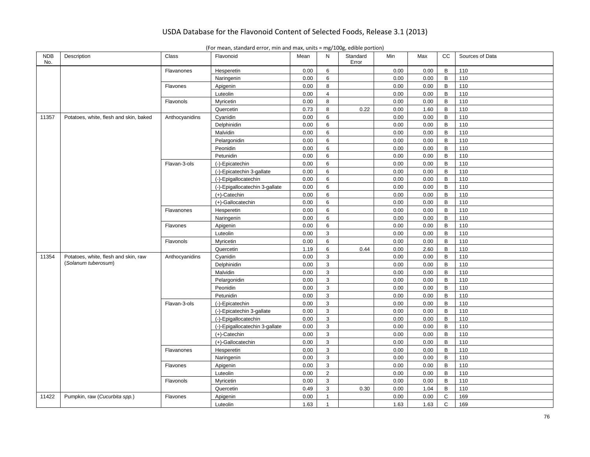|  | (For mean, standard error, min and max, units = $mg/100g$ , edible portion) |  |
|--|-----------------------------------------------------------------------------|--|
|--|-----------------------------------------------------------------------------|--|

| <b>NDB</b><br>No. | Description                            | Class          | Flavonoid                      | Mean | N              | Standard<br>Error | Min  | Max  | CC           | Sources of Data |
|-------------------|----------------------------------------|----------------|--------------------------------|------|----------------|-------------------|------|------|--------------|-----------------|
|                   |                                        | Flavanones     | Hesperetin                     | 0.00 | 6              |                   | 0.00 | 0.00 | B            | 110             |
|                   |                                        |                | Naringenin                     | 0.00 | 6              |                   | 0.00 | 0.00 | B            | 110             |
|                   |                                        | Flavones       | Apigenin                       | 0.00 | 8              |                   | 0.00 | 0.00 | $\, {\sf B}$ | 110             |
|                   |                                        |                | Luteolin                       | 0.00 | $\overline{4}$ |                   | 0.00 | 0.00 | $\mathsf{B}$ | 110             |
|                   |                                        | Flavonols      | Myricetin                      | 0.00 | 8              |                   | 0.00 | 0.00 | B            | 110             |
|                   |                                        |                | Quercetin                      | 0.73 | 8              | 0.22              | 0.00 | 1.60 | B            | 110             |
| 11357             | Potatoes, white, flesh and skin, baked | Anthocyanidins | Cyanidin                       | 0.00 | 6              |                   | 0.00 | 0.00 | $\mathsf{B}$ | 110             |
|                   |                                        |                | Delphinidin                    | 0.00 | 6              |                   | 0.00 | 0.00 | B            | 110             |
|                   |                                        |                | Malvidin                       | 0.00 | 6              |                   | 0.00 | 0.00 | B            | 110             |
|                   |                                        |                | Pelargonidin                   | 0.00 | 6              |                   | 0.00 | 0.00 | B            | 110             |
|                   |                                        |                | Peonidin                       | 0.00 | 6              |                   | 0.00 | 0.00 | B            | 110             |
|                   |                                        |                | Petunidin                      | 0.00 | 6              |                   | 0.00 | 0.00 | $\, {\sf B}$ | 110             |
|                   |                                        | Flavan-3-ols   | (-)-Epicatechin                | 0.00 | 6              |                   | 0.00 | 0.00 | $\mathsf{B}$ | 110             |
|                   |                                        |                | (-)-Epicatechin 3-gallate      | 0.00 | 6              |                   | 0.00 | 0.00 | B            | 110             |
|                   |                                        |                | (-)-Epigallocatechin           | 0.00 | 6              |                   | 0.00 | 0.00 | $\, {\sf B}$ | 110             |
|                   |                                        |                | (-)-Epigallocatechin 3-gallate | 0.00 | 6              |                   | 0.00 | 0.00 | B            | 110             |
|                   |                                        |                | $(+)$ -Catechin                | 0.00 | 6              |                   | 0.00 | 0.00 | $\mathsf{B}$ | 110             |
|                   |                                        |                | (+)-Gallocatechin              | 0.00 | 6              |                   | 0.00 | 0.00 | $\, {\sf B}$ | 110             |
|                   |                                        | Flavanones     | Hesperetin                     | 0.00 | 6              |                   | 0.00 | 0.00 | $\mathsf{B}$ | 110             |
|                   |                                        |                | Naringenin                     | 0.00 | 6              |                   | 0.00 | 0.00 | B            | 110             |
|                   |                                        | Flavones       | Apigenin                       | 0.00 | 6              |                   | 0.00 | 0.00 | $\, {\bf B}$ | 110             |
|                   |                                        |                | Luteolin                       | 0.00 | 3              |                   | 0.00 | 0.00 | $\mathsf{B}$ | 110             |
|                   |                                        | Flavonols      | Myricetin                      | 0.00 | 6              |                   | 0.00 | 0.00 | $\, {\bf B}$ | 110             |
|                   |                                        |                | Quercetin                      | 1.19 | 6              | 0.44              | 0.00 | 2.60 | $\, {\sf B}$ | 110             |
| 11354             | Potatoes, white, flesh and skin, raw   | Anthocyanidins | Cyanidin                       | 0.00 | 3              |                   | 0.00 | 0.00 | $\mathsf{B}$ | 110             |
|                   | (Solanum tuberosum)                    |                | Delphinidin                    | 0.00 | 3              |                   | 0.00 | 0.00 | B            | 110             |
|                   |                                        |                | Malvidin                       | 0.00 | 3              |                   | 0.00 | 0.00 | $\, {\sf B}$ | 110             |
|                   |                                        |                | Pelargonidin                   | 0.00 | 3              |                   | 0.00 | 0.00 | $\mathsf{B}$ | 110             |
|                   |                                        |                | Peonidin                       | 0.00 | 3              |                   | 0.00 | 0.00 | B            | 110             |
|                   |                                        |                | Petunidin                      | 0.00 | 3              |                   | 0.00 | 0.00 | $\, {\sf B}$ | 110             |
|                   |                                        | Flavan-3-ols   | (-)-Epicatechin                | 0.00 | $\mathsf 3$    |                   | 0.00 | 0.00 | $\mathsf{B}$ | 110             |
|                   |                                        |                | (-)-Epicatechin 3-gallate      | 0.00 | 3              |                   | 0.00 | 0.00 | B            | 110             |
|                   |                                        |                | (-)-Epigallocatechin           | 0.00 | 3              |                   | 0.00 | 0.00 | $\, {\sf B}$ | 110             |
|                   |                                        |                | (-)-Epigallocatechin 3-gallate | 0.00 | $\mathsf 3$    |                   | 0.00 | 0.00 | $\mathsf{B}$ | 110             |
|                   |                                        |                | $(+)$ -Catechin                | 0.00 | 3              |                   | 0.00 | 0.00 | $\mathsf{B}$ | 110             |
|                   |                                        |                | (+)-Gallocatechin              | 0.00 | 3              |                   | 0.00 | 0.00 | $\, {\sf B}$ | 110             |
|                   |                                        | Flavanones     | Hesperetin                     | 0.00 | 3              |                   | 0.00 | 0.00 | $\, {\bf B}$ | 110             |
|                   |                                        |                | Naringenin                     | 0.00 | 3              |                   | 0.00 | 0.00 | $\mathsf{B}$ | 110             |
|                   |                                        | Flavones       | Apigenin                       | 0.00 | 3              |                   | 0.00 | 0.00 | B            | 110             |
|                   |                                        |                | Luteolin                       | 0.00 | $\overline{2}$ |                   | 0.00 | 0.00 | $\, {\bf B}$ | 110             |
|                   |                                        | Flavonols      | Myricetin                      | 0.00 | 3              |                   | 0.00 | 0.00 | B            | 110             |
|                   |                                        |                | Quercetin                      | 0.49 | 3              | 0.30              | 0.00 | 1.04 | $\, {\sf B}$ | 110             |
| 11422             | Pumpkin, raw (Cucurbita spp.)          | Flavones       | Apigenin                       | 0.00 | $\mathbf{1}$   |                   | 0.00 | 0.00 | $\mathbf C$  | 169             |
|                   |                                        |                | Luteolin                       | 1.63 | $\mathbf{1}$   |                   | 1.63 | 1.63 | $\mathsf{C}$ | 169             |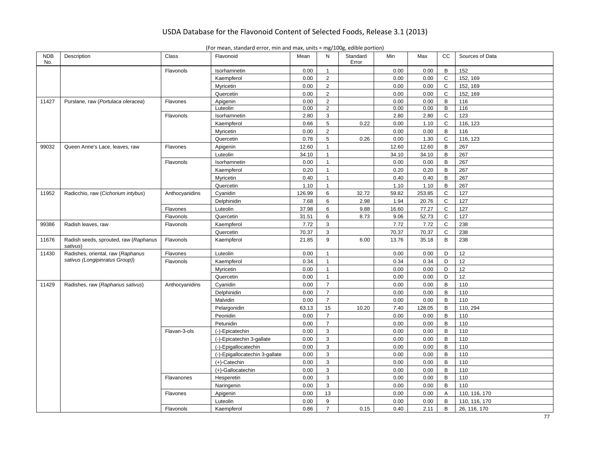| <b>NDB</b><br>No. | Description                                       | Class          | Flavonoid                      | Mean   | N                | Standard<br>Error | Min   | Max    | СC           | Sources of Data |
|-------------------|---------------------------------------------------|----------------|--------------------------------|--------|------------------|-------------------|-------|--------|--------------|-----------------|
|                   |                                                   | Flavonols      | Isorhamnetin                   | 0.00   | $\mathbf{1}$     |                   | 0.00  | 0.00   | B            | 152             |
|                   |                                                   |                | Kaempferol                     | 0.00   | $\mathbf 2$      |                   | 0.00  | 0.00   | $\mathbf C$  | 152, 169        |
|                   |                                                   |                | Myricetin                      | 0.00   | $\overline{2}$   |                   | 0.00  | 0.00   | C            | 152, 169        |
|                   |                                                   |                | Quercetin                      | 0.00   | $\sqrt{2}$       |                   | 0.00  | 0.00   | $\mathbf C$  | 152, 169        |
| 11427             | Purslane, raw (Portulaca oleracea)                | Flavones       | Apigenin                       | 0.00   | $\overline{2}$   |                   | 0.00  | 0.00   | B            | 116             |
|                   |                                                   |                | Luteolin                       | 0.00   | $\boldsymbol{2}$ |                   | 0.00  | 0.00   | B            | 116             |
|                   |                                                   | Flavonols      | Isorhamnetin                   | 2.80   | $\mathbf{3}$     |                   | 2.80  | 2.80   | $\mathsf{C}$ | 123             |
|                   |                                                   |                | Kaempferol                     | 0.66   | 5                | 0.22              | 0.00  | 1.10   | $\mathsf{C}$ | 116, 123        |
|                   |                                                   |                | Myricetin                      | 0.00   | $\overline{2}$   |                   | 0.00  | 0.00   | B            | 116             |
|                   |                                                   |                | Quercetin                      | 0.78   | 5                | 0.26              | 0.00  | 1.30   | $\mathsf C$  | 116, 123        |
| 99032             | Queen Anne's Lace, leaves, raw                    | Flavones       | Apigenin                       | 12.60  | $\mathbf{1}$     |                   | 12.60 | 12.60  | B            | 267             |
|                   |                                                   |                | Luteolin                       | 34.10  | $\mathbf{1}$     |                   | 34.10 | 34.10  | B            | 267             |
|                   |                                                   | Flavonols      | Isorhamnetin                   | 0.00   | 1                |                   | 0.00  | 0.00   | B            | 267             |
|                   |                                                   |                | Kaempferol                     | 0.20   | $\mathbf{1}$     |                   | 0.20  | 0.20   | B            | 267             |
|                   |                                                   |                | Myricetin                      | 0.40   | $\mathbf{1}$     |                   | 0.40  | 0.40   | В            | 267             |
|                   |                                                   |                | Quercetin                      | 1.10   | $\mathbf{1}$     |                   | 1.10  | 1.10   | В            | 267             |
| 11952             | Radicchio, raw (Cichorium intybus)                | Anthocyanidins | Cyanidin                       | 126.99 | 6                | 32.72             | 59.82 | 253.85 | C            | 127             |
|                   |                                                   |                | Delphinidin                    | 7.68   | 6                | 2.98              | 1.94  | 20.76  | C            | 127             |
|                   |                                                   | Flavones       | Luteolin                       | 37.98  | 6                | 9.88              | 16.60 | 77.27  | $\mathsf C$  | 127             |
|                   |                                                   | Flavonols      | Quercetin                      | 31.51  | 6                | 8.73              | 9.06  | 52.73  | C            | 127             |
| 99386             | Radish leaves, raw                                | Flavonols      | Kaempferol                     | 7.72   | 3                |                   | 7.72  | 7.72   | $\mathbf C$  | 238             |
|                   |                                                   |                | Quercetin                      | 70.37  | 3                |                   | 70.37 | 70.37  | C            | 238             |
| 11676             | Radish seeds, sprouted, raw (Raphanus<br>sativus) | Flavonols      | Kaempferol                     | 21.85  | 9                | 6.00              | 13.76 | 35.18  | B            | 238             |
| 11430             | Radishes, oriental, raw (Raphanus                 | Flavones       | Luteolin                       | 0.00   | $\overline{1}$   |                   | 0.00  | 0.00   | D            | 12              |
|                   | sativus (Longipinratus Group))                    | Flavonols      | Kaempferol                     | 0.34   | $\mathbf{1}$     |                   | 0.34  | 0.34   | D            | 12              |
|                   |                                                   |                | Myricetin                      | 0.00   | $\mathbf{1}$     |                   | 0.00  | 0.00   | D            | 12              |
|                   |                                                   |                | Quercetin                      | 0.00   | $\mathbf{1}$     |                   | 0.00  | 0.00   | D            | 12              |
| 11429             | Radishes, raw (Raphanus sativus)                  | Anthocyanidins | Cyanidin                       | 0.00   | $\overline{7}$   |                   | 0.00  | 0.00   | B            | 110             |
|                   |                                                   |                | Delphinidin                    | 0.00   | $\overline{7}$   |                   | 0.00  | 0.00   | B            | 110             |
|                   |                                                   |                | Malvidin                       | 0.00   | $\overline{7}$   |                   | 0.00  | 0.00   | B            | 110             |
|                   |                                                   |                | Pelargonidin                   | 63.13  | 15               | 10.20             | 7.40  | 128.05 | B            | 110, 294        |
|                   |                                                   |                | Peonidin                       | 0.00   | $\overline{7}$   |                   | 0.00  | 0.00   | B            | 110             |
|                   |                                                   |                | Petunidin                      | 0.00   | $\overline{7}$   |                   | 0.00  | 0.00   | B            | 110             |
|                   |                                                   | Flavan-3-ols   | (-)-Epicatechin                | 0.00   | 3                |                   | 0.00  | 0.00   | В            | 110             |
|                   |                                                   |                | (-)-Epicatechin 3-gallate      | 0.00   | 3                |                   | 0.00  | 0.00   | B            | 110             |
|                   |                                                   |                | (-)-Epigallocatechin           | 0.00   | $\mathsf 3$      |                   | 0.00  | 0.00   | B            | 110             |
|                   |                                                   |                | (-)-Epigallocatechin 3-gallate | 0.00   | 3                |                   | 0.00  | 0.00   | B            | 110             |
|                   |                                                   |                | $(+)$ -Catechin                | 0.00   | $\mathsf 3$      |                   | 0.00  | 0.00   | B            | 110             |
|                   |                                                   |                | (+)-Gallocatechin              | 0.00   | 3                |                   | 0.00  | 0.00   | B            | 110             |
|                   |                                                   | Flavanones     | Hesperetin                     | 0.00   | 3                |                   | 0.00  | 0.00   | В            | 110             |
|                   |                                                   |                | Naringenin                     | 0.00   | 3                |                   | 0.00  | 0.00   | В            | 110             |
|                   |                                                   | Flavones       | Apigenin                       | 0.00   | 13               |                   | 0.00  | 0.00   | Α            | 110, 116, 170   |
|                   |                                                   |                | Luteolin                       | 0.00   | 9                |                   | 0.00  | 0.00   | B            | 110, 116, 170   |
|                   |                                                   | Flavonols      | Kaempferol                     | 0.86   | $\overline{7}$   | 0.15              | 0.40  | 2.11   | B            | 26, 116, 170    |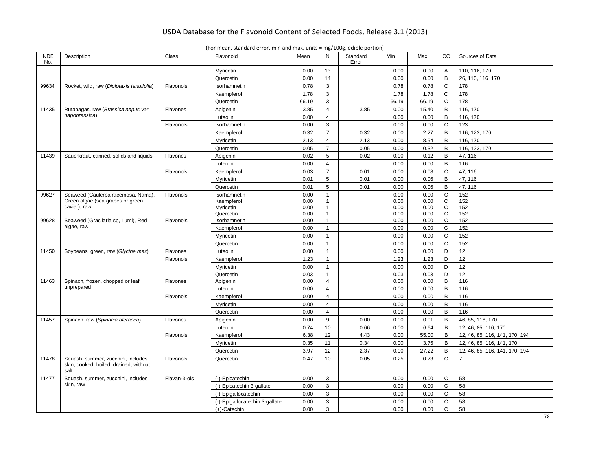| <b>NDB</b><br>No. | Description                                                                          | Class        | Flavonoid                      | Mean  | N              | Standard<br>Error | Min   | Max   | СC             | Sources of Data                |
|-------------------|--------------------------------------------------------------------------------------|--------------|--------------------------------|-------|----------------|-------------------|-------|-------|----------------|--------------------------------|
|                   |                                                                                      |              | Myricetin                      | 0.00  | 13             |                   | 0.00  | 0.00  | $\overline{A}$ | 110, 116, 170                  |
|                   |                                                                                      |              | Quercetin                      | 0.00  | 14             |                   | 0.00  | 0.00  | B              | 26, 110, 116, 170              |
| 99634             | Rocket, wild, raw (Diplotaxis tenuifolia)                                            | Flavonols    | Isorhamnetin                   | 0.78  | 3              |                   | 0.78  | 0.78  | $\mathsf{C}$   | 178                            |
|                   |                                                                                      |              | Kaempferol                     | 1.78  | $\mathbf{3}$   |                   | 1.78  | 1.78  | $\mathsf{C}$   | 178                            |
|                   |                                                                                      |              | Quercetin                      | 66.19 | 3              |                   | 66.19 | 66.19 | C              | 178                            |
| 11435             | Rutabagas, raw (Brassica napus var.                                                  | Flavones     | Apigenin                       | 3.85  | $\overline{4}$ | 3.85              | 0.00  | 15.40 | B              | 116, 170                       |
|                   | napobrassica)                                                                        |              | Luteolin                       | 0.00  | $\overline{4}$ |                   | 0.00  | 0.00  | B              | 116, 170                       |
|                   |                                                                                      | Flavonols    | Isorhamnetin                   | 0.00  | 3              |                   | 0.00  | 0.00  | C              | 123                            |
|                   |                                                                                      |              | Kaempferol                     | 0.32  | $\overline{7}$ | 0.32              | 0.00  | 2.27  | B              | 116, 123, 170                  |
|                   |                                                                                      |              | Myricetin                      | 2.13  | $\overline{4}$ | 2.13              | 0.00  | 8.54  | B              | 116, 170                       |
|                   |                                                                                      |              | Quercetin                      | 0.05  | $\overline{7}$ | 0.05              | 0.00  | 0.32  | B              | 116, 123, 170                  |
| 11439             | Sauerkraut, canned, solids and liquids                                               | Flavones     | Apigenin                       | 0.02  | $\,$ 5 $\,$    | 0.02              | 0.00  | 0.12  | B              | 47, 116                        |
|                   |                                                                                      |              | Luteolin                       | 0.00  | $\overline{4}$ |                   | 0.00  | 0.00  | B              | 116                            |
|                   |                                                                                      | Flavonols    | Kaempferol                     | 0.03  | $\overline{7}$ | 0.01              | 0.00  | 0.08  | C              | 47, 116                        |
|                   |                                                                                      |              | Myricetin                      | 0.01  | 5              | 0.01              | 0.00  | 0.06  | B              | 47, 116                        |
|                   |                                                                                      |              | Quercetin                      | 0.01  | 5              | 0.01              | 0.00  | 0.06  | B              | 47, 116                        |
| 99627             | Seaweed (Caulerpa racemosa, Nama),                                                   | Flavonols    | Isorhamnetin                   | 0.00  | $\overline{1}$ |                   | 0.00  | 0.00  | $\mathsf{C}$   | 152                            |
|                   | Green algae (sea grapes or green                                                     |              | Kaempferol                     | 0.00  | $\mathbf{1}$   |                   | 0.00  | 0.00  | C              | 152                            |
|                   | caviar), raw                                                                         |              | Myricetin                      | 0.00  | $\overline{1}$ |                   | 0.00  | 0.00  | $\overline{c}$ | 152                            |
|                   |                                                                                      |              | Quercetin                      | 0.00  | $\mathbf{1}$   |                   | 0.00  | 0.00  | C              | 152                            |
| 99628             | Seaweed (Gracilaria sp, Lumi), Red                                                   | Flavonols    | Isorhamnetin                   | 0.00  | $\mathbf{1}$   |                   | 0.00  | 0.00  | C              | 152                            |
|                   | algae, raw                                                                           |              | Kaempferol                     | 0.00  | $\overline{1}$ |                   | 0.00  | 0.00  | $\mathbf C$    | 152                            |
|                   |                                                                                      |              | Myricetin                      | 0.00  | $\mathbf{1}$   |                   | 0.00  | 0.00  | $\mathbf C$    | 152                            |
|                   |                                                                                      |              | Quercetin                      | 0.00  | $\mathbf{1}$   |                   | 0.00  | 0.00  | C              | 152                            |
| 11450             | Soybeans, green, raw (Glycine max)                                                   | Flavones     | Luteolin                       | 0.00  | $\overline{1}$ |                   | 0.00  | 0.00  | D              | 12                             |
|                   |                                                                                      | Flavonols    | Kaempferol                     | 1.23  | $\mathbf{1}$   |                   | 1.23  | 1.23  | D              | 12                             |
|                   |                                                                                      |              | Myricetin                      | 0.00  | $\mathbf{1}$   |                   | 0.00  | 0.00  | D              | 12                             |
|                   |                                                                                      |              | Quercetin                      | 0.03  | $\overline{1}$ |                   | 0.03  | 0.03  | D              | 12                             |
| 11463             | Spinach, frozen, chopped or leaf,                                                    | Flavones     | Apigenin                       | 0.00  | $\overline{4}$ |                   | 0.00  | 0.00  | B              | 116                            |
|                   | unprepared                                                                           |              | Luteolin                       | 0.00  | $\overline{4}$ |                   | 0.00  | 0.00  | B              | 116                            |
|                   |                                                                                      | Flavonols    | Kaempferol                     | 0.00  | $\overline{4}$ |                   | 0.00  | 0.00  | $\overline{B}$ | 116                            |
|                   |                                                                                      |              | Myricetin                      | 0.00  | $\overline{4}$ |                   | 0.00  | 0.00  | B              | 116                            |
|                   |                                                                                      |              | Quercetin                      | 0.00  | $\overline{4}$ |                   | 0.00  | 0.00  | B              | 116                            |
| 11457             | Spinach, raw (Spinacia oleracea)                                                     | Flavones     | Apigenin                       | 0.00  | 9              | 0.00              | 0.00  | 0.01  | B              | 46, 85, 116, 170               |
|                   |                                                                                      |              | Luteolin                       | 0.74  | 10             | 0.66              | 0.00  | 6.64  | B              | 12, 46, 85, 116, 170           |
|                   |                                                                                      | Flavonols    | Kaempferol                     | 6.38  | 12             | 4.43              | 0.00  | 55.00 | B              | 12, 46, 85, 116, 141, 170, 194 |
|                   |                                                                                      |              | Mvricetin                      | 0.35  | 11             | 0.34              | 0.00  | 3.75  | B              | 12, 46, 85, 116, 141, 170      |
|                   |                                                                                      |              | Quercetin                      | 3.97  | 12             | 2.37              | 0.00  | 27.22 | B              | 12, 46, 85, 116, 141, 170, 194 |
| 11478             | Squash, summer, zucchini, includes<br>skin, cooked, boiled, drained, without<br>salt | Flavonols    | Quercetin                      | 0.47  | 10             | 0.05              | 0.25  | 0.73  | $\mathbf C$    | $\overline{7}$                 |
| 11477             | Squash, summer, zucchini, includes                                                   | Flavan-3-ols | (-)-Epicatechin                | 0.00  | 3              |                   | 0.00  | 0.00  | $\mathsf{C}$   | 58                             |
|                   | skin, raw                                                                            |              | (-)-Epicatechin 3-gallate      | 0.00  | 3              |                   | 0.00  | 0.00  | $\mathsf{C}$   | 58                             |
|                   |                                                                                      |              | (-)-Epigallocatechin           | 0.00  | 3              |                   | 0.00  | 0.00  | C              | 58                             |
|                   |                                                                                      |              | (-)-Epigallocatechin 3-gallate | 0.00  | 3              |                   | 0.00  | 0.00  | $\mathbf C$    | 58                             |
|                   |                                                                                      |              | $(+)$ -Catechin                | 0.00  | $\mathbf{3}$   |                   | 0.00  | 0.00  | $\mathsf{C}$   | 58                             |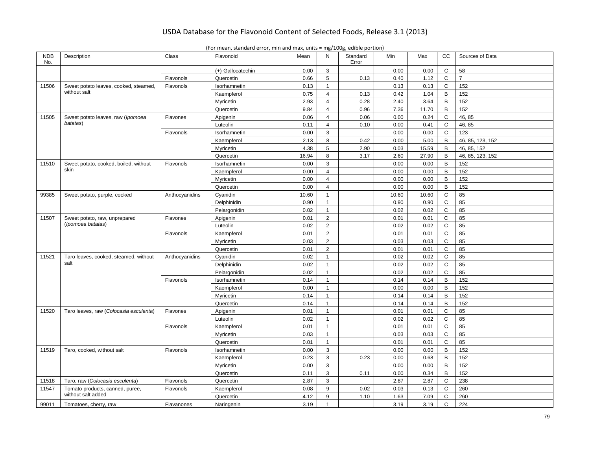| <b>NDB</b><br>No. | Description                            | Class          | Flavonoid         | Mean  | N              | Standard<br>Error | Min   | Max   | cc           | Sources of Data  |
|-------------------|----------------------------------------|----------------|-------------------|-------|----------------|-------------------|-------|-------|--------------|------------------|
|                   |                                        |                | (+)-Gallocatechin | 0.00  | 3              |                   | 0.00  | 0.00  | $\mathsf{C}$ | 58               |
|                   |                                        | Flavonols      | Quercetin         | 0.66  | 5              | 0.13              | 0.40  | 1.12  | C            | $\overline{7}$   |
| 11506             | Sweet potato leaves, cooked, steamed,  | Flavonols      | Isorhamnetin      | 0.13  | $\mathbf{1}$   |                   | 0.13  | 0.13  | C            | 152              |
|                   | without salt                           |                | Kaempferol        | 0.75  | $\overline{4}$ | 0.13              | 0.42  | 1.04  | B            | 152              |
|                   |                                        |                | Myricetin         | 2.93  | $\overline{4}$ | 0.28              | 2.40  | 3.64  | B            | 152              |
|                   |                                        |                | Quercetin         | 9.84  | $\overline{4}$ | 0.96              | 7.36  | 11.70 | B            | 152              |
| 11505             | Sweet potato leaves, raw (Ipomoea      | Flavones       | Apigenin          | 0.06  | $\overline{4}$ | 0.06              | 0.00  | 0.24  | $\mathbf C$  | 46, 85           |
|                   | batatas)                               |                | Luteolin          | 0.11  | $\overline{4}$ | 0.10              | 0.00  | 0.41  | $\mathsf{C}$ | 46, 85           |
|                   |                                        | Flavonols      | Isorhamnetin      | 0.00  | 3              |                   | 0.00  | 0.00  | $\mathsf{C}$ | 123              |
|                   |                                        |                | Kaempferol        | 2.13  | 8              | 0.42              | 0.00  | 5.00  | B            | 46, 85, 123, 152 |
|                   |                                        |                | Myricetin         | 4.38  | $\overline{5}$ | 2.90              | 0.03  | 15.59 | B            | 46, 85, 152      |
|                   |                                        |                | Quercetin         | 16.94 | 8              | 3.17              | 2.60  | 27.90 | B            | 46, 85, 123, 152 |
| 11510             | Sweet potato, cooked, boiled, without  | Flavonols      | Isorhamnetin      | 0.00  | 3              |                   | 0.00  | 0.00  | B            | 152              |
|                   | skin                                   |                | Kaempferol        | 0.00  | $\overline{4}$ |                   | 0.00  | 0.00  | B            | 152              |
|                   |                                        |                | Myricetin         | 0.00  | $\overline{4}$ |                   | 0.00  | 0.00  | B            | 152              |
|                   |                                        |                | Quercetin         | 0.00  | $\overline{4}$ |                   | 0.00  | 0.00  | B            | 152              |
| 99385             | Sweet potato, purple, cooked           | Anthocyanidins | Cyanidin          | 10.60 | $\mathbf{1}$   |                   | 10.60 | 10.60 | C            | 85               |
|                   |                                        |                | Delphinidin       | 0.90  | $\mathbf{1}$   |                   | 0.90  | 0.90  | C            | 85               |
|                   |                                        |                | Pelargonidin      | 0.02  | $\overline{1}$ |                   | 0.02  | 0.02  | $\mathsf{C}$ | 85               |
| 11507             | Sweet potato, raw, unprepared          | Flavones       | Apigenin          | 0.01  | $\overline{2}$ |                   | 0.01  | 0.01  | $\mathsf{C}$ | 85               |
|                   | (Ipomoea batatas)                      |                | Luteolin          | 0.02  | $\overline{2}$ |                   | 0.02  | 0.02  | $\mathsf C$  | 85               |
|                   |                                        | Flavonols      | Kaempferol        | 0.01  | $\overline{2}$ |                   | 0.01  | 0.01  | $\mathsf C$  | 85               |
|                   |                                        |                | Myricetin         | 0.03  | $\overline{2}$ |                   | 0.03  | 0.03  | $\mathsf C$  | 85               |
|                   |                                        |                | Quercetin         | 0.01  | $\overline{2}$ |                   | 0.01  | 0.01  | C            | 85               |
| 11521             | Taro leaves, cooked, steamed, without  | Anthocyanidins | Cyanidin          | 0.02  | $\mathbf{1}$   |                   | 0.02  | 0.02  | $\mathsf C$  | 85               |
|                   | salt                                   |                | Delphinidin       | 0.02  | $\overline{1}$ |                   | 0.02  | 0.02  | $\mathsf{C}$ | 85               |
|                   |                                        |                | Pelargonidin      | 0.02  | $\mathbf{1}$   |                   | 0.02  | 0.02  | $\mathbf C$  | 85               |
|                   |                                        | Flavonols      | Isorhamnetin      | 0.14  | $\overline{1}$ |                   | 0.14  | 0.14  | B            | 152              |
|                   |                                        |                | Kaempferol        | 0.00  | $\mathbf{1}$   |                   | 0.00  | 0.00  | B            | 152              |
|                   |                                        |                | Myricetin         | 0.14  | $\mathbf{1}$   |                   | 0.14  | 0.14  | B            | 152              |
|                   |                                        |                | Quercetin         | 0.14  | $\mathbf{1}$   |                   | 0.14  | 0.14  | B            | 152              |
| 11520             | Taro leaves, raw (Colocasia esculenta) | Flavones       | Apigenin          | 0.01  | $\mathbf{1}$   |                   | 0.01  | 0.01  | C            | 85               |
|                   |                                        |                | Luteolin          | 0.02  | $\mathbf{1}$   |                   | 0.02  | 0.02  | $\mathsf{C}$ | 85               |
|                   |                                        | Flavonols      | Kaempferol        | 0.01  | $\mathbf{1}$   |                   | 0.01  | 0.01  | $\mathsf C$  | 85               |
|                   |                                        |                | Myricetin         | 0.03  | $\mathbf{1}$   |                   | 0.03  | 0.03  | $\mathbf C$  | 85               |
|                   |                                        |                | Quercetin         | 0.01  | $\overline{1}$ |                   | 0.01  | 0.01  | $\mathsf{C}$ | 85               |
| 11519             | Taro, cooked, without salt             | Flavonols      | Isorhamnetin      | 0.00  | $\mathbf{3}$   |                   | 0.00  | 0.00  | B            | 152              |
|                   |                                        |                | Kaempferol        | 0.23  | 3              | 0.23              | 0.00  | 0.68  | B            | 152              |
|                   |                                        |                | Myricetin         | 0.00  | 3              |                   | 0.00  | 0.00  | B            | 152              |
|                   |                                        |                | Quercetin         | 0.11  | 3              | 0.11              | 0.00  | 0.34  | B            | 152              |
| 11518             | Taro, raw (Colocasia esculenta)        | Flavonols      | Quercetin         | 2.87  | 3              |                   | 2.87  | 2.87  | C            | 238              |
| 11547             | Tomato products, canned, puree,        | Flavonols      | Kaempferol        | 0.08  | 9              | 0.02              | 0.03  | 0.13  | C            | 260              |
|                   | without salt added                     |                | Quercetin         | 4.12  | 9              | 1.10              | 1.63  | 7.09  | $\mathsf{C}$ | 260              |
| 99011             | Tomatoes, cherry, raw                  | Flavanones     | Naringenin        | 3.19  | $\overline{1}$ |                   | 3.19  | 3.19  | $\mathsf{C}$ | 224              |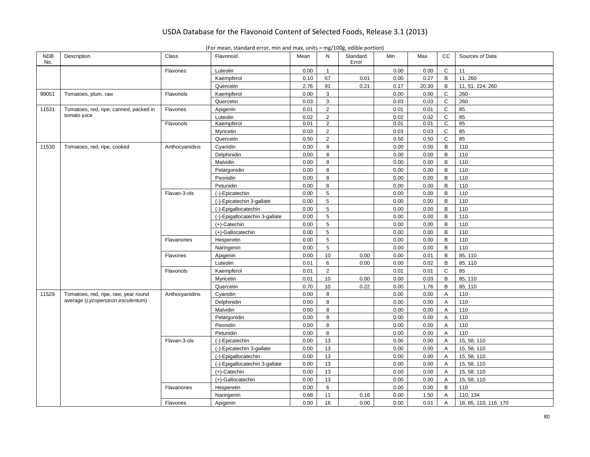| <b>NDB</b><br>No. | Description                            | Class          | Flavonoid                      | Mean | N               | Standard<br>Error | Min  | Max   | cc             | Sources of Data       |
|-------------------|----------------------------------------|----------------|--------------------------------|------|-----------------|-------------------|------|-------|----------------|-----------------------|
|                   |                                        | Flavones       | Luteolin                       | 0.00 | $\mathbf{1}$    |                   | 0.00 | 0.00  | C              | 11                    |
|                   |                                        |                | Kaempferol                     | 0.10 | 67              | 0.01              | 0.00 | 0.27  | B              | 11, 260               |
|                   |                                        |                | Quercetin                      | 2.76 | 91              | 0.21              | 0.17 | 20.30 | B              | 11, 51, 224, 260      |
| 99051             | Tomatoes, plum, raw                    | Flavonols      | Kaempferol                     | 0.00 | 3               |                   | 0.00 | 0.00  | $\mathsf{C}$   | 260                   |
|                   |                                        |                | Quercetin                      | 0.03 | 3               |                   | 0.03 | 0.03  | $\mathbf C$    | 260                   |
| 11531             | Tomatoes, red, ripe, canned, packed in | Flavones       | Apigenin                       | 0.01 | $\overline{2}$  |                   | 0.01 | 0.01  | $\mathbf C$    | 85                    |
|                   | tomato juice                           |                | Luteolin                       | 0.02 | $\overline{2}$  |                   | 0.02 | 0.02  | $\mathsf{C}$   | 85                    |
|                   |                                        | Flavonols      | Kaempferol                     | 0.01 | $\overline{2}$  |                   | 0.01 | 0.01  | C              | 85                    |
|                   |                                        |                | Myricetin                      | 0.03 | $\overline{2}$  |                   | 0.03 | 0.03  | $\mathbf C$    | 85                    |
|                   |                                        |                | Quercetin                      | 0.50 | $\overline{2}$  |                   | 0.50 | 0.50  | $\mathbf C$    | 85                    |
| 11530             | Tomatoes, red, ripe, cooked            | Anthocyanidins | Cyanidin                       | 0.00 | 8               |                   | 0.00 | 0.00  | B              | 110                   |
|                   |                                        |                | Delphinidin                    | 0.00 | 8               |                   | 0.00 | 0.00  | $\mathsf B$    | 110                   |
|                   |                                        |                | Malvidin                       | 0.00 | 8               |                   | 0.00 | 0.00  | B              | 110                   |
|                   |                                        |                | Pelargonidin                   | 0.00 | 8               |                   | 0.00 | 0.00  | $\mathsf B$    | 110                   |
|                   |                                        |                | Peonidin                       | 0.00 | 8               |                   | 0.00 | 0.00  | B              | 110                   |
|                   |                                        |                | Petunidin                      | 0.00 | 8               |                   | 0.00 | 0.00  | $\mathsf B$    | 110                   |
|                   |                                        | Flavan-3-ols   | (-)-Epicatechin                | 0.00 | 5               |                   | 0.00 | 0.00  | B              | 110                   |
|                   |                                        |                | (-)-Epicatechin 3-gallate      | 0.00 | 5               |                   | 0.00 | 0.00  | $\mathsf B$    | 110                   |
|                   |                                        |                | (-)-Epigallocatechin           | 0.00 | 5               |                   | 0.00 | 0.00  | B              | 110                   |
|                   |                                        |                | (-)-Epigallocatechin 3-gallate | 0.00 | $5\phantom{.0}$ |                   | 0.00 | 0.00  | $\mathsf B$    | 110                   |
|                   |                                        |                | $(+)$ -Catechin                | 0.00 | 5               |                   | 0.00 | 0.00  | $\mathsf B$    | 110                   |
|                   |                                        |                | (+)-Gallocatechin              | 0.00 | 5               |                   | 0.00 | 0.00  | B              | 110                   |
|                   |                                        | Flavanones     | Hesperetin                     | 0.00 | 5               |                   | 0.00 | 0.00  | $\mathsf B$    | 110                   |
|                   |                                        |                | Naringenin                     | 0.00 | 5               |                   | 0.00 | 0.00  | $\mathsf B$    | 110                   |
|                   |                                        | Flavones       | Apigenin                       | 0.00 | 10              | 0.00              | 0.00 | 0.01  | B              | 85, 110               |
|                   |                                        |                | Luteolin                       | 0.01 | 6               | 0.00              | 0.00 | 0.02  | B              | 85, 110               |
|                   |                                        | Flavonols      | Kaempferol                     | 0.01 | $\overline{2}$  |                   | 0.01 | 0.01  | $\mathsf{C}$   | 85                    |
|                   |                                        |                | Myricetin                      | 0.01 | 10              | 0.00              | 0.00 | 0.03  | B              | 85, 110               |
|                   |                                        |                | Quercetin                      | 0.70 | 10              | 0.22              | 0.00 | 1.76  | $\mathsf B$    | 85, 110               |
| 11529             | Tomatoes, red, ripe, raw, year round   | Anthocyanidins | Cyanidin                       | 0.00 | 8               |                   | 0.00 | 0.00  | A              | 110                   |
|                   | average (Lycopersicon esculentum)      |                | Delphinidin                    | 0.00 | 8               |                   | 0.00 | 0.00  | A              | 110                   |
|                   |                                        |                | Malvidin                       | 0.00 | 8               |                   | 0.00 | 0.00  | A              | 110                   |
|                   |                                        |                | Pelargonidin                   | 0.00 | 8               |                   | 0.00 | 0.00  | A              | 110                   |
|                   |                                        |                | Peonidin                       | 0.00 | 8               |                   | 0.00 | 0.00  | Α              | 110                   |
|                   |                                        |                | Petunidin                      | 0.00 | 8               |                   | 0.00 | 0.00  | A              | 110                   |
|                   |                                        | Flavan-3-ols   | (-)-Epicatechin                | 0.00 | 13              |                   | 0.00 | 0.00  | $\overline{A}$ | 15, 58, 110           |
|                   |                                        |                | (-)-Epicatechin 3-gallate      | 0.00 | 13              |                   | 0.00 | 0.00  | A              | 15, 58, 110           |
|                   |                                        |                | (-)-Epigallocatechin           | 0.00 | 13              |                   | 0.00 | 0.00  | $\overline{A}$ | 15, 58, 110           |
|                   |                                        |                | (-)-Epigallocatechin 3-gallate | 0.00 | 13              |                   | 0.00 | 0.00  | A              | 15, 58, 110           |
|                   |                                        |                | $(+)$ -Catechin                | 0.00 | 13              |                   | 0.00 | 0.00  | Α              | 15, 58, 110           |
|                   |                                        |                | (+)-Gallocatechin              | 0.00 | 13              |                   | 0.00 | 0.00  | $\overline{A}$ | 15, 58, 110           |
|                   |                                        | Flavanones     | Hesperetin                     | 0.00 | 6               |                   | 0.00 | 0.00  | B              | 110                   |
|                   |                                        |                |                                | 0.68 | 11              | 0.16              | 0.00 | 1.50  | A              | 110, 134              |
|                   |                                        |                | Naringenin                     |      | 16              | 0.00              | 0.00 |       | $\overline{A}$ |                       |
|                   |                                        | Flavones       | Apigenin                       | 0.00 |                 |                   |      | 0.01  |                | 18, 85, 110, 116, 170 |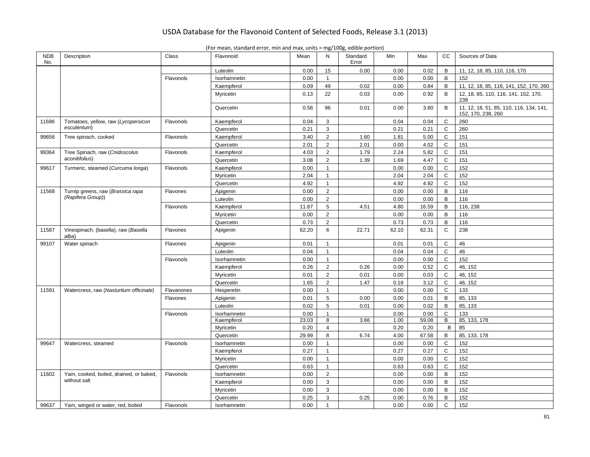| <b>NDB</b><br>No. | Description                                   | Class      | Flavonoid    | Mean  | N              | Standard<br>Error | Min   | Max   | СC             | Sources of Data                                               |
|-------------------|-----------------------------------------------|------------|--------------|-------|----------------|-------------------|-------|-------|----------------|---------------------------------------------------------------|
|                   |                                               |            | Luteolin     | 0.00  | 15             | 0.00              | 0.00  | 0.02  | B              | 11, 12, 18, 85, 110, 116, 170                                 |
|                   |                                               | Flavonols  | Isorhamnetin | 0.00  | $\mathbf{1}$   |                   | 0.00  | 0.00  | B              | 152                                                           |
|                   |                                               |            | Kaempferol   | 0.09  | 49             | 0.02              | 0.00  | 0.84  | B              | 11, 12, 18, 85, 116, 141, 152, 170, 260                       |
|                   |                                               |            | Myricetin    | 0.13  | 22             | 0.03              | 0.00  | 0.92  | B              | 12, 18, 85, 110, 116, 141, 152, 170,<br>238                   |
|                   |                                               |            | Quercetin    | 0.58  | 96             | 0.01              | 0.00  | 3.80  | B              | 11, 12, 18, 51, 85, 110, 116, 134, 141,<br>152, 170, 238, 260 |
| 11696             | Tomatoes, yellow, raw (Lycopersicon           | Flavonols  | Kaempferol   | 0.04  | 3              |                   | 0.04  | 0.04  | $\mathsf C$    | 260                                                           |
|                   | esculentum)                                   |            | Quercetin    | 0.21  | 3              |                   | 0.21  | 0.21  | $\mathsf C$    | 260                                                           |
| 99656             | Tree spinach, cooked                          | Flavonols  | Kaempferol   | 3.40  | $\overline{2}$ | 1.60              | 1.81  | 5.00  | $\mathsf{C}$   | 151                                                           |
|                   |                                               |            | Quercetin    | 2.01  | $\overline{2}$ | 2.01              | 0.00  | 4.02  | $\mathsf{C}$   | 151                                                           |
| 99364             | Tree Spinach, raw (Cnidoscolus                | Flavonols  | Kaempferol   | 4.03  | $\overline{2}$ | 1.79              | 2.24  | 5.82  | C              | 151                                                           |
|                   | aconitifolius)                                |            | Quercetin    | 3.08  | $\overline{2}$ | 1.39              | 1.69  | 4.47  | $\mathsf C$    | 151                                                           |
| 99617             | Turmeric, steamed (Curcuma longa)             | Flavonols  | Kaempferol   | 0.00  | $\mathbf{1}$   |                   | 0.00  | 0.00  | $\mathbf C$    | 152                                                           |
|                   |                                               |            | Myricetin    | 2.04  | $\mathbf{1}$   |                   | 2.04  | 2.04  | $\mathsf{C}$   | 152                                                           |
|                   |                                               |            | Quercetin    | 4.92  | $\mathbf{1}$   |                   | 4.92  | 4.92  | C              | 152                                                           |
| 11568             | Turnip greens, raw (Brassica rapa             | Flavones   | Apigenin     | 0.00  | $\overline{2}$ |                   | 0.00  | 0.00  | $\mathsf B$    | 116                                                           |
|                   | (Rapifera Group))                             |            | Luteolin     | 0.00  | $\overline{2}$ |                   | 0.00  | 0.00  | B              | 116                                                           |
|                   |                                               | Flavonols  | Kaempferol   | 11.87 | 5              | 4.51              | 4.80  | 16.59 | B              | 116, 238                                                      |
|                   |                                               |            | Myricetin    | 0.00  | $\overline{2}$ |                   | 0.00  | 0.00  | B              | 116                                                           |
|                   |                                               |            | Quercetin    | 0.73  | $\overline{2}$ |                   | 0.73  | 0.73  | $\mathsf B$    | 116                                                           |
| 11587             | Vinespinach, (basella), raw (Basella<br>alba) | Flavones   | Apigenin     | 62.20 | 6              | 22.71             | 62.10 | 62.31 | $\mathsf{C}$   | 238                                                           |
| 99107             | Water spinach                                 | Flavones   | Apigenin     | 0.01  | $\mathbf{1}$   |                   | 0.01  | 0.01  | $\mathbf C$    | 46                                                            |
|                   |                                               |            | Luteolin     | 0.04  | $\mathbf{1}$   |                   | 0.04  | 0.04  | $\mathbf C$    | 46                                                            |
|                   |                                               | Flavonols  | Isorhamnetin | 0.00  | $\mathbf{1}$   |                   | 0.00  | 0.00  | $\mathbf C$    | 152                                                           |
|                   |                                               |            | Kaempferol   | 0.26  | $\overline{2}$ | 0.26              | 0.00  | 0.52  | C              | 46, 152                                                       |
|                   |                                               |            | Myricetin    | 0.01  | $\overline{2}$ | 0.01              | 0.00  | 0.03  | $\mathsf{C}$   | 46, 152                                                       |
|                   |                                               |            | Quercetin    | 1.65  | $\overline{2}$ | 1.47              | 0.18  | 3.12  | $\mathbf C$    | 46, 152                                                       |
| 11591             | Watercress, raw (Nasturtium officinale)       | Flavanones | Hesperetin   | 0.00  | $\mathbf{1}$   |                   | 0.00  | 0.00  | $\mathsf{C}$   | 133                                                           |
|                   |                                               | Flavones   | Apigenin     | 0.01  | 5              | 0.00              | 0.00  | 0.01  | B              | 85, 133                                                       |
|                   |                                               |            | Luteolin     | 0.02  | 5              | 0.01              | 0.00  | 0.02  | B              | 85, 133                                                       |
|                   |                                               | Flavonols  | Isorhamnetin | 0.00  | $\mathbf{1}$   |                   | 0.00  | 0.00  | $\mathbf C$    | 133                                                           |
|                   |                                               |            | Kaempferol   | 23.03 | $\overline{8}$ | 3.66              | 1.00  | 59.08 | $\overline{B}$ | 85, 133, 178                                                  |
|                   |                                               |            | Myricetin    | 0.20  | $\overline{4}$ |                   | 0.20  | 0.20  | В              | 85                                                            |
|                   |                                               |            | Quercetin    | 29.99 | 8              | 6.74              | 4.00  | 67.58 | B              | 85, 133, 178                                                  |
| 99647             | Watercress, steamed                           | Flavonols  | Isorhamnetin | 0.00  | $\mathbf{1}$   |                   | 0.00  | 0.00  | $\mathsf{C}$   | 152                                                           |
|                   |                                               |            | Kaempferol   | 0.27  | $\mathbf{1}$   |                   | 0.27  | 0.27  | $\mathsf{C}$   | 152                                                           |
|                   |                                               |            | Myricetin    | 0.00  | $\mathbf{1}$   |                   | 0.00  | 0.00  | $\mathbf C$    | 152                                                           |
|                   |                                               |            | Quercetin    | 0.63  | $\mathbf{1}$   |                   | 0.63  | 0.63  | C              | 152                                                           |
| 11602             | Yam, cooked, boiled, drained, or baked,       | Flavonols  | Isorhamnetin | 0.00  | $\overline{2}$ |                   | 0.00  | 0.00  | B              | 152                                                           |
|                   | without salt                                  |            | Kaempferol   | 0.00  | 3              |                   | 0.00  | 0.00  | B              | 152                                                           |
|                   |                                               |            | Myricetin    | 0.00  | 3              |                   | 0.00  | 0.00  | $\mathsf B$    | 152                                                           |
|                   |                                               |            | Quercetin    | 0.25  | 3              | 0.25              | 0.00  | 0.76  | $\mathsf B$    | 152                                                           |
| 99637             | Yam, winged or water, red, boiled             | Flavonols  | Isorhamnetin | 0.00  | $\mathbf{1}$   |                   | 0.00  | 0.00  | $\mathsf{C}$   | 152                                                           |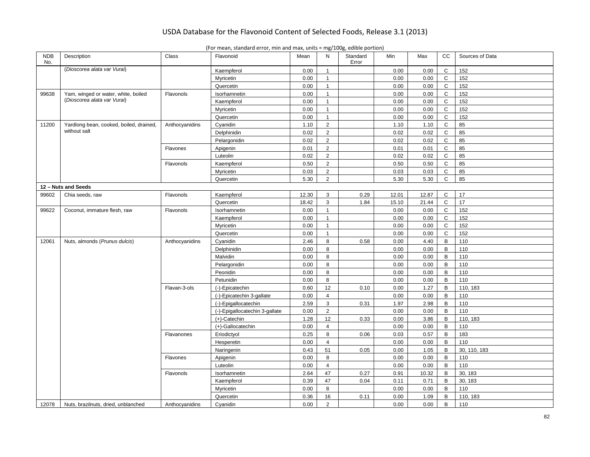| <b>NDB</b><br>No. | Description                             | Class          | Flavonoid                      | Mean  | N              | Standard<br>Error | <b>Min</b> | Max   | cc           | Sources of Data |
|-------------------|-----------------------------------------|----------------|--------------------------------|-------|----------------|-------------------|------------|-------|--------------|-----------------|
|                   | (Dioscorea alata var Vurai)             |                | Kaempferol                     | 0.00  | $\mathbf{1}$   |                   | 0.00       | 0.00  | C            | 152             |
|                   |                                         |                | Myricetin                      | 0.00  | $\mathbf{1}$   |                   | 0.00       | 0.00  | $\mathbf C$  | 152             |
|                   |                                         |                | Quercetin                      | 0.00  | $\mathbf{1}$   |                   | 0.00       | 0.00  | $\mathsf C$  | 152             |
| 99638             | Yam, winged or water, white, boiled     | Flavonols      | Isorhamnetin                   | 0.00  | -1             |                   | 0.00       | 0.00  | $\mathbf C$  | 152             |
|                   | (Dioscorea alata var Vurai)             |                | Kaempferol                     | 0.00  | $\mathbf{1}$   |                   | 0.00       | 0.00  | $\mathbf C$  | 152             |
|                   |                                         |                | Myricetin                      | 0.00  | $\mathbf{1}$   |                   | 0.00       | 0.00  | C            | 152             |
|                   |                                         |                | Quercetin                      | 0.00  | $\overline{1}$ |                   | 0.00       | 0.00  | $\mathbf C$  | 152             |
| 11200             | Yardlong bean, cooked, boiled, drained, | Anthocyanidins | Cyanidin                       | 1.10  | $\overline{2}$ |                   | 1.10       | 1.10  | C            | 85              |
|                   | without salt                            |                | Delphinidin                    | 0.02  | $\overline{2}$ |                   | 0.02       | 0.02  | $\mathsf C$  | 85              |
|                   |                                         |                | Pelargonidin                   | 0.02  | $\overline{2}$ |                   | 0.02       | 0.02  | $\mathbf C$  | 85              |
|                   |                                         | Flavones       | Apigenin                       | 0.01  | $\overline{2}$ |                   | 0.01       | 0.01  | $\mathbf C$  | 85              |
|                   |                                         |                | Luteolin                       | 0.02  | $\overline{2}$ |                   | 0.02       | 0.02  | $\mathsf C$  | 85              |
|                   |                                         | Flavonols      | Kaempferol                     | 0.50  | $\overline{2}$ |                   | 0.50       | 0.50  | $\mathsf{C}$ | 85              |
|                   |                                         |                | Myricetin                      | 0.03  | $\overline{2}$ |                   | 0.03       | 0.03  | $\mathsf C$  | 85              |
|                   |                                         |                | Quercetin                      | 5.30  | $\overline{2}$ |                   | 5.30       | 5.30  | C            | 85              |
|                   | 12 - Nuts and Seeds                     |                |                                |       |                |                   |            |       |              |                 |
| 99602             | Chia seeds, raw                         | Flavonols      | Kaempferol                     | 12.30 | 3              | 0.29              | 12.01      | 12.87 | $\mathsf C$  | 17              |
|                   |                                         |                | Quercetin                      | 18.42 | 3              | 1.84              | 15.10      | 21.44 | $\mathsf C$  | 17              |
| 99622             | Coconut, immature flesh, raw            | Flavonols      | Isorhamnetin                   | 0.00  | $\mathbf{1}$   |                   | 0.00       | 0.00  | $\mathbf C$  | 152             |
|                   |                                         |                | Kaempferol                     | 0.00  | 1              |                   | 0.00       | 0.00  | $\mathsf C$  | 152             |
|                   |                                         |                | Myricetin                      | 0.00  | $\mathbf{1}$   |                   | 0.00       | 0.00  | $\mathbf C$  | 152             |
|                   |                                         |                | Quercetin                      | 0.00  | $\mathbf{1}$   |                   | 0.00       | 0.00  | $\mathsf{C}$ | 152             |
| 12061             | Nuts, almonds (Prunus dulcis)           | Anthocyanidins | Cyanidin                       | 2.46  | 8              | 0.58              | 0.00       | 4.40  | B            | 110             |
|                   |                                         |                | Delphinidin                    | 0.00  | 8              |                   | 0.00       | 0.00  | B            | 110             |
|                   |                                         |                | Malvidin                       | 0.00  | 8              |                   | 0.00       | 0.00  | B            | 110             |
|                   |                                         |                | Pelargonidin                   | 0.00  | 8              |                   | 0.00       | 0.00  | B            | 110             |
|                   |                                         |                | Peonidin                       | 0.00  | 8              |                   | 0.00       | 0.00  | B            | 110             |
|                   |                                         |                | Petunidin                      | 0.00  | 8              |                   | 0.00       | 0.00  | B            | 110             |
|                   |                                         | Flavan-3-ols   | (-)-Epicatechin                | 0.60  | 12             | 0.10              | 0.00       | 1.27  | B            | 110, 183        |
|                   |                                         |                | (-)-Epicatechin 3-gallate      | 0.00  | $\overline{4}$ |                   | 0.00       | 0.00  | B            | 110             |
|                   |                                         |                | (-)-Epigallocatechin           | 2.59  | 3              | 0.31              | 1.97       | 2.98  | B            | 110             |
|                   |                                         |                | (-)-Epigallocatechin 3-gallate | 0.00  | $\overline{2}$ |                   | 0.00       | 0.00  | B            | 110             |
|                   |                                         |                | $(+)$ -Catechin                | 1.28  | 12             | 0.33              | 0.00       | 3.86  | В            | 110, 183        |
|                   |                                         |                | (+)-Gallocatechin              | 0.00  | $\overline{4}$ |                   | 0.00       | 0.00  | B            | 110             |
|                   |                                         | Flavanones     | Eriodictyol                    | 0.25  | 8              | 0.06              | 0.03       | 0.57  | B            | 183             |
|                   |                                         |                | Hesperetin                     | 0.00  | $\overline{4}$ |                   | 0.00       | 0.00  | B            | 110             |
|                   |                                         |                | Naringenin                     | 0.43  | 51             | 0.05              | 0.00       | 1.05  | B            | 30, 110, 183    |
|                   |                                         | Flavones       | Apigenin                       | 0.00  | 8              |                   | 0.00       | 0.00  | B            | 110             |
|                   |                                         |                | Luteolin                       | 0.00  | $\overline{4}$ |                   | 0.00       | 0.00  | B            | 110             |
|                   |                                         | Flavonols      | Isorhamnetin                   | 2.64  | 47             | 0.27              | 0.91       | 10.32 | B            | 30, 183         |
|                   |                                         |                | Kaempferol                     | 0.39  | 47             | 0.04              | 0.11       | 0.71  | В            | 30, 183         |
|                   |                                         |                | Myricetin                      | 0.00  | 8              |                   | 0.00       | 0.00  | B            | 110             |
|                   |                                         |                | Quercetin                      | 0.36  | 16             | 0.11              | 0.00       | 1.09  | В            | 110, 183        |
| 12078             | Nuts, brazilnuts, dried, unblanched     | Anthocyanidins | Cyanidin                       | 0.00  | $\overline{2}$ |                   | 0.00       | 0.00  | B            | 110             |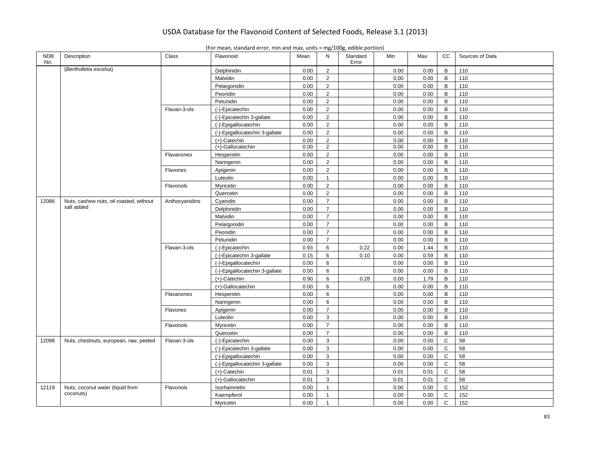| (For mean, standard error, min and max, units = $mg/100g$ , edible portion) |  |
|-----------------------------------------------------------------------------|--|
|-----------------------------------------------------------------------------|--|

| <b>NDB</b><br>No. | Description                                   | Class          | Flavonoid                      | Mean | N                   | Standard<br>Error | Min  | Max  | CC               | Sources of Data |
|-------------------|-----------------------------------------------|----------------|--------------------------------|------|---------------------|-------------------|------|------|------------------|-----------------|
|                   | (Bertholletia excelsa)                        |                | Delphinidin                    | 0.00 | $\overline{2}$      |                   | 0.00 | 0.00 | B                | 110             |
|                   |                                               |                | Malvidin                       | 0.00 | $\overline{2}$      |                   | 0.00 | 0.00 | $\mathsf{B}$     | 110             |
|                   |                                               |                | Pelargonidin                   | 0.00 | $\overline{2}$      |                   | 0.00 | 0.00 | $\, {\bf B}$     | 110             |
|                   |                                               |                | Peonidin                       | 0.00 | $\overline{2}$      |                   | 0.00 | 0.00 | $\mathsf B$      | 110             |
|                   |                                               |                | Petunidin                      | 0.00 | $\overline{2}$      |                   | 0.00 | 0.00 | B                | 110             |
|                   |                                               | Flavan-3-ols   | (-)-Epicatechin                | 0.00 | 2                   |                   | 0.00 | 0.00 | B                | 110             |
|                   |                                               |                | (-)-Epicatechin 3-gallate      | 0.00 | $\overline{2}$      |                   | 0.00 | 0.00 | $\mathsf B$      | 110             |
|                   |                                               |                | (-)-Epigallocatechin           | 0.00 | $\overline{2}$      |                   | 0.00 | 0.00 | B                | 110             |
|                   |                                               |                | (-)-Epigallocatechin 3-gallate | 0.00 | $\overline{2}$      |                   | 0.00 | 0.00 | $\mathsf{B}$     | 110             |
|                   |                                               |                | $(+)$ -Catechin                | 0.00 | 2                   |                   | 0.00 | 0.00 | $\, {\bf B}$     | 110             |
|                   |                                               |                | $(+)$ -Gallocatechin           | 0.00 | 2                   |                   | 0.00 | 0.00 | $\overline{B}$   | 110             |
|                   |                                               | Flavanones     | Hesperetin                     | 0.00 | $\overline{2}$      |                   | 0.00 | 0.00 | B                | 110             |
|                   |                                               |                | Naringenin                     | 0.00 | $\overline{2}$      |                   | 0.00 | 0.00 | $\sf{B}$         | 110             |
|                   |                                               | Flavones       | Apigenin                       | 0.00 | 2                   |                   | 0.00 | 0.00 | $\mathsf{B}$     | 110             |
|                   |                                               |                | Luteolin                       | 0.00 | $\mathbf{1}$        |                   | 0.00 | 0.00 | $\mathsf{B}$     | 110             |
|                   |                                               | Flavonols      | Myricetin                      | 0.00 | 2                   |                   | 0.00 | 0.00 | B                | 110             |
|                   |                                               |                | Quercetin                      | 0.00 | $\overline{2}$      |                   | 0.00 | 0.00 | $\mathsf{B}$     | 110             |
| 12086             | Nuts, cashew nuts, oil roasted, without       | Anthocyanidins | Cyanidin                       | 0.00 | $\overline{7}$      |                   | 0.00 | 0.00 | $\, {\bf B}$     | 110             |
|                   | salt added                                    |                | Delphinidin                    | 0.00 | $\overline{7}$      |                   | 0.00 | 0.00 | B                | 110             |
|                   |                                               |                | Malvidin                       | 0.00 | $\overline{7}$      |                   | 0.00 | 0.00 | $\, {\bf B}$     | 110             |
|                   |                                               |                | Pelargonidin                   | 0.00 | $\overline{7}$      |                   | 0.00 | 0.00 | B                | 110             |
|                   |                                               |                | Peonidin                       | 0.00 | $\overline{7}$      |                   | 0.00 | 0.00 | $\, {\bf B}$     | 110             |
|                   |                                               |                | Petunidin                      | 0.00 | $\overline{7}$      |                   | 0.00 | 0.00 | B                | 110             |
|                   |                                               | Flavan-3-ols   | (-)-Epicatechin                | 0.93 | 6                   | 0.22              | 0.00 | 1.44 | B                | 110             |
|                   |                                               |                | (-)-Epicatechin 3-gallate      | 0.15 | 6                   | 0.10              | 0.00 | 0.59 | $\mathsf{B}$     | 110             |
|                   |                                               |                | (-)-Epigallocatechin           | 0.00 | 6                   |                   | 0.00 | 0.00 | B                | 110             |
|                   |                                               |                | (-)-Epigallocatechin 3-gallate | 0.00 | 6                   |                   | 0.00 | 0.00 | B                | 110             |
|                   |                                               |                | $(+)$ -Catechin                | 0.90 | 6                   | 0.28              | 0.00 | 1.79 | $\, {\bf B}$     | 110             |
|                   |                                               |                | (+)-Gallocatechin              | 0.00 | 6                   |                   | 0.00 | 0.00 | $\mathsf{B}$     | 110             |
|                   |                                               | Flavanones     | Hesperetin                     | 0.00 | 6                   |                   | 0.00 | 0.00 | B                | 110             |
|                   |                                               |                | Naringenin                     | 0.00 | 6                   |                   | 0.00 | 0.00 | $\mathsf{B}$     | 110             |
|                   |                                               | Flavones       | Apigenin                       | 0.00 | $\overline{7}$      |                   | 0.00 | 0.00 | B                | 110             |
|                   |                                               |                | Luteolin                       | 0.00 | 3                   |                   | 0.00 | 0.00 | $\, {\bf B}$     | 110             |
|                   |                                               | Flavonols      | Myricetin                      | 0.00 | $\overline{7}$      |                   | 0.00 | 0.00 | B                | 110             |
|                   |                                               |                | Quercetin                      | 0.00 | $\overline{7}$      |                   | 0.00 | 0.00 | $\sf B$          | 110             |
| 12098             | Nuts, chestnuts, european, raw, peeled        | Flavan-3-ols   | (-)-Epicatechin                | 0.00 | 3                   |                   | 0.00 | 0.00 | $\mathsf{C}$     | 58              |
|                   |                                               |                | (-)-Epicatechin 3-gallate      | 0.00 | 3                   |                   | 0.00 | 0.00 | C                | 58              |
|                   |                                               |                | (-)-Epigallocatechin           | 0.00 | 3                   |                   | 0.00 | 0.00 | $\mathbf C$      | 58              |
|                   |                                               |                | (-)-Epigallocatechin 3-gallate | 0.00 | 3                   |                   | 0.00 | 0.00 | $\mathsf C$      | 58              |
|                   |                                               |                | $(+)$ -Catechin                | 0.01 | 3                   |                   | 0.01 | 0.01 | $\mathsf{C}$     | 58              |
|                   |                                               |                |                                |      |                     |                   |      |      |                  |                 |
|                   |                                               |                | (+)-Gallocatechin              | 0.01 | 3<br>$\overline{1}$ |                   | 0.01 | 0.01 | C<br>$\mathbf C$ | 58<br>152       |
| 12119             | Nuts, coconut water (liquid from<br>coconuts) | Flavonols      | Isorhamnetin                   | 0.00 |                     |                   | 0.00 | 0.00 |                  |                 |
|                   |                                               |                | Kaempferol                     | 0.00 | $\mathbf{1}$        |                   | 0.00 | 0.00 | $\mathsf C$      | 152             |
|                   |                                               |                | Myricetin                      | 0.00 | $\mathbf{1}$        |                   | 0.00 | 0.00 | $\mathsf{C}$     | 152             |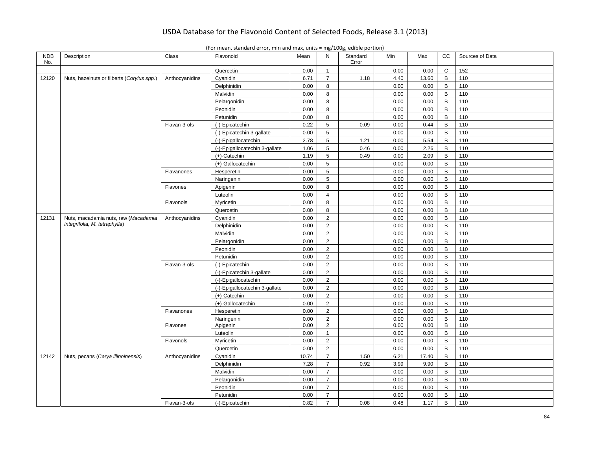| <b>NDB</b><br>No. | Description                                | Class          | Flavonoid                      | Mean  | N              | Standard<br>Error | Min  | Max   | cc           | Sources of Data |
|-------------------|--------------------------------------------|----------------|--------------------------------|-------|----------------|-------------------|------|-------|--------------|-----------------|
|                   |                                            |                | Quercetin                      | 0.00  | $\mathbf{1}$   |                   | 0.00 | 0.00  | $\mathsf{C}$ | 152             |
| 12120             | Nuts, hazelnuts or filberts (Corylus spp.) | Anthocyanidins | Cyanidin                       | 6.71  | $\overline{7}$ | 1.18              | 4.40 | 13.60 | B            | 110             |
|                   |                                            |                | Delphinidin                    | 0.00  | 8              |                   | 0.00 | 0.00  | $\mathsf B$  | 110             |
|                   |                                            |                | Malvidin                       | 0.00  | 8              |                   | 0.00 | 0.00  | B            | 110             |
|                   |                                            |                | Pelargonidin                   | 0.00  | 8              |                   | 0.00 | 0.00  | $\, {\bf B}$ | 110             |
|                   |                                            |                | Peonidin                       | 0.00  | 8              |                   | 0.00 | 0.00  | $\mathsf B$  | 110             |
|                   |                                            |                | Petunidin                      | 0.00  | 8              |                   | 0.00 | 0.00  | $\mathsf B$  | 110             |
|                   |                                            | Flavan-3-ols   | (-)-Epicatechin                | 0.22  | 5              | 0.09              | 0.00 | 0.44  | B            | 110             |
|                   |                                            |                | (-)-Epicatechin 3-gallate      | 0.00  | 5              |                   | 0.00 | 0.00  | B            | 110             |
|                   |                                            |                | (-)-Epigallocatechin           | 2.78  | 5              | 1.21              | 0.00 | 5.54  | $\, {\bf B}$ | 110             |
|                   |                                            |                | (-)-Epigallocatechin 3-gallate | 1.06  | 5              | 0.46              | 0.00 | 2.26  | $\mathsf B$  | 110             |
|                   |                                            |                | $(+)$ -Catechin                | 1.19  | 5              | 0.49              | 0.00 | 2.09  | $\mathsf{B}$ | 110             |
|                   |                                            |                | (+)-Gallocatechin              | 0.00  | 5              |                   | 0.00 | 0.00  | $\, {\sf B}$ | 110             |
|                   |                                            | Flavanones     | Hesperetin                     | 0.00  | $\sqrt{5}$     |                   | 0.00 | 0.00  | $\mathsf B$  | 110             |
|                   |                                            |                | Naringenin                     | 0.00  | 5              |                   | 0.00 | 0.00  | $\, {\sf B}$ | 110             |
|                   |                                            | Flavones       | Apigenin                       | 0.00  | 8              |                   | 0.00 | 0.00  | $\, {\sf B}$ | 110             |
|                   |                                            |                | Luteolin                       | 0.00  | $\overline{4}$ |                   | 0.00 | 0.00  | B            | 110             |
|                   |                                            | Flavonols      | Myricetin                      | 0.00  | 8              |                   | 0.00 | 0.00  | $\mathsf B$  | 110             |
|                   |                                            |                | Quercetin                      | 0.00  | 8              |                   | 0.00 | 0.00  | B            | 110             |
| 12131             | Nuts, macadamia nuts, raw (Macadamia       | Anthocyanidins | Cyanidin                       | 0.00  | $\overline{2}$ |                   | 0.00 | 0.00  | $\mathsf{B}$ | 110             |
|                   | integrifolia, M. tetraphylla)              |                | Delphinidin                    | 0.00  | $\overline{2}$ |                   | 0.00 | 0.00  | $\mathsf B$  | 110             |
|                   |                                            |                | Malvidin                       | 0.00  | $\overline{2}$ |                   | 0.00 | 0.00  | B            | 110             |
|                   |                                            |                | Pelargonidin                   | 0.00  | $\overline{2}$ |                   | 0.00 | 0.00  | B            | 110             |
|                   |                                            |                | Peonidin                       | 0.00  | $\overline{2}$ |                   | 0.00 | 0.00  | $\, {\sf B}$ | 110             |
|                   |                                            |                | Petunidin                      | 0.00  | $\overline{2}$ |                   | 0.00 | 0.00  | $\sf B$      | 110             |
|                   |                                            | Flavan-3-ols   | (-)-Epicatechin                | 0.00  | $\overline{2}$ |                   | 0.00 | 0.00  | $\mathsf B$  | 110             |
|                   |                                            |                | (-)-Epicatechin 3-gallate      | 0.00  | $\overline{2}$ |                   | 0.00 | 0.00  | B            | 110             |
|                   |                                            |                | (-)-Epigallocatechin           | 0.00  | $\overline{2}$ |                   | 0.00 | 0.00  | B            | 110             |
|                   |                                            |                | (-)-Epigallocatechin 3-gallate | 0.00  | $\overline{2}$ |                   | 0.00 | 0.00  | $\, {\bf B}$ | 110             |
|                   |                                            |                | $(+)$ -Catechin                | 0.00  | $\overline{2}$ |                   | 0.00 | 0.00  | $\mathsf B$  | 110             |
|                   |                                            |                | (+)-Gallocatechin              | 0.00  | $\overline{2}$ |                   | 0.00 | 0.00  | B            | 110             |
|                   |                                            | Flavanones     | Hesperetin                     | 0.00  | $\overline{2}$ |                   | 0.00 | 0.00  | $\, {\sf B}$ | 110             |
|                   |                                            |                | Naringenin                     | 0.00  | $\overline{2}$ |                   | 0.00 | 0.00  | $\sf B$      | 110             |
|                   |                                            | Flavones       | Apigenin                       | 0.00  | $\overline{2}$ |                   | 0.00 | 0.00  | В            | 110             |
|                   |                                            |                | Luteolin                       | 0.00  | $\mathbf{1}$   |                   | 0.00 | 0.00  | $\mathsf B$  | 110             |
|                   |                                            | Flavonols      | Myricetin                      | 0.00  | $\overline{2}$ |                   | 0.00 | 0.00  | $\mathsf B$  | 110             |
|                   |                                            |                | Quercetin                      | 0.00  | $\overline{2}$ |                   | 0.00 | 0.00  | $\, {\sf B}$ | 110             |
| 12142             | Nuts, pecans (Carya illinoinensis)         | Anthocyanidins | Cyanidin                       | 10.74 | $\overline{7}$ | 1.50              | 6.21 | 17.40 | B            | 110             |
|                   |                                            |                | Delphinidin                    | 7.28  | $\overline{7}$ | 0.92              | 3.99 | 9.90  | $\, {\sf B}$ | 110             |
|                   |                                            |                | Malvidin                       | 0.00  | $\overline{7}$ |                   | 0.00 | 0.00  | B            | 110             |
|                   |                                            |                | Pelargonidin                   | 0.00  | $\overline{7}$ |                   | 0.00 | 0.00  | B            | 110             |
|                   |                                            |                | Peonidin                       | 0.00  | $\overline{7}$ |                   | 0.00 | 0.00  | B            | 110             |
|                   |                                            |                | Petunidin                      | 0.00  | $\overline{7}$ |                   | 0.00 | 0.00  | $\mathsf B$  | 110             |
|                   |                                            | Flavan-3-ols   | (-)-Epicatechin                | 0.82  | $\overline{7}$ | 0.08              | 0.48 | 1.17  | B            | 110             |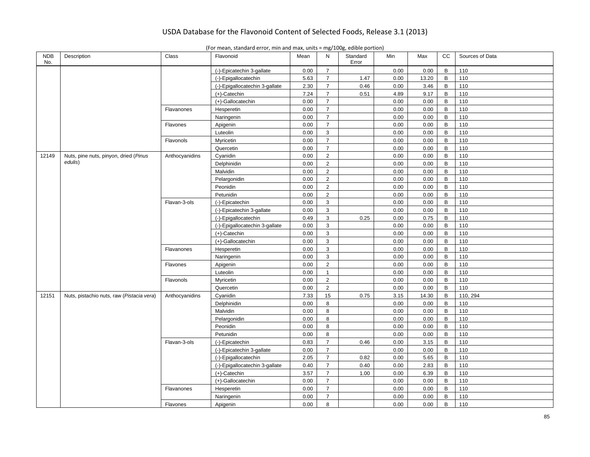| (For mean, standard error, min and max, units = mg/100g, edible portion) |  |
|--------------------------------------------------------------------------|--|
|--------------------------------------------------------------------------|--|

| <b>NDB</b><br>No. | Description                               | Class          | Flavonoid                      | Mean | N                | Standard<br>Error | Min  | Max   | cc          | Sources of Data |
|-------------------|-------------------------------------------|----------------|--------------------------------|------|------------------|-------------------|------|-------|-------------|-----------------|
|                   |                                           |                | (-)-Epicatechin 3-gallate      | 0.00 | $\overline{7}$   |                   | 0.00 | 0.00  | B           | 110             |
|                   |                                           |                | (-)-Epigallocatechin           | 5.63 | $\overline{7}$   | 1.47              | 0.00 | 13.20 | $\mathsf B$ | 110             |
|                   |                                           |                | (-)-Epigallocatechin 3-gallate | 2.30 | $\overline{7}$   | 0.46              | 0.00 | 3.46  | $\mathsf B$ | 110             |
|                   |                                           |                | (+)-Catechin                   | 7.24 | $\overline{7}$   | 0.51              | 4.89 | 9.17  | B           | 110             |
|                   |                                           |                | (+)-Gallocatechin              | 0.00 | $\overline{7}$   |                   | 0.00 | 0.00  | $\mathsf B$ | 110             |
|                   |                                           | Flavanones     | Hesperetin                     | 0.00 | $\overline{7}$   |                   | 0.00 | 0.00  | B           | 110             |
|                   |                                           |                | Naringenin                     | 0.00 | $\overline{7}$   |                   | 0.00 | 0.00  | B           | 110             |
|                   |                                           | Flavones       | Apigenin                       | 0.00 | $\overline{7}$   |                   | 0.00 | 0.00  | B           | 110             |
|                   |                                           |                | Luteolin                       | 0.00 | $\mathbf{3}$     |                   | 0.00 | 0.00  | $\sf B$     | 110             |
|                   |                                           | Flavonols      | Myricetin                      | 0.00 | $\overline{7}$   |                   | 0.00 | 0.00  | $\mathsf B$ | 110             |
|                   |                                           |                | Quercetin                      | 0.00 | $\overline{7}$   |                   | 0.00 | 0.00  | B           | 110             |
| 12149             | Nuts, pine nuts, pinyon, dried (Pinus     | Anthocyanidins | Cyanidin                       | 0.00 | $\overline{2}$   |                   | 0.00 | 0.00  | B           | 110             |
|                   | edulis)                                   |                | Delphinidin                    | 0.00 | $\overline{2}$   |                   | 0.00 | 0.00  | $\mathsf B$ | 110             |
|                   |                                           |                | Malvidin                       | 0.00 | $\overline{2}$   |                   | 0.00 | 0.00  | B           | 110             |
|                   |                                           |                | Pelargonidin                   | 0.00 | $\overline{2}$   |                   | 0.00 | 0.00  | $\mathsf B$ | 110             |
|                   |                                           |                | Peonidin                       | 0.00 | $\overline{2}$   |                   | 0.00 | 0.00  | B           | 110             |
|                   |                                           |                | Petunidin                      | 0.00 | $\overline{2}$   |                   | 0.00 | 0.00  | B           | 110             |
|                   |                                           | Flavan-3-ols   | (-)-Epicatechin                | 0.00 | 3                |                   | 0.00 | 0.00  | $\mathsf B$ | 110             |
|                   |                                           |                | (-)-Epicatechin 3-gallate      | 0.00 | 3                |                   | 0.00 | 0.00  | B           | 110             |
|                   |                                           |                | (-)-Epigallocatechin           | 0.49 | 3                | 0.25              | 0.00 | 0.75  | $\mathsf B$ | 110             |
|                   |                                           |                | (-)-Epigallocatechin 3-gallate | 0.00 | 3                |                   | 0.00 | 0.00  | $\mathsf B$ | 110             |
|                   |                                           |                | $(+)$ -Catechin                | 0.00 | 3                |                   | 0.00 | 0.00  | B           | 110             |
|                   |                                           |                | (+)-Gallocatechin              | 0.00 | 3                |                   | 0.00 | 0.00  | B           | 110             |
|                   |                                           | Flavanones     | Hesperetin                     | 0.00 | 3                |                   | 0.00 | 0.00  | $\mathsf B$ | 110             |
|                   |                                           |                | Naringenin                     | 0.00 | 3                |                   | 0.00 | 0.00  | B           | 110             |
|                   |                                           | Flavones       | Apigenin                       | 0.00 | $\overline{2}$   |                   | 0.00 | 0.00  | B           | 110             |
|                   |                                           |                | Luteolin                       | 0.00 | $\mathbf{1}$     |                   | 0.00 | 0.00  | B           | 110             |
|                   |                                           | Flavonols      | Myricetin                      | 0.00 | 2                |                   | 0.00 | 0.00  | B           | 110             |
|                   |                                           |                | Quercetin                      | 0.00 | $\overline{2}$   |                   | 0.00 | 0.00  | B           | 110             |
| 12151             | Nuts, pistachio nuts, raw (Pistacia vera) | Anthocyanidins | Cyanidin                       | 7.33 | 15               | 0.75              | 3.15 | 14.30 | B           | 110, 294        |
|                   |                                           |                | Delphinidin                    | 0.00 | 8                |                   | 0.00 | 0.00  | B           | 110             |
|                   |                                           |                | Malvidin                       | 0.00 | 8                |                   | 0.00 | 0.00  | $\mathsf B$ | 110             |
|                   |                                           |                | Pelargonidin                   | 0.00 | 8                |                   | 0.00 | 0.00  | B           | 110             |
|                   |                                           |                | Peonidin                       | 0.00 | 8                |                   | 0.00 | 0.00  | B           | 110             |
|                   |                                           |                | Petunidin                      | 0.00 | 8                |                   | 0.00 | 0.00  | $\mathsf B$ | 110             |
|                   |                                           | Flavan-3-ols   | (-)-Epicatechin                | 0.83 | $\overline{7}$   | 0.46              | 0.00 | 3.15  | $\mathsf B$ | 110             |
|                   |                                           |                | (-)-Epicatechin 3-gallate      | 0.00 | $\overline{7}$   |                   | 0.00 | 0.00  | B           | 110             |
|                   |                                           |                | (-)-Epigallocatechin           | 2.05 | $\overline{7}$   | 0.82              |      | 5.65  | B           | 110             |
|                   |                                           |                |                                |      | $\overline{7}$   |                   | 0.00 | 2.83  | $\mathsf B$ | 110             |
|                   |                                           |                | (-)-Epigallocatechin 3-gallate | 0.40 | $\overline{7}$   | 0.40              | 0.00 |       |             |                 |
|                   |                                           |                | $(+)$ -Catechin                | 3.57 |                  | 1.00              | 0.00 | 6.39  | B           | 110             |
|                   |                                           |                | (+)-Gallocatechin              | 0.00 | $\overline{7}$   |                   | 0.00 | 0.00  | B           | 110             |
|                   |                                           | Flavanones     | Hesperetin                     | 0.00 | $\overline{7}$   |                   | 0.00 | 0.00  | B           | 110             |
|                   |                                           |                | Naringenin                     | 0.00 | $\boldsymbol{7}$ |                   | 0.00 | 0.00  | $\sf B$     | 110             |
|                   |                                           | Flavones       | Apigenin                       | 0.00 | 8                |                   | 0.00 | 0.00  | B           | 110             |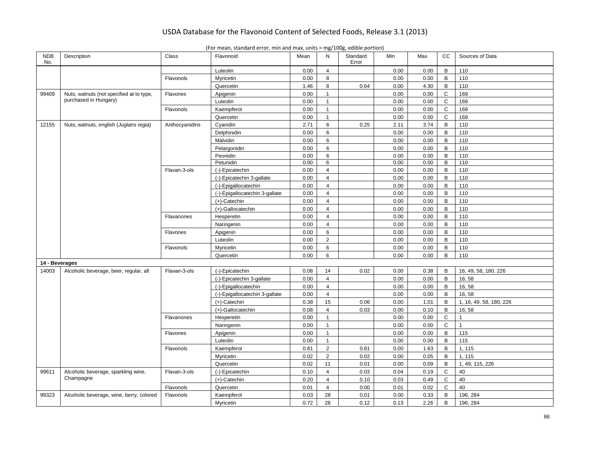| <b>NDB</b><br>No. | Description                              | Class          | Flavonoid                      | Mean | N              | Standard<br>Error | Min  | Max  | CC             | Sources of Data         |
|-------------------|------------------------------------------|----------------|--------------------------------|------|----------------|-------------------|------|------|----------------|-------------------------|
|                   |                                          |                | Luteolin                       | 0.00 | $\overline{4}$ |                   | 0.00 | 0.00 | B              | 110                     |
|                   |                                          | Flavonols      | Myricetin                      | 0.00 | 8              |                   | 0.00 | 0.00 | $\, {\bf B}$   | 110                     |
|                   |                                          |                | Quercetin                      | 1.46 | 8              | 0.64              | 0.00 | 4.30 | B              | 110                     |
| 99409             | Nuts, walnuts (not specified at to type, | Flavones       | Apigenin                       | 0.00 | $\mathbf{1}$   |                   | 0.00 | 0.00 | $\mathsf C$    | 169                     |
|                   | purchased in Hungary)                    |                | Luteolin                       | 0.00 | $\mathbf{1}$   |                   | 0.00 | 0.00 | $\mathbf C$    | 169                     |
|                   |                                          | Flavonols      | Kaempferol                     | 0.00 | $\mathbf{1}$   |                   | 0.00 | 0.00 | $\mathsf C$    | 169                     |
|                   |                                          |                | Quercetin                      | 0.00 | $\mathbf{1}$   |                   | 0.00 | 0.00 | $\mathbf C$    | 169                     |
| 12155             | Nuts, walnuts, english (Juglans regia)   | Anthocyanidins | Cyanidin                       | 2.71 | 6              | 0.25              | 2.11 | 3.74 | $\sf{B}$       | 110                     |
|                   |                                          |                | Delphinidin                    | 0.00 | 6              |                   | 0.00 | 0.00 | $\mathsf B$    | 110                     |
|                   |                                          |                | Malvidin                       | 0.00 | 6              |                   | 0.00 | 0.00 | $\mathsf{B}$   | 110                     |
|                   |                                          |                | Pelargonidin                   | 0.00 | 6              |                   | 0.00 | 0.00 | $\, {\bf B}$   | 110                     |
|                   |                                          |                | Peonidin                       | 0.00 | 6              |                   | 0.00 | 0.00 | $\, {\bf B}$   | 110                     |
|                   |                                          |                | Petunidin                      | 0.00 | 6              |                   | 0.00 | 0.00 | $\overline{B}$ | 110                     |
|                   |                                          | Flavan-3-ols   | (-)-Epicatechin                | 0.00 | $\overline{4}$ |                   | 0.00 | 0.00 | $\, {\bf B}$   | 110                     |
|                   |                                          |                | (-)-Epicatechin 3-gallate      | 0.00 | $\overline{4}$ |                   | 0.00 | 0.00 | $\, {\bf B}$   | 110                     |
|                   |                                          |                | (-)-Epigallocatechin           | 0.00 | $\overline{4}$ |                   | 0.00 | 0.00 | B              | 110                     |
|                   |                                          |                | (-)-Epigallocatechin 3-gallate | 0.00 | $\overline{4}$ |                   | 0.00 | 0.00 | $\, {\bf B}$   | 110                     |
|                   |                                          |                | $(+)$ -Catechin                | 0.00 | $\overline{4}$ |                   | 0.00 | 0.00 | B              | 110                     |
|                   |                                          |                | (+)-Gallocatechin              | 0.00 | $\overline{4}$ |                   | 0.00 | 0.00 | B              | 110                     |
|                   |                                          | Flavanones     | Hesperetin                     | 0.00 | $\overline{4}$ |                   | 0.00 | 0.00 | B              | 110                     |
|                   |                                          |                | Naringenin                     | 0.00 | $\overline{4}$ |                   | 0.00 | 0.00 | $\sf B$        | 110                     |
|                   |                                          | Flavones       | Apigenin                       | 0.00 | 6              |                   | 0.00 | 0.00 | $\, {\bf B}$   | 110                     |
|                   |                                          |                | Luteolin                       | 0.00 | $\overline{2}$ |                   | 0.00 | 0.00 | $\overline{B}$ | 110                     |
|                   |                                          | Flavonols      | Myricetin                      | 0.00 | 6              |                   | 0.00 | 0.00 | B              | 110                     |
|                   |                                          |                | Quercetin                      | 0.00 | 6              |                   | 0.00 | 0.00 | $\mathsf{B}$   | 110                     |
| 14 - Beverages    |                                          |                |                                |      |                |                   |      |      |                |                         |
| 14003             | Alcoholic beverage, beer, regular, all   | Flavan-3-ols   | (-)-Epicatechin                | 0.08 | 14             | 0.02              | 0.00 | 0.38 | B              | 16, 49, 58, 180, 226    |
|                   |                                          |                | (-)-Epicatechin 3-gallate      | 0.00 | $\overline{4}$ |                   | 0.00 | 0.00 | B              | 16, 58                  |
|                   |                                          |                | (-)-Epigallocatechin           | 0.00 | $\overline{4}$ |                   | 0.00 | 0.00 | B              | 16, 58                  |
|                   |                                          |                | (-)-Epigallocatechin 3-gallate | 0.00 | $\overline{4}$ |                   | 0.00 | 0.00 | B              | 16.58                   |
|                   |                                          |                | $(+)$ -Catechin                | 0.38 | 15             | 0.06              | 0.00 | 1.01 | B              | 1, 16, 49, 58, 180, 226 |
|                   |                                          |                | (+)-Gallocatechin              | 0.08 | $\overline{4}$ | 0.03              | 0.00 | 0.10 | $\mathsf B$    | 16, 58                  |
|                   |                                          | Flavanones     | Hesperetin                     | 0.00 | $\mathbf{1}$   |                   | 0.00 | 0.00 | $\mathsf{C}$   | 1                       |
|                   |                                          |                | Naringenin                     | 0.00 | $\mathbf{1}$   |                   | 0.00 | 0.00 | $\mathsf{C}$   | $\mathbf{1}$            |
|                   |                                          | Flavones       | Apigenin                       | 0.00 | $\mathbf{1}$   |                   | 0.00 | 0.00 | B              | 115                     |
|                   |                                          |                | Luteolin                       | 0.00 | $\mathbf{1}$   |                   | 0.00 | 0.00 | B              | 115                     |
|                   |                                          | Flavonols      | Kaempferol                     | 0.81 | $\overline{2}$ | 0.81              | 0.00 | 1.63 | B              | 1, 115                  |
|                   |                                          |                | Myricetin                      | 0.02 | $\overline{2}$ | 0.02              | 0.00 | 0.05 | B              | 1, 115                  |
|                   |                                          |                | Quercetin                      | 0.02 | 11             | 0.01              | 0.00 | 0.09 | B              | 1, 49, 115, 226         |
| 99611             | Alcoholic beverage, sparkling wine,      | Flavan-3-ols   | (-)-Epicatechin                | 0.10 | $\overline{4}$ | 0.03              | 0.04 | 0.19 | $\mathsf C$    | 40                      |
|                   | Champagne                                |                | (+)-Catechin                   | 0.20 | $\overline{4}$ | 0.10              | 0.03 | 0.49 | $\mathsf{C}$   | 40                      |
|                   |                                          | Flavonols      | Quercetin                      | 0.01 | $\overline{4}$ | 0.00              | 0.01 | 0.02 | $\mathsf{C}$   | 40                      |
| 99323             | Alcoholic beverage, wine, berry, colored | Flavonols      | Kaempferol                     | 0.03 | 28             | 0.01              | 0.00 | 0.33 | $\sf B$        | 196, 284                |
|                   |                                          |                | Myricetin                      | 0.72 | 28             | 0.12              | 0.13 | 2.26 | B              | 196, 284                |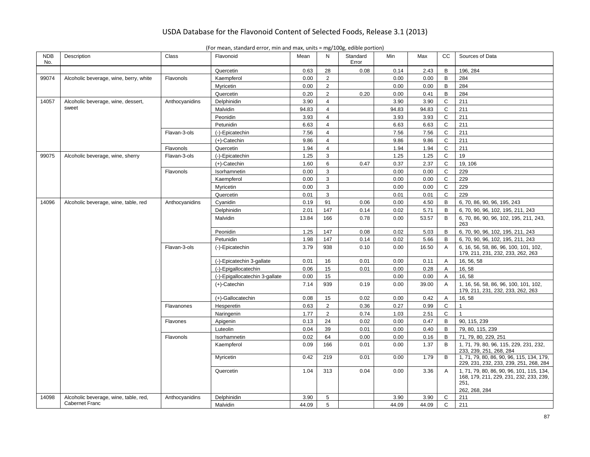| <b>NDB</b><br>No. | Description                                                    | Class          | Flavonoid                      | Mean          | N                    | Standard<br>Error | Min           | Max           | cc                | Sources of Data                                                                              |
|-------------------|----------------------------------------------------------------|----------------|--------------------------------|---------------|----------------------|-------------------|---------------|---------------|-------------------|----------------------------------------------------------------------------------------------|
|                   |                                                                |                | Quercetin                      | 0.63          | 28                   | 0.08              | 0.14          | 2.43          | В                 | 196, 284                                                                                     |
| 99074             | Alcoholic beverage, wine, berry, white                         | Flavonols      | Kaempferol                     | 0.00          | $\overline{2}$       |                   | 0.00          | 0.00          | B                 | 284                                                                                          |
|                   |                                                                |                | Myricetin                      | 0.00          | $\overline{2}$       |                   | 0.00          | 0.00          | B                 | 284                                                                                          |
|                   |                                                                |                | Quercetin                      | 0.20          | $\overline{2}$       | 0.20              | 0.00          | 0.41          | B                 | 284                                                                                          |
| 14057             | Alcoholic beverage, wine, dessert,                             | Anthocyanidins | Delphinidin                    | 3.90          | $\overline{4}$       |                   | 3.90          | 3.90          | $\mathbf C$       | 211                                                                                          |
|                   | sweet                                                          |                | Malvidin                       | 94.83         | $\overline{4}$       |                   | 94.83         | 94.83         | $\mathsf{C}$      | 211                                                                                          |
|                   |                                                                |                | Peonidin                       | 3.93          | $\overline{4}$       |                   | 3.93          | 3.93          | $\mathsf C$       | 211                                                                                          |
|                   |                                                                |                | Petunidin                      | 6.63          | $\overline{4}$       |                   | 6.63          | 6.63          | $\mathsf C$       | 211                                                                                          |
|                   |                                                                | Flavan-3-ols   | (-)-Epicatechin                | 7.56          | 4                    |                   | 7.56          | 7.56          | $\mathbf C$       | 211                                                                                          |
|                   |                                                                |                | $(+)$ -Catechin                | 9.86          | $\overline{4}$       |                   | 9.86          | 9.86          | $\mathsf{C}$      | 211                                                                                          |
|                   |                                                                | Flavonols      | Quercetin                      | 1.94          | $\overline{4}$       |                   | 1.94          | 1.94          | $\mathbf C$       | 211                                                                                          |
| 99075             | Alcoholic beverage, wine, sherry                               | Flavan-3-ols   | (-)-Epicatechin                | 1.25          | 3                    |                   | 1.25          | 1.25          | $\mathsf{C}$      | 19                                                                                           |
|                   |                                                                |                | (+)-Catechin                   | 1.60          | 6                    | 0.47              | 0.37          | 2.37          | $\mathsf{C}$      | 19, 106                                                                                      |
|                   |                                                                | Flavonols      | Isorhamnetin                   | 0.00          | 3                    |                   | 0.00          | 0.00          | $\mathsf{C}$      | 229                                                                                          |
|                   |                                                                |                | Kaempferol                     | 0.00          | 3                    |                   | 0.00          | 0.00          | $\mathbf C$       | 229                                                                                          |
|                   |                                                                |                | Myricetin                      | 0.00          | 3                    |                   | 0.00          | 0.00          | $\mathsf C$       | 229                                                                                          |
|                   |                                                                |                | Quercetin                      | 0.01          | 3                    |                   | 0.01          | 0.01          | $\mathsf{C}$      | 229                                                                                          |
| 14096             | Alcoholic beverage, wine, table, red                           | Anthocyanidins | Cyanidin                       | 0.19          | 91                   | 0.06              | 0.00          | 4.50          | B                 | 6, 70, 86, 90, 96, 195, 243                                                                  |
|                   |                                                                |                | Delphinidin                    | 2.01          | 147                  | 0.14              | 0.02          | 5.71          | B                 | 6, 70, 90, 96, 102, 195, 211, 243                                                            |
|                   |                                                                |                |                                |               |                      |                   |               |               | B                 |                                                                                              |
|                   |                                                                |                | Malvidin                       | 13.84         | 166                  | 0.78              | 0.00          | 53.57         |                   | 6, 70, 86, 90, 96, 102, 195, 211, 243,<br>263                                                |
|                   |                                                                |                | Peonidin                       | 1.25          | 147                  | 0.08              | 0.02          | 5.03          | В                 | 6, 70, 90, 96, 102, 195, 211, 243                                                            |
|                   |                                                                |                | Petunidin                      | 1.98          | 147                  | 0.14              | 0.02          | 5.66          | B                 | 6, 70, 90, 96, 102, 195, 211, 243                                                            |
|                   |                                                                | Flavan-3-ols   | (-)-Epicatechin                | 3.79          | 938                  | 0.10              | 0.00          | 16.50         | A                 | 6, 16, 56, 58, 86, 96, 100, 101, 102,<br>179, 211, 231, 232, 233, 262, 263                   |
|                   |                                                                |                | (-)-Epicatechin 3-gallate      | 0.01          | 16                   | 0.01              | 0.00          | 0.11          | A                 | 16, 56, 58                                                                                   |
|                   |                                                                |                | (-)-Epigallocatechin           | 0.06          | 15                   | 0.01              | 0.00          | 0.28          | A                 | 16,58                                                                                        |
|                   |                                                                |                | (-)-Epigallocatechin 3-gallate | 0.00          | 15                   |                   | 0.00          | 0.00          | A                 | 16, 58                                                                                       |
|                   |                                                                |                | $(+)$ -Catechin                | 7.14          | 939                  | 0.19              | 0.00          | 39.00         | $\overline{A}$    | 1, 16, 56, 58, 86, 96, 100, 101, 102,<br>179, 211, 231, 232, 233, 262, 263                   |
|                   |                                                                |                | (+)-Gallocatechin              | 0.08          | 15                   | 0.02              | 0.00          | 0.42          | $\overline{A}$    | 16, 58                                                                                       |
|                   |                                                                | Flavanones     | Hesperetin                     | 0.63          | $\overline{2}$       | 0.36              | 0.27          | 0.99          | $\mathsf{C}$      | 1                                                                                            |
|                   |                                                                |                | Naringenin                     | 1.77          | $\overline{2}$       | 0.74              | 1.03          | 2.51          | $\mathsf{C}$      | $\overline{1}$                                                                               |
|                   |                                                                | Flavones       | Apigenin                       | 0.13          | 24                   | 0.02              | 0.00          | 0.47          | B                 | 90, 115, 239                                                                                 |
|                   |                                                                |                | Luteolin                       | 0.04          | 39                   | 0.01              | 0.00          | 0.40          | B                 | 79, 80, 115, 239                                                                             |
|                   |                                                                | Flavonols      | Isorhamnetin                   | 0.02          | 64                   | 0.00              | 0.00          | 0.16          | B                 | 71, 79, 80, 229, 251                                                                         |
|                   |                                                                |                | Kaempferol                     | 0.09          | 166                  | 0.01              | 0.00          | 1.37          | B                 | 1, 71, 79, 80, 96, 115, 229, 231, 232,<br>233, 239, 251, 268, 284                            |
|                   |                                                                |                | Myricetin                      | 0.42          | 219                  | 0.01              | 0.00          | 1.79          | B                 | 1, 71, 79, 80, 86, 90, 96, 115, 134, 179,<br>229, 231, 232, 233, 239, 251, 268, 284          |
|                   |                                                                |                | Quercetin                      | 1.04          | 313                  | 0.04              | 0.00          | 3.36          | A                 | 1, 71, 79, 80, 86, 90, 96, 101, 115, 134,<br>168, 179, 211, 229, 231, 232, 233, 239,<br>251, |
|                   |                                                                |                |                                |               |                      |                   |               |               |                   | 262, 268, 284                                                                                |
| 14098             | Alcoholic beverage, wine, table, red,<br><b>Cabernet Franc</b> | Anthocyanidins | Delphinidin<br>Malvidin        | 3.90<br>44.09 | $5\phantom{.0}$<br>5 |                   | 3.90<br>44.09 | 3.90<br>44.09 | C<br>$\mathsf{C}$ | 211<br>211                                                                                   |
|                   |                                                                |                |                                |               |                      |                   |               |               |                   |                                                                                              |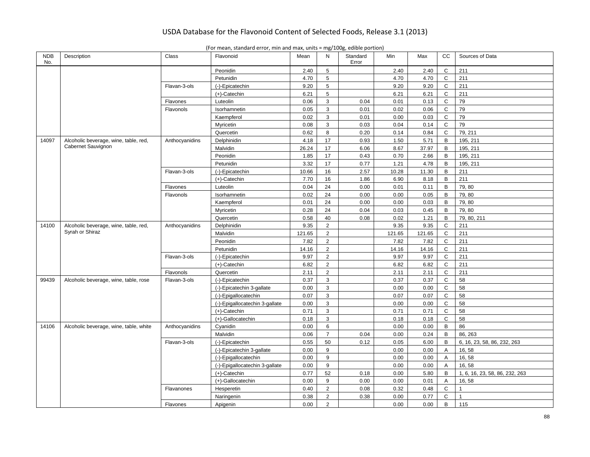| <b>NDB</b><br>No. | Description                            | Class          | Flavonoid                      | Mean   | N              | Standard<br>Error | Min    | Max    | cc           | Sources of Data                |
|-------------------|----------------------------------------|----------------|--------------------------------|--------|----------------|-------------------|--------|--------|--------------|--------------------------------|
|                   |                                        |                | Peonidin                       | 2.40   | 5              |                   | 2.40   | 2.40   | C            | 211                            |
|                   |                                        |                | Petunidin                      | 4.70   | 5              |                   | 4.70   | 4.70   | $\mathbf C$  | 211                            |
|                   |                                        | Flavan-3-ols   | (-)-Epicatechin                | 9.20   | 5              |                   | 9.20   | 9.20   | $\mathbf C$  | 211                            |
|                   |                                        |                | $(+)$ -Catechin                | 6.21   | 5              |                   | 6.21   | 6.21   | $\mathsf C$  | 211                            |
|                   |                                        | Flavones       | Luteolin                       | 0.06   | 3              | 0.04              | 0.01   | 0.13   | $\mathsf{C}$ | 79                             |
|                   |                                        | Flavonols      | Isorhamnetin                   | 0.05   | 3              | 0.01              | 0.02   | 0.06   | $\mathbf C$  | 79                             |
|                   |                                        |                | Kaempferol                     | 0.02   | 3              | 0.01              | 0.00   | 0.03   | $\mathsf C$  | 79                             |
|                   |                                        |                | Myricetin                      | 0.08   | 3              | 0.03              | 0.04   | 0.14   | $\mathbf C$  | 79                             |
|                   |                                        |                | Quercetin                      | 0.62   | 8              | 0.20              | 0.14   | 0.84   | $\mathsf{C}$ | 79, 211                        |
| 14097             | Alcoholic beverage, wine, table, red,  | Anthocyanidins | Delphinidin                    | 4.18   | 17             | 0.93              | 1.50   | 5.71   | B            | 195, 211                       |
|                   | Cabernet Sauvignon                     |                | Malvidin                       | 26.24  | 17             | 6.06              | 8.67   | 37.97  | B            | 195, 211                       |
|                   |                                        |                | Peonidin                       | 1.85   | 17             | 0.43              | 0.70   | 2.66   | B            | 195, 211                       |
|                   |                                        |                | Petunidin                      | 3.32   | 17             | 0.77              | 1.21   | 4.78   | B            | 195, 211                       |
|                   |                                        | Flavan-3-ols   | (-)-Epicatechin                | 10.66  | 16             | 2.57              | 10.28  | 11.30  | B            | 211                            |
|                   |                                        |                | (+)-Catechin                   | 7.70   | 16             | 1.86              | 6.90   | 8.18   | $\, {\bf B}$ | 211                            |
|                   |                                        | Flavones       | Luteolin                       | 0.04   | 24             | 0.00              | 0.01   | 0.11   | B            | 79,80                          |
|                   |                                        | Flavonols      | Isorhamnetin                   | 0.02   | 24             | 0.00              | 0.00   | 0.05   | B            | 79,80                          |
|                   |                                        |                | Kaempferol                     | 0.01   | 24             | 0.00              | 0.00   | 0.03   | $\, {\sf B}$ | 79,80                          |
|                   |                                        |                | Myricetin                      | 0.28   | 24             | 0.04              | 0.03   | 0.45   | B            | 79,80                          |
|                   |                                        |                | Quercetin                      | 0.58   | 40             | 0.08              | 0.02   | 1.21   | B            | 79, 80, 211                    |
| 14100             | Alcoholic beverage, wine, table, red,  | Anthocyanidins | Delphinidin                    | 9.35   | $\overline{2}$ |                   | 9.35   | 9.35   | $\mathsf C$  | 211                            |
|                   | Syrah or Shiraz                        |                | Malvidin                       | 121.65 | $\overline{2}$ |                   | 121.65 | 121.65 | $\mathbf C$  | 211                            |
|                   |                                        |                | Peonidin                       | 7.82   | $\overline{2}$ |                   | 7.82   | 7.82   | $\mathbf C$  | 211                            |
|                   |                                        |                | Petunidin                      | 14.16  | $\overline{2}$ |                   | 14.16  | 14.16  | $\mathsf{C}$ | 211                            |
|                   |                                        | Flavan-3-ols   | (-)-Epicatechin                | 9.97   | $\overline{2}$ |                   | 9.97   | 9.97   | C            | 211                            |
|                   |                                        |                | (+)-Catechin                   | 6.82   | $\overline{2}$ |                   | 6.82   | 6.82   | $\mathbf C$  | 211                            |
|                   |                                        | Flavonols      | Quercetin                      | 2.11   | $\overline{2}$ |                   | 2.11   | 2.11   | $\mathbf C$  | 211                            |
| 99439             | Alcoholic beverage, wine, table, rose  | Flavan-3-ols   | (-)-Epicatechin                | 0.37   | 3              |                   | 0.37   | 0.37   | $\mathsf{C}$ | 58                             |
|                   |                                        |                | (-)-Epicatechin 3-gallate      | 0.00   | 3              |                   | 0.00   | 0.00   | $\mathbf C$  | 58                             |
|                   |                                        |                | (-)-Epigallocatechin           | 0.07   | 3              |                   | 0.07   | 0.07   | $\mathbf C$  | 58                             |
|                   |                                        |                | (-)-Epigallocatechin 3-gallate | 0.00   | 3              |                   | 0.00   | 0.00   | $\mathbf C$  | 58                             |
|                   |                                        |                | $(+)$ -Catechin                | 0.71   | 3              |                   | 0.71   | 0.71   | $\mathbf C$  | 58                             |
|                   |                                        |                | (+)-Gallocatechin              | 0.18   | 3              |                   | 0.18   | 0.18   | $\mathsf{C}$ | 58                             |
| 14106             | Alcoholic beverage, wine, table, white | Anthocyanidins | Cyanidin                       | 0.00   | 6              |                   | 0.00   | 0.00   | $\mathsf{B}$ | 86                             |
|                   |                                        |                | Malvidin                       | 0.06   | $\overline{7}$ | 0.04              | 0.00   | 0.24   | B            | 86, 263                        |
|                   |                                        | Flavan-3-ols   | (-)-Epicatechin                | 0.55   | 50             | 0.12              | 0.05   | 6.00   | $\, {\bf B}$ | 6, 16, 23, 58, 86, 232, 263    |
|                   |                                        |                | (-)-Epicatechin 3-gallate      | 0.00   | 9              |                   | 0.00   | 0.00   | A            | 16, 58                         |
|                   |                                        |                | (-)-Epigallocatechin           | 0.00   | 9              |                   | 0.00   | 0.00   | A            | 16,58                          |
|                   |                                        |                | (-)-Epigallocatechin 3-gallate | 0.00   | 9              |                   | 0.00   | 0.00   | Α            | 16, 58                         |
|                   |                                        |                | $(+)$ -Catechin                | 0.77   | 52             | 0.18              | 0.00   | 5.80   | B            | 1, 6, 16, 23, 58, 86, 232, 263 |
|                   |                                        |                | (+)-Gallocatechin              | 0.00   | 9              | 0.00              | 0.00   | 0.01   | Α            | 16, 58                         |
|                   |                                        | Flavanones     | Hesperetin                     | 0.40   | $\overline{2}$ | 0.08              | 0.32   | 0.48   | $\mathsf C$  | $\mathbf{1}$                   |
|                   |                                        |                | Naringenin                     | 0.38   | $\overline{2}$ | 0.38              | 0.00   | 0.77   | $\mathbf C$  | $\mathbf{1}$                   |
|                   |                                        | Flavones       | Apigenin                       | 0.00   | 2              |                   | 0.00   | 0.00   | $\mathsf{B}$ | 115                            |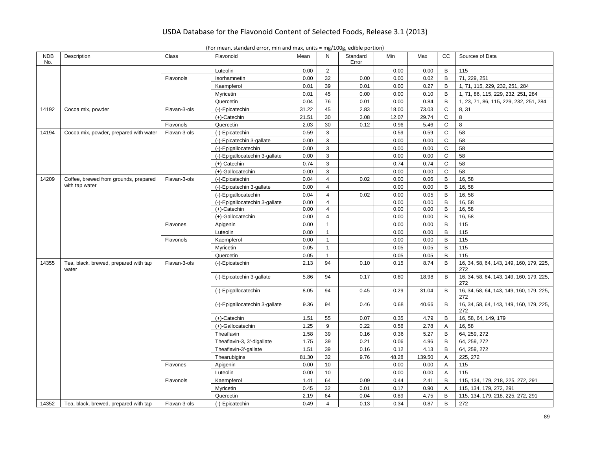| <b>NDB</b><br>No. | Description                                    | Class        | Flavonoid                      | Mean  | N              | Standard<br>Error | Min   | Max    | CC           | Sources of Data                                 |
|-------------------|------------------------------------------------|--------------|--------------------------------|-------|----------------|-------------------|-------|--------|--------------|-------------------------------------------------|
|                   |                                                |              | Luteolin                       | 0.00  | $\overline{2}$ |                   | 0.00  | 0.00   | B            | 115                                             |
|                   |                                                | Flavonols    | Isorhamnetin                   | 0.00  | 32             | 0.00              | 0.00  | 0.02   | B            | 71, 229, 251                                    |
|                   |                                                |              | Kaempferol                     | 0.01  | 39             | 0.01              | 0.00  | 0.27   | В            | 1, 71, 115, 229, 232, 251, 284                  |
|                   |                                                |              | Myricetin                      | 0.01  | 45             | 0.00              | 0.00  | 0.10   | В            | 1, 71, 86, 115, 229, 232, 251, 284              |
|                   |                                                |              | Quercetin                      | 0.04  | 76             | 0.01              | 0.00  | 0.84   | B            | 1, 23, 71, 86, 115, 229, 232, 251, 284          |
| 14192             | Cocoa mix, powder                              | Flavan-3-ols | (-)-Epicatechin                | 31.22 | 45             | 2.83              | 18.00 | 73.03  | C            | 8, 31                                           |
|                   |                                                |              | $(+)$ -Catechin                | 21.51 | 30             | 3.08              | 12.07 | 29.74  | $\mathtt{C}$ | 8                                               |
|                   |                                                | Flavonols    | Quercetin                      | 2.03  | 30             | 0.12              | 0.96  | 5.46   | $\mathsf{C}$ | 8                                               |
| 14194             | Cocoa mix, powder, prepared with water         | Flavan-3-ols | (-)-Epicatechin                | 0.59  | 3              |                   | 0.59  | 0.59   | $\mathsf{C}$ | 58                                              |
|                   |                                                |              | (-)-Epicatechin 3-gallate      | 0.00  | 3              |                   | 0.00  | 0.00   | C            | 58                                              |
|                   |                                                |              | (-)-Epigallocatechin           | 0.00  | 3              |                   | 0.00  | 0.00   | $\mathsf{C}$ | 58                                              |
|                   |                                                |              | (-)-Epigallocatechin 3-gallate | 0.00  | 3              |                   | 0.00  | 0.00   | C            | 58                                              |
|                   |                                                |              | $(+)$ -Catechin                | 0.74  | 3              |                   | 0.74  | 0.74   | $\mathbf C$  | 58                                              |
|                   |                                                |              | (+)-Gallocatechin              | 0.00  | 3              |                   | 0.00  | 0.00   | C            | 58                                              |
| 14209             | Coffee, brewed from grounds, prepared          | Flavan-3-ols | (-)-Epicatechin                | 0.04  | $\overline{4}$ | 0.02              | 0.00  | 0.06   | B            | 16, 58                                          |
|                   | with tap water                                 |              | (-)-Epicatechin 3-gallate      | 0.00  | $\overline{4}$ |                   | 0.00  | 0.00   | B            | 16,58                                           |
|                   |                                                |              | (-)-Epigallocatechin           | 0.04  | $\overline{4}$ | 0.02              | 0.00  | 0.05   | B            | 16,58                                           |
|                   |                                                |              | (-)-Epigallocatechin 3-gallate | 0.00  | $\overline{4}$ |                   | 0.00  | 0.00   | B            | 16, 58                                          |
|                   |                                                |              | $(+)$ -Catechin                | 0.00  | $\overline{4}$ |                   | 0.00  | 0.00   | В            | 16,58                                           |
|                   |                                                |              | (+)-Gallocatechin              | 0.00  | $\overline{4}$ |                   | 0.00  | 0.00   | B            | 16,58                                           |
|                   |                                                | Flavones     | Apigenin                       | 0.00  | $\mathbf{1}$   |                   | 0.00  | 0.00   | B            | 115                                             |
|                   |                                                |              | Luteolin                       | 0.00  | 1              |                   | 0.00  | 0.00   | В            | 115                                             |
|                   |                                                | Flavonols    | Kaempferol                     | 0.00  | $\mathbf{1}$   |                   | 0.00  | 0.00   | B            | 115                                             |
|                   |                                                |              | Myricetin                      | 0.05  | $\mathbf{1}$   |                   | 0.05  | 0.05   | B            | 115                                             |
|                   |                                                |              | Quercetin                      | 0.05  | $\mathbf{1}$   |                   | 0.05  | 0.05   | B            | 115                                             |
| 14355             | Tea, black, brewed, prepared with tap<br>water | Flavan-3-ols | (-)-Epicatechin                | 2.13  | 94             | 0.10              | 0.15  | 8.74   | B            | 16, 34, 58, 64, 143, 149, 160, 179, 225,<br>272 |
|                   |                                                |              | (-)-Epicatechin 3-gallate      | 5.86  | 94             | 0.17              | 0.80  | 18.98  | B            | 16, 34, 58, 64, 143, 149, 160, 179, 225,<br>272 |
|                   |                                                |              | (-)-Epigallocatechin           | 8.05  | 94             | 0.45              | 0.29  | 31.04  | B            | 16, 34, 58, 64, 143, 149, 160, 179, 225,<br>272 |
|                   |                                                |              | (-)-Epigallocatechin 3-gallate | 9.36  | 94             | 0.46              | 0.68  | 40.66  | B            | 16, 34, 58, 64, 143, 149, 160, 179, 225,<br>272 |
|                   |                                                |              | $(+)$ -Catechin                | 1.51  | 55             | 0.07              | 0.35  | 4.79   | B            | 16, 58, 64, 149, 179                            |
|                   |                                                |              | (+)-Gallocatechin              | 1.25  | 9              | 0.22              | 0.56  | 2.78   | A            | 16,58                                           |
|                   |                                                |              | Theaflavin                     | 1.58  | 39             | 0.16              | 0.36  | 5.27   | B            | 64, 259, 272                                    |
|                   |                                                |              | Theaflavin-3, 3'-digallate     | 1.75  | 39             | 0.21              | 0.06  | 4.96   | В            | 64, 259, 272                                    |
|                   |                                                |              | Theaflavin-3'-gallate          | 1.51  | 39             | 0.16              | 0.12  | 4.13   | B            | 64, 259, 272                                    |
|                   |                                                |              | Thearubigins                   | 81.30 | 32             | 9.76              | 48.28 | 139.50 | Α            | 225, 272                                        |
|                   |                                                | Flavones     | Apigenin                       | 0.00  | 10             |                   | 0.00  | 0.00   | A            | 115                                             |
|                   |                                                |              | Luteolin                       | 0.00  | 10             |                   | 0.00  | 0.00   | Α            | 115                                             |
|                   |                                                | Flavonols    | Kaempferol                     | 1.41  | 64             | 0.09              | 0.44  | 2.41   | В            | 115, 134, 179, 218, 225, 272, 291               |
|                   |                                                |              | Myricetin                      | 0.45  | 32             | 0.01              | 0.17  | 0.90   | Α            | 115, 134, 179, 272, 291                         |
|                   |                                                |              | Quercetin                      | 2.19  | 64             | 0.04              | 0.89  | 4.75   | B            | 115, 134, 179, 218, 225, 272, 291               |
| 14352             | Tea, black, brewed, prepared with tap          | Flavan-3-ols | (-)-Epicatechin                | 0.49  | $\overline{4}$ | 0.13              | 0.34  | 0.87   | B            | 272                                             |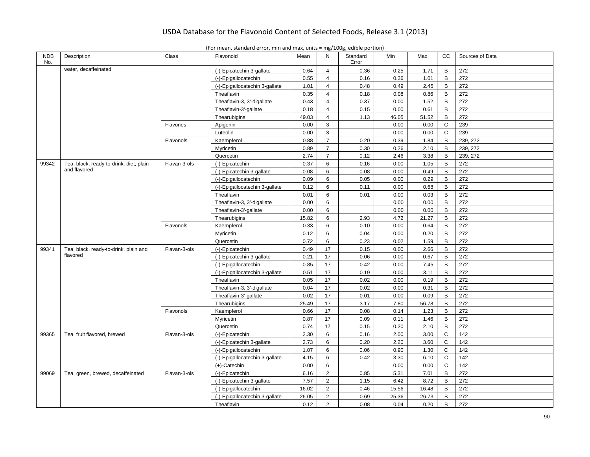| Description                             | <b>Class</b> | Flavonoid                      | Mean  | N | Standard<br>Error | Min   | Max   | CC | Sources of Data |
|-----------------------------------------|--------------|--------------------------------|-------|---|-------------------|-------|-------|----|-----------------|
| water, decaffeinated                    |              | (-)-Epicatechin 3-gallate      | 0.64  | 4 | 0.36              | 0.25  | 1.71  | B  | 272             |
|                                         |              | (-)-Epigallocatechin           | 0.55  | 4 | 0.16              | 0.36  | 1.01  | B  | 272             |
|                                         |              | (-)-Epigallocatechin 3-gallate | 1.01  | 4 | 0.48              | 0.49  | 2.45  | B  | 272             |
|                                         |              | Theaflavin                     | 0.35  | 4 | 0.18              | 0.08  | 0.86  | B  | 272             |
|                                         |              | Theaflavin-3, 3'-digallate     | 0.43  | 4 | 0.37              | 0.00  | 1.52  | В  | 272             |
|                                         |              | Theaflavin-3'-gallate          | 0.18  | 4 | 0.15              | 0.00  | 0.61  | B  | 272             |
|                                         |              | Thearubigins                   | 49.03 | 4 | 1.13              | 46.05 | 51.52 | B  | 272             |
|                                         | Flavones     | Apigenin                       | 0.00  | 3 |                   | 0.00  | 0.00  | C. | 239             |
|                                         |              | Luteolin                       | 0.00  | 3 |                   | 0.00  | 0.00  | C. | 239             |
|                                         | Flavonols    | Kaempferol                     | 0.88  |   | 0.20              | 0.39  | 1.84  | B  | 239, 272        |
|                                         |              | Myricetin                      | 0.89  |   | 0.30              | 0.26  | 2.10  | B  | 239, 272        |
|                                         |              | Quercetin                      | 2.74  |   | 0.12              | 2.46  | 3.38  | B  | 239, 272        |
| Tea, black, ready-to-drink, diet, plain | Flavan-3-ols | (-)-Epicatechin                | 0.37  | 6 | 0.16              | 0.00  | 1.05  | B  | 272             |
| and flavored                            |              | (-)-Epicatechin 3-gallate      | 0.08  | 6 | 0.08              | 0.00  | 0.49  | В  | 272             |
|                                         |              |                                |       |   |                   |       |       |    |                 |

NDB No.

|       |                                         |              | Theaflavin                     | 0.35  | $\overline{4}$ | 0.18 | 0.08  | 0.86  | B            | 272      |
|-------|-----------------------------------------|--------------|--------------------------------|-------|----------------|------|-------|-------|--------------|----------|
|       |                                         |              | Theaflavin-3, 3'-digallate     | 0.43  | $\overline{4}$ | 0.37 | 0.00  | 1.52  | B            | 272      |
|       |                                         |              | Theaflavin-3'-gallate          | 0.18  | $\overline{4}$ | 0.15 | 0.00  | 0.61  | B            | 272      |
|       |                                         |              | Thearubigins                   | 49.03 | $\overline{4}$ | 1.13 | 46.05 | 51.52 | B            | 272      |
|       |                                         | Flavones     | Apigenin                       | 0.00  | 3              |      | 0.00  | 0.00  | C            | 239      |
|       |                                         |              | Luteolin                       | 0.00  | $\mathbf{3}$   |      | 0.00  | 0.00  | C            | 239      |
|       |                                         | Flavonols    | Kaempferol                     | 0.88  | $\overline{7}$ | 0.20 | 0.39  | 1.84  | $\sf B$      | 239, 272 |
|       |                                         |              | Myricetin                      | 0.89  | $\overline{7}$ | 0.30 | 0.26  | 2.10  | B            | 239, 272 |
|       |                                         |              | Quercetin                      | 2.74  | $\overline{7}$ | 0.12 | 2.46  | 3.38  | B            | 239, 272 |
| 99342 | Tea, black, ready-to-drink, diet, plain | Flavan-3-ols | (-)-Epicatechin                | 0.37  | 6              | 0.16 | 0.00  | 1.05  | B            | 272      |
|       | and flavored                            |              | (-)-Epicatechin 3-gallate      | 0.08  | 6              | 0.08 | 0.00  | 0.49  | B            | 272      |
|       |                                         |              | (-)-Epigallocatechin           | 0.09  | 6              | 0.05 | 0.00  | 0.29  | B            | 272      |
|       |                                         |              | (-)-Epigallocatechin 3-gallate | 0.12  | 6              | 0.11 | 0.00  | 0.68  | B            | 272      |
|       |                                         |              | Theaflavin                     | 0.01  | 6              | 0.01 | 0.00  | 0.03  | B            | 272      |
|       |                                         |              | Theaflavin-3, 3'-digallate     | 0.00  | 6              |      | 0.00  | 0.00  | B            | 272      |
|       |                                         |              | Theaflavin-3'-gallate          | 0.00  | 6              |      | 0.00  | 0.00  | B            | 272      |
|       |                                         |              | Thearubigins                   | 15.82 | 6              | 2.93 | 4.72  | 21.27 | B            | 272      |
|       |                                         | Flavonols    | Kaempferol                     | 0.33  | 6              | 0.10 | 0.00  | 0.64  | B            | 272      |
|       |                                         |              | Myricetin                      | 0.12  | 6              | 0.04 | 0.00  | 0.20  | $\sf B$      | 272      |
|       |                                         |              | Quercetin                      | 0.72  | 6              | 0.23 | 0.02  | 1.59  | B            | 272      |
| 99341 | Tea, black, ready-to-drink, plain and   | Flavan-3-ols | (-)-Epicatechin                | 0.49  | 17             | 0.15 | 0.00  | 2.66  | B            | 272      |
|       | flavored                                |              | (-)-Epicatechin 3-gallate      | 0.21  | 17             | 0.06 | 0.00  | 0.67  | B            | 272      |
|       |                                         |              | (-)-Epigallocatechin           | 0.85  | 17             | 0.42 | 0.00  | 7.45  | B            | 272      |
|       |                                         |              | (-)-Epigallocatechin 3-gallate | 0.51  | 17             | 0.19 | 0.00  | 3.11  | B            | 272      |
|       |                                         |              | Theaflavin                     | 0.05  | 17             | 0.02 | 0.00  | 0.19  | $\sf B$      | 272      |
|       |                                         |              | Theaflavin-3, 3'-digallate     | 0.04  | 17             | 0.02 | 0.00  | 0.31  | B            | 272      |
|       |                                         |              | Theaflavin-3'-gallate          | 0.02  | 17             | 0.01 | 0.00  | 0.09  | B            | 272      |
|       |                                         |              | Thearubigins                   | 25.49 | 17             | 3.17 | 7.80  | 56.78 | B            | 272      |
|       |                                         | Flavonols    | Kaempferol                     | 0.66  | 17             | 0.08 | 0.14  | 1.23  | B            | 272      |
|       |                                         |              | Myricetin                      | 0.87  | 17             | 0.09 | 0.11  | 1.46  | B            | 272      |
|       |                                         |              | Quercetin                      | 0.74  | 17             | 0.15 | 0.20  | 2.10  | B            | 272      |
| 99365 | Tea, fruit flavored, brewed             | Flavan-3-ols | (-)-Epicatechin                | 2.30  | 6              | 0.16 | 2.00  | 3.00  | $\mathsf{C}$ | 142      |
|       |                                         |              | (-)-Epicatechin 3-gallate      | 2.73  | 6              | 0.20 | 2.20  | 3.60  | C            | 142      |
|       |                                         |              | (-)-Epigallocatechin           | 1.07  | 6              | 0.06 | 0.90  | 1.30  | C            | 142      |
|       |                                         |              | (-)-Epigallocatechin 3-gallate | 4.15  | 6              | 0.42 | 3.30  | 6.10  | C            | 142      |
|       |                                         |              | $(+)$ -Catechin                | 0.00  | 6              |      | 0.00  | 0.00  | $\mathsf{C}$ | 142      |
| 99069 | Tea, green, brewed, decaffeinated       | Flavan-3-ols | (-)-Epicatechin                | 6.16  | $\overline{2}$ | 0.85 | 5.31  | 7.01  | B            | 272      |
|       |                                         |              | (-)-Epicatechin 3-gallate      | 7.57  | 2              | 1.15 | 6.42  | 8.72  | B            | 272      |
|       |                                         |              | (-)-Epigallocatechin           | 16.02 | 2              | 0.46 | 15.56 | 16.48 | B            | 272      |
|       |                                         |              | (-)-Epigallocatechin 3-gallate | 26.05 | 2              | 0.69 | 25.36 | 26.73 | B            | 272      |
|       |                                         |              | Theaflavin                     | 0.12  | 2              | 0.08 | 0.04  | 0.20  | B            | 272      |
|       |                                         |              |                                |       |                |      |       |       |              |          |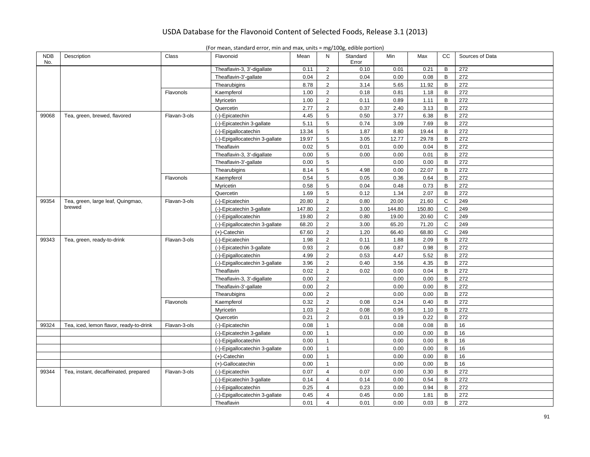|  |  |  | (For mean, standard error, min and max, units = mg/100g, edible portion) |
|--|--|--|--------------------------------------------------------------------------|
|  |  |  |                                                                          |

| <b>NDB</b><br>No. | Description                             | Class        | Flavonoid                      | Mean   | N               | Standard<br>Error | Min    | Max    | <b>CC</b>      | Sources of Data |
|-------------------|-----------------------------------------|--------------|--------------------------------|--------|-----------------|-------------------|--------|--------|----------------|-----------------|
|                   |                                         |              | Theaflavin-3, 3'-digallate     | 0.11   | $\overline{2}$  | 0.10              | 0.01   | 0.21   | B              | 272             |
|                   |                                         |              | Theaflavin-3'-gallate          | 0.04   | $\overline{2}$  | 0.04              | 0.00   | 0.08   | B              | 272             |
|                   |                                         |              | Thearubigins                   | 8.78   | $\overline{2}$  | 3.14              | 5.65   | 11.92  | B              | 272             |
|                   |                                         | Flavonols    | Kaempferol                     | 1.00   | $\overline{2}$  | 0.18              | 0.81   | 1.18   | B              | 272             |
|                   |                                         |              | Myricetin                      | 1.00   | $\overline{2}$  | 0.11              | 0.89   | 1.11   | $\, {\bf B}$   | 272             |
|                   |                                         |              | Quercetin                      | 2.77   | $\overline{2}$  | 0.37              | 2.40   | 3.13   | B              | 272             |
| 99068             | Tea, green, brewed, flavored            | Flavan-3-ols | (-)-Epicatechin                | 4.45   | 5               | 0.50              | 3.77   | 6.38   | $\, {\bf B}$   | 272             |
|                   |                                         |              | (-)-Epicatechin 3-gallate      | 5.11   | 5               | 0.74              | 3.09   | 7.69   | B              | 272             |
|                   |                                         |              | (-)-Epigallocatechin           | 13.34  | 5               | 1.87              | 8.80   | 19.44  | B              | 272             |
|                   |                                         |              | (-)-Epigallocatechin 3-gallate | 19.97  | $5\phantom{.0}$ | 3.05              | 12.77  | 29.78  | B              | 272             |
|                   |                                         |              | Theaflavin                     | 0.02   | 5               | 0.01              | 0.00   | 0.04   | $\overline{B}$ | 272             |
|                   |                                         |              | Theaflavin-3, 3'-digallate     | 0.00   | 5               | 0.00              | 0.00   | 0.01   | B              | 272             |
|                   |                                         |              | Theaflavin-3'-gallate          | 0.00   | $5\phantom{.0}$ |                   | 0.00   | 0.00   | $\sf B$        | 272             |
|                   |                                         |              | Thearubigins                   | 8.14   | 5               | 4.98              | 0.00   | 22.07  | B              | 272             |
|                   |                                         | Flavonols    | Kaempferol                     | 0.54   | $\overline{5}$  | 0.05              | 0.36   | 0.64   | B              | 272             |
|                   |                                         |              | Myricetin                      | 0.58   | $\overline{5}$  | 0.04              | 0.48   | 0.73   | B              | 272             |
|                   |                                         |              | Quercetin                      | 1.69   | 5               | 0.12              | 1.34   | 2.07   | $\mathsf B$    | 272             |
| 99354             | Tea, green, large leaf, Quingmao,       | Flavan-3-ols | (-)-Epicatechin                | 20.80  | $\overline{2}$  | 0.80              | 20.00  | 21.60  | $\mathsf{C}$   | 249             |
|                   | brewed                                  |              | (-)-Epicatechin 3-gallate      | 147.80 | 2               | 3.00              | 144.80 | 150.80 | $\mathsf{C}$   | 249             |
|                   |                                         |              | (-)-Epigallocatechin           | 19.80  | $\overline{2}$  | 0.80              | 19.00  | 20.60  | $\mathsf C$    | 249             |
|                   |                                         |              | (-)-Epigallocatechin 3-gallate | 68.20  | $\overline{2}$  | 3.00              | 65.20  | 71.20  | $\mathbf C$    | 249             |
|                   |                                         |              | $(+)$ -Catechin                | 67.60  | $\overline{2}$  | 1.20              | 66.40  | 68.80  | $\mathsf{C}$   | 249             |
| 99343             | Tea, green, ready-to-drink              | Flavan-3-ols | (-)-Epicatechin                | 1.98   | $\overline{2}$  | 0.11              | 1.88   | 2.09   | B              | 272             |
|                   |                                         |              | (-)-Epicatechin 3-gallate      | 0.93   | $\overline{2}$  | 0.06              | 0.87   | 0.98   | $\, {\bf B}$   | 272             |
|                   |                                         |              | (-)-Epigallocatechin           | 4.99   | $\overline{2}$  | 0.53              | 4.47   | 5.52   | B              | 272             |
|                   |                                         |              | (-)-Epigallocatechin 3-gallate | 3.96   | $\overline{2}$  | 0.40              | 3.56   | 4.35   | B              | 272             |
|                   |                                         |              | Theaflavin                     | 0.02   | $\overline{2}$  | 0.02              | 0.00   | 0.04   | B              | 272             |
|                   |                                         |              | Theaflavin-3, 3'-digallate     | 0.00   | $\overline{2}$  |                   | 0.00   | 0.00   | B              | 272             |
|                   |                                         |              | Theaflavin-3'-gallate          | 0.00   | $\overline{2}$  |                   | 0.00   | 0.00   | B              | 272             |
|                   |                                         |              | Thearubigins                   | 0.00   | $\overline{2}$  |                   | 0.00   | 0.00   | B              | 272             |
|                   |                                         | Flavonols    | Kaempferol                     | 0.32   | $\overline{2}$  | 0.08              | 0.24   | 0.40   | B              | 272             |
|                   |                                         |              | Myricetin                      | 1.03   | $\overline{2}$  | 0.08              | 0.95   | 1.10   | $\sf B$        | 272             |
|                   |                                         |              | Quercetin                      | 0.21   | 2               | 0.01              | 0.19   | 0.22   | B              | 272             |
| 99324             | Tea, iced, lemon flavor, ready-to-drink | Flavan-3-ols | (-)-Epicatechin                | 0.08   | $\mathbf{1}$    |                   | 0.08   | 0.08   | B              | 16              |
|                   |                                         |              | (-)-Epicatechin 3-gallate      | 0.00   | $\mathbf{1}$    |                   | 0.00   | 0.00   | B              | 16              |
|                   |                                         |              | (-)-Epigallocatechin           | 0.00   | $\mathbf{1}$    |                   | 0.00   | 0.00   | $\mathsf B$    | 16              |
|                   |                                         |              | (-)-Epigallocatechin 3-gallate | 0.00   | $\mathbf{1}$    |                   | 0.00   | 0.00   | B              | 16              |
|                   |                                         |              | $(+)$ -Catechin                | 0.00   | $\mathbf{1}$    |                   | 0.00   | 0.00   | B              | 16              |
|                   |                                         |              | (+)-Gallocatechin              | 0.00   | $\mathbf{1}$    |                   | 0.00   | 0.00   | B              | 16              |
| 99344             | Tea, instant, decaffeinated, prepared   | Flavan-3-ols | (-)-Epicatechin                | 0.07   | $\overline{4}$  | 0.07              | 0.00   | 0.30   | $\, {\bf B}$   | 272             |
|                   |                                         |              | (-)-Epicatechin 3-gallate      | 0.14   | $\overline{4}$  | 0.14              | 0.00   | 0.54   | B              | 272             |
|                   |                                         |              | (-)-Epigallocatechin           | 0.25   | $\overline{4}$  | 0.23              | 0.00   | 0.94   | B              | 272             |
|                   |                                         |              | (-)-Epigallocatechin 3-gallate | 0.45   | $\overline{4}$  | 0.45              | 0.00   | 1.81   | $\sf B$        | 272             |
|                   |                                         |              | Theaflavin                     | 0.01   | $\overline{4}$  | 0.01              | 0.00   | 0.03   | B              | 272             |
|                   |                                         |              |                                |        |                 |                   |        |        |                |                 |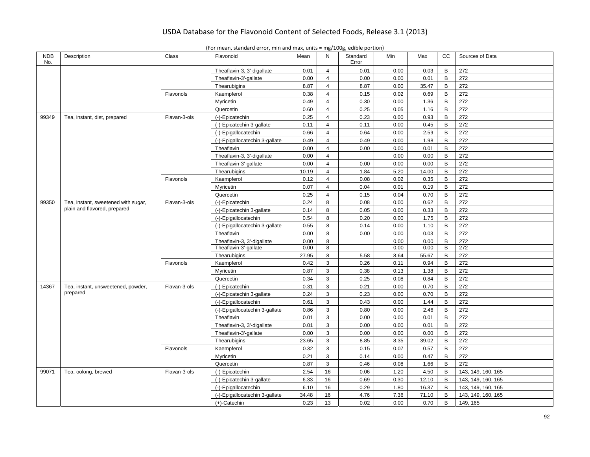|  |  |  | (For mean, standard error, min and max, units = mg/100g, edible portion) |
|--|--|--|--------------------------------------------------------------------------|
|  |  |  |                                                                          |

| <b>NDB</b><br>No. | Description                         | Class        | Flavonoid                      | Mean  | N              | Standard<br>Error | Min  | Max   | cc             | Sources of Data    |
|-------------------|-------------------------------------|--------------|--------------------------------|-------|----------------|-------------------|------|-------|----------------|--------------------|
|                   |                                     |              | Theaflavin-3, 3'-digallate     | 0.01  | $\overline{4}$ | 0.01              | 0.00 | 0.03  | B              | 272                |
|                   |                                     |              | Theaflavin-3'-gallate          | 0.00  | $\overline{4}$ | 0.00              | 0.00 | 0.01  | B              | 272                |
|                   |                                     |              | Thearubigins                   | 8.87  | $\overline{4}$ | 8.87              | 0.00 | 35.47 | B              | 272                |
|                   |                                     | Flavonols    | Kaempferol                     | 0.38  | $\overline{4}$ | 0.15              | 0.02 | 0.69  | B              | 272                |
|                   |                                     |              | Myricetin                      | 0.49  | $\overline{4}$ | 0.30              | 0.00 | 1.36  | $\overline{B}$ | 272                |
|                   |                                     |              | Quercetin                      | 0.60  | $\overline{4}$ | 0.25              | 0.05 | 1.16  | B              | 272                |
| 99349             | Tea, instant, diet, prepared        | Flavan-3-ols | (-)-Epicatechin                | 0.25  | $\overline{4}$ | 0.23              | 0.00 | 0.93  | $\mathsf{B}$   | 272                |
|                   |                                     |              | (-)-Epicatechin 3-gallate      | 0.11  | $\overline{4}$ | 0.11              | 0.00 | 0.45  | B              | 272                |
|                   |                                     |              | (-)-Epigallocatechin           | 0.66  | $\overline{4}$ | 0.64              | 0.00 | 2.59  | B              | 272                |
|                   |                                     |              | (-)-Epigallocatechin 3-gallate | 0.49  | $\overline{4}$ | 0.49              | 0.00 | 1.98  | $\, {\bf B}$   | 272                |
|                   |                                     |              | Theaflavin                     | 0.00  | $\overline{4}$ | 0.00              | 0.00 | 0.01  | $\sf B$        | 272                |
|                   |                                     |              | Theaflavin-3, 3'-digallate     | 0.00  | $\overline{4}$ |                   | 0.00 | 0.00  | B              | 272                |
|                   |                                     |              | Theaflavin-3'-gallate          | 0.00  | $\overline{4}$ | 0.00              | 0.00 | 0.00  | B              | 272                |
|                   |                                     |              | Thearubigins                   | 10.19 | $\overline{4}$ | 1.84              | 5.20 | 14.00 | $\mathsf{B}$   | 272                |
|                   |                                     | Flavonols    | Kaempferol                     | 0.12  | $\overline{4}$ | 0.08              | 0.02 | 0.35  | B              | 272                |
|                   |                                     |              | Myricetin                      | 0.07  | $\overline{4}$ | 0.04              | 0.01 | 0.19  | $\, {\bf B}$   | 272                |
|                   |                                     |              | Quercetin                      | 0.25  | $\overline{4}$ | 0.15              | 0.04 | 0.70  | B              | 272                |
| 99350             | Tea, instant, sweetened with sugar, | Flavan-3-ols | (-)-Epicatechin                | 0.24  | 8              | 0.08              | 0.00 | 0.62  | B              | 272                |
|                   | plain and flavored, prepared        |              | (-)-Epicatechin 3-gallate      | 0.14  | 8              | 0.05              | 0.00 | 0.33  | B              | 272                |
|                   |                                     |              | (-)-Epigallocatechin           | 0.54  | 8              | 0.20              | 0.00 | 1.75  | $\, {\bf B}$   | 272                |
|                   |                                     |              | (-)-Epigallocatechin 3-gallate | 0.55  | 8              | 0.14              | 0.00 | 1.10  | B              | 272                |
|                   |                                     |              | Theaflavin                     | 0.00  | 8              | 0.00              | 0.00 | 0.03  | $\mathsf{B}$   | 272                |
|                   |                                     |              | Theaflavin-3, 3'-digallate     | 0.00  | 8              |                   | 0.00 | 0.00  | B              | 272                |
|                   |                                     |              | Theaflavin-3'-gallate          | 0.00  | 8              |                   | 0.00 | 0.00  | B              | 272                |
|                   |                                     |              | Thearubigins                   | 27.95 | 8              | 5.58              | 8.64 | 55.67 | B              | 272                |
|                   |                                     | Flavonols    | Kaempferol                     | 0.42  | 3              | 0.26              | 0.11 | 0.94  | B              | 272                |
|                   |                                     |              | Myricetin                      | 0.87  | 3              | 0.38              | 0.13 | 1.38  | B              | 272                |
|                   |                                     |              | Quercetin                      | 0.34  | 3              | 0.25              | 0.08 | 0.84  | $\mathsf B$    | 272                |
| 14367             | Tea, instant, unsweetened, powder,  | Flavan-3-ols | (-)-Epicatechin                | 0.31  | 3              | 0.21              | 0.00 | 0.70  | $\, {\bf B}$   | 272                |
|                   | prepared                            |              | (-)-Epicatechin 3-gallate      | 0.24  | 3              | 0.23              | 0.00 | 0.70  | B              | 272                |
|                   |                                     |              | (-)-Epigallocatechin           | 0.61  | 3              | 0.43              | 0.00 | 1.44  | $\, {\bf B}$   | 272                |
|                   |                                     |              | (-)-Epigallocatechin 3-gallate | 0.86  | $\mathbf{3}$   | 0.80              | 0.00 | 2.46  | B              | 272                |
|                   |                                     |              | Theaflavin                     | 0.01  | 3              | 0.00              | 0.00 | 0.01  | $\, {\bf B}$   | 272                |
|                   |                                     |              | Theaflavin-3, 3'-digallate     | 0.01  | 3              | 0.00              | 0.00 | 0.01  | B              | 272                |
|                   |                                     |              | Theaflavin-3'-gallate          | 0.00  | $\mathbf{3}$   | 0.00              | 0.00 | 0.00  | B              | 272                |
|                   |                                     |              | Thearubigins                   | 23.65 | 3              | 8.85              | 8.35 | 39.02 | B              | 272                |
|                   |                                     | Flavonols    | Kaempferol                     | 0.32  | $\mathbf{3}$   | 0.15              | 0.07 | 0.57  | B              | 272                |
|                   |                                     |              | Myricetin                      | 0.21  | 3              | 0.14              | 0.00 | 0.47  | $\, {\bf B}$   | 272                |
|                   |                                     |              | Quercetin                      | 0.87  | 3              | 0.46              | 0.08 | 1.66  | B              | 272                |
| 99071             | Tea, oolong, brewed                 | Flavan-3-ols | (-)-Epicatechin                | 2.54  | 16             | 0.06              | 1.20 | 4.50  | B              | 143, 149, 160, 165 |
|                   |                                     |              | (-)-Epicatechin 3-gallate      | 6.33  | 16             | 0.69              | 0.30 | 12.10 | B              | 143, 149, 160, 165 |
|                   |                                     |              | (-)-Epigallocatechin           | 6.10  | 16             | 0.29              | 1.80 | 16.37 | B              | 143, 149, 160, 165 |
|                   |                                     |              | (-)-Epigallocatechin 3-gallate | 34.48 | 16             | 4.76              | 7.36 | 71.10 | B              | 143, 149, 160, 165 |
|                   |                                     |              | $(+)$ -Catechin                | 0.23  | 13             | 0.02              | 0.00 | 0.70  | $\mathsf{B}$   | 149, 165           |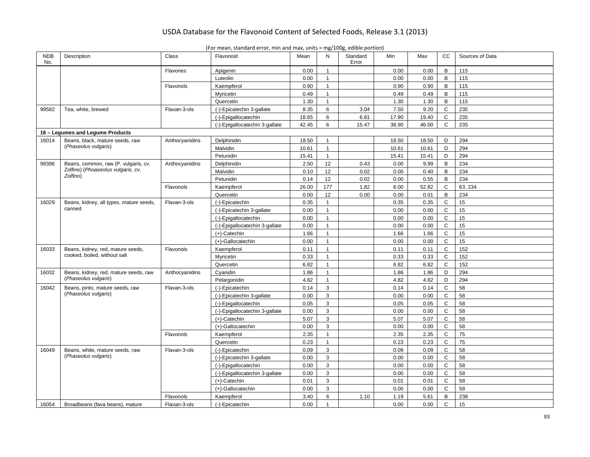| <b>NDB</b><br>No. | Description                             | Class          | Flavonoid                      | Mean  | N            | Standard<br>Error | <b>Min</b> | Max   | cc           | Sources of Data |
|-------------------|-----------------------------------------|----------------|--------------------------------|-------|--------------|-------------------|------------|-------|--------------|-----------------|
|                   |                                         | Flavones       | Apigenin                       | 0.00  | $\mathbf{1}$ |                   | 0.00       | 0.00  | B            | 115             |
|                   |                                         |                | Luteolin                       | 0.00  | $\mathbf{1}$ |                   | 0.00       | 0.00  | B            | 115             |
|                   |                                         | Flavonols      | Kaempferol                     | 0.90  | $\mathbf{1}$ |                   | 0.90       | 0.90  | B            | 115             |
|                   |                                         |                | Myricetin                      | 0.49  | $\mathbf{1}$ |                   | 0.49       | 0.49  | B            | 115             |
|                   |                                         |                | Quercetin                      | 1.30  | $\mathbf{1}$ |                   | 1.30       | 1.30  | B            | 115             |
| 99582             | Tea, white, brewed                      | Flavan-3-ols   | (-)-Epicatechin 3-gallate      | 8.35  | 6            | 3.04              | 7.50       | 9.20  | C            | 235             |
|                   |                                         |                | (-)-Epigallocatechin           | 18.65 | 6            | 6.81              | 17.90      | 19.40 | $\mathsf{C}$ | 235             |
|                   |                                         |                | (-)-Epigallocatechin 3-gallate | 42.45 | 6            | 15.47             | 38.90      | 46.00 | $\mathsf{C}$ | 235             |
|                   | 16 - Legumes and Legume Products        |                |                                |       |              |                   |            |       |              |                 |
| 16014             | Beans, black, mature seeds, raw         | Anthocyanidins | Delphinidin                    | 18.50 | $\mathbf{1}$ |                   | 18.50      | 18.50 | D            | 294             |
|                   | (Phaseolus vulgaris)                    |                | Malvidin                       | 10.61 | $\mathbf{1}$ |                   | 10.61      | 10.61 | D            | 294             |
|                   |                                         |                | Petunidin                      | 15.41 | 1            |                   | 15.41      | 15.41 | D            | 294             |
| 99396             | Beans, common, raw (P. vulgaris, cv.    | Anthocyanidins | Delphinidin                    | 2.50  | 12           | 0.43              | 0.00       | 9.99  | $\mathsf B$  | 234             |
|                   | Zolfino) (Phoaseolus vulgaris, cv.      |                | Malvidin                       | 0.10  | 12           | 0.02              | 0.00       | 0.40  | B            | 234             |
|                   | Zolfino)                                |                | Petunidin                      | 0.14  | 12           | 0.02              | 0.00       | 0.55  | $\mathsf B$  | 234             |
|                   |                                         | Flavonols      | Kaempferol                     | 26.00 | 177          | 1.82              | 8.00       | 52.82 | $\mathsf C$  | 63, 234         |
|                   |                                         |                | Quercetin                      | 0.00  | 12           | 0.00              | 0.00       | 0.01  | B            | 234             |
| 16029             | Beans, kidney, all types, mature seeds, | Flavan-3-ols   | (-)-Epicatechin                | 0.35  | $\mathbf{1}$ |                   | 0.35       | 0.35  | $\mathsf{C}$ | 15              |
|                   | canned                                  |                | (-)-Epicatechin 3-gallate      | 0.00  | $\mathbf{1}$ |                   | 0.00       | 0.00  | $\mathbf C$  | 15              |
|                   |                                         |                | (-)-Epigallocatechin           | 0.00  | $\mathbf{1}$ |                   | 0.00       | 0.00  | $\mathbf C$  | 15              |
|                   |                                         |                | (-)-Epigallocatechin 3-gallate | 0.00  | $\mathbf{1}$ |                   | 0.00       | 0.00  | $\mathsf{C}$ | 15              |
|                   |                                         |                | $(+)$ -Catechin                | 1.66  | $\mathbf{1}$ |                   | 1.66       | 1.66  | $\mathsf{C}$ | 15              |
|                   |                                         |                | (+)-Gallocatechin              | 0.00  | $\mathbf{1}$ |                   | 0.00       | 0.00  | $\mathsf C$  | 15              |
| 16033             | Beans, kidney, red, mature seeds,       | Flavonols      | Kaempferol                     | 0.11  | $\mathbf{1}$ |                   | 0.11       | 0.11  | $\mathsf{C}$ | 152             |
|                   | cooked, boiled, without salt            |                | Myricetin                      | 0.33  | $\mathbf{1}$ |                   | 0.33       | 0.33  | $\mathsf C$  | 152             |
|                   |                                         |                | Quercetin                      | 6.82  | $\mathbf{1}$ |                   | 6.82       | 6.82  | $\mathsf C$  | 152             |
| 16032             | Beans, kidney, red, mature seeds, raw   | Anthocyanidins | Cyanidin                       | 1.86  | $\mathbf{1}$ |                   | 1.86       | 1.86  | D            | 294             |
|                   | (Phaseolus vulgaris)                    |                | Pelargonidin                   | 4.82  | $\mathbf{1}$ |                   | 4.82       | 4.82  | D            | 294             |
| 16042             | Beans, pinto, mature seeds, raw         | Flavan-3-ols   | (-)-Epicatechin                | 0.14  | $\mathbf{3}$ |                   | 0.14       | 0.14  | C            | 58              |
|                   | (Phaseolus vulgaris)                    |                | (-)-Epicatechin 3-gallate      | 0.00  | 3            |                   | 0.00       | 0.00  | $\mathbf C$  | 58              |
|                   |                                         |                | (-)-Epigallocatechin           | 0.05  | 3            |                   | 0.05       | 0.05  | $\mathbf C$  | 58              |
|                   |                                         |                | (-)-Epigallocatechin 3-gallate | 0.00  | 3            |                   | 0.00       | 0.00  | $\mathsf{C}$ | 58              |
|                   |                                         |                | $(+)$ -Catechin                | 5.07  | 3            |                   | 5.07       | 5.07  | $\mathsf{C}$ | 58              |
|                   |                                         |                | (+)-Gallocatechin              | 0.00  | 3            |                   | 0.00       | 0.00  | $\mathbf C$  | 58              |
|                   |                                         | Flavonols      | Kaempferol                     | 2.35  | $\mathbf{1}$ |                   | 2.35       | 2.35  | $\mathsf{C}$ | 75              |
|                   |                                         |                | Quercetin                      | 0.23  | $\mathbf{1}$ |                   | 0.23       | 0.23  | $\mathsf{C}$ | 75              |
| 16049             | Beans, white, mature seeds, raw         | Flavan-3-ols   | (-)-Epicatechin                | 0.09  | 3            |                   | 0.09       | 0.09  | $\mathbf C$  | 58              |
|                   | (Phaseolus vulgaris)                    |                | (-)-Epicatechin 3-gallate      | 0.00  | 3            |                   | 0.00       | 0.00  | $\mathsf{C}$ | 58              |
|                   |                                         |                | (-)-Epigallocatechin           | 0.00  | 3            |                   | 0.00       | 0.00  | $\mathsf{C}$ | 58              |
|                   |                                         |                | (-)-Epigallocatechin 3-gallate | 0.00  | 3            |                   | 0.00       | 0.00  | $\mathbf C$  | 58              |
|                   |                                         |                | $(+)$ -Catechin                | 0.01  | 3            |                   | 0.01       | 0.01  | $\mathsf{C}$ | 58              |
|                   |                                         |                | (+)-Gallocatechin              | 0.00  | 3            |                   | 0.00       | 0.00  | $\mathbf C$  | 58              |
|                   |                                         | Flavonols      | Kaempferol                     | 3.40  | 6            | 1.10              | 1.19       | 5.61  | B            | 238             |
| 16054             | Broadbeans (fava beans), mature         | Flavan-3-ols   | (-)-Epicatechin                | 0.00  | $\mathbf{1}$ |                   | 0.00       | 0.00  | $\mathsf{C}$ | 15              |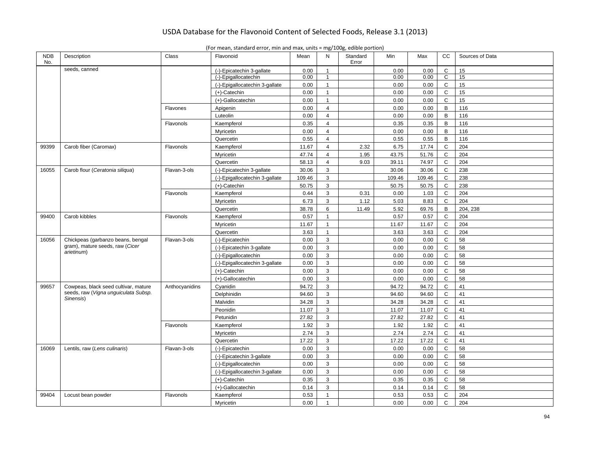| (For mean, standard error, min and max, units $=$ mg/100g, edible portion) |  |  |  |  |
|----------------------------------------------------------------------------|--|--|--|--|
|                                                                            |  |  |  |  |

| <b>NDB</b><br>No. | Description                          | Class          | Flavonoid                      | Mean   | N              | Standard<br>Error | Min    | Max    | cc           | Sources of Data |
|-------------------|--------------------------------------|----------------|--------------------------------|--------|----------------|-------------------|--------|--------|--------------|-----------------|
|                   | seeds, canned                        |                | (-)-Epicatechin 3-gallate      | 0.00   | $\mathbf{1}$   |                   | 0.00   | 0.00   | $\mathsf C$  | 15              |
|                   |                                      |                | (-)-Epigallocatechin           | 0.00   | $\mathbf{1}$   |                   | 0.00   | 0.00   | C            | 15              |
|                   |                                      |                | (-)-Epigallocatechin 3-gallate | 0.00   | $\mathbf{1}$   |                   | 0.00   | 0.00   | $\mathsf{C}$ | 15              |
|                   |                                      |                | $(+)$ -Catechin                | 0.00   | $\mathbf{1}$   |                   | 0.00   | 0.00   | $\mathsf{C}$ | 15              |
|                   |                                      |                | (+)-Gallocatechin              | 0.00   | $\mathbf{1}$   |                   | 0.00   | 0.00   | $\mathsf{C}$ | 15              |
|                   |                                      | Flavones       | Apigenin                       | 0.00   | $\overline{4}$ |                   | 0.00   | 0.00   | $\mathsf B$  | 116             |
|                   |                                      |                | Luteolin                       | 0.00   | $\overline{4}$ |                   | 0.00   | 0.00   | $\mathsf{B}$ | 116             |
|                   |                                      | Flavonols      | Kaempferol                     | 0.35   | $\overline{4}$ |                   | 0.35   | 0.35   | B            | 116             |
|                   |                                      |                | Myricetin                      | 0.00   | $\overline{4}$ |                   | 0.00   | 0.00   | $\mathsf B$  | 116             |
|                   |                                      |                | Quercetin                      | 0.55   | $\overline{4}$ |                   | 0.55   | 0.55   | B            | 116             |
| 99399             | Carob fiber (Caromax)                | Flavonols      | Kaempferol                     | 11.67  | $\overline{4}$ | 2.32              | 6.75   | 17.74  | $\mathsf{C}$ | 204             |
|                   |                                      |                | Myricetin                      | 47.74  | $\overline{4}$ | 1.95              | 43.75  | 51.76  | $\mathsf C$  | 204             |
|                   |                                      |                | Quercetin                      | 58.13  | $\overline{4}$ | 9.03              | 39.11  | 74.97  | $\mathsf{C}$ | 204             |
| 16055             | Carob flour (Ceratonia siliqua)      | Flavan-3-ols   | (-)-Epicatechin 3-gallate      | 30.06  | 3              |                   | 30.06  | 30.06  | $\mathsf{C}$ | 238             |
|                   |                                      |                | (-)-Epigallocatechin 3-gallate | 109.46 | $\mathbf{3}$   |                   | 109.46 | 109.46 | $\mathsf{C}$ | 238             |
|                   |                                      |                | $(+)$ -Catechin                | 50.75  | 3              |                   | 50.75  | 50.75  | $\mathsf C$  | 238             |
|                   |                                      | Flavonols      | Kaempferol                     | 0.44   | 3              | 0.31              | 0.00   | 1.03   | $\mathsf{C}$ | 204             |
|                   |                                      |                | Myricetin                      | 6.73   | $\mathbf{3}$   | 1.12              | 5.03   | 8.83   | $\mathbf C$  | 204             |
|                   |                                      |                | Quercetin                      | 38.78  | 6              | 11.49             | 5.92   | 69.76  | B            | 204, 238        |
| 99400             | Carob kibbles                        | Flavonols      | Kaempferol                     | 0.57   | $\overline{1}$ |                   | 0.57   | 0.57   | $\mathbf C$  | 204             |
|                   |                                      |                | Myricetin                      | 11.67  | $\mathbf{1}$   |                   | 11.67  | 11.67  | $\mathsf C$  | 204             |
|                   |                                      |                | Quercetin                      | 3.63   | $\mathbf{1}$   |                   | 3.63   | 3.63   | $\mathsf{C}$ | 204             |
| 16056             | Chickpeas (garbanzo beans, bengal    | Flavan-3-ols   | (-)-Epicatechin                | 0.00   | 3              |                   | 0.00   | 0.00   | $\mathsf C$  | 58              |
|                   | gram), mature seeds, raw (Cicer      |                | (-)-Epicatechin 3-gallate      | 0.00   | 3              |                   | 0.00   | 0.00   | $\mathsf{C}$ | 58              |
|                   | arietinum)                           |                | (-)-Epigallocatechin           | 0.00   | 3              |                   | 0.00   | 0.00   | $\mathsf{C}$ | 58              |
|                   |                                      |                | (-)-Epigallocatechin 3-gallate | 0.00   | $\mathbf{3}$   |                   | 0.00   | 0.00   | C            | 58              |
|                   |                                      |                | $(+)$ -Catechin                | 0.00   | 3              |                   | 0.00   | 0.00   | $\mathsf{C}$ | 58              |
|                   |                                      |                | (+)-Gallocatechin              | 0.00   | 3              |                   | 0.00   | 0.00   | $\mathsf C$  | 58              |
| 99657             | Cowpeas, black seed cultivar, mature | Anthocyanidins | Cyanidin                       | 94.72  | $\mathbf{3}$   |                   | 94.72  | 94.72  | $\mathsf{C}$ | 41              |
|                   | seeds, raw (Vigna unguiculata Subsp. |                | Delphinidin                    | 94.60  | 3              |                   | 94.60  | 94.60  | C            | 41              |
|                   | Sinensis)                            |                | Malvidin                       | 34.28  | $\mathbf{3}$   |                   | 34.28  | 34.28  | $\mathsf{C}$ | 41              |
|                   |                                      |                | Peonidin                       | 11.07  | 3              |                   | 11.07  | 11.07  | $\mathsf C$  | 41              |
|                   |                                      |                | Petunidin                      | 27.82  | 3              |                   | 27.82  | 27.82  | $\mathsf{C}$ | 41              |
|                   |                                      | Flavonols      | Kaempferol                     | 1.92   | 3              |                   | 1.92   | 1.92   | $\mathsf C$  | 41              |
|                   |                                      |                | Myricetin                      | 2.74   | 3              |                   | 2.74   | 2.74   | $\mathbf C$  | 41              |
|                   |                                      |                | Quercetin                      | 17.22  | 3              |                   | 17.22  | 17.22  | $\mathsf{C}$ | 41              |
| 16069             | Lentils, raw (Lens culinaris)        | Flavan-3-ols   | (-)-Epicatechin                | 0.00   | 3              |                   | 0.00   | 0.00   | C            | 58              |
|                   |                                      |                | (-)-Epicatechin 3-gallate      | 0.00   | 3              |                   | 0.00   | 0.00   | $\mathbf C$  | 58              |
|                   |                                      |                | (-)-Epigallocatechin           | 0.00   | 3              |                   | 0.00   | 0.00   | $\mathsf C$  | 58              |
|                   |                                      |                | (-)-Epigallocatechin 3-gallate | 0.00   | 3              |                   | 0.00   | 0.00   | $\mathsf{C}$ | 58              |
|                   |                                      |                | $(+)$ -Catechin                | 0.35   | 3              |                   | 0.35   | 0.35   | C            | 58              |
|                   |                                      |                | (+)-Gallocatechin              | 0.14   | $\mathbf{3}$   |                   | 0.14   | 0.14   | $\mathbf C$  | 58              |
| 99404             | Locust bean powder                   | Flavonols      | Kaempferol                     | 0.53   | $\mathbf{1}$   |                   | 0.53   | 0.53   | $\mathsf C$  | 204             |
|                   |                                      |                | Myricetin                      | 0.00   | $\overline{1}$ |                   | 0.00   | 0.00   | $\mathbf C$  | 204             |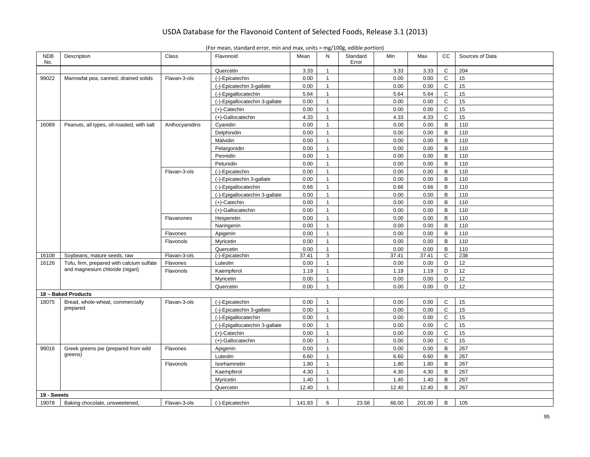|  | (For mean, standard error, min and max, units $=$ mg/100g, edible portion) |  |  |
|--|----------------------------------------------------------------------------|--|--|
|  |                                                                            |  |  |

| <b>NDB</b><br>No. | Description                                | Class          | Flavonoid                      | Mean   | N              | Standard<br>Error | Min   | Max    | cc           | Sources of Data |
|-------------------|--------------------------------------------|----------------|--------------------------------|--------|----------------|-------------------|-------|--------|--------------|-----------------|
|                   |                                            |                | Quercetin                      | 3.33   | $\mathbf{1}$   |                   | 3.33  | 3.33   | $\mathsf{C}$ | 204             |
| 99022             | Marrowfat pea, canned, drained solids      | Flavan-3-ols   | (-)-Epicatechin                | 0.00   | $\mathbf{1}$   |                   | 0.00  | 0.00   | C            | 15              |
|                   |                                            |                | (-)-Epicatechin 3-gallate      | 0.00   | $\mathbf{1}$   |                   | 0.00  | 0.00   | C            | 15              |
|                   |                                            |                | (-)-Epigallocatechin           | 5.64   | $\mathbf{1}$   |                   | 5.64  | 5.64   | $\mathsf{C}$ | 15              |
|                   |                                            |                | (-)-Epigallocatechin 3-gallate | 0.00   | $\mathbf{1}$   |                   | 0.00  | 0.00   | $\mathsf{C}$ | 15              |
|                   |                                            |                | (+)-Catechin                   | 0.00   | $\mathbf{1}$   |                   | 0.00  | 0.00   | C            | 15              |
|                   |                                            |                | (+)-Gallocatechin              | 4.33   | $\overline{1}$ |                   | 4.33  | 4.33   | $\mathsf{C}$ | 15              |
| 16089             | Peanuts, all types, oil-roasted, with salt | Anthocyanidins | Cyanidin                       | 0.00   | $\overline{1}$ |                   | 0.00  | 0.00   | B            | 110             |
|                   |                                            |                | Delphinidin                    | 0.00   | $\mathbf{1}$   |                   | 0.00  | 0.00   | B            | 110             |
|                   |                                            |                | Malvidin                       | 0.00   | $\mathbf{1}$   |                   | 0.00  | 0.00   | B            | 110             |
|                   |                                            |                | Pelargonidin                   | 0.00   | $\mathbf{1}$   |                   | 0.00  | 0.00   | В            | 110             |
|                   |                                            |                | Peonidin                       | 0.00   | $\mathbf{1}$   |                   | 0.00  | 0.00   | B            | 110             |
|                   |                                            |                | Petunidin                      | 0.00   | $\mathbf{1}$   |                   | 0.00  | 0.00   | B            | 110             |
|                   |                                            | Flavan-3-ols   | (-)-Epicatechin                | 0.00   | $\mathbf{1}$   |                   | 0.00  | 0.00   | B            | 110             |
|                   |                                            |                | (-)-Epicatechin 3-gallate      | 0.00   | $\mathbf{1}$   |                   | 0.00  | 0.00   | В            | 110             |
|                   |                                            |                | (-)-Epigallocatechin           | 0.66   | $\mathbf{1}$   |                   | 0.66  | 0.66   | B            | 110             |
|                   |                                            |                | (-)-Epigallocatechin 3-gallate | 0.00   | $\mathbf{1}$   |                   | 0.00  | 0.00   | B            | 110             |
|                   |                                            |                | $(+)$ -Catechin                | 0.00   | $\overline{1}$ |                   | 0.00  | 0.00   | B            | 110             |
|                   |                                            |                | (+)-Gallocatechin              | 0.00   | $\mathbf{1}$   |                   | 0.00  | 0.00   | B            | 110             |
|                   |                                            | Flavanones     | Hesperetin                     | 0.00   | $\overline{1}$ |                   | 0.00  | 0.00   | B            | 110             |
|                   |                                            |                | Naringenin                     | 0.00   | $\mathbf{1}$   |                   | 0.00  | 0.00   | B            | 110             |
|                   |                                            | Flavones       | Apigenin                       | 0.00   | $\overline{1}$ |                   | 0.00  | 0.00   | B            | 110             |
|                   |                                            | Flavonols      | Myricetin                      | 0.00   | $\mathbf{1}$   |                   | 0.00  | 0.00   | B            | 110             |
|                   |                                            |                | Quercetin                      | 0.00   | $\mathbf{1}$   |                   | 0.00  | 0.00   | B            | 110             |
| 16108             | Soybeans, mature seeds, raw                | Flavan-3-ols   | (-)-Epicatechin                | 37.41  | 3              |                   | 37.41 | 37.41  | C            | 238             |
| 16126             | Tofu, firm, prepared with calcium sulfate  | Flavones       | Luteolin                       | 0.00   | $\overline{1}$ |                   | 0.00  | 0.00   | D            | 12              |
|                   | and magnesium chloride (nigari)            | Flavonols      | Kaempferol                     | 1.19   | $\mathbf{1}$   |                   | 1.19  | 1.19   | D            | 12              |
|                   |                                            |                | Myricetin                      | 0.00   | $\overline{1}$ |                   | 0.00  | 0.00   | D            | 12              |
|                   |                                            |                | Quercetin                      | 0.00   | $\mathbf{1}$   |                   | 0.00  | 0.00   | D            | 12              |
|                   | 18 - Baked Products                        |                |                                |        |                |                   |       |        |              |                 |
| 18075             | Bread, whole-wheat, commercially           | Flavan-3-ols   | (-)-Epicatechin                | 0.00   | $\mathbf{1}$   |                   | 0.00  | 0.00   | $\mathsf{C}$ | 15              |
|                   | prepared                                   |                | (-)-Epicatechin 3-gallate      | 0.00   | $\mathbf{1}$   |                   | 0.00  | 0.00   | $\mathsf C$  | 15              |
|                   |                                            |                | (-)-Epigallocatechin           | 0.00   | $\mathbf{1}$   |                   | 0.00  | 0.00   | C            | 15              |
|                   |                                            |                | (-)-Epigallocatechin 3-gallate | 0.00   | $\mathbf{1}$   |                   | 0.00  | 0.00   | $\mathsf{C}$ | 15              |
|                   |                                            |                | $(+)$ -Catechin                | 0.00   | $\mathbf{1}$   |                   | 0.00  | 0.00   | C            | 15              |
|                   |                                            |                | (+)-Gallocatechin              | 0.00   | $\overline{1}$ |                   | 0.00  | 0.00   | $\mathsf C$  | 15              |
| 99016             | Greek greens pie (prepared from wild       | Flavones       | Apigenin                       | 0.00   | $\mathbf{1}$   |                   | 0.00  | 0.00   | B            | 267             |
|                   | greens)                                    |                | Luteolin                       | 6.60   | $\overline{1}$ |                   | 6.60  | 6.60   | B            | 267             |
|                   |                                            | Flavonols      | Isorhamnetin                   | 1.80   | $\mathbf{1}$   |                   | 1.80  | 1.80   | B            | 267             |
|                   |                                            |                | Kaempferol                     | 4.30   | $\overline{1}$ |                   | 4.30  | 4.30   | B            | 267             |
|                   |                                            |                | Myricetin                      | 1.40   | $\mathbf{1}$   |                   | 1.40  | 1.40   | B            | 267             |
|                   |                                            |                | Quercetin                      | 12.40  | $\mathbf{1}$   |                   | 12.40 | 12.40  | B            | 267             |
| 19 - Sweets       |                                            |                |                                |        |                |                   |       |        |              |                 |
| 19078             | Baking chocolate, unsweetened,             | Flavan-3-ols   | (-)-Epicatechin                | 141.83 | 6              | 23.58             | 66.00 | 201.00 | В            | 105             |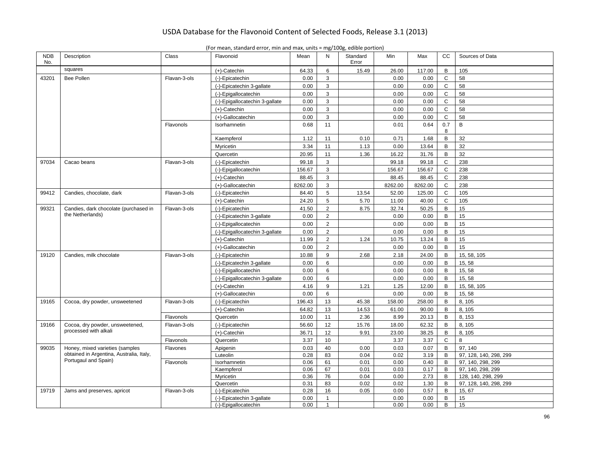| <b>NDB</b><br>No. | Description                              | Class        | Flavonoid                      | Mean    | N               | Standard<br>Error | Min     | Max     | cc           | Sources of Data        |
|-------------------|------------------------------------------|--------------|--------------------------------|---------|-----------------|-------------------|---------|---------|--------------|------------------------|
|                   | squares                                  |              | (+)-Catechin                   | 64.33   | 6               | 15.49             | 26.00   | 117.00  | B            | 105                    |
| 43201             | <b>Bee Pollen</b>                        | Flavan-3-ols | (-)-Epicatechin                | 0.00    | 3               |                   | 0.00    | 0.00    | $\mathsf{C}$ | 58                     |
|                   |                                          |              | (-)-Epicatechin 3-gallate      | 0.00    | 3               |                   | 0.00    | 0.00    | $\mathsf{C}$ | 58                     |
|                   |                                          |              | (-)-Epigallocatechin           | 0.00    | 3               |                   | 0.00    | 0.00    | $\mathsf{C}$ | 58                     |
|                   |                                          |              | (-)-Epigallocatechin 3-gallate | 0.00    | 3               |                   | 0.00    | 0.00    | $\mathsf C$  | 58                     |
|                   |                                          |              | $(+)$ -Catechin                | 0.00    | 3               |                   | 0.00    | 0.00    | $\mathsf{C}$ | 58                     |
|                   |                                          |              | (+)-Gallocatechin              | 0.00    | 3               |                   | 0.00    | 0.00    | $\mathsf{C}$ | 58                     |
|                   |                                          | Flavonols    | Isorhamnetin                   | 0.68    | 11              |                   | 0.01    | 0.64    | 0.7<br>8     | B                      |
|                   |                                          |              | Kaempferol                     | 1.12    | 11              | 0.10              | 0.71    | 1.68    | $\sf B$      | 32                     |
|                   |                                          |              | Myricetin                      | 3.34    | 11              | 1.13              | 0.00    | 13.64   | B            | 32                     |
|                   |                                          |              | Quercetin                      | 20.95   | 11              | 1.36              | 16.22   | 31.76   | B            | 32                     |
| 97034             | Cacao beans                              | Flavan-3-ols | (-)-Epicatechin                | 99.18   | 3               |                   | 99.18   | 99.18   | $\mathsf{C}$ | 238                    |
|                   |                                          |              | (-)-Epigallocatechin           | 156.67  | 3               |                   | 156.67  | 156.67  | $\mathsf C$  | 238                    |
|                   |                                          |              | (+)-Catechin                   | 88.45   | 3               |                   | 88.45   | 88.45   | $\mathsf C$  | 238                    |
|                   |                                          |              | (+)-Gallocatechin              | 8262.00 | 3               |                   | 8262.00 | 8262.00 | $\mathsf{C}$ | 238                    |
| 99412             | Candies, chocolate, dark                 | Flavan-3-ols | (-)-Epicatechin                | 84.40   | $5\phantom{.0}$ | 13.54             | 52.00   | 125.00  | $\mathsf{C}$ | 105                    |
|                   |                                          |              | (+)-Catechin                   | 24.20   | 5               | 5.70              | 11.00   | 40.00   | $\mathsf C$  | 105                    |
| 99321             | Candies, dark chocolate (purchased in    | Flavan-3-ols | (-)-Epicatechin                | 41.50   | $\overline{2}$  | 8.75              | 32.74   | 50.25   | B            | 15                     |
|                   | the Netherlands)                         |              | (-)-Epicatechin 3-gallate      | 0.00    | $\overline{2}$  |                   | 0.00    | 0.00    | B            | 15                     |
|                   |                                          |              | (-)-Epigallocatechin           | 0.00    | $\overline{2}$  |                   | 0.00    | 0.00    | B            | 15                     |
|                   |                                          |              | (-)-Epigallocatechin 3-gallate | 0.00    | $\overline{2}$  |                   | 0.00    | 0.00    | B            | 15                     |
|                   |                                          |              | (+)-Catechin                   | 11.99   | $\overline{2}$  | 1.24              | 10.75   | 13.24   | B            | 15                     |
|                   |                                          |              | (+)-Gallocatechin              | 0.00    | 2               |                   | 0.00    | 0.00    | B            | 15                     |
| 19120             | Candies, milk chocolate                  | Flavan-3-ols | (-)-Epicatechin                | 10.88   | 9               | 2.68              | 2.18    | 24.00   | B            | 15, 58, 105            |
|                   |                                          |              | (-)-Epicatechin 3-gallate      | 0.00    | 6               |                   | 0.00    | 0.00    | B            | 15, 58                 |
|                   |                                          |              | (-)-Epigallocatechin           | 0.00    | 6               |                   | 0.00    | 0.00    | B            | 15, 58                 |
|                   |                                          |              | (-)-Epigallocatechin 3-gallate | 0.00    | 6               |                   | 0.00    | 0.00    | B            | 15, 58                 |
|                   |                                          |              | (+)-Catechin                   | 4.16    | 9               | 1.21              | 1.25    | 12.00   | B            | 15, 58, 105            |
|                   |                                          |              | (+)-Gallocatechin              | 0.00    | 6               |                   | 0.00    | 0.00    | B            | 15, 58                 |
| 19165             | Cocoa, dry powder, unsweetened           | Flavan-3-ols | (-)-Epicatechin                | 196.43  | 13              | 45.38             | 158.00  | 258.00  | B            | 8, 105                 |
|                   |                                          |              | $(+)$ -Catechin                | 64.82   | 13              | 14.53             | 61.00   | 90.00   | B            | 8, 105                 |
|                   |                                          | Flavonols    | Quercetin                      | 10.00   | 11              | 2.36              | 8.99    | 20.13   | B            | 8, 153                 |
| 19166             | Cocoa, dry powder, unsweetened,          | Flavan-3-ols | (-)-Epicatechin                | 56.60   | 12              | 15.76             | 18.00   | 62.32   | B            | 8, 105                 |
|                   | processed with alkali                    |              | (+)-Catechin                   | 36.71   | 12              | 9.91              | 23.00   | 38.25   | B            | 8, 105                 |
|                   |                                          | Flavonols    | Quercetin                      | 3.37    | 10              |                   | 3.37    | 3.37    | $\mathsf{C}$ | 8                      |
| 99035             | Honey, mixed varieties (samples          | Flavones     | Apigenin                       | 0.03    | 40              | 0.00              | 0.03    | 0.07    | B            | 97, 140                |
|                   | obtained in Argentina, Australia, Italy, |              | Luteolin                       | 0.28    | 83              | 0.04              | 0.02    | 3.19    | B            | 97, 128, 140, 298, 299 |
|                   | Portugaul and Spain)                     | Flavonols    | Isorhamnetin                   | 0.06    | 61              | 0.01              | 0.00    | 0.40    | B            | 97, 140, 298, 299      |
|                   |                                          |              | Kaempferol                     | 0.06    | 67              | 0.01              | 0.03    | 0.17    | B            | 97, 140, 298, 299      |
|                   |                                          |              | Myricetin                      | 0.36    | 76              | 0.04              | 0.00    | 2.73    | B            | 128, 140, 298, 299     |
|                   |                                          |              | Quercetin                      | 0.31    | 83              | 0.02              | 0.02    | 1.30    | B            | 97, 128, 140, 298, 299 |
| 19719             | Jams and preserves, apricot              | Flavan-3-ols | (-)-Epicatechin                | 0.28    | 16              | 0.05              | 0.00    | 0.57    | B            | 15, 67                 |
|                   |                                          |              | (-)-Epicatechin 3-gallate      | 0.00    | $\mathbf{1}$    |                   | 0.00    | 0.00    | B            | 15                     |
|                   |                                          |              | (-)-Epigallocatechin           | 0.00    | $\mathbf{1}$    |                   | 0.00    | 0.00    | B            | 15                     |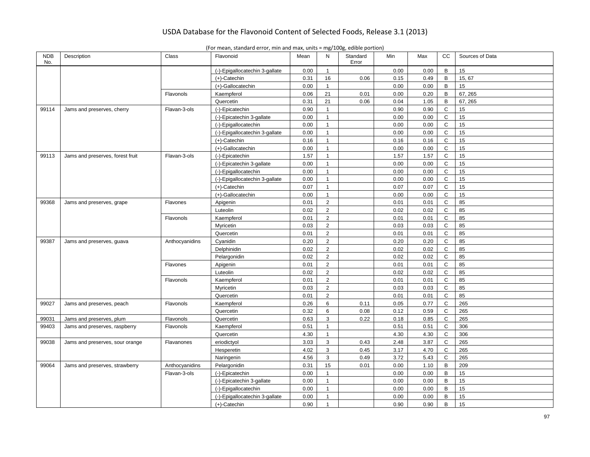|  | (For mean, standard error, min and max, units $=$ mg/100g, edible portion) |
|--|----------------------------------------------------------------------------|
|--|----------------------------------------------------------------------------|

| <b>NDB</b><br>No. | Description                      | Class          | Flavonoid                      | Mean | N              | Standard<br>Error | Min  | Max  | СC           | Sources of Data |
|-------------------|----------------------------------|----------------|--------------------------------|------|----------------|-------------------|------|------|--------------|-----------------|
|                   |                                  |                | (-)-Epigallocatechin 3-gallate | 0.00 | $\mathbf{1}$   |                   | 0.00 | 0.00 | B            | 15              |
|                   |                                  |                | $(+)$ -Catechin                | 0.31 | 16             | 0.06              | 0.15 | 0.49 | B            | 15, 67          |
|                   |                                  |                | (+)-Gallocatechin              | 0.00 | $\mathbf{1}$   |                   | 0.00 | 0.00 | B            | 15              |
|                   |                                  | Flavonols      | Kaempferol                     | 0.06 | 21             | 0.01              | 0.00 | 0.20 | B            | 67, 265         |
|                   |                                  |                | Quercetin                      | 0.31 | 21             | 0.06              | 0.04 | 1.05 | B            | 67, 265         |
| 99114             | Jams and preserves, cherry       | Flavan-3-ols   | (-)-Epicatechin                | 0.90 | $\mathbf{1}$   |                   | 0.90 | 0.90 | C            | 15              |
|                   |                                  |                | (-)-Epicatechin 3-gallate      | 0.00 | $\overline{1}$ |                   | 0.00 | 0.00 | $\mathbf C$  | 15              |
|                   |                                  |                | (-)-Epigallocatechin           | 0.00 | $\mathbf{1}$   |                   | 0.00 | 0.00 | $\mathsf{C}$ | 15              |
|                   |                                  |                | (-)-Epigallocatechin 3-gallate | 0.00 | $\mathbf{1}$   |                   | 0.00 | 0.00 | $\mathsf{C}$ | 15              |
|                   |                                  |                | $(+)$ -Catechin                | 0.16 | $\mathbf{1}$   |                   | 0.16 | 0.16 | C            | 15              |
|                   |                                  |                | (+)-Gallocatechin              | 0.00 | $\mathbf{1}$   |                   | 0.00 | 0.00 | $\mathsf{C}$ | 15              |
| 99113             | Jams and preserves, forest fruit | Flavan-3-ols   | (-)-Epicatechin                | 1.57 | $\mathbf{1}$   |                   | 1.57 | 1.57 | C            | 15              |
|                   |                                  |                | (-)-Epicatechin 3-gallate      | 0.00 | $\mathbf{1}$   |                   | 0.00 | 0.00 | $\mathsf{C}$ | 15              |
|                   |                                  |                | (-)-Epigallocatechin           | 0.00 | $\mathbf{1}$   |                   | 0.00 | 0.00 | $\mathsf{C}$ | 15              |
|                   |                                  |                | (-)-Epigallocatechin 3-gallate | 0.00 | $\mathbf{1}$   |                   | 0.00 | 0.00 | $\mathsf C$  | 15              |
|                   |                                  |                | (+)-Catechin                   | 0.07 | $\mathbf{1}$   |                   | 0.07 | 0.07 | $\mathbf C$  | 15              |
|                   |                                  |                | (+)-Gallocatechin              | 0.00 | $\mathbf{1}$   |                   | 0.00 | 0.00 | $\mathsf{C}$ | 15              |
| 99368             | Jams and preserves, grape        | Flavones       | Apigenin                       | 0.01 | $\overline{2}$ |                   | 0.01 | 0.01 | $\mathsf{C}$ | 85              |
|                   |                                  |                | Luteolin                       | 0.02 | $\overline{2}$ |                   | 0.02 | 0.02 | $\mathsf C$  | 85              |
|                   |                                  | Flavonols      | Kaempferol                     | 0.01 | $\overline{2}$ |                   | 0.01 | 0.01 | C            | 85              |
|                   |                                  |                | Myricetin                      | 0.03 | 2              |                   | 0.03 | 0.03 | $\mathsf{C}$ | 85              |
|                   |                                  |                | Quercetin                      | 0.01 | 2              |                   | 0.01 | 0.01 | C            | 85              |
| 99387             | Jams and preserves, guava        | Anthocyanidins | Cyanidin                       | 0.20 | $\overline{2}$ |                   | 0.20 | 0.20 | $\mathbf C$  | 85              |
|                   |                                  |                | Delphinidin                    | 0.02 | $\overline{2}$ |                   | 0.02 | 0.02 | $\mathsf{C}$ | 85              |
|                   |                                  |                | Pelargonidin                   | 0.02 | $\overline{2}$ |                   | 0.02 | 0.02 | $\mathbf C$  | 85              |
|                   |                                  | Flavones       | Apigenin                       | 0.01 | $\overline{2}$ |                   | 0.01 | 0.01 | C            | 85              |
|                   |                                  |                | Luteolin                       | 0.02 | $\overline{2}$ |                   | 0.02 | 0.02 | $\mathsf{C}$ | 85              |
|                   |                                  | Flavonols      | Kaempferol                     | 0.01 | 2              |                   | 0.01 | 0.01 | $\mathsf{C}$ | 85              |
|                   |                                  |                | Myricetin                      | 0.03 | $\overline{2}$ |                   | 0.03 | 0.03 | $\mathbf C$  | 85              |
|                   |                                  |                | Quercetin                      | 0.01 | $\overline{2}$ |                   | 0.01 | 0.01 | $\mathbf C$  | 85              |
| 99027             | Jams and preserves, peach        | Flavonols      | Kaempferol                     | 0.26 | 6              | 0.11              | 0.05 | 0.77 | $\mathbf C$  | 265             |
|                   |                                  |                | Quercetin                      | 0.32 | 6              | 0.08              | 0.12 | 0.59 | C            | 265             |
| 99031             | Jams and preserves, plum         | Flavonols      | Quercetin                      | 0.63 | 3              | 0.22              | 0.18 | 0.85 | C            | 265             |
| 99403             | Jams and preserves, raspberry    | Flavonols      | Kaempferol                     | 0.51 | $\mathbf{1}$   |                   | 0.51 | 0.51 | $\mathsf C$  | 306             |
|                   |                                  |                | Quercetin                      | 4.30 | $\mathbf{1}$   |                   | 4.30 | 4.30 | $\mathbf C$  | 306             |
| 99038             | Jams and preserves, sour orange  | Flavanones     | eriodictyol                    | 3.03 | 3              | 0.43              | 2.48 | 3.87 | C            | 265             |
|                   |                                  |                | Hesperetin                     | 4.02 | $\mathbf{3}$   | 0.45              | 3.17 | 4.70 | $\mathsf{C}$ | 265             |
|                   |                                  |                | Naringenin                     | 4.56 | 3              | 0.49              | 3.72 | 5.43 | C            | 265             |
| 99064             | Jams and preserves, strawberry   | Anthocyanidins | Pelargonidin                   | 0.31 | 15             | 0.01              | 0.00 | 1.10 | В            | 209             |
|                   |                                  | Flavan-3-ols   | (-)-Epicatechin                | 0.00 | $\mathbf{1}$   |                   | 0.00 | 0.00 | B            | 15              |
|                   |                                  |                | (-)-Epicatechin 3-gallate      | 0.00 | $\mathbf{1}$   |                   | 0.00 | 0.00 | B            | 15              |
|                   |                                  |                | (-)-Epigallocatechin           | 0.00 | $\mathbf{1}$   |                   | 0.00 | 0.00 | B            | 15              |
|                   |                                  |                | (-)-Epigallocatechin 3-gallate | 0.00 | $\overline{1}$ |                   | 0.00 | 0.00 | B            | 15              |
|                   |                                  |                | $(+)$ -Catechin                | 0.90 | $\overline{1}$ |                   | 0.90 | 0.90 | B            | 15              |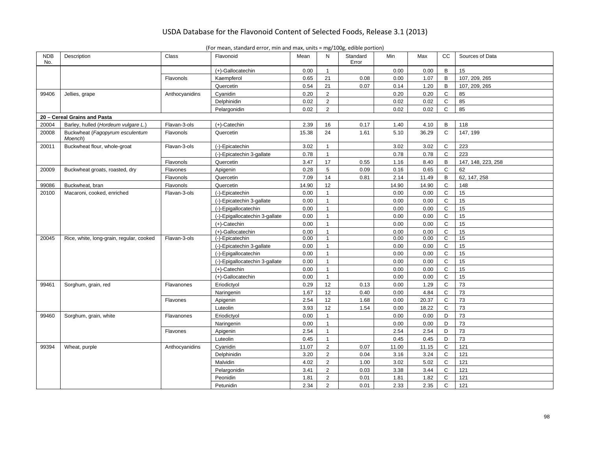| <b>NDB</b><br>No. | Description                                | Class          | Flavonoid                      | Mean  | N              | Standard<br>Error | Min   | Max   | cc           | Sources of Data    |
|-------------------|--------------------------------------------|----------------|--------------------------------|-------|----------------|-------------------|-------|-------|--------------|--------------------|
|                   |                                            |                | (+)-Gallocatechin              | 0.00  | $\mathbf{1}$   |                   | 0.00  | 0.00  | B            | 15                 |
|                   |                                            | Flavonols      | Kaempferol                     | 0.65  | 21             | 0.08              | 0.00  | 1.07  | $\, {\sf B}$ | 107, 209, 265      |
|                   |                                            |                | Quercetin                      | 0.54  | 21             | 0.07              | 0.14  | 1.20  | $\, {\sf B}$ | 107, 209, 265      |
| 99406             | Jellies, grape                             | Anthocyanidins | Cyanidin                       | 0.20  | $\overline{2}$ |                   | 0.20  | 0.20  | $\mathsf{C}$ | 85                 |
|                   |                                            |                | Delphinidin                    | 0.02  | $\overline{2}$ |                   | 0.02  | 0.02  | $\mathsf{C}$ | 85                 |
|                   |                                            |                | Pelargonidin                   | 0.02  | $\overline{2}$ |                   | 0.02  | 0.02  | $\mathbf C$  | 85                 |
|                   | 20 - Cereal Grains and Pasta               |                |                                |       |                |                   |       |       |              |                    |
| 20004             | Barley, hulled (Hordeum vulgare L.)        | Flavan-3-ols   | (+)-Catechin                   | 2.39  | 16             | 0.17              | 1.40  | 4.10  | B            | 118                |
| 20008             | Buckwheat (Fagopyrum esculentum<br>Moench) | Flavonols      | Quercetin                      | 15.38 | 24             | 1.61              | 5.10  | 36.29 | $\mathsf{C}$ | 147, 199           |
| 20011             | Buckwheat flour, whole-groat               | Flavan-3-ols   | (-)-Epicatechin                | 3.02  | $\mathbf{1}$   |                   | 3.02  | 3.02  | C            | 223                |
|                   |                                            |                | (-)-Epicatechin 3-gallate      | 0.78  | $\mathbf{1}$   |                   | 0.78  | 0.78  | $\mathsf{C}$ | 223                |
|                   |                                            | Flavonols      | Quercetin                      | 3.47  | 17             | 0.55              | 1.16  | 8.40  | B            | 147, 148, 223, 258 |
| 20009             | Buckwheat groats, roasted, dry             | Flavones       | Apigenin                       | 0.28  | 5              | 0.09              | 0.16  | 0.65  | $\mathsf{C}$ | 62                 |
|                   |                                            | Flavonols      | Quercetin                      | 7.09  | 14             | 0.81              | 2.14  | 11.49 | $\, {\sf B}$ | 62, 147, 258       |
| 99086             | Buckwheat, bran                            | Flavonols      | Quercetin                      | 14.90 | 12             |                   | 14.90 | 14.90 | $\mathbf C$  | 148                |
| 20100             | Macaroni, cooked, enriched                 | Flavan-3-ols   | (-)-Epicatechin                | 0.00  | $\mathbf{1}$   |                   | 0.00  | 0.00  | $\mathsf{C}$ | 15                 |
|                   |                                            |                | (-)-Epicatechin 3-gallate      | 0.00  | $\mathbf{1}$   |                   | 0.00  | 0.00  | $\mathsf{C}$ | 15                 |
|                   |                                            |                | (-)-Epigallocatechin           | 0.00  | $\mathbf{1}$   |                   | 0.00  | 0.00  | $\mathsf C$  | 15                 |
|                   |                                            |                | (-)-Epigallocatechin 3-gallate | 0.00  | $\mathbf{1}$   |                   | 0.00  | 0.00  | $\mathbf C$  | 15                 |
|                   |                                            |                | $(+)$ -Catechin                | 0.00  | $\mathbf{1}$   |                   | 0.00  | 0.00  | $\mathsf{C}$ | 15                 |
|                   |                                            |                | (+)-Gallocatechin              | 0.00  | $\mathbf{1}$   |                   | 0.00  | 0.00  | $\mathsf{C}$ | 15                 |
| 20045             | Rice, white, long-grain, regular, cooked   | Flavan-3-ols   | (-)-Epicatechin                | 0.00  | $\mathbf{1}$   |                   | 0.00  | 0.00  | C            | 15                 |
|                   |                                            |                | (-)-Epicatechin 3-gallate      | 0.00  | $\mathbf{1}$   |                   | 0.00  | 0.00  | C            | 15                 |
|                   |                                            |                | (-)-Epigallocatechin           | 0.00  | $\mathbf{1}$   |                   | 0.00  | 0.00  | $\mathsf{C}$ | 15                 |
|                   |                                            |                | (-)-Epigallocatechin 3-gallate | 0.00  | $\mathbf{1}$   |                   | 0.00  | 0.00  | $\mathsf{C}$ | 15                 |
|                   |                                            |                | (+)-Catechin                   | 0.00  | $\mathbf{1}$   |                   | 0.00  | 0.00  | $\mathbf C$  | 15                 |
|                   |                                            |                | (+)-Gallocatechin              | 0.00  | $\mathbf{1}$   |                   | 0.00  | 0.00  | $\mathbf C$  | 15                 |
| 99461             | Sorghum, grain, red                        | Flavanones     | Eriodictyol                    | 0.29  | 12             | 0.13              | 0.00  | 1.29  | $\mathbf C$  | 73                 |
|                   |                                            |                | Naringenin                     | 1.67  | 12             | 0.40              | 0.00  | 4.84  | $\mathsf{C}$ | 73                 |
|                   |                                            | Flavones       | Apigenin                       | 2.54  | 12             | 1.68              | 0.00  | 20.37 | C            | 73                 |
|                   |                                            |                | Luteolin                       | 3.93  | 12             | 1.54              | 0.00  | 18.22 | $\mathsf{C}$ | 73                 |
| 99460             | Sorghum, grain, white                      | Flavanones     | Eriodictyol                    | 0.00  | $\mathbf{1}$   |                   | 0.00  | 0.00  | D            | 73                 |
|                   |                                            |                | Naringenin                     | 0.00  | $\mathbf{1}$   |                   | 0.00  | 0.00  | D            | 73                 |
|                   |                                            | Flavones       | Apigenin                       | 2.54  | $\mathbf{1}$   |                   | 2.54  | 2.54  | D            | 73                 |
|                   |                                            |                | Luteolin                       | 0.45  | $\mathbf{1}$   |                   | 0.45  | 0.45  | D            | 73                 |
| 99394             | Wheat, purple                              | Anthocyanidins | Cyanidin                       | 11.07 | $\overline{2}$ | 0.07              | 11.00 | 11.15 | $\mathsf{C}$ | 121                |
|                   |                                            |                | Delphinidin                    | 3.20  | $\overline{2}$ | 0.04              | 3.16  | 3.24  | $\mathsf{C}$ | 121                |
|                   |                                            |                | Malvidin                       | 4.02  | $\overline{2}$ | 1.00              | 3.02  | 5.02  | C            | 121                |
|                   |                                            |                | Pelargonidin                   | 3.41  | $\overline{2}$ | 0.03              | 3.38  | 3.44  | $\mathsf{C}$ | 121                |
|                   |                                            |                | Peonidin                       | 1.81  | $\overline{2}$ | 0.01              | 1.81  | 1.82  | $\mathsf{C}$ | 121                |
|                   |                                            |                | Petunidin                      | 2.34  | 2              | 0.01              | 2.33  | 2.35  | $\mathsf{C}$ | 121                |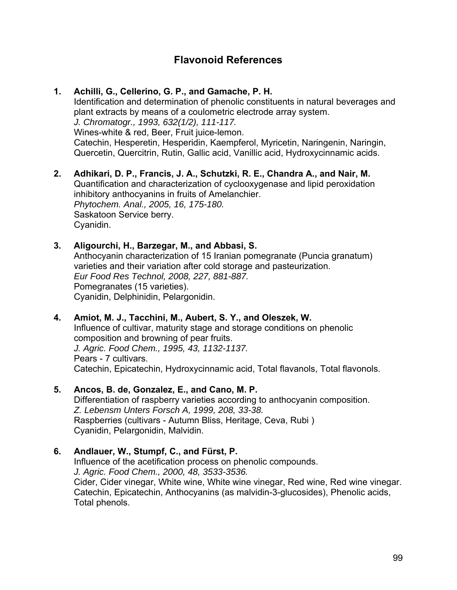# **Flavonoid References**

- **1. Achilli, G., Cellerino, G. P., and Gamache, P. H.**  Identification and determination of phenolic constituents in natural beverages and plant extracts by means of a coulometric electrode array system. *J. Chromatogr., 1993, 632(1/2), 111-117.*  Wines-white & red, Beer, Fruit juice-lemon. Catechin, Hesperetin, Hesperidin, Kaempferol, Myricetin, Naringenin, Naringin, Quercetin, Quercitrin, Rutin, Gallic acid, Vanillic acid, Hydroxycinnamic acids.
- **2. Adhikari, D. P., Francis, J. A., Schutzki, R. E., Chandra A., and Nair, M.**  Quantification and characterization of cyclooxygenase and lipid peroxidation inhibitory anthocyanins in fruits of Amelanchier. *Phytochem. Anal., 2005, 16, 175-180.*  Saskatoon Service berry. Cyanidin.
- **3. Aligourchi, H., Barzegar, M., and Abbasi, S.**  Anthocyanin characterization of 15 Iranian pomegranate (Puncia granatum) varieties and their variation after cold storage and pasteurization. *Eur Food Res Technol, 2008, 227, 881-887.*  Pomegranates (15 varieties). Cyanidin, Delphinidin, Pelargonidin.
- **4. Amiot, M. J., Tacchini, M., Aubert, S. Y., and Oleszek, W.**  Influence of cultivar, maturity stage and storage conditions on phenolic composition and browning of pear fruits. *J. Agric. Food Chem., 1995, 43, 1132-1137.* Pears - 7 cultivars. Catechin, Epicatechin, Hydroxycinnamic acid, Total flavanols, Total flavonols.
- **5. Ancos, B. de, Gonzalez, E., and Cano, M. P.**  Differentiation of raspberry varieties according to anthocyanin composition. *Z. Lebensm Unters Forsch A, 1999, 208, 33-38.* Raspberries (cultivars - Autumn Bliss, Heritage, Ceva, Rubi ) Cyanidin, Pelargonidin, Malvidin.
- **6. Andlauer, W., Stumpf, C., and Fürst, P.**  Influence of the acetification process on phenolic compounds. *J. Agric. Food Chem., 2000, 48, 3533-3536.* Cider, Cider vinegar, White wine, White wine vinegar, Red wine, Red wine vinegar. Catechin, Epicatechin, Anthocyanins (as malvidin-3-glucosides), Phenolic acids, Total phenols.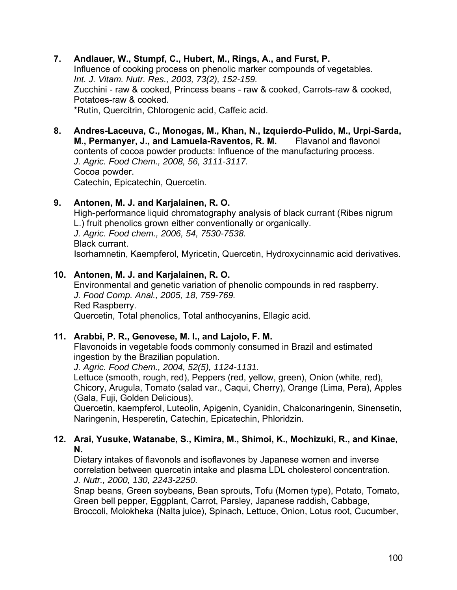- **7. Andlauer, W., Stumpf, C., Hubert, M., Rings, A., and Furst, P.**  Influence of cooking process on phenolic marker compounds of vegetables. *Int. J. Vitam. Nutr. Res., 2003, 73(2), 152-159.*  Zucchini - raw & cooked, Princess beans - raw & cooked, Carrots-raw & cooked, Potatoes-raw & cooked. \*Rutin, Quercitrin, Chlorogenic acid, Caffeic acid.
- **8. Andres-Laceuva, C., Monogas, M., Khan, N., Izquierdo-Pulido, M., Urpi-Sarda, M., Permanyer, J., and Lamuela-Raventos, R. M.** Flavanol and flavonol contents of cocoa powder products: Influence of the manufacturing process. *J. Agric. Food Chem., 2008, 56, 3111-3117.*  Cocoa powder. Catechin, Epicatechin, Quercetin.

# **9. Antonen, M. J. and Karjalainen, R. O.**

High-performance liquid chromatography analysis of black currant (Ribes nigrum L.) fruit phenolics grown either conventionally or organically. *J. Agric. Food chem., 2006, 54, 7530-7538.*  Black currant. Isorhamnetin, Kaempferol, Myricetin, Quercetin, Hydroxycinnamic acid derivatives.

# **10. Antonen, M. J. and Karjalainen, R. O.**

Environmental and genetic variation of phenolic compounds in red raspberry. *J. Food Comp. Anal., 2005, 18, 759-769.* Red Raspberry. Quercetin, Total phenolics, Total anthocyanins, Ellagic acid.

# **11. Arabbi, P. R., Genovese, M. I., and Lajolo, F. M.**

Flavonoids in vegetable foods commonly consumed in Brazil and estimated ingestion by the Brazilian population.

*J. Agric. Food Chem., 2004, 52(5), 1124-1131.* 

Lettuce (smooth, rough, red), Peppers (red, yellow, green), Onion (white, red), Chicory, Arugula, Tomato (salad var., Caqui, Cherry), Orange (Lima, Pera), Apples (Gala, Fuji, Golden Delicious).

Quercetin, kaempferol, Luteolin, Apigenin, Cyanidin, Chalconaringenin, Sinensetin, Naringenin, Hesperetin, Catechin, Epicatechin, Phloridzin.

### **12. Arai, Yusuke, Watanabe, S., Kimira, M., Shimoi, K., Mochizuki, R., and Kinae, N.**

Dietary intakes of flavonols and isoflavones by Japanese women and inverse correlation between quercetin intake and plasma LDL cholesterol concentration. *J. Nutr., 2000, 130, 2243-2250.* 

Snap beans, Green soybeans, Bean sprouts, Tofu (Momen type), Potato, Tomato, Green bell pepper, Eggplant, Carrot, Parsley, Japanese raddish, Cabbage, Broccoli, Molokheka (Nalta juice), Spinach, Lettuce, Onion, Lotus root, Cucumber,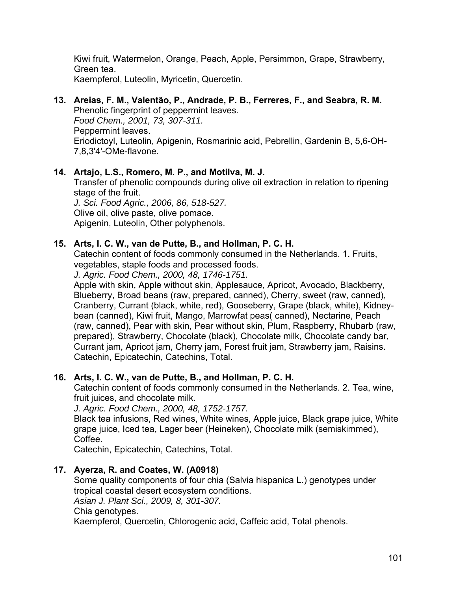Kiwi fruit, Watermelon, Orange, Peach, Apple, Persimmon, Grape, Strawberry, Green tea. Kaempferol, Luteolin, Myricetin, Quercetin.

# **13. Areias, F. M., Valentão, P., Andrade, P. B., Ferreres, F., and Seabra, R. M.**

Phenolic fingerprint of peppermint leaves. *Food Chem., 2001, 73, 307-311.* Peppermint leaves. Eriodictoyl, Luteolin, Apigenin, Rosmarinic acid, Pebrellin, Gardenin B, 5,6-OH-7,8,3'4'-OMe-flavone.

# **14. Artajo, L.S., Romero, M. P., and Motilva, M. J.**

Transfer of phenolic compounds during olive oil extraction in relation to ripening stage of the fruit. *J. Sci. Food Agric., 2006, 86, 518-527.*  Olive oil, olive paste, olive pomace. Apigenin, Luteolin, Other polyphenols.

### **15. Arts, I. C. W., van de Putte, B., and Hollman, P. C. H.**

Catechin content of foods commonly consumed in the Netherlands. 1. Fruits, vegetables, staple foods and processed foods.

*J. Agric. Food Chem., 2000, 48, 1746-1751.*

Apple with skin, Apple without skin, Applesauce, Apricot, Avocado, Blackberry, Blueberry, Broad beans (raw, prepared, canned), Cherry, sweet (raw, canned), Cranberry, Currant (black, white, red), Gooseberry, Grape (black, white), Kidneybean (canned), Kiwi fruit, Mango, Marrowfat peas( canned), Nectarine, Peach (raw, canned), Pear with skin, Pear without skin, Plum, Raspberry, Rhubarb (raw, prepared), Strawberry, Chocolate (black), Chocolate milk, Chocolate candy bar, Currant jam, Apricot jam, Cherry jam, Forest fruit jam, Strawberry jam, Raisins. Catechin, Epicatechin, Catechins, Total.

# **16. Arts, I. C. W., van de Putte, B., and Hollman, P. C. H.**

Catechin content of foods commonly consumed in the Netherlands. 2. Tea, wine, fruit juices, and chocolate milk.

*J. Agric. Food Chem., 2000, 48, 1752-1757.*

Black tea infusions, Red wines, White wines, Apple juice, Black grape juice, White grape juice, Iced tea, Lager beer (Heineken), Chocolate milk (semiskimmed), Coffee.

Catechin, Epicatechin, Catechins, Total.

# **17. Ayerza, R. and Coates, W. (A0918)**

Some quality components of four chia (Salvia hispanica L.) genotypes under tropical coastal desert ecosystem conditions. *Asian J. Plant Sci., 2009, 8, 301-307.*  Chia genotypes. Kaempferol, Quercetin, Chlorogenic acid, Caffeic acid, Total phenols.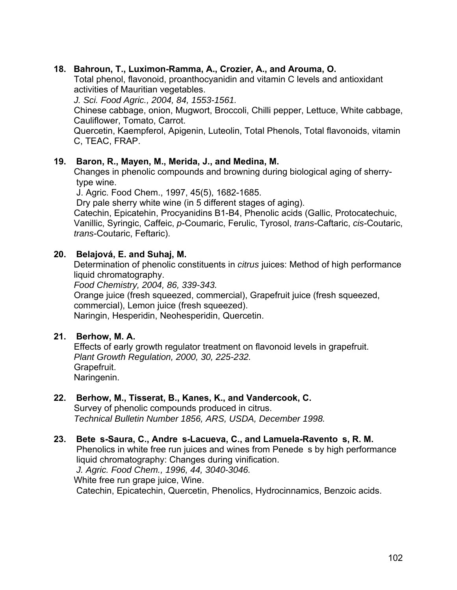### **18. Bahroun, T., Luximon-Ramma, A., Crozier, A., and Arouma, O.**

Total phenol, flavonoid, proanthocyanidin and vitamin C levels and antioxidant activities of Mauritian vegetables.

*J. Sci. Food Agric., 2004, 84, 1553-1561.* 

Chinese cabbage, onion, Mugwort, Broccoli, Chilli pepper, Lettuce, White cabbage, Cauliflower, Tomato, Carrot.

Quercetin, Kaempferol, Apigenin, Luteolin, Total Phenols, Total flavonoids, vitamin C, TEAC, FRAP.

### **19. Baron, R., Mayen, M., Merida, J., and Medina, M.**

Changes in phenolic compounds and browning during biological aging of sherry type wine.

J. Agric. Food Chem., 1997, 45(5), 1682-1685.

Dry pale sherry white wine (in 5 different stages of aging).

Catechin, Epicatehin, Procyanidins B1-B4, Phenolic acids (Gallic, Protocatechuic, Vanillic, Syringic, Caffeic, *p*-Coumaric, Ferulic, Tyrosol, *trans*-Caftaric, *cis*-Coutaric, *trans*-Coutaric, Feftaric).

### **20. Belajová, E. and Suhaj, M.**

Determination of phenolic constituents in *citrus* juices: Method of high performance liquid chromatography.

*Food Chemistry, 2004, 86, 339-343.* 

Orange juice (fresh squeezed, commercial), Grapefruit juice (fresh squeezed, commercial), Lemon juice (fresh squeezed).

Naringin, Hesperidin, Neohesperidin, Quercetin.

### **21. Berhow, M. A.**

Effects of early growth regulator treatment on flavonoid levels in grapefruit. *Plant Growth Regulation, 2000, 30, 225-232.* Grapefruit. Naringenin.

# **22. Berhow, M., Tisserat, B., Kanes, K., and Vandercook, C.**

Survey of phenolic compounds produced in citrus. *Technical Bulletin Number 1856, ARS, USDA, December 1998.* 

# 23. Bete s-Saura, C., Andre s-Lacueva, C., and Lamuela-Ravento s, R. M.

Phenolics in white free run juices and wines from Penede s by high performance liquid chromatography: Changes during vinification.  *J. Agric. Food Chem., 1996, 44, 3040-3046.* White free run grape juice, Wine.

Catechin, Epicatechin, Quercetin, Phenolics, Hydrocinnamics, Benzoic acids.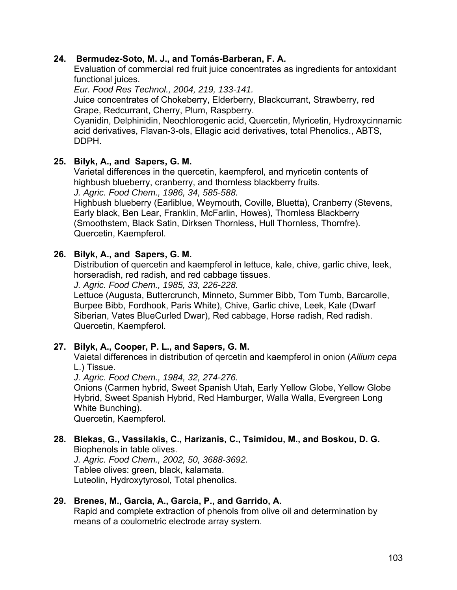### **24. Bermudez-Soto, M. J., and Tomás-Barberan, F. A.**

Evaluation of commercial red fruit juice concentrates as ingredients for antoxidant functional juices.

*Eur. Food Res Technol., 2004, 219, 133-141.* 

Juice concentrates of Chokeberry, Elderberry, Blackcurrant, Strawberry, red Grape, Redcurrant, Cherry, Plum, Raspberry.

Cyanidin, Delphinidin, Neochlorogenic acid, Quercetin, Myricetin, Hydroxycinnamic acid derivatives, Flavan-3-ols, Ellagic acid derivatives, total Phenolics., ABTS, DDPH.

# **25. Bilyk, A., and Sapers, G. M.**

 Varietal differences in the quercetin, kaempferol, and myricetin contents of highbush blueberry, cranberry, and thornless blackberry fruits.  *J. Agric. Food Chem., 1986, 34, 585-588.*

 Highbush blueberry (Earliblue, Weymouth, Coville, Bluetta), Cranberry (Stevens, Early black, Ben Lear, Franklin, McFarlin, Howes), Thornless Blackberry (Smoothstem, Black Satin, Dirksen Thornless, Hull Thornless, Thornfre). Quercetin, Kaempferol.

# **26. Bilyk, A., and Sapers, G. M.**

Distribution of quercetin and kaempferol in lettuce, kale, chive, garlic chive, leek, horseradish, red radish, and red cabbage tissues.

*J. Agric. Food Chem., 1985, 33, 226-228.*

Lettuce (Augusta, Buttercrunch, Minneto, Summer Bibb, Tom Tumb, Barcarolle, Burpee Bibb, Fordhook, Paris White), Chive, Garlic chive, Leek, Kale (Dwarf Siberian, Vates BlueCurled Dwar), Red cabbage, Horse radish, Red radish. Quercetin, Kaempferol.

# **27. Bilyk, A., Cooper, P. L., and Sapers, G. M.**

Vaietal differences in distribution of qercetin and kaempferol in onion (*Allium cepa* L.) Tissue.

*J. Agric. Food Chem., 1984, 32, 274-276.*

Onions (Carmen hybrid, Sweet Spanish Utah, Early Yellow Globe, Yellow Globe Hybrid, Sweet Spanish Hybrid, Red Hamburger, Walla Walla, Evergreen Long White Bunching).

Quercetin, Kaempferol.

### **28. Blekas, G., Vassilakis, C., Harizanis, C., Tsimidou, M., and Boskou, D. G.**  Biophenols in table olives.

*J. Agric. Food Chem., 2002, 50, 3688-3692.*  Tablee olives: green, black, kalamata. Luteolin, Hydroxytyrosol, Total phenolics.

# **29. Brenes, M., Garcia, A., Garcia, P., and Garrido, A.**

Rapid and complete extraction of phenols from olive oil and determination by means of a coulometric electrode array system.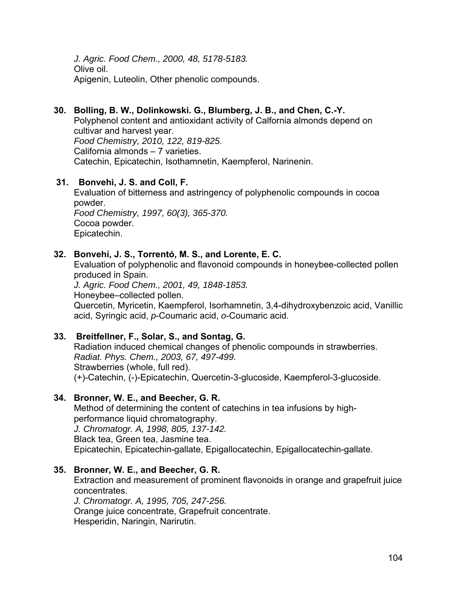*J. Agric. Food Chem., 2000, 48, 5178-5183.*  Olive oil. Apigenin, Luteolin, Other phenolic compounds.

# **30. Bolling, B. W., Dolinkowski. G., Blumberg, J. B., and Chen, C.-Y.**

 Polyphenol content and antioxidant activity of Calfornia almonds depend on cultivar and harvest year. *Food Chemistry, 2010, 122, 819-825.*  California almonds – 7 varieties. Catechin, Epicatechin, Isothamnetin, Kaempferol, Narinenin.

# **31. Bonvehi, J. S. and Coll, F.**

Evaluation of bitterness and astringency of polyphenolic compounds in cocoa powder. *Food Chemistry, 1997, 60(3), 365-370.* 

Cocoa powder. Epicatechin.

# **32. Bonvehí, J. S., Torrentó, M. S., and Lorente, E. C.**

Evaluation of polyphenolic and flavonoid compounds in honeybee-collected pollen produced in Spain.

*J. Agric. Food Chem., 2001, 49, 1848-1853.*

Honeybee–collected pollen.

Quercetin, Myricetin, Kaempferol, Isorhamnetin, 3,4-dihydroxybenzoic acid, Vanillic acid, Syringic acid, *p*-Coumaric acid, *o*-Coumaric acid.

# **33. Breitfellner, F., Solar, S., and Sontag, G.**

Radiation induced chemical changes of phenolic compounds in strawberries. *Radiat. Phys. Chem., 2003, 67, 497-499.*  Strawberries (whole, full red). (+)-Catechin, (-)-Epicatechin, Quercetin-3-glucoside, Kaempferol-3-glucoside.

# **34. Bronner, W. E., and Beecher, G. R.**

Method of determining the content of catechins in tea infusions by highperformance liquid chromatography. *J. Chromatogr. A, 1998, 805, 137-142.* Black tea, Green tea, Jasmine tea. Epicatechin, Epicatechin-gallate, Epigallocatechin, Epigallocatechin-gallate.

# **35. Bronner, W. E., and Beecher, G. R.**

Extraction and measurement of prominent flavonoids in orange and grapefruit juice concentrates.

*J. Chromatogr. A, 1995, 705, 247-256.* Orange juice concentrate, Grapefruit concentrate. Hesperidin, Naringin, Narirutin.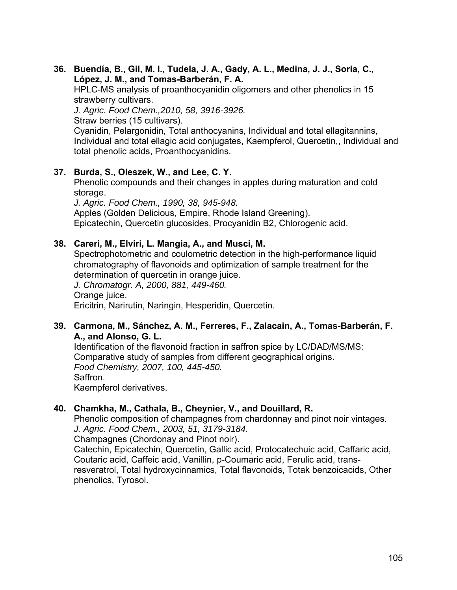**36. Buendía, B., Gil, M. I., Tudela, J. A., Gady, A. L., Medina, J. J., Soria, C., López, J. M., and Tomas-Barberán, F. A.** 

HPLC-MS analysis of proanthocyanidin oligomers and other phenolics in 15 strawberry cultivars.

*J. Agric. Food Chem.,2010, 58, 3916-3926.* 

Straw berries (15 cultivars).

Cyanidin, Pelargonidin, Total anthocyanins, Individual and total ellagitannins, Individual and total ellagic acid conjugates, Kaempferol, Quercetin,, Individual and total phenolic acids, Proanthocyanidins.

### **37. Burda, S., Oleszek, W., and Lee, C. Y.**

Phenolic compounds and their changes in apples during maturation and cold storage.

*J. Agric. Food Chem., 1990, 38, 945-948.* Apples (Golden Delicious, Empire, Rhode Island Greening). Epicatechin, Quercetin glucosides, Procyanidin B2, Chlorogenic acid.

### **38. Careri, M., Elviri, L. Mangia, A., and Musci, M.**

Spectrophotometric and coulometric detection in the high-performance liquid chromatography of flavonoids and optimization of sample treatment for the determination of quercetin in orange juice.

*J. Chromatogr. A, 2000, 881, 449-460.* Orange juice. Ericitrin, Narirutin, Naringin, Hesperidin, Quercetin.

### **39. Carmona, M., Sánchez, A. M., Ferreres, F., Zalacain, A., Tomas-Barberán, F. A., and Alonso, G. L.**

Identification of the flavonoid fraction in saffron spice by LC/DAD/MS/MS: Comparative study of samples from different geographical origins. *Food Chemistry, 2007, 100, 445-450.*  Saffron. Kaempferol derivatives.

# **40. Chamkha, M., Cathala, B., Cheynier, V., and Douillard, R.**

Phenolic composition of champagnes from chardonnay and pinot noir vintages. *J. Agric. Food Chem., 2003, 51, 3179-3184.* 

Champagnes (Chordonay and Pinot noir).

 Catechin, Epicatechin, Quercetin, Gallic acid, Protocatechuic acid, Caffaric acid, Coutaric acid, Caffeic acid, Vanillin, p-Coumaric acid, Ferulic acid, transresveratrol, Total hydroxycinnamics, Total flavonoids, Totak benzoicacids, Other phenolics, Tyrosol.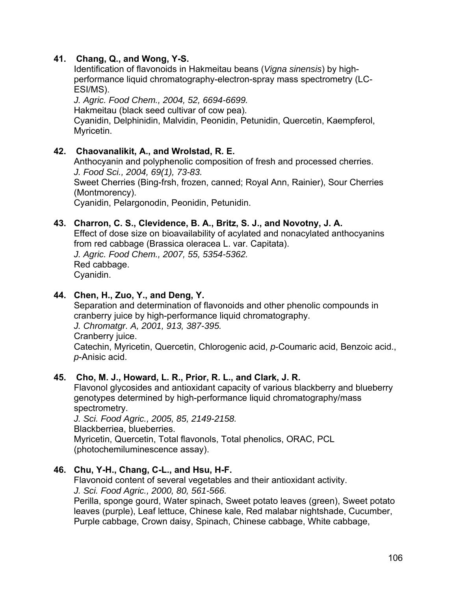## **41. Chang, Q., and Wong, Y-S.**

Identification of flavonoids in Hakmeitau beans (*Vigna sinensis*) by highperformance liquid chromatography-electron-spray mass spectrometry (LC-ESI/MS).

*J. Agric. Food Chem., 2004, 52, 6694-6699.* 

Hakmeitau (black seed cultivar of cow pea).

Cyanidin, Delphinidin, Malvidin, Peonidin, Petunidin, Quercetin, Kaempferol, Myricetin.

**42. Chaovanalikit, A., and Wrolstad, R. E.**  Anthocyanin and polyphenolic composition of fresh and processed cherries. *J. Food Sci., 2004, 69(1), 73-83.*  Sweet Cherries (Bing-frsh, frozen, canned; Royal Ann, Rainier), Sour Cherries (Montmorency). Cyanidin, Pelargonodin, Peonidin, Petunidin.

## **43. Charron, C. S., Clevidence, B. A., Britz, S. J., and Novotny, J. A.**

Effect of dose size on bioavailability of acylated and nonacylated anthocyanins from red cabbage (Brassica oleracea L. var. Capitata). *J. Agric. Food Chem., 2007, 55, 5354-5362.*  Red cabbage. Cyanidin.

## **44. Chen, H., Zuo, Y., and Deng, Y.**

Separation and determination of flavonoids and other phenolic compounds in cranberry juice by high-performance liquid chromatography. *J. Chromatgr. A, 2001, 913, 387-395.* Cranberry juice. Catechin, Myricetin, Quercetin, Chlorogenic acid, *p*-Coumaric acid, Benzoic acid., *p*-Anisic acid.

#### **45. Cho, M. J., Howard, L. R., Prior, R. L., and Clark, J. R.**

Flavonol glycosides and antioxidant capacity of various blackberry and blueberry genotypes determined by high-performance liquid chromatography/mass spectrometry.

*J. Sci. Food Agric., 2005, 85, 2149-2158.*  Blackberriea, blueberries. Myricetin, Quercetin, Total flavonols, Total phenolics, ORAC, PCL (photochemiluminescence assay).

## **46. Chu, Y-H., Chang, C-L., and Hsu, H-F.**

Flavonoid content of several vegetables and their antioxidant activity.

*J. Sci. Food Agric., 2000, 80, 561-566.*

Perilla, sponge gourd, Water spinach, Sweet potato leaves (green), Sweet potato leaves (purple), Leaf lettuce, Chinese kale, Red malabar nightshade, Cucumber, Purple cabbage, Crown daisy, Spinach, Chinese cabbage, White cabbage,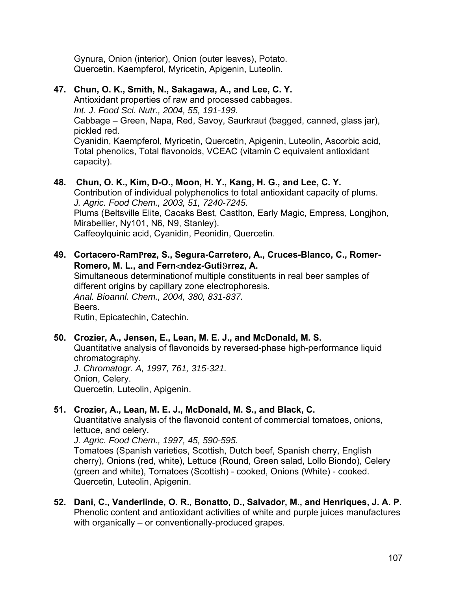Gynura, Onion (interior), Onion (outer leaves), Potato. Quercetin, Kaempferol, Myricetin, Apigenin, Luteolin.

- **47. Chun, O. K., Smith, N., Sakagawa, A., and Lee, C. Y.**  Antioxidant properties of raw and processed cabbages. *Int. J. Food Sci. Nutr., 2004, 55, 191-199.*  Cabbage – Green, Napa, Red, Savoy, Saurkraut (bagged, canned, glass jar), pickled red. Cyanidin, Kaempferol, Myricetin, Quercetin, Apigenin, Luteolin, Ascorbic acid, Total phenolics, Total flavonoids, VCEAC (vitamin C equivalent antioxidant capacity).
- **48. Chun, O. K., Kim, D-O., Moon, H. Y., Kang, H. G., and Lee, C. Y.**  Contribution of individual polyphenolics to total antioxidant capacity of plums. *J. Agric. Food Chem., 2003, 51, 7240-7245.*  Plums (Beltsville Elite, Cacaks Best, Castlton, Early Magic, Empress, Longjhon, Mirabellier, Ny101, N6, N9, Stanley). Caffeoylquinic acid, Cyanidin, Peonidin, Quercetin.
- **49. Cortacero-Ramrez, S., Segura-Carretero, A., Cruces-Blanco, C., Romer-Romero, M. L., and Fernndez-Gutirrez, A.**

Simultaneous determinationof multiple constituents in real beer samples of different origins by capillary zone electrophoresis. *Anal. Bioannl. Chem., 2004, 380, 831-837.* Beers. Rutin, Epicatechin, Catechin.

**50. Crozier, A., Jensen, E., Lean, M. E. J., and McDonald, M. S.**  Quantitative analysis of flavonoids by reversed-phase high-performance liquid chromatography. *J. Chromatogr. A, 1997, 761, 315-321.*  Onion, Celery.

Quercetin, Luteolin, Apigenin.

## **51. Crozier, A., Lean, M. E. J., McDonald, M. S., and Black, C.**

Quantitative analysis of the flavonoid content of commercial tomatoes, onions, lettuce, and celery.

*J. Agric. Food Chem., 1997, 45, 590-595.*

Tomatoes (Spanish varieties, Scottish, Dutch beef, Spanish cherry, English cherry), Onions (red, white), Lettuce (Round, Green salad, Lollo Biondo), Celery (green and white), Tomatoes (Scottish) - cooked, Onions (White) - cooked. Quercetin, Luteolin, Apigenin.

**52. Dani, C., Vanderlinde, O. R., Bonatto, D., Salvador, M., and Henriques, J. A. P.**  Phenolic content and antioxidant activities of white and purple juices manufactures with organically – or conventionally-produced grapes.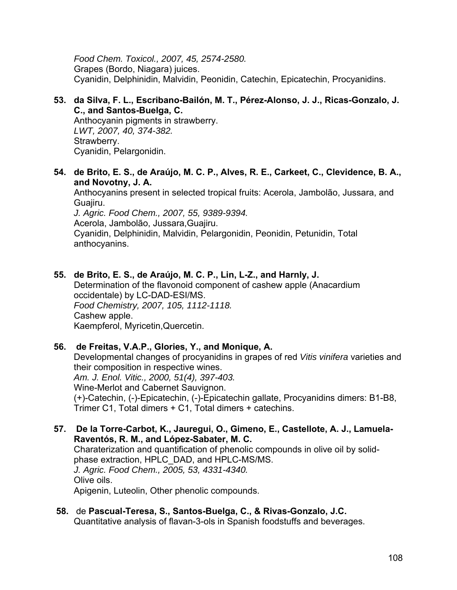*Food Chem. Toxicol., 2007, 45, 2574-2580.*  Grapes (Bordo, Niagara) juices. Cyanidin, Delphinidin, Malvidin, Peonidin, Catechin, Epicatechin, Procyanidins.

## **53. da Silva, F. L., Escribano-Bailón, M. T., Pérez-Alonso, J. J., Ricas-Gonzalo, J. C., and Santos-Buelga, C.**

 Anthocyanin pigments in strawberry. *LWT, 2007, 40, 374-382.*  Strawberry. Cyanidin, Pelargonidin.

## **54. de Brito, E. S., de Araújo, M. C. P., Alves, R. E., Carkeet, C., Clevidence, B. A., and Novotny, J. A.**

 Anthocyanins present in selected tropical fruits: Acerola, Jambolão, Jussara, and Guajiru.

*J. Agric. Food Chem., 2007, 55, 9389-9394.* 

Acerola, Jambolão, Jussara,Guajiru.

 Cyanidin, Delphinidin, Malvidin, Pelargonidin, Peonidin, Petunidin, Total anthocyanins.

## **55. de Brito, E. S., de Araújo, M. C. P., Lin, L-Z., and Harnly, J.**

 Determination of the flavonoid component of cashew apple (Anacardium occidentale) by LC-DAD-ESI/MS. *Food Chemistry, 2007, 105, 1112-1118.*  Cashew apple. Kaempferol, Myricetin,Quercetin.

## **56. de Freitas, V.A.P., Glories, Y., and Monique, A.**

Developmental changes of procyanidins in grapes of red *Vitis vinifera* varieties and their composition in respective wines. *Am. J. Enol. Vitic., 2000, 51(4), 397-403.*  Wine-Merlot and Cabernet Sauvignon. (+)-Catechin, (-)-Epicatechin, (-)-Epicatechin gallate, Procyanidins dimers: B1-B8, Trimer C1, Total dimers + C1, Total dimers + catechins.

#### **57. De la Torre-Carbot, K., Jauregui, O., Gimeno, E., Castellote, A. J., Lamuela-Raventós, R. M., and López-Sabater, M. C.**  Charaterization and quantification of phenolic compounds in olive oil by solid-

phase extraction, HPLC\_DAD, and HPLC-MS/MS. *J. Agric. Food Chem., 2005, 53, 4331-4340.* 

Olive oils.

Apigenin, Luteolin, Other phenolic compounds.

## **58.** de **Pascual-Teresa, S., Santos-Buelga, C., & Rivas-Gonzalo, J.C.**

Quantitative analysis of flavan-3-ols in Spanish foodstuffs and beverages.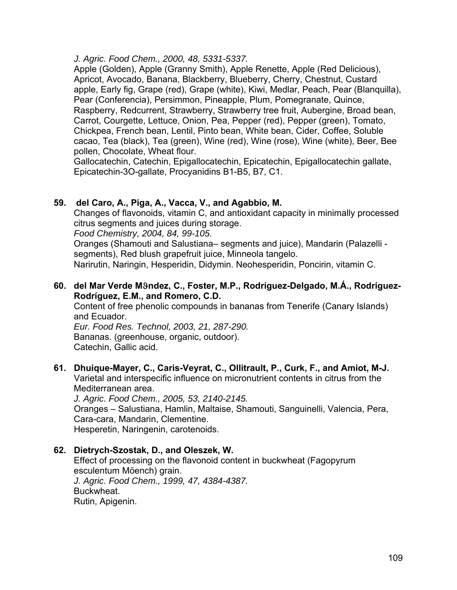#### *J. Agric. Food Chem., 2000, 48, 5331-5337.*

Apple (Golden), Apple (Granny Smith), Apple Renette, Apple (Red Delicious), Apricot, Avocado, Banana, Blackberry, Blueberry, Cherry, Chestnut, Custard apple, Early fig, Grape (red), Grape (white), Kiwi, Medlar, Peach, Pear (Blanquilla), Pear (Conferencia), Persimmon, Pineapple, Plum, Pomegranate, Quince, Raspberry, Redcurrent, Strawberry, Strawberry tree fruit, Aubergine, Broad bean, Carrot, Courgette, Lettuce, Onion, Pea, Pepper (red), Pepper (green), Tomato, Chickpea, French bean, Lentil, Pinto bean, White bean, Cider, Coffee, Soluble cacao, Tea (black), Tea (green), Wine (red), Wine (rose), Wine (white), Beer, Bee pollen, Chocolate, Wheat flour.

Gallocatechin, Catechin, Epigallocatechin, Epicatechin, Epigallocatechin gallate, Epicatechin-3O-gallate, Procyanidins B1-B5, B7, C1.

## **59. del Caro, A., Piga, A., Vacca, V., and Agabbio, M.**

Changes of flavonoids, vitamin C, and antioxidant capacity in minimally processed citrus segments and juices during storage.

*Food Chemistry, 2004, 84, 99-105.*

Oranges (Shamouti and Salustiana– segments and juice), Mandarin (Palazelli segments), Red blush grapefruit juice, Minneola tangelo.

Narirutin, Naringin, Hesperidin, Didymin. Neohesperidin, Poncirin, vitamin C.

#### **60. del Mar Verde Mndez, C., Foster, M.P., Rodríguez-Delgado, M.Á., Rodríguez-Rodríguez, E.M., and Romero, C.D.**

Content of free phenolic compounds in bananas from Tenerife (Canary Islands) and Ecuador.

*Eur. Food Res. Technol, 2003, 21, 287-290.* 

Bananas. (greenhouse, organic, outdoor).

Catechin, Gallic acid.

## **61. Dhuique-Mayer, C., Caris-Veyrat, C., Ollitrault, P., Curk, F., and Amiot, M-J.**

 Varietal and interspecific influence on micronutrient contents in citrus from the Mediterranean area.

*J. Agric. Food Chem., 2005, 53, 2140-2145.* 

 Oranges – Salustiana, Hamlin, Maltaise, Shamouti, Sanguinelli, Valencia, Pera, Cara-cara, Mandarin, Clementine.

Hesperetin, Naringenin, carotenoids.

## **62. Dietrych-Szostak, D., and Oleszek, W.**

Effect of processing on the flavonoid content in buckwheat (Fagopyrum esculentum Möench) grain. *J. Agric. Food Chem., 1999, 47, 4384-4387.* Buckwheat. Rutin, Apigenin.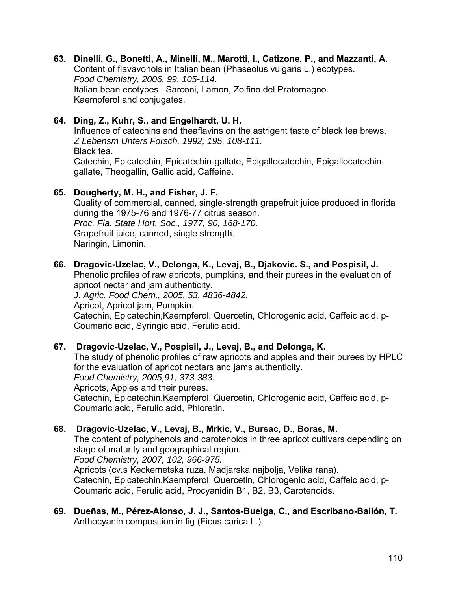- **63. Dinelli, G., Bonetti, A., Minelli, M., Marotti, I., Catizone, P., and Mazzanti, A.**  Content of flavavonols in Italian bean (Phaseolus vulgaris L.) ecotypes. *Food Chemistry, 2006, 99, 105-114.*  Italian bean ecotypes –Sarconi, Lamon, Zolfino del Pratomagno. Kaempferol and conjugates.
- **64. Ding, Z., Kuhr, S., and Engelhardt, U. H.**  Influence of catechins and theaflavins on the astrigent taste of black tea brews. *Z Lebensm Unters Forsch, 1992, 195, 108-111.* Black tea. Catechin, Epicatechin, Epicatechin-gallate, Epigallocatechin, Epigallocatechingallate, Theogallin, Gallic acid, Caffeine.

#### **65. Dougherty, M. H., and Fisher, J. F.**

Quality of commercial, canned, single-strength grapefruit juice produced in florida during the 1975-76 and 1976-77 citrus season. *Proc. Fla. State Hort. Soc., 1977, 90, 168-170.* Grapefruit juice, canned, single strength. Naringin, Limonin.

**66. Dragovic-Uzelac, V., Delonga, K., Levaj, B., Djakovic. S., and Pospisil, J.** 

 Phenolic profiles of raw apricots, pumpkins, and their purees in the evaluation of apricot nectar and jam authenticity.

*J. Agric. Food Chem., 2005, 53, 4836-4842.* 

Apricot, Apricot jam, Pumpkin.

 Catechin, Epicatechin,Kaempferol, Quercetin, Chlorogenic acid, Caffeic acid, p-Coumaric acid, Syringic acid, Ferulic acid.

## **67. Dragovic-Uzelac, V., Pospisil, J., Levaj, B., and Delonga, K.**

 The study of phenolic profiles of raw apricots and apples and their purees by HPLC for the evaluation of apricot nectars and jams authenticity.

*Food Chemistry, 2005,91, 373-383.* 

Apricots, Apples and their purees.

 Catechin, Epicatechin,Kaempferol, Quercetin, Chlorogenic acid, Caffeic acid, p-Coumaric acid, Ferulic acid, Phloretin.

#### **68. Dragovic-Uzelac, V., Levaj, B., Mrkic, V., Bursac, D., Boras, M.**

The content of polyphenols and carotenoids in three apricot cultivars depending on stage of maturity and geographical region.

*Food Chemistry, 2007, 102, 966-975.* 

Apricots (cv.s Keckemetska ruza, Madjarska najbolja, Velika rana).

 Catechin, Epicatechin,Kaempferol, Quercetin, Chlorogenic acid, Caffeic acid, p-Coumaric acid, Ferulic acid, Procyanidin B1, B2, B3, Carotenoids.

**69. Dueñas, M., Pérez-Alonso, J. J., Santos-Buelga, C., and Escribano-Bailón, T.**  Anthocyanin composition in fig (Ficus carica L.).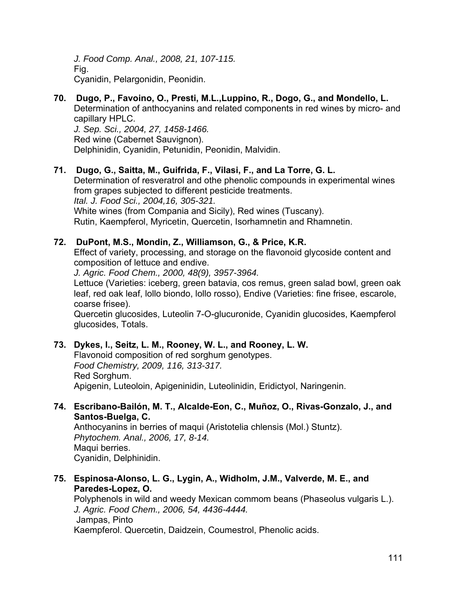*J. Food Comp. Anal., 2008, 21, 107-115.*  Fig. Cyanidin, Pelargonidin, Peonidin.

## **70. Dugo, P., Favoino, O., Presti, M.L.,Luppino, R., Dogo, G., and Mondello, L.**

Determination of anthocyanins and related components in red wines by micro- and capillary HPLC.

*J. Sep. Sci., 2004, 27, 1458-1466.*  Red wine (Cabernet Sauvignon). Delphinidin, Cyanidin, Petunidin, Peonidin, Malvidin.

## **71. Dugo, G., Saitta, M., Guifrida, F., Vilasi, F., and La Torre, G. L.**

Determination of resveratrol and othe phenolic compounds in experimental wines from grapes subjected to different pesticide treatments. *Ital. J. Food Sci., 2004,16, 305-321.* White wines (from Compania and Sicily), Red wines (Tuscany). Rutin, Kaempferol, Myricetin, Quercetin, Isorhamnetin and Rhamnetin.

## **72. DuPont, M.S., Mondin, Z., Williamson, G., & Price, K.R.**

Effect of variety, processing, and storage on the flavonoid glycoside content and composition of lettuce and endive.

*J. Agric. Food Chem., 2000, 48(9), 3957-3964.* 

Lettuce (Varieties: iceberg, green batavia, cos remus, green salad bowl, green oak leaf, red oak leaf, lollo biondo, lollo rosso), Endive (Varieties: fine frisee, escarole, coarse frisee).

Quercetin glucosides, Luteolin 7-O-glucuronide, Cyanidin glucosides, Kaempferol glucosides, Totals.

## **73. Dykes, l., Seitz, L. M., Rooney, W. L., and Rooney, L. W.**

 Flavonoid composition of red sorghum genotypes. *Food Chemistry, 2009, 116, 313-317.*  Red Sorghum. Apigenin, Luteoloin, Apigeninidin, Luteolinidin, Eridictyol, Naringenin.

#### **74. Escribano-Bailón, M. T., Alcalde-Eon, C., Muñoz, O., Rivas-Gonzalo, J., and Santos-Buelga, C.**

 Anthocyanins in berries of maqui (Aristotelia chlensis (Mol.) Stuntz). *Phytochem. Anal., 2006, 17, 8-14.*  Maqui berries. Cyanidin, Delphinidin.

## **75. Espinosa-Alonso, L. G., Lygin, A., Widholm, J.M., Valverde, M. E., and Paredes-Lopez, O.**

Polyphenols in wild and weedy Mexican commom beans (Phaseolus vulgaris L.). *J. Agric. Food Chem., 2006, 54, 4436-4444.*  Jampas, Pinto Kaempferol. Quercetin, Daidzein, Coumestrol, Phenolic acids.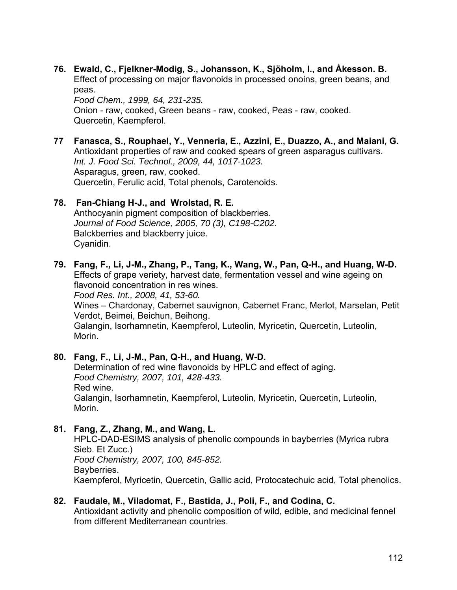**76. Ewald, C., Fjelkner-Modig, S., Johansson, K., Sjöholm, I., and Åkesson. B.**  Effect of processing on major flavonoids in processed onoins, green beans, and peas. *Food Chem., 1999, 64, 231-235.*

Onion - raw, cooked, Green beans - raw, cooked, Peas - raw, cooked. Quercetin, Kaempferol.

**77 Fanasca, S., Rouphael, Y., Venneria, E., Azzini, E., Duazzo, A., and Maiani, G.**  Antioxidant properties of raw and cooked spears of green asparagus cultivars. *Int. J. Food Sci. Technol., 2009, 44, 1017-1023.*  Asparagus, green, raw, cooked. Quercetin, Ferulic acid, Total phenols, Carotenoids.

#### **78. Fan-Chiang H-J., and Wrolstad, R. E.**  Anthocyanin pigment composition of blackberries. *Journal of Food Science, 2005, 70 (3), C198-C202.*  Balckberries and blackberry juice. Cyanidin.

**79. Fang, F., Li, J-M., Zhang, P., Tang, K., Wang, W., Pan, Q-H., and Huang, W-D.**  Effects of grape veriety, harvest date, fermentation vessel and wine ageing on flavonoid concentration in res wines. *Food Res. Int., 2008, 41, 53-60.*  Wines – Chardonay, Cabernet sauvignon, Cabernet Franc, Merlot, Marselan, Petit Verdot, Beimei, Beichun, Beihong. Galangin, Isorhamnetin, Kaempferol, Luteolin, Myricetin, Quercetin, Luteolin, Morin.

# **80. Fang, F., Li, J-M., Pan, Q-H., and Huang, W-D.**

Determination of red wine flavonoids by HPLC and effect of aging. *Food Chemistry, 2007, 101, 428-433.*  Red wine. Galangin, Isorhamnetin, Kaempferol, Luteolin, Myricetin, Quercetin, Luteolin, Morin.

## **81. Fang, Z., Zhang, M., and Wang, L.**

 HPLC-DAD-ESIMS analysis of phenolic compounds in bayberries (Myrica rubra Sieb. Et Zucc.) *Food Chemistry, 2007, 100, 845-852.*  Bayberries. Kaempferol, Myricetin, Quercetin, Gallic acid, Protocatechuic acid, Total phenolics.

## **82. Faudale, M., Viladomat, F., Bastida, J., Poli, F., and Codina, C.**

 Antioxidant activity and phenolic composition of wild, edible, and medicinal fennel from different Mediterranean countries.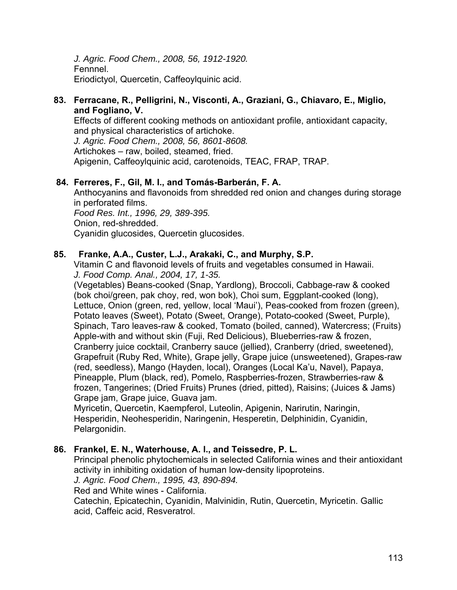*J. Agric. Food Chem., 2008, 56, 1912-1920.*  Fennnel. Eriodictyol, Quercetin, Caffeoylquinic acid.

#### **83. Ferracane, R., Pelligrini, N., Visconti, A., Graziani, G., Chiavaro, E., Miglio, and Fogliano, V.**

Effects of different cooking methods on antioxidant profile, antioxidant capacity, and physical characteristics of artichoke. *J. Agric. Food Chem., 2008, 56, 8601-8608.*  Artichokes – raw, boiled, steamed, fried.

Apigenin, Caffeoylquinic acid, carotenoids, TEAC, FRAP, TRAP.

## **84. Ferreres, F., Gil, M. I., and Tomás-Barberán, F. A.**

Anthocyanins and flavonoids from shredded red onion and changes during storage in perforated films. *Food Res. Int., 1996, 29, 389-395.*

Onion, red-shredded.

Cyanidin glucosides, Quercetin glucosides.

## **85. Franke, A.A., Custer, L.J., Arakaki, C., and Murphy, S.P.**

Vitamin C and flavonoid levels of fruits and vegetables consumed in Hawaii. *J. Food Comp. Anal., 2004, 17, 1-35.* 

(Vegetables) Beans-cooked (Snap, Yardlong), Broccoli, Cabbage-raw & cooked (bok choi/green, pak choy, red, won bok), Choi sum, Eggplant-cooked (long), Lettuce, Onion (green, red, yellow, local 'Maui'), Peas-cooked from frozen (green), Potato leaves (Sweet), Potato (Sweet, Orange), Potato-cooked (Sweet, Purple), Spinach, Taro leaves-raw & cooked, Tomato (boiled, canned), Watercress; (Fruits) Apple-with and without skin (Fuji, Red Delicious), Blueberries-raw & frozen, Cranberry juice cocktail, Cranberry sauce (jellied), Cranberry (dried, sweetened), Grapefruit (Ruby Red, White), Grape jelly, Grape juice (unsweetened), Grapes-raw (red, seedless), Mango (Hayden, local), Oranges (Local Ka'u, Navel), Papaya, Pineapple, Plum (black, red), Pomelo, Raspberries-frozen, Strawberries-raw & frozen, Tangerines; (Dried Fruits) Prunes (dried, pitted), Raisins; (Juices & Jams) Grape jam, Grape juice, Guava jam.

Myricetin, Quercetin, Kaempferol, Luteolin, Apigenin, Narirutin, Naringin, Hesperidin, Neohesperidin, Naringenin, Hesperetin, Delphinidin, Cyanidin, Pelargonidin.

## **86. Frankel, E. N., Waterhouse, A. l., and Teissedre, P. L.**

Principal phenolic phytochemicals in selected California wines and their antioxidant activity in inhibiting oxidation of human low-density lipoproteins.

*J. Agric. Food Chem., 1995, 43, 890-894.*

Red and White wines - California.

Catechin, Epicatechin, Cyanidin, Malvinidin, Rutin, Quercetin, Myricetin. Gallic acid, Caffeic acid, Resveratrol.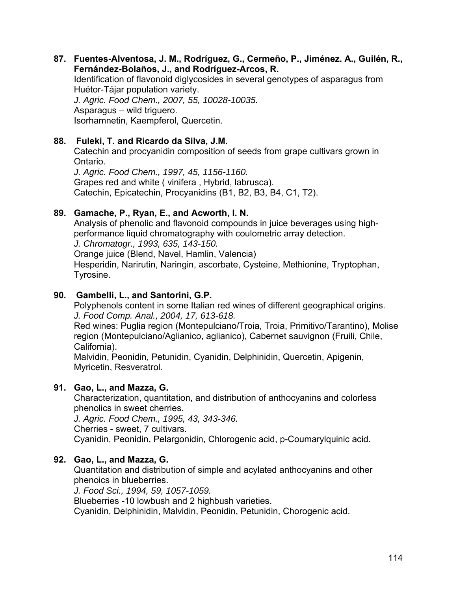**87. Fuentes-Alventosa, J. M., Rodríguez, G., Cermeño, P., Jiménez. A., Guilén, R., Fernández-Bolaños, J., and Rodríguez-Arcos, R.** 

 Identification of flavonoid diglycosides in several genotypes of asparagus from Huétor-Tájar population variety. *J. Agric. Food Chem., 2007, 55, 10028-10035.*  Asparagus – wild triguero.

Isorhamnetin, Kaempferol, Quercetin.

#### **88. Fuleki, T. and Ricardo da Silva, J.M.**

Catechin and procyanidin composition of seeds from grape cultivars grown in Ontario.

*J. Agric. Food Chem., 1997, 45, 1156-1160.*  Grapes red and white ( vinifera , Hybrid, labrusca). Catechin, Epicatechin, Procyanidins (B1, B2, B3, B4, C1, T2).

## **89. Gamache, P., Ryan, E., and Acworth, I. N.**

Analysis of phenolic and flavonoid compounds in juice beverages using highperformance liquid chromatography with coulometric array detection.

*J. Chromatogr., 1993, 635, 143-150.*

Orange juice (Blend, Navel, Hamlin, Valencia)

Hesperidin, Narirutin, Naringin, ascorbate, Cysteine, Methionine, Tryptophan, Tyrosine.

## **90. Gambelli, L., and Santorini, G.P.**

Polyphenols content in some Italian red wines of different geographical origins. *J. Food Comp. Anal., 2004, 17, 613-618.* 

Red wines: Puglia region (Montepulciano/Troia, Troia, Primitivo/Tarantino), Molise region (Montepulciano/Aglianico, aglianico), Cabernet sauvignon (Fruili, Chile, California).

Malvidin, Peonidin, Petunidin, Cyanidin, Delphinidin, Quercetin, Apigenin, Myricetin, Resveratrol.

## **91. Gao, L., and Mazza, G.**

Characterization, quantitation, and distribution of anthocyanins and colorless phenolics in sweet cherries.

*J. Agric. Food Chem., 1995, 43, 343-346.*

Cherries - sweet, 7 cultivars.

Cyanidin, Peonidin, Pelargonidin, Chlorogenic acid, p-Coumarylquinic acid.

#### **92. Gao, L., and Mazza, G.**

Quantitation and distribution of simple and acylated anthocyanins and other phenoics in blueberries.

*J. Food Sci., 1994, 59, 1057-1059.*

Blueberries -10 lowbush and 2 highbush varieties.

Cyanidin, Delphinidin, Malvidin, Peonidin, Petunidin, Chorogenic acid.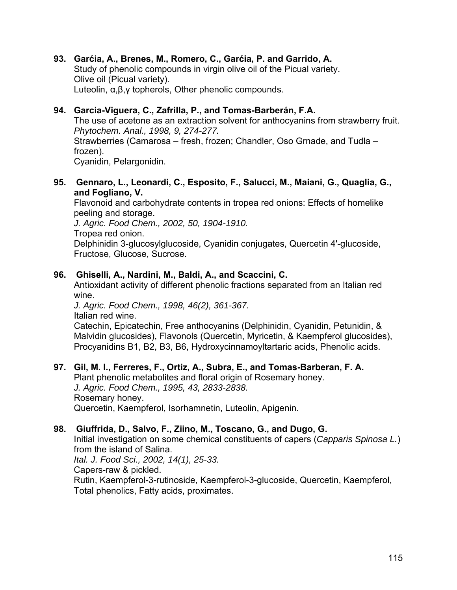**93. Garćia, A., Brenes, M., Romero, C., Garćia, P. and Garrido, A.** Study of phenolic compounds in virgin olive oil of the Picual variety. Olive oil (Picual variety). Luteolin, α,β,γ topherols, Other phenolic compounds.

#### **94. Garcia-Viguera, C., Zafrilla, P., and Tomas-Barberán, F.A.**

The use of acetone as an extraction solvent for anthocyanins from strawberry fruit. *Phytochem. Anal., 1998, 9, 274-277.*  Strawberries (Camarosa – fresh, frozen; Chandler, Oso Grnade, and Tudla – frozen). Cyanidin, Pelargonidin.

#### **95. Gennaro, L., Leonardi, C., Esposito, F., Salucci, M., Maiani, G., Quaglia, G., and Fogliano, V.**

Flavonoid and carbohydrate contents in tropea red onions: Effects of homelike peeling and storage.

*J. Agric. Food Chem., 2002, 50, 1904-1910.* 

Tropea red onion.

Delphinidin 3-glucosylglucoside, Cyanidin conjugates, Quercetin 4'-glucoside, Fructose, Glucose, Sucrose.

#### **96. Ghiselli, A., Nardini, M., Baldi, A., and Scaccini, C.**

Antioxidant activity of different phenolic fractions separated from an Italian red wine.

*J. Agric. Food Chem., 1998, 46(2), 361-367.*  Italian red wine. Catechin, Epicatechin, Free anthocyanins (Delphinidin, Cyanidin, Petunidin, &

Malvidin glucosides), Flavonols (Quercetin, Myricetin, & Kaempferol glucosides), Procyanidins B1, B2, B3, B6, Hydroxycinnamoyltartaric acids, Phenolic acids.

## **97. Gil, M. I., Ferreres, F., Ortiz, A., Subra, E., and Tomas-Barberan, F. A.**

Plant phenolic metabolites and floral origin of Rosemary honey. *J. Agric. Food Chem., 1995, 43, 2833-2838.* Rosemary honey. Quercetin, Kaempferol, Isorhamnetin, Luteolin, Apigenin.

## **98. Giuffrida, D., Salvo, F., Ziino, M., Toscano, G., and Dugo, G.**

Initial investigation on some chemical constituents of capers (*Capparis Spinosa L.*) from the island of Salina. *Ital. J. Food Sci., 2002, 14(1), 25-33.*  Capers-raw & pickled. Rutin, Kaempferol-3-rutinoside, Kaempferol-3-glucoside, Quercetin, Kaempferol, Total phenolics, Fatty acids, proximates.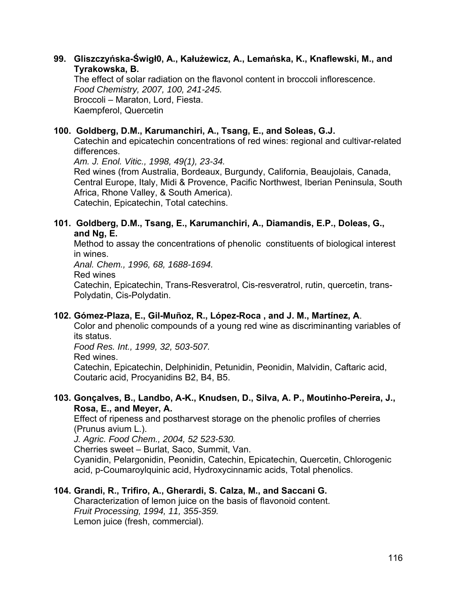#### **99. Gliszczyńska-Świgł0, A., Kałuźewicz, A., Lemańska, K., Knaflewski, M., and Tyrakowska, B.**

 The effect of solar radiation on the flavonol content in broccoli inflorescence. *Food Chemistry, 2007, 100, 241-245.*  Broccoli – Maraton, Lord, Fiesta. Kaempferol, Quercetin

#### **100. Goldberg, D.M., Karumanchiri, A., Tsang, E., and Soleas, G.J.**

Catechin and epicatechin concentrations of red wines: regional and cultivar-related differences.

*Am. J. Enol. Vitic., 1998, 49(1), 23-34.* 

Red wines (from Australia, Bordeaux, Burgundy, California, Beaujolais, Canada, Central Europe, Italy, Midi & Provence, Pacific Northwest, Iberian Peninsula, South Africa, Rhone Valley, & South America). Catechin, Epicatechin, Total catechins.

#### **101. Goldberg, D.M., Tsang, E., Karumanchiri, A., Diamandis, E.P., Doleas, G., and Ng, E.**

Method to assay the concentrations of phenolic constituents of biological interest in wines.

*Anal. Chem., 1996, 68, 1688-1694.*

Red wines

Catechin, Epicatechin, Trans-Resveratrol, Cis-resveratrol, rutin, quercetin, trans-Polydatin, Cis-Polydatin.

## **102. Gómez-Plaza, E., Gil-Muñoz, R., López-Roca , and J. M., Martínez, A**.

Color and phenolic compounds of a young red wine as discriminanting variables of its status.

*Food Res. Int., 1999, 32, 503-507.*

Red wines.

Catechin, Epicatechin, Delphinidin, Petunidin, Peonidin, Malvidin, Caftaric acid, Coutaric acid, Procyanidins B2, B4, B5.

#### **103. Gonçalves, B., Landbo, A-K., Knudsen, D., Silva, A. P., Moutinho-Pereira, J., Rosa, E., and Meyer, A.**

 Effect of ripeness and postharvest storage on the phenolic profiles of cherries (Prunus avium L.).

*J. Agric. Food Chem., 2004, 52 523-530.* 

Cherries sweet – Burlat, Saco, Summit, Van.

 Cyanidin, Pelargonidin, Peonidin, Catechin, Epicatechin, Quercetin, Chlorogenic acid, p-Coumaroylquinic acid, Hydroxycinnamic acids, Total phenolics.

## **104. Grandi, R., Trifiro, A., Gherardi, S. Calza, M., and Saccani G.**

Characterization of lemon juice on the basis of flavonoid content. *Fruit Processing, 1994, 11, 355-359.* Lemon juice (fresh, commercial).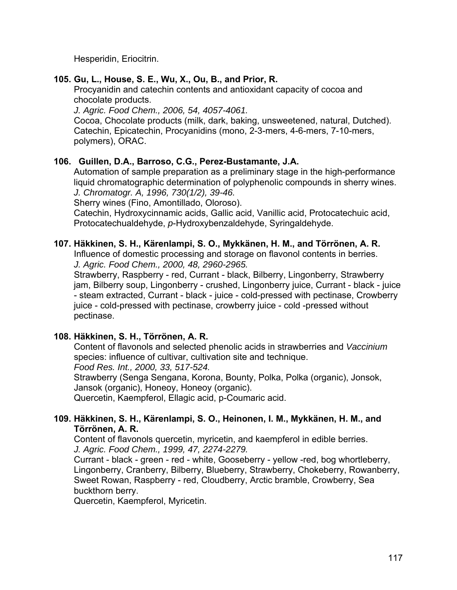Hesperidin, Eriocitrin.

## **105. Gu, L., House, S. E., Wu, X., Ou, B., and Prior, R.**

 Procyanidin and catechin contents and antioxidant capacity of cocoa and chocolate products.

*J. Agric. Food Chem., 2006, 54, 4057-4061.* 

 Cocoa, Chocolate products (milk, dark, baking, unsweetened, natural, Dutched). Catechin, Epicatechin, Procyanidins (mono, 2-3-mers, 4-6-mers, 7-10-mers, polymers), ORAC.

## **106. Guillen, D.A., Barroso, C.G., Perez-Bustamante, J.A.**

Automation of sample preparation as a preliminary stage in the high-performance liquid chromatographic determination of polyphenolic compounds in sherry wines. *J. Chromatogr. A, 1996, 730(1/2), 39-46.* 

Sherry wines (Fino, Amontillado, Oloroso).

Catechin, Hydroxycinnamic acids, Gallic acid, Vanillic acid, Protocatechuic acid, Protocatechualdehyde, *p*-Hydroxybenzaldehyde, Syringaldehyde.

## **107. Häkkinen, S. H., Kärenlampi, S. O., Mykkänen, H. M., and Törrönen, A. R.**

Influence of domestic processing and storage on flavonol contents in berries. *J. Agric. Food Chem., 2000, 48, 2960-2965.*

Strawberry, Raspberry - red, Currant - black, Bilberry, Lingonberry, Strawberry jam, Bilberry soup, Lingonberry - crushed, Lingonberry juice, Currant - black - juice - steam extracted, Currant - black - juice - cold-pressed with pectinase, Crowberry juice - cold-pressed with pectinase, crowberry juice - cold -pressed without pectinase.

## **108. Häkkinen, S. H., Törrönen, A. R.**

Content of flavonols and selected phenolic acids in strawberries and *Vaccinium* species: influence of cultivar, cultivation site and technique.

*Food Res. Int., 2000, 33, 517-524.*

Strawberry (Senga Sengana, Korona, Bounty, Polka, Polka (organic), Jonsok, Jansok (organic), Honeoy, Honeoy (organic).

Quercetin, Kaempferol, Ellagic acid, p-Coumaric acid.

#### **109. Häkkinen, S. H., Kärenlampi, S. O., Heinonen, I. M., Mykkänen, H. M., and Törrönen, A. R.**

Content of flavonols quercetin, myricetin, and kaempferol in edible berries. *J. Agric. Food Chem., 1999, 47, 2274-2279.*

Currant - black - green - red - white, Gooseberry - yellow -red, bog whortleberry, Lingonberry, Cranberry, Bilberry, Blueberry, Strawberry, Chokeberry, Rowanberry, Sweet Rowan, Raspberry - red, Cloudberry, Arctic bramble, Crowberry, Sea buckthorn berry.

Quercetin, Kaempferol, Myricetin.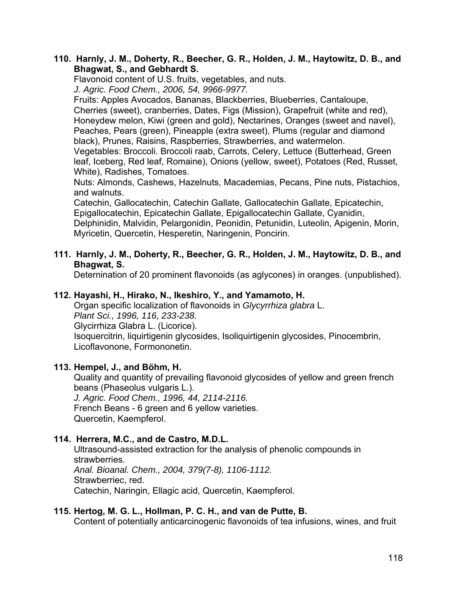#### **110. Harnly, J. M., Doherty, R., Beecher, G. R., Holden, J. M., Haytowitz, D. B., and Bhagwat, S., and Gebhardt S.**

Flavonoid content of U.S. fruits, vegetables, and nuts.

*J. Agric. Food Chem., 2006, 54, 9966-9977.* 

Fruits: Apples Avocados, Bananas, Blackberries, Blueberries, Cantaloupe, Cherries (sweet), cranberries, Dates, Figs (Mission), Grapefruit (white and red), Honeydew melon, Kiwi (green and gold), Nectarines, Oranges (sweet and navel), Peaches, Pears (green), Pineapple (extra sweet), Plums (regular and diamond black), Prunes, Raisins, Raspberries, Strawberries, and watermelon.

Vegetables: Broccoli. Broccoli raab, Carrots, Celery, Lettuce (Butterhead, Green leaf, Iceberg, Red leaf, Romaine), Onions (yellow, sweet), Potatoes (Red, Russet, White), Radishes, Tomatoes.

Nuts: Almonds, Cashews, Hazelnuts, Macademias, Pecans, Pine nuts, Pistachios, and walnuts.

Catechin, Gallocatechin, Catechin Gallate, Gallocatechin Gallate, Epicatechin, Epigallocatechin, Epicatechin Gallate, Epigallocatechin Gallate, Cyanidin, Delphinidin, Malvidin, Pelargonidin, Peonidin, Petunidin, Luteolin, Apigenin, Morin, Myricetin, Quercetin, Hesperetin, Naringenin, Poncirin.

## **111. Harnly, J. M., Doherty, R., Beecher, G. R., Holden, J. M., Haytowitz, D. B., and Bhagwat, S.**

Deternination of 20 prominent flavonoids (as aglycones) in oranges. (unpublished).

## **112. Hayashi, H., Hirako, N., Ikeshiro, Y., and Yamamoto, H.**

Organ specific localization of flavonoids in *Glycyrrhiza glabra* L. *Plant Sci., 1996, 116, 233-238.* Glycirrhiza Glabra L. (Licorice). Isoquercitrin, liquirtigenin glycosides, Isoliquirtigenin glycosides, Pinocembrin, Licoflavonone, Formononetin.

## **113. Hempel, J., and Böhm, H.**

Quality and quantity of prevailing flavonoid glycosides of yellow and green french beans (Phaseolus vulgaris L.). *J. Agric. Food Chem., 1996, 44, 2114-2116.* French Beans - 6 green and 6 yellow varieties. Quercetin, Kaempferol.

## **114. Herrera, M.C., and de Castro, M.D.L.**

Ultrasound-assisted extraction for the analysis of phenolic compounds in strawberries. *Anal. Bioanal. Chem., 2004, 379(7-8), 1106-1112.*  Strawberriec, red. Catechin, Naringin, Ellagic acid, Quercetin, Kaempferol.

## **115. Hertog, M. G. L., Hollman, P. C. H., and van de Putte, B.**

Content of potentially anticarcinogenic flavonoids of tea infusions, wines, and fruit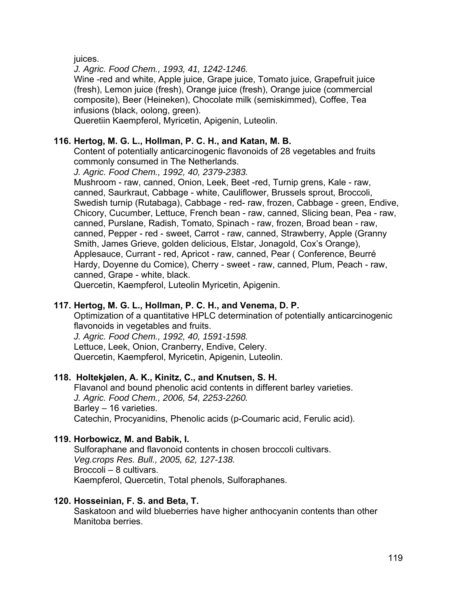juices.

*J. Agric. Food Chem., 1993, 41, 1242-1246.*

Wine -red and white, Apple juice, Grape juice, Tomato juice, Grapefruit juice (fresh), Lemon juice (fresh), Orange juice (fresh), Orange juice (commercial composite), Beer (Heineken), Chocolate milk (semiskimmed), Coffee, Tea infusions (black, oolong, green).

Queretiin Kaempferol, Myricetin, Apigenin, Luteolin.

## **116. Hertog, M. G. L., Hollman, P. C. H., and Katan, M. B.**

Content of potentially anticarcinogenic flavonoids of 28 vegetables and fruits commonly consumed in The Netherlands.

*J. Agric. Food Chem., 1992, 40, 2379-2383.*

Mushroom - raw, canned, Onion, Leek, Beet -red, Turnip grens, Kale - raw, canned, Saurkraut, Cabbage - white, Cauliflower, Brussels sprout, Broccoli, Swedish turnip (Rutabaga), Cabbage - red- raw, frozen, Cabbage - green, Endive, Chicory, Cucumber, Lettuce, French bean - raw, canned, Slicing bean, Pea - raw, canned, Purslane, Radish, Tomato, Spinach - raw, frozen, Broad bean - raw, canned, Pepper - red - sweet, Carrot - raw, canned, Strawberry, Apple (Granny Smith, James Grieve, golden delicious, Elstar, Jonagold, Cox's Orange), Applesauce, Currant - red, Apricot - raw, canned, Pear ( Conference, Beurré Hardy, Doyenne du Comice), Cherry - sweet - raw, canned, Plum, Peach - raw, canned, Grape - white, black.

Quercetin, Kaempferol, Luteolin Myricetin, Apigenin.

## **117. Hertog, M. G. L., Hollman, P. C. H., and Venema, D. P.**

Optimization of a quantitative HPLC determination of potentially anticarcinogenic flavonoids in vegetables and fruits.

*J. Agric. Food Chem., 1992, 40, 1591-1598.* Lettuce, Leek, Onion, Cranberry, Endive, Celery. Quercetin, Kaempferol, Myricetin, Apigenin, Luteolin.

## **118. Holtekjølen, A. K., Kinitz, C., and Knutsen, S. H.**

 Flavanol and bound phenolic acid contents in different barley varieties.  *J. Agric. Food Chem., 2006, 54, 2253-2260.*  Barley – 16 varieties. Catechin, Procyanidins, Phenolic acids (p-Coumaric acid, Ferulic acid).

## **119. Horbowicz, M. and Babik, I.**

Sulforaphane and flavonoid contents in chosen broccoli cultivars. *Veg.crops Res. Bull., 2005, 62, 127-138.*  Broccoli – 8 cultivars. Kaempferol, Quercetin, Total phenols, Sulforaphanes.

#### **120. Hosseinian, F. S. and Beta, T.**

 Saskatoon and wild blueberries have higher anthocyanin contents than other Manitoba berries.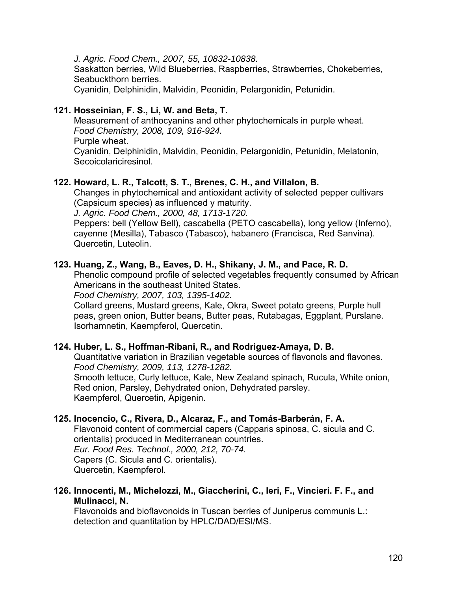*J. Agric. Food Chem., 2007, 55, 10832-10838.* 

 Saskatton berries, Wild Blueberries, Raspberries, Strawberries, Chokeberries, Seabuckthorn berries.

Cyanidin, Delphinidin, Malvidin, Peonidin, Pelargonidin, Petunidin.

## **121. Hosseinian, F. S., Li, W. and Beta, T.**

 Measurement of anthocyanins and other phytochemicals in purple wheat. *Food Chemistry, 2008, 109, 916-924.*  Purple wheat. Cyanidin, Delphinidin, Malvidin, Peonidin, Pelargonidin, Petunidin, Melatonin, Secoicolariciresinol.

## **122. Howard, L. R., Talcott, S. T., Brenes, C. H., and Villalon, B.**

Changes in phytochemical and antioxidant activity of selected pepper cultivars (Capsicum species) as influenced y maturity.

*J. Agric. Food Chem., 2000, 48, 1713-1720.*

Peppers: bell (Yellow Bell), cascabella (PETO cascabella), long yellow (Inferno), cayenne (Mesilla), Tabasco (Tabasco), habanero (Francisca, Red Sanvina). Quercetin, Luteolin.

#### **123. Huang, Z., Wang, B., Eaves, D. H., Shikany, J. M., and Pace, R. D.**

 Phenolic compound profile of selected vegetables frequently consumed by African Americans in the southeast United States.

*Food Chemistry, 2007, 103, 1395-1402.* 

 Collard greens, Mustard greens, Kale, Okra, Sweet potato greens, Purple hull peas, green onion, Butter beans, Butter peas, Rutabagas, Eggplant, Purslane. Isorhamnetin, Kaempferol, Quercetin.

#### **124. Huber, L. S., Hoffman-Ribani, R., and Rodriguez-Amaya, D. B.**

 Quantitative variation in Brazilian vegetable sources of flavonols and flavones. *Food Chemistry, 2009, 113, 1278-1282.*  Smooth lettuce, Curly lettuce, Kale, New Zealand spinach, Rucula, White onion, Red onion, Parsley, Dehydrated onion, Dehydrated parsley. Kaempferol, Quercetin, Apigenin.

#### **125. Inocencio, C., Rivera, D., Alcaraz, F., and Tomás-Barberán, F. A.**

Flavonoid content of commercial capers (Capparis spinosa, C. sicula and C. orientalis) produced in Mediterranean countries. *Eur. Food Res. Technol., 2000, 212, 70-74.* Capers (C. Sicula and C. orientalis). Quercetin, Kaempferol.

**126. Innocenti, M., Michelozzi, M., Giaccherini, C., Ieri, F., Vincieri. F. F., and Mulinacci, N.** 

 Flavonoids and bioflavonoids in Tuscan berries of Juniperus communis L.: detection and quantitation by HPLC/DAD/ESI/MS.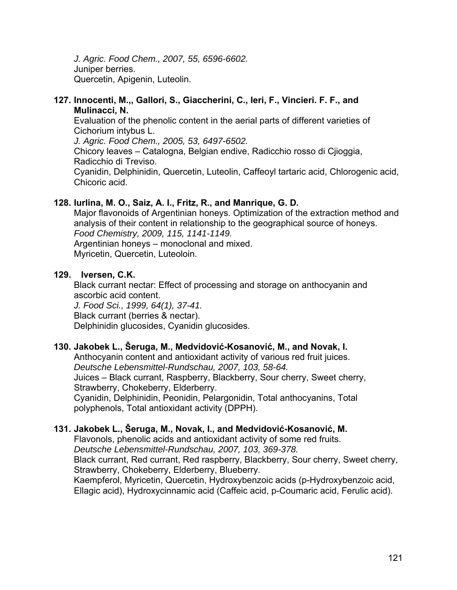*J. Agric. Food Chem., 2007, 55, 6596-6602.*  Juniper berries. Quercetin, Apigenin, Luteolin.

#### **127. Innocenti, M.,, Gallori, S., Giaccherini, C., Ieri, F., Vincieri. F. F., and Mulinacci, N.**

 Evaluation of the phenolic content in the aerial parts of different varieties of Cichorium intybus L.

*J. Agric. Food Chem., 2005, 53, 6497-6502.* 

 Chicory leaves – Catalogna, Belgian endive, Radicchio rosso di Cjioggia, Radicchio di Treviso.

 Cyanidin, Delphinidin, Quercetin, Luteolin, Caffeoyl tartaric acid, Chlorogenic acid, Chicoric acid.

## **128. Iurlina, M. O., Saiz, A. I., Fritz, R., and Manrique, G. D.**

 Major flavonoids of Argentinian honeys. Optimization of the extraction method and analysis of their content in relationship to the geographical source of honeys. *Food Chemistry, 2009, 115, 1141-1149.*  Argentinian honeys – monoclonal and mixed. Myricetin, Quercetin, Luteoloin.

## **129. Iversen, C.K.**

Black currant nectar: Effect of processing and storage on anthocyanin and ascorbic acid content. *J. Food Sci., 1999, 64(1), 37-41.* 

Black currant (berries & nectar). Delphinidin glucosides, Cyanidin glucosides.

## **130. Jakobek L., Šeruga, M., Medvidović-Kosanović, M., and Novak, I.**

 Anthocyanin content and antioxidant activity of various red fruit juices. *Deutsche Lebensmittel-Rundschau, 2007, 103, 58-64.*  Juices – Black currant, Raspberry, Blackberry, Sour cherry, Sweet cherry, Strawberry, Chokeberry, Elderberry.

 Cyanidin, Delphinidin, Peonidin, Pelargonidin, Total anthocyanins, Total polyphenols, Total antioxidant activity (DPPH).

## **131. Jakobek L., Šeruga, M., Novak, I., and Medvidović-Kosanović, M.**

Flavonols, phenolic acids and antioxidant activity of some red fruits. *Deutsche Lebensmittel-Rundschau, 2007, 103, 369-378.*  Black currant, Red currant, Red raspberry, Blackberry, Sour cherry, Sweet cherry,

Strawberry, Chokeberry, Elderberry, Blueberry.

 Kaempferol, Myricetin, Quercetin, Hydroxybenzoic acids (p-Hydroxybenzoic acid, Ellagic acid), Hydroxycinnamic acid (Caffeic acid, p-Coumaric acid, Ferulic acid).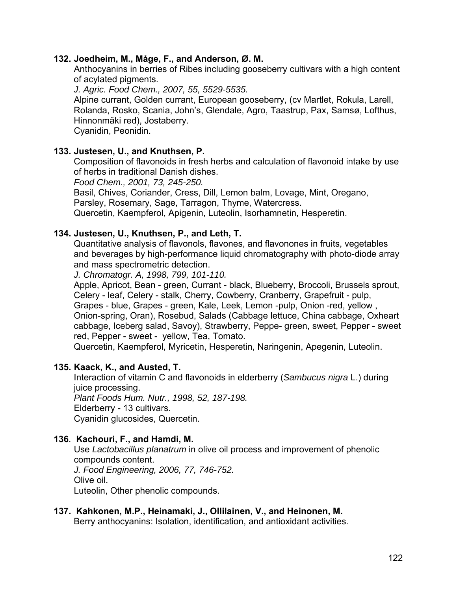#### **132. Joedheim, M., Måge, F., and Anderson, Ø. M.**

 Anthocyanins in berries of Ribes including gooseberry cultivars with a high content of acylated pigments.

*J. Agric. Food Chem., 2007, 55, 5529-5535.* 

 Alpine currant, Golden currant, European gooseberry, (cv Martlet, Rokula, Larell, Rolanda, Rosko, Scania, John's, Glendale, Agro, Taastrup, Pax, Samsø, Lofthus, Hinnonmäki red), Jostaberry.

Cyanidin, Peonidin.

#### **133. Justesen, U., and Knuthsen, P.**

Composition of flavonoids in fresh herbs and calculation of flavonoid intake by use of herbs in traditional Danish dishes.

*Food Chem., 2001, 73, 245-250.*

Basil, Chives, Coriander, Cress, Dill, Lemon balm, Lovage, Mint, Oregano, Parsley, Rosemary, Sage, Tarragon, Thyme, Watercress.

Quercetin, Kaempferol, Apigenin, Luteolin, Isorhamnetin, Hesperetin.

## **134. Justesen, U., Knuthsen, P., and Leth, T.**

Quantitative analysis of flavonols, flavones, and flavonones in fruits, vegetables and beverages by high-performance liquid chromatography with photo-diode array and mass spectrometric detection.

*J. Chromatogr. A, 1998, 799, 101-110.*

Apple, Apricot, Bean - green, Currant - black, Blueberry, Broccoli, Brussels sprout, Celery - leaf, Celery - stalk, Cherry, Cowberry, Cranberry, Grapefruit - pulp, Grapes - blue, Grapes - green, Kale, Leek, Lemon -pulp, Onion -red, yellow , Onion-spring, Oran), Rosebud, Salads (Cabbage lettuce, China cabbage, Oxheart cabbage, Iceberg salad, Savoy), Strawberry, Peppe- green, sweet, Pepper - sweet red, Pepper - sweet - yellow, Tea, Tomato.

Quercetin, Kaempferol, Myricetin, Hesperetin, Naringenin, Apegenin, Luteolin.

#### **135. Kaack, K., and Austed, T.**

Interaction of vitamin C and flavonoids in elderberry (*Sambucus nigra* L.) during juice processing.

*Plant Foods Hum. Nutr., 1998, 52, 187-198.* Elderberry - 13 cultivars. Cyanidin glucosides, Quercetin.

## **136**. **Kachouri, F., and Hamdi, M.**

Use *Lactobacillus planatrum* in olive oil process and improvement of phenolic compounds content.

 *J. Food Engineering, 2006, 77, 746-752.* Olive oil.

Luteolin, Other phenolic compounds.

#### **137. Kahkonen, M.P., Heinamaki, J., Ollilainen, V., and Heinonen, M.**

Berry anthocyanins: Isolation, identification, and antioxidant activities.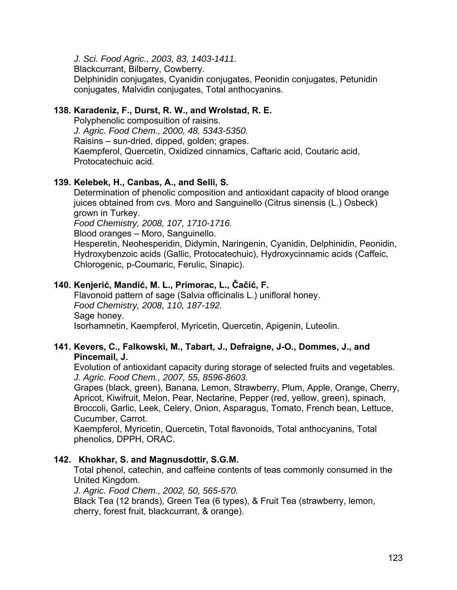*J. Sci. Food Agric., 2003, 83, 1403-1411.* 

Blackcurrant, Bilberry, Cowberry.

Delphinidin conjugates, Cyanidin conjugates, Peonidin conjugates, Petunidin conjugates, Malvidin conjugates, Total anthocyanins.

## **138. Karadeniz, F., Durst, R. W., and Wrolstad, R. E.**

 Polyphenolic composuition of raisins. *J. Agric. Food Chem., 2000, 48, 5343-5350.*  Raisins – sun-dried, dipped, golden; grapes. Kaempferol, Quercetin, Oxidized cinnamics, Caftaric acid, Coutaric acid, Protocatechuic acid.

## **139. Kelebek, H., Canbas, A., and Selli, S.**

 Determination of phenolic composition and antioxidant capacity of blood orange juices obtained from cvs. Moro and Sanguinello (Citrus sinensis (L.) Osbeck) grown in Turkey.

*Food Chemistry, 2008, 107, 1710-1716.*

Blood oranges – Moro, Sanguinello.

 Hesperetin, Neohesperidin, Didymin, Naringenin, Cyanidin, Delphinidin, Peonidin, Hydroxybenzoic acids (Gallic, Protocatechuic), Hydroxycinnamic acids (Caffeic, Chlorogenic, p-Coumaric, Ferulic, Sinapic).

## **140. Kenjerić, Mandić, M. L., Primorac, L., Čačić, F.**

 Flavonoid pattern of sage (Salvia officinalis L.) unifloral honey. *Food Chemistry, 2008, 110, 187-192.*  Sage honey. Isorhamnetin, Kaempferol, Myricetin, Quercetin, Apigenin, Luteolin.

## **141. Kevers, C., Falkowski, M., Tabart, J., Defraigne, J-O., Dommes, J., and Pincemail, J.**

 Evolution of antioxidant capacity during storage of selected fruits and vegetables. *J. Agric. Food Chem., 2007, 55, 8596-8603.*

 Grapes (black, green), Banana, Lemon, Strawberry, Plum, Apple, Orange, Cherry, Apricot, Kiwifruit, Melon, Pear, Nectarine, Pepper (red, yellow, green), spinach, Broccoli, Garlic, Leek, Celery, Onion, Asparagus, Tomato, French bean, Lettuce, Cucumber, Carrot.

Kaempferol, Myricetin, Quercetin, Total flavonoids, Total anthocyanins, Total phenolics, DPPH, ORAC.

## **142. Khokhar, S. and Magnusdottir, S.G.M.**

Total phenol, catechin, and caffeine contents of teas commonly consumed in the United Kingdom.

*J. Agric. Food Chem., 2002, 50, 565-570.* 

Black Tea (12 brands), Green Tea (6 types), & Fruit Tea (strawberry, lemon, cherry, forest fruit, blackcurrant, & orange).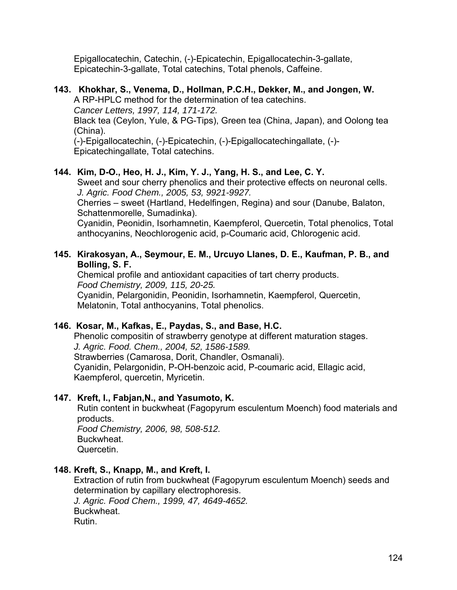Epigallocatechin, Catechin, (-)-Epicatechin, Epigallocatechin-3-gallate, Epicatechin-3-gallate, Total catechins, Total phenols, Caffeine.

## **143. Khokhar, S., Venema, D., Hollman, P.C.H., Dekker, M., and Jongen, W.**

A RP-HPLC method for the determination of tea catechins.

*Cancer Letters, 1997, 114, 171-172.* 

Black tea (Ceylon, Yule, & PG-Tips), Green tea (China, Japan), and Oolong tea (China).

(-)-Epigallocatechin, (-)-Epicatechin, (-)-Epigallocatechingallate, (-)- Epicatechingallate, Total catechins.

## **144. Kim, D-O., Heo, H. J., Kim, Y. J., Yang, H. S., and Lee, C. Y.**

 Sweet and sour cherry phenolics and their protective effects on neuronal cells. *J. Agric. Food Chem., 2005, 53, 9921-9927.*

 Cherries – sweet (Hartland, Hedelfingen, Regina) and sour (Danube, Balaton, Schattenmorelle, Sumadinka).

 Cyanidin, Peonidin, Isorhamnetin, Kaempferol, Quercetin, Total phenolics, Total anthocyanins, Neochlorogenic acid, p-Coumaric acid, Chlorogenic acid.

## **145. Kirakosyan, A., Seymour, E. M., Urcuyo Llanes, D. E., Kaufman, P. B., and Bolling, S. F.**

 Chemical profile and antioxidant capacities of tart cherry products. *Food Chemistry, 2009, 115, 20-25.*  Cyanidin, Pelargonidin, Peonidin, Isorhamnetin, Kaempferol, Quercetin, Melatonin, Total anthocyanins, Total phenolics.

## **146. Kosar, M., Kafkas, E., Paydas, S., and Base, H.C.**

Phenolic compositin of strawberry genotype at different maturation stages. *J. Agric. Food. Chem., 2004, 52, 1586-1589.*  Strawberries (Camarosa, Dorit, Chandler, Osmanali). Cyanidin, Pelargonidin, P-OH-benzoic acid, P-coumaric acid, Ellagic acid, Kaempferol, quercetin, Myricetin.

## **147. Kreft, I., Fabjan,N., and Yasumoto, K.**

 Rutin content in buckwheat (Fagopyrum esculentum Moench) food materials and products. *Food Chemistry, 2006, 98, 508-512.*  Buckwheat. Quercetin.

## **148. Kreft, S., Knapp, M., and Kreft, I.**

Extraction of rutin from buckwheat (Fagopyrum esculentum Moench) seeds and determination by capillary electrophoresis. *J. Agric. Food Chem., 1999, 47, 4649-4652.* Buckwheat. Rutin.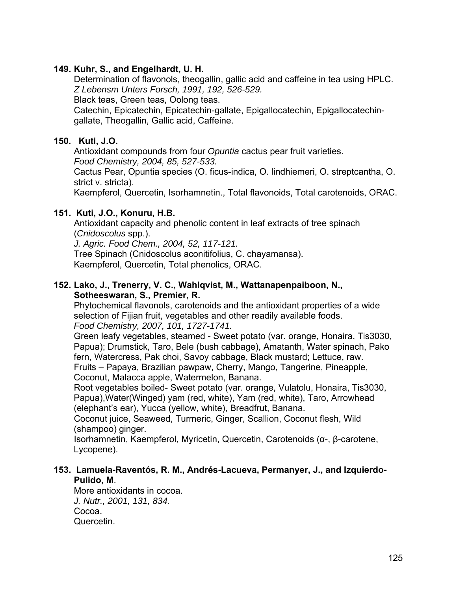## **149. Kuhr, S., and Engelhardt, U. H.**

Determination of flavonols, theogallin, gallic acid and caffeine in tea using HPLC. *Z Lebensm Unters Forsch, 1991, 192, 526-529.*

Black teas, Green teas, Oolong teas.

Catechin, Epicatechin, Epicatechin-gallate, Epigallocatechin, Epigallocatechingallate, Theogallin, Gallic acid, Caffeine.

#### **150. Kuti, J.O.**

Antioxidant compounds from four *Opuntia* cactus pear fruit varieties. *Food Chemistry, 2004, 85, 527-533.* 

Cactus Pear, Opuntia species (O. ficus-indica, O. lindhiemeri, O. streptcantha, O. strict v. stricta).

Kaempferol, Quercetin, Isorhamnetin., Total flavonoids, Total carotenoids, ORAC.

#### **151. Kuti, J.O., Konuru, H.B.**

Antioxidant capacity and phenolic content in leaf extracts of tree spinach (*Cnidoscolus* spp.).

*J. Agric. Food Chem., 2004, 52, 117-121.* 

Tree Spinach (Cnidoscolus aconitifolius, C. chayamansa). Kaempferol, Quercetin, Total phenolics, ORAC.

#### **152. Lako, J., Trenerry, V. C., Wahlqvist, M., Wattanapenpaiboon, N., Sotheeswaran, S., Premier, R.**

 Phytochemical flavonols, carotenoids and the antioxidant properties of a wide selection of Fijian fruit, vegetables and other readily available foods. *Food Chemistry, 2007, 101, 1727-1741.*

Green leafy vegetables, steamed - Sweet potato (var. orange, Honaira, Tis3030, Papua); Drumstick, Taro, Bele (bush cabbage), Amatanth, Water spinach, Pako fern, Watercress, Pak choi, Savoy cabbage, Black mustard; Lettuce, raw. Fruits – Papaya, Brazilian pawpaw, Cherry, Mango, Tangerine, Pineapple, Coconut, Malacca apple, Watermelon, Banana.

 Root vegetables boiled- Sweet potato (var. orange, Vulatolu, Honaira, Tis3030, Papua),Water(Winged) yam (red, white), Yam (red, white), Taro, Arrowhead (elephant's ear), Yucca (yellow, white), Breadfrut, Banana.

 Coconut juice, Seaweed, Turmeric, Ginger, Scallion, Coconut flesh, Wild (shampoo) ginger.

 Isorhamnetin, Kaempferol, Myricetin, Quercetin, Carotenoids (α-, β-carotene, Lycopene).

## **153. Lamuela-Raventós, R. M., Andrés-Lacueva, Permanyer, J., and Izquierdo-Pulido, M**.

More antioxidants in cocoa. *J. Nutr., 2001, 131, 834.* Cocoa. Quercetin.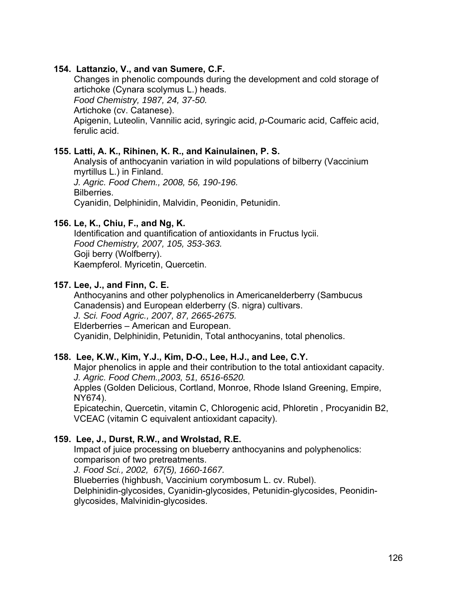## **154. Lattanzio, V., and van Sumere, C.F.**

Changes in phenolic compounds during the development and cold storage of artichoke (Cynara scolymus L.) heads. *Food Chemistry, 1987, 24, 37-50.*  Artichoke (cv. Catanese). Apigenin, Luteolin, Vannilic acid, syringic acid, *p*-Coumaric acid, Caffeic acid, ferulic acid.

## **155. Latti, A. K., Rihinen, K. R., and Kainulainen, P. S.**

Analysis of anthocyanin variation in wild populations of bilberry (Vaccinium myrtillus L.) in Finland. *J. Agric. Food Chem., 2008, 56, 190-196.*  Bilberries. Cyanidin, Delphinidin, Malvidin, Peonidin, Petunidin.

#### **156. Le, K., Chiu, F., and Ng, K.**

 Identification and quantification of antioxidants in Fructus lycii. *Food Chemistry, 2007, 105, 353-363.*  Goji berry (Wolfberry). Kaempferol. Myricetin, Quercetin.

#### **157. Lee, J., and Finn, C. E.**

 Anthocyanins and other polyphenolics in Americanelderberry (Sambucus Canadensis) and European elderberry (S. nigra) cultivars. *J. Sci. Food Agric., 2007, 87, 2665-2675.*  Elderberries – American and European. Cyanidin, Delphinidin, Petunidin, Total anthocyanins, total phenolics.

## **158. Lee, K.W., Kim, Y.J., Kim, D-O., Lee, H.J., and Lee, C.Y.**

Major phenolics in apple and their contribution to the total antioxidant capacity. *J. Agric. Food Chem.,2003, 51, 6516-6520.* 

Apples (Golden Delicious, Cortland, Monroe, Rhode Island Greening, Empire, NY674).

Epicatechin, Quercetin, vitamin C, Chlorogenic acid, Phloretin , Procyanidin B2, VCEAC (vitamin C equivalent antioxidant capacity).

## **159. Lee, J., Durst, R.W., and Wrolstad, R.E.**

Impact of juice processing on blueberry anthocyanins and polyphenolics: comparison of two pretreatments.

*J. Food Sci., 2002, 67(5), 1660-1667.* 

Blueberries (highbush, Vaccinium corymbosum L. cv. Rubel).

Delphinidin-glycosides, Cyanidin-glycosides, Petunidin-glycosides, Peonidinglycosides, Malvinidin-glycosides.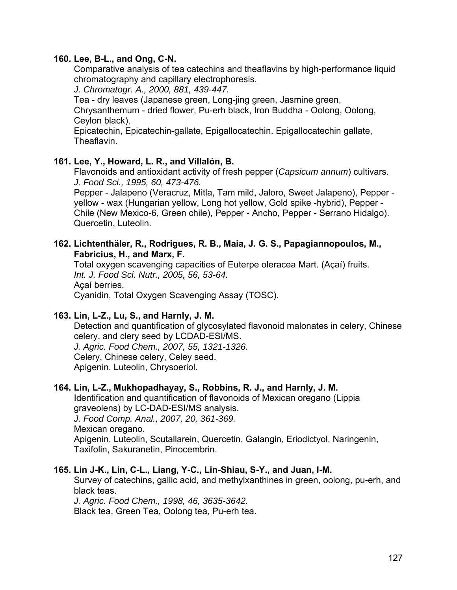#### **160. Lee, B-L., and Ong, C-N.**

Comparative analysis of tea catechins and theaflavins by high-performance liquid chromatography and capillary electrophoresis.

*J. Chromatogr. A., 2000, 881, 439-447.*

Tea - dry leaves (Japanese green, Long-jing green, Jasmine green, Chrysanthemum - dried flower, Pu-erh black, Iron Buddha - Oolong, Oolong, Ceylon black).

Epicatechin, Epicatechin-gallate, Epigallocatechin. Epigallocatechin gallate, Theaflavin.

## **161. Lee, Y., Howard, L. R., and Villalón, B.**

Flavonoids and antioxidant activity of fresh pepper (*Capsicum annum*) cultivars. *J. Food Sci., 1995, 60, 473-476.*

Pepper - Jalapeno (Veracruz, Mitla, Tam mild, Jaloro, Sweet Jalapeno), Pepper yellow - wax (Hungarian yellow, Long hot yellow, Gold spike -hybrid), Pepper - Chile (New Mexico-6, Green chile), Pepper - Ancho, Pepper - Serrano Hidalgo). Quercetin, Luteolin.

#### **162. Lichtenthäler, R., Rodrigues, R. B., Maia, J. G. S., Papagiannopoulos, M., Fabricius, H., and Marx, F.**

 Total oxygen scavenging capacities of Euterpe oleracea Mart. (Açaí) fruits.  *Int. J. Food Sci. Nutr., 2005, 56, 53-64.*  Açaí berries. Cyanidin, Total Oxygen Scavenging Assay (TOSC).

## **163. Lin, L-Z., Lu, S., and Harnly, J. M.**

 Detection and quantification of glycosylated flavonoid malonates in celery, Chinese celery, and clery seed by LCDAD-ESI/MS.  *J. Agric. Food Chem., 2007, 55, 1321-1326.* 

Celery, Chinese celery, Celey seed.

Apigenin, Luteolin, Chrysoeriol.

## **164. Lin, L-Z., Mukhopadhayay, S., Robbins, R. J., and Harnly, J. M.**

 Identification and quantification of flavonoids of Mexican oregano (Lippia graveolens) by LC-DAD-ESI/MS analysis.

*J. Food Comp. Anal., 2007, 20, 361-369.* 

Mexican oregano.

 Apigenin, Luteolin, Scutallarein, Quercetin, Galangin, Eriodictyol, Naringenin, Taxifolin, Sakuranetin, Pinocembrin.

## **165. Lin J-K., Lin, C-L., Liang, Y-C., Lin-Shiau, S-Y., and Juan, I-M.**

Survey of catechins, gallic acid, and methylxanthines in green, oolong, pu-erh, and black teas.

*J. Agric. Food Chem., 1998, 46, 3635-3642.*

Black tea, Green Tea, Oolong tea, Pu-erh tea.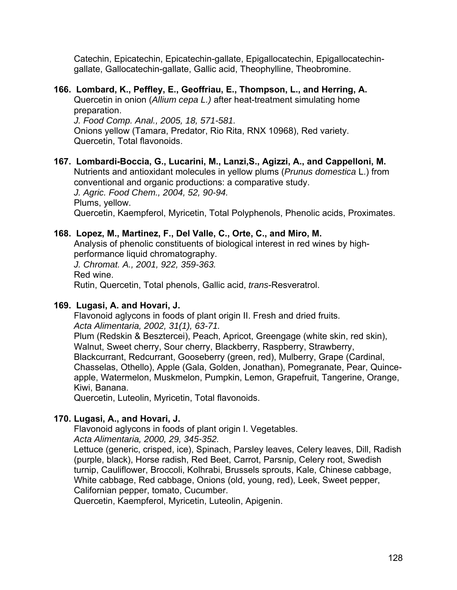Catechin, Epicatechin, Epicatechin-gallate, Epigallocatechin, Epigallocatechingallate, Gallocatechin-gallate, Gallic acid, Theophylline, Theobromine.

#### **166. Lombard, K., Peffley, E., Geoffriau, E., Thompson, L., and Herring, A.**

Quercetin in onion (*Allium cepa L.)* after heat-treatment simulating home preparation.

*J. Food Comp. Anal., 2005, 18, 571-581.* 

Onions yellow (Tamara, Predator, Rio Rita, RNX 10968), Red variety. Quercetin, Total flavonoids.

#### **167. Lombardi-Boccia, G., Lucarini, M., Lanzi,S., Agizzi, A., and Cappelloni, M.**  Nutrients and antioxidant molecules in yellow plums (*Prunus domestica* L.) from

conventional and organic productions: a comparative study. *J. Agric. Food Chem., 2004, 52, 90-94.*  Plums, yellow. Quercetin, Kaempferol, Myricetin, Total Polyphenols, Phenolic acids, Proximates.

#### **168. Lopez, M., Martinez, F., Del Valle, C., Orte, C., and Miro, M.**

Analysis of phenolic constituents of biological interest in red wines by highperformance liquid chromatography. *J. Chromat. A., 2001, 922, 359-363.*  Red wine. Rutin, Quercetin, Total phenols, Gallic acid, *trans*-Resveratrol.

#### **169. Lugasi, A. and Hovari, J.**

Flavonoid aglycons in foods of plant origin II. Fresh and dried fruits. *Acta Alimentaria, 2002, 31(1), 63-71.* 

Plum (Redskin & Besztercei), Peach, Apricot, Greengage (white skin, red skin), Walnut, Sweet cherry, Sour cherry, Blackberry, Raspberry, Strawberry, Blackcurrant, Redcurrant, Gooseberry (green, red), Mulberry, Grape (Cardinal, Chasselas, Othello), Apple (Gala, Golden, Jonathan), Pomegranate, Pear, Quinceapple, Watermelon, Muskmelon, Pumpkin, Lemon, Grapefruit, Tangerine, Orange, Kiwi, Banana.

Quercetin, Luteolin, Myricetin, Total flavonoids.

## **170. Lugasi, A., and Hovari, J.**

Flavonoid aglycons in foods of plant origin I. Vegetables. *Acta Alimentaria, 2000, 29, 345-352.*

Lettuce (generic, crisped, ice), Spinach, Parsley leaves, Celery leaves, Dill, Radish (purple, black), Horse radish, Red Beet, Carrot, Parsnip, Celery root, Swedish turnip, Cauliflower, Broccoli, Kolhrabi, Brussels sprouts, Kale, Chinese cabbage, White cabbage, Red cabbage, Onions (old, young, red), Leek, Sweet pepper, Californian pepper, tomato, Cucumber.

Quercetin, Kaempferol, Myricetin, Luteolin, Apigenin.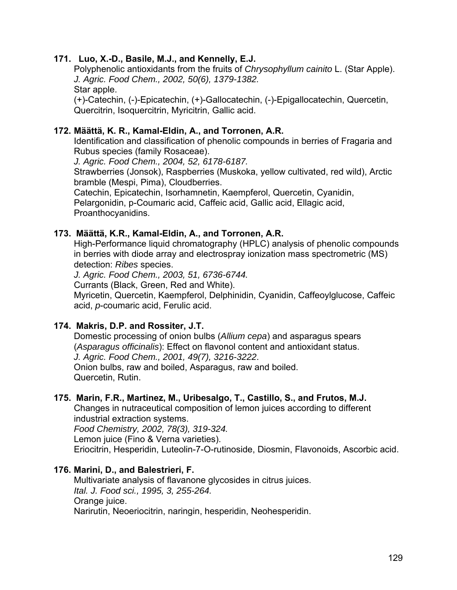#### **171. Luo, X.-D., Basile, M.J., and Kennelly, E.J.**

Polyphenolic antioxidants from the fruits of *Chrysophyllum cainito* L. (Star Apple). *J. Agric. Food Chem., 2002, 50(6), 1379-1382.*  Star apple.

(+)-Catechin, (-)-Epicatechin, (+)-Gallocatechin, (-)-Epigallocatechin, Quercetin, Quercitrin, Isoquercitrin, Myricitrin, Gallic acid.

## **172. Määttä, K. R., Kamal-Eldin, A., and Torronen, A.R.**

 Identification and classification of phenolic compounds in berries of Fragaria and Rubus species (family Rosaceae).

*J. Agric. Food Chem., 2004, 52, 6178-6187.* 

 Strawberries (Jonsok), Raspberries (Muskoka, yellow cultivated, red wild), Arctic bramble (Mespi, Pima), Cloudberries.

 Catechin, Epicatechin, Isorhamnetin, Kaempferol, Quercetin, Cyanidin, Pelargonidin, p-Coumaric acid, Caffeic acid, Gallic acid, Ellagic acid, Proanthocyanidins.

## **173. Määttä, K.R., Kamal-Eldin, A., and Torronen, A.R.**

High-Performance liquid chromatography (HPLC) analysis of phenolic compounds in berries with diode array and electrospray ionization mass spectrometric (MS) detection: *Ribes* species.

*J. Agric. Food Chem., 2003, 51, 6736-6744.* 

Currants (Black, Green, Red and White).

Myricetin, Quercetin, Kaempferol, Delphinidin, Cyanidin, Caffeoylglucose, Caffeic acid, *p*-coumaric acid, Ferulic acid.

## **174. Makris, D.P. and Rossiter, J.T.**

Domestic processing of onion bulbs (*Allium cepa*) and asparagus spears (*Asparagus officinalis*): Effect on flavonol content and antioxidant status. *J. Agric. Food Chem., 2001, 49(7), 3216-3222*.

Onion bulbs, raw and boiled, Asparagus, raw and boiled. Quercetin, Rutin.

## **175. Marin, F.R., Martinez, M., Uribesalgo, T., Castillo, S., and Frutos, M.J.**

Changes in nutraceutical composition of lemon juices according to different industrial extraction systems.

*Food Chemistry, 2002, 78(3), 319-324.* 

Lemon juice (Fino & Verna varieties).

Eriocitrin, Hesperidin, Luteolin-7-O-rutinoside, Diosmin, Flavonoids, Ascorbic acid.

## **176. Marini, D., and Balestrieri, F.**

Multivariate analysis of flavanone glycosides in citrus juices. *Ital. J. Food sci., 1995, 3, 255-264.* Orange juice. Narirutin, Neoeriocitrin, naringin, hesperidin, Neohesperidin.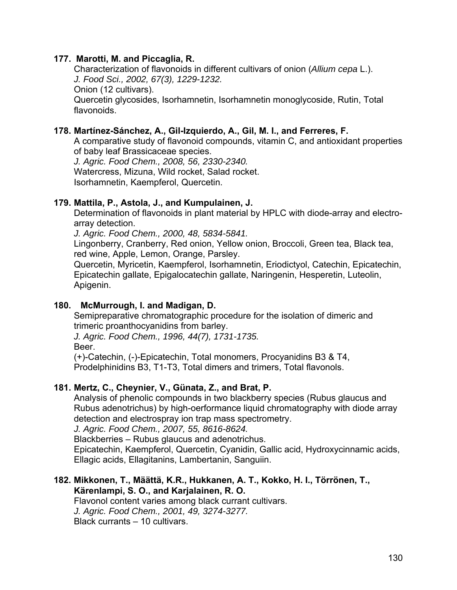#### **177. Marotti, M. and Piccaglia, R.**

Characterization of flavonoids in different cultivars of onion (*Allium cepa* L.). *J. Food Sci., 2002, 67(3), 1229-1232.*  Onion (12 cultivars). Quercetin glycosides, Isorhamnetin, Isorhamnetin monoglycoside, Rutin, Total flavonoids.

#### **178. Martínez-Sánchez, A., Gil-Izquierdo, A., Gil, M. I., and Ferreres, F.**

A comparative study of flavonoid compounds, vitamin C, and antioxidant properties of baby leaf Brassicaceae species.

*J. Agric. Food Chem., 2008, 56, 2330-2340.*  Watercress, Mizuna, Wild rocket, Salad rocket. Isorhamnetin, Kaempferol, Quercetin.

#### **179. Mattila, P., Astola, J., and Kumpulainen, J.**

Determination of flavonoids in plant material by HPLC with diode-array and electroarray detection.

*J. Agric. Food Chem., 2000, 48, 5834-5841.*

Lingonberry, Cranberry, Red onion, Yellow onion, Broccoli, Green tea, Black tea, red wine, Apple, Lemon, Orange, Parsley.

Quercetin, Myricetin, Kaempferol, Isorhamnetin, Eriodictyol, Catechin, Epicatechin, Epicatechin gallate, Epigalocatechin gallate, Naringenin, Hesperetin, Luteolin, Apigenin.

## **180. McMurrough, I. and Madigan, D.**

Semipreparative chromatographic procedure for the isolation of dimeric and trimeric proanthocyanidins from barley.

*J. Agric. Food Chem., 1996, 44(7), 1731-1735.* 

Beer.

(+)-Catechin, (-)-Epicatechin, Total monomers, Procyanidins B3 & T4, Prodelphinidins B3, T1-T3, Total dimers and trimers, Total flavonols.

## **181. Mertz, C., Cheynier, V., Günata, Z., and Brat, P.**

 Analysis of phenolic compounds in two blackberry species (Rubus glaucus and Rubus adenotrichus) by high-oerformance liquid chromatography with diode array detection and electrospray ion trap mass spectrometry.

*J. Agric. Food Chem., 2007, 55, 8616-8624.* 

Blackberries – Rubus glaucus and adenotrichus.

 Epicatechin, Kaempferol, Quercetin, Cyanidin, Gallic acid, Hydroxycinnamic acids, Ellagic acids, Ellagitanins, Lambertanin, Sanguiin.

#### **182. Mikkonen, T., Määttä, K.R., Hukkanen, A. T., Kokko, H. I., Törrönen, T., Kärenlampi, S. O., and Karjalainen, R. O.**

 Flavonol content varies among black currant cultivars. *J. Agric. Food Chem., 2001, 49, 3274-3277.* 

Black currants – 10 cultivars.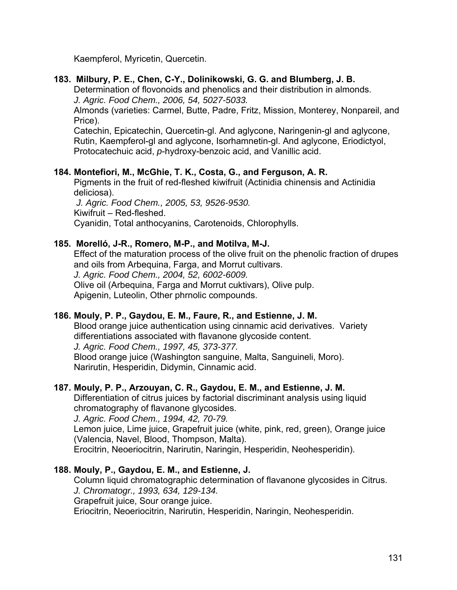Kaempferol, Myricetin, Quercetin.

## **183. Milbury, P. E., Chen, C-Y., Dolinikowski, G. G. and Blumberg, J. B.**

Determination of flovonoids and phenolics and their distribution in almonds. *J. Agric. Food Chem., 2006, 54, 5027-5033.* 

Almonds (varieties: Carmel, Butte, Padre, Fritz, Mission, Monterey, Nonpareil, and Price).

Catechin, Epicatechin, Quercetin-gl. And aglycone, Naringenin-gl and aglycone, Rutin, Kaempferol-gl and aglycone, Isorhamnetin-gl. And aglycone, Eriodictyol, Protocatechuic acid, *p*-hydroxy-benzoic acid, and Vanillic acid.

#### **184. Montefiori, M., McGhie, T. K., Costa, G., and Ferguson, A. R.**

 Pigments in the fruit of red-fleshed kiwifruit (Actinidia chinensis and Actinidia deliciosa). *J. Agric. Food Chem., 2005, 53, 9526-9530.* 

Kiwifruit – Red-fleshed.

Cyanidin, Total anthocyanins, Carotenoids, Chlorophylls.

## **185. Morelló, J-R., Romero, M-P., and Motilva, M-J.**

Effect of the maturation process of the olive fruit on the phenolic fraction of drupes and oils from Arbequina, Farga, and Morrut cultivars. *J. Agric. Food Chem., 2004, 52, 6002-6009.*  Olive oil (Arbequina, Farga and Morrut cuktivars), Olive pulp.

Apigenin, Luteolin, Other phrnolic compounds.

## **186. Mouly, P. P., Gaydou, E. M., Faure, R., and Estienne, J. M.**

Blood orange juice authentication using cinnamic acid derivatives. Variety differentiations associated with flavanone glycoside content. *J. Agric. Food Chem., 1997, 45, 373-377.* Blood orange juice (Washington sanguine, Malta, Sanguineli, Moro). Narirutin, Hesperidin, Didymin, Cinnamic acid.

## **187. Mouly, P. P., Arzouyan, C. R., Gaydou, E. M., and Estienne, J. M.**

Differentiation of citrus juices by factorial discriminant analysis using liquid chromatography of flavanone glycosides.

*J. Agric. Food Chem., 1994, 42, 70-79.*

Lemon juice, Lime juice, Grapefruit juice (white, pink, red, green), Orange juice (Valencia, Navel, Blood, Thompson, Malta).

Erocitrin, Neoeriocitrin, Narirutin, Naringin, Hesperidin, Neohesperidin).

## **188. Mouly, P., Gaydou, E. M., and Estienne, J.**  Column liquid chromatographic determination of flavanone glycosides in Citrus. *J. Chromatogr., 1993, 634, 129-134.* Grapefruit juice, Sour orange juice.

Eriocitrin, Neoeriocitrin, Narirutin, Hesperidin, Naringin, Neohesperidin.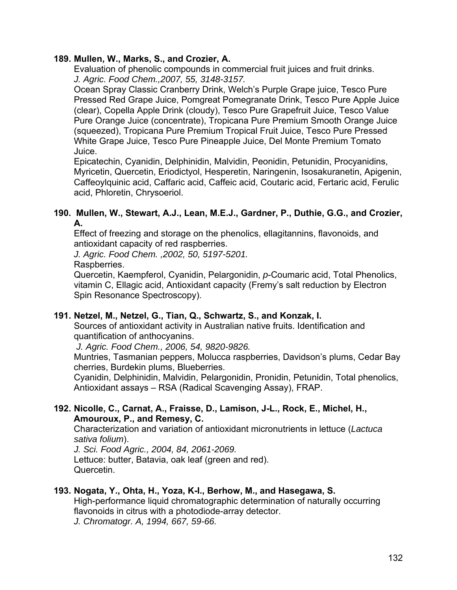#### **189. Mullen, W., Marks, S., and Crozier, A.**

 Evaluation of phenolic compounds in commercial fruit juices and fruit drinks. *J. Agric. Food Chem.,2007, 55, 3148-3157.* 

 Ocean Spray Classic Cranberry Drink, Welch's Purple Grape juice, Tesco Pure Pressed Red Grape Juice, Pomgreat Pomegranate Drink, Tesco Pure Apple Juice (clear), Copella Apple Drink (cloudy), Tesco Pure Grapefruit Juice, Tesco Value Pure Orange Juice (concentrate), Tropicana Pure Premium Smooth Orange Juice (squeezed), Tropicana Pure Premium Tropical Fruit Juice, Tesco Pure Pressed White Grape Juice, Tesco Pure Pineapple Juice, Del Monte Premium Tomato Juice.

 Epicatechin, Cyanidin, Delphinidin, Malvidin, Peonidin, Petunidin, Procyanidins, Myricetin, Quercetin, Eriodictyol, Hesperetin, Naringenin, Isosakuranetin, Apigenin, Caffeoylquinic acid, Caffaric acid, Caffeic acid, Coutaric acid, Fertaric acid, Ferulic acid, Phloretin, Chrysoeriol.

#### **190. Mullen, W., Stewart, A.J., Lean, M.E.J., Gardner, P., Duthie, G.G., and Crozier, A.**

Effect of freezing and storage on the phenolics, ellagitannins, flavonoids, and antioxidant capacity of red raspberries.

*J. Agric. Food Chem. ,2002, 50, 5197-5201.* 

Raspberries.

Quercetin, Kaempferol, Cyanidin, Pelargonidin, *p*-Coumaric acid, Total Phenolics, vitamin C, Ellagic acid, Antioxidant capacity (Fremy's salt reduction by Electron Spin Resonance Spectroscopy).

## **191. Netzel, M., Netzel, G., Tian, Q., Schwartz, S., and Konzak, I.**

 Sources of antioxidant activity in Australian native fruits. Identification and quantification of anthocyanins.

*J. Agric. Food Chem., 2006, 54, 9820-9826.* 

 Muntries, Tasmanian peppers, Molucca raspberries, Davidson's plums, Cedar Bay cherries, Burdekin plums, Blueberries.

 Cyanidin, Delphinidin, Malvidin, Pelargonidin, Pronidin, Petunidin, Total phenolics, Antioxidant assays – RSA (Radical Scavenging Assay), FRAP.

#### **192. Nicolle, C., Carnat, A., Fraisse, D., Lamison, J-L., Rock, E., Michel, H., Amouroux, P., and Remesy, C.**

Characterization and variation of antioxidant micronutrients in lettuce (*Lactuca sativa folium*).

*J. Sci. Food Agric., 2004, 84, 2061-2069.*  Lettuce: butter, Batavia, oak leaf (green and red). Quercetin.

## **193. Nogata, Y., Ohta, H., Yoza, K-I., Berhow, M., and Hasegawa, S.**

High-performance liquid chromatographic determination of naturally occurring flavonoids in citrus with a photodiode-array detector. *J. Chromatogr. A, 1994, 667, 59-66.*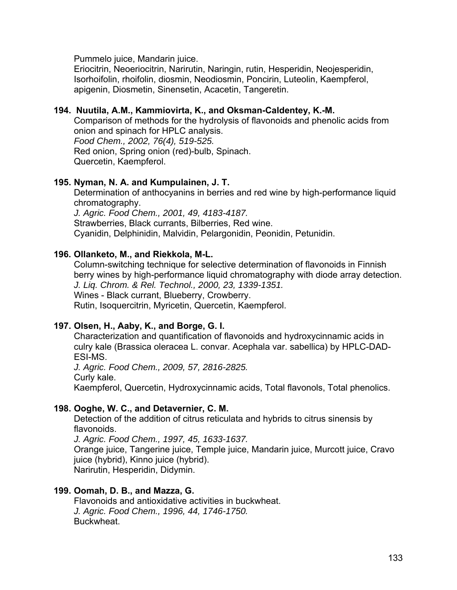Pummelo juice, Mandarin juice.

Eriocitrin, Neoeriocitrin, Narirutin, Naringin, rutin, Hesperidin, Neojesperidin, Isorhoifolin, rhoifolin, diosmin, Neodiosmin, Poncirin, Luteolin, Kaempferol, apigenin, Diosmetin, Sinensetin, Acacetin, Tangeretin.

#### **194. Nuutila, A.M., Kammiovirta, K., and Oksman-Caldentey, K.-M.**

Comparison of methods for the hydrolysis of flavonoids and phenolic acids from onion and spinach for HPLC analysis. *Food Chem., 2002, 76(4), 519-525.*  Red onion, Spring onion (red)-bulb, Spinach. Quercetin, Kaempferol.

#### **195. Nyman, N. A. and Kumpulainen, J. T.**

 Determination of anthocyanins in berries and red wine by high-performance liquid chromatography.

*J. Agric. Food Chem., 2001, 49, 4183-4187.*  Strawberries, Black currants, Bilberries, Red wine. Cyanidin, Delphinidin, Malvidin, Pelargonidin, Peonidin, Petunidin.

#### **196. Ollanketo, M., and Riekkola, M-L.**

Column-switching technique for selective determination of flavonoids in Finnish berry wines by high-performance liquid chromatography with diode array detection. *J. Liq. Chrom. & Rel. Technol., 2000, 23, 1339-1351.* Wines - Black currant, Blueberry, Crowberry. Rutin, Isoquercitrin, Myricetin, Quercetin, Kaempferol.

#### **197. Olsen, H., Aaby, K., and Borge, G. I.**

Characterization and quantification of flavonoids and hydroxycinnamic acids in culry kale (Brassica oleracea L. convar. Acephala var. sabellica) by HPLC-DAD-ESI-MS.

*J. Agric. Food Chem., 2009, 57, 2816-2825.*  Curly kale.

Kaempferol, Quercetin, Hydroxycinnamic acids, Total flavonols, Total phenolics.

#### **198. Ooghe, W. C., and Detavernier, C. M.**

Detection of the addition of citrus reticulata and hybrids to citrus sinensis by flavonoids.

*J. Agric. Food Chem., 1997, 45, 1633-1637.* Orange juice, Tangerine juice, Temple juice, Mandarin juice, Murcott juice, Cravo juice (hybrid), Kinno juice (hybrid). Narirutin, Hesperidin, Didymin.

#### **199. Oomah, D. B., and Mazza, G.**

Flavonoids and antioxidative activities in buckwheat. *J. Agric. Food Chem., 1996, 44, 1746-1750.* Buckwheat.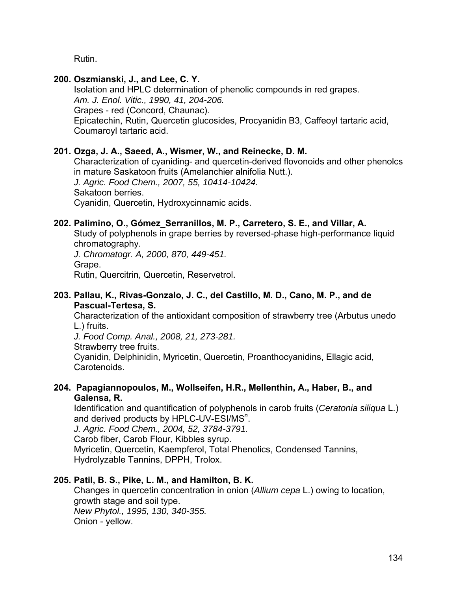Rutin.

#### **200. Oszmianski, J., and Lee, C. Y.**

Isolation and HPLC determination of phenolic compounds in red grapes. *Am. J. Enol. Vitic., 1990, 41, 204-206.* Grapes - red (Concord, Chaunac). Epicatechin, Rutin, Quercetin glucosides, Procyanidin B3, Caffeoyl tartaric acid, Coumaroyl tartaric acid.

## **201. Ozga, J. A., Saeed, A., Wismer, W., and Reinecke, D. M.**

 Characterization of cyaniding- and quercetin-derived flovonoids and other phenolcs in mature Saskatoon fruits (Amelanchier alnifolia Nutt.). *J. Agric. Food Chem., 2007, 55, 10414-10424.*  Sakatoon berries. Cyanidin, Quercetin, Hydroxycinnamic acids.

## **202. Palimino, O., Gómez\_Serranillos, M. P., Carretero, S. E., and Villar, A.**

Study of polyphenols in grape berries by reversed-phase high-performance liquid chromatography.

*J. Chromatogr. A, 2000, 870, 449-451.*

Grape.

Rutin, Quercitrin, Quercetin, Reservetrol.

#### **203. Pallau, K., Rivas-Gonzalo, J. C., del Castillo, M. D., Cano, M. P., and de Pascual-Tertesa, S.**

 Characterization of the antioxidant composition of strawberry tree (Arbutus unedo L.) fruits.

*J. Food Comp. Anal., 2008, 21, 273-281.* 

Strawberry tree fruits.

 Cyanidin, Delphinidin, Myricetin, Quercetin, Proanthocyanidins, Ellagic acid, Carotenoids.

#### **204. Papagiannopoulos, M., Wollseifen, H.R., Mellenthin, A., Haber, B., and Galensa, R.**

Identification and quantification of polyphenols in carob fruits (*Ceratonia siliqua* L.) and derived products by HPLC-UV-ESI/MS*<sup>n</sup>* .

*J. Agric. Food Chem., 2004, 52, 3784-3791.* 

Carob fiber, Carob Flour, Kibbles syrup.

Myricetin, Quercetin, Kaempferol, Total Phenolics, Condensed Tannins, Hydrolyzable Tannins, DPPH, Trolox.

## **205. Patil, B. S., Pike, L. M., and Hamilton, B. K.**

Changes in quercetin concentration in onion (*Allium cepa* L.) owing to location, growth stage and soil type. *New Phytol., 1995, 130, 340-355.* Onion - yellow.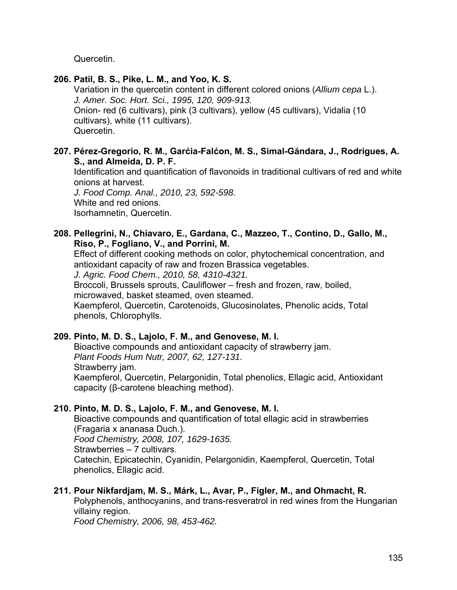Quercetin.

## **206. Patil, B. S., Pike, L. M., and Yoo, K. S.**

Variation in the quercetin content in different colored onions (*Allium cepa* L.). *J. Amer. Soc. Hort. Sci., 1995, 120, 909-913.* Onion- red (6 cultivars), pink (3 cultivars), yellow (45 cultivars), Vidalia (10 cultivars), white (11 cultivars). Quercetin.

## **207. Pérez-Gregorio, R. M., Garćia-Falćon, M. S., Simal-Gándara, J., Rodrigues, A. S., and Almeida, D. P. F.**

 Identification and quantification of flavonoids in traditional cultivars of red and white onions at harvest.

 *J. Food Comp. Anal., 2010, 23, 592-598.*  White and red onions. Isorhamnetin, Quercetin.

#### **208. Pellegrini, N., Chiavaro, E., Gardana, C., Mazzeo, T., Contino, D., Gallo, M., Riso, P., Fogliano, V., and Porrini, M.**

 Effect of different cooking methods on color, phytochemical concentration, and antioxidant capacity of raw and frozen Brassica vegetables.

*J. Agric. Food Chem., 2010, 58, 4310-4321.* 

 Broccoli, Brussels sprouts, Cauliflower – fresh and frozen, raw, boiled, microwaved, basket steamed, oven steamed.

 Kaempferol, Quercetin, Carotenoids, Glucosinolates, Phenolic acids, Total phenols, Chlorophylls.

## **209. Pinto, M. D. S., Lajolo, F. M., and Genovese, M. I.**

Bioactive compounds and antioxidant capacity of strawberry jam. *Plant Foods Hum Nutr, 2007, 62, 127-131.*  Strawberry jam. Kaempferol, Quercetin, Pelargonidin, Total phenolics, Ellagic acid, Antioxidant capacity (β-carotene bleaching method).

## **210. Pinto, M. D. S., Lajolo, F. M., and Genovese, M. I.**

 Bioactive compounds and quantification of total ellagic acid in strawberries (Fragaria x ananasa Duch.). *Food Chemistry, 2008, 107, 1629-1635.*  Strawberries – 7 cultivars. Catechin, Epicatechin, Cyanidin, Pelargonidin, Kaempferol, Quercetin, Total phenolics, Ellagic acid.

## **211. Pour Nikfardjam, M. S., Márk, L., Avar, P., Figler, M., and Ohmacht, R.**

 Polyphenols, anthocyanins, and trans-resveratrol in red wines from the Hungarian villainy region.

*Food Chemistry, 2006, 98, 453-462.*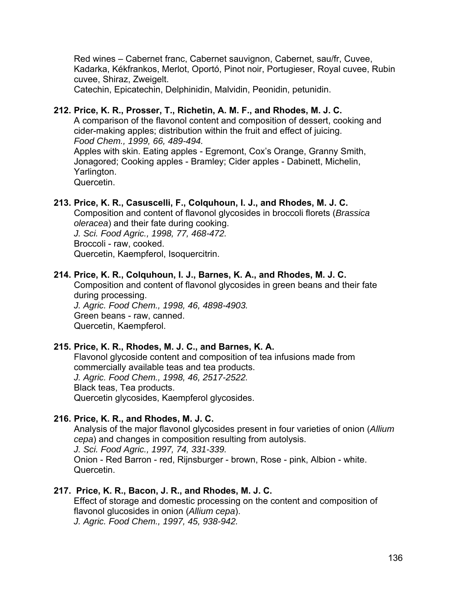Red wines – Cabernet franc, Cabernet sauvignon, Cabernet, sau/fr, Cuvee, Kadarka, Kékfrankos, Merlot, Oportó, Pinot noir, Portugieser, Royal cuvee, Rubin cuvee, Shiraz, Zweigelt.

Catechin, Epicatechin, Delphinidin, Malvidin, Peonidin, petunidin.

## **212. Price, K. R., Prosser, T., Richetin, A. M. F., and Rhodes, M. J. C.**

A comparison of the flavonol content and composition of dessert, cooking and cider-making apples; distribution within the fruit and effect of juicing. *Food Chem., 1999, 66, 489-494.* Apples with skin. Eating apples - Egremont, Cox's Orange, Granny Smith, Jonagored; Cooking apples - Bramley; Cider apples - Dabinett, Michelin, Yarlington.

Quercetin.

#### **213. Price, K. R., Casuscelli, F., Colquhoun, I. J., and Rhodes, M. J. C.**

Composition and content of flavonol glycosides in broccoli florets (*Brassica oleracea*) and their fate during cooking.

*J. Sci. Food Agric., 1998, 77, 468-472.* Broccoli - raw, cooked.

Quercetin, Kaempferol, Isoquercitrin.

#### **214. Price, K. R., Colquhoun, I. J., Barnes, K. A., and Rhodes, M. J. C.**

Composition and content of flavonol glycosides in green beans and their fate during processing. *J. Agric. Food Chem., 1998, 46, 4898-4903.* Green beans - raw, canned.

Quercetin, Kaempferol.

#### **215. Price, K. R., Rhodes, M. J. C., and Barnes, K. A.**

Flavonol glycoside content and composition of tea infusions made from commercially available teas and tea products. *J. Agric. Food Chem., 1998, 46, 2517-2522.* Black teas, Tea products. Quercetin glycosides, Kaempferol glycosides.

#### **216. Price, K. R., and Rhodes, M. J. C.**

Analysis of the major flavonol glycosides present in four varieties of onion (*Allium cepa*) and changes in composition resulting from autolysis. *J. Sci. Food Agric., 1997, 74, 331-339.* Onion - Red Barron - red, Rijnsburger - brown, Rose - pink, Albion - white. Quercetin.

#### **217. Price, K. R., Bacon, J. R., and Rhodes, M. J. C.**

Effect of storage and domestic processing on the content and composition of flavonol glucosides in onion (*Allium cepa*). *J. Agric. Food Chem., 1997, 45, 938-942.*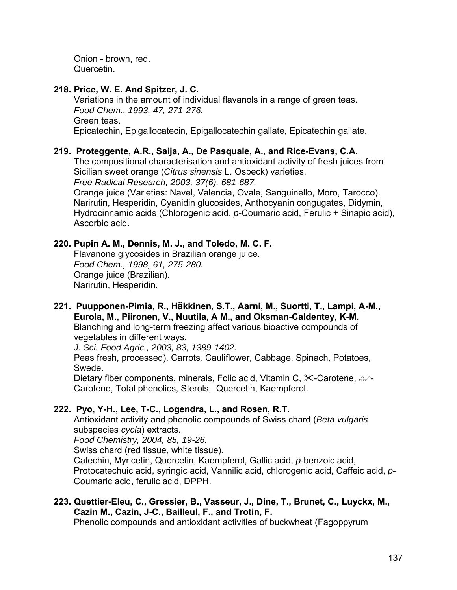Onion - brown, red. Quercetin.

## **218. Price, W. E. And Spitzer, J. C.**

Variations in the amount of individual flavanols in a range of green teas. *Food Chem., 1993, 47, 271-276.* Green teas. Epicatechin, Epigallocatecin, Epigallocatechin gallate, Epicatechin gallate.

#### **219. Proteggente, A.R., Saija, A., De Pasquale, A., and Rice-Evans, C.A.**

The compositional characterisation and antioxidant activity of fresh juices from Sicilian sweet orange (*Citrus sinensis* L. Osbeck) varieties.

*Free Radical Research, 2003, 37(6), 681-687.*  Orange juice (Varieties: Navel, Valencia, Ovale, Sanguinello, Moro, Tarocco). Narirutin, Hesperidin, Cyanidin glucosides, Anthocyanin congugates, Didymin, Hydrocinnamic acids (Chlorogenic acid, *p*-Coumaric acid, Ferulic + Sinapic acid), Ascorbic acid.

#### **220. Pupin A. M., Dennis, M. J., and Toledo, M. C. F.**

Flavanone glycosides in Brazilian orange juice. *Food Chem., 1998, 61, 275-280.* Orange juice (Brazilian). Narirutin, Hesperidin.

#### **221. Puupponen-Pimia, R., Häkkinen, S.T., Aarni, M., Suortti, T., Lampi, A-M., Eurola, M., Piironen, V., Nuutila, A M., and Oksman-Caldentey, K-M.**  Blanching and long-term freezing affect various bioactive compounds of vegetables in different ways.

*J. Sci. Food Agric., 2003, 83, 1389-1402.* 

Peas fresh, processed), Carrots*,* Cauliflower, Cabbage, Spinach, Potatoes, Swede.

Dietary fiber components, minerals, Folic acid, Vitamin C,  $\ll$ -Carotene,  $\ll$ -Carotene, Total phenolics, Sterols, Quercetin, Kaempferol.

## **222. Pyo, Y-H., Lee, T-C., Logendra, L., and Rosen, R.T.**

Antioxidant activity and phenolic compounds of Swiss chard (*Beta vulgaris* subspecies *cycla*) extracts. *Food Chemistry, 2004, 85, 19-26.* 

Swiss chard (red tissue, white tissue).

Catechin, Myricetin, Quercetin, Kaempferol, Gallic acid, *p*-benzoic acid,

Protocatechuic acid, syringic acid, Vannilic acid, chlorogenic acid, Caffeic acid, *p*-Coumaric acid, ferulic acid, DPPH.

## **223. Quettier-Eleu, C., Gressier, B., Vasseur, J., Dine, T., Brunet, C., Luyckx, M., Cazin M., Cazin, J-C., Bailleul, F., and Trotin, F.**

Phenolic compounds and antioxidant activities of buckwheat (Fagoppyrum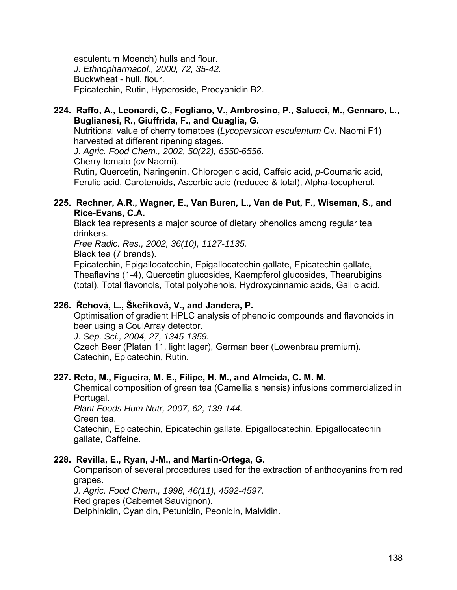esculentum Moench) hulls and flour. *J. Ethnopharmacol., 2000, 72, 35-42.* Buckwheat - hull, flour. Epicatechin, Rutin, Hyperoside, Procyanidin B2.

## **224. Raffo, A., Leonardi, C., Fogliano, V., Ambrosino, P., Salucci, M., Gennaro, L., Buglianesi, R., Giuffrida, F., and Quaglia, G.**

Nutritional value of cherry tomatoes (*Lycopersicon esculentum* Cv. Naomi F1) harvested at different ripening stages.

*J. Agric. Food Chem., 2002, 50(22), 6550-6556.* 

Cherry tomato (cv Naomi).

Rutin, Quercetin, Naringenin, Chlorogenic acid, Caffeic acid, *p*-Coumaric acid, Ferulic acid, Carotenoids, Ascorbic acid (reduced & total), Alpha-tocopherol.

#### **225. Rechner, A.R., Wagner, E., Van Buren, L., Van de Put, F., Wiseman, S., and Rice-Evans, C.A.**

Black tea represents a major source of dietary phenolics among regular tea drinkers.

*Free Radic. Res., 2002, 36(10), 1127-1135.* 

Black tea (7 brands).

Epicatechin, Epigallocatechin, Epigallocatechin gallate, Epicatechin gallate, Theaflavins (1-4), Quercetin glucosides, Kaempferol glucosides, Thearubigins (total), Total flavonols, Total polyphenols, Hydroxycinnamic acids, Gallic acid.

## **226. Řehová, L., Škeřiková, V., and Jandera, P.**

Optimisation of gradient HPLC analysis of phenolic compounds and flavonoids in beer using a CoulArray detector.

*J. Sep. Sci., 2004, 27, 1345-1359.* 

Czech Beer (Platan 11, light lager), German beer (Lowenbrau premium). Catechin, Epicatechin, Rutin.

## **227. Reto, M., Figueira, M. E., Filipe, H. M., and Almeida, C. M. M.**

Chemical composition of green tea (Camellia sinensis) infusions commercialized in Portugal.

*Plant Foods Hum Nutr, 2007, 62, 139-144.* 

Green tea.

 Catechin, Epicatechin, Epicatechin gallate, Epigallocatechin, Epigallocatechin gallate, Caffeine.

## **228. Revilla, E., Ryan, J-M., and Martin-Ortega, G.**

Comparison of several procedures used for the extraction of anthocyanins from red grapes.

*J. Agric. Food Chem., 1998, 46(11), 4592-4597.* 

Red grapes (Cabernet Sauvignon).

Delphinidin, Cyanidin, Petunidin, Peonidin, Malvidin.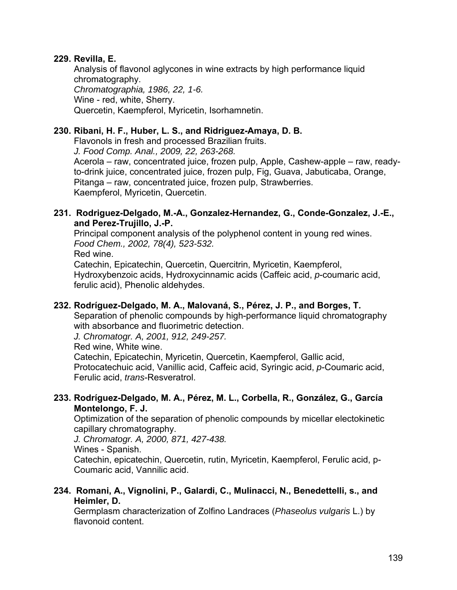#### **229. Revilla, E.**

Analysis of flavonol aglycones in wine extracts by high performance liquid chromatography. *Chromatographia, 1986, 22, 1-6.* Wine - red, white, Sherry. Quercetin, Kaempferol, Myricetin, Isorhamnetin.

## **230. Ribani, H. F., Huber, L. S., and Ridriguez-Amaya, D. B.**

Flavonols in fresh and processed Brazilian fruits. *J. Food Comp. Anal., 2009, 22, 263-268.*  Acerola – raw, concentrated juice, frozen pulp, Apple, Cashew-apple – raw, readyto-drink juice, concentrated juice, frozen pulp, Fig, Guava, Jabuticaba, Orange, Pitanga – raw, concentrated juice, frozen pulp, Strawberries. Kaempferol, Myricetin, Quercetin.

#### **231. Rodriguez-Delgado, M.-A., Gonzalez-Hernandez, G., Conde-Gonzalez, J.-E., and Perez-Trujillo, J.-P.**

Principal component analysis of the polyphenol content in young red wines. *Food Chem., 2002, 78(4), 523-532.* 

Red wine.

Catechin, Epicatechin, Quercetin, Quercitrin, Myricetin, Kaempferol, Hydroxybenzoic acids, Hydroxycinnamic acids (Caffeic acid, *p*-coumaric acid, ferulic acid), Phenolic aldehydes.

## **232. Rodríguez-Delgado, M. A., Malovaná, S., Pérez, J. P., and Borges, T.**

Separation of phenolic compounds by high-performance liquid chromatography with absorbance and fluorimetric detection.

*J. Chromatogr. A, 2001, 912, 249-257.*

Red wine, White wine.

Catechin, Epicatechin, Myricetin, Quercetin, Kaempferol, Gallic acid,

Protocatechuic acid, Vanillic acid, Caffeic acid, Syringic acid, *p*-Coumaric acid, Ferulic acid, *trans*-Resveratrol.

#### **233. Rodríguez-Delgado, M. A., Pérez, M. L., Corbella, R., González, G., García Montelongo, F. J.**

Optimization of the separation of phenolic compounds by micellar electokinetic capillary chromatography.

*J. Chromatogr. A, 2000, 871, 427-438.*

Wines - Spanish.

Catechin, epicatechin, Quercetin, rutin, Myricetin, Kaempferol, Ferulic acid, p-Coumaric acid, Vannilic acid.

## **234. Romani, A., Vignolini, P., Galardi, C., Mulinacci, N., Benedettelli, s., and Heimler, D.**

Germplasm characterization of Zolfino Landraces (*Phaseolus vulgaris* L.) by flavonoid content.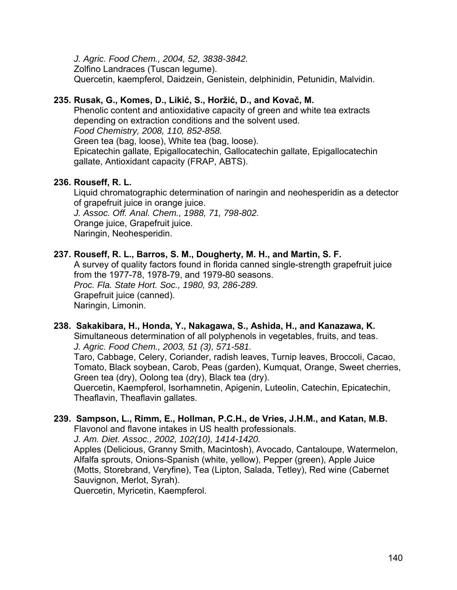*J. Agric. Food Chem., 2004, 52, 3838-3842.*  Zolfino Landraces (Tuscan legume). Quercetin, kaempferol, Daidzein, Genistein, delphinidin, Petunidin, Malvidin.

## **235. Rusak, G., Komes, D., Likić, S., Horžić, D., and Kovač, M.**

 Phenolic content and antioxidative capacity of green and white tea extracts depending on extraction conditions and the solvent used. *Food Chemistry, 2008, 110, 852-858.*  Green tea (bag, loose), White tea (bag, loose). Epicatechin gallate, Epigallocatechin, Gallocatechin gallate, Epigallocatechin gallate, Antioxidant capacity (FRAP, ABTS).

#### **236. Rouseff, R. L.**

Liquid chromatographic determination of naringin and neohesperidin as a detector of grapefruit juice in orange juice.

*J. Assoc. Off. Anal. Chem., 1988, 71, 798-802.* Orange juice, Grapefruit juice. Naringin, Neohesperidin.

#### **237. Rouseff, R. L., Barros, S. M., Dougherty, M. H., and Martin, S. F.**

A survey of quality factors found in florida canned single-strength grapefruit juice from the 1977-78, 1978-79, and 1979-80 seasons. *Proc. Fla. State Hort. Soc., 1980, 93, 286-289.* Grapefruit juice (canned). Naringin, Limonin.

#### **238. Sakakibara, H., Honda, Y., Nakagawa, S., Ashida, H., and Kanazawa, K.**

Simultaneous determination of all polyphenols in vegetables, fruits, and teas. *J. Agric. Food Chem., 2003, 51 (3), 571-581.* 

Taro, Cabbage, Celery, Coriander, radish leaves, Turnip leaves, Broccoli, Cacao, Tomato, Black soybean, Carob, Peas (garden), Kumquat, Orange, Sweet cherries, Green tea (dry), Oolong tea (dry), Black tea (dry).

Quercetin, Kaempferol, Isorhamnetin, Apigenin, Luteolin, Catechin, Epicatechin, Theaflavin, Theaflavin gallates.

## **239. Sampson, L., Rimm, E., Hollman, P.C.H., de Vries, J.H.M., and Katan, M.B.**

Flavonol and flavone intakes in US health professionals.

*J. Am. Diet. Assoc., 2002, 102(10), 1414-1420.* 

Apples (Delicious, Granny Smith, Macintosh), Avocado, Cantaloupe, Watermelon, Alfalfa sprouts, Onions-Spanish (white, yellow), Pepper (green), Apple Juice (Motts, Storebrand, Veryfine), Tea (Lipton, Salada, Tetley), Red wine (Cabernet Sauvignon, Merlot, Syrah).

Quercetin, Myricetin, Kaempferol.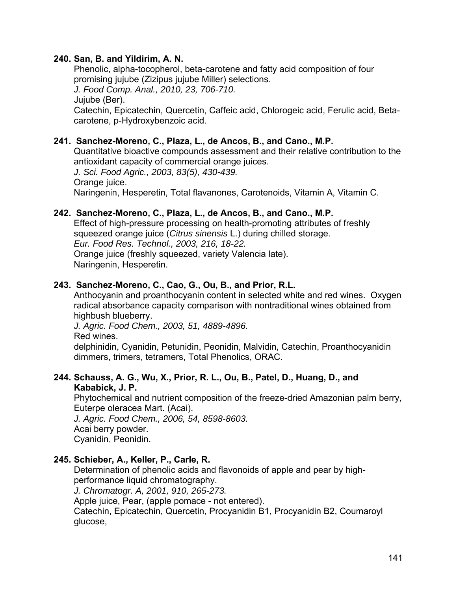#### **240. San, B. and Yildirim, A. N.**

 Phenolic, alpha-tocopherol, beta-carotene and fatty acid composition of four promising jujube (Zizipus jujube Miller) selections.

*J. Food Comp. Anal., 2010, 23, 706-710.* 

Jujube (Ber).

 Catechin, Epicatechin, Quercetin, Caffeic acid, Chlorogeic acid, Ferulic acid, Betacarotene, p-Hydroxybenzoic acid.

#### **241. Sanchez-Moreno, C., Plaza, L., de Ancos, B., and Cano., M.P.**

Quantitative bioactive compounds assessment and their relative contribution to the antioxidant capacity of commercial orange juices. *J. Sci. Food Agric., 2003, 83(5), 430-439.*  Orange juice. Naringenin, Hesperetin, Total flavanones, Carotenoids, Vitamin A, Vitamin C.

#### **242. Sanchez-Moreno, C., Plaza, L., de Ancos, B., and Cano., M.P.**

Effect of high-pressure processing on health-promoting attributes of freshly squeezed orange juice (*Citrus sinensis* L.) during chilled storage. *Eur. Food Res. Technol., 2003, 216, 18-22.*  Orange juice (freshly squeezed, variety Valencia late). Naringenin, Hesperetin.

#### **243. Sanchez-Moreno, C., Cao, G., Ou, B., and Prior, R.L.**

Anthocyanin and proanthocyanin content in selected white and red wines. Oxygen radical absorbance capacity comparison with nontraditional wines obtained from highbush blueberry.

*J. Agric. Food Chem., 2003, 51, 4889-4896.* 

Red wines.

delphinidin, Cyanidin, Petunidin, Peonidin, Malvidin, Catechin, Proanthocyanidin dimmers, trimers, tetramers, Total Phenolics, ORAC.

#### **244. Schauss, A. G., Wu, X., Prior, R. L., Ou, B., Patel, D., Huang, D., and Kababick, J. P.**

 Phytochemical and nutrient composition of the freeze-dried Amazonian palm berry, Euterpe oleracea Mart. (Acai).

*J. Agric. Food Chem., 2006, 54, 8598-8603.*  Acai berry powder. Cyanidin, Peonidin.

## **245. Schieber, A., Keller, P., Carle, R.**

Determination of phenolic acids and flavonoids of apple and pear by highperformance liquid chromatography.

*J. Chromatogr. A, 2001, 910, 265-273.*

Apple juice, Pear, (apple pomace - not entered).

Catechin, Epicatechin, Quercetin, Procyanidin B1, Procyanidin B2, Coumaroyl glucose,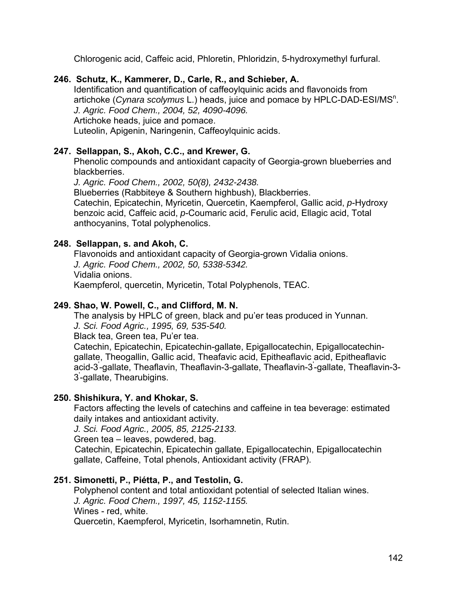Chlorogenic acid, Caffeic acid, Phloretin, Phloridzin, 5-hydroxymethyl furfural.

# **246. Schutz, K., Kammerer, D., Carle, R., and Schieber, A.**

Identification and quantification of caffeoylquinic acids and flavonoids from artichoke (Cynara scolymus L.) heads, juice and pomace by HPLC-DAD-ESI/MS<sup>n</sup>. *J. Agric. Food Chem., 2004, 52, 4090-4096.*  Artichoke heads, juice and pomace. Luteolin, Apigenin, Naringenin, Caffeoylquinic acids.

# **247. Sellappan, S., Akoh, C.C., and Krewer, G.**

Phenolic compounds and antioxidant capacity of Georgia-grown blueberries and blackberries.

*J. Agric. Food Chem., 2002, 50(8), 2432-2438.* 

Blueberries (Rabbiteye & Southern highbush), Blackberries. Catechin, Epicatechin, Myricetin, Quercetin, Kaempferol, Gallic acid, *p*-Hydroxy benzoic acid, Caffeic acid, *p*-Coumaric acid, Ferulic acid, Ellagic acid, Total anthocyanins, Total polyphenolics.

# **248. Sellappan, s. and Akoh, C.**

Flavonoids and antioxidant capacity of Georgia-grown Vidalia onions. *J. Agric. Food Chem., 2002, 50, 5338-5342.*  Vidalia onions. Kaempferol, quercetin, Myricetin, Total Polyphenols, TEAC.

## **249. Shao, W. Powell, C., and Clifford, M. N.**

The analysis by HPLC of green, black and pu'er teas produced in Yunnan. *J. Sci. Food Agric., 1995, 69, 535-540.*

Black tea, Green tea, Pu'er tea.

Catechin, Epicatechin, Epicatechin-gallate, Epigallocatechin, Epigallocatechingallate, Theogallin, Gallic acid, Theafavic acid, Epitheaflavic acid, Epitheaflavic acid-3' -gallate, Theaflavin, Theaflavin-3-gallate, Theaflavin-3' -gallate, Theaflavin-3- 3' -gallate, Thearubigins.

## **250. Shishikura, Y. and Khokar, S.**

 Factors affecting the levels of catechins and caffeine in tea beverage: estimated daily intakes and antioxidant activity.

 *J. Sci. Food Agric., 2005, 85, 2125-2133.* 

Green tea – leaves, powdered, bag.

 Catechin, Epicatechin, Epicatechin gallate, Epigallocatechin, Epigallocatechin gallate, Caffeine, Total phenols, Antioxidant activity (FRAP).

# **251. Simonetti, P., Piétta, P., and Testolin, G.**

Polyphenol content and total antioxidant potential of selected Italian wines. *J. Agric. Food Chem., 1997, 45, 1152-1155.* Wines - red, white. Quercetin, Kaempferol, Myricetin, Isorhamnetin, Rutin.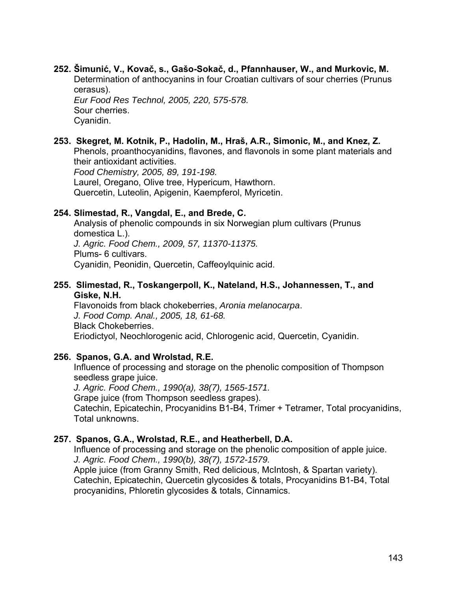#### **252. Šimunić, V., Kovač, s., Gašo-Sokač, d., Pfannhauser, W., and Murkovic, M.**  Determination of anthocyanins in four Croatian cultivars of sour cherries (Prunus cerasus). *Eur Food Res Technol, 2005, 220, 575-578.*

 Sour cherries. Cyanidin.

## **253. Skegret, M. Kotnik, P., Hadolin, M., Hraš, A.R., Simonic, M., and Knez, Z.**

Phenols, proanthocyanidins, flavones, and flavonols in some plant materials and their antioxidant activities.

*Food Chemistry, 2005, 89, 191-198.* 

Laurel, Oregano, Olive tree, Hypericum, Hawthorn. Quercetin, Luteolin, Apigenin, Kaempferol, Myricetin.

# **254. Slimestad, R., Vangdal, E., and Brede, C.**

 Analysis of phenolic compounds in six Norwegian plum cultivars (Prunus domestica L.). *J. Agric. Food Chem., 2009, 57, 11370-11375.*  Plums- 6 cultivars. Cyanidin, Peonidin, Quercetin, Caffeoylquinic acid.

#### **255. Slimestad, R., Toskangerpoll, K., Nateland, H.S., Johannessen, T., and Giske, N.H.**

Flavonoids from black chokeberries, *Aronia melanocarpa*. *J. Food Comp. Anal., 2005, 18, 61-68.*  Black Chokeberries. Eriodictyol, Neochlorogenic acid, Chlorogenic acid, Quercetin, Cyanidin.

# **256. Spanos, G.A. and Wrolstad, R.E.**

Influence of processing and storage on the phenolic composition of Thompson seedless grape juice.

*J. Agric. Food Chem., 1990(a), 38(7), 1565-1571.* 

Grape juice (from Thompson seedless grapes).

Catechin, Epicatechin, Procyanidins B1-B4, Trimer + Tetramer, Total procyanidins, Total unknowns.

# **257. Spanos, G.A., Wrolstad, R.E., and Heatherbell, D.A.**

Influence of processing and storage on the phenolic composition of apple juice. *J. Agric. Food Chem., 1990(b), 38(7), 1572-1579.*  Apple juice (from Granny Smith, Red delicious, McIntosh, & Spartan variety). Catechin, Epicatechin, Quercetin glycosides & totals, Procyanidins B1-B4, Total procyanidins, Phloretin glycosides & totals, Cinnamics.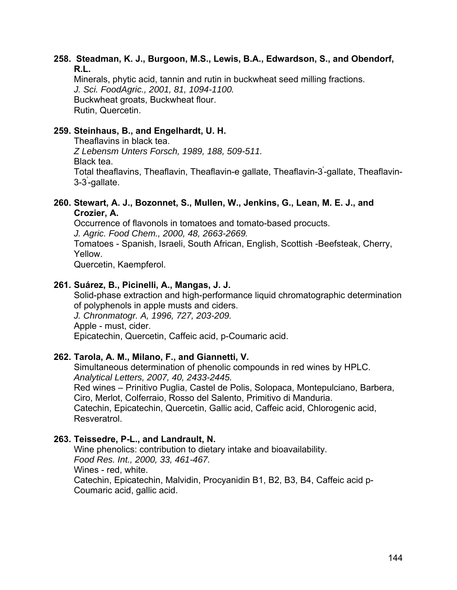#### **258. Steadman, K. J., Burgoon, M.S., Lewis, B.A., Edwardson, S., and Obendorf, R.L.**

Minerals, phytic acid, tannin and rutin in buckwheat seed milling fractions. *J. Sci. FoodAgric., 2001, 81, 1094-1100.*  Buckwheat groats, Buckwheat flour. Rutin, Quercetin.

# **259. Steinhaus, B., and Engelhardt, U. H.**

Theaflavins in black tea. *Z Lebensm Unters Forsch, 1989, 188, 509-511.* Black tea. Total theaflavins, Theaflavin, Theaflavin-e gallate, Theaflavin-3' -gallate, Theaflavin-3-3' -gallate.

#### **260. Stewart, A. J., Bozonnet, S., Mullen, W., Jenkins, G., Lean, M. E. J., and Crozier, A.**

Occurrence of flavonols in tomatoes and tomato-based procucts.

*J. Agric. Food Chem., 2000, 48, 2663-2669.*

Tomatoes - Spanish, Israeli, South African, English, Scottish -Beefsteak, Cherry, Yellow.

Quercetin, Kaempferol.

# **261. Suárez, B., Picinelli, A., Mangas, J. J.**

Solid-phase extraction and high-performance liquid chromatographic determination of polyphenols in apple musts and ciders. *J. Chronmatogr. A, 1996, 727, 203-209.* Apple - must, cider. Epicatechin, Quercetin, Caffeic acid, p-Coumaric acid.

# **262. Tarola, A. M., Milano, F., and Giannetti, V.**

 Simultaneous determination of phenolic compounds in red wines by HPLC. *Analytical Letters, 2007, 40, 2433-2445.*  Red wines – Prinitivo Puglia, Castel de Polis, Solopaca, Montepulciano, Barbera,

Ciro, Merlot, Colferraio, Rosso del Salento, Primitivo di Manduria. Catechin, Epicatechin, Quercetin, Gallic acid, Caffeic acid, Chlorogenic acid, Resveratrol.

# **263. Teissedre, P-L., and Landrault, N.**

Wine phenolics: contribution to dietary intake and bioavailability. *Food Res. Int., 2000, 33, 461-467.* Wines - red, white. Catechin, Epicatechin, Malvidin, Procyanidin B1, B2, B3, B4, Caffeic acid p-Coumaric acid, gallic acid.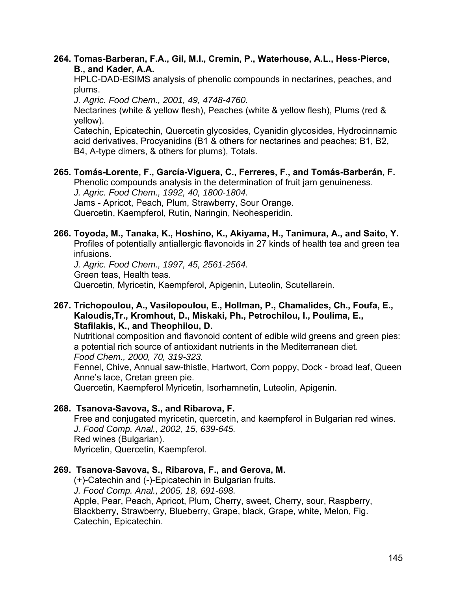**264. Tomas-Barberan, F.A., Gil, M.I., Cremin, P., Waterhouse, A.L., Hess-Pierce, B., and Kader, A.A.** 

HPLC-DAD-ESIMS analysis of phenolic compounds in nectarines, peaches, and plums.

*J. Agric. Food Chem., 2001, 49, 4748-4760.* 

Nectarines (white & yellow flesh), Peaches (white & yellow flesh), Plums (red & yellow).

Catechin, Epicatechin, Quercetin glycosides, Cyanidin glycosides, Hydrocinnamic acid derivatives, Procyanidins (B1 & others for nectarines and peaches; B1, B2, B4, A-type dimers, & others for plums), Totals.

**265. Tomás-Lorente, F., García-Viguera, C., Ferreres, F., and Tomás-Barberán, F.** 

Phenolic compounds analysis in the determination of fruit jam genuineness. *J. Agric. Food Chem., 1992, 40, 1800-1804.* Jams - Apricot, Peach, Plum, Strawberry, Sour Orange.

Quercetin, Kaempferol, Rutin, Naringin, Neohesperidin.

**266. Toyoda, M., Tanaka, K., Hoshino, K., Akiyama, H., Tanimura, A., and Saito, Y.**  Profiles of potentially antiallergic flavonoids in 27 kinds of health tea and green tea infusions.

*J. Agric. Food Chem., 1997, 45, 2561-2564.* Green teas, Health teas. Quercetin, Myricetin, Kaempferol, Apigenin, Luteolin, Scutellarein.

**267. Trichopoulou, A., Vasilopoulou, E., Hollman, P., Chamalides, Ch., Foufa, E., Kaloudis,Tr., Kromhout, D., Miskaki, Ph., Petrochilou, I., Poulima, E., Stafilakis, K., and Theophilou, D.** 

Nutritional composition and flavonoid content of edible wild greens and green pies: a potential rich source of antioxidant nutrients in the Mediterranean diet. *Food Chem., 2000, 70, 319-323.*

Fennel, Chive, Annual saw-thistle, Hartwort, Corn poppy, Dock - broad leaf, Queen Anne's lace, Cretan green pie.

Quercetin, Kaempferol Myricetin, Isorhamnetin, Luteolin, Apigenin.

## **268. Tsanova-Savova, S., and Ribarova, F.**

Free and conjugated myricetin, quercetin, and kaempferol in Bulgarian red wines. *J. Food Comp. Anal., 2002, 15, 639-645.*  Red wines (Bulgarian). Myricetin, Quercetin, Kaempferol.

## **269. Tsanova-Savova, S., Ribarova, F., and Gerova, M.**

(+)-Catechin and (-)-Epicatechin in Bulgarian fruits. *J. Food Comp. Anal., 2005, 18, 691-698.*  Apple, Pear, Peach, Apricot, Plum, Cherry, sweet, Cherry, sour, Raspberry, Blackberry, Strawberry, Blueberry, Grape, black, Grape, white, Melon, Fig. Catechin, Epicatechin.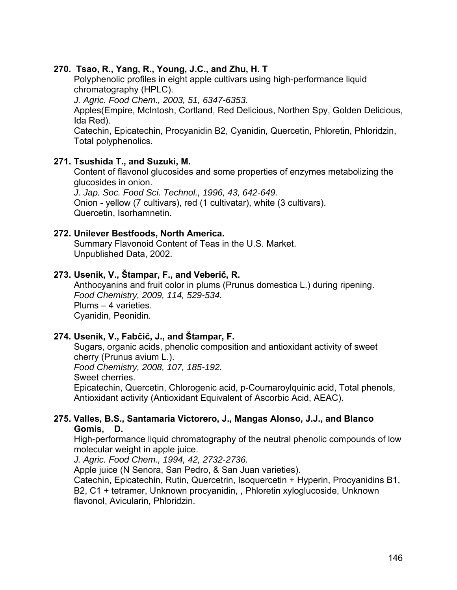#### **270. Tsao, R., Yang, R., Young, J.C., and Zhu, H. T**

Polyphenolic profiles in eight apple cultivars using high-performance liquid chromatography (HPLC).

*J. Agric. Food Chem., 2003, 51, 6347-6353.* 

Apples(Empire, McIntosh, Cortland, Red Delicious, Northen Spy, Golden Delicious, Ida Red).

Catechin, Epicatechin, Procyanidin B2, Cyanidin, Quercetin, Phloretin, Phloridzin, Total polyphenolics.

## **271. Tsushida T., and Suzuki, M.**

Content of flavonol glucosides and some properties of enzymes metabolizing the glucosides in onion.

*J. Jap. Soc. Food Sci. Technol., 1996, 43, 642-649.* Onion - yellow (7 cultivars), red (1 cultivatar), white (3 cultivars). Quercetin, Isorhamnetin.

#### **272. Unilever Bestfoods, North America.**

Summary Flavonoid Content of Teas in the U.S. Market. Unpublished Data, 2002.

## **273. Usenik, V., Štampar, F., and Veberič, R.**

 Anthocyanins and fruit color in plums (Prunus domestica L.) during ripening. *Food Chemistry, 2009, 114, 529-534.*  Plums – 4 varieties. Cyanidin, Peonidin.

## **274. Usenik, V., Fabčič, J., and Štampar, F.**

Sugars, organic acids, phenolic composition and antioxidant activity of sweet cherry (Prunus avium L.). *Food Chemistry, 2008, 107, 185-192.*  Sweet cherries.

Epicatechin, Quercetin, Chlorogenic acid, p-Coumaroylquinic acid, Total phenols, Antioxidant activity (Antioxidant Equivalent of Ascorbic Acid, AEAC).

#### **275. Valles, B.S., Santamaria Victorero, J., Mangas Alonso, J.J., and Blanco Gomis, D.**

High-performance liquid chromatography of the neutral phenolic compounds of low molecular weight in apple juice.

*J. Agric. Food Chem., 1994, 42, 2732-2736.* 

Apple juice (N Senora, San Pedro, & San Juan varieties).

Catechin, Epicatechin, Rutin, Quercetrin, Isoquercetin + Hyperin, Procyanidins B1, B2, C1 + tetramer, Unknown procyanidin, , Phloretin xyloglucoside, Unknown flavonol, Avicularin, Phloridzin.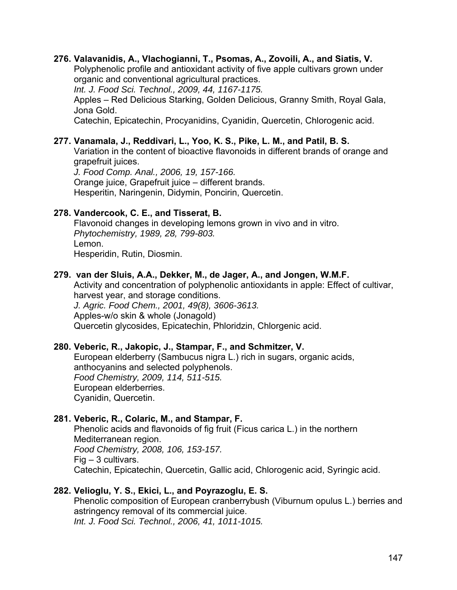#### **276. Valavanidis, A., Vlachogianni, T., Psomas, A., Zovoili, A., and Siatis, V.**

 Polyphenolic profile and antioxidant activity of five apple cultivars grown under organic and conventional agricultural practices.

*Int. J. Food Sci. Technol., 2009, 44, 1167-1175.* 

 Apples – Red Delicious Starking, Golden Delicious, Granny Smith, Royal Gala, Jona Gold.

Catechin, Epicatechin, Procyanidins, Cyanidin, Quercetin, Chlorogenic acid.

### **277. Vanamala, J., Reddivari, L., Yoo, K. S., Pike, L. M., and Patil, B. S.**

 Variation in the content of bioactive flavonoids in different brands of orange and grapefruit juices.

*J. Food Comp. Anal., 2006, 19, 157-166.*  Orange juice, Grapefruit juice – different brands. Hesperitin, Naringenin, Didymin, Poncirin, Quercetin.

#### **278. Vandercook, C. E., and Tisserat, B.**

Flavonoid changes in developing lemons grown in vivo and in vitro. *Phytochemistry, 1989, 28, 799-803.* Lemon. Hesperidin, Rutin, Diosmin.

#### **279. van der Sluis, A.A., Dekker, M., de Jager, A., and Jongen, W.M.F.**

Activity and concentration of polyphenolic antioxidants in apple: Effect of cultivar, harvest year, and storage conditions. *J. Agric. Food Chem., 2001, 49(8), 3606-3613.*  Apples-w/o skin & whole (Jonagold) Quercetin glycosides, Epicatechin, Phloridzin, Chlorgenic acid.

#### **280. Veberic, R., Jakopic, J., Stampar, F., and Schmitzer, V.**

 European elderberry (Sambucus nigra L.) rich in sugars, organic acids, anthocyanins and selected polyphenols. *Food Chemistry, 2009, 114, 511-515.*  European elderberries. Cyanidin, Quercetin.

#### **281. Veberic, R., Colaric, M., and Stampar, F.**

 Phenolic acids and flavonoids of fig fruit (Ficus carica L.) in the northern Mediterranean region. *Food Chemistry, 2008, 106, 153-157.*  Fig – 3 cultivars. Catechin, Epicatechin, Quercetin, Gallic acid, Chlorogenic acid, Syringic acid.

## **282. Velioglu, Y. S., Ekici, L., and Poyrazoglu, E. S.**

 Phenolic composition of European cranberrybush (Viburnum opulus L.) berries and astringency removal of its commercial juice. *Int. J. Food Sci. Technol., 2006, 41, 1011-1015.*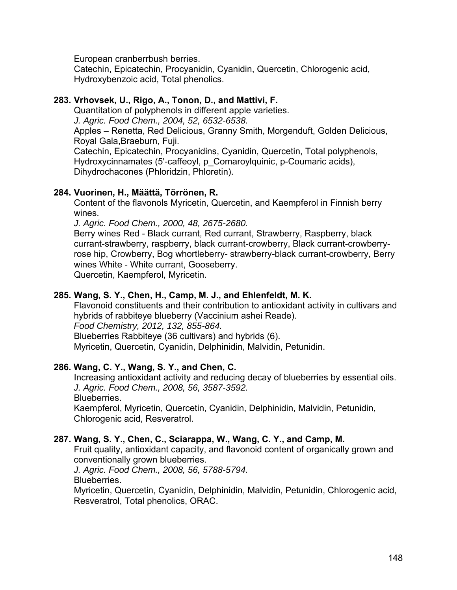European cranberrbush berries.

 Catechin, Epicatechin, Procyanidin, Cyanidin, Quercetin, Chlorogenic acid, Hydroxybenzoic acid, Total phenolics.

# **283. Vrhovsek, U., Rigo, A., Tonon, D., and Mattivi, F.**

 Quantitation of polyphenols in different apple varieties. *J. Agric. Food Chem., 2004, 52, 6532-6538.*  Apples – Renetta, Red Delicious, Granny Smith, Morgenduft, Golden Delicious, Royal Gala,Braeburn, Fuji. Catechin, Epicatechin, Procyanidins, Cyanidin, Quercetin, Total polyphenols, Hydroxycinnamates (5'-caffeoyl, p\_Comaroylquinic, p-Coumaric acids), Dihydrochacones (Phloridzin, Phloretin).

## **284. Vuorinen, H., Määttä, Törrönen, R.**

Content of the flavonols Myricetin, Quercetin, and Kaempferol in Finnish berry wines.

*J. Agric. Food Chem., 2000, 48, 2675-2680.*

Berry wines Red - Black currant, Red currant, Strawberry, Raspberry, black currant-strawberry, raspberry, black currant-crowberry, Black currant-crowberryrose hip, Crowberry, Bog whortleberry- strawberry-black currant-crowberry, Berry wines White - White currant, Gooseberry. Quercetin, Kaempferol, Myricetin.

# **285. Wang, S. Y., Chen, H., Camp, M. J., and Ehlenfeldt, M. K.**

Flavonoid constituents and their contribution to antioxidant activity in cultivars and hybrids of rabbiteye blueberry (Vaccinium ashei Reade). *Food Chemistry, 2012, 132, 855-864.*  Blueberries Rabbiteye (36 cultivars) and hybrids (6). Myricetin, Quercetin, Cyanidin, Delphinidin, Malvidin, Petunidin.

## **286. Wang, C. Y., Wang, S. Y., and Chen, C.**

 Increasing antioxidant activity and reducing decay of blueberries by essential oils. *J. Agric. Food Chem., 2008, 56, 3587-3592.*  Blueberries. Kaempferol, Myricetin, Quercetin, Cyanidin, Delphinidin, Malvidin, Petunidin, Chlorogenic acid, Resveratrol.

## **287. Wang, S. Y., Chen, C., Sciarappa, W., Wang, C. Y., and Camp, M.**

 Fruit quality, antioxidant capacity, and flavonoid content of organically grown and conventionally grown blueberries.

*J. Agric. Food Chem., 2008, 56, 5788-5794.*  Blueberries.

 Myricetin, Quercetin, Cyanidin, Delphinidin, Malvidin, Petunidin, Chlorogenic acid, Resveratrol, Total phenolics, ORAC.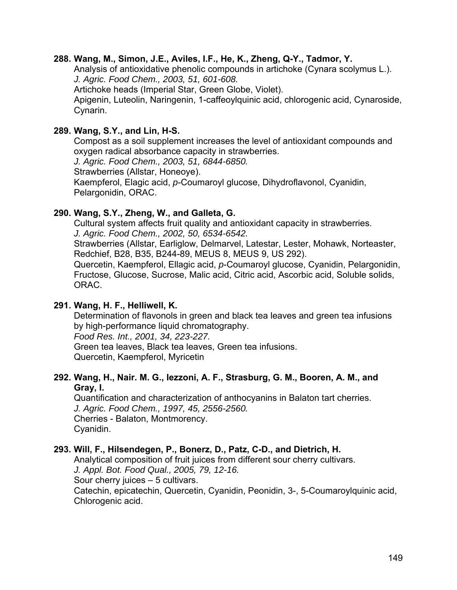#### **288. Wang, M., Simon, J.E., Aviles, I.F., He, K., Zheng, Q-Y., Tadmor, Y.**

Analysis of antioxidative phenolic compounds in artichoke (Cynara scolymus L.). *J. Agric. Food Chem., 2003, 51, 601-608.* 

Artichoke heads (Imperial Star, Green Globe, Violet).

Apigenin, Luteolin, Naringenin, 1-caffeoylquinic acid, chlorogenic acid, Cynaroside, Cynarin.

#### **289. Wang, S.Y., and Lin, H-S.**

Compost as a soil supplement increases the level of antioxidant compounds and oxygen radical absorbance capacity in strawberries.

*J. Agric. Food Chem., 2003, 51, 6844-6850.* 

Strawberries (Allstar, Honeoye).

Kaempferol, Elagic acid, *p*-Coumaroyl glucose, Dihydroflavonol, Cyanidin, Pelargonidin, ORAC.

#### **290. Wang, S.Y., Zheng, W., and Galleta, G.**

Cultural system affects fruit quality and antioxidant capacity in strawberries. *J. Agric. Food Chem., 2002, 50, 6534-6542.* 

Strawberries (Allstar, Earliglow, Delmarvel, Latestar, Lester, Mohawk, Norteaster, Redchief, B28, B35, B244-89, MEUS 8, MEUS 9, US 292).

Quercetin, Kaempferol, Ellagic acid, *p*-Coumaroyl glucose, Cyanidin, Pelargonidin, Fructose, Glucose, Sucrose, Malic acid, Citric acid, Ascorbic acid, Soluble solids, ORAC.

#### **291. Wang, H. F., Helliwell, K.**

Determination of flavonols in green and black tea leaves and green tea infusions by high-performance liquid chromatography.

*Food Res. Int., 2001, 34, 223-227.*

Green tea leaves, Black tea leaves, Green tea infusions. Quercetin, Kaempferol, Myricetin

#### **292. Wang, H., Nair. M. G., Iezzoni, A. F., Strasburg, G. M., Booren, A. M., and Gray, I.**

Quantification and characterization of anthocyanins in Balaton tart cherries. *J. Agric. Food Chem., 1997, 45, 2556-2560.* Cherries - Balaton, Montmorency. Cyanidin.

#### **293. Will, F., Hilsendegen, P., Bonerz, D., Patz, C-D., and Dietrich, H.**

Analytical composition of fruit juices from different sour cherry cultivars.

 *J. Appl. Bot. Food Qual., 2005, 79, 12-16.* 

Sour cherry juices – 5 cultivars.

 Catechin, epicatechin, Quercetin, Cyanidin, Peonidin, 3-, 5-Coumaroylquinic acid, Chlorogenic acid.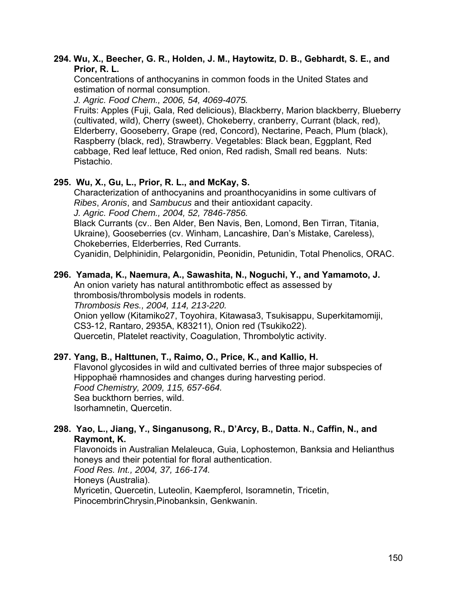#### **294. Wu, X., Beecher, G. R., Holden, J. M., Haytowitz, D. B., Gebhardt, S. E., and Prior, R. L.**

Concentrations of anthocyanins in common foods in the United States and estimation of normal consumption.

*J. Agric. Food Chem., 2006, 54, 4069-4075.* 

Fruits: Apples (Fuji, Gala, Red delicious), Blackberry, Marion blackberry, Blueberry (cultivated, wild), Cherry (sweet), Chokeberry, cranberry, Currant (black, red), Elderberry, Gooseberry, Grape (red, Concord), Nectarine, Peach, Plum (black), Raspberry (black, red), Strawberry, Vegetables: Black bean, Eggplant, Red cabbage, Red leaf lettuce, Red onion, Red radish, Small red beans. Nuts: Pistachio.

## **295. Wu, X., Gu, L., Prior, R. L., and McKay, S.**

Characterization of anthocyanins and proanthocyanidins in some cultivars of *Ribes*, *Aronis*, and *Sambucus* and their antioxidant capacity.

*J. Agric. Food Chem., 2004, 52, 7846-7856.* 

Black Currants (cv.. Ben Alder, Ben Navis, Ben, Lomond, Ben Tirran, Titania, Ukraine), Gooseberries (cv. Winham, Lancashire, Dan's Mistake, Careless), Chokeberries, Elderberries, Red Currants.

Cyanidin, Delphinidin, Pelargonidin, Peonidin, Petunidin, Total Phenolics, ORAC.

#### **296. Yamada, K., Naemura, A., Sawashita, N., Noguchi, Y., and Yamamoto, J.**

An onion variety has natural antithrombotic effect as assessed by thrombosis/thrombolysis models in rodents. *Thrombosis Res., 2004, 114, 213-220.*  Onion yellow (Kitamiko27, Toyohira, Kitawasa3, Tsukisappu, Superkitamomiji, CS3-12, Rantaro, 2935A, K83211), Onion red (Tsukiko22). Quercetin, Platelet reactivity, Coagulation, Thrombolytic activity.

#### **297. Yang, B., Halttunen, T., Raimo, O., Price, K., and Kallio, H.**

 Flavonol glycosides in wild and cultivated berries of three major subspecies of Hippophaë rhamnosides and changes during harvesting period. *Food Chemistry, 2009, 115, 657-664.*  Sea buckthorn berries, wild. Isorhamnetin, Quercetin.

#### **298. Yao, L., Jiang, Y., Singanusong, R., D'Arcy, B., Datta. N., Caffin, N., and Raymont, K.**

Flavonoids in Australian Melaleuca, Guia, Lophostemon, Banksia and Helianthus honeys and their potential for floral authentication.

*Food Res. Int., 2004, 37, 166-174.* 

Honeys (Australia).

Myricetin, Quercetin, Luteolin, Kaempferol, Isoramnetin, Tricetin, PinocembrinChrysin,Pinobanksin, Genkwanin.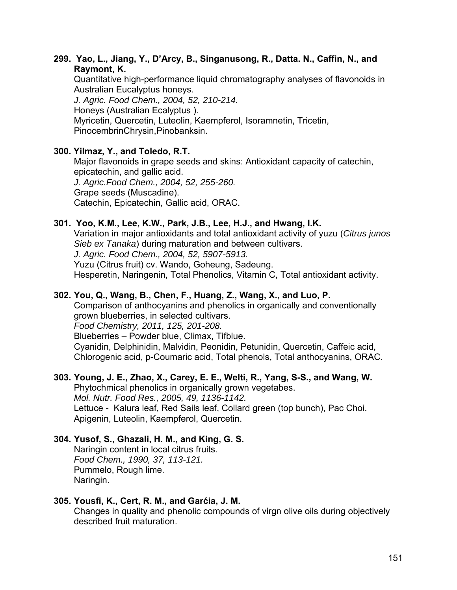#### **299. Yao, L., Jiang, Y., D'Arcy, B., Singanusong, R., Datta. N., Caffin, N., and Raymont, K.**

Quantitative high-performance liquid chromatography analyses of flavonoids in Australian Eucalyptus honeys.

*J. Agric. Food Chem., 2004, 52, 210-214.* 

Honeys (Australian Ecalyptus ).

Myricetin, Quercetin, Luteolin, Kaempferol, Isoramnetin, Tricetin,

PinocembrinChrysin,Pinobanksin.

## **300. Yilmaz, Y., and Toledo, R.T.**

Major flavonoids in grape seeds and skins: Antioxidant capacity of catechin, epicatechin, and gallic acid. *J. Agric.Food Chem., 2004, 52, 255-260.*  Grape seeds (Muscadine). Catechin, Epicatechin, Gallic acid, ORAC.

# **301. Yoo, K.M., Lee, K.W., Park, J.B., Lee, H.J., and Hwang, I.K.**

Variation in major antioxidants and total antioxidant activity of yuzu (*Citrus junos Sieb ex Tanaka*) during maturation and between cultivars. *J. Agric. Food Chem., 2004, 52, 5907-5913.*  Yuzu (Citrus fruit) cv. Wando, Goheung, Sadeung. Hesperetin, Naringenin, Total Phenolics, Vitamin C, Total antioxidant activity.

# **302. You, Q., Wang, B., Chen, F., Huang, Z., Wang, X., and Luo, P.**

 Comparison of anthocyanins and phenolics in organically and conventionally grown blueberries, in selected cultivars. *Food Chemistry, 2011, 125, 201-208.*  Blueberries – Powder blue, Climax, Tifblue. Cyanidin, Delphinidin, Malvidin, Peonidin, Petunidin, Quercetin, Caffeic acid, Chlorogenic acid, p-Coumaric acid, Total phenols, Total anthocyanins, ORAC.

## **303. Young, J. E., Zhao, X., Carey, E. E., Welti, R., Yang, S-S., and Wang, W.**

 Phytochmical phenolics in organically grown vegetabes. *Mol. Nutr. Food Res., 2005, 49, 1136-1142.*  Lettuce - Kalura leaf, Red Sails leaf, Collard green (top bunch), Pac Choi. Apigenin, Luteolin, Kaempferol, Quercetin.

## **304. Yusof, S., Ghazali, H. M., and King, G. S.**

Naringin content in local citrus fruits. *Food Chem., 1990, 37, 113-121.* Pummelo, Rough lime. Naringin.

## **305. Yousfi, K., Cert, R. M., and Garćia, J. M.**

Changes in quality and phenolic compounds of virgn olive oils during objectively described fruit maturation.